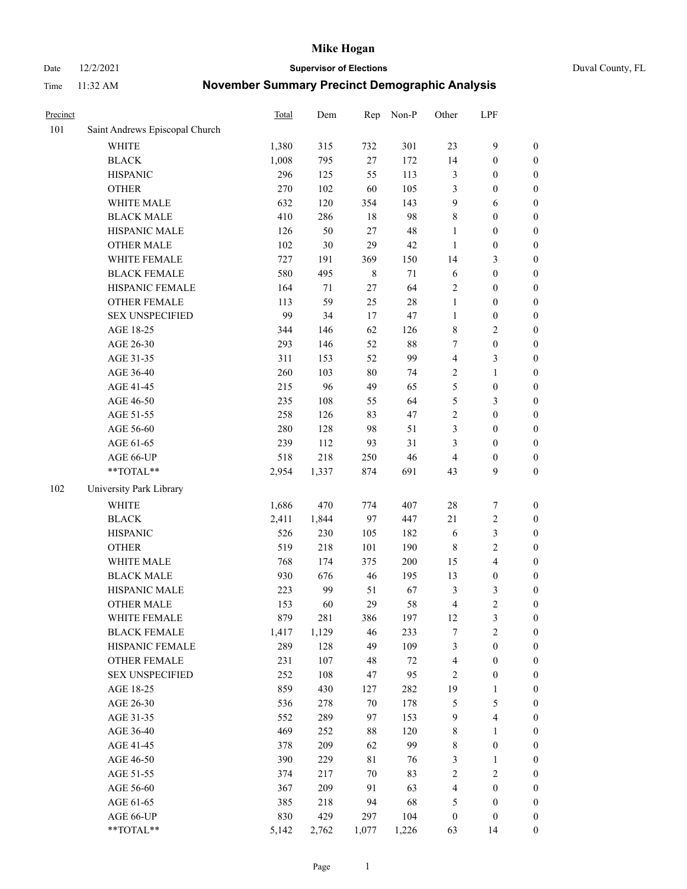Date 12/2/2021 **Supervisor of Elections** Duval County, FL

| Precinct |                                | Total | Dem   | Rep         | Non-P  | Other            | LPF                     |                  |
|----------|--------------------------------|-------|-------|-------------|--------|------------------|-------------------------|------------------|
| 101      | Saint Andrews Episcopal Church |       |       |             |        |                  |                         |                  |
|          | <b>WHITE</b>                   | 1,380 | 315   | 732         | 301    | 23               | $\mathbf{9}$            | 0                |
|          | <b>BLACK</b>                   | 1,008 | 795   | 27          | 172    | 14               | $\boldsymbol{0}$        | $\boldsymbol{0}$ |
|          | <b>HISPANIC</b>                | 296   | 125   | 55          | 113    | 3                | $\boldsymbol{0}$        | $\boldsymbol{0}$ |
|          | <b>OTHER</b>                   | 270   | 102   | 60          | 105    | 3                | $\boldsymbol{0}$        | $\boldsymbol{0}$ |
|          | WHITE MALE                     | 632   | 120   | 354         | 143    | 9                | 6                       | $\boldsymbol{0}$ |
|          | <b>BLACK MALE</b>              | 410   | 286   | 18          | 98     | 8                | $\boldsymbol{0}$        | $\boldsymbol{0}$ |
|          | HISPANIC MALE                  | 126   | 50    | 27          | 48     | $\mathbf{1}$     | $\boldsymbol{0}$        | $\boldsymbol{0}$ |
|          | <b>OTHER MALE</b>              | 102   | 30    | 29          | 42     | $\mathbf{1}$     | $\boldsymbol{0}$        | $\boldsymbol{0}$ |
|          | WHITE FEMALE                   | 727   | 191   | 369         | 150    | 14               | $\mathfrak{Z}$          | $\boldsymbol{0}$ |
|          | <b>BLACK FEMALE</b>            | 580   | 495   | $\,$ 8 $\,$ | 71     | 6                | $\boldsymbol{0}$        | $\boldsymbol{0}$ |
|          | HISPANIC FEMALE                | 164   | 71    | 27          | 64     | 2                | $\boldsymbol{0}$        | $\boldsymbol{0}$ |
|          | <b>OTHER FEMALE</b>            | 113   | 59    | 25          | $28\,$ | $\mathbf{1}$     | $\boldsymbol{0}$        | $\boldsymbol{0}$ |
|          | <b>SEX UNSPECIFIED</b>         | 99    | 34    | 17          | 47     | $\mathbf{1}$     | $\boldsymbol{0}$        | $\boldsymbol{0}$ |
|          | AGE 18-25                      | 344   | 146   | 62          | 126    | 8                | $\sqrt{2}$              | $\boldsymbol{0}$ |
|          | AGE 26-30                      | 293   | 146   | 52          | $88\,$ | 7                | $\boldsymbol{0}$        | $\boldsymbol{0}$ |
|          | AGE 31-35                      | 311   | 153   | 52          | 99     | 4                | $\mathfrak{Z}$          | $\boldsymbol{0}$ |
|          | AGE 36-40                      | 260   | 103   | 80          | 74     | 2                | $\mathbf{1}$            | $\boldsymbol{0}$ |
|          | AGE 41-45                      | 215   | 96    | 49          | 65     | 5                | $\boldsymbol{0}$        | $\boldsymbol{0}$ |
|          | AGE 46-50                      | 235   | 108   | 55          | 64     | 5                | $\mathfrak{Z}$          | $\boldsymbol{0}$ |
|          | AGE 51-55                      | 258   | 126   | 83          | 47     | $\sqrt{2}$       | $\boldsymbol{0}$        | $\boldsymbol{0}$ |
|          | AGE 56-60                      | 280   | 128   | 98          | 51     | 3                | $\boldsymbol{0}$        | 0                |
|          | AGE 61-65                      | 239   | 112   | 93          | 31     | 3                | $\boldsymbol{0}$        | $\boldsymbol{0}$ |
|          | AGE 66-UP                      | 518   | 218   | 250         | 46     | $\overline{4}$   | $\boldsymbol{0}$        | $\boldsymbol{0}$ |
|          | $**TOTAL**$                    | 2,954 | 1,337 | 874         | 691    | 43               | 9                       | $\boldsymbol{0}$ |
| 102      | University Park Library        |       |       |             |        |                  |                         |                  |
|          | <b>WHITE</b>                   | 1,686 | 470   | 774         | 407    | 28               | $\boldsymbol{7}$        | $\boldsymbol{0}$ |
|          | <b>BLACK</b>                   | 2,411 | 1,844 | 97          | 447    | $21\,$           | $\sqrt{2}$              | $\boldsymbol{0}$ |
|          | <b>HISPANIC</b>                | 526   | 230   | 105         | 182    | 6                | $\mathfrak{Z}$          | $\boldsymbol{0}$ |
|          | <b>OTHER</b>                   | 519   | 218   | 101         | 190    | $\,$ 8 $\,$      | $\sqrt{2}$              | $\boldsymbol{0}$ |
|          | WHITE MALE                     | 768   | 174   | 375         | 200    | 15               | $\overline{4}$          | $\boldsymbol{0}$ |
|          | <b>BLACK MALE</b>              | 930   | 676   | 46          | 195    | 13               | $\boldsymbol{0}$        | $\boldsymbol{0}$ |
|          | HISPANIC MALE                  | 223   | 99    | 51          | 67     | 3                | $\mathfrak{Z}$          | $\boldsymbol{0}$ |
|          | <b>OTHER MALE</b>              | 153   | 60    | 29          | 58     | $\overline{4}$   | $\overline{c}$          | $\boldsymbol{0}$ |
|          | WHITE FEMALE                   | 879   | 281   | 386         | 197    | 12               | 3                       | 0                |
|          | <b>BLACK FEMALE</b>            | 1,417 | 1,129 | 46          | 233    | 7                | $\sqrt{2}$              | $\boldsymbol{0}$ |
|          | HISPANIC FEMALE                | 289   | 128   | 49          | 109    | 3                | $\boldsymbol{0}$        | $\overline{0}$   |
|          | <b>OTHER FEMALE</b>            | 231   | 107   | 48          | 72     | $\overline{4}$   | $\boldsymbol{0}$        | $\overline{0}$   |
|          | <b>SEX UNSPECIFIED</b>         | 252   | 108   | 47          | 95     | 2                | $\boldsymbol{0}$        | 0                |
|          | AGE 18-25                      | 859   | 430   | 127         | 282    | 19               | $\mathbf{1}$            | $\overline{0}$   |
|          | AGE 26-30                      | 536   | 278   | 70          | 178    | 5                | $\mathfrak{S}$          | 0                |
|          | AGE 31-35                      | 552   | 289   | 97          | 153    | 9                | $\overline{\mathbf{4}}$ | 0                |
|          | AGE 36-40                      | 469   | 252   | $88\,$      | 120    | $\,$ 8 $\,$      | $\mathbf{1}$            | 0                |
|          | AGE 41-45                      | 378   | 209   | 62          | 99     | 8                | $\boldsymbol{0}$        | 0                |
|          | AGE 46-50                      | 390   | 229   | $8\sqrt{1}$ | 76     | 3                | $\mathbf{1}$            | 0                |
|          | AGE 51-55                      | 374   | 217   | 70          | 83     | $\sqrt{2}$       | $\sqrt{2}$              | 0                |
|          | AGE 56-60                      | 367   | 209   | 91          | 63     | 4                | $\boldsymbol{0}$        | $\boldsymbol{0}$ |
|          | AGE 61-65                      | 385   | 218   | 94          | 68     | 5                | $\boldsymbol{0}$        | $\boldsymbol{0}$ |
|          | AGE 66-UP                      | 830   | 429   | 297         | 104    | $\boldsymbol{0}$ | $\boldsymbol{0}$        | $\boldsymbol{0}$ |
|          | **TOTAL**                      | 5,142 | 2,762 | 1,077       | 1,226  | 63               | 14                      | $\boldsymbol{0}$ |
|          |                                |       |       |             |        |                  |                         |                  |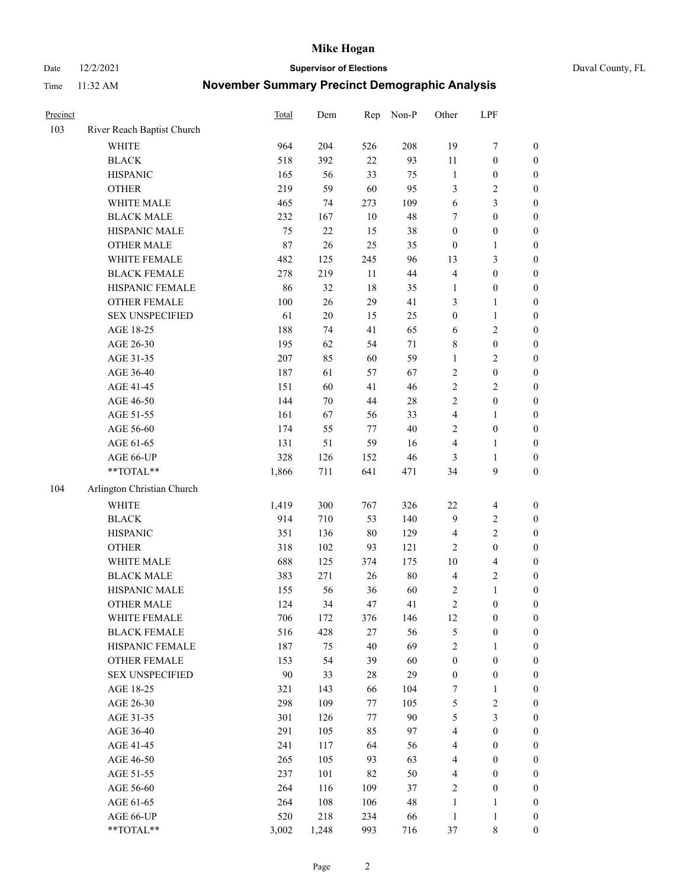Date 12/2/2021 **Supervisor of Elections** Duval County, FL

| Precinct |                            | Total  | Dem    | Rep | Non-P  | Other                   | LPF                     |                  |
|----------|----------------------------|--------|--------|-----|--------|-------------------------|-------------------------|------------------|
| 103      | River Reach Baptist Church |        |        |     |        |                         |                         |                  |
|          | <b>WHITE</b>               | 964    | 204    | 526 | 208    | 19                      | $\boldsymbol{7}$        | 0                |
|          | <b>BLACK</b>               | 518    | 392    | 22  | 93     | $11\,$                  | $\boldsymbol{0}$        | $\boldsymbol{0}$ |
|          | <b>HISPANIC</b>            | 165    | 56     | 33  | 75     | $\mathbf{1}$            | $\boldsymbol{0}$        | $\boldsymbol{0}$ |
|          | <b>OTHER</b>               | 219    | 59     | 60  | 95     | 3                       | $\sqrt{2}$              | $\boldsymbol{0}$ |
|          | WHITE MALE                 | 465    | 74     | 273 | 109    | 6                       | $\mathfrak{Z}$          | $\boldsymbol{0}$ |
|          | <b>BLACK MALE</b>          | 232    | 167    | 10  | 48     | 7                       | $\boldsymbol{0}$        | $\boldsymbol{0}$ |
|          | HISPANIC MALE              | 75     | 22     | 15  | 38     | $\boldsymbol{0}$        | $\boldsymbol{0}$        | $\boldsymbol{0}$ |
|          | <b>OTHER MALE</b>          | $87\,$ | $26\,$ | 25  | 35     | $\boldsymbol{0}$        | $\mathbf{1}$            | $\boldsymbol{0}$ |
|          | WHITE FEMALE               | 482    | 125    | 245 | 96     | 13                      | $\mathfrak{Z}$          | $\boldsymbol{0}$ |
|          | <b>BLACK FEMALE</b>        | 278    | 219    | 11  | 44     | 4                       | $\boldsymbol{0}$        | $\boldsymbol{0}$ |
|          | HISPANIC FEMALE            | 86     | 32     | 18  | 35     | $\mathbf{1}$            | $\boldsymbol{0}$        | 0                |
|          | OTHER FEMALE               | 100    | 26     | 29  | 41     | 3                       | $\mathbf{1}$            | $\boldsymbol{0}$ |
|          | <b>SEX UNSPECIFIED</b>     | 61     | $20\,$ | 15  | 25     | $\boldsymbol{0}$        | $\mathbf{1}$            | $\boldsymbol{0}$ |
|          | AGE 18-25                  | 188    | 74     | 41  | 65     | 6                       | $\sqrt{2}$              | $\boldsymbol{0}$ |
|          | AGE 26-30                  | 195    | 62     | 54  | $71\,$ | 8                       | $\boldsymbol{0}$        | $\boldsymbol{0}$ |
|          | AGE 31-35                  | 207    | 85     | 60  | 59     | $\mathbf{1}$            | $\sqrt{2}$              | $\boldsymbol{0}$ |
|          | AGE 36-40                  | 187    | 61     | 57  | 67     | $\sqrt{2}$              | $\boldsymbol{0}$        | $\boldsymbol{0}$ |
|          | AGE 41-45                  | 151    | 60     | 41  | 46     | $\sqrt{2}$              | $\overline{2}$          | $\boldsymbol{0}$ |
|          | AGE 46-50                  | 144    | $70\,$ | 44  | $28\,$ | $\overline{2}$          | $\boldsymbol{0}$        | $\boldsymbol{0}$ |
|          | AGE 51-55                  | 161    | 67     | 56  | 33     | $\overline{\mathbf{4}}$ | $\mathbf{1}$            | 0                |
|          | AGE 56-60                  | 174    | 55     | 77  | 40     | $\sqrt{2}$              | $\boldsymbol{0}$        | 0                |
|          | AGE 61-65                  | 131    | 51     | 59  | 16     | 4                       | $\mathbf{1}$            | 0                |
|          | AGE 66-UP                  | 328    | 126    | 152 | 46     | 3                       | $\mathbf{1}$            | $\boldsymbol{0}$ |
|          | **TOTAL**                  | 1,866  | 711    | 641 | 471    | 34                      | $\boldsymbol{9}$        | $\boldsymbol{0}$ |
| 104      | Arlington Christian Church |        |        |     |        |                         |                         |                  |
|          | <b>WHITE</b>               | 1,419  | 300    | 767 | 326    | $22\,$                  | $\overline{4}$          | $\boldsymbol{0}$ |
|          | <b>BLACK</b>               | 914    | 710    | 53  | 140    | 9                       | $\sqrt{2}$              | $\boldsymbol{0}$ |
|          | <b>HISPANIC</b>            | 351    | 136    | 80  | 129    | 4                       | $\mathfrak{2}$          | $\boldsymbol{0}$ |
|          | <b>OTHER</b>               | 318    | 102    | 93  | 121    | $\mathfrak{2}$          | $\boldsymbol{0}$        | $\boldsymbol{0}$ |
|          | WHITE MALE                 | 688    | 125    | 374 | 175    | $10\,$                  | $\overline{\mathbf{4}}$ | $\boldsymbol{0}$ |
|          | <b>BLACK MALE</b>          | 383    | 271    | 26  | $80\,$ | $\overline{\mathbf{4}}$ | $\sqrt{2}$              | $\boldsymbol{0}$ |
|          | HISPANIC MALE              | 155    | 56     | 36  | 60     | 2                       | $\mathbf{1}$            | $\boldsymbol{0}$ |
|          | <b>OTHER MALE</b>          | 124    | 34     | 47  | 41     | $\sqrt{2}$              | $\boldsymbol{0}$        | $\boldsymbol{0}$ |
|          | WHITE FEMALE               | 706    | 172    | 376 | 146    | 12                      | $\boldsymbol{0}$        | 0                |
|          | <b>BLACK FEMALE</b>        | 516    | 428    | 27  | 56     | 5                       | $\boldsymbol{0}$        | $\overline{0}$   |
|          | HISPANIC FEMALE            | 187    | 75     | 40  | 69     | $\overline{c}$          | $\mathbf{1}$            | $\overline{0}$   |
|          | OTHER FEMALE               | 153    | 54     | 39  | 60     | $\boldsymbol{0}$        | $\boldsymbol{0}$        | $\overline{0}$   |
|          | <b>SEX UNSPECIFIED</b>     | 90     | 33     | 28  | 29     | $\boldsymbol{0}$        | $\boldsymbol{0}$        | 0                |
|          | AGE 18-25                  | 321    | 143    | 66  | 104    | 7                       | $\mathbf{1}$            | 0                |
|          | AGE 26-30                  | 298    | 109    | 77  | 105    | 5                       | $\sqrt{2}$              | 0                |
|          | AGE 31-35                  | 301    | 126    | 77  | 90     | 5                       | $\mathfrak{Z}$          | 0                |
|          | AGE 36-40                  | 291    | 105    | 85  | 97     | 4                       | $\boldsymbol{0}$        | 0                |
|          | AGE 41-45                  | 241    | 117    | 64  | 56     | $\overline{4}$          | $\boldsymbol{0}$        | 0                |
|          | AGE 46-50                  | 265    | 105    | 93  | 63     | 4                       | $\boldsymbol{0}$        | 0                |
|          | AGE 51-55                  | 237    | 101    | 82  | 50     | $\overline{4}$          | $\boldsymbol{0}$        | 0                |
|          | AGE 56-60                  | 264    | 116    | 109 | 37     | 2                       | $\boldsymbol{0}$        | $\overline{0}$   |
|          | AGE 61-65                  | 264    | 108    | 106 | 48     | $\mathbf{1}$            | $\mathbf{1}$            | $\overline{0}$   |
|          | AGE 66-UP                  | 520    | 218    | 234 | 66     | $\mathbf{1}$            | $\mathbf{1}$            | $\boldsymbol{0}$ |
|          | **TOTAL**                  | 3,002  | 1,248  | 993 | 716    | 37                      | 8                       | $\boldsymbol{0}$ |
|          |                            |        |        |     |        |                         |                         |                  |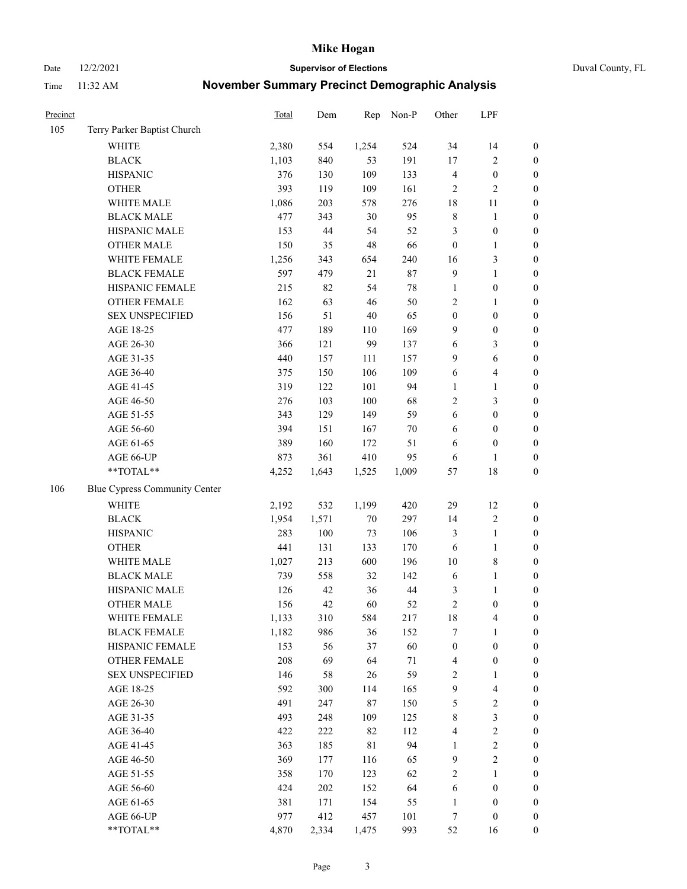Date 12/2/2021 **Supervisor of Elections** Duval County, FL

| Precinct |                               | Total | Dem   | Rep         | Non-P  | Other               | LPF                     |                  |
|----------|-------------------------------|-------|-------|-------------|--------|---------------------|-------------------------|------------------|
| 105      | Terry Parker Baptist Church   |       |       |             |        |                     |                         |                  |
|          | <b>WHITE</b>                  | 2,380 | 554   | 1,254       | 524    | 34                  | 14                      | $\boldsymbol{0}$ |
|          | <b>BLACK</b>                  | 1,103 | 840   | 53          | 191    | $17\,$              | $\sqrt{2}$              | $\boldsymbol{0}$ |
|          | <b>HISPANIC</b>               | 376   | 130   | 109         | 133    | $\overline{4}$      | $\boldsymbol{0}$        | $\boldsymbol{0}$ |
|          | <b>OTHER</b>                  | 393   | 119   | 109         | 161    | $\overline{2}$      | $\sqrt{2}$              | $\boldsymbol{0}$ |
|          | WHITE MALE                    | 1,086 | 203   | 578         | 276    | 18                  | 11                      | $\boldsymbol{0}$ |
|          | <b>BLACK MALE</b>             | 477   | 343   | 30          | 95     | $\,$ 8 $\,$         | $\mathbf{1}$            | $\boldsymbol{0}$ |
|          | HISPANIC MALE                 | 153   | 44    | 54          | 52     | 3                   | $\boldsymbol{0}$        | $\boldsymbol{0}$ |
|          | <b>OTHER MALE</b>             | 150   | 35    | 48          | 66     | $\boldsymbol{0}$    | $\mathbf{1}$            | $\boldsymbol{0}$ |
|          | WHITE FEMALE                  | 1,256 | 343   | 654         | 240    | 16                  | $\mathfrak{Z}$          | $\boldsymbol{0}$ |
|          | <b>BLACK FEMALE</b>           | 597   | 479   | 21          | 87     | $\mathbf{9}$        | $\mathbf{1}$            | $\boldsymbol{0}$ |
|          | HISPANIC FEMALE               | 215   | 82    | 54          | $78\,$ | $\mathbf{1}$        | $\boldsymbol{0}$        | 0                |
|          | OTHER FEMALE                  | 162   | 63    | $46\,$      | 50     | $\mathbf{2}$        | $\mathbf{1}$            | $\boldsymbol{0}$ |
|          | <b>SEX UNSPECIFIED</b>        | 156   | 51    | $40\,$      | 65     | $\boldsymbol{0}$    | $\boldsymbol{0}$        | $\boldsymbol{0}$ |
|          | AGE 18-25                     | 477   | 189   | 110         | 169    | 9                   | $\boldsymbol{0}$        | $\boldsymbol{0}$ |
|          | AGE 26-30                     | 366   | 121   | 99          | 137    | 6                   | $\mathfrak{Z}$          | $\boldsymbol{0}$ |
|          | AGE 31-35                     | 440   | 157   | 111         | 157    | 9                   | 6                       | $\boldsymbol{0}$ |
|          | AGE 36-40                     | 375   | 150   | 106         | 109    | 6                   | $\overline{4}$          | $\boldsymbol{0}$ |
|          | AGE 41-45                     | 319   | 122   | 101         | 94     | $\mathbf{1}$        | $\mathbf{1}$            | $\boldsymbol{0}$ |
|          | AGE 46-50                     | 276   | 103   | $100\,$     | 68     | $\mathbf{2}$        | $\mathfrak{Z}$          | $\boldsymbol{0}$ |
|          | AGE 51-55                     | 343   | 129   | 149         | 59     | 6                   | $\boldsymbol{0}$        | $\boldsymbol{0}$ |
|          | AGE 56-60                     | 394   | 151   | 167         | $70\,$ | 6                   | $\boldsymbol{0}$        | 0                |
|          | AGE 61-65                     | 389   | 160   | 172         | 51     | 6                   | $\boldsymbol{0}$        | 0                |
|          | AGE 66-UP                     | 873   | 361   | 410         | 95     | 6                   | $\mathbf{1}$            | $\boldsymbol{0}$ |
|          | $**TOTAL**$                   | 4,252 | 1,643 | 1,525       | 1,009  | 57                  | $18\,$                  | $\boldsymbol{0}$ |
| 106      | Blue Cypress Community Center |       |       |             |        |                     |                         |                  |
|          | <b>WHITE</b>                  | 2,192 | 532   | 1,199       | 420    | 29                  | 12                      | $\boldsymbol{0}$ |
|          | <b>BLACK</b>                  | 1,954 | 1,571 | $70\,$      | 297    | 14                  | $\sqrt{2}$              | $\boldsymbol{0}$ |
|          | <b>HISPANIC</b>               | 283   | 100   | 73          | 106    | 3                   | $\mathbf{1}$            | $\boldsymbol{0}$ |
|          | <b>OTHER</b>                  | 441   | 131   | 133         | 170    | 6                   | $\mathbf{1}$            | $\boldsymbol{0}$ |
|          | WHITE MALE                    | 1,027 | 213   | 600         | 196    | 10                  | $\,$ 8 $\,$             | $\boldsymbol{0}$ |
|          | <b>BLACK MALE</b>             | 739   | 558   | 32          | 142    | 6                   | $\mathbf{1}$            | $\boldsymbol{0}$ |
|          | HISPANIC MALE                 | 126   | 42    | 36          | 44     |                     | 1                       | $\boldsymbol{0}$ |
|          | <b>OTHER MALE</b>             | 156   | 42    | 60          | 52     | 3<br>$\mathfrak{2}$ | $\boldsymbol{0}$        | $\boldsymbol{0}$ |
|          | WHITE FEMALE                  | 1,133 | 310   | 584         | 217    | 18                  | 4                       | 0                |
|          | <b>BLACK FEMALE</b>           | 1,182 | 986   | 36          | 152    | 7                   | $\mathbf{1}$            | $\boldsymbol{0}$ |
|          | HISPANIC FEMALE               | 153   | 56    | 37          | 60     | $\boldsymbol{0}$    | $\boldsymbol{0}$        | $\overline{0}$   |
|          | <b>OTHER FEMALE</b>           | 208   | 69    | 64          | $71\,$ | $\overline{4}$      | $\boldsymbol{0}$        | $\overline{0}$   |
|          | <b>SEX UNSPECIFIED</b>        | 146   | 58    | 26          | 59     | $\overline{c}$      | $\mathbf{1}$            | 0                |
|          | AGE 18-25                     | 592   | 300   | 114         | 165    | 9                   | $\overline{\mathbf{4}}$ | 0                |
|          | AGE 26-30                     | 491   | 247   | 87          | 150    | 5                   | $\sqrt{2}$              | 0                |
|          | AGE 31-35                     | 493   | 248   | 109         | 125    | $\,$ $\,$           | $\mathfrak{Z}$          | 0                |
|          | AGE 36-40                     | 422   | 222   | 82          | 112    | 4                   | $\sqrt{2}$              | 0                |
|          | AGE 41-45                     | 363   | 185   | $8\sqrt{1}$ | 94     | $\mathbf{1}$        | $\sqrt{2}$              | 0                |
|          | AGE 46-50                     | 369   | 177   | 116         | 65     | $\overline{9}$      | $\sqrt{2}$              | 0                |
|          | AGE 51-55                     | 358   | 170   | 123         | 62     | $\sqrt{2}$          | $\mathbf{1}$            | $\boldsymbol{0}$ |
|          | AGE 56-60                     | 424   | 202   | 152         | 64     | 6                   | $\boldsymbol{0}$        | $\boldsymbol{0}$ |
|          | AGE 61-65                     | 381   | 171   | 154         | 55     | $\mathbf{1}$        | $\boldsymbol{0}$        | $\boldsymbol{0}$ |
|          | AGE 66-UP                     | 977   | 412   | 457         | 101    | 7                   | $\boldsymbol{0}$        | 0                |
|          | **TOTAL**                     | 4,870 | 2,334 | 1,475       | 993    | 52                  | 16                      | $\boldsymbol{0}$ |
|          |                               |       |       |             |        |                     |                         |                  |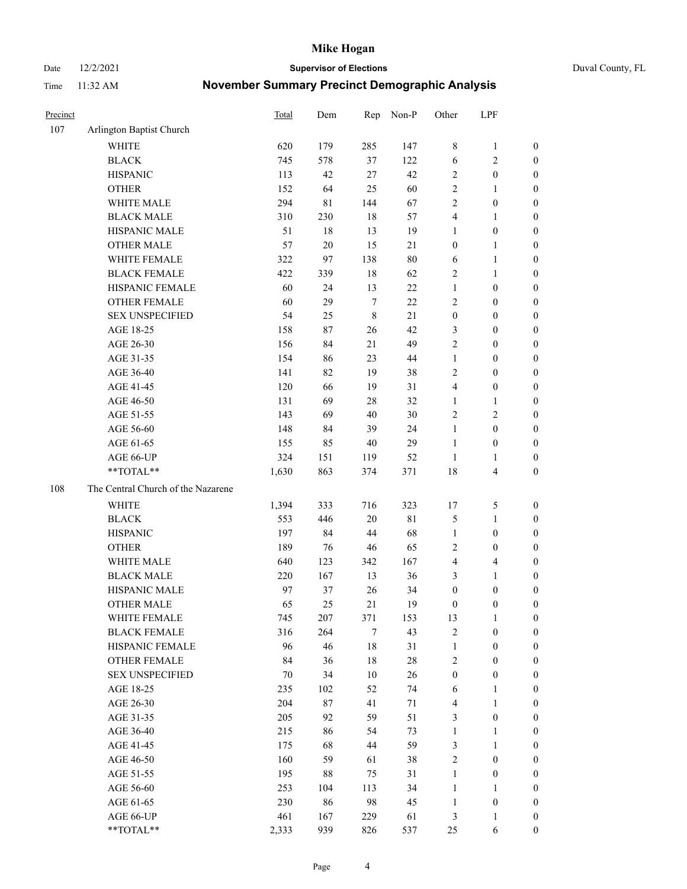Date 12/2/2021 **Supervisor of Elections** Duval County, FL

| Precinct |                                    | Total  | Dem    | Rep         | Non-P  | Other                   | LPF                     |                  |
|----------|------------------------------------|--------|--------|-------------|--------|-------------------------|-------------------------|------------------|
| 107      | Arlington Baptist Church           |        |        |             |        |                         |                         |                  |
|          | <b>WHITE</b>                       | 620    | 179    | 285         | 147    | 8                       | $\mathbf{1}$            | 0                |
|          | <b>BLACK</b>                       | 745    | 578    | 37          | 122    | $\sqrt{6}$              | $\sqrt{2}$              | 0                |
|          | <b>HISPANIC</b>                    | 113    | 42     | 27          | 42     | $\mathfrak{2}$          | $\boldsymbol{0}$        | $\boldsymbol{0}$ |
|          | <b>OTHER</b>                       | 152    | 64     | 25          | 60     | $\sqrt{2}$              | 1                       | $\boldsymbol{0}$ |
|          | WHITE MALE                         | 294    | 81     | 144         | 67     | 2                       | $\boldsymbol{0}$        | $\boldsymbol{0}$ |
|          | <b>BLACK MALE</b>                  | 310    | 230    | 18          | 57     | 4                       | $\mathbf{1}$            | $\boldsymbol{0}$ |
|          | HISPANIC MALE                      | 51     | 18     | 13          | 19     | 1                       | $\boldsymbol{0}$        | $\boldsymbol{0}$ |
|          | <b>OTHER MALE</b>                  | 57     | $20\,$ | 15          | 21     | $\boldsymbol{0}$        | $\mathbf{1}$            | $\boldsymbol{0}$ |
|          | WHITE FEMALE                       | 322    | 97     | 138         | $80\,$ | 6                       | $\mathbf{1}$            | $\boldsymbol{0}$ |
|          | <b>BLACK FEMALE</b>                | 422    | 339    | 18          | 62     | $\sqrt{2}$              | $\mathbf{1}$            | 0                |
|          | HISPANIC FEMALE                    | 60     | 24     | 13          | 22     | $\mathbf{1}$            | $\boldsymbol{0}$        | 0                |
|          | OTHER FEMALE                       | 60     | 29     | $\tau$      | 22     | $\mathbf{2}$            | $\boldsymbol{0}$        | $\boldsymbol{0}$ |
|          | <b>SEX UNSPECIFIED</b>             | 54     | 25     | $\,$ 8 $\,$ | 21     | $\boldsymbol{0}$        | $\boldsymbol{0}$        | $\boldsymbol{0}$ |
|          | AGE 18-25                          | 158    | 87     | 26          | 42     | 3                       | $\boldsymbol{0}$        | $\boldsymbol{0}$ |
|          | AGE 26-30                          | 156    | 84     | 21          | 49     | 2                       | $\boldsymbol{0}$        | $\boldsymbol{0}$ |
|          | AGE 31-35                          | 154    | 86     | 23          | $44\,$ | $\mathbf{1}$            | $\boldsymbol{0}$        | $\boldsymbol{0}$ |
|          | AGE 36-40                          | 141    | 82     | 19          | 38     | 2                       | $\boldsymbol{0}$        | $\boldsymbol{0}$ |
|          | AGE 41-45                          | 120    | 66     | 19          | 31     | $\overline{4}$          | $\boldsymbol{0}$        | $\boldsymbol{0}$ |
|          | AGE 46-50                          | 131    | 69     | 28          | 32     | 1                       | $\mathbf{1}$            | $\boldsymbol{0}$ |
|          | AGE 51-55                          | 143    | 69     | 40          | 30     | $\sqrt{2}$              | $\sqrt{2}$              | $\boldsymbol{0}$ |
|          | AGE 56-60                          | 148    | 84     | 39          | 24     | $\mathbf{1}$            | $\boldsymbol{0}$        | 0                |
|          | AGE 61-65                          | 155    | 85     | 40          | 29     | $\mathbf{1}$            | $\boldsymbol{0}$        | 0                |
|          | AGE 66-UP                          | 324    | 151    | 119         | 52     | $\mathbf{1}$            | $\mathbf{1}$            | $\boldsymbol{0}$ |
|          | **TOTAL**                          | 1,630  | 863    | 374         | 371    | 18                      | $\overline{\mathbf{4}}$ | $\boldsymbol{0}$ |
| 108      | The Central Church of the Nazarene |        |        |             |        |                         |                         |                  |
|          | <b>WHITE</b>                       | 1,394  | 333    | 716         | 323    | 17                      | 5                       | $\boldsymbol{0}$ |
|          | <b>BLACK</b>                       | 553    | 446    | 20          | 81     | 5                       | $\mathbf{1}$            | $\boldsymbol{0}$ |
|          | <b>HISPANIC</b>                    | 197    | 84     | 44          | 68     | $\mathbf{1}$            | $\boldsymbol{0}$        | $\boldsymbol{0}$ |
|          | <b>OTHER</b>                       | 189    | 76     | 46          | 65     | 2                       | $\boldsymbol{0}$        | $\boldsymbol{0}$ |
|          | WHITE MALE                         | 640    | 123    | 342         | 167    | $\overline{\mathbf{4}}$ | $\overline{\mathbf{4}}$ | $\boldsymbol{0}$ |
|          | <b>BLACK MALE</b>                  | 220    | 167    | 13          | 36     | 3                       | $\mathbf{1}$            | $\boldsymbol{0}$ |
|          | HISPANIC MALE                      | 97     | 37     | 26          | 34     | $\boldsymbol{0}$        | $\boldsymbol{0}$        | 0                |
|          | <b>OTHER MALE</b>                  | 65     | 25     | 21          | 19     | $\boldsymbol{0}$        | $\boldsymbol{0}$        | $\boldsymbol{0}$ |
|          | WHITE FEMALE                       | 745    | 207    | 371         | 153    | 13                      | 1                       | 0                |
|          | <b>BLACK FEMALE</b>                | 316    | 264    | 7           | 43     | 2                       | $\boldsymbol{0}$        | $\boldsymbol{0}$ |
|          | HISPANIC FEMALE                    | 96     | 46     | 18          | 31     | $\mathbf{1}$            | $\boldsymbol{0}$        | $\overline{0}$   |
|          | OTHER FEMALE                       | 84     | 36     | 18          | $28\,$ | 2                       | $\boldsymbol{0}$        | $\overline{0}$   |
|          | <b>SEX UNSPECIFIED</b>             | $70\,$ | 34     | 10          | 26     | $\boldsymbol{0}$        | $\boldsymbol{0}$        | 0                |
|          | AGE 18-25                          | 235    | 102    | 52          | 74     | 6                       | $\mathbf{1}$            | 0                |
|          | AGE 26-30                          | 204    | $87\,$ | 41          | 71     | 4                       | $\mathbf{1}$            | 0                |
|          | AGE 31-35                          | 205    | 92     | 59          | 51     | 3                       | $\boldsymbol{0}$        | 0                |
|          | AGE 36-40                          | 215    | 86     | 54          | 73     | $\mathbf{1}$            | $\mathbf{1}$            | 0                |
|          | AGE 41-45                          | 175    | 68     | 44          | 59     | 3                       | $\mathbf{1}$            | 0                |
|          | AGE 46-50                          | 160    | 59     | 61          | 38     | 2                       | $\boldsymbol{0}$        | 0                |
|          | AGE 51-55                          | 195    | 88     | 75          | 31     | $\mathbf{1}$            | $\boldsymbol{0}$        | 0                |
|          | AGE 56-60                          | 253    | 104    | 113         | 34     | 1                       | $\mathbf{1}$            | 0                |
|          | AGE 61-65                          | 230    | 86     | 98          | 45     | $\mathbf{1}$            | $\boldsymbol{0}$        | 0                |
|          | AGE 66-UP                          | 461    | 167    | 229         | 61     | 3                       | $\mathbf{1}$            | 0                |
|          | **TOTAL**                          | 2,333  | 939    | 826         | 537    | 25                      | 6                       | $\boldsymbol{0}$ |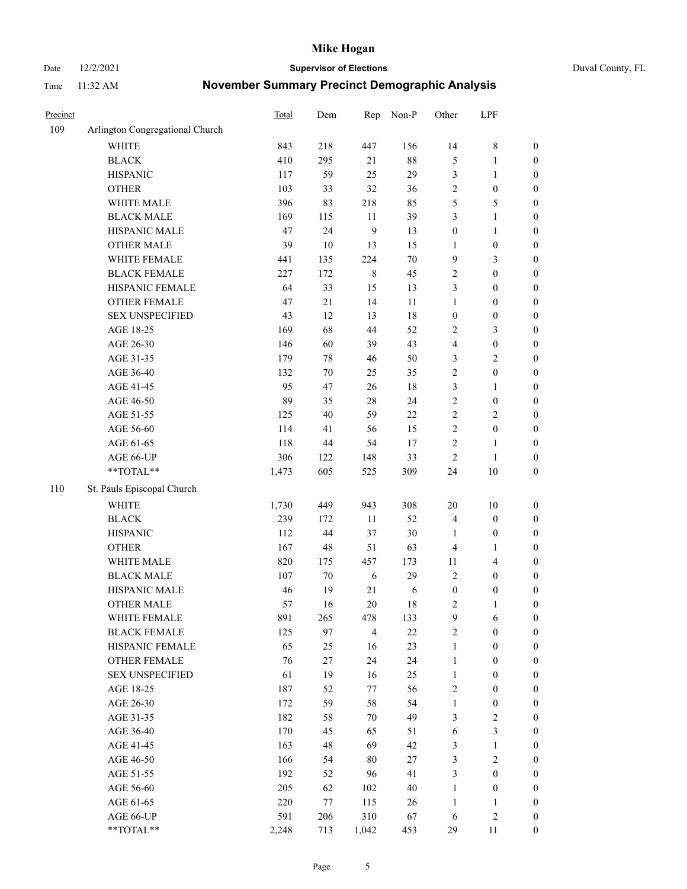Date 12/2/2021 **Supervisor of Elections** Duval County, FL

| Precinct |                                 | Total | Dem    | Rep            | Non-P  | Other            | LPF                     |                  |
|----------|---------------------------------|-------|--------|----------------|--------|------------------|-------------------------|------------------|
| 109      | Arlington Congregational Church |       |        |                |        |                  |                         |                  |
|          | <b>WHITE</b>                    | 843   | 218    | 447            | 156    | 14               | $\,8\,$                 | 0                |
|          | <b>BLACK</b>                    | 410   | 295    | 21             | $88\,$ | 5                | $\mathbf{1}$            | $\boldsymbol{0}$ |
|          | <b>HISPANIC</b>                 | 117   | 59     | 25             | 29     | 3                | $\mathbf{1}$            | $\boldsymbol{0}$ |
|          | <b>OTHER</b>                    | 103   | 33     | 32             | 36     | 2                | $\boldsymbol{0}$        | $\boldsymbol{0}$ |
|          | WHITE MALE                      | 396   | 83     | 218            | 85     | 5                | 5                       | $\boldsymbol{0}$ |
|          | <b>BLACK MALE</b>               | 169   | 115    | 11             | 39     | 3                | $\mathbf{1}$            | $\boldsymbol{0}$ |
|          | HISPANIC MALE                   | 47    | 24     | 9              | 13     | $\boldsymbol{0}$ | $\mathbf{1}$            | $\boldsymbol{0}$ |
|          | <b>OTHER MALE</b>               | 39    | $10\,$ | 13             | 15     | $\mathbf{1}$     | $\boldsymbol{0}$        | $\boldsymbol{0}$ |
|          | WHITE FEMALE                    | 441   | 135    | 224            | $70\,$ | $\mathbf{9}$     | $\mathfrak{Z}$          | $\boldsymbol{0}$ |
|          | <b>BLACK FEMALE</b>             | 227   | 172    | $\,$ 8 $\,$    | 45     | 2                | $\boldsymbol{0}$        | $\boldsymbol{0}$ |
|          | HISPANIC FEMALE                 | 64    | 33     | 15             | 13     | 3                | $\boldsymbol{0}$        | $\boldsymbol{0}$ |
|          | OTHER FEMALE                    | 47    | 21     | 14             | $11\,$ | $\mathbf{1}$     | $\boldsymbol{0}$        | $\boldsymbol{0}$ |
|          | <b>SEX UNSPECIFIED</b>          | 43    | 12     | 13             | 18     | $\boldsymbol{0}$ | $\boldsymbol{0}$        | $\boldsymbol{0}$ |
|          | AGE 18-25                       | 169   | 68     | 44             | 52     | 2                | $\mathfrak{Z}$          | $\boldsymbol{0}$ |
|          | AGE 26-30                       | 146   | 60     | 39             | 43     | 4                | $\boldsymbol{0}$        | $\boldsymbol{0}$ |
|          | AGE 31-35                       | 179   | $78\,$ | 46             | 50     | 3                | $\sqrt{2}$              | $\boldsymbol{0}$ |
|          | AGE 36-40                       | 132   | $70\,$ | 25             | 35     | $\overline{c}$   | $\boldsymbol{0}$        | $\boldsymbol{0}$ |
|          | AGE 41-45                       | 95    | 47     | 26             | 18     | 3                | $\mathbf{1}$            | $\boldsymbol{0}$ |
|          | AGE 46-50                       | 89    | 35     | $28\,$         | 24     | $\overline{c}$   | $\boldsymbol{0}$        | $\boldsymbol{0}$ |
|          | AGE 51-55                       | 125   | 40     | 59             | $22\,$ | $\overline{c}$   | $\sqrt{2}$              | $\boldsymbol{0}$ |
|          | AGE 56-60                       | 114   | 41     | 56             | 15     | $\sqrt{2}$       | $\boldsymbol{0}$        | 0                |
|          | AGE 61-65                       | 118   | 44     | 54             | 17     | $\sqrt{2}$       | $\mathbf{1}$            | $\boldsymbol{0}$ |
|          | AGE 66-UP                       | 306   | 122    | 148            | 33     | $\sqrt{2}$       | $\mathbf{1}$            | $\boldsymbol{0}$ |
|          | **TOTAL**                       | 1,473 | 605    | 525            | 309    | 24               | $10\,$                  | $\boldsymbol{0}$ |
| 110      | St. Pauls Episcopal Church      |       |        |                |        |                  |                         |                  |
|          | <b>WHITE</b>                    | 1,730 | 449    | 943            | 308    | $20\,$           | $10\,$                  | $\boldsymbol{0}$ |
|          | <b>BLACK</b>                    | 239   | 172    | $11\,$         | 52     | 4                | $\boldsymbol{0}$        | $\boldsymbol{0}$ |
|          | <b>HISPANIC</b>                 | 112   | 44     | 37             | $30\,$ | $\mathbf{1}$     | $\boldsymbol{0}$        | $\boldsymbol{0}$ |
|          | <b>OTHER</b>                    | 167   | 48     | 51             | 63     | 4                | $\mathbf{1}$            | $\boldsymbol{0}$ |
|          | WHITE MALE                      | 820   | 175    | 457            | 173    | 11               | $\overline{\mathbf{4}}$ | $\boldsymbol{0}$ |
|          | <b>BLACK MALE</b>               | 107   | $70\,$ | $\sqrt{6}$     | 29     | $\overline{2}$   | $\boldsymbol{0}$        | $\boldsymbol{0}$ |
|          | HISPANIC MALE                   | 46    | 19     | 21             | 6      | $\boldsymbol{0}$ | $\boldsymbol{0}$        | $\boldsymbol{0}$ |
|          | OTHER MALE                      | 57    | 16     | 20             | 18     | 2                | $\mathbf{1}$            | $\boldsymbol{0}$ |
|          | WHITE FEMALE                    | 891   | 265    | 478            | 133    | 9                | 6                       | 0                |
|          | <b>BLACK FEMALE</b>             | 125   | 97     | $\overline{4}$ | $22\,$ | $\overline{2}$   | $\boldsymbol{0}$        | $\boldsymbol{0}$ |
|          | HISPANIC FEMALE                 | 65    | 25     | 16             | 23     | $\mathbf{1}$     | $\boldsymbol{0}$        | $\overline{0}$   |
|          | OTHER FEMALE                    | 76    | 27     | 24             | 24     | $\mathbf{1}$     | $\boldsymbol{0}$        | $\overline{0}$   |
|          | <b>SEX UNSPECIFIED</b>          | 61    | 19     | 16             | 25     | $\mathbf{1}$     | $\boldsymbol{0}$        | 0                |
|          | AGE 18-25                       | 187   | 52     | 77             | 56     | 2                | $\boldsymbol{0}$        | $\overline{0}$   |
|          | AGE 26-30                       | 172   | 59     | 58             | 54     | $\mathbf{1}$     | $\boldsymbol{0}$        | 0                |
|          | AGE 31-35                       | 182   | 58     | $70\,$         | 49     | 3                | $\sqrt{2}$              | 0                |
|          | AGE 36-40                       | 170   | 45     | 65             | 51     | 6                | $\mathfrak{Z}$          | 0                |
|          | AGE 41-45                       | 163   | 48     | 69             | 42     | 3                | $\mathbf{1}$            | 0                |
|          | AGE 46-50                       | 166   | 54     | 80             | 27     | 3                | $\sqrt{2}$              | 0                |
|          | AGE 51-55                       | 192   | 52     | 96             | 41     | 3                | $\boldsymbol{0}$        | 0                |
|          | AGE 56-60                       | 205   | 62     | 102            | $40\,$ | $\mathbf{1}$     | $\boldsymbol{0}$        | $\boldsymbol{0}$ |
|          | AGE 61-65                       | 220   | 77     | 115            | 26     | $\mathbf{1}$     | $\mathbf{1}$            | 0                |
|          | AGE 66-UP                       | 591   | 206    | 310            | 67     | 6                | $\sqrt{2}$              | 0                |
|          | **TOTAL**                       | 2,248 | 713    | 1,042          | 453    | 29               | 11                      | $\boldsymbol{0}$ |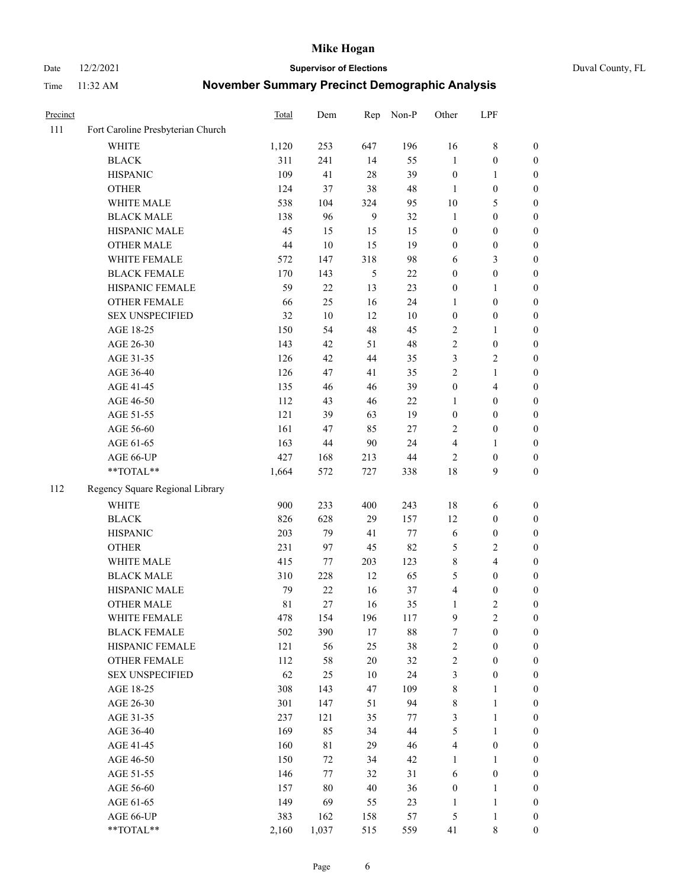Date 12/2/2021 **Supervisor of Elections** Duval County, FL

| Precinct |                                   | <b>Total</b> | Dem    | Rep    | Non-P  | Other                   | LPF              |                  |
|----------|-----------------------------------|--------------|--------|--------|--------|-------------------------|------------------|------------------|
| 111      | Fort Caroline Presbyterian Church |              |        |        |        |                         |                  |                  |
|          | <b>WHITE</b>                      | 1,120        | 253    | 647    | 196    | 16                      | $8\,$            | 0                |
|          | <b>BLACK</b>                      | 311          | 241    | 14     | 55     | 1                       | $\boldsymbol{0}$ | 0                |
|          | <b>HISPANIC</b>                   | 109          | 41     | 28     | 39     | $\boldsymbol{0}$        | $\mathbf{1}$     | $\boldsymbol{0}$ |
|          | <b>OTHER</b>                      | 124          | 37     | 38     | 48     | 1                       | $\boldsymbol{0}$ | $\boldsymbol{0}$ |
|          | WHITE MALE                        | 538          | 104    | 324    | 95     | 10                      | 5                | $\boldsymbol{0}$ |
|          | <b>BLACK MALE</b>                 | 138          | 96     | 9      | 32     | $\mathbf{1}$            | $\boldsymbol{0}$ | $\boldsymbol{0}$ |
|          | HISPANIC MALE                     | 45           | 15     | 15     | 15     | $\boldsymbol{0}$        | $\boldsymbol{0}$ | $\boldsymbol{0}$ |
|          | <b>OTHER MALE</b>                 | 44           | $10\,$ | 15     | 19     | $\boldsymbol{0}$        | $\boldsymbol{0}$ | $\boldsymbol{0}$ |
|          | WHITE FEMALE                      | 572          | 147    | 318    | 98     | 6                       | $\mathfrak{Z}$   | $\boldsymbol{0}$ |
|          | <b>BLACK FEMALE</b>               | 170          | 143    | 5      | $22\,$ | $\boldsymbol{0}$        | $\boldsymbol{0}$ | 0                |
|          | HISPANIC FEMALE                   | 59           | 22     | 13     | 23     | $\boldsymbol{0}$        | 1                | 0                |
|          | OTHER FEMALE                      | 66           | 25     | 16     | 24     | $\mathbf{1}$            | $\boldsymbol{0}$ | $\boldsymbol{0}$ |
|          | <b>SEX UNSPECIFIED</b>            | 32           | 10     | 12     | 10     | $\boldsymbol{0}$        | $\boldsymbol{0}$ | $\boldsymbol{0}$ |
|          | AGE 18-25                         | 150          | 54     | 48     | 45     | 2                       | 1                | $\boldsymbol{0}$ |
|          | AGE 26-30                         | 143          | 42     | 51     | 48     | 2                       | $\boldsymbol{0}$ | $\boldsymbol{0}$ |
|          | AGE 31-35                         | 126          | 42     | 44     | 35     | 3                       | $\sqrt{2}$       | $\boldsymbol{0}$ |
|          | AGE 36-40                         | 126          | 47     | 41     | 35     | $\overline{c}$          | $\mathbf{1}$     | $\boldsymbol{0}$ |
|          | AGE 41-45                         | 135          | 46     | 46     | 39     | $\boldsymbol{0}$        | $\overline{4}$   | $\boldsymbol{0}$ |
|          | AGE 46-50                         | 112          | 43     | 46     | 22     | 1                       | $\boldsymbol{0}$ | $\boldsymbol{0}$ |
|          | AGE 51-55                         | 121          | 39     | 63     | 19     | $\boldsymbol{0}$        | $\boldsymbol{0}$ | $\boldsymbol{0}$ |
|          | AGE 56-60                         | 161          | 47     | 85     | 27     | $\overline{2}$          | $\boldsymbol{0}$ | 0                |
|          | AGE 61-65                         | 163          | 44     | 90     | 24     | 4                       | 1                | 0                |
|          | AGE 66-UP                         | 427          | 168    | 213    | $44\,$ | $\overline{2}$          | $\boldsymbol{0}$ | $\boldsymbol{0}$ |
|          | **TOTAL**                         | 1,664        | 572    | 727    | 338    | 18                      | 9                | $\boldsymbol{0}$ |
| 112      | Regency Square Regional Library   |              |        |        |        |                         |                  |                  |
|          |                                   |              |        |        |        |                         |                  |                  |
|          | <b>WHITE</b>                      | 900          | 233    | 400    | 243    | 18                      | 6                | $\boldsymbol{0}$ |
|          | <b>BLACK</b>                      | 826          | 628    | 29     | 157    | 12                      | $\boldsymbol{0}$ | $\boldsymbol{0}$ |
|          | <b>HISPANIC</b>                   | 203          | 79     | 41     | 77     | 6                       | $\boldsymbol{0}$ | $\boldsymbol{0}$ |
|          | <b>OTHER</b>                      | 231          | 97     | 45     | 82     | 5                       | $\sqrt{2}$       | $\boldsymbol{0}$ |
|          | WHITE MALE                        | 415          | 77     | 203    | 123    | 8                       | $\overline{4}$   | $\boldsymbol{0}$ |
|          | <b>BLACK MALE</b>                 | 310          | 228    | 12     | 65     | 5                       | $\boldsymbol{0}$ | $\boldsymbol{0}$ |
|          | HISPANIC MALE                     | 79           | $22\,$ | 16     | 37     | 4                       | $\boldsymbol{0}$ | $\boldsymbol{0}$ |
|          | OTHER MALE                        | 81           | 27     | 16     | 35     | $\mathbf{1}$            | $\mathbf{2}$     | $\boldsymbol{0}$ |
|          | WHITE FEMALE                      | 478          | 154    | 196    | 117    | 9                       | 2                | 0                |
|          | <b>BLACK FEMALE</b>               | 502          | 390    | 17     | $88\,$ | 7                       | $\boldsymbol{0}$ | $\boldsymbol{0}$ |
|          | HISPANIC FEMALE                   | 121          | 56     | 25     | 38     | 2                       | $\boldsymbol{0}$ | $\overline{0}$   |
|          | <b>OTHER FEMALE</b>               | 112          | 58     | $20\,$ | 32     | $\overline{\mathbf{c}}$ | $\boldsymbol{0}$ | $\overline{0}$   |
|          | <b>SEX UNSPECIFIED</b>            | 62           | 25     | 10     | 24     | 3                       | $\boldsymbol{0}$ | 0                |
|          | AGE 18-25                         | 308          | 143    | 47     | 109    | $\,$ 8 $\,$             | $\mathbf{1}$     | 0                |
|          | AGE 26-30                         | 301          | 147    | 51     | 94     | 8                       | $\mathbf{1}$     | 0                |
|          | AGE 31-35                         | 237          | 121    | 35     | 77     | 3                       | $\mathbf{1}$     | 0                |
|          | AGE 36-40                         | 169          | 85     | 34     | $44\,$ | 5                       | $\mathbf{1}$     | 0                |
|          | AGE 41-45                         | 160          | 81     | 29     | 46     | $\overline{4}$          | $\boldsymbol{0}$ | 0                |
|          | AGE 46-50                         | 150          | 72     | 34     | 42     | $\mathbf{1}$            | 1                | 0                |
|          | AGE 51-55                         | 146          | 77     | 32     | 31     | 6                       | $\boldsymbol{0}$ | 0                |
|          | AGE 56-60                         | 157          | $80\,$ | 40     | 36     | $\boldsymbol{0}$        | $\mathbf{1}$     | 0                |
|          | AGE 61-65                         | 149          | 69     | 55     | 23     | 1                       | $\mathbf{1}$     | 0                |
|          | AGE 66-UP                         | 383          | 162    | 158    | 57     | 5                       | $\mathbf{1}$     | 0                |
|          | **TOTAL**                         | 2,160        | 1,037  | 515    | 559    | 41                      | 8                | $\boldsymbol{0}$ |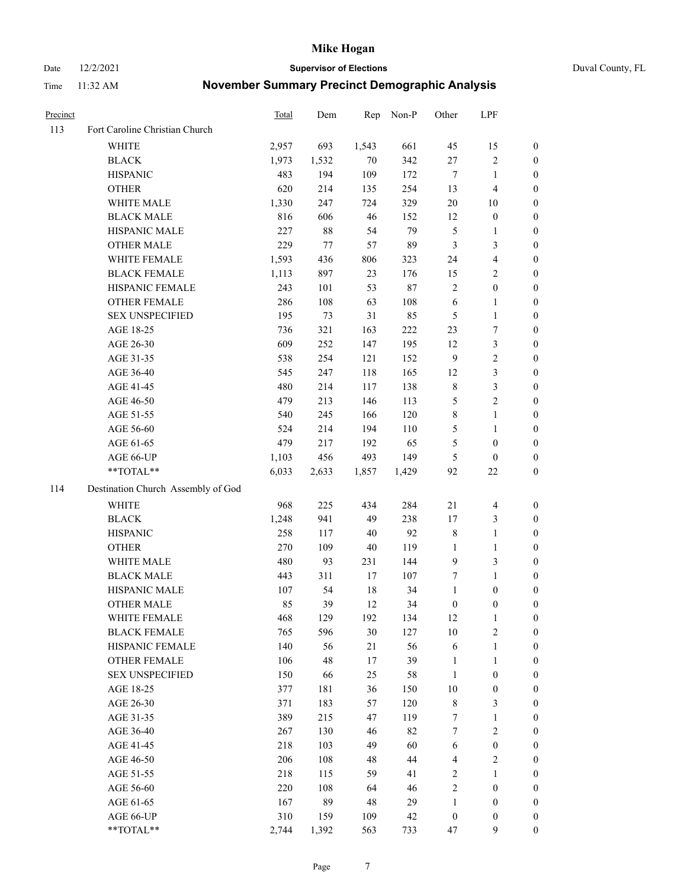Date 12/2/2021 **Supervisor of Elections** Duval County, FL

| Precinct |                                    | <b>Total</b> | Dem    | Rep    | Non-P   | Other            | LPF                     |                  |
|----------|------------------------------------|--------------|--------|--------|---------|------------------|-------------------------|------------------|
| 113      | Fort Caroline Christian Church     |              |        |        |         |                  |                         |                  |
|          | WHITE                              | 2,957        | 693    | 1,543  | 661     | 45               | 15                      | 0                |
|          | <b>BLACK</b>                       | 1,973        | 1,532  | $70\,$ | 342     | $27\,$           | $\sqrt{2}$              | 0                |
|          | <b>HISPANIC</b>                    | 483          | 194    | 109    | 172     | $\boldsymbol{7}$ | $\mathbf{1}$            | $\boldsymbol{0}$ |
|          | <b>OTHER</b>                       | 620          | 214    | 135    | 254     | 13               | $\overline{4}$          | $\boldsymbol{0}$ |
|          | WHITE MALE                         | 1,330        | 247    | 724    | 329     | $20\,$           | 10                      | $\boldsymbol{0}$ |
|          | <b>BLACK MALE</b>                  | 816          | 606    | 46     | 152     | 12               | $\boldsymbol{0}$        | $\boldsymbol{0}$ |
|          | HISPANIC MALE                      | 227          | $88\,$ | 54     | 79      | 5                | $\mathbf{1}$            | $\boldsymbol{0}$ |
|          | <b>OTHER MALE</b>                  | 229          | 77     | 57     | 89      | $\mathfrak{Z}$   | 3                       | $\boldsymbol{0}$ |
|          | WHITE FEMALE                       | 1,593        | 436    | 806    | 323     | 24               | $\overline{\mathbf{4}}$ | $\boldsymbol{0}$ |
|          | <b>BLACK FEMALE</b>                | 1,113        | 897    | 23     | 176     | 15               | $\sqrt{2}$              | 0                |
|          | HISPANIC FEMALE                    | 243          | 101    | 53     | $87\,$  | $\sqrt{2}$       | $\boldsymbol{0}$        | 0                |
|          | OTHER FEMALE                       | 286          | 108    | 63     | 108     | $\sqrt{6}$       | 1                       | 0                |
|          | <b>SEX UNSPECIFIED</b>             | 195          | 73     | 31     | 85      | 5                | $\mathbf{1}$            | $\boldsymbol{0}$ |
|          | AGE 18-25                          | 736          | 321    | 163    | $222\,$ | 23               | 7                       | $\boldsymbol{0}$ |
|          | AGE 26-30                          | 609          | 252    | 147    | 195     | 12               | 3                       | $\boldsymbol{0}$ |
|          | AGE 31-35                          | 538          | 254    | 121    | 152     | 9                | $\sqrt{2}$              | $\boldsymbol{0}$ |
|          | AGE 36-40                          | 545          | 247    | 118    | 165     | 12               | $\mathfrak{Z}$          | $\boldsymbol{0}$ |
|          | AGE 41-45                          | 480          | 214    | 117    | 138     | $\,$ 8 $\,$      | $\mathfrak{Z}$          | $\boldsymbol{0}$ |
|          | AGE 46-50                          | 479          | 213    | 146    | 113     | 5                | $\overline{c}$          | $\boldsymbol{0}$ |
|          | AGE 51-55                          | 540          | 245    | 166    | 120     | $\,$ $\,$        | $\mathbf{1}$            | 0                |
|          | AGE 56-60                          | 524          | 214    | 194    | 110     | 5                | $\mathbf{1}$            | 0                |
|          | AGE 61-65                          | 479          | 217    | 192    | 65      | 5                | $\boldsymbol{0}$        | 0                |
|          | AGE 66-UP                          | 1,103        | 456    | 493    | 149     | 5                | $\boldsymbol{0}$        | $\boldsymbol{0}$ |
|          | $\mathrm{``TOTAL}^{\mathrm{**}}$   | 6,033        | 2,633  | 1,857  | 1,429   | 92               | $22\,$                  | $\boldsymbol{0}$ |
| 114      | Destination Church Assembly of God |              |        |        |         |                  |                         |                  |
|          | <b>WHITE</b>                       | 968          | 225    | 434    | 284     | 21               | $\overline{4}$          | $\boldsymbol{0}$ |
|          | <b>BLACK</b>                       | 1,248        | 941    | 49     | 238     | 17               | $\mathfrak{Z}$          | $\boldsymbol{0}$ |
|          | <b>HISPANIC</b>                    | 258          | 117    | $40\,$ | 92      | $\,$ $\,$        | $\mathbf{1}$            | $\boldsymbol{0}$ |
|          | <b>OTHER</b>                       | 270          | 109    | 40     | 119     | $\mathbf{1}$     | $\mathbf{1}$            | $\boldsymbol{0}$ |
|          | WHITE MALE                         | 480          | 93     | 231    | 144     | $\mathbf{9}$     | 3                       | $\boldsymbol{0}$ |
|          | <b>BLACK MALE</b>                  | 443          | 311    | $17\,$ | 107     | 7                | $\mathbf{1}$            | $\boldsymbol{0}$ |
|          | HISPANIC MALE                      | 107          | 54     | 18     | 34      | $\mathbf{1}$     | $\boldsymbol{0}$        | 0                |
|          | <b>OTHER MALE</b>                  | 85           | 39     | 12     | 34      | $\boldsymbol{0}$ | $\boldsymbol{0}$        | $\boldsymbol{0}$ |
|          | WHITE FEMALE                       | 468          | 129    | 192    | 134     | 12               | $\mathbf{1}$            | 0                |
|          | <b>BLACK FEMALE</b>                | 765          | 596    | 30     | 127     | $10\,$           | $\sqrt{2}$              | 0                |
|          | HISPANIC FEMALE                    | 140          | 56     | 21     | 56      | 6                | $\mathbf{1}$            | 0                |
|          | <b>OTHER FEMALE</b>                | 106          | 48     | 17     | 39      | $\mathbf{1}$     | $\mathbf{1}$            | 0                |
|          | <b>SEX UNSPECIFIED</b>             | 150          | 66     | 25     | 58      | $\mathbf{1}$     | $\boldsymbol{0}$        | 0                |
|          | AGE 18-25                          | 377          | 181    | 36     | 150     | 10               | $\boldsymbol{0}$        | 0                |
|          | AGE 26-30                          | 371          | 183    | 57     | 120     | $\,$ $\,$        | 3                       | 0                |
|          | AGE 31-35                          | 389          | 215    | 47     | 119     | 7                | $\mathbf{1}$            | 0                |
|          | AGE 36-40                          | 267          | 130    | 46     | 82      | 7                | $\sqrt{2}$              | 0                |
|          | AGE 41-45                          | 218          | 103    | 49     | 60      | 6                | $\boldsymbol{0}$        | 0                |
|          | AGE 46-50                          | 206          | 108    | 48     | 44      | 4                | $\sqrt{2}$              | 0                |
|          | AGE 51-55                          | 218          | 115    | 59     | 41      | $\sqrt{2}$       | $\mathbf{1}$            | $\boldsymbol{0}$ |
|          | AGE 56-60                          | 220          | 108    | 64     | 46      | $\sqrt{2}$       | $\boldsymbol{0}$        | $\boldsymbol{0}$ |
|          | AGE 61-65                          | 167          | 89     | 48     | 29      | $\mathbf{1}$     | $\boldsymbol{0}$        | $\overline{0}$   |
|          | AGE 66-UP                          | 310          | 159    | 109    | $42\,$  | $\boldsymbol{0}$ | $\boldsymbol{0}$        | 0                |
|          | **TOTAL**                          | 2,744        | 1,392  | 563    | 733     | 47               | $\boldsymbol{9}$        | $\boldsymbol{0}$ |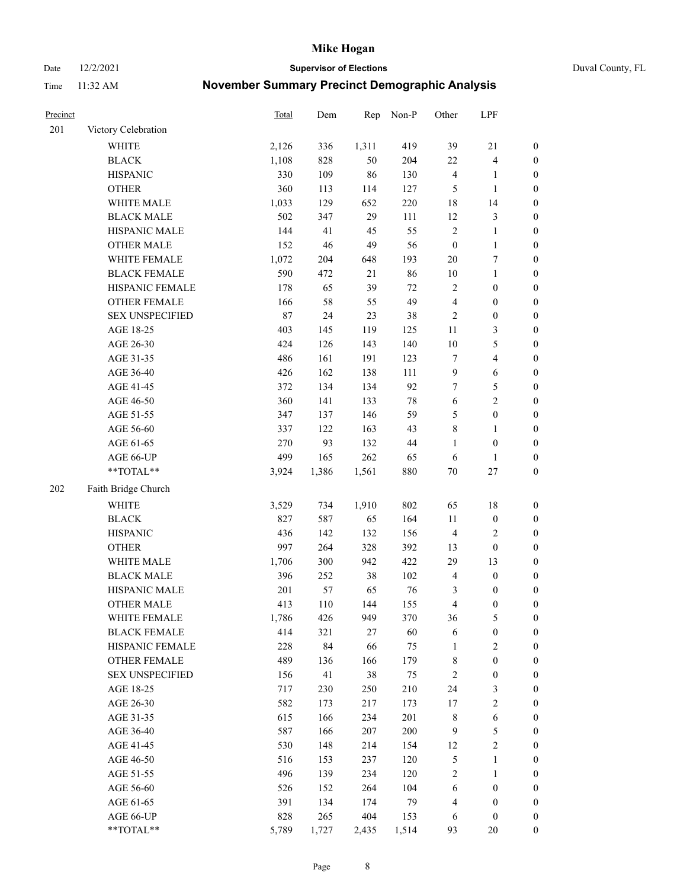Date 12/2/2021 **Supervisor of Elections** Duval County, FL

| Precinct |                        | Total | Dem   | Rep    | Non-P  | Other            | LPF                     |                  |
|----------|------------------------|-------|-------|--------|--------|------------------|-------------------------|------------------|
| 201      | Victory Celebration    |       |       |        |        |                  |                         |                  |
|          | <b>WHITE</b>           | 2,126 | 336   | 1,311  | 419    | 39               | 21                      | 0                |
|          | <b>BLACK</b>           | 1,108 | 828   | 50     | 204    | 22               | $\overline{\mathbf{4}}$ | 0                |
|          | <b>HISPANIC</b>        | 330   | 109   | 86     | 130    | $\overline{4}$   | $\mathbf{1}$            | $\boldsymbol{0}$ |
|          | <b>OTHER</b>           | 360   | 113   | 114    | 127    | 5                | $\mathbf{1}$            | $\boldsymbol{0}$ |
|          | WHITE MALE             | 1,033 | 129   | 652    | 220    | 18               | 14                      | $\boldsymbol{0}$ |
|          | <b>BLACK MALE</b>      | 502   | 347   | 29     | 111    | 12               | $\mathfrak{Z}$          | $\boldsymbol{0}$ |
|          | HISPANIC MALE          | 144   | 41    | 45     | 55     | $\sqrt{2}$       | $\mathbf{1}$            | $\boldsymbol{0}$ |
|          | <b>OTHER MALE</b>      | 152   | 46    | 49     | 56     | $\boldsymbol{0}$ | $\mathbf{1}$            | $\boldsymbol{0}$ |
|          | WHITE FEMALE           | 1,072 | 204   | 648    | 193    | $20\,$           | $\boldsymbol{7}$        | $\boldsymbol{0}$ |
|          | <b>BLACK FEMALE</b>    | 590   | 472   | 21     | 86     | $10\,$           | $\mathbf{1}$            | 0                |
|          | HISPANIC FEMALE        | 178   | 65    | 39     | 72     | $\sqrt{2}$       | $\boldsymbol{0}$        | 0                |
|          | OTHER FEMALE           | 166   | 58    | 55     | 49     | $\overline{4}$   | $\boldsymbol{0}$        | $\boldsymbol{0}$ |
|          | <b>SEX UNSPECIFIED</b> | 87    | 24    | 23     | 38     | $\sqrt{2}$       | $\boldsymbol{0}$        | $\boldsymbol{0}$ |
|          | AGE 18-25              | 403   | 145   | 119    | 125    | $11\,$           | $\mathfrak{Z}$          | $\boldsymbol{0}$ |
|          | AGE 26-30              | 424   | 126   | 143    | 140    | $10\,$           | $\mathfrak{S}$          | $\boldsymbol{0}$ |
|          | AGE 31-35              | 486   | 161   | 191    | 123    | 7                | $\overline{\mathbf{4}}$ | $\boldsymbol{0}$ |
|          | AGE 36-40              | 426   | 162   | 138    | 111    | 9                | $\sqrt{6}$              | $\boldsymbol{0}$ |
|          | AGE 41-45              | 372   | 134   | 134    | 92     | $\tau$           | $\mathfrak{S}$          | $\boldsymbol{0}$ |
|          | AGE 46-50              | 360   | 141   | 133    | $78\,$ | $\sqrt{6}$       | $\overline{2}$          | $\boldsymbol{0}$ |
|          | AGE 51-55              | 347   | 137   | 146    | 59     | 5                | $\boldsymbol{0}$        | $\boldsymbol{0}$ |
|          | AGE 56-60              | 337   | 122   | 163    | 43     | $\,$ $\,$        | $\mathbf{1}$            | 0                |
|          | AGE 61-65              | 270   | 93    | 132    | $44\,$ | $\mathbf{1}$     | $\boldsymbol{0}$        | 0                |
|          | AGE 66-UP              | 499   | 165   | 262    | 65     | 6                | $\mathbf{1}$            | $\boldsymbol{0}$ |
|          | $**TOTAL**$            | 3,924 | 1,386 | 1,561  | 880    | $70\,$           | $27\,$                  | $\boldsymbol{0}$ |
| 202      | Faith Bridge Church    |       |       |        |        |                  |                         |                  |
|          | <b>WHITE</b>           | 3,529 | 734   | 1,910  | 802    | 65               | $18\,$                  | $\boldsymbol{0}$ |
|          | <b>BLACK</b>           | 827   | 587   | 65     | 164    | $11\,$           | $\boldsymbol{0}$        | $\boldsymbol{0}$ |
|          | <b>HISPANIC</b>        | 436   | 142   | 132    | 156    | $\overline{4}$   | $\sqrt{2}$              | $\boldsymbol{0}$ |
|          | <b>OTHER</b>           | 997   | 264   | 328    | 392    | 13               | $\boldsymbol{0}$        | $\boldsymbol{0}$ |
|          | WHITE MALE             | 1,706 | 300   | 942    | 422    | 29               | 13                      | $\boldsymbol{0}$ |
|          | <b>BLACK MALE</b>      | 396   | 252   | $38\,$ | 102    | $\overline{4}$   | $\boldsymbol{0}$        | $\boldsymbol{0}$ |
|          | HISPANIC MALE          | 201   | 57    | 65     | 76     | 3                | $\boldsymbol{0}$        | 0                |
|          | <b>OTHER MALE</b>      | 413   | 110   | 144    | 155    | 4                | $\boldsymbol{0}$        | $\boldsymbol{0}$ |
|          | WHITE FEMALE           | 1,786 | 426   | 949    | 370    | 36               | 5                       | 0                |
|          | <b>BLACK FEMALE</b>    | 414   | 321   | 27     | 60     | 6                | $\boldsymbol{0}$        | $\boldsymbol{0}$ |
|          | HISPANIC FEMALE        | 228   | 84    | 66     | 75     | $\mathbf{1}$     | $\sqrt{2}$              | $\overline{0}$   |
|          | <b>OTHER FEMALE</b>    | 489   | 136   | 166    | 179    | 8                | $\boldsymbol{0}$        | $\overline{0}$   |
|          | <b>SEX UNSPECIFIED</b> | 156   | 41    | 38     | 75     | $\overline{c}$   | $\boldsymbol{0}$        | 0                |
|          | AGE 18-25              | 717   | 230   | 250    | 210    | 24               | $\mathfrak{Z}$          | $\overline{0}$   |
|          | AGE 26-30              | 582   | 173   | 217    | 173    | 17               | $\sqrt{2}$              | 0                |
|          | AGE 31-35              | 615   | 166   | 234    | 201    | $\,$ 8 $\,$      | $\sqrt{6}$              | 0                |
|          | AGE 36-40              | 587   | 166   | 207    | 200    | $\overline{9}$   | $\mathfrak{S}$          | 0                |
|          | AGE 41-45              | 530   | 148   | 214    | 154    | 12               | $\sqrt{2}$              | 0                |
|          | AGE 46-50              | 516   | 153   | 237    | 120    | $\mathfrak s$    | $\mathbf{1}$            | 0                |
|          | AGE 51-55              | 496   | 139   | 234    | 120    | $\sqrt{2}$       | $\mathbf{1}$            | 0                |
|          | AGE 56-60              | 526   | 152   | 264    | 104    | 6                | $\boldsymbol{0}$        | $\boldsymbol{0}$ |
|          | AGE 61-65              | 391   | 134   | 174    | 79     | 4                | $\boldsymbol{0}$        | $\boldsymbol{0}$ |
|          | AGE 66-UP              | 828   | 265   | 404    | 153    | 6                | $\boldsymbol{0}$        | 0                |
|          | **TOTAL**              | 5,789 | 1,727 | 2,435  | 1,514  | 93               | 20                      | $\boldsymbol{0}$ |
|          |                        |       |       |        |        |                  |                         |                  |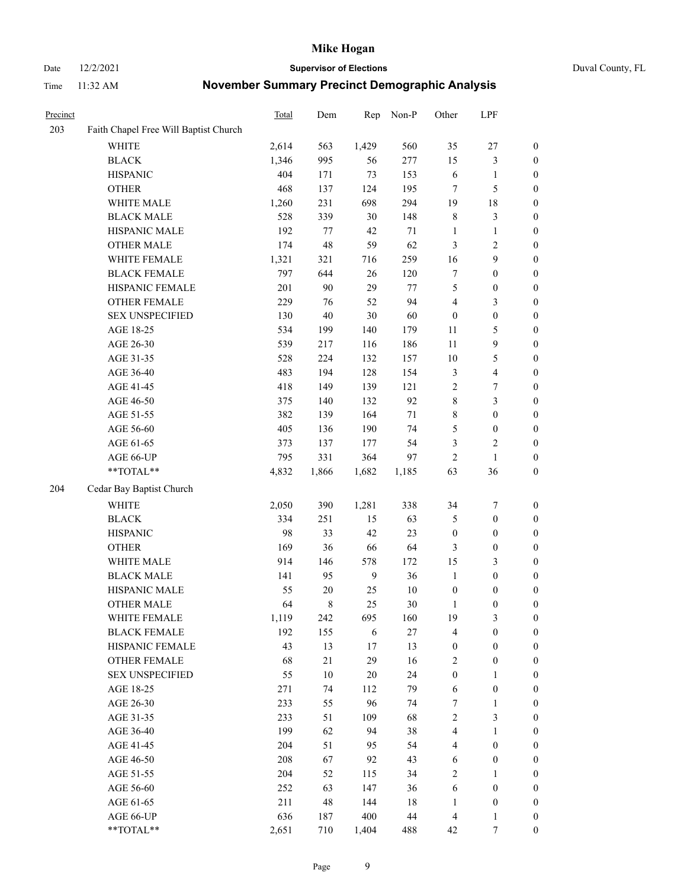Date 12/2/2021 **Supervisor of Elections** Duval County, FL

| Precinct |                                       | Total | Dem    | Rep            | Non-P  | Other            | LPF                     |                  |
|----------|---------------------------------------|-------|--------|----------------|--------|------------------|-------------------------|------------------|
| 203      | Faith Chapel Free Will Baptist Church |       |        |                |        |                  |                         |                  |
|          | <b>WHITE</b>                          | 2,614 | 563    | 1,429          | 560    | 35               | $27\,$                  | 0                |
|          | <b>BLACK</b>                          | 1,346 | 995    | 56             | 277    | 15               | $\mathfrak{Z}$          | 0                |
|          | <b>HISPANIC</b>                       | 404   | 171    | 73             | 153    | 6                | $\mathbf{1}$            | $\boldsymbol{0}$ |
|          | <b>OTHER</b>                          | 468   | 137    | 124            | 195    | 7                | $\mathfrak{S}$          | $\boldsymbol{0}$ |
|          | WHITE MALE                            | 1,260 | 231    | 698            | 294    | 19               | $18\,$                  | $\boldsymbol{0}$ |
|          | <b>BLACK MALE</b>                     | 528   | 339    | 30             | 148    | 8                | $\mathfrak{Z}$          | $\boldsymbol{0}$ |
|          | HISPANIC MALE                         | 192   | 77     | 42             | 71     | $\mathbf{1}$     | $\mathbf{1}$            | $\boldsymbol{0}$ |
|          | <b>OTHER MALE</b>                     | 174   | 48     | 59             | 62     | 3                | $\overline{2}$          | $\boldsymbol{0}$ |
|          | WHITE FEMALE                          | 1,321 | 321    | 716            | 259    | 16               | $\boldsymbol{9}$        | $\boldsymbol{0}$ |
|          | <b>BLACK FEMALE</b>                   | 797   | 644    | 26             | 120    | 7                | $\boldsymbol{0}$        | $\boldsymbol{0}$ |
|          | HISPANIC FEMALE                       | 201   | 90     | 29             | 77     | 5                | $\boldsymbol{0}$        | 0                |
|          | OTHER FEMALE                          | 229   | 76     | 52             | 94     | 4                | $\mathfrak{Z}$          | $\boldsymbol{0}$ |
|          | <b>SEX UNSPECIFIED</b>                | 130   | 40     | 30             | 60     | $\boldsymbol{0}$ | $\boldsymbol{0}$        | $\boldsymbol{0}$ |
|          | AGE 18-25                             | 534   | 199    | 140            | 179    | $11\,$           | $\mathfrak{S}$          | $\boldsymbol{0}$ |
|          | AGE 26-30                             | 539   | 217    | 116            | 186    | $11\,$           | $\boldsymbol{9}$        | $\boldsymbol{0}$ |
|          | AGE 31-35                             | 528   | 224    | 132            | 157    | 10               | $\mathfrak{S}$          | $\boldsymbol{0}$ |
|          | AGE 36-40                             | 483   | 194    | 128            | 154    | 3                | $\overline{\mathbf{4}}$ | $\boldsymbol{0}$ |
|          | AGE 41-45                             | 418   | 149    | 139            | 121    | $\sqrt{2}$       | $\boldsymbol{7}$        | $\boldsymbol{0}$ |
|          | AGE 46-50                             | 375   | 140    | 132            | 92     | $\,$ $\,$        | $\mathfrak{Z}$          | $\boldsymbol{0}$ |
|          | AGE 51-55                             | 382   | 139    | 164            | $71\,$ | 8                | $\boldsymbol{0}$        | $\boldsymbol{0}$ |
|          | AGE 56-60                             | 405   | 136    | 190            | 74     | 5                | $\boldsymbol{0}$        | 0                |
|          | AGE 61-65                             | 373   | 137    | 177            | 54     | 3                | $\sqrt{2}$              | 0                |
|          | AGE 66-UP                             | 795   | 331    | 364            | 97     | $\sqrt{2}$       | $\mathbf{1}$            | $\boldsymbol{0}$ |
|          | **TOTAL**                             | 4,832 | 1,866  | 1,682          | 1,185  | 63               | 36                      | $\boldsymbol{0}$ |
| 204      | Cedar Bay Baptist Church              |       |        |                |        |                  |                         |                  |
|          | <b>WHITE</b>                          | 2,050 | 390    | 1,281          | 338    | 34               | $\boldsymbol{7}$        | $\boldsymbol{0}$ |
|          | <b>BLACK</b>                          | 334   | 251    | 15             | 63     | 5                | $\boldsymbol{0}$        | $\boldsymbol{0}$ |
|          | <b>HISPANIC</b>                       | 98    | 33     | 42             | 23     | $\boldsymbol{0}$ | $\boldsymbol{0}$        | $\boldsymbol{0}$ |
|          | <b>OTHER</b>                          | 169   | 36     | 66             | 64     | 3                | $\boldsymbol{0}$        | $\boldsymbol{0}$ |
|          | WHITE MALE                            | 914   | 146    | 578            | 172    | 15               | $\mathfrak{Z}$          | $\boldsymbol{0}$ |
|          | <b>BLACK MALE</b>                     | 141   | 95     | $\overline{9}$ | 36     | $\mathbf{1}$     | $\boldsymbol{0}$        | $\boldsymbol{0}$ |
|          | HISPANIC MALE                         | 55    | $20\,$ | 25             | $10\,$ | $\boldsymbol{0}$ | $\boldsymbol{0}$        | 0                |
|          | <b>OTHER MALE</b>                     | 64    | 8      | 25             | 30     | $\mathbf{1}$     | $\boldsymbol{0}$        | $\boldsymbol{0}$ |
|          | WHITE FEMALE                          | 1,119 | 242    | 695            | 160    | 19               | 3                       | 0                |
|          | <b>BLACK FEMALE</b>                   | 192   | 155    | 6              | 27     | 4                | $\boldsymbol{0}$        | $\boldsymbol{0}$ |
|          | HISPANIC FEMALE                       | 43    | 13     | 17             | 13     | $\boldsymbol{0}$ | $\boldsymbol{0}$        | $\overline{0}$   |
|          | OTHER FEMALE                          | 68    | 21     | 29             | 16     | $\overline{c}$   | $\boldsymbol{0}$        | $\overline{0}$   |
|          | <b>SEX UNSPECIFIED</b>                | 55    | $10\,$ | 20             | 24     | $\boldsymbol{0}$ | $\mathbf{1}$            | 0                |
|          | AGE 18-25                             | 271   | 74     | 112            | 79     | 6                | $\boldsymbol{0}$        | 0                |
|          | AGE 26-30                             | 233   | 55     | 96             | 74     | 7                | $\mathbf{1}$            | 0                |
|          | AGE 31-35                             | 233   | 51     | 109            | 68     | $\overline{c}$   | $\mathfrak{Z}$          | 0                |
|          | AGE 36-40                             | 199   | 62     | 94             | 38     | $\overline{4}$   | $\mathbf{1}$            | 0                |
|          | AGE 41-45                             | 204   | 51     | 95             | 54     | $\overline{4}$   | $\boldsymbol{0}$        | 0                |
|          | AGE 46-50                             | 208   | 67     | 92             | 43     | 6                | $\boldsymbol{0}$        | 0                |
|          | AGE 51-55                             | 204   | 52     | 115            | 34     | 2                | $\mathbf{1}$            | 0                |
|          | AGE 56-60                             | 252   | 63     | 147            | 36     | 6                | $\boldsymbol{0}$        | $\overline{0}$   |
|          | AGE 61-65                             | 211   | 48     | 144            | $18\,$ | 1                | $\boldsymbol{0}$        | $\overline{0}$   |
|          | AGE 66-UP                             | 636   | 187    | 400            | 44     | $\overline{4}$   | $\mathbf{1}$            | $\boldsymbol{0}$ |
|          | **TOTAL**                             | 2,651 | 710    | 1,404          | 488    | 42               | 7                       | $\boldsymbol{0}$ |
|          |                                       |       |        |                |        |                  |                         |                  |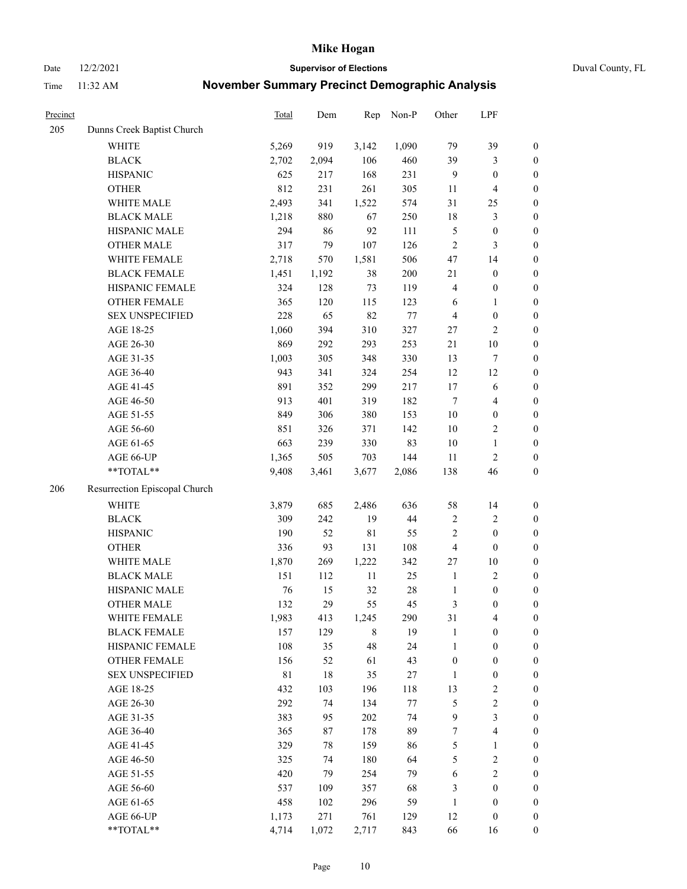Date 12/2/2021 **Supervisor of Elections** Duval County, FL

| Precinct |                               | Total       | Dem   | Rep         | Non-P  | Other            | LPF                     |                  |
|----------|-------------------------------|-------------|-------|-------------|--------|------------------|-------------------------|------------------|
| 205      | Dunns Creek Baptist Church    |             |       |             |        |                  |                         |                  |
|          | WHITE                         | 5,269       | 919   | 3,142       | 1,090  | 79               | 39                      | $\boldsymbol{0}$ |
|          | <b>BLACK</b>                  | 2,702       | 2,094 | 106         | 460    | 39               | 3                       | $\boldsymbol{0}$ |
|          | <b>HISPANIC</b>               | 625         | 217   | 168         | 231    | 9                | $\boldsymbol{0}$        | $\boldsymbol{0}$ |
|          | <b>OTHER</b>                  | 812         | 231   | 261         | 305    | 11               | $\overline{\mathbf{4}}$ | $\boldsymbol{0}$ |
|          | WHITE MALE                    | 2,493       | 341   | 1,522       | 574    | 31               | 25                      | $\boldsymbol{0}$ |
|          | <b>BLACK MALE</b>             | 1,218       | 880   | 67          | 250    | 18               | $\mathfrak{Z}$          | $\boldsymbol{0}$ |
|          | HISPANIC MALE                 | 294         | 86    | 92          | 111    | $\mathfrak{S}$   | $\boldsymbol{0}$        | $\boldsymbol{0}$ |
|          | <b>OTHER MALE</b>             | 317         | 79    | 107         | 126    | $\overline{2}$   | $\mathfrak{Z}$          | $\boldsymbol{0}$ |
|          | WHITE FEMALE                  | 2,718       | 570   | 1,581       | 506    | 47               | 14                      | $\boldsymbol{0}$ |
|          | <b>BLACK FEMALE</b>           | 1,451       | 1,192 | 38          | 200    | 21               | $\boldsymbol{0}$        | $\boldsymbol{0}$ |
|          | HISPANIC FEMALE               | 324         | 128   | 73          | 119    | 4                | $\boldsymbol{0}$        | 0                |
|          | OTHER FEMALE                  | 365         | 120   | 115         | 123    | 6                | $\mathbf{1}$            | $\boldsymbol{0}$ |
|          | <b>SEX UNSPECIFIED</b>        | 228         | 65    | 82          | $77\,$ | 4                | $\boldsymbol{0}$        | $\boldsymbol{0}$ |
|          | AGE 18-25                     | 1,060       | 394   | 310         | 327    | 27               | $\sqrt{2}$              | $\boldsymbol{0}$ |
|          | AGE 26-30                     | 869         | 292   | 293         | 253    | 21               | $10\,$                  | $\boldsymbol{0}$ |
|          | AGE 31-35                     | 1,003       | 305   | 348         | 330    | 13               | $\boldsymbol{7}$        | $\boldsymbol{0}$ |
|          | AGE 36-40                     | 943         | 341   | 324         | 254    | 12               | 12                      | $\boldsymbol{0}$ |
|          | AGE 41-45                     | 891         | 352   | 299         | 217    | 17               | $\sqrt{6}$              | $\boldsymbol{0}$ |
|          | AGE 46-50                     | 913         | 401   | 319         | 182    | $\tau$           | $\overline{\mathbf{4}}$ | $\boldsymbol{0}$ |
|          | AGE 51-55                     | 849         | 306   | 380         | 153    | $10\,$           | $\boldsymbol{0}$        | $\boldsymbol{0}$ |
|          | AGE 56-60                     | 851         | 326   | 371         | 142    | $10\,$           | $\sqrt{2}$              | 0                |
|          | AGE 61-65                     | 663         | 239   | 330         | 83     | 10               | $\mathbf{1}$            | $\boldsymbol{0}$ |
|          | AGE 66-UP                     | 1,365       | 505   | 703         | 144    | 11               | $\sqrt{2}$              | $\boldsymbol{0}$ |
|          | **TOTAL**                     | 9,408       | 3,461 | 3,677       | 2,086  | 138              | 46                      | $\boldsymbol{0}$ |
| 206      | Resurrection Episcopal Church |             |       |             |        |                  |                         |                  |
|          | <b>WHITE</b>                  | 3,879       | 685   | 2,486       | 636    | 58               | 14                      | $\boldsymbol{0}$ |
|          | <b>BLACK</b>                  | 309         | 242   | 19          | 44     | $\sqrt{2}$       | $\sqrt{2}$              | $\boldsymbol{0}$ |
|          | <b>HISPANIC</b>               | 190         | 52    | $8\sqrt{1}$ | 55     | 2                | $\boldsymbol{0}$        | $\boldsymbol{0}$ |
|          | <b>OTHER</b>                  | 336         | 93    | 131         | 108    | 4                | $\boldsymbol{0}$        | $\boldsymbol{0}$ |
|          | WHITE MALE                    | 1,870       | 269   | 1,222       | 342    | 27               | $10\,$                  | $\boldsymbol{0}$ |
|          | <b>BLACK MALE</b>             | 151         | 112   | $11\,$      | 25     | $\mathbf{1}$     | $\sqrt{2}$              | $\boldsymbol{0}$ |
|          | HISPANIC MALE                 | 76          | 15    | 32          | $28\,$ | $\mathbf{1}$     | $\boldsymbol{0}$        | $\boldsymbol{0}$ |
|          | <b>OTHER MALE</b>             | 132         | 29    | 55          | 45     | 3                | $\boldsymbol{0}$        | $\boldsymbol{0}$ |
|          | WHITE FEMALE                  | 1,983       | 413   | 1,245       | 290    | 31               | 4                       | 0                |
|          | <b>BLACK FEMALE</b>           | 157         | 129   | 8           | 19     | $\mathbf{1}$     | $\boldsymbol{0}$        | $\boldsymbol{0}$ |
|          | HISPANIC FEMALE               | 108         | 35    | 48          | 24     | $\mathbf{1}$     | $\boldsymbol{0}$        | $\overline{0}$   |
|          | OTHER FEMALE                  | 156         | 52    | 61          | 43     | $\boldsymbol{0}$ | $\boldsymbol{0}$        | $\overline{0}$   |
|          | <b>SEX UNSPECIFIED</b>        | $8\sqrt{1}$ | 18    | 35          | 27     | $\mathbf{1}$     | $\boldsymbol{0}$        | 0                |
|          | AGE 18-25                     | 432         | 103   | 196         | 118    | 13               | $\sqrt{2}$              | 0                |
|          | AGE 26-30                     | 292         | 74    | 134         | 77     | $\mathfrak s$    | $\sqrt{2}$              | 0                |
|          | AGE 31-35                     | 383         | 95    | 202         | 74     | $\mathbf{9}$     | $\mathfrak{Z}$          | 0                |
|          | AGE 36-40                     | 365         | 87    | 178         | 89     | 7                | $\overline{\mathbf{4}}$ | 0                |
|          | AGE 41-45                     | 329         | 78    | 159         | 86     | 5                | $\mathbf{1}$            | 0                |
|          | AGE 46-50                     | 325         | 74    | 180         | 64     | 5                | $\sqrt{2}$              | 0                |
|          | AGE 51-55                     | 420         | 79    | 254         | 79     | 6                | $\sqrt{2}$              | 0                |
|          | AGE 56-60                     | 537         | 109   | 357         | 68     | 3                | $\boldsymbol{0}$        | $\boldsymbol{0}$ |
|          | AGE 61-65                     | 458         | 102   | 296         | 59     | $\mathbf{1}$     | $\boldsymbol{0}$        | $\overline{0}$   |
|          | AGE 66-UP                     | 1,173       | 271   | 761         | 129    | 12               | $\boldsymbol{0}$        | 0                |
|          | **TOTAL**                     | 4,714       | 1,072 | 2,717       | 843    | 66               | 16                      | $\boldsymbol{0}$ |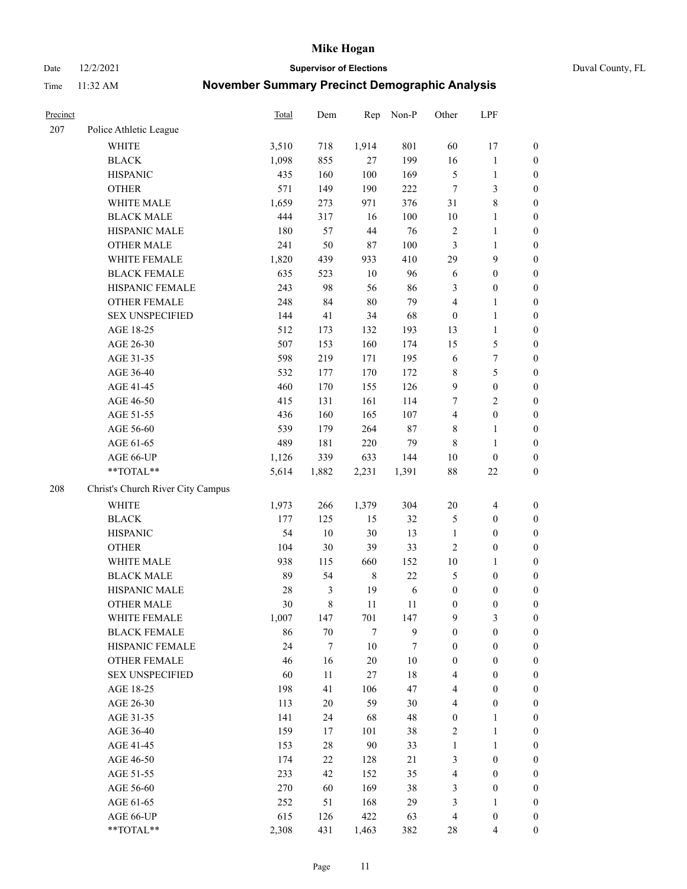Date 12/2/2021 **Supervisor of Elections** Duval County, FL

| Precinct |                                   | <b>Total</b> | Dem    | Rep         | Non-P  | Other            | LPF                     |                  |
|----------|-----------------------------------|--------------|--------|-------------|--------|------------------|-------------------------|------------------|
| 207      | Police Athletic League            |              |        |             |        |                  |                         |                  |
|          | <b>WHITE</b>                      | 3,510        | 718    | 1,914       | 801    | 60               | 17                      | 0                |
|          | <b>BLACK</b>                      | 1,098        | 855    | 27          | 199    | 16               | $\mathbf{1}$            | $\boldsymbol{0}$ |
|          | <b>HISPANIC</b>                   | 435          | 160    | 100         | 169    | 5                | $\mathbf{1}$            | $\boldsymbol{0}$ |
|          | <b>OTHER</b>                      | 571          | 149    | 190         | 222    | 7                | 3                       | $\boldsymbol{0}$ |
|          | WHITE MALE                        | 1,659        | 273    | 971         | 376    | 31               | $8\,$                   | $\boldsymbol{0}$ |
|          | <b>BLACK MALE</b>                 | 444          | 317    | 16          | 100    | 10               | $\mathbf{1}$            | $\boldsymbol{0}$ |
|          | HISPANIC MALE                     | 180          | 57     | 44          | 76     | $\overline{c}$   | $\mathbf{1}$            | $\boldsymbol{0}$ |
|          | <b>OTHER MALE</b>                 | 241          | 50     | $87\,$      | 100    | 3                | $\mathbf{1}$            | $\boldsymbol{0}$ |
|          | WHITE FEMALE                      | 1,820        | 439    | 933         | 410    | 29               | $\mathbf{9}$            | $\boldsymbol{0}$ |
|          | <b>BLACK FEMALE</b>               | 635          | 523    | $10\,$      | 96     | 6                | $\boldsymbol{0}$        | $\boldsymbol{0}$ |
|          | HISPANIC FEMALE                   | 243          | 98     | 56          | 86     | 3                | $\boldsymbol{0}$        | 0                |
|          | <b>OTHER FEMALE</b>               | 248          | 84     | $80\,$      | 79     | 4                | $\mathbf{1}$            | $\boldsymbol{0}$ |
|          | <b>SEX UNSPECIFIED</b>            | 144          | 41     | 34          | 68     | $\boldsymbol{0}$ | $\mathbf{1}$            | $\boldsymbol{0}$ |
|          | AGE 18-25                         | 512          | 173    | 132         | 193    | 13               | $\mathbf{1}$            | $\boldsymbol{0}$ |
|          | AGE 26-30                         | 507          | 153    | 160         | 174    | 15               | $\mathfrak{S}$          | $\boldsymbol{0}$ |
|          | AGE 31-35                         | 598          | 219    | 171         | 195    | 6                | $\boldsymbol{7}$        | $\boldsymbol{0}$ |
|          | AGE 36-40                         | 532          | 177    | 170         | 172    | 8                | $\mathfrak s$           | $\boldsymbol{0}$ |
|          | AGE 41-45                         | 460          | 170    | 155         | 126    | 9                | $\boldsymbol{0}$        | $\boldsymbol{0}$ |
|          | AGE 46-50                         | 415          | 131    | 161         | 114    | 7                | $\mathbf{2}$            | $\boldsymbol{0}$ |
|          | AGE 51-55                         | 436          | 160    | 165         | 107    | $\overline{4}$   | $\boldsymbol{0}$        | $\boldsymbol{0}$ |
|          | AGE 56-60                         | 539          | 179    | 264         | 87     | 8                | $\mathbf{1}$            | 0                |
|          | AGE 61-65                         | 489          | 181    | 220         | 79     | $\,$ 8 $\,$      | $\mathbf{1}$            | $\boldsymbol{0}$ |
|          | AGE 66-UP                         | 1,126        | 339    | 633         | 144    | 10               | $\boldsymbol{0}$        | $\boldsymbol{0}$ |
|          | $**TOTAL**$                       | 5,614        | 1,882  | 2,231       | 1,391  | 88               | $22\,$                  | $\boldsymbol{0}$ |
| 208      | Christ's Church River City Campus |              |        |             |        |                  |                         |                  |
|          | <b>WHITE</b>                      | 1,973        | 266    | 1,379       | 304    | $20\,$           | $\overline{\mathbf{4}}$ | $\boldsymbol{0}$ |
|          | <b>BLACK</b>                      | 177          | 125    | 15          | 32     | 5                | $\boldsymbol{0}$        | $\boldsymbol{0}$ |
|          | <b>HISPANIC</b>                   | 54           | 10     | 30          | 13     | $\mathbf{1}$     | $\boldsymbol{0}$        | $\boldsymbol{0}$ |
|          | <b>OTHER</b>                      | 104          | 30     | 39          | 33     | $\overline{c}$   | $\boldsymbol{0}$        | $\boldsymbol{0}$ |
|          | WHITE MALE                        | 938          | 115    | 660         | 152    | 10               | $\mathbf{1}$            | $\boldsymbol{0}$ |
|          | <b>BLACK MALE</b>                 | 89           | 54     | $\,$ 8 $\,$ | 22     | 5                | $\boldsymbol{0}$        | $\boldsymbol{0}$ |
|          | HISPANIC MALE                     | 28           | 3      | 19          | 6      | $\boldsymbol{0}$ | $\boldsymbol{0}$        | $\boldsymbol{0}$ |
|          | <b>OTHER MALE</b>                 | 30           | 8      | 11          | 11     | $\boldsymbol{0}$ | $\boldsymbol{0}$        | $\boldsymbol{0}$ |
|          | WHITE FEMALE                      | 1,007        | 147    | 701         | 147    | 9                | 3                       | 0                |
|          | <b>BLACK FEMALE</b>               | 86           | 70     | $\tau$      | 9      | $\boldsymbol{0}$ | $\boldsymbol{0}$        | $\boldsymbol{0}$ |
|          | HISPANIC FEMALE                   | 24           | 7      | $10\,$      | 7      | $\boldsymbol{0}$ | $\boldsymbol{0}$        | $\overline{0}$   |
|          | OTHER FEMALE                      | 46           | 16     | $20\,$      | $10\,$ | $\boldsymbol{0}$ | $\boldsymbol{0}$        | $\overline{0}$   |
|          | <b>SEX UNSPECIFIED</b>            | 60           | 11     | $27\,$      | $18\,$ | 4                | $\boldsymbol{0}$        | 0                |
|          | AGE 18-25                         | 198          | 41     | 106         | 47     | 4                | $\boldsymbol{0}$        | $\theta$         |
|          | AGE 26-30                         | 113          | $20\,$ | 59          | 30     | 4                | $\boldsymbol{0}$        | 0                |
|          | AGE 31-35                         | 141          | 24     | 68          | 48     | $\boldsymbol{0}$ | $\mathbf{1}$            | 0                |
|          | AGE 36-40                         | 159          | 17     | 101         | 38     | 2                | $\mathbf{1}$            | 0                |
|          | AGE 41-45                         | 153          | 28     | 90          | 33     | $\mathbf{1}$     | $\mathbf{1}$            | 0                |
|          | AGE 46-50                         | 174          | 22     | 128         | 21     | 3                | $\boldsymbol{0}$        | 0                |
|          | AGE 51-55                         | 233          | 42     | 152         | 35     | 4                | $\boldsymbol{0}$        | 0                |
|          | AGE 56-60                         | 270          | 60     | 169         | 38     | 3                | $\boldsymbol{0}$        | $\boldsymbol{0}$ |
|          | AGE 61-65                         | 252          | 51     | 168         | 29     | 3                | $\mathbf{1}$            | $\overline{0}$   |
|          | AGE 66-UP                         | 615          | 126    | 422         | 63     | $\overline{4}$   | $\boldsymbol{0}$        | 0                |
|          | **TOTAL**                         | 2,308        | 431    | 1,463       | 382    | 28               | $\overline{4}$          | $\boldsymbol{0}$ |
|          |                                   |              |        |             |        |                  |                         |                  |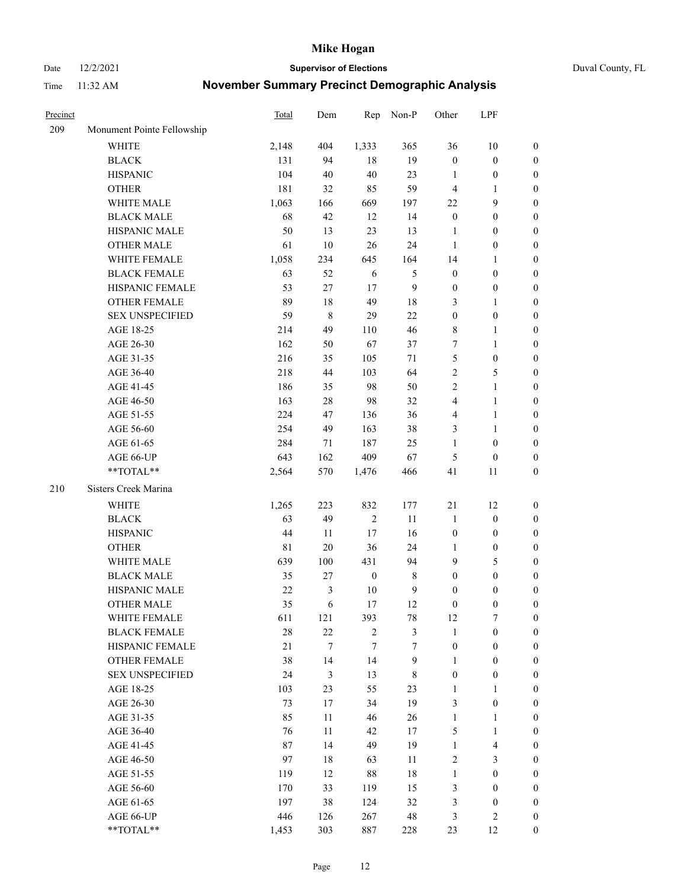Date 12/2/2021 **Supervisor of Elections** Duval County, FL

| Precinct |                            | <b>Total</b> | Dem    | Rep              | Non-P            | Other            | LPF                     |                  |
|----------|----------------------------|--------------|--------|------------------|------------------|------------------|-------------------------|------------------|
| 209      | Monument Pointe Fellowship |              |        |                  |                  |                  |                         |                  |
|          | <b>WHITE</b>               | 2,148        | 404    | 1,333            | 365              | 36               | $10\,$                  | 0                |
|          | <b>BLACK</b>               | 131          | 94     | 18               | 19               | $\boldsymbol{0}$ | $\boldsymbol{0}$        | 0                |
|          | <b>HISPANIC</b>            | 104          | 40     | 40               | 23               | 1                | $\boldsymbol{0}$        | $\boldsymbol{0}$ |
|          | <b>OTHER</b>               | 181          | 32     | 85               | 59               | 4                | 1                       | $\boldsymbol{0}$ |
|          | WHITE MALE                 | 1,063        | 166    | 669              | 197              | $22\,$           | 9                       | $\boldsymbol{0}$ |
|          | <b>BLACK MALE</b>          | 68           | 42     | 12               | 14               | $\boldsymbol{0}$ | $\boldsymbol{0}$        | $\boldsymbol{0}$ |
|          | HISPANIC MALE              | 50           | 13     | 23               | 13               | $\mathbf{1}$     | $\boldsymbol{0}$        | $\boldsymbol{0}$ |
|          | <b>OTHER MALE</b>          | 61           | 10     | 26               | 24               | $\mathbf{1}$     | $\boldsymbol{0}$        | $\boldsymbol{0}$ |
|          | WHITE FEMALE               | 1,058        | 234    | 645              | 164              | 14               | 1                       | $\boldsymbol{0}$ |
|          | <b>BLACK FEMALE</b>        | 63           | 52     | 6                | $\mathfrak{S}$   | $\boldsymbol{0}$ | $\boldsymbol{0}$        | 0                |
|          | HISPANIC FEMALE            | 53           | 27     | 17               | $\mathbf{9}$     | $\boldsymbol{0}$ | $\boldsymbol{0}$        | 0                |
|          | OTHER FEMALE               | 89           | $18\,$ | 49               | 18               | 3                | $\mathbf{1}$            | $\boldsymbol{0}$ |
|          | <b>SEX UNSPECIFIED</b>     | 59           | 8      | 29               | 22               | $\boldsymbol{0}$ | $\boldsymbol{0}$        | $\boldsymbol{0}$ |
|          | AGE 18-25                  | 214          | 49     | 110              | 46               | 8                | 1                       | $\boldsymbol{0}$ |
|          | AGE 26-30                  | 162          | 50     | 67               | 37               | 7                | $\mathbf{1}$            | $\boldsymbol{0}$ |
|          | AGE 31-35                  | 216          | 35     | 105              | 71               | 5                | $\boldsymbol{0}$        | $\boldsymbol{0}$ |
|          | AGE 36-40                  | 218          | 44     | 103              | 64               | 2                | $\mathfrak{S}$          | $\boldsymbol{0}$ |
|          | AGE 41-45                  | 186          | 35     | 98               | 50               | 2                | $\mathbf{1}$            | $\boldsymbol{0}$ |
|          | AGE 46-50                  | 163          | $28\,$ | 98               | 32               | 4                | $\mathbf{1}$            | $\boldsymbol{0}$ |
|          | AGE 51-55                  | 224          | 47     | 136              | 36               | 4                | $\mathbf{1}$            | 0                |
|          | AGE 56-60                  | 254          | 49     | 163              | 38               | 3                | 1                       | 0                |
|          | AGE 61-65                  | 284          | 71     | 187              | 25               | 1                | $\boldsymbol{0}$        | 0                |
|          | AGE 66-UP                  | 643          | 162    | 409              | 67               | 5                | $\boldsymbol{0}$        | $\boldsymbol{0}$ |
|          | **TOTAL**                  | 2,564        | 570    | 1,476            | 466              | 41               | 11                      | $\boldsymbol{0}$ |
|          |                            |              |        |                  |                  |                  |                         |                  |
| 210      | Sisters Creek Marina       |              |        |                  |                  |                  |                         |                  |
|          | <b>WHITE</b>               | 1,265        | 223    | 832              | 177              | 21               | 12                      | $\boldsymbol{0}$ |
|          | <b>BLACK</b>               | 63           | 49     | $\sqrt{2}$       | 11               | $\mathbf{1}$     | $\boldsymbol{0}$        | $\boldsymbol{0}$ |
|          | <b>HISPANIC</b>            | 44           | 11     | 17               | 16               | $\boldsymbol{0}$ | $\boldsymbol{0}$        | $\boldsymbol{0}$ |
|          | <b>OTHER</b>               | $8\sqrt{1}$  | $20\,$ | 36               | 24               | $\mathbf{1}$     | $\boldsymbol{0}$        | $\boldsymbol{0}$ |
|          | WHITE MALE                 | 639          | 100    | 431              | 94               | 9                | $\mathfrak{S}$          | $\boldsymbol{0}$ |
|          | <b>BLACK MALE</b>          | 35           | $27\,$ | $\boldsymbol{0}$ | $\,8\,$          | $\boldsymbol{0}$ | $\boldsymbol{0}$        | $\boldsymbol{0}$ |
|          | HISPANIC MALE              | $22\,$       | 3      | 10               | $\mathbf{9}$     | $\boldsymbol{0}$ | $\boldsymbol{0}$        | 0                |
|          | OTHER MALE                 | 35           | 6      | 17               | 12               | $\boldsymbol{0}$ | $\boldsymbol{0}$        | $\boldsymbol{0}$ |
|          | WHITE FEMALE               | 611          | 121    | 393              | 78               | 12               | 7                       | 0                |
|          | <b>BLACK FEMALE</b>        | 28           | 22     | $\sqrt{2}$       | $\mathfrak{Z}$   | $\mathbf{1}$     | $\boldsymbol{0}$        | $\overline{0}$   |
|          | HISPANIC FEMALE            | 21           | 7      | 7                | $\overline{7}$   | $\boldsymbol{0}$ | $\boldsymbol{0}$        | $\overline{0}$   |
|          | OTHER FEMALE               | 38           | 14     | 14               | $\boldsymbol{9}$ | 1                | $\boldsymbol{0}$        | $\overline{0}$   |
|          | <b>SEX UNSPECIFIED</b>     | 24           | 3      | 13               | 8                | $\boldsymbol{0}$ | $\boldsymbol{0}$        | 0                |
|          | AGE 18-25                  | 103          | 23     | 55               | 23               | 1                | $\mathbf{1}$            | 0                |
|          | AGE 26-30                  | 73           | 17     | 34               | 19               | 3                | $\boldsymbol{0}$        | 0                |
|          | AGE 31-35                  | 85           | 11     | 46               | 26               | $\mathbf{1}$     | $\mathbf{1}$            | 0                |
|          | AGE 36-40                  | 76           | 11     | 42               | 17               | 5                | $\mathbf{1}$            | 0                |
|          | AGE 41-45                  | 87           | 14     | 49               | 19               | $\mathbf{1}$     | $\overline{\mathbf{4}}$ | 0                |
|          | AGE 46-50                  | 97           | 18     | 63               | 11               | 2                | 3                       | 0                |
|          | AGE 51-55                  | 119          | 12     | 88               | 18               | $\mathbf{1}$     | $\boldsymbol{0}$        | $\overline{0}$   |
|          | AGE 56-60                  | 170          | 33     | 119              | 15               | 3                | $\boldsymbol{0}$        | $\overline{0}$   |
|          | AGE 61-65                  | 197          | 38     | 124              | 32               | 3                | $\boldsymbol{0}$        | 0                |
|          | AGE 66-UP                  | 446          | 126    | 267              | $48\,$           | 3                | $\mathfrak{2}$          | 0                |
|          | **TOTAL**                  | 1,453        | 303    | 887              | 228              | 23               | 12                      | $\boldsymbol{0}$ |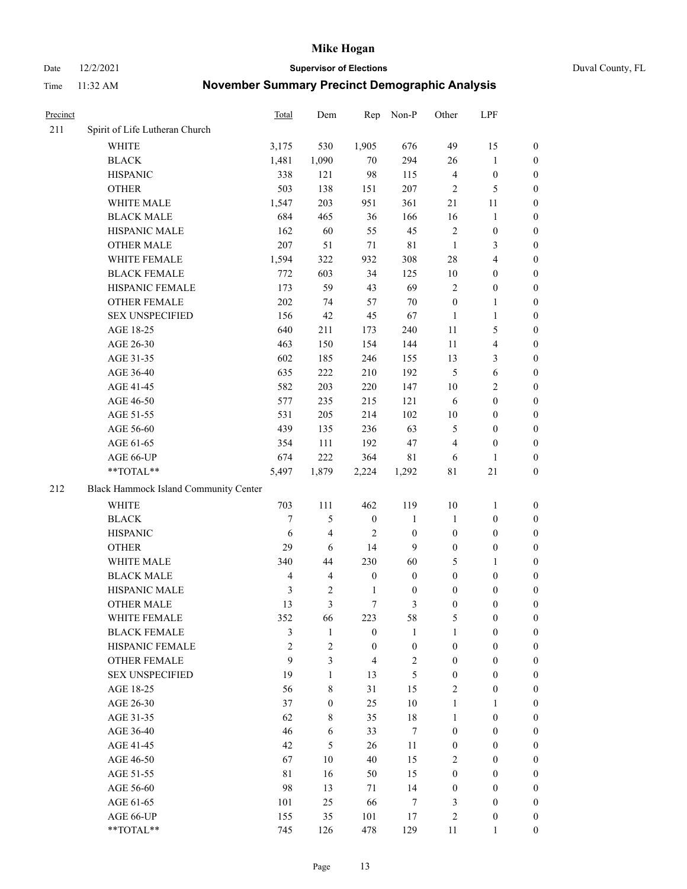Date 12/2/2021 **Supervisor of Elections** Duval County, FL

| Precinct |                                       | Total          | Dem                     | Rep              | Non-P            | Other            | LPF                     |                  |
|----------|---------------------------------------|----------------|-------------------------|------------------|------------------|------------------|-------------------------|------------------|
| 211      | Spirit of Life Lutheran Church        |                |                         |                  |                  |                  |                         |                  |
|          | <b>WHITE</b>                          | 3,175          | 530                     | 1,905            | 676              | 49               | 15                      | 0                |
|          | <b>BLACK</b>                          | 1,481          | 1,090                   | 70               | 294              | 26               | $\mathbf{1}$            | 0                |
|          | <b>HISPANIC</b>                       | 338            | 121                     | 98               | 115              | $\overline{4}$   | $\boldsymbol{0}$        | $\boldsymbol{0}$ |
|          | <b>OTHER</b>                          | 503            | 138                     | 151              | 207              | $\overline{2}$   | 5                       | $\boldsymbol{0}$ |
|          | WHITE MALE                            | 1,547          | 203                     | 951              | 361              | 21               | 11                      | $\boldsymbol{0}$ |
|          | <b>BLACK MALE</b>                     | 684            | 465                     | 36               | 166              | 16               | $\mathbf{1}$            | $\boldsymbol{0}$ |
|          | HISPANIC MALE                         | 162            | 60                      | 55               | 45               | $\overline{c}$   | $\boldsymbol{0}$        | $\boldsymbol{0}$ |
|          | <b>OTHER MALE</b>                     | 207            | 51                      | 71               | 81               | $\mathbf{1}$     | $\mathfrak{Z}$          | $\boldsymbol{0}$ |
|          | WHITE FEMALE                          | 1,594          | 322                     | 932              | 308              | 28               | $\overline{\mathbf{4}}$ | $\boldsymbol{0}$ |
|          | <b>BLACK FEMALE</b>                   | 772            | 603                     | 34               | 125              | 10               | $\boldsymbol{0}$        | 0                |
|          | HISPANIC FEMALE                       | 173            | 59                      | 43               | 69               | $\overline{c}$   | $\boldsymbol{0}$        | 0                |
|          | <b>OTHER FEMALE</b>                   | 202            | 74                      | 57               | $70\,$           | $\boldsymbol{0}$ | $\mathbf{1}$            | 0                |
|          | <b>SEX UNSPECIFIED</b>                | 156            | 42                      | 45               | 67               | $\mathbf{1}$     | $\mathbf{1}$            | $\boldsymbol{0}$ |
|          | AGE 18-25                             | 640            | 211                     | 173              | 240              | $11\,$           | $\mathfrak{S}$          | $\boldsymbol{0}$ |
|          | AGE 26-30                             | 463            | 150                     | 154              | 144              | $11\,$           | $\overline{\mathbf{4}}$ | $\boldsymbol{0}$ |
|          | AGE 31-35                             | 602            | 185                     | 246              | 155              | 13               | $\mathfrak{Z}$          | $\boldsymbol{0}$ |
|          | AGE 36-40                             | 635            | 222                     | 210              | 192              | 5                | 6                       | $\boldsymbol{0}$ |
|          | AGE 41-45                             | 582            | 203                     | 220              | 147              | 10               | $\overline{2}$          | $\boldsymbol{0}$ |
|          | AGE 46-50                             | 577            | 235                     | 215              | 121              | 6                | $\boldsymbol{0}$        | $\boldsymbol{0}$ |
|          | AGE 51-55                             | 531            | 205                     | 214              | 102              | 10               | $\boldsymbol{0}$        | 0                |
|          | AGE 56-60                             | 439            | 135                     | 236              | 63               | 5                | $\boldsymbol{0}$        | 0                |
|          | AGE 61-65                             | 354            | 111                     | 192              | 47               | 4                | $\boldsymbol{0}$        | 0                |
|          | AGE 66-UP                             | 674            | 222                     | 364              | 81               | 6                | $\mathbf{1}$            | $\boldsymbol{0}$ |
|          | $**TOTAL**$                           | 5,497          | 1,879                   | 2,224            | 1,292            | $8\sqrt{1}$      | $21\,$                  | $\boldsymbol{0}$ |
| 212      | Black Hammock Island Community Center |                |                         |                  |                  |                  |                         |                  |
|          | <b>WHITE</b>                          | 703            | 111                     | 462              | 119              | 10               | $\mathbf{1}$            | $\boldsymbol{0}$ |
|          | <b>BLACK</b>                          | $\overline{7}$ | 5                       | $\boldsymbol{0}$ | $\mathbf{1}$     | $\mathbf{1}$     | $\boldsymbol{0}$        | $\boldsymbol{0}$ |
|          | <b>HISPANIC</b>                       | 6              | 4                       | $\overline{2}$   | $\boldsymbol{0}$ | $\boldsymbol{0}$ | $\boldsymbol{0}$        | $\boldsymbol{0}$ |
|          | <b>OTHER</b>                          | 29             | 6                       | 14               | 9                | $\boldsymbol{0}$ | $\boldsymbol{0}$        | $\boldsymbol{0}$ |
|          | WHITE MALE                            | 340            | 44                      | 230              | 60               | 5                | $\mathbf{1}$            | $\boldsymbol{0}$ |
|          | <b>BLACK MALE</b>                     | $\overline{4}$ | $\overline{\mathbf{4}}$ | $\boldsymbol{0}$ | $\boldsymbol{0}$ | $\boldsymbol{0}$ | $\boldsymbol{0}$        | $\boldsymbol{0}$ |
|          | HISPANIC MALE                         | $\mathfrak{Z}$ | 2                       | $\mathbf{1}$     | $\boldsymbol{0}$ | $\boldsymbol{0}$ | $\boldsymbol{0}$        | 0                |
|          | <b>OTHER MALE</b>                     | 13             | 3                       | $\tau$           | 3                | $\boldsymbol{0}$ | $\boldsymbol{0}$        | $\boldsymbol{0}$ |
|          | WHITE FEMALE                          | 352            | 66                      | 223              | 58               | 5                | $\boldsymbol{0}$        | 0                |
|          | <b>BLACK FEMALE</b>                   | 3              | $\mathbf{1}$            | $\boldsymbol{0}$ | $\mathbf{1}$     | $\mathbf{1}$     | $\boldsymbol{0}$        | $\overline{0}$   |
|          | HISPANIC FEMALE                       | $\overline{c}$ | $\overline{c}$          | $\boldsymbol{0}$ | $\boldsymbol{0}$ | $\boldsymbol{0}$ | $\boldsymbol{0}$        | $\overline{0}$   |
|          | <b>OTHER FEMALE</b>                   | 9              | 3                       | $\overline{4}$   | $\sqrt{2}$       | $\boldsymbol{0}$ | $\boldsymbol{0}$        | $\overline{0}$   |
|          | <b>SEX UNSPECIFIED</b>                | 19             | $\mathbf{1}$            | 13               | 5                | $\boldsymbol{0}$ | $\boldsymbol{0}$        | $\overline{0}$   |
|          | AGE 18-25                             | 56             | 8                       | 31               | 15               | $\mathfrak{2}$   | $\boldsymbol{0}$        | $\theta$         |
|          | AGE 26-30                             | 37             | $\boldsymbol{0}$        | 25               | $10\,$           | $\mathbf{1}$     | $\mathbf{1}$            | $\overline{0}$   |
|          | AGE 31-35                             | 62             | 8                       | 35               | $18\,$           | $\mathbf{1}$     | $\boldsymbol{0}$        | 0                |
|          | AGE 36-40                             | 46             | 6                       | 33               | $\tau$           | $\boldsymbol{0}$ | $\boldsymbol{0}$        | 0                |
|          | AGE 41-45                             | 42             | 5                       | 26               | 11               | $\boldsymbol{0}$ | $\boldsymbol{0}$        | 0                |
|          | AGE 46-50                             | 67             | 10                      | 40               | 15               | 2                | $\boldsymbol{0}$        | 0                |
|          | AGE 51-55                             | 81             | 16                      | 50               | 15               | $\boldsymbol{0}$ | $\boldsymbol{0}$        | $\overline{0}$   |
|          | AGE 56-60                             | 98             | 13                      | 71               | 14               | $\boldsymbol{0}$ | $\boldsymbol{0}$        | $\overline{0}$   |
|          | AGE 61-65                             | 101            | 25                      | 66               | 7                | 3                | $\boldsymbol{0}$        | $\overline{0}$   |
|          | AGE 66-UP                             | 155            | 35                      | 101              | 17               | $\overline{c}$   | $\boldsymbol{0}$        | $\boldsymbol{0}$ |
|          | **TOTAL**                             | 745            | 126                     | 478              | 129              | 11               | $\mathbf{1}$            | $\overline{0}$   |
|          |                                       |                |                         |                  |                  |                  |                         |                  |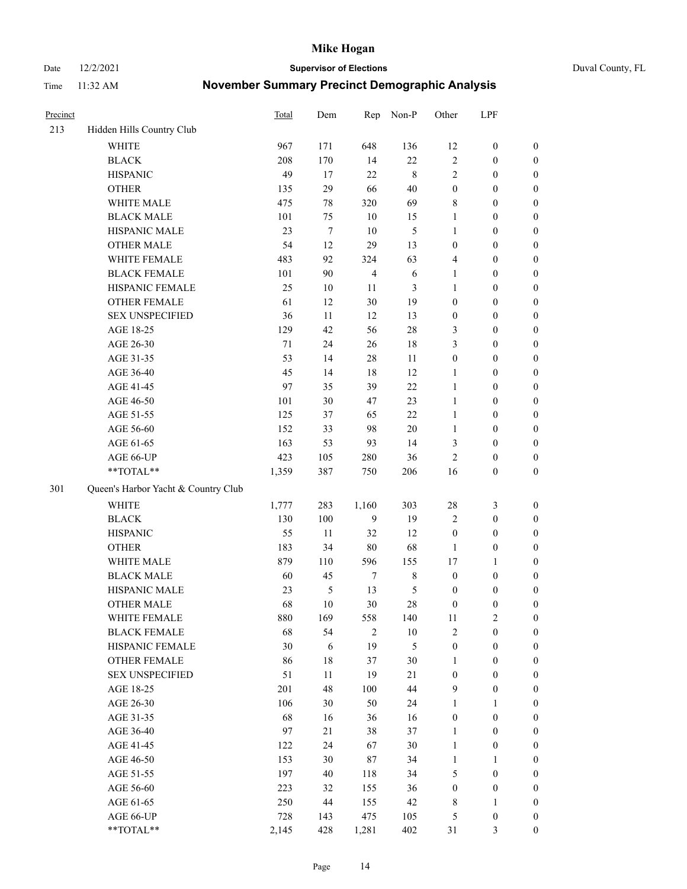Date 12/2/2021 **Supervisor of Elections** Duval County, FL

| Precinct |                                     | <b>Total</b> | Dem              | Rep            | Non-P          | Other            | LPF              |                  |
|----------|-------------------------------------|--------------|------------------|----------------|----------------|------------------|------------------|------------------|
| 213      | Hidden Hills Country Club           |              |                  |                |                |                  |                  |                  |
|          | <b>WHITE</b>                        | 967          | 171              | 648            | 136            | 12               | $\boldsymbol{0}$ | 0                |
|          | <b>BLACK</b>                        | 208          | 170              | 14             | 22             | $\mathbf{2}$     | $\boldsymbol{0}$ | $\boldsymbol{0}$ |
|          | <b>HISPANIC</b>                     | 49           | 17               | 22             | $\,$ 8 $\,$    | $\mathbf{2}$     | $\boldsymbol{0}$ | $\boldsymbol{0}$ |
|          | <b>OTHER</b>                        | 135          | 29               | 66             | 40             | $\boldsymbol{0}$ | $\boldsymbol{0}$ | $\boldsymbol{0}$ |
|          | WHITE MALE                          | 475          | 78               | 320            | 69             | 8                | $\boldsymbol{0}$ | $\boldsymbol{0}$ |
|          | <b>BLACK MALE</b>                   | 101          | 75               | 10             | 15             | $\mathbf{1}$     | $\boldsymbol{0}$ | $\boldsymbol{0}$ |
|          | HISPANIC MALE                       | 23           | $\boldsymbol{7}$ | 10             | $\mathfrak s$  | 1                | $\boldsymbol{0}$ | $\boldsymbol{0}$ |
|          | <b>OTHER MALE</b>                   | 54           | 12               | 29             | 13             | $\boldsymbol{0}$ | $\boldsymbol{0}$ | $\boldsymbol{0}$ |
|          | WHITE FEMALE                        | 483          | 92               | 324            | 63             | 4                | $\boldsymbol{0}$ | $\boldsymbol{0}$ |
|          | <b>BLACK FEMALE</b>                 | 101          | 90               | $\overline{4}$ | $\sqrt{6}$     | $\mathbf{1}$     | $\boldsymbol{0}$ | $\boldsymbol{0}$ |
|          | HISPANIC FEMALE                     | 25           | 10               | 11             | 3              | $\mathbf{1}$     | $\boldsymbol{0}$ | $\boldsymbol{0}$ |
|          | <b>OTHER FEMALE</b>                 | 61           | 12               | 30             | 19             | $\boldsymbol{0}$ | $\boldsymbol{0}$ | $\boldsymbol{0}$ |
|          | <b>SEX UNSPECIFIED</b>              | 36           | 11               | 12             | 13             | $\boldsymbol{0}$ | $\boldsymbol{0}$ | $\boldsymbol{0}$ |
|          | AGE 18-25                           | 129          | 42               | 56             | $28\,$         | 3                | $\boldsymbol{0}$ | $\boldsymbol{0}$ |
|          | AGE 26-30                           | 71           | 24               | 26             | 18             | 3                | $\boldsymbol{0}$ | $\boldsymbol{0}$ |
|          | AGE 31-35                           | 53           | 14               | 28             | 11             | $\boldsymbol{0}$ | $\boldsymbol{0}$ | $\boldsymbol{0}$ |
|          | AGE 36-40                           | 45           | 14               | 18             | 12             | 1                | $\boldsymbol{0}$ | $\boldsymbol{0}$ |
|          | AGE 41-45                           | 97           | 35               | 39             | 22             | $\mathbf{1}$     | $\boldsymbol{0}$ | $\boldsymbol{0}$ |
|          | AGE 46-50                           | 101          | 30               | 47             | 23             | $\mathbf{1}$     | $\boldsymbol{0}$ | $\boldsymbol{0}$ |
|          | AGE 51-55                           | 125          | 37               | 65             | 22             | $\mathbf{1}$     | $\boldsymbol{0}$ | $\boldsymbol{0}$ |
|          | AGE 56-60                           | 152          | 33               | 98             | 20             | $\mathbf{1}$     | $\boldsymbol{0}$ | 0                |
|          | AGE 61-65                           | 163          | 53               | 93             | 14             | 3                | $\boldsymbol{0}$ | $\boldsymbol{0}$ |
|          | AGE 66-UP                           | 423          | 105              | 280            | 36             | $\mathbf{2}$     | $\boldsymbol{0}$ | $\boldsymbol{0}$ |
|          | **TOTAL**                           | 1,359        | 387              | 750            | 206            | 16               | $\boldsymbol{0}$ | $\boldsymbol{0}$ |
| 301      | Queen's Harbor Yacht & Country Club |              |                  |                |                |                  |                  |                  |
|          | <b>WHITE</b>                        | 1,777        | 283              | 1,160          | 303            | $28\,$           | $\mathfrak{Z}$   | $\boldsymbol{0}$ |
|          | <b>BLACK</b>                        | 130          | 100              | 9              | 19             | 2                | $\boldsymbol{0}$ | $\boldsymbol{0}$ |
|          | <b>HISPANIC</b>                     | 55           | 11               | 32             | 12             | $\boldsymbol{0}$ | $\boldsymbol{0}$ | $\boldsymbol{0}$ |
|          | <b>OTHER</b>                        | 183          | 34               | 80             | 68             | $\mathbf{1}$     | $\boldsymbol{0}$ | $\boldsymbol{0}$ |
|          | WHITE MALE                          | 879          | 110              | 596            | 155            | 17               | $\mathbf{1}$     | $\boldsymbol{0}$ |
|          | <b>BLACK MALE</b>                   | 60           | 45               | $\tau$         | $8\,$          | $\boldsymbol{0}$ | $\boldsymbol{0}$ | $\boldsymbol{0}$ |
|          | HISPANIC MALE                       | 23           | 5                | 13             | $\mathfrak{S}$ | $\boldsymbol{0}$ | $\boldsymbol{0}$ | $\boldsymbol{0}$ |
|          | OTHER MALE                          | 68           | 10               | 30             | $28\,$         | $\boldsymbol{0}$ | $\boldsymbol{0}$ | $\boldsymbol{0}$ |
|          | WHITE FEMALE                        | 880          | 169              | 558            | 140            | 11               | 2                | 0                |
|          | <b>BLACK FEMALE</b>                 | 68           | 54               | $\overline{c}$ | $10\,$         | 2                | $\boldsymbol{0}$ | $\boldsymbol{0}$ |
|          | HISPANIC FEMALE                     | 30           | 6                | 19             | 5              | $\boldsymbol{0}$ | $\boldsymbol{0}$ | $\overline{0}$   |
|          | OTHER FEMALE                        | 86           | $18\,$           | 37             | $30\,$         | $\mathbf{1}$     | $\boldsymbol{0}$ | $\overline{0}$   |
|          | <b>SEX UNSPECIFIED</b>              | 51           | 11               | 19             | 21             | $\boldsymbol{0}$ | $\boldsymbol{0}$ | 0                |
|          | AGE 18-25                           | 201          | 48               | 100            | 44             | 9                | $\boldsymbol{0}$ | $\theta$         |
|          | AGE 26-30                           | 106          | 30               | 50             | 24             | $\mathbf{1}$     | $\mathbf{1}$     | $\overline{0}$   |
|          | AGE 31-35                           | 68           | 16               | 36             | 16             | $\boldsymbol{0}$ | $\boldsymbol{0}$ | 0                |
|          | AGE 36-40                           | 97           | 21               | 38             | 37             | $\mathbf{1}$     | $\boldsymbol{0}$ | 0                |
|          | AGE 41-45                           | 122          | 24               | 67             | $30\,$         | $\mathbf{1}$     | $\boldsymbol{0}$ | 0                |
|          | AGE 46-50                           | 153          | 30               | 87             | 34             | $\mathbf{1}$     | 1                | 0                |
|          | AGE 51-55                           | 197          | 40               | 118            | 34             | 5                | $\boldsymbol{0}$ | 0                |
|          | AGE 56-60                           | 223          | 32               | 155            | 36             | $\boldsymbol{0}$ | $\boldsymbol{0}$ | $\overline{0}$   |
|          | AGE 61-65                           | 250          | 44               | 155            | 42             | 8                | 1                | $\overline{0}$   |
|          | AGE 66-UP                           | 728          | 143              | 475            | 105            | 5                | $\boldsymbol{0}$ | 0                |
|          | **TOTAL**                           | 2,145        | 428              | 1,281          | 402            | 31               | $\mathfrak{Z}$   | $\boldsymbol{0}$ |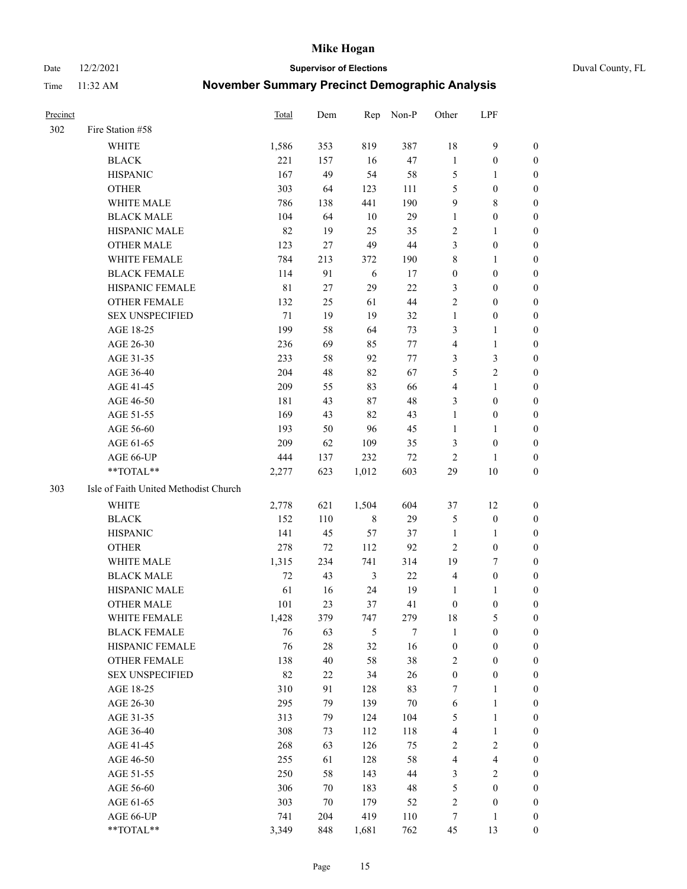Date 12/2/2021 **Supervisor of Elections** Duval County, FL

| Precinct |                                       | <b>Total</b> | Dem    | Rep         | Non-P  | Other            | LPF                     |                  |
|----------|---------------------------------------|--------------|--------|-------------|--------|------------------|-------------------------|------------------|
| 302      | Fire Station #58                      |              |        |             |        |                  |                         |                  |
|          | <b>WHITE</b>                          | 1,586        | 353    | 819         | 387    | 18               | $\mathbf{9}$            | 0                |
|          | <b>BLACK</b>                          | 221          | 157    | 16          | 47     | $\mathbf{1}$     | $\boldsymbol{0}$        | 0                |
|          | <b>HISPANIC</b>                       | 167          | 49     | 54          | 58     | 5                | 1                       | 0                |
|          | <b>OTHER</b>                          | 303          | 64     | 123         | 111    | 5                | $\boldsymbol{0}$        | $\boldsymbol{0}$ |
|          | WHITE MALE                            | 786          | 138    | 441         | 190    | 9                | $\,8\,$                 | $\boldsymbol{0}$ |
|          | <b>BLACK MALE</b>                     | 104          | 64     | 10          | 29     | $\mathbf{1}$     | $\boldsymbol{0}$        | $\boldsymbol{0}$ |
|          | HISPANIC MALE                         | 82           | 19     | 25          | 35     | 2                | $\mathbf{1}$            | $\boldsymbol{0}$ |
|          | <b>OTHER MALE</b>                     | 123          | 27     | 49          | $44\,$ | 3                | $\boldsymbol{0}$        | $\boldsymbol{0}$ |
|          | WHITE FEMALE                          | 784          | 213    | 372         | 190    | $\,$ $\,$        | $\mathbf{1}$            | 0                |
|          | <b>BLACK FEMALE</b>                   | 114          | 91     | 6           | 17     | $\boldsymbol{0}$ | $\boldsymbol{0}$        | 0                |
|          | HISPANIC FEMALE                       | $8\sqrt{1}$  | 27     | 29          | 22     | 3                | $\boldsymbol{0}$        | 0                |
|          | <b>OTHER FEMALE</b>                   | 132          | 25     | 61          | 44     | 2                | $\boldsymbol{0}$        | 0                |
|          | <b>SEX UNSPECIFIED</b>                | 71           | 19     | 19          | 32     | $\mathbf{1}$     | $\boldsymbol{0}$        | $\boldsymbol{0}$ |
|          | AGE 18-25                             | 199          | 58     | 64          | 73     | 3                | 1                       | $\boldsymbol{0}$ |
|          | AGE 26-30                             | 236          | 69     | 85          | $77\,$ | 4                | $\mathbf{1}$            | $\boldsymbol{0}$ |
|          | AGE 31-35                             | 233          | 58     | 92          | $77\,$ | 3                | $\mathfrak{Z}$          | $\boldsymbol{0}$ |
|          | AGE 36-40                             | 204          | 48     | 82          | 67     | 5                | $\sqrt{2}$              | $\boldsymbol{0}$ |
|          | AGE 41-45                             | 209          | 55     | 83          | 66     | $\overline{4}$   | $\mathbf{1}$            | $\boldsymbol{0}$ |
|          | AGE 46-50                             | 181          | 43     | 87          | 48     | 3                | $\boldsymbol{0}$        | $\boldsymbol{0}$ |
|          | AGE 51-55                             | 169          | 43     | 82          | 43     | $\mathbf{1}$     | $\boldsymbol{0}$        | 0                |
|          | AGE 56-60                             | 193          | 50     | 96          | 45     | $\mathbf{1}$     | 1                       | 0                |
|          | AGE 61-65                             | 209          | 62     | 109         | 35     | 3                | $\boldsymbol{0}$        | 0                |
|          | AGE 66-UP                             | 444          | 137    | 232         | 72     | $\overline{2}$   | 1                       | 0                |
|          | **TOTAL**                             | 2,277        | 623    | 1,012       | 603    | 29               | $10\,$                  | $\boldsymbol{0}$ |
| 303      | Isle of Faith United Methodist Church |              |        |             |        |                  |                         |                  |
|          | <b>WHITE</b>                          | 2,778        | 621    | 1,504       | 604    | 37               | 12                      | $\boldsymbol{0}$ |
|          | <b>BLACK</b>                          | 152          | 110    | $\,$ 8 $\,$ | 29     | 5                | $\boldsymbol{0}$        | $\boldsymbol{0}$ |
|          | <b>HISPANIC</b>                       | 141          | 45     | 57          | 37     | $\mathbf{1}$     | $\mathbf{1}$            | 0                |
|          | <b>OTHER</b>                          | 278          | 72     | 112         | 92     | $\mathbf{2}$     | $\boldsymbol{0}$        | $\boldsymbol{0}$ |
|          | WHITE MALE                            | 1,315        | 234    | 741         | 314    | 19               | $\tau$                  | $\overline{0}$   |
|          | <b>BLACK MALE</b>                     | 72           | 43     | 3           | 22     | 4                | $\boldsymbol{0}$        | 0                |
|          | HISPANIC MALE                         | 61           | 16     | 24          | 19     | 1                | 1                       | 0                |
|          | <b>OTHER MALE</b>                     | 101          | 23     | 37          | 41     | $\boldsymbol{0}$ | $\boldsymbol{0}$        | 0                |
|          | WHITE FEMALE                          | 1,428        | 379    | 747         | 279    | 18               | 5                       | 0                |
|          | <b>BLACK FEMALE</b>                   | 76           | 63     | 5           | 7      | $\mathbf{1}$     | $\boldsymbol{0}$        | $\overline{0}$   |
|          | HISPANIC FEMALE                       | 76           | $28\,$ | 32          | 16     | $\boldsymbol{0}$ | $\boldsymbol{0}$        | $\overline{0}$   |
|          | OTHER FEMALE                          | 138          | 40     | 58          | 38     | 2                | $\boldsymbol{0}$        | $\overline{0}$   |
|          | <b>SEX UNSPECIFIED</b>                | 82           | $22\,$ | 34          | 26     | $\boldsymbol{0}$ | $\boldsymbol{0}$        | 0                |
|          | AGE 18-25                             | 310          | 91     | 128         | 83     | 7                | $\mathbf{1}$            | 0                |
|          | AGE 26-30                             | 295          | 79     | 139         | $70\,$ | 6                | $\mathbf{1}$            | 0                |
|          | AGE 31-35                             | 313          | 79     | 124         | 104    | 5                | $\mathbf{1}$            | 0                |
|          | AGE 36-40                             | 308          | 73     | 112         | 118    | 4                | $\mathbf{1}$            | 0                |
|          | AGE 41-45                             | 268          | 63     | 126         | 75     | 2                | $\sqrt{2}$              | 0                |
|          | AGE 46-50                             | 255          | 61     | 128         | 58     | 4                | $\overline{\mathbf{4}}$ | 0                |
|          | AGE 51-55                             | 250          | 58     | 143         | $44\,$ | 3                | $\overline{2}$          | 0                |
|          | AGE 56-60                             | 306          | 70     | 183         | 48     | 5                | $\boldsymbol{0}$        | $\overline{0}$   |
|          | AGE 61-65                             | 303          | 70     | 179         | 52     | 2                | $\boldsymbol{0}$        | $\boldsymbol{0}$ |
|          | AGE 66-UP                             | 741          | 204    | 419         | 110    | 7                | $\mathbf{1}$            | 0                |
|          | **TOTAL**                             | 3,349        | 848    | 1,681       | 762    | 45               | 13                      | $\boldsymbol{0}$ |
|          |                                       |              |        |             |        |                  |                         |                  |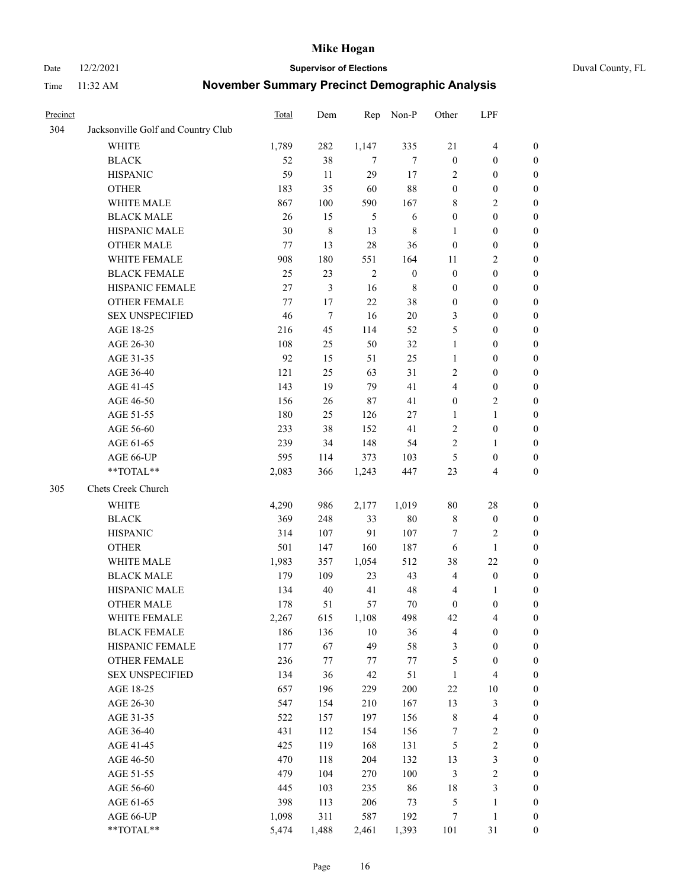#### Date 12/2/2021 **Supervisor of Elections** Duval County, FL

| Precinct |                                    | Total   | Dem   | Rep        | Non-P            | Other            | LPF                     |                  |
|----------|------------------------------------|---------|-------|------------|------------------|------------------|-------------------------|------------------|
| 304      | Jacksonville Golf and Country Club |         |       |            |                  |                  |                         |                  |
|          | <b>WHITE</b>                       | 1,789   | 282   | 1,147      | 335              | 21               | $\overline{4}$          | 0                |
|          | <b>BLACK</b>                       | 52      | 38    | $\tau$     | $\tau$           | $\boldsymbol{0}$ | $\boldsymbol{0}$        | 0                |
|          | <b>HISPANIC</b>                    | 59      | 11    | 29         | 17               | 2                | $\boldsymbol{0}$        | $\boldsymbol{0}$ |
|          | <b>OTHER</b>                       | 183     | 35    | 60         | 88               | $\boldsymbol{0}$ | $\boldsymbol{0}$        | $\boldsymbol{0}$ |
|          | WHITE MALE                         | 867     | 100   | 590        | 167              | 8                | $\sqrt{2}$              | $\boldsymbol{0}$ |
|          | <b>BLACK MALE</b>                  | 26      | 15    | 5          | 6                | $\boldsymbol{0}$ | $\boldsymbol{0}$        | $\boldsymbol{0}$ |
|          | HISPANIC MALE                      | 30      | 8     | 13         | $\,$ 8 $\,$      | $\mathbf{1}$     | $\boldsymbol{0}$        | $\boldsymbol{0}$ |
|          | <b>OTHER MALE</b>                  | 77      | 13    | 28         | 36               | $\boldsymbol{0}$ | $\boldsymbol{0}$        | $\boldsymbol{0}$ |
|          | WHITE FEMALE                       | 908     | 180   | 551        | 164              | 11               | $\mathbf{2}$            | $\boldsymbol{0}$ |
|          | <b>BLACK FEMALE</b>                | 25      | 23    | $\sqrt{2}$ | $\boldsymbol{0}$ | $\boldsymbol{0}$ | $\boldsymbol{0}$        | $\boldsymbol{0}$ |
|          | HISPANIC FEMALE                    | 27      | 3     | 16         | $\,$ 8 $\,$      | $\boldsymbol{0}$ | $\boldsymbol{0}$        | 0                |
|          | OTHER FEMALE                       | $77 \,$ | 17    | 22         | 38               | $\boldsymbol{0}$ | $\boldsymbol{0}$        | 0                |
|          | <b>SEX UNSPECIFIED</b>             | 46      | 7     | 16         | $20\,$           | 3                | $\boldsymbol{0}$        | $\boldsymbol{0}$ |
|          | AGE 18-25                          | 216     | 45    | 114        | 52               | 5                | $\boldsymbol{0}$        | $\boldsymbol{0}$ |
|          | AGE 26-30                          | 108     | 25    | 50         | 32               | $\mathbf{1}$     | $\boldsymbol{0}$        | $\boldsymbol{0}$ |
|          | AGE 31-35                          | 92      | 15    | 51         | 25               | $\mathbf{1}$     | $\boldsymbol{0}$        | $\boldsymbol{0}$ |
|          | AGE 36-40                          | 121     | 25    | 63         | 31               | $\overline{c}$   | $\boldsymbol{0}$        | $\boldsymbol{0}$ |
|          | AGE 41-45                          | 143     | 19    | 79         | 41               | 4                | $\boldsymbol{0}$        | $\boldsymbol{0}$ |
|          | AGE 46-50                          | 156     | 26    | 87         | 41               | $\boldsymbol{0}$ | $\mathfrak{2}$          | $\boldsymbol{0}$ |
|          | AGE 51-55                          | 180     | 25    | 126        | 27               | 1                | $\mathbf{1}$            | $\boldsymbol{0}$ |
|          | AGE 56-60                          | 233     | 38    | 152        | 41               | 2                | $\boldsymbol{0}$        | 0                |
|          | AGE 61-65                          | 239     | 34    | 148        | 54               | $\overline{c}$   | $\mathbf{1}$            | 0                |
|          | AGE 66-UP                          | 595     | 114   | 373        | 103              | $\mathfrak{S}$   | $\boldsymbol{0}$        | $\boldsymbol{0}$ |
|          | **TOTAL**                          | 2,083   | 366   | 1,243      | 447              | 23               | $\overline{\mathbf{4}}$ | $\boldsymbol{0}$ |
| 305      | Chets Creek Church                 |         |       |            |                  |                  |                         |                  |
|          | <b>WHITE</b>                       | 4,290   | 986   | 2,177      | 1,019            | $80\,$           | $28\,$                  | $\boldsymbol{0}$ |
|          | <b>BLACK</b>                       | 369     | 248   | 33         | $80\,$           | 8                | $\boldsymbol{0}$        | $\boldsymbol{0}$ |
|          | <b>HISPANIC</b>                    | 314     | 107   | 91         | 107              | 7                | $\mathfrak{2}$          | $\boldsymbol{0}$ |
|          | <b>OTHER</b>                       | 501     | 147   | 160        | 187              | 6                | $\mathbf{1}$            | $\boldsymbol{0}$ |
|          | WHITE MALE                         | 1,983   | 357   | 1,054      | 512              | 38               | 22                      | $\boldsymbol{0}$ |
|          | <b>BLACK MALE</b>                  | 179     | 109   | 23         | 43               | $\overline{4}$   | $\boldsymbol{0}$        | $\boldsymbol{0}$ |
|          | HISPANIC MALE                      | 134     | 40    | 41         | 48               | 4                | 1                       | 0                |
|          | <b>OTHER MALE</b>                  | 178     | 51    | 57         | 70               | $\boldsymbol{0}$ | $\boldsymbol{0}$        | $\boldsymbol{0}$ |
|          | WHITE FEMALE                       | 2,267   | 615   | 1,108      | 498              | 42               | 4                       | 0                |
|          | <b>BLACK FEMALE</b>                | 186     | 136   | $10\,$     | 36               | 4                | $\boldsymbol{0}$        | $\boldsymbol{0}$ |
|          | HISPANIC FEMALE                    | 177     | 67    | 49         | 58               | $\mathfrak{Z}$   | $\boldsymbol{0}$        | $\boldsymbol{0}$ |
|          | OTHER FEMALE                       | 236     | 77    | 77         | 77               | 5                | $\boldsymbol{0}$        | $\overline{0}$   |
|          | <b>SEX UNSPECIFIED</b>             | 134     | 36    | 42         | 51               | $\mathbf{1}$     | $\overline{\mathbf{4}}$ | 0                |
|          | AGE 18-25                          | 657     | 196   | 229        | 200              | 22               | $10\,$                  | 0                |
|          | AGE 26-30                          | 547     | 154   | 210        | 167              | 13               | $\mathfrak{Z}$          | 0                |
|          | AGE 31-35                          | 522     | 157   | 197        | 156              | $\,$ $\,$        | $\overline{\mathbf{4}}$ | 0                |
|          | AGE 36-40                          | 431     | 112   | 154        | 156              | 7                | $\sqrt{2}$              | 0                |
|          | AGE 41-45                          | 425     | 119   | 168        | 131              | $\mathfrak{S}$   | $\sqrt{2}$              | 0                |
|          | AGE 46-50                          | 470     | 118   | 204        | 132              | 13               | $\mathfrak{Z}$          | 0                |
|          | AGE 51-55                          | 479     | 104   | 270        | 100              | 3                | $\sqrt{2}$              | $\boldsymbol{0}$ |
|          | AGE 56-60                          | 445     | 103   | 235        | 86               | 18               | $\mathfrak{Z}$          | $\boldsymbol{0}$ |
|          | AGE 61-65                          | 398     | 113   | 206        | 73               | 5                | $\mathbf{1}$            | $\boldsymbol{0}$ |
|          | AGE 66-UP                          | 1,098   | 311   | 587        | 192              | 7                | $\mathbf{1}$            | $\boldsymbol{0}$ |
|          | **TOTAL**                          | 5,474   | 1,488 | 2,461      | 1,393            | 101              | 31                      | $\boldsymbol{0}$ |
|          |                                    |         |       |            |                  |                  |                         |                  |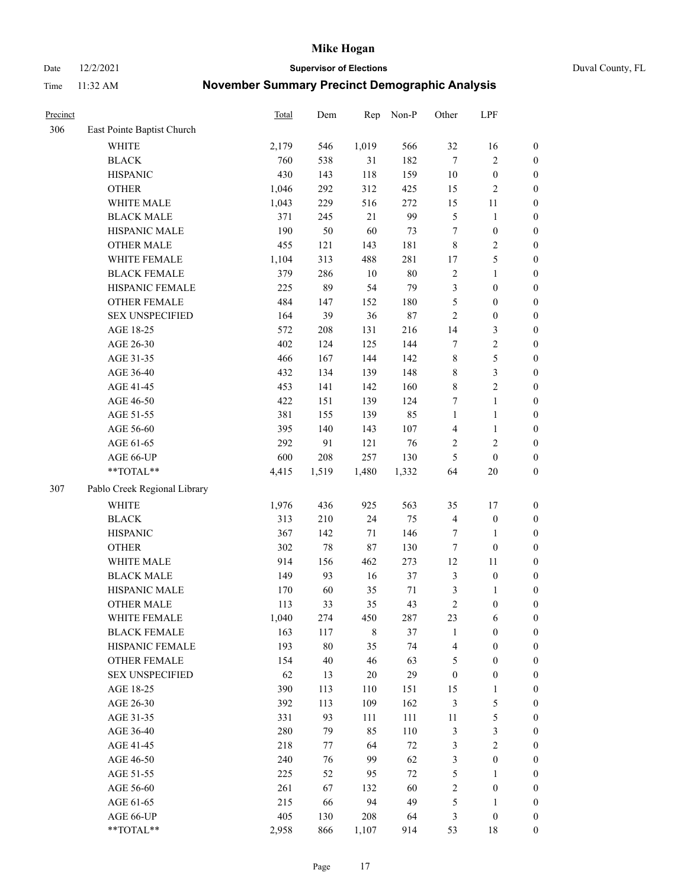Date 12/2/2021 **Supervisor of Elections** Duval County, FL

| Precinct |                              | Total | Dem    | Rep         | Non-P  | Other            | LPF              |                  |
|----------|------------------------------|-------|--------|-------------|--------|------------------|------------------|------------------|
| 306      | East Pointe Baptist Church   |       |        |             |        |                  |                  |                  |
|          | <b>WHITE</b>                 | 2,179 | 546    | 1,019       | 566    | 32               | 16               | 0                |
|          | <b>BLACK</b>                 | 760   | 538    | 31          | 182    | $\tau$           | $\sqrt{2}$       | $\boldsymbol{0}$ |
|          | <b>HISPANIC</b>              | 430   | 143    | 118         | 159    | $10\,$           | $\boldsymbol{0}$ | $\boldsymbol{0}$ |
|          | <b>OTHER</b>                 | 1,046 | 292    | 312         | 425    | 15               | $\sqrt{2}$       | $\boldsymbol{0}$ |
|          | WHITE MALE                   | 1,043 | 229    | 516         | 272    | 15               | 11               | $\boldsymbol{0}$ |
|          | <b>BLACK MALE</b>            | 371   | 245    | 21          | 99     | 5                | $\mathbf{1}$     | $\boldsymbol{0}$ |
|          | HISPANIC MALE                | 190   | 50     | 60          | 73     | 7                | $\boldsymbol{0}$ | $\boldsymbol{0}$ |
|          | <b>OTHER MALE</b>            | 455   | 121    | 143         | 181    | 8                | $\overline{2}$   | $\boldsymbol{0}$ |
|          | WHITE FEMALE                 | 1,104 | 313    | 488         | 281    | 17               | $\mathfrak s$    | $\boldsymbol{0}$ |
|          | <b>BLACK FEMALE</b>          | 379   | 286    | $10\,$      | $80\,$ | 2                | $\mathbf{1}$     | $\boldsymbol{0}$ |
|          | HISPANIC FEMALE              | 225   | 89     | 54          | 79     | 3                | $\boldsymbol{0}$ | 0                |
|          | OTHER FEMALE                 | 484   | 147    | 152         | 180    | 5                | $\boldsymbol{0}$ | $\boldsymbol{0}$ |
|          | <b>SEX UNSPECIFIED</b>       | 164   | 39     | 36          | $87\,$ | $\sqrt{2}$       | $\boldsymbol{0}$ | $\boldsymbol{0}$ |
|          | AGE 18-25                    | 572   | 208    | 131         | 216    | 14               | $\mathfrak{Z}$   | $\boldsymbol{0}$ |
|          | AGE 26-30                    | 402   | 124    | 125         | 144    | 7                | $\sqrt{2}$       | $\boldsymbol{0}$ |
|          | AGE 31-35                    | 466   | 167    | 144         | 142    | $\,$ $\,$        | $\mathfrak s$    | $\boldsymbol{0}$ |
|          | AGE 36-40                    | 432   | 134    | 139         | 148    | 8                | $\mathfrak{Z}$   | $\boldsymbol{0}$ |
|          | AGE 41-45                    | 453   | 141    | 142         | 160    | 8                | $\overline{2}$   | $\boldsymbol{0}$ |
|          | AGE 46-50                    | 422   | 151    | 139         | 124    | 7                | $\mathbf{1}$     | $\boldsymbol{0}$ |
|          | AGE 51-55                    | 381   | 155    | 139         | 85     | $\mathbf{1}$     | $\mathbf{1}$     | $\boldsymbol{0}$ |
|          | AGE 56-60                    | 395   | 140    | 143         | 107    | $\overline{4}$   | $\mathbf{1}$     | 0                |
|          | AGE 61-65                    | 292   | 91     | 121         | 76     | $\overline{c}$   | $\sqrt{2}$       | 0                |
|          | AGE 66-UP                    | 600   | 208    | 257         | 130    | 5                | $\boldsymbol{0}$ | $\boldsymbol{0}$ |
|          | $**TOTAL**$                  | 4,415 | 1,519  | 1,480       | 1,332  | 64               | $20\,$           | $\boldsymbol{0}$ |
| 307      | Pablo Creek Regional Library |       |        |             |        |                  |                  |                  |
|          | <b>WHITE</b>                 | 1,976 | 436    | 925         | 563    | 35               | 17               | $\boldsymbol{0}$ |
|          | <b>BLACK</b>                 | 313   | 210    | 24          | 75     | 4                | $\boldsymbol{0}$ | $\boldsymbol{0}$ |
|          | <b>HISPANIC</b>              | 367   | 142    | $71\,$      | 146    | 7                | $\mathbf{1}$     | $\boldsymbol{0}$ |
|          | <b>OTHER</b>                 | 302   | 78     | $87\,$      | 130    | $\boldsymbol{7}$ | $\boldsymbol{0}$ | $\boldsymbol{0}$ |
|          | WHITE MALE                   | 914   | 156    | 462         | 273    | 12               | 11               | $\boldsymbol{0}$ |
|          | <b>BLACK MALE</b>            | 149   | 93     | 16          | 37     | 3                | $\boldsymbol{0}$ | $\boldsymbol{0}$ |
|          | HISPANIC MALE                | 170   | 60     | 35          | 71     | $\mathfrak{Z}$   | 1                | $\boldsymbol{0}$ |
|          | <b>OTHER MALE</b>            | 113   | 33     | 35          | 43     | $\mathfrak{2}$   | $\boldsymbol{0}$ | $\boldsymbol{0}$ |
|          | WHITE FEMALE                 | 1,040 | 274    | 450         | 287    | 23               | 6                | 0                |
|          | <b>BLACK FEMALE</b>          | 163   | 117    | $\,$ 8 $\,$ | 37     | $\mathbf{1}$     | $\boldsymbol{0}$ | $\boldsymbol{0}$ |
|          | HISPANIC FEMALE              | 193   | $80\,$ | 35          | 74     | 4                | $\boldsymbol{0}$ | $\overline{0}$   |
|          | OTHER FEMALE                 | 154   | 40     | 46          | 63     | 5                | $\boldsymbol{0}$ | $\overline{0}$   |
|          | <b>SEX UNSPECIFIED</b>       | 62    | 13     | $20\,$      | 29     | $\boldsymbol{0}$ | $\boldsymbol{0}$ | 0                |
|          | AGE 18-25                    | 390   | 113    | 110         | 151    | 15               | $\mathbf{1}$     | 0                |
|          | AGE 26-30                    | 392   | 113    | 109         | 162    | 3                | $\mathfrak{S}$   | 0                |
|          | AGE 31-35                    | 331   | 93     | 111         | 111    | $11\,$           | $\mathfrak s$    | 0                |
|          | AGE 36-40                    | 280   | 79     | 85          | 110    | $\mathfrak{Z}$   | $\mathfrak{Z}$   | 0                |
|          | AGE 41-45                    | 218   | 77     | 64          | 72     | 3                | $\sqrt{2}$       | 0                |
|          | AGE 46-50                    | 240   | 76     | 99          | 62     | 3                | $\boldsymbol{0}$ | 0                |
|          | AGE 51-55                    | 225   | 52     | 95          | 72     | 5                | $\mathbf{1}$     | 0                |
|          | AGE 56-60                    | 261   | 67     | 132         | 60     | 2                | $\boldsymbol{0}$ | $\boldsymbol{0}$ |
|          | AGE 61-65                    | 215   | 66     | 94          | 49     | 5                | $\mathbf{1}$     | $\boldsymbol{0}$ |
|          | AGE 66-UP                    | 405   | 130    | 208         | 64     | 3                | $\boldsymbol{0}$ | 0                |
|          | **TOTAL**                    | 2,958 | 866    | 1,107       | 914    | 53               | 18               | $\boldsymbol{0}$ |
|          |                              |       |        |             |        |                  |                  |                  |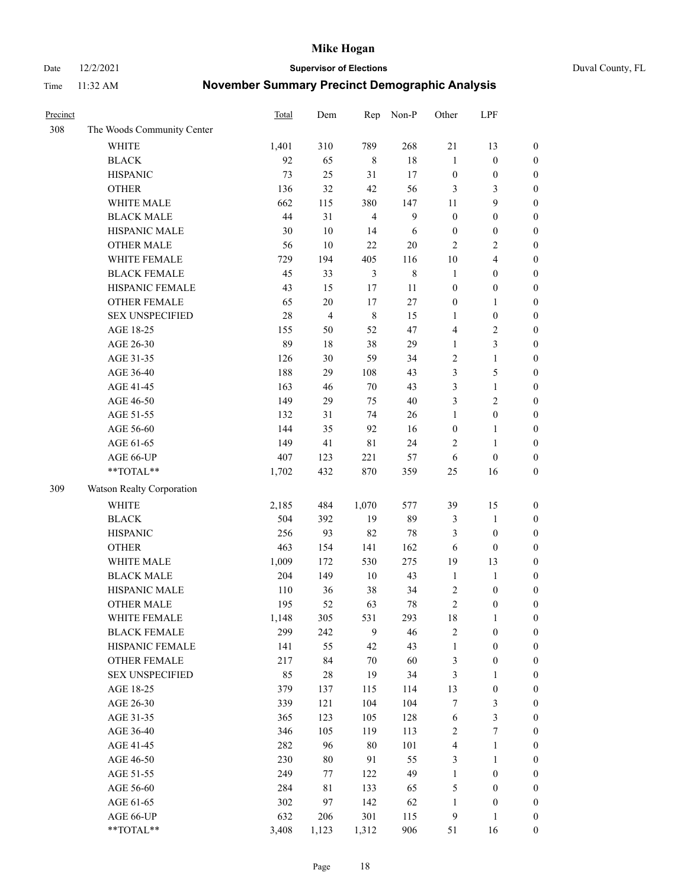Date 12/2/2021 **Supervisor of Elections** Duval County, FL

| Precinct |                            | Total      | Dem            | Rep            | Non-P       | Other                            | LPF                              |                  |
|----------|----------------------------|------------|----------------|----------------|-------------|----------------------------------|----------------------------------|------------------|
| 308      | The Woods Community Center |            |                |                |             |                                  |                                  |                  |
|          | <b>WHITE</b>               | 1,401      | 310            | 789            | 268         | 21                               | 13                               | $\boldsymbol{0}$ |
|          | <b>BLACK</b>               | 92         | 65             | $\,8\,$        | $18\,$      | $\mathbf{1}$                     | $\boldsymbol{0}$                 | $\boldsymbol{0}$ |
|          | <b>HISPANIC</b>            | 73         | 25             | 31             | 17          | $\boldsymbol{0}$                 | $\boldsymbol{0}$                 | $\boldsymbol{0}$ |
|          | <b>OTHER</b>               | 136        | 32             | 42             | 56          | 3                                | 3                                | $\boldsymbol{0}$ |
|          | WHITE MALE                 | 662        | 115            | 380            | 147         | 11                               | 9                                | $\boldsymbol{0}$ |
|          | <b>BLACK MALE</b>          | 44         | 31             | $\overline{4}$ | 9           | $\boldsymbol{0}$                 | $\boldsymbol{0}$                 | $\boldsymbol{0}$ |
|          | HISPANIC MALE              | 30         | $10\,$         | 14             | 6           | $\boldsymbol{0}$                 | $\boldsymbol{0}$                 | $\boldsymbol{0}$ |
|          | <b>OTHER MALE</b>          | 56         | 10             | 22             | $20\,$      | $\overline{c}$                   | $\overline{2}$                   | $\boldsymbol{0}$ |
|          | WHITE FEMALE               | 729        | 194            | 405            | 116         | $10\,$                           | $\overline{4}$                   | $\boldsymbol{0}$ |
|          | <b>BLACK FEMALE</b>        | 45         | 33             | $\mathfrak{Z}$ | $\,$ 8 $\,$ | $\mathbf{1}$                     | $\boldsymbol{0}$                 | $\boldsymbol{0}$ |
|          | HISPANIC FEMALE            | 43         | 15             | 17             | 11          | $\boldsymbol{0}$                 | $\boldsymbol{0}$                 | 0                |
|          | <b>OTHER FEMALE</b>        | 65         | $20\,$         | 17             | 27          | $\boldsymbol{0}$                 | $\mathbf{1}$                     | $\boldsymbol{0}$ |
|          | <b>SEX UNSPECIFIED</b>     | 28         | $\overline{4}$ | $\,$ 8 $\,$    | 15          | $\mathbf{1}$                     | $\boldsymbol{0}$                 | $\boldsymbol{0}$ |
|          | AGE 18-25                  | 155        | 50             | 52             | 47          | 4                                | $\sqrt{2}$                       | $\boldsymbol{0}$ |
|          | AGE 26-30                  | 89         | 18             | 38             | 29          | $\mathbf{1}$                     | $\mathfrak{Z}$                   | $\boldsymbol{0}$ |
|          | AGE 31-35                  | 126        | 30             | 59             | 34          | $\sqrt{2}$                       | $\mathbf{1}$                     | $\boldsymbol{0}$ |
|          | AGE 36-40                  | 188        | 29             | 108            | 43          | 3                                | $\mathfrak s$                    | $\boldsymbol{0}$ |
|          | AGE 41-45                  | 163        | 46             | $70\,$         | 43          | 3                                | $\mathbf{1}$                     | $\boldsymbol{0}$ |
|          | AGE 46-50                  | 149        | 29             | 75             | $40\,$      | 3                                | $\mathbf{2}$                     | $\boldsymbol{0}$ |
|          | AGE 51-55                  | 132        | 31             | 74             | 26          | $\mathbf{1}$                     | $\boldsymbol{0}$                 | $\boldsymbol{0}$ |
|          | AGE 56-60                  | 144        | 35             | 92             | 16          | $\boldsymbol{0}$                 | $\mathbf{1}$                     | 0                |
|          | AGE 61-65                  | 149        | 41             | $8\sqrt{1}$    | 24          | 2                                | $\mathbf{1}$                     | 0                |
|          | AGE 66-UP                  | 407        | 123            | 221            | 57          | 6                                | $\boldsymbol{0}$                 | $\boldsymbol{0}$ |
|          | $**TOTAL**$                | 1,702      | 432            | 870            | 359         | 25                               | 16                               | $\boldsymbol{0}$ |
| 309      | Watson Realty Corporation  |            |                |                |             |                                  |                                  |                  |
|          |                            |            |                |                |             |                                  |                                  |                  |
|          | <b>WHITE</b>               | 2,185      | 484            | 1,070          | 577         | 39                               | 15                               | $\boldsymbol{0}$ |
|          | <b>BLACK</b>               | 504        | 392            | 19             | 89          | 3                                | $\mathbf{1}$                     | $\boldsymbol{0}$ |
|          | <b>HISPANIC</b>            | 256        | 93             | 82             | 78          | 3                                | $\boldsymbol{0}$                 | $\boldsymbol{0}$ |
|          | <b>OTHER</b>               | 463        | 154            | 141            | 162         | 6                                | $\boldsymbol{0}$                 | $\boldsymbol{0}$ |
|          | WHITE MALE                 | 1,009      | 172            | 530            | 275         | 19                               | 13                               | $\boldsymbol{0}$ |
|          | <b>BLACK MALE</b>          | 204        | 149            | $10\,$         | 43          | $\mathbf{1}$                     | $\mathbf{1}$                     | $\boldsymbol{0}$ |
|          | HISPANIC MALE              | 110        | 36             | 38             | 34          | $\overline{c}$<br>$\overline{c}$ | $\boldsymbol{0}$                 | $\boldsymbol{0}$ |
|          | <b>OTHER MALE</b>          | 195        | 52             | 63             | 78          |                                  | $\boldsymbol{0}$                 | $\boldsymbol{0}$ |
|          | WHITE FEMALE               | 1,148      | 305            | 531            | 293         | 18                               | 1                                | 0                |
|          | <b>BLACK FEMALE</b>        | 299        | 242            | 9              | 46          | $\sqrt{2}$                       | $\boldsymbol{0}$                 | $\boldsymbol{0}$ |
|          | HISPANIC FEMALE            | 141        | 55             | 42             | 43          | $\mathbf{1}$                     | $\boldsymbol{0}$                 | $\overline{0}$   |
|          | OTHER FEMALE               | 217        | 84             | 70             | 60          | 3                                | $\boldsymbol{0}$                 | $\overline{0}$   |
|          | <b>SEX UNSPECIFIED</b>     | 85         | 28             | 19             | 34          | 3                                | $\mathbf{1}$                     | 0                |
|          | AGE 18-25                  | 379        | 137            | 115            | 114         | 13                               | $\boldsymbol{0}$                 | $\overline{0}$   |
|          | AGE 26-30                  | 339<br>365 | 121<br>123     | 104            | 104<br>128  | 7                                | $\mathfrak{Z}$<br>$\mathfrak{Z}$ | 0                |
|          | AGE 31-35                  |            |                | 105            |             | 6                                |                                  | 0                |
|          | AGE 36-40                  | 346<br>282 | 105<br>96      | 119<br>$80\,$  | 113<br>101  | $\overline{c}$<br>$\overline{4}$ | $\boldsymbol{7}$<br>$\mathbf{1}$ | 0                |
|          | AGE 41-45                  |            |                |                |             |                                  |                                  | 0                |
|          | AGE 46-50                  | 230        | 80             | 91             | 55          | 3                                | $\mathbf{1}$                     | 0                |
|          | AGE 51-55                  | 249<br>284 | 77             | 122            | 49          | $\mathbf{1}$                     | $\boldsymbol{0}$                 | 0                |
|          | AGE 56-60                  |            | 81             | 133            | 65          | 5                                | $\boldsymbol{0}$                 | $\boldsymbol{0}$ |
|          | AGE 61-65<br>AGE 66-UP     | 302        | 97             | 142            | 62          | $\mathbf{1}$                     | $\boldsymbol{0}$                 | $\boldsymbol{0}$ |
|          |                            | 632        | 206            | 301            | 115         | $\overline{9}$                   | $\mathbf{1}$                     | $\boldsymbol{0}$ |
|          | **TOTAL**                  | 3,408      | 1,123          | 1,312          | 906         | 51                               | 16                               | $\boldsymbol{0}$ |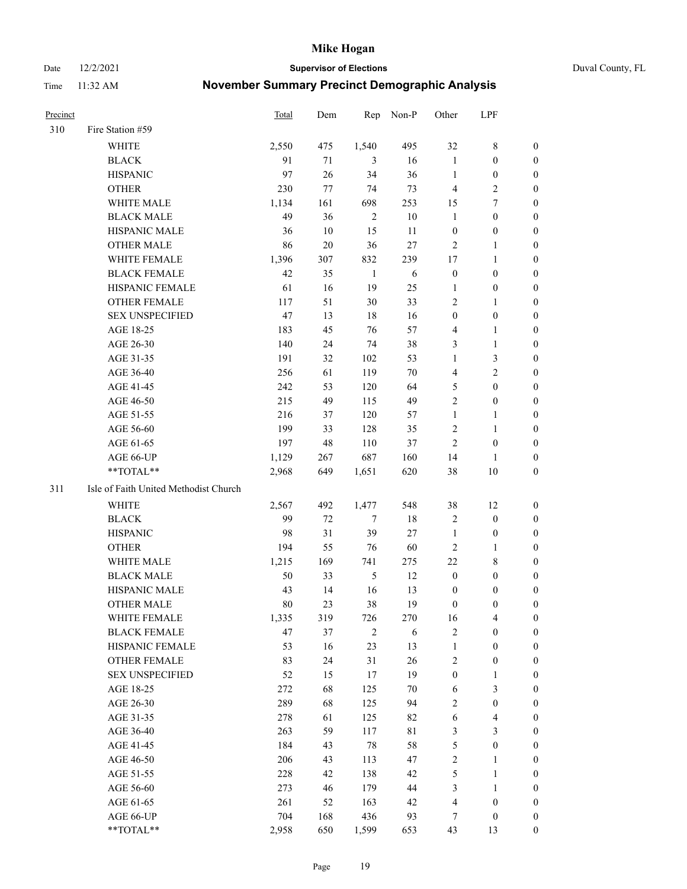Date 12/2/2021 **Supervisor of Elections** Duval County, FL

| Precinct |                                       | <b>Total</b> | Dem | Rep          | Non-P       | Other            | LPF                     |                  |
|----------|---------------------------------------|--------------|-----|--------------|-------------|------------------|-------------------------|------------------|
| 310      | Fire Station #59                      |              |     |              |             |                  |                         |                  |
|          | <b>WHITE</b>                          | 2,550        | 475 | 1,540        | 495         | 32               | $8\,$                   | 0                |
|          | <b>BLACK</b>                          | 91           | 71  | 3            | 16          | $\mathbf{1}$     | $\boldsymbol{0}$        | 0                |
|          | <b>HISPANIC</b>                       | 97           | 26  | 34           | 36          | $\mathbf{1}$     | $\boldsymbol{0}$        | 0                |
|          | <b>OTHER</b>                          | 230          | 77  | 74           | 73          | 4                | $\sqrt{2}$              | $\boldsymbol{0}$ |
|          | WHITE MALE                            | 1,134        | 161 | 698          | 253         | 15               | $\tau$                  | $\boldsymbol{0}$ |
|          | <b>BLACK MALE</b>                     | 49           | 36  | $\sqrt{2}$   | $10\,$      | $\mathbf{1}$     | $\boldsymbol{0}$        | 0                |
|          | HISPANIC MALE                         | 36           | 10  | 15           | 11          | $\boldsymbol{0}$ | $\boldsymbol{0}$        | $\boldsymbol{0}$ |
|          | <b>OTHER MALE</b>                     | 86           | 20  | 36           | 27          | $\mathbf{2}$     | $\mathbf{1}$            | 0                |
|          | WHITE FEMALE                          | 1,396        | 307 | 832          | 239         | 17               | $\mathbf{1}$            | 0                |
|          | <b>BLACK FEMALE</b>                   | 42           | 35  | $\mathbf{1}$ | 6           | $\boldsymbol{0}$ | $\boldsymbol{0}$        | 0                |
|          | HISPANIC FEMALE                       | 61           | 16  | 19           | 25          | $\mathbf{1}$     | $\boldsymbol{0}$        | 0                |
|          | OTHER FEMALE                          | 117          | 51  | 30           | 33          | 2                | $\mathbf{1}$            | 0                |
|          | <b>SEX UNSPECIFIED</b>                | 47           | 13  | 18           | 16          | $\boldsymbol{0}$ | $\boldsymbol{0}$        | $\boldsymbol{0}$ |
|          | AGE 18-25                             | 183          | 45  | 76           | 57          | 4                | 1                       | $\boldsymbol{0}$ |
|          | AGE 26-30                             | 140          | 24  | 74           | 38          | 3                | $\mathbf{1}$            | $\boldsymbol{0}$ |
|          | AGE 31-35                             | 191          | 32  | 102          | 53          | $\mathbf{1}$     | $\mathfrak{Z}$          | $\boldsymbol{0}$ |
|          | AGE 36-40                             | 256          | 61  | 119          | $70\,$      | 4                | $\mathbf{2}$            | $\boldsymbol{0}$ |
|          | AGE 41-45                             | 242          | 53  | 120          | 64          | 5                | $\boldsymbol{0}$        | $\boldsymbol{0}$ |
|          | AGE 46-50                             | 215          | 49  | 115          | 49          | $\overline{c}$   | $\boldsymbol{0}$        | 0                |
|          | AGE 51-55                             | 216          | 37  | 120          | 57          | $\mathbf{1}$     | $\mathbf{1}$            | 0                |
|          | AGE 56-60                             | 199          | 33  | 128          | 35          | 2                | $\mathbf{1}$            | 0                |
|          | AGE 61-65                             | 197          | 48  | 110          | 37          | $\mathbf{2}$     | $\boldsymbol{0}$        | 0                |
|          | AGE 66-UP                             | 1,129        | 267 | 687          | 160         | 14               | 1                       | 0                |
|          | **TOTAL**                             | 2,968        | 649 | 1,651        | 620         | 38               | $10\,$                  | $\boldsymbol{0}$ |
| 311      | Isle of Faith United Methodist Church |              |     |              |             |                  |                         |                  |
|          | <b>WHITE</b>                          | 2,567        | 492 | 1,477        | 548         | 38               | 12                      | $\boldsymbol{0}$ |
|          | <b>BLACK</b>                          | 99           | 72  | $\tau$       | 18          | $\sqrt{2}$       | $\boldsymbol{0}$        | $\boldsymbol{0}$ |
|          | <b>HISPANIC</b>                       | 98           | 31  | 39           | $27\,$      | $\mathbf{1}$     | $\boldsymbol{0}$        | 0                |
|          | <b>OTHER</b>                          | 194          | 55  | 76           | 60          | $\mathbf{2}$     | $\mathbf{1}$            | $\boldsymbol{0}$ |
|          | <b>WHITE MALE</b>                     | 1,215        | 169 | 741          | 275         | $22\,$           | 8                       | $\boldsymbol{0}$ |
|          | <b>BLACK MALE</b>                     | 50           | 33  | $\sqrt{5}$   | 12          | $\boldsymbol{0}$ | $\boldsymbol{0}$        | 0                |
|          | HISPANIC MALE                         | 43           | 14  | 16           | 13          | $\boldsymbol{0}$ | $\boldsymbol{0}$        | 0                |
|          | <b>OTHER MALE</b>                     | 80           | 23  | 38           | 19          | $\boldsymbol{0}$ | $\boldsymbol{0}$        | 0                |
|          | WHITE FEMALE                          | 1,335        | 319 | 726          | 270         | 16               | 4                       | 0                |
|          | <b>BLACK FEMALE</b>                   | 47           | 37  | $\sqrt{2}$   | 6           | 2                | $\boldsymbol{0}$        | $\overline{0}$   |
|          | HISPANIC FEMALE                       | 53           | 16  | 23           | 13          | $\mathbf{1}$     | $\boldsymbol{0}$        | $\overline{0}$   |
|          | <b>OTHER FEMALE</b>                   | 83           | 24  | 31           | 26          | 2                | $\boldsymbol{0}$        | 0                |
|          | <b>SEX UNSPECIFIED</b>                | 52           | 15  | 17           | 19          | $\boldsymbol{0}$ | $\mathbf{1}$            | 0                |
|          | AGE 18-25                             | 272          | 68  | 125          | 70          | 6                | $\mathfrak{Z}$          | 0                |
|          | AGE 26-30                             | 289          | 68  | 125          | 94          | $\overline{c}$   | $\boldsymbol{0}$        | 0                |
|          | AGE 31-35                             | 278          | 61  | 125          | 82          | 6                | $\overline{\mathbf{4}}$ | 0                |
|          | AGE 36-40                             | 263          | 59  | 117          | $8\sqrt{1}$ | 3                | $\mathfrak{Z}$          | 0                |
|          | AGE 41-45                             | 184          | 43  | 78           | 58          | 5                | $\boldsymbol{0}$        | 0                |
|          | AGE 46-50                             | 206          | 43  | 113          | 47          | 2                | $\mathbf{1}$            | 0                |
|          | AGE 51-55                             | 228          | 42  | 138          | 42          | 5                | $\mathbf{1}$            | 0                |
|          | AGE 56-60                             | 273          | 46  | 179          | 44          | 3                | $\mathbf{1}$            | 0                |
|          | AGE 61-65                             | 261          | 52  | 163          | 42          | 4                | $\boldsymbol{0}$        | 0                |
|          | AGE 66-UP                             | 704          | 168 | 436          | 93          | 7                | $\boldsymbol{0}$        | 0                |
|          | **TOTAL**                             | 2,958        | 650 | 1,599        | 653         | 43               | 13                      | $\boldsymbol{0}$ |
|          |                                       |              |     |              |             |                  |                         |                  |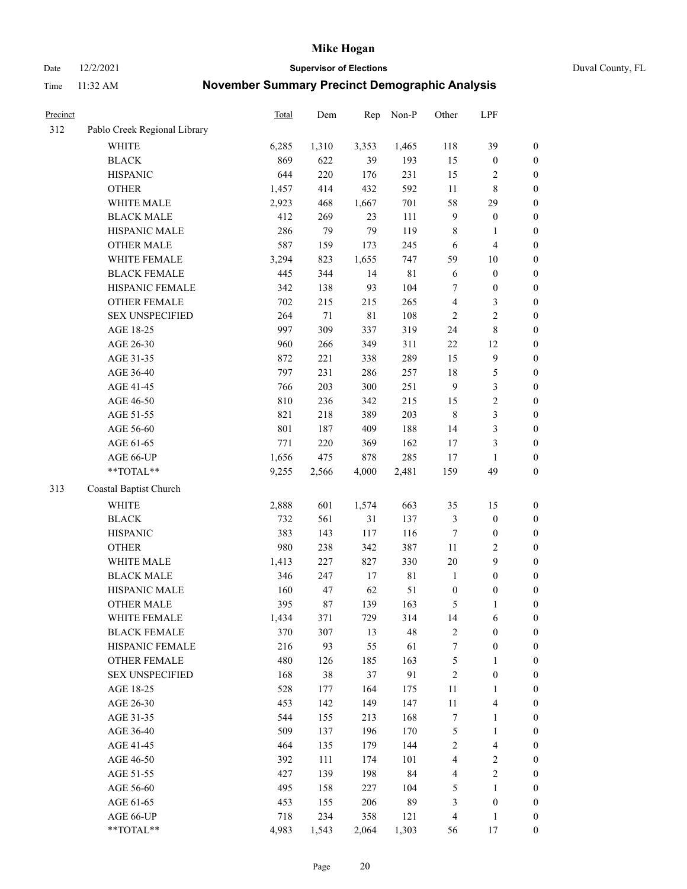Date 12/2/2021 **Supervisor of Elections** Duval County, FL

| Precinct |                              | Total | Dem    | Rep         | Non-P       | Other            | LPF                     |                  |
|----------|------------------------------|-------|--------|-------------|-------------|------------------|-------------------------|------------------|
| 312      | Pablo Creek Regional Library |       |        |             |             |                  |                         |                  |
|          | <b>WHITE</b>                 | 6,285 | 1,310  | 3,353       | 1,465       | 118              | 39                      | 0                |
|          | <b>BLACK</b>                 | 869   | 622    | 39          | 193         | 15               | $\boldsymbol{0}$        | $\boldsymbol{0}$ |
|          | <b>HISPANIC</b>              | 644   | 220    | 176         | 231         | 15               | $\overline{c}$          | $\boldsymbol{0}$ |
|          | <b>OTHER</b>                 | 1,457 | 414    | 432         | 592         | $11\,$           | $8\,$                   | $\boldsymbol{0}$ |
|          | WHITE MALE                   | 2,923 | 468    | 1,667       | 701         | 58               | 29                      | $\boldsymbol{0}$ |
|          | <b>BLACK MALE</b>            | 412   | 269    | 23          | 111         | $\overline{9}$   | $\boldsymbol{0}$        | $\boldsymbol{0}$ |
|          | HISPANIC MALE                | 286   | 79     | 79          | 119         | $\,$ 8 $\,$      | $\mathbf{1}$            | $\boldsymbol{0}$ |
|          | <b>OTHER MALE</b>            | 587   | 159    | 173         | 245         | 6                | $\overline{4}$          | $\boldsymbol{0}$ |
|          | WHITE FEMALE                 | 3,294 | 823    | 1,655       | 747         | 59               | $10\,$                  | $\boldsymbol{0}$ |
|          | <b>BLACK FEMALE</b>          | 445   | 344    | 14          | 81          | 6                | $\boldsymbol{0}$        | $\boldsymbol{0}$ |
|          | HISPANIC FEMALE              | 342   | 138    | 93          | 104         | 7                | $\boldsymbol{0}$        | 0                |
|          | OTHER FEMALE                 | 702   | 215    | 215         | 265         | 4                | $\mathfrak{Z}$          | $\boldsymbol{0}$ |
|          | <b>SEX UNSPECIFIED</b>       | 264   | $71\,$ | $8\sqrt{1}$ | 108         | $\sqrt{2}$       | $\sqrt{2}$              | $\boldsymbol{0}$ |
|          | AGE 18-25                    | 997   | 309    | 337         | 319         | 24               | $8\,$                   | $\boldsymbol{0}$ |
|          | AGE 26-30                    | 960   | 266    | 349         | 311         | $22\,$           | 12                      | $\boldsymbol{0}$ |
|          | AGE 31-35                    | 872   | 221    | 338         | 289         | 15               | $\boldsymbol{9}$        | $\boldsymbol{0}$ |
|          | AGE 36-40                    | 797   | 231    | 286         | 257         | 18               | $\mathfrak s$           | $\boldsymbol{0}$ |
|          | AGE 41-45                    | 766   | 203    | 300         | 251         | $\overline{9}$   | $\mathfrak{Z}$          | $\boldsymbol{0}$ |
|          | AGE 46-50                    | 810   | 236    | 342         | 215         | 15               | $\sqrt{2}$              | $\boldsymbol{0}$ |
|          | AGE 51-55                    | 821   | 218    | 389         | 203         | $\,$ 8 $\,$      | $\mathfrak{Z}$          | $\boldsymbol{0}$ |
|          | AGE 56-60                    | 801   | 187    | 409         | 188         | 14               | $\mathfrak{Z}$          | 0                |
|          | AGE 61-65                    | 771   | 220    | 369         | 162         | 17               | $\mathfrak{Z}$          | $\boldsymbol{0}$ |
|          | AGE 66-UP                    | 1,656 | 475    | 878         | 285         | 17               | $\mathbf{1}$            | $\boldsymbol{0}$ |
|          | **TOTAL**                    | 9,255 | 2,566  | 4,000       | 2,481       | 159              | 49                      | $\boldsymbol{0}$ |
| 313      | Coastal Baptist Church       |       |        |             |             |                  |                         |                  |
|          | <b>WHITE</b>                 | 2,888 | 601    | 1,574       | 663         | 35               | 15                      | $\boldsymbol{0}$ |
|          | <b>BLACK</b>                 | 732   | 561    | 31          | 137         | 3                | $\boldsymbol{0}$        | $\boldsymbol{0}$ |
|          | <b>HISPANIC</b>              | 383   | 143    | 117         | 116         | 7                | $\boldsymbol{0}$        | $\boldsymbol{0}$ |
|          | <b>OTHER</b>                 | 980   | 238    | 342         | 387         | $11\,$           | $\sqrt{2}$              | $\boldsymbol{0}$ |
|          | WHITE MALE                   | 1,413 | 227    | 827         | 330         | 20               | 9                       | $\boldsymbol{0}$ |
|          | <b>BLACK MALE</b>            | 346   | 247    | 17          | $8\sqrt{1}$ | $\mathbf{1}$     | $\boldsymbol{0}$        | $\boldsymbol{0}$ |
|          | HISPANIC MALE                | 160   | 47     | 62          | 51          | $\boldsymbol{0}$ | $\boldsymbol{0}$        | $\boldsymbol{0}$ |
|          | <b>OTHER MALE</b>            | 395   | 87     | 139         | 163         | 5                | $\mathbf{1}$            | $\boldsymbol{0}$ |
|          | WHITE FEMALE                 | 1,434 | 371    | 729         | 314         | 14               | 6                       | 0                |
|          | <b>BLACK FEMALE</b>          | 370   | 307    | 13          | 48          | 2                | $\boldsymbol{0}$        | $\boldsymbol{0}$ |
|          | HISPANIC FEMALE              | 216   | 93     | 55          | 61          | 7                | $\boldsymbol{0}$        | $\overline{0}$   |
|          | OTHER FEMALE                 | 480   | 126    | 185         | 163         | 5                | $\mathbf{1}$            | $\overline{0}$   |
|          | <b>SEX UNSPECIFIED</b>       | 168   | 38     | 37          | 91          | $\overline{c}$   | $\boldsymbol{0}$        | 0                |
|          | AGE 18-25                    | 528   | 177    | 164         | 175         | 11               | $\mathbf{1}$            | 0                |
|          | AGE 26-30                    | 453   | 142    | 149         | 147         | $11\,$           | $\overline{\mathbf{4}}$ | 0                |
|          | AGE 31-35                    | 544   | 155    | 213         | 168         | 7                | $\mathbf{1}$            | 0                |
|          | AGE 36-40                    | 509   | 137    | 196         | 170         | 5                | $\mathbf{1}$            | 0                |
|          | AGE 41-45                    | 464   | 135    | 179         | 144         | 2                | $\overline{\mathbf{4}}$ | 0                |
|          | AGE 46-50                    | 392   | 111    | 174         | 101         | 4                | $\overline{c}$          | 0                |
|          | AGE 51-55                    | 427   | 139    | 198         | 84          | 4                | $\sqrt{2}$              | $\boldsymbol{0}$ |
|          | AGE 56-60                    | 495   | 158    | 227         | 104         | 5                | 1                       | $\boldsymbol{0}$ |
|          | AGE 61-65                    | 453   | 155    | 206         | 89          | 3                | $\boldsymbol{0}$        | $\boldsymbol{0}$ |
|          | AGE 66-UP                    | 718   | 234    | 358         | 121         | $\overline{4}$   | $\mathbf{1}$            | $\boldsymbol{0}$ |
|          | **TOTAL**                    | 4,983 | 1,543  | 2,064       | 1,303       | 56               | 17                      | $\boldsymbol{0}$ |
|          |                              |       |        |             |             |                  |                         |                  |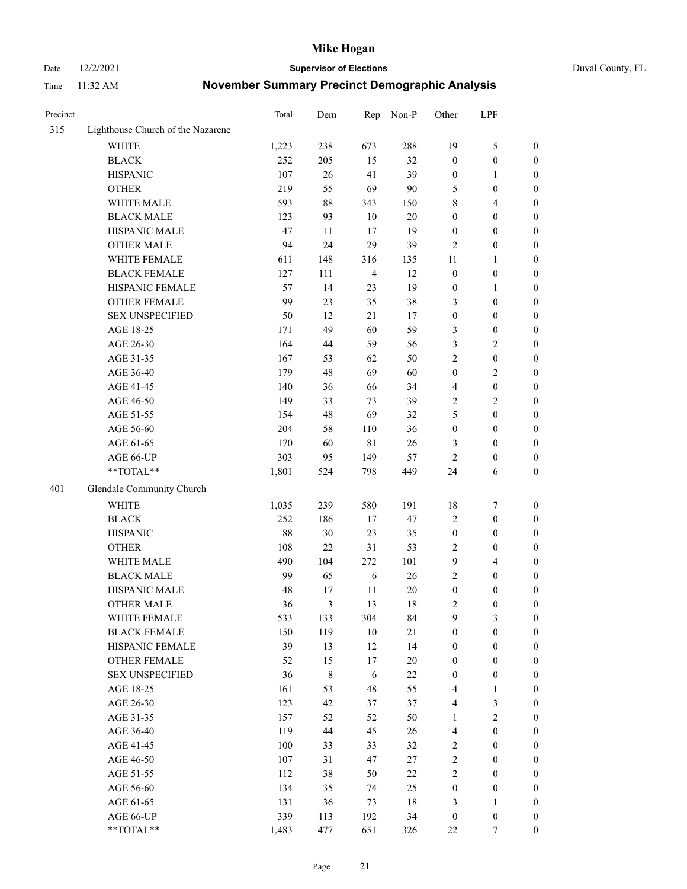Date 12/2/2021 **Supervisor of Elections** Duval County, FL

| Precinct |                                   | Total | Dem       | Rep            | Non-P  | Other                   | LPF              |                  |
|----------|-----------------------------------|-------|-----------|----------------|--------|-------------------------|------------------|------------------|
| 315      | Lighthouse Church of the Nazarene |       |           |                |        |                         |                  |                  |
|          | <b>WHITE</b>                      | 1,223 | 238       | 673            | 288    | 19                      | $\mathfrak{S}$   | 0                |
|          | <b>BLACK</b>                      | 252   | 205       | 15             | 32     | $\boldsymbol{0}$        | $\boldsymbol{0}$ | 0                |
|          | <b>HISPANIC</b>                   | 107   | $26\,$    | 41             | 39     | $\boldsymbol{0}$        | $\mathbf{1}$     | $\boldsymbol{0}$ |
|          | <b>OTHER</b>                      | 219   | 55        | 69             | 90     | 5                       | $\boldsymbol{0}$ | $\boldsymbol{0}$ |
|          | WHITE MALE                        | 593   | $88\,$    | 343            | 150    | 8                       | $\overline{4}$   | $\boldsymbol{0}$ |
|          | <b>BLACK MALE</b>                 | 123   | 93        | 10             | 20     | $\boldsymbol{0}$        | $\boldsymbol{0}$ | $\boldsymbol{0}$ |
|          | HISPANIC MALE                     | 47    | 11        | 17             | 19     | $\boldsymbol{0}$        | $\boldsymbol{0}$ | $\boldsymbol{0}$ |
|          | <b>OTHER MALE</b>                 | 94    | 24        | 29             | 39     | $\overline{c}$          | $\boldsymbol{0}$ | $\boldsymbol{0}$ |
|          | WHITE FEMALE                      | 611   | 148       | 316            | 135    | 11                      | $\mathbf{1}$     | $\boldsymbol{0}$ |
|          | <b>BLACK FEMALE</b>               | 127   | 111       | $\overline{4}$ | 12     | $\boldsymbol{0}$        | $\boldsymbol{0}$ | 0                |
|          | HISPANIC FEMALE                   | 57    | 14        | 23             | 19     | $\boldsymbol{0}$        | $\mathbf{1}$     | 0                |
|          | <b>OTHER FEMALE</b>               | 99    | 23        | 35             | 38     | 3                       | $\boldsymbol{0}$ | $\boldsymbol{0}$ |
|          | <b>SEX UNSPECIFIED</b>            | 50    | 12        | 21             | 17     | $\boldsymbol{0}$        | $\boldsymbol{0}$ | $\boldsymbol{0}$ |
|          | AGE 18-25                         | 171   | 49        | 60             | 59     | 3                       | $\boldsymbol{0}$ | $\boldsymbol{0}$ |
|          | AGE 26-30                         | 164   | 44        | 59             | 56     | 3                       | $\sqrt{2}$       | $\boldsymbol{0}$ |
|          | AGE 31-35                         | 167   | 53        | 62             | 50     | $\mathfrak{2}$          | $\boldsymbol{0}$ | $\boldsymbol{0}$ |
|          | AGE 36-40                         | 179   | 48        | 69             | 60     | $\boldsymbol{0}$        | $\sqrt{2}$       | $\boldsymbol{0}$ |
|          | AGE 41-45                         | 140   | 36        | 66             | 34     | $\overline{4}$          | $\boldsymbol{0}$ | $\boldsymbol{0}$ |
|          | AGE 46-50                         | 149   | 33        | 73             | 39     | 2                       | $\overline{2}$   | $\overline{0}$   |
|          | AGE 51-55                         | 154   | 48        | 69             | 32     | 5                       | $\boldsymbol{0}$ | $\boldsymbol{0}$ |
|          | AGE 56-60                         | 204   | 58        | 110            | 36     | $\boldsymbol{0}$        | $\boldsymbol{0}$ | 0                |
|          | AGE 61-65                         | 170   | 60        | $8\sqrt{1}$    | 26     | 3                       | $\boldsymbol{0}$ | 0                |
|          | AGE 66-UP                         | 303   | 95        | 149            | 57     | $\mathbf{2}$            | $\boldsymbol{0}$ | $\boldsymbol{0}$ |
|          | **TOTAL**                         | 1,801 | 524       | 798            | 449    | 24                      | 6                | $\boldsymbol{0}$ |
| 401      | Glendale Community Church         |       |           |                |        |                         |                  |                  |
|          | <b>WHITE</b>                      | 1,035 | 239       | 580            | 191    | 18                      | $\boldsymbol{7}$ | $\boldsymbol{0}$ |
|          | <b>BLACK</b>                      | 252   | 186       | 17             | 47     | 2                       | $\boldsymbol{0}$ | $\boldsymbol{0}$ |
|          | <b>HISPANIC</b>                   | 88    | 30        | 23             | 35     | $\boldsymbol{0}$        | $\boldsymbol{0}$ | $\boldsymbol{0}$ |
|          | <b>OTHER</b>                      | 108   | 22        | 31             | 53     | 2                       | $\boldsymbol{0}$ | $\boldsymbol{0}$ |
|          | WHITE MALE                        | 490   | 104       | 272            | 101    | 9                       | $\overline{4}$   | $\boldsymbol{0}$ |
|          | <b>BLACK MALE</b>                 | 99    | 65        | 6              | 26     | $\mathfrak{2}$          | $\boldsymbol{0}$ | $\boldsymbol{0}$ |
|          | HISPANIC MALE                     | 48    | 17        | 11             | $20\,$ | $\boldsymbol{0}$        | $\boldsymbol{0}$ | 0                |
|          | <b>OTHER MALE</b>                 | 36    | 3         | 13             | 18     | 2                       | $\boldsymbol{0}$ | $\boldsymbol{0}$ |
|          | WHITE FEMALE                      | 533   | 133       | 304            | 84     | 9                       | 3                | 0                |
|          | <b>BLACK FEMALE</b>               | 150   | 119       | 10             | 21     | $\boldsymbol{0}$        | $\boldsymbol{0}$ | $\boldsymbol{0}$ |
|          | HISPANIC FEMALE                   | 39    | 13        | 12             | 14     | $\boldsymbol{0}$        | $\boldsymbol{0}$ | $\overline{0}$   |
|          | OTHER FEMALE                      | 52    | 15        | 17             | $20\,$ | $\boldsymbol{0}$        | $\boldsymbol{0}$ | $\overline{0}$   |
|          | <b>SEX UNSPECIFIED</b>            | 36    | $\,$ $\,$ | 6              | $22\,$ | $\boldsymbol{0}$        | $\boldsymbol{0}$ | 0                |
|          | AGE 18-25                         | 161   | 53        | 48             | 55     | 4                       | $\mathbf{1}$     | 0                |
|          | AGE 26-30                         | 123   | 42        | 37             | 37     | $\overline{\mathbf{4}}$ | $\mathfrak{Z}$   | 0                |
|          | AGE 31-35                         | 157   | 52        | 52             | 50     | $\mathbf{1}$            | $\sqrt{2}$       | 0                |
|          | AGE 36-40                         | 119   | 44        | 45             | 26     | $\overline{\mathbf{4}}$ | $\boldsymbol{0}$ | 0                |
|          | AGE 41-45                         | 100   | 33        | 33             | 32     | $\overline{c}$          | $\boldsymbol{0}$ | 0                |
|          | AGE 46-50                         | 107   | 31        | 47             | 27     | 2                       | $\boldsymbol{0}$ | 0                |
|          | AGE 51-55                         | 112   | 38        | 50             | $22\,$ | $\overline{c}$          | $\boldsymbol{0}$ | $\boldsymbol{0}$ |
|          | AGE 56-60                         | 134   | 35        | 74             | 25     | $\boldsymbol{0}$        | $\boldsymbol{0}$ | $\boldsymbol{0}$ |
|          | AGE 61-65                         | 131   | 36        | 73             | $18\,$ | 3                       | $\mathbf{1}$     | $\boldsymbol{0}$ |
|          | AGE 66-UP                         | 339   | 113       | 192            | 34     | $\boldsymbol{0}$        | $\boldsymbol{0}$ | 0                |
|          | **TOTAL**                         | 1,483 | 477       | 651            | 326    | 22                      | 7                | $\boldsymbol{0}$ |
|          |                                   |       |           |                |        |                         |                  |                  |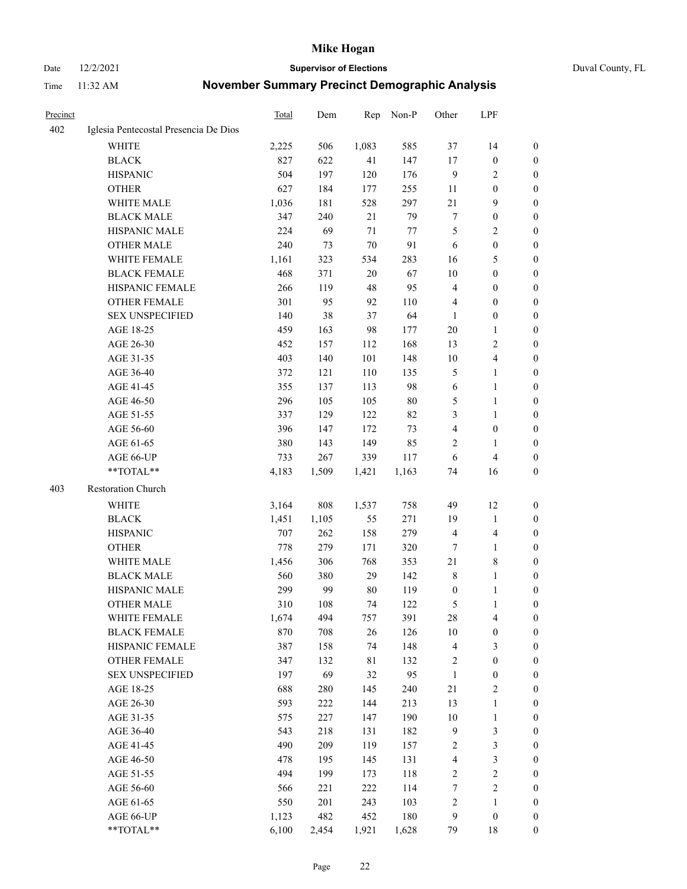Date 12/2/2021 **Supervisor of Elections** Duval County, FL

| Precinct |                                       | Total | Dem   | Rep    | Non-P  | Other                   | LPF                     |                  |
|----------|---------------------------------------|-------|-------|--------|--------|-------------------------|-------------------------|------------------|
| 402      | Iglesia Pentecostal Presencia De Dios |       |       |        |        |                         |                         |                  |
|          | <b>WHITE</b>                          | 2,225 | 506   | 1,083  | 585    | 37                      | 14                      | 0                |
|          | <b>BLACK</b>                          | 827   | 622   | 41     | 147    | 17                      | $\boldsymbol{0}$        | $\boldsymbol{0}$ |
|          | <b>HISPANIC</b>                       | 504   | 197   | 120    | 176    | 9                       | $\sqrt{2}$              | $\boldsymbol{0}$ |
|          | <b>OTHER</b>                          | 627   | 184   | 177    | 255    | 11                      | $\boldsymbol{0}$        | $\boldsymbol{0}$ |
|          | WHITE MALE                            | 1,036 | 181   | 528    | 297    | 21                      | $\mathbf{9}$            | $\boldsymbol{0}$ |
|          | <b>BLACK MALE</b>                     | 347   | 240   | 21     | 79     | 7                       | $\boldsymbol{0}$        | $\boldsymbol{0}$ |
|          | HISPANIC MALE                         | 224   | 69    | 71     | 77     | 5                       | $\sqrt{2}$              | $\boldsymbol{0}$ |
|          | <b>OTHER MALE</b>                     | 240   | 73    | $70\,$ | 91     | 6                       | $\boldsymbol{0}$        | $\boldsymbol{0}$ |
|          | <b>WHITE FEMALE</b>                   | 1,161 | 323   | 534    | 283    | 16                      | $\mathfrak{S}$          | 0                |
|          | <b>BLACK FEMALE</b>                   | 468   | 371   | 20     | 67     | 10                      | $\boldsymbol{0}$        | 0                |
|          | HISPANIC FEMALE                       | 266   | 119   | 48     | 95     | 4                       | $\boldsymbol{0}$        | 0                |
|          | OTHER FEMALE                          | 301   | 95    | 92     | 110    | 4                       | $\boldsymbol{0}$        | $\boldsymbol{0}$ |
|          | <b>SEX UNSPECIFIED</b>                | 140   | 38    | 37     | 64     | 1                       | $\boldsymbol{0}$        | $\boldsymbol{0}$ |
|          | AGE 18-25                             | 459   | 163   | 98     | 177    | 20                      | $\mathbf{1}$            | $\boldsymbol{0}$ |
|          | AGE 26-30                             | 452   | 157   | 112    | 168    | 13                      | $\mathfrak{2}$          | $\boldsymbol{0}$ |
|          | AGE 31-35                             | 403   | 140   | 101    | 148    | 10                      | $\overline{\mathbf{4}}$ | $\boldsymbol{0}$ |
|          | AGE 36-40                             | 372   | 121   | 110    | 135    | 5                       | $\mathbf{1}$            | $\boldsymbol{0}$ |
|          | AGE 41-45                             | 355   | 137   | 113    | 98     | 6                       | $\mathbf{1}$            | $\boldsymbol{0}$ |
|          | AGE 46-50                             | 296   | 105   | 105    | $80\,$ | 5                       | $\mathbf{1}$            | 0                |
|          | AGE 51-55                             | 337   | 129   | 122    | 82     | 3                       | $\mathbf{1}$            | 0                |
|          | AGE 56-60                             | 396   | 147   | 172    | 73     | 4                       | $\boldsymbol{0}$        | 0                |
|          | AGE 61-65                             | 380   | 143   | 149    | 85     | 2                       | $\mathbf{1}$            | 0                |
|          | AGE 66-UP                             | 733   | 267   | 339    | 117    | 6                       | $\overline{\mathbf{4}}$ | 0                |
|          | **TOTAL**                             | 4,183 | 1,509 | 1,421  | 1,163  | 74                      | 16                      | $\boldsymbol{0}$ |
| 403      | Restoration Church                    |       |       |        |        |                         |                         |                  |
|          | WHITE                                 | 3,164 | 808   | 1,537  | 758    | 49                      | 12                      | $\boldsymbol{0}$ |
|          | <b>BLACK</b>                          | 1,451 | 1,105 | 55     | 271    | 19                      | $\mathbf{1}$            | $\boldsymbol{0}$ |
|          | <b>HISPANIC</b>                       | 707   | 262   | 158    | 279    | 4                       | $\overline{\mathbf{4}}$ | $\boldsymbol{0}$ |
|          | <b>OTHER</b>                          | 778   | 279   | 171    | 320    | 7                       | $\mathbf{1}$            | $\overline{0}$   |
|          | WHITE MALE                            | 1,456 | 306   | 768    | 353    | 21                      | 8                       | $\overline{0}$   |
|          | <b>BLACK MALE</b>                     | 560   | 380   | 29     | 142    | 8                       | $\mathbf{1}$            | 0                |
|          | HISPANIC MALE                         | 299   | 99    | 80     | 119    | $\boldsymbol{0}$        | $\mathbf{1}$            | 0                |
|          | <b>OTHER MALE</b>                     | 310   | 108   | 74     | 122    | 5                       | $\mathbf{1}$            | $\boldsymbol{0}$ |
|          | WHITE FEMALE                          | 1,674 | 494   | 757    | 391    | 28                      | $\overline{\mathbf{4}}$ | $\boldsymbol{0}$ |
|          | <b>BLACK FEMALE</b>                   | 870   | 708   | 26     | 126    | $10\,$                  | $\boldsymbol{0}$        | $\boldsymbol{0}$ |
|          | HISPANIC FEMALE                       | 387   | 158   | 74     | 148    | 4                       | $\mathfrak{Z}$          | $\overline{0}$   |
|          | OTHER FEMALE                          | 347   | 132   | 81     | 132    | 2                       | $\boldsymbol{0}$        | 0                |
|          | <b>SEX UNSPECIFIED</b>                | 197   | 69    | 32     | 95     | $\mathbf{1}$            | $\boldsymbol{0}$        | 0                |
|          | AGE 18-25                             | 688   | 280   | 145    | 240    | 21                      | $\sqrt{2}$              | 0                |
|          | AGE 26-30                             | 593   | 222   | 144    | 213    | 13                      | $\mathbf{1}$            | 0                |
|          | AGE 31-35                             | 575   | 227   | 147    | 190    | $10\,$                  | $\mathbf{1}$            | 0                |
|          | AGE 36-40                             | 543   | 218   | 131    | 182    | 9                       | $\mathfrak{Z}$          | 0                |
|          | AGE 41-45                             | 490   | 209   | 119    | 157    | $\overline{\mathbf{c}}$ | $\mathfrak{Z}$          | 0                |
|          | AGE 46-50                             | 478   | 195   | 145    | 131    | 4                       | $\mathfrak{Z}$          | 0                |
|          | AGE 51-55                             | 494   | 199   | 173    | 118    | $\sqrt{2}$              | $\sqrt{2}$              | $\boldsymbol{0}$ |
|          | AGE 56-60                             | 566   | 221   | 222    | 114    | 7                       | $\sqrt{2}$              | $\boldsymbol{0}$ |
|          | AGE 61-65                             | 550   | 201   | 243    | 103    | 2                       | $\mathbf{1}$            | $\boldsymbol{0}$ |
|          | AGE 66-UP                             | 1,123 | 482   | 452    | 180    | 9                       | $\boldsymbol{0}$        | 0                |
|          | **TOTAL**                             | 6,100 | 2,454 | 1,921  | 1,628  | 79                      | 18                      | $\boldsymbol{0}$ |
|          |                                       |       |       |        |        |                         |                         |                  |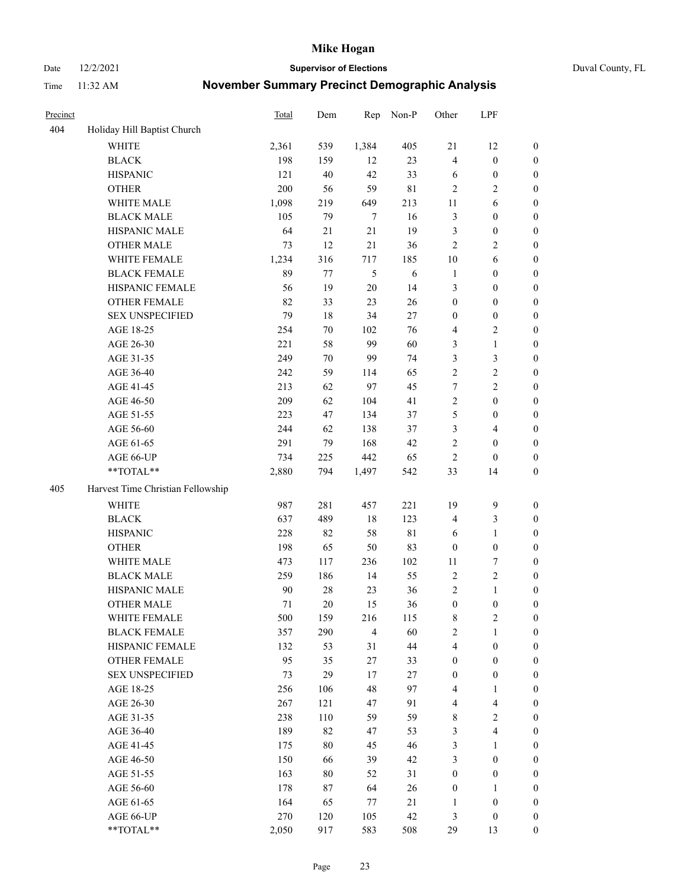Date 12/2/2021 **Supervisor of Elections** Duval County, FL

| Precinct |                                   | <b>Total</b> | Dem    | Rep            | Non-P       | Other            | LPF                     |                  |
|----------|-----------------------------------|--------------|--------|----------------|-------------|------------------|-------------------------|------------------|
| 404      | Holiday Hill Baptist Church       |              |        |                |             |                  |                         |                  |
|          | <b>WHITE</b>                      | 2,361        | 539    | 1,384          | 405         | 21               | 12                      | 0                |
|          | <b>BLACK</b>                      | 198          | 159    | 12             | 23          | $\overline{4}$   | $\boldsymbol{0}$        | $\boldsymbol{0}$ |
|          | <b>HISPANIC</b>                   | 121          | 40     | 42             | 33          | 6                | $\boldsymbol{0}$        | $\boldsymbol{0}$ |
|          | <b>OTHER</b>                      | 200          | 56     | 59             | $8\sqrt{1}$ | $\overline{2}$   | $\sqrt{2}$              | $\boldsymbol{0}$ |
|          | WHITE MALE                        | 1,098        | 219    | 649            | 213         | 11               | 6                       | $\boldsymbol{0}$ |
|          | <b>BLACK MALE</b>                 | 105          | 79     | $\tau$         | 16          | 3                | $\boldsymbol{0}$        | $\boldsymbol{0}$ |
|          | HISPANIC MALE                     | 64           | 21     | 21             | 19          | 3                | $\boldsymbol{0}$        | $\boldsymbol{0}$ |
|          | <b>OTHER MALE</b>                 | 73           | 12     | 21             | 36          | $\mathbf{2}$     | $\overline{2}$          | $\boldsymbol{0}$ |
|          | WHITE FEMALE                      | 1,234        | 316    | 717            | 185         | 10               | 6                       | $\boldsymbol{0}$ |
|          | <b>BLACK FEMALE</b>               | 89           | 77     | $\sqrt{5}$     | 6           | $\mathbf{1}$     | $\boldsymbol{0}$        | $\boldsymbol{0}$ |
|          | HISPANIC FEMALE                   | 56           | 19     | $20\,$         | 14          | 3                | $\boldsymbol{0}$        | 0                |
|          | OTHER FEMALE                      | 82           | 33     | 23             | 26          | $\boldsymbol{0}$ | $\boldsymbol{0}$        | $\boldsymbol{0}$ |
|          | <b>SEX UNSPECIFIED</b>            | 79           | 18     | 34             | 27          | $\boldsymbol{0}$ | $\boldsymbol{0}$        | $\boldsymbol{0}$ |
|          | AGE 18-25                         | 254          | 70     | 102            | 76          | 4                | $\sqrt{2}$              | $\boldsymbol{0}$ |
|          | AGE 26-30                         | 221          | 58     | 99             | 60          | 3                | $\mathbf{1}$            | $\boldsymbol{0}$ |
|          | AGE 31-35                         | 249          | 70     | 99             | 74          | 3                | $\mathfrak{Z}$          | $\boldsymbol{0}$ |
|          | AGE 36-40                         | 242          | 59     | 114            | 65          | $\overline{c}$   | $\sqrt{2}$              | $\boldsymbol{0}$ |
|          | AGE 41-45                         | 213          | 62     | 97             | 45          | $\tau$           | $\overline{2}$          | $\boldsymbol{0}$ |
|          | AGE 46-50                         | 209          | 62     | 104            | 41          | $\overline{c}$   | $\boldsymbol{0}$        | $\boldsymbol{0}$ |
|          | AGE 51-55                         | 223          | 47     | 134            | 37          | 5                | $\boldsymbol{0}$        | $\boldsymbol{0}$ |
|          | AGE 56-60                         | 244          | 62     | 138            | 37          | 3                | $\overline{4}$          | 0                |
|          | AGE 61-65                         | 291          | 79     | 168            | 42          | $\mathbf{2}$     | $\boldsymbol{0}$        | 0                |
|          | AGE 66-UP                         | 734          | 225    | 442            | 65          | $\sqrt{2}$       | $\boldsymbol{0}$        | $\boldsymbol{0}$ |
|          | $**TOTAL**$                       | 2,880        | 794    | 1,497          | 542         | 33               | 14                      | $\boldsymbol{0}$ |
| 405      | Harvest Time Christian Fellowship |              |        |                |             |                  |                         |                  |
|          | <b>WHITE</b>                      | 987          | 281    | 457            | 221         | 19               | $\mathbf{9}$            | $\boldsymbol{0}$ |
|          | <b>BLACK</b>                      | 637          | 489    | 18             | 123         | 4                | $\mathfrak{Z}$          | $\boldsymbol{0}$ |
|          | <b>HISPANIC</b>                   | 228          | 82     | 58             | 81          | 6                | $\mathbf{1}$            | $\boldsymbol{0}$ |
|          | <b>OTHER</b>                      | 198          | 65     | 50             | 83          | $\boldsymbol{0}$ | $\boldsymbol{0}$        | $\boldsymbol{0}$ |
|          | WHITE MALE                        | 473          | 117    | 236            | 102         | 11               | $\boldsymbol{7}$        | $\boldsymbol{0}$ |
|          | <b>BLACK MALE</b>                 | 259          | 186    | 14             | 55          | $\sqrt{2}$       | $\sqrt{2}$              | $\boldsymbol{0}$ |
|          | HISPANIC MALE                     | 90           | $28\,$ | 23             | 36          | $\overline{c}$   | $\mathbf{1}$            | $\boldsymbol{0}$ |
|          | <b>OTHER MALE</b>                 | 71           | 20     | 15             | 36          | $\boldsymbol{0}$ | $\boldsymbol{0}$        | $\boldsymbol{0}$ |
|          | WHITE FEMALE                      | 500          | 159    | 216            | 115         | 8                | 2                       | 0                |
|          | <b>BLACK FEMALE</b>               | 357          | 290    | $\overline{4}$ | 60          | $\mathbf{2}$     | $\mathbf{1}$            | $\boldsymbol{0}$ |
|          | HISPANIC FEMALE                   | 132          | 53     | 31             | $44\,$      | 4                | $\boldsymbol{0}$        | $\overline{0}$   |
|          | OTHER FEMALE                      | 95           | 35     | $27\,$         | 33          | $\boldsymbol{0}$ | $\boldsymbol{0}$        | $\overline{0}$   |
|          | <b>SEX UNSPECIFIED</b>            | 73           | 29     | 17             | 27          | $\boldsymbol{0}$ | $\boldsymbol{0}$        | 0                |
|          | AGE 18-25                         | 256          | 106    | 48             | 97          | 4                | $\mathbf{1}$            | $\theta$         |
|          | AGE 26-30                         | 267          | 121    | 47             | 91          | 4                | $\overline{\mathbf{4}}$ | 0                |
|          | AGE 31-35                         | 238          | 110    | 59             | 59          | 8                | $\sqrt{2}$              | 0                |
|          | AGE 36-40                         | 189          | 82     | 47             | 53          | 3                | $\overline{4}$          | 0                |
|          | AGE 41-45                         | 175          | 80     | 45             | 46          | 3                | $\mathbf{1}$            | 0                |
|          | AGE 46-50                         | 150          | 66     | 39             | 42          | 3                | $\boldsymbol{0}$        | 0                |
|          | AGE 51-55                         | 163          | 80     | 52             | 31          | $\boldsymbol{0}$ | $\boldsymbol{0}$        | 0                |
|          | AGE 56-60                         | 178          | 87     | 64             | 26          | $\boldsymbol{0}$ | $\mathbf{1}$            | $\overline{0}$   |
|          | AGE 61-65                         | 164          | 65     | 77             | 21          | 1                | $\boldsymbol{0}$        | $\overline{0}$   |
|          | AGE 66-UP                         | 270          | 120    | 105            | 42          | 3                | $\boldsymbol{0}$        | $\boldsymbol{0}$ |
|          | **TOTAL**                         | 2,050        | 917    | 583            | 508         | 29               | 13                      | $\boldsymbol{0}$ |
|          |                                   |              |        |                |             |                  |                         |                  |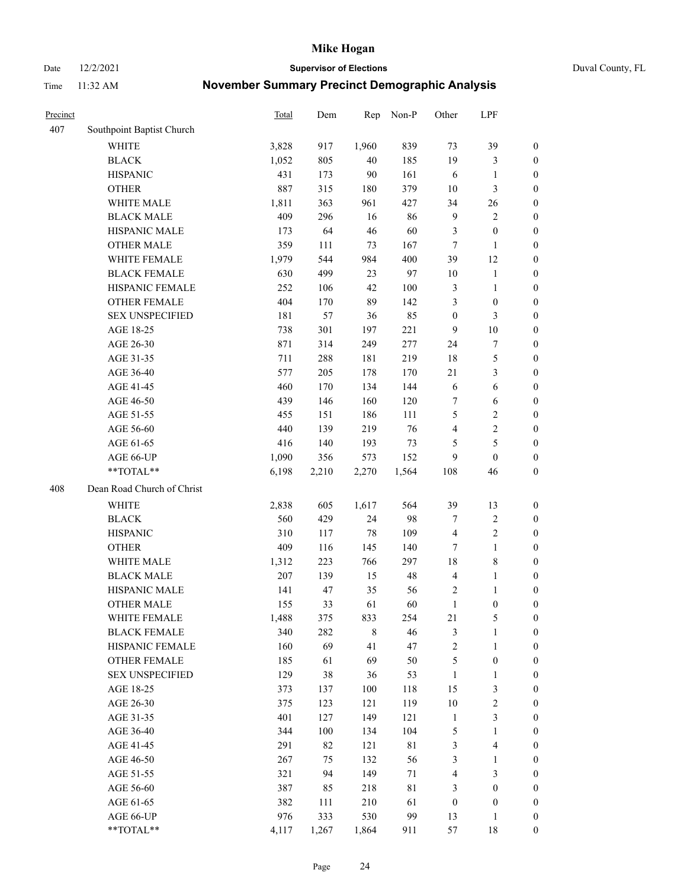Date 12/2/2021 **Supervisor of Elections** Duval County, FL

| Precinct |                            | Total | Dem   | Rep         | Non-P | Other                   | LPF                     |                  |
|----------|----------------------------|-------|-------|-------------|-------|-------------------------|-------------------------|------------------|
| 407      | Southpoint Baptist Church  |       |       |             |       |                         |                         |                  |
|          | <b>WHITE</b>               | 3,828 | 917   | 1,960       | 839   | 73                      | 39                      | 0                |
|          | <b>BLACK</b>               | 1,052 | 805   | 40          | 185   | 19                      | $\mathfrak{Z}$          | 0                |
|          | <b>HISPANIC</b>            | 431   | 173   | 90          | 161   | 6                       | $\mathbf{1}$            | $\boldsymbol{0}$ |
|          | <b>OTHER</b>               | 887   | 315   | 180         | 379   | 10                      | 3                       | $\boldsymbol{0}$ |
|          | WHITE MALE                 | 1,811 | 363   | 961         | 427   | 34                      | 26                      | $\boldsymbol{0}$ |
|          | <b>BLACK MALE</b>          | 409   | 296   | 16          | 86    | $\overline{9}$          | $\sqrt{2}$              | $\boldsymbol{0}$ |
|          | HISPANIC MALE              | 173   | 64    | 46          | 60    | 3                       | $\boldsymbol{0}$        | $\boldsymbol{0}$ |
|          | <b>OTHER MALE</b>          | 359   | 111   | 73          | 167   | $\tau$                  | $\mathbf{1}$            | $\boldsymbol{0}$ |
|          | WHITE FEMALE               | 1,979 | 544   | 984         | 400   | 39                      | 12                      | $\boldsymbol{0}$ |
|          | <b>BLACK FEMALE</b>        | 630   | 499   | 23          | 97    | 10                      | $\mathbf{1}$            | 0                |
|          | HISPANIC FEMALE            | 252   | 106   | 42          | 100   | 3                       | $\mathbf{1}$            | 0                |
|          | OTHER FEMALE               | 404   | 170   | 89          | 142   | 3                       | $\boldsymbol{0}$        | $\boldsymbol{0}$ |
|          | <b>SEX UNSPECIFIED</b>     | 181   | 57    | 36          | 85    | $\boldsymbol{0}$        | $\mathfrak{Z}$          | $\boldsymbol{0}$ |
|          | AGE 18-25                  | 738   | 301   | 197         | 221   | 9                       | $10\,$                  | $\boldsymbol{0}$ |
|          | AGE 26-30                  | 871   | 314   | 249         | 277   | 24                      | $\boldsymbol{7}$        | $\boldsymbol{0}$ |
|          | AGE 31-35                  | 711   | 288   | 181         | 219   | 18                      | $\mathfrak s$           | $\boldsymbol{0}$ |
|          | AGE 36-40                  | 577   | 205   | 178         | 170   | 21                      | $\mathfrak{Z}$          | $\boldsymbol{0}$ |
|          | AGE 41-45                  | 460   | 170   | 134         | 144   | 6                       | $\sqrt{6}$              | $\boldsymbol{0}$ |
|          | AGE 46-50                  | 439   | 146   | 160         | 120   | 7                       | 6                       | $\boldsymbol{0}$ |
|          | AGE 51-55                  | 455   | 151   | 186         | 111   | 5                       | $\sqrt{2}$              | $\boldsymbol{0}$ |
|          | AGE 56-60                  | 440   | 139   | 219         | 76    | $\overline{\mathbf{4}}$ | $\sqrt{2}$              | 0                |
|          | AGE 61-65                  | 416   | 140   | 193         | 73    | 5                       | $\mathfrak s$           | $\boldsymbol{0}$ |
|          | AGE 66-UP                  | 1,090 | 356   | 573         | 152   | 9                       | $\boldsymbol{0}$        | $\boldsymbol{0}$ |
|          | **TOTAL**                  | 6,198 | 2,210 | 2,270       | 1,564 | 108                     | 46                      | $\boldsymbol{0}$ |
|          |                            |       |       |             |       |                         |                         |                  |
| 408      | Dean Road Church of Christ |       |       |             |       |                         |                         |                  |
|          | <b>WHITE</b>               | 2,838 | 605   | 1,617       | 564   | 39                      | 13                      | $\boldsymbol{0}$ |
|          | <b>BLACK</b>               | 560   | 429   | 24          | 98    | 7                       | $\sqrt{2}$              | $\boldsymbol{0}$ |
|          | <b>HISPANIC</b>            | 310   | 117   | 78          | 109   | $\overline{4}$          | $\sqrt{2}$              | $\boldsymbol{0}$ |
|          | <b>OTHER</b>               | 409   | 116   | 145         | 140   | 7                       | $\mathbf{1}$            | $\boldsymbol{0}$ |
|          | WHITE MALE                 | 1,312 | 223   | 766         | 297   | 18                      | $8\,$                   | $\boldsymbol{0}$ |
|          | <b>BLACK MALE</b>          | 207   | 139   | 15          | 48    | $\overline{\mathbf{4}}$ | $\mathbf{1}$            | $\boldsymbol{0}$ |
|          | HISPANIC MALE              | 141   | 47    | 35          | 56    | $\overline{c}$          | 1                       | 0                |
|          | <b>OTHER MALE</b>          | 155   | 33    | 61          | 60    | $\mathbf{1}$            | $\boldsymbol{0}$        | $\boldsymbol{0}$ |
|          | WHITE FEMALE               | 1,488 | 375   | 833         | 254   | 21                      | 5                       | 0                |
|          | <b>BLACK FEMALE</b>        | 340   | 282   | $\,$ 8 $\,$ | 46    | 3                       | $\mathbf{1}$            | $\boldsymbol{0}$ |
|          | HISPANIC FEMALE            | 160   | 69    | 41          | 47    | $\sqrt{2}$              | $\mathbf{1}$            | $\overline{0}$   |
|          | OTHER FEMALE               | 185   | 61    | 69          | 50    | 5                       | $\boldsymbol{0}$        | $\overline{0}$   |
|          | <b>SEX UNSPECIFIED</b>     | 129   | 38    | 36          | 53    | $\mathbf{1}$            | $\mathbf{1}$            | 0                |
|          | AGE 18-25                  | 373   | 137   | 100         | 118   | 15                      | $\mathfrak{Z}$          | $\theta$         |
|          | AGE 26-30                  | 375   | 123   | 121         | 119   | $10\,$                  | $\sqrt{2}$              | 0                |
|          | AGE 31-35                  | 401   | 127   | 149         | 121   | $\mathbf{1}$            | $\mathfrak{Z}$          | 0                |
|          | AGE 36-40                  | 344   | 100   | 134         | 104   | 5                       | $\mathbf{1}$            | 0                |
|          | AGE 41-45                  | 291   | 82    | 121         | 81    | 3                       | $\overline{\mathbf{4}}$ | 0                |
|          | AGE 46-50                  | 267   | 75    | 132         | 56    | 3                       | $\mathbf{1}$            | 0                |
|          | AGE 51-55                  | 321   | 94    | 149         | 71    | 4                       | $\mathfrak{Z}$          | $\overline{0}$   |
|          | AGE 56-60                  | 387   | 85    | 218         | 81    | 3                       | $\boldsymbol{0}$        | $\overline{0}$   |
|          | AGE 61-65                  | 382   | 111   | 210         | 61    | $\boldsymbol{0}$        | $\boldsymbol{0}$        | $\boldsymbol{0}$ |
|          | AGE 66-UP                  | 976   | 333   | 530         | 99    | 13                      | $\mathbf{1}$            | 0                |
|          | **TOTAL**                  | 4,117 | 1,267 | 1,864       | 911   | 57                      | 18                      | $\boldsymbol{0}$ |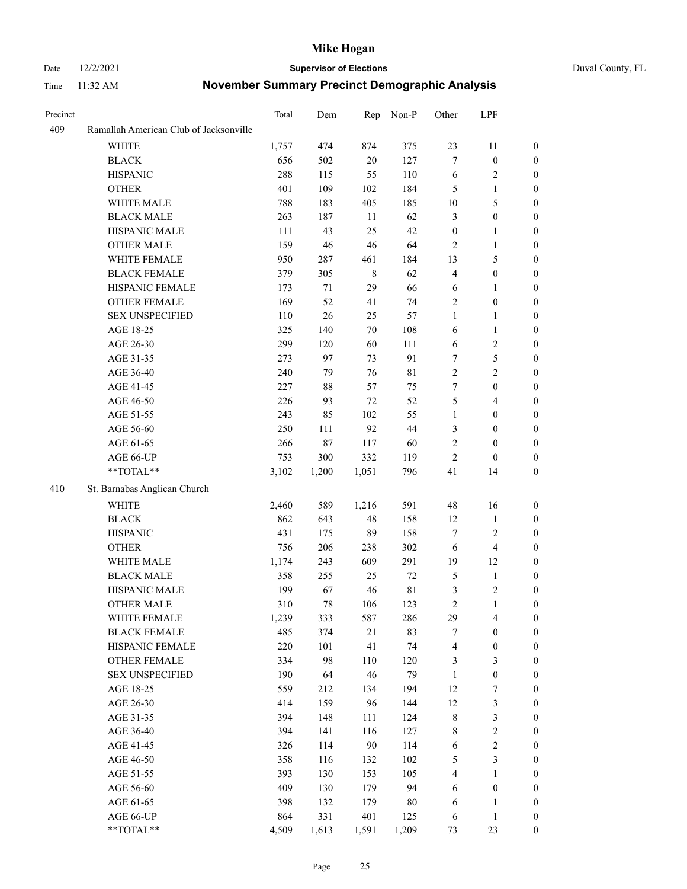#### Date 12/2/2021 **Supervisor of Elections** Duval County, FL

| Precinct |                                        | Total | Dem    | Rep         | Non-P       | Other            | LPF              |                  |
|----------|----------------------------------------|-------|--------|-------------|-------------|------------------|------------------|------------------|
| 409      | Ramallah American Club of Jacksonville |       |        |             |             |                  |                  |                  |
|          | WHITE                                  | 1,757 | 474    | 874         | 375         | 23               | 11               | $\boldsymbol{0}$ |
|          | <b>BLACK</b>                           | 656   | 502    | $20\,$      | 127         | $\tau$           | $\boldsymbol{0}$ | $\boldsymbol{0}$ |
|          | <b>HISPANIC</b>                        | 288   | 115    | 55          | 110         | 6                | $\sqrt{2}$       | $\boldsymbol{0}$ |
|          | <b>OTHER</b>                           | 401   | 109    | 102         | 184         | 5                | $\mathbf{1}$     | $\boldsymbol{0}$ |
|          | WHITE MALE                             | 788   | 183    | 405         | 185         | $10\,$           | $\mathfrak s$    | $\boldsymbol{0}$ |
|          | <b>BLACK MALE</b>                      | 263   | 187    | 11          | 62          | 3                | $\boldsymbol{0}$ | $\boldsymbol{0}$ |
|          | HISPANIC MALE                          | 111   | 43     | 25          | 42          | $\boldsymbol{0}$ | $\mathbf{1}$     | $\boldsymbol{0}$ |
|          | <b>OTHER MALE</b>                      | 159   | 46     | 46          | 64          | 2                | $\mathbf{1}$     | $\boldsymbol{0}$ |
|          | WHITE FEMALE                           | 950   | 287    | 461         | 184         | 13               | $\mathfrak{S}$   | 0                |
|          | <b>BLACK FEMALE</b>                    | 379   | 305    | $\,$ 8 $\,$ | 62          | 4                | $\boldsymbol{0}$ | 0                |
|          | HISPANIC FEMALE                        | 173   | 71     | 29          | 66          | 6                | 1                | $\boldsymbol{0}$ |
|          | OTHER FEMALE                           | 169   | 52     | 41          | 74          | $\overline{c}$   | $\boldsymbol{0}$ | $\boldsymbol{0}$ |
|          | <b>SEX UNSPECIFIED</b>                 | 110   | 26     | 25          | 57          | $\mathbf{1}$     | $\mathbf{1}$     | $\boldsymbol{0}$ |
|          | AGE 18-25                              | 325   | 140    | 70          | 108         | 6                | $\mathbf{1}$     | $\boldsymbol{0}$ |
|          | AGE 26-30                              | 299   | 120    | 60          | 111         | 6                | $\sqrt{2}$       | $\boldsymbol{0}$ |
|          | AGE 31-35                              | 273   | 97     | 73          | 91          | 7                | 5                | $\boldsymbol{0}$ |
|          | AGE 36-40                              | 240   | 79     | 76          | $8\sqrt{1}$ | $\overline{2}$   | $\overline{c}$   | $\boldsymbol{0}$ |
|          | AGE 41-45                              | 227   | $88\,$ | 57          | 75          | $\boldsymbol{7}$ | $\boldsymbol{0}$ | $\boldsymbol{0}$ |
|          | AGE 46-50                              | 226   | 93     | $72\,$      | 52          | 5                | $\overline{4}$   | 0                |
|          | AGE 51-55                              | 243   | 85     | 102         | 55          | $\mathbf{1}$     | $\boldsymbol{0}$ | 0                |
|          | AGE 56-60                              | 250   | 111    | 92          | 44          | 3                | $\boldsymbol{0}$ | $\boldsymbol{0}$ |
|          | AGE 61-65                              | 266   | $87\,$ | 117         | 60          | $\overline{c}$   | $\boldsymbol{0}$ | $\boldsymbol{0}$ |
|          | AGE 66-UP                              | 753   | 300    | 332         | 119         | 2                | $\boldsymbol{0}$ | $\boldsymbol{0}$ |
|          | $**TOTAL**$                            | 3,102 | 1,200  | 1,051       | 796         | 41               | 14               | $\boldsymbol{0}$ |
| 410      | St. Barnabas Anglican Church           |       |        |             |             |                  |                  |                  |
|          | <b>WHITE</b>                           | 2,460 | 589    | 1,216       | 591         | 48               | 16               | $\boldsymbol{0}$ |
|          | <b>BLACK</b>                           | 862   | 643    | 48          | 158         | 12               | $\mathbf{1}$     | $\boldsymbol{0}$ |
|          | <b>HISPANIC</b>                        | 431   | 175    | 89          | 158         | $\boldsymbol{7}$ | $\sqrt{2}$       | $\boldsymbol{0}$ |
|          | <b>OTHER</b>                           | 756   | 206    | 238         | 302         | $\sqrt{6}$       | $\overline{4}$   | $\overline{0}$   |
|          | WHITE MALE                             | 1,174 | 243    | 609         | 291         | 19               | 12               | 0                |
|          | <b>BLACK MALE</b>                      | 358   | 255    | 25          | $72\,$      | $\mathfrak{S}$   | $\mathbf{1}$     | 0                |
|          | HISPANIC MALE                          | 199   | 67     | $46\,$      | $8\sqrt{1}$ | 3                | $\sqrt{2}$       | 0                |
|          | <b>OTHER MALE</b>                      | 310   | 78     | 106         | 123         | $\overline{c}$   | $\mathbf{1}$     | $\boldsymbol{0}$ |
|          | WHITE FEMALE                           | 1,239 | 333    | 587         | 286         | 29               | $\overline{4}$   | $\boldsymbol{0}$ |
|          | <b>BLACK FEMALE</b>                    | 485   | 374    | $21\,$      | 83          | 7                | $\boldsymbol{0}$ | $\boldsymbol{0}$ |
|          | HISPANIC FEMALE                        | 220   | 101    | 41          | 74          | 4                | $\boldsymbol{0}$ | $\overline{0}$   |
|          | <b>OTHER FEMALE</b>                    | 334   | 98     | 110         | 120         | 3                | $\mathfrak{Z}$   | $\overline{0}$   |
|          | <b>SEX UNSPECIFIED</b>                 | 190   | 64     | 46          | 79          | $\mathbf{1}$     | $\boldsymbol{0}$ | $\overline{0}$   |
|          | AGE 18-25                              | 559   | 212    | 134         | 194         | 12               | $\boldsymbol{7}$ | 0                |
|          | AGE 26-30                              | 414   | 159    | 96          | 144         | $12\,$           | $\sqrt{3}$       | 0                |
|          | AGE 31-35                              | 394   | 148    | 111         | 124         | $\,$ $\,$        | $\mathfrak{Z}$   | 0                |
|          | AGE 36-40                              | 394   | 141    | 116         | 127         | 8                | $\sqrt{2}$       | 0                |
|          | AGE 41-45                              | 326   | 114    | $90\,$      | 114         | 6                | $\sqrt{2}$       | 0                |
|          | AGE 46-50                              | 358   | 116    | 132         | 102         | 5                | 3                | $\boldsymbol{0}$ |
|          | AGE 51-55                              | 393   | 130    | 153         | 105         | 4                | $\mathbf{1}$     | $\boldsymbol{0}$ |
|          | AGE 56-60                              | 409   | 130    | 179         | 94          | 6                | $\boldsymbol{0}$ | $\overline{0}$   |
|          | AGE 61-65                              | 398   | 132    | 179         | $80\,$      | 6                | $\mathbf{1}$     | 0                |
|          | AGE 66-UP                              | 864   | 331    | 401         | 125         | 6                | $\mathbf{1}$     | 0                |
|          | **TOTAL**                              | 4,509 | 1,613  | 1,591       | 1,209       | 73               | 23               | $\boldsymbol{0}$ |
|          |                                        |       |        |             |             |                  |                  |                  |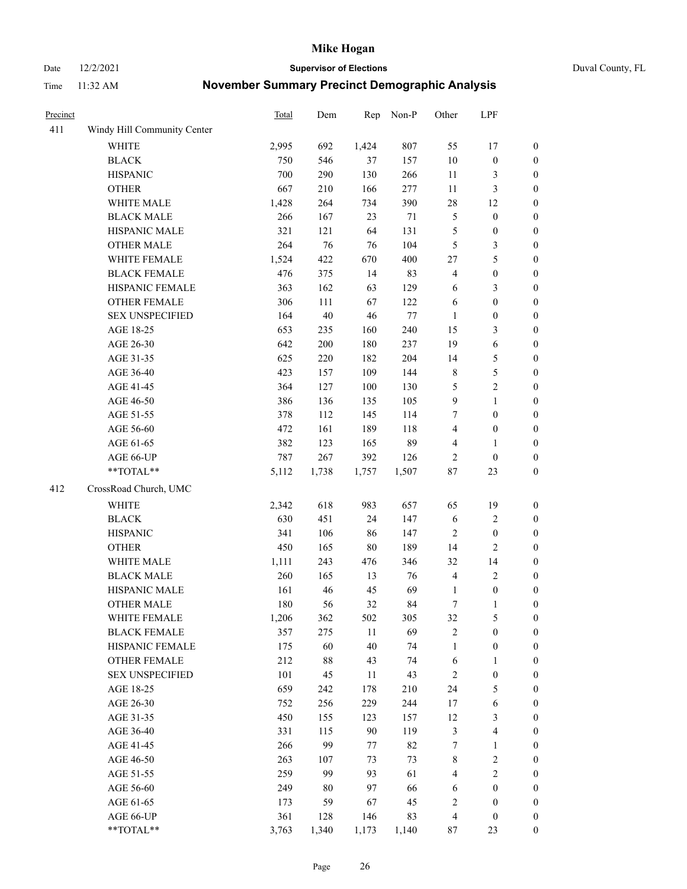Date 12/2/2021 **Supervisor of Elections** Duval County, FL

| Precinct |                             | <b>Total</b> | Dem    | Rep    | Non-P  | Other            | LPF              |                  |
|----------|-----------------------------|--------------|--------|--------|--------|------------------|------------------|------------------|
| 411      | Windy Hill Community Center |              |        |        |        |                  |                  |                  |
|          | <b>WHITE</b>                | 2,995        | 692    | 1,424  | 807    | 55               | 17               | 0                |
|          | <b>BLACK</b>                | 750          | 546    | 37     | 157    | $10\,$           | $\boldsymbol{0}$ | 0                |
|          | <b>HISPANIC</b>             | 700          | 290    | 130    | 266    | 11               | 3                | $\boldsymbol{0}$ |
|          | <b>OTHER</b>                | 667          | 210    | 166    | 277    | $11\,$           | $\mathfrak{Z}$   | $\boldsymbol{0}$ |
|          | WHITE MALE                  | 1,428        | 264    | 734    | 390    | 28               | 12               | $\boldsymbol{0}$ |
|          | <b>BLACK MALE</b>           | 266          | 167    | 23     | 71     | 5                | $\boldsymbol{0}$ | $\boldsymbol{0}$ |
|          | HISPANIC MALE               | 321          | 121    | 64     | 131    | 5                | $\boldsymbol{0}$ | $\boldsymbol{0}$ |
|          | <b>OTHER MALE</b>           | 264          | 76     | 76     | 104    | 5                | $\mathfrak{Z}$   | $\boldsymbol{0}$ |
|          | WHITE FEMALE                | 1,524        | 422    | 670    | 400    | 27               | 5                | $\boldsymbol{0}$ |
|          | <b>BLACK FEMALE</b>         | 476          | 375    | 14     | 83     | 4                | $\boldsymbol{0}$ | $\boldsymbol{0}$ |
|          | HISPANIC FEMALE             | 363          | 162    | 63     | 129    | 6                | $\mathfrak{Z}$   | $\boldsymbol{0}$ |
|          | <b>OTHER FEMALE</b>         | 306          | 111    | 67     | 122    | 6                | $\boldsymbol{0}$ | $\boldsymbol{0}$ |
|          | <b>SEX UNSPECIFIED</b>      | 164          | $40\,$ | 46     | $77\,$ | $\mathbf{1}$     | $\boldsymbol{0}$ | $\boldsymbol{0}$ |
|          | AGE 18-25                   | 653          | 235    | 160    | 240    | 15               | $\mathfrak{Z}$   | $\boldsymbol{0}$ |
|          | AGE 26-30                   | 642          | 200    | 180    | 237    | 19               | 6                | $\boldsymbol{0}$ |
|          | AGE 31-35                   | 625          | 220    | 182    | 204    | 14               | 5                | $\boldsymbol{0}$ |
|          | AGE 36-40                   | 423          | 157    | 109    | 144    | $\,$ 8 $\,$      | 5                | $\boldsymbol{0}$ |
|          | AGE 41-45                   | 364          | 127    | 100    | 130    | 5                | $\sqrt{2}$       | $\boldsymbol{0}$ |
|          | AGE 46-50                   | 386          | 136    | 135    | 105    | $\boldsymbol{9}$ | $\mathbf{1}$     | $\boldsymbol{0}$ |
|          | AGE 51-55                   | 378          | 112    | 145    | 114    | 7                | $\boldsymbol{0}$ | $\boldsymbol{0}$ |
|          | AGE 56-60                   | 472          | 161    | 189    | 118    | 4                | $\boldsymbol{0}$ | 0                |
|          | AGE 61-65                   | 382          | 123    | 165    | 89     | 4                | $\mathbf{1}$     | $\boldsymbol{0}$ |
|          | AGE 66-UP                   | 787          | 267    | 392    | 126    | 2                | $\boldsymbol{0}$ | $\boldsymbol{0}$ |
|          | $**TOTAL**$                 | 5,112        | 1,738  | 1,757  | 1,507  | $87\,$           | 23               | $\boldsymbol{0}$ |
| 412      | CrossRoad Church, UMC       |              |        |        |        |                  |                  |                  |
|          |                             |              |        |        |        |                  |                  |                  |
|          | <b>WHITE</b>                | 2,342        | 618    | 983    | 657    | 65               | 19               | $\boldsymbol{0}$ |
|          | <b>BLACK</b>                | 630          | 451    | 24     | 147    | 6                | $\sqrt{2}$       | $\boldsymbol{0}$ |
|          | <b>HISPANIC</b>             | 341          | 106    | 86     | 147    | 2                | $\boldsymbol{0}$ | $\boldsymbol{0}$ |
|          | <b>OTHER</b>                | 450          | 165    | $80\,$ | 189    | 14               | $\overline{2}$   | $\boldsymbol{0}$ |
|          | WHITE MALE                  | 1,111        | 243    | 476    | 346    | 32               | 14               | $\boldsymbol{0}$ |
|          | <b>BLACK MALE</b>           | 260          | 165    | 13     | 76     | 4                | $\sqrt{2}$       | $\boldsymbol{0}$ |
|          | HISPANIC MALE               | 161          | 46     | 45     | 69     | 1                | $\boldsymbol{0}$ | $\boldsymbol{0}$ |
|          | <b>OTHER MALE</b>           | 180          | 56     | 32     | 84     | $\boldsymbol{7}$ | $\mathbf{1}$     | $\boldsymbol{0}$ |
|          | WHITE FEMALE                | 1,206        | 362    | 502    | 305    | 32               | 5                | 0                |
|          | <b>BLACK FEMALE</b>         | 357          | 275    | 11     | 69     | 2                | $\boldsymbol{0}$ | $\overline{0}$   |
|          | HISPANIC FEMALE             | 175          | 60     | 40     | 74     | $\mathbf{1}$     | $\boldsymbol{0}$ | $\overline{0}$   |
|          | <b>OTHER FEMALE</b>         | 212          | $88\,$ | 43     | 74     | 6                | $\mathbf{1}$     | $\overline{0}$   |
|          | <b>SEX UNSPECIFIED</b>      | 101          | 45     | 11     | 43     | 2                | $\boldsymbol{0}$ | 0                |
|          | AGE 18-25                   | 659          | 242    | 178    | 210    | 24               | $\mathfrak s$    | 0                |
|          | AGE 26-30                   | 752          | 256    | 229    | 244    | 17               | 6                | 0                |
|          | AGE 31-35                   | 450          | 155    | 123    | 157    | 12               | $\mathfrak{Z}$   | 0                |
|          | AGE 36-40                   | 331          | 115    | 90     | 119    | 3                | $\overline{4}$   | 0                |
|          | AGE 41-45                   | 266          | 99     | 77     | 82     | 7                | $\mathbf{1}$     | 0                |
|          | AGE 46-50                   | 263          | 107    | 73     | 73     | 8                | $\sqrt{2}$       | 0                |
|          | AGE 51-55                   | 259          | 99     | 93     | 61     | 4                | $\mathbf{2}$     | 0                |
|          | AGE 56-60                   | 249          | 80     | 97     | 66     | 6                | $\boldsymbol{0}$ | $\overline{0}$   |
|          | AGE 61-65                   | 173          | 59     | 67     | 45     | 2                | $\boldsymbol{0}$ | $\overline{0}$   |
|          | AGE 66-UP                   | 361          | 128    | 146    | 83     | 4                | $\boldsymbol{0}$ | 0                |
|          | **TOTAL**                   | 3,763        | 1,340  | 1,173  | 1,140  | 87               | 23               | $\boldsymbol{0}$ |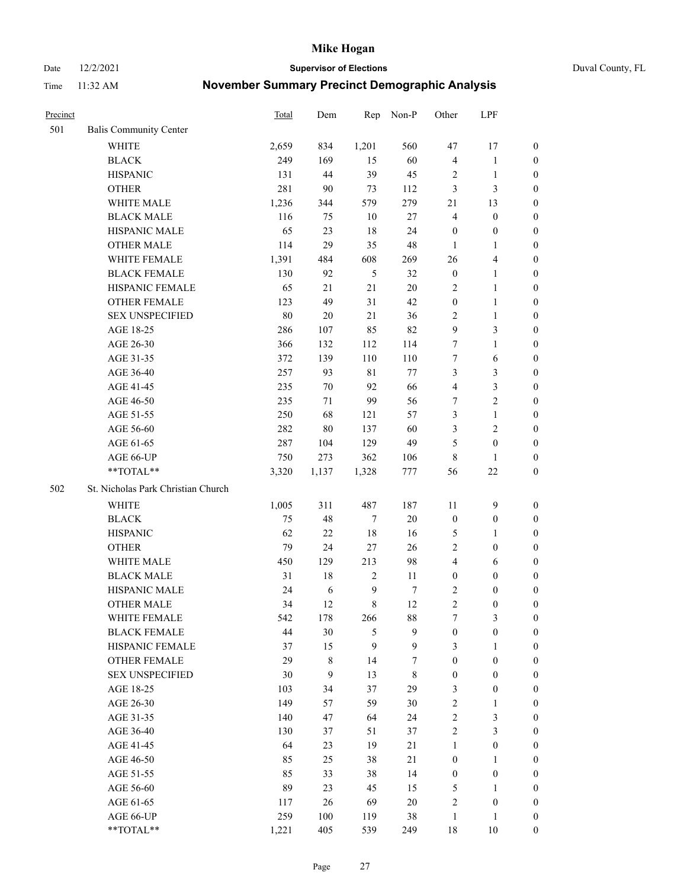Date 12/2/2021 **Supervisor of Elections** Duval County, FL

| Precinct |                                    | Total | Dem       | Rep              | Non-P            | Other            | LPF                     |                  |
|----------|------------------------------------|-------|-----------|------------------|------------------|------------------|-------------------------|------------------|
| 501      | <b>Balis Community Center</b>      |       |           |                  |                  |                  |                         |                  |
|          | <b>WHITE</b>                       | 2,659 | 834       | 1,201            | 560              | 47               | 17                      | 0                |
|          | <b>BLACK</b>                       | 249   | 169       | 15               | 60               | 4                | $\mathbf{1}$            | 0                |
|          | <b>HISPANIC</b>                    | 131   | 44        | 39               | 45               | 2                | $\mathbf{1}$            | $\boldsymbol{0}$ |
|          | <b>OTHER</b>                       | 281   | 90        | 73               | 112              | 3                | 3                       | $\boldsymbol{0}$ |
|          | WHITE MALE                         | 1,236 | 344       | 579              | 279              | 21               | 13                      | $\boldsymbol{0}$ |
|          | <b>BLACK MALE</b>                  | 116   | 75        | 10               | 27               | $\overline{4}$   | $\boldsymbol{0}$        | $\boldsymbol{0}$ |
|          | HISPANIC MALE                      | 65    | 23        | 18               | 24               | $\boldsymbol{0}$ | $\boldsymbol{0}$        | $\boldsymbol{0}$ |
|          | <b>OTHER MALE</b>                  | 114   | 29        | 35               | 48               | $\mathbf{1}$     | $\mathbf{1}$            | $\boldsymbol{0}$ |
|          | WHITE FEMALE                       | 1,391 | 484       | 608              | 269              | 26               | $\overline{\mathbf{4}}$ | $\boldsymbol{0}$ |
|          | <b>BLACK FEMALE</b>                | 130   | 92        | $\mathfrak{H}$   | 32               | $\boldsymbol{0}$ | $\mathbf{1}$            | 0                |
|          | HISPANIC FEMALE                    | 65    | 21        | 21               | 20               | 2                | $\mathbf{1}$            | 0                |
|          | <b>OTHER FEMALE</b>                | 123   | 49        | 31               | 42               | $\boldsymbol{0}$ | $\mathbf{1}$            | 0                |
|          | <b>SEX UNSPECIFIED</b>             | 80    | $20\,$    | 21               | 36               | $\mathbf{2}$     | $\mathbf{1}$            | $\boldsymbol{0}$ |
|          | AGE 18-25                          | 286   | 107       | 85               | 82               | 9                | $\mathfrak{Z}$          | $\boldsymbol{0}$ |
|          | AGE 26-30                          | 366   | 132       | 112              | 114              | 7                | $\mathbf{1}$            | $\boldsymbol{0}$ |
|          | AGE 31-35                          | 372   | 139       | 110              | 110              | 7                | 6                       | $\boldsymbol{0}$ |
|          | AGE 36-40                          | 257   | 93        | $8\sqrt{1}$      | 77               | 3                | $\mathfrak{Z}$          | $\boldsymbol{0}$ |
|          | AGE 41-45                          | 235   | $70\,$    | 92               | 66               | 4                | $\mathfrak{Z}$          | $\boldsymbol{0}$ |
|          | AGE 46-50                          | 235   | 71        | 99               | 56               | 7                | $\overline{2}$          | $\boldsymbol{0}$ |
|          | AGE 51-55                          | 250   | 68        | 121              | 57               | 3                | $\mathbf{1}$            | $\boldsymbol{0}$ |
|          | AGE 56-60                          | 282   | 80        | 137              | 60               | 3                | $\overline{c}$          | 0                |
|          | AGE 61-65                          | 287   | 104       | 129              | 49               | 5                | $\boldsymbol{0}$        | 0                |
|          | AGE 66-UP                          | 750   | 273       | 362              | 106              | 8                | $\mathbf{1}$            | $\boldsymbol{0}$ |
|          | $**TOTAL**$                        | 3,320 | 1,137     | 1,328            | 777              | 56               | $22\,$                  | $\boldsymbol{0}$ |
| 502      | St. Nicholas Park Christian Church |       |           |                  |                  |                  |                         |                  |
|          | <b>WHITE</b>                       | 1,005 | 311       | 487              | 187              | 11               | $\mathbf{9}$            | $\boldsymbol{0}$ |
|          | <b>BLACK</b>                       | 75    | 48        | $\boldsymbol{7}$ | $20\,$           | $\boldsymbol{0}$ | $\boldsymbol{0}$        | $\boldsymbol{0}$ |
|          | <b>HISPANIC</b>                    | 62    | $22\,$    | 18               | 16               | 5                | $\mathbf{1}$            | $\boldsymbol{0}$ |
|          | <b>OTHER</b>                       | 79    | 24        | $27\,$           | 26               | $\overline{c}$   | $\boldsymbol{0}$        | $\boldsymbol{0}$ |
|          | WHITE MALE                         | 450   | 129       | 213              | 98               | $\overline{4}$   | 6                       | $\boldsymbol{0}$ |
|          | <b>BLACK MALE</b>                  | 31    | 18        | $\sqrt{2}$       | 11               | $\boldsymbol{0}$ | $\boldsymbol{0}$        | $\boldsymbol{0}$ |
|          | HISPANIC MALE                      | 24    | 6         | $\overline{9}$   | $\boldsymbol{7}$ | 2                | $\boldsymbol{0}$        | 0                |
|          | <b>OTHER MALE</b>                  | 34    | 12        | $\,8\,$          | 12               | $\overline{c}$   | $\boldsymbol{0}$        | $\boldsymbol{0}$ |
|          | WHITE FEMALE                       | 542   | 178       | 266              | 88               | 7                | 3                       | 0                |
|          | <b>BLACK FEMALE</b>                | 44    | 30        | 5                | 9                | $\boldsymbol{0}$ | $\boldsymbol{0}$        | $\boldsymbol{0}$ |
|          | HISPANIC FEMALE                    | 37    | 15        | 9                | 9                | 3                | $\mathbf{1}$            | $\overline{0}$   |
|          | OTHER FEMALE                       | 29    | $\,$ $\,$ | 14               | 7                | $\boldsymbol{0}$ | $\boldsymbol{0}$        | $\overline{0}$   |
|          | <b>SEX UNSPECIFIED</b>             | 30    | 9         | 13               | $\,$ 8 $\,$      | $\boldsymbol{0}$ | $\boldsymbol{0}$        | 0                |
|          | AGE 18-25                          | 103   | 34        | 37               | 29               | 3                | $\boldsymbol{0}$        | $\overline{0}$   |
|          | AGE 26-30                          | 149   | 57        | 59               | 30               | $\sqrt{2}$       | $\mathbf{1}$            | 0                |
|          | AGE 31-35                          | 140   | 47        | 64               | 24               | $\sqrt{2}$       | $\mathfrak{Z}$          | 0                |
|          | AGE 36-40                          | 130   | 37        | 51               | 37               | $\sqrt{2}$       | $\mathfrak{Z}$          | 0                |
|          | AGE 41-45                          | 64    | 23        | 19               | 21               | $\mathbf{1}$     | $\boldsymbol{0}$        | 0                |
|          | AGE 46-50                          | 85    | 25        | 38               | 21               | $\boldsymbol{0}$ | $\mathbf{1}$            | 0                |
|          | AGE 51-55                          | 85    | 33        | 38               | 14               | $\boldsymbol{0}$ | $\boldsymbol{0}$        | $\overline{0}$   |
|          | AGE 56-60                          | 89    | 23        | 45               | 15               | 5                | $\mathbf{1}$            | $\overline{0}$   |
|          | AGE 61-65                          | 117   | 26        | 69               | 20               | 2                | $\boldsymbol{0}$        | $\boldsymbol{0}$ |
|          | AGE 66-UP                          | 259   | 100       | 119              | 38               | $\mathbf{1}$     | $\mathbf{1}$            | $\boldsymbol{0}$ |
|          | **TOTAL**                          | 1,221 | 405       | 539              | 249              | 18               | 10                      | $\boldsymbol{0}$ |
|          |                                    |       |           |                  |                  |                  |                         |                  |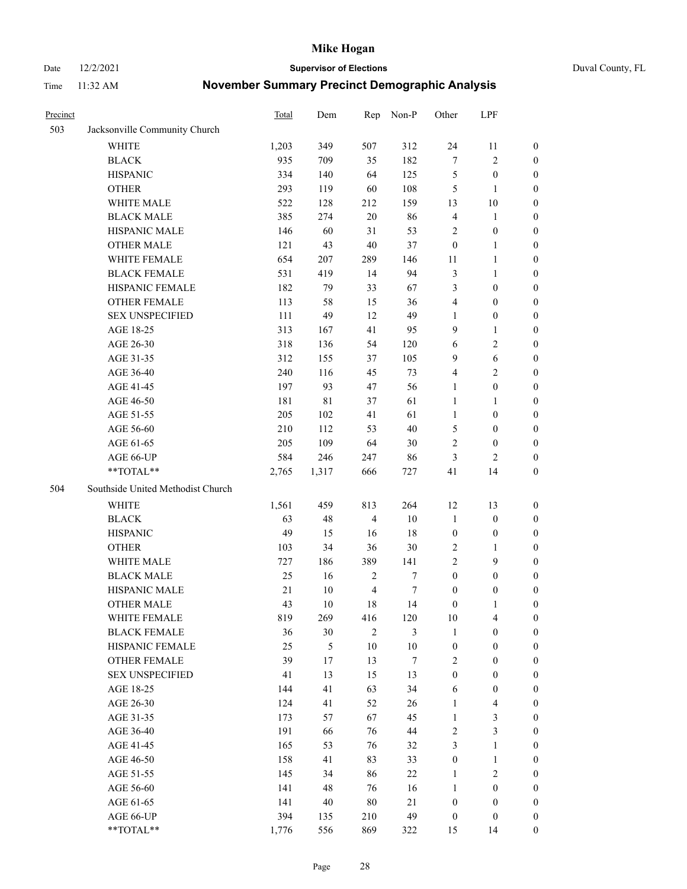Date 12/2/2021 **Supervisor of Elections** Duval County, FL

| Precinct |                                   | Total  | Dem         | Rep            | Non-P            | Other            | LPF                     |                  |
|----------|-----------------------------------|--------|-------------|----------------|------------------|------------------|-------------------------|------------------|
| 503      | Jacksonville Community Church     |        |             |                |                  |                  |                         |                  |
|          | <b>WHITE</b>                      | 1,203  | 349         | 507            | 312              | 24               | 11                      | 0                |
|          | <b>BLACK</b>                      | 935    | 709         | 35             | 182              | $\boldsymbol{7}$ | $\sqrt{2}$              | 0                |
|          | <b>HISPANIC</b>                   | 334    | 140         | 64             | 125              | 5                | $\boldsymbol{0}$        | $\boldsymbol{0}$ |
|          | <b>OTHER</b>                      | 293    | 119         | 60             | 108              | 5                | $\mathbf{1}$            | $\boldsymbol{0}$ |
|          | WHITE MALE                        | 522    | 128         | 212            | 159              | 13               | $10\,$                  | $\boldsymbol{0}$ |
|          | <b>BLACK MALE</b>                 | 385    | 274         | 20             | 86               | 4                | $\mathbf{1}$            | $\boldsymbol{0}$ |
|          | HISPANIC MALE                     | 146    | 60          | 31             | 53               | $\overline{c}$   | $\boldsymbol{0}$        | $\boldsymbol{0}$ |
|          | <b>OTHER MALE</b>                 | 121    | 43          | 40             | 37               | $\boldsymbol{0}$ | $\mathbf{1}$            | $\boldsymbol{0}$ |
|          | WHITE FEMALE                      | 654    | 207         | 289            | 146              | 11               | $\mathbf{1}$            | $\boldsymbol{0}$ |
|          | <b>BLACK FEMALE</b>               | 531    | 419         | 14             | 94               | 3                | $\mathbf{1}$            | 0                |
|          | HISPANIC FEMALE                   | 182    | 79          | 33             | 67               | 3                | $\boldsymbol{0}$        | 0                |
|          | OTHER FEMALE                      | 113    | 58          | 15             | 36               | 4                | $\boldsymbol{0}$        | $\boldsymbol{0}$ |
|          | <b>SEX UNSPECIFIED</b>            | 111    | 49          | 12             | 49               | $\mathbf{1}$     | $\boldsymbol{0}$        | $\boldsymbol{0}$ |
|          | AGE 18-25                         | 313    | 167         | 41             | 95               | 9                | $\mathbf{1}$            | $\boldsymbol{0}$ |
|          | AGE 26-30                         | 318    | 136         | 54             | 120              | 6                | $\sqrt{2}$              | $\boldsymbol{0}$ |
|          | AGE 31-35                         | 312    | 155         | 37             | 105              | 9                | 6                       | $\boldsymbol{0}$ |
|          | AGE 36-40                         | 240    | 116         | 45             | 73               | 4                | $\sqrt{2}$              | $\boldsymbol{0}$ |
|          | AGE 41-45                         | 197    | 93          | 47             | 56               | $\mathbf{1}$     | $\boldsymbol{0}$        | $\boldsymbol{0}$ |
|          | AGE 46-50                         | 181    | $8\sqrt{1}$ | 37             | 61               | $\mathbf{1}$     | $\mathbf{1}$            | $\boldsymbol{0}$ |
|          | AGE 51-55                         | 205    | 102         | 41             | 61               | $\mathbf{1}$     | $\boldsymbol{0}$        | 0                |
|          | AGE 56-60                         | 210    | 112         | 53             | 40               | 5                | $\boldsymbol{0}$        | 0                |
|          | AGE 61-65                         | 205    | 109         | 64             | 30               | 2                | $\boldsymbol{0}$        | 0                |
|          | AGE 66-UP                         | 584    | 246         | 247            | 86               | 3                | $\overline{2}$          | $\boldsymbol{0}$ |
|          | **TOTAL**                         | 2,765  | 1,317       | 666            | 727              | 41               | 14                      | $\boldsymbol{0}$ |
| 504      | Southside United Methodist Church |        |             |                |                  |                  |                         |                  |
|          |                                   |        |             |                |                  |                  |                         |                  |
|          | <b>WHITE</b>                      | 1,561  | 459         | 813            | 264              | 12               | 13                      | $\boldsymbol{0}$ |
|          | <b>BLACK</b>                      | 63     | 48          | $\overline{4}$ | $10\,$           | $\mathbf{1}$     | $\boldsymbol{0}$        | $\boldsymbol{0}$ |
|          | <b>HISPANIC</b>                   | 49     | 15          | 16             | 18               | $\boldsymbol{0}$ | $\boldsymbol{0}$        | $\boldsymbol{0}$ |
|          | <b>OTHER</b>                      | 103    | 34          | 36             | 30               | $\sqrt{2}$       | $\mathbf{1}$            | $\boldsymbol{0}$ |
|          | WHITE MALE                        | 727    | 186         | 389            | 141              | $\overline{c}$   | 9                       | $\overline{0}$   |
|          | <b>BLACK MALE</b>                 | 25     | 16          | $\sqrt{2}$     | $\boldsymbol{7}$ | $\boldsymbol{0}$ | $\boldsymbol{0}$        | $\boldsymbol{0}$ |
|          | HISPANIC MALE                     | $21\,$ | $10\,$      | $\overline{4}$ | 7                | $\boldsymbol{0}$ | $\boldsymbol{0}$        | 0                |
|          | <b>OTHER MALE</b>                 | 43     | 10          | 18             | 14               | $\boldsymbol{0}$ | $\mathbf{1}$            | 0                |
|          | WHITE FEMALE                      | 819    | 269         | 416            | 120              | 10               | 4                       | 0                |
|          | <b>BLACK FEMALE</b>               | 36     | 30          | $\mathfrak{2}$ | 3                | $\mathbf{1}$     | $\boldsymbol{0}$        | $\boldsymbol{0}$ |
|          | HISPANIC FEMALE                   | 25     | 5           | 10             | $10\,$           | $\boldsymbol{0}$ | $\boldsymbol{0}$        | $\overline{0}$   |
|          | OTHER FEMALE                      | 39     | 17          | 13             | 7                | 2                | $\boldsymbol{0}$        | $\overline{0}$   |
|          | <b>SEX UNSPECIFIED</b>            | 41     | 13          | 15             | 13               | $\boldsymbol{0}$ | $\boldsymbol{0}$        | $\overline{0}$   |
|          | AGE 18-25                         | 144    | 41          | 63             | 34               | 6                | $\boldsymbol{0}$        | $\theta$         |
|          | AGE 26-30                         | 124    | 41          | 52             | 26               | $\mathbf{1}$     | $\overline{\mathbf{4}}$ | 0                |
|          | AGE 31-35                         | 173    | 57          | 67             | 45               | $\mathbf{1}$     | $\mathfrak{Z}$          | 0                |
|          | AGE 36-40                         | 191    | 66          | 76             | 44               | 2                | $\mathfrak{Z}$          | 0                |
|          | AGE 41-45                         | 165    | 53          | 76             | 32               | 3                | $\mathbf{1}$            | 0                |
|          | AGE 46-50                         | 158    | 41          | 83             | 33               | $\boldsymbol{0}$ | $\mathbf{1}$            | 0                |
|          | AGE 51-55                         | 145    | 34          | 86             | 22               | $\mathbf{1}$     | $\mathbf{2}$            | 0                |
|          | AGE 56-60                         | 141    | 48          | 76             | 16               | 1                | $\boldsymbol{0}$        | $\overline{0}$   |
|          | AGE 61-65                         | 141    | 40          | 80             | 21               | $\boldsymbol{0}$ | $\boldsymbol{0}$        | $\overline{0}$   |
|          | AGE 66-UP                         | 394    | 135         | 210            | 49               | $\boldsymbol{0}$ | $\boldsymbol{0}$        | $\boldsymbol{0}$ |
|          | **TOTAL**                         | 1,776  | 556         | 869            | 322              | 15               | 14                      | $\boldsymbol{0}$ |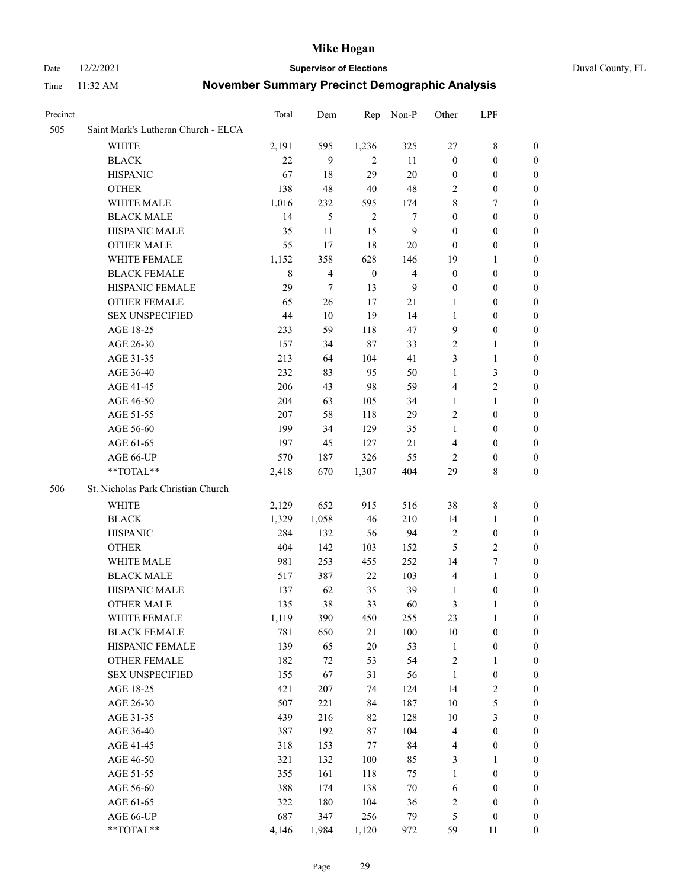Date 12/2/2021 **Supervisor of Elections** Duval County, FL

| Precinct |                                     | Total       | Dem                      | Rep              | Non-P            | Other            | LPF              |                  |
|----------|-------------------------------------|-------------|--------------------------|------------------|------------------|------------------|------------------|------------------|
| 505      | Saint Mark's Lutheran Church - ELCA |             |                          |                  |                  |                  |                  |                  |
|          | <b>WHITE</b>                        | 2,191       | 595                      | 1,236            | 325              | 27               | 8                | 0                |
|          | <b>BLACK</b>                        | 22          | 9                        | $\overline{2}$   | 11               | $\boldsymbol{0}$ | $\boldsymbol{0}$ | $\boldsymbol{0}$ |
|          | <b>HISPANIC</b>                     | 67          | 18                       | 29               | $20\,$           | $\boldsymbol{0}$ | $\boldsymbol{0}$ | $\boldsymbol{0}$ |
|          | <b>OTHER</b>                        | 138         | 48                       | 40               | 48               | 2                | $\boldsymbol{0}$ | $\boldsymbol{0}$ |
|          | WHITE MALE                          | 1,016       | 232                      | 595              | 174              | 8                | 7                | $\boldsymbol{0}$ |
|          | <b>BLACK MALE</b>                   | 14          | 5                        | $\overline{2}$   | 7                | $\boldsymbol{0}$ | $\boldsymbol{0}$ | $\boldsymbol{0}$ |
|          | HISPANIC MALE                       | 35          | 11                       | 15               | $\boldsymbol{9}$ | $\boldsymbol{0}$ | $\boldsymbol{0}$ | $\boldsymbol{0}$ |
|          | <b>OTHER MALE</b>                   | 55          | 17                       | 18               | 20               | $\boldsymbol{0}$ | $\boldsymbol{0}$ | 0                |
|          | WHITE FEMALE                        | 1,152       | 358                      | 628              | 146              | 19               | $\mathbf{1}$     | 0                |
|          | <b>BLACK FEMALE</b>                 | $\,$ 8 $\,$ | $\overline{\mathcal{L}}$ | $\boldsymbol{0}$ | $\overline{4}$   | $\boldsymbol{0}$ | $\boldsymbol{0}$ | 0                |
|          | HISPANIC FEMALE                     | 29          | 7                        | 13               | 9                | $\boldsymbol{0}$ | $\boldsymbol{0}$ | 0                |
|          | OTHER FEMALE                        | 65          | 26                       | 17               | 21               | 1                | $\boldsymbol{0}$ | 0                |
|          | <b>SEX UNSPECIFIED</b>              | 44          | $10\,$                   | 19               | 14               | 1                | $\boldsymbol{0}$ | $\boldsymbol{0}$ |
|          | AGE 18-25                           | 233         | 59                       | 118              | 47               | 9                | $\boldsymbol{0}$ | $\boldsymbol{0}$ |
|          | AGE 26-30                           | 157         | 34                       | $87\,$           | 33               | 2                | $\mathbf{1}$     | $\boldsymbol{0}$ |
|          | AGE 31-35                           | 213         | 64                       | 104              | 41               | 3                | $\mathbf{1}$     | $\boldsymbol{0}$ |
|          | AGE 36-40                           | 232         | 83                       | 95               | 50               | $\mathbf{1}$     | $\mathfrak{Z}$   | $\overline{0}$   |
|          | AGE 41-45                           | 206         | 43                       | 98               | 59               | 4                | $\overline{c}$   | 0                |
|          | AGE 46-50                           | 204         | 63                       | 105              | 34               | $\mathbf{1}$     | $\mathbf{1}$     | 0                |
|          | AGE 51-55                           | 207         | 58                       | 118              | 29               | $\mathbf{2}$     | $\boldsymbol{0}$ | 0                |
|          | AGE 56-60                           | 199         | 34                       | 129              | 35               | $\mathbf{1}$     | $\boldsymbol{0}$ | 0                |
|          | AGE 61-65                           | 197         | 45                       | 127              | $21\,$           | 4                | $\boldsymbol{0}$ | 0                |
|          | AGE 66-UP                           | 570         | 187                      | 326              | 55               | 2                | $\boldsymbol{0}$ | 0                |
|          | **TOTAL**                           | 2,418       | 670                      | 1,307            | 404              | 29               | 8                | $\boldsymbol{0}$ |
| 506      | St. Nicholas Park Christian Church  |             |                          |                  |                  |                  |                  |                  |
|          | WHITE                               | 2,129       | 652                      | 915              | 516              | 38               | 8                | $\boldsymbol{0}$ |
|          | <b>BLACK</b>                        | 1,329       | 1,058                    | 46               | 210              | 14               | $\mathbf{1}$     | $\boldsymbol{0}$ |
|          | <b>HISPANIC</b>                     | 284         | 132                      | 56               | 94               | $\overline{c}$   | $\boldsymbol{0}$ | 0                |
|          | <b>OTHER</b>                        | 404         | 142                      | 103              | 152              | 5                | $\sqrt{2}$       | 0                |
|          | WHITE MALE                          | 981         | 253                      | 455              | 252              | 14               | $\boldsymbol{7}$ | 0                |
|          | <b>BLACK MALE</b>                   | 517         | 387                      | 22               | 103              | $\overline{4}$   | $\mathbf{1}$     | 0                |
|          | HISPANIC MALE                       | 137         | 62                       | 35               | 39               | 1                | $\boldsymbol{0}$ | 0                |
|          | <b>OTHER MALE</b>                   | 135         | 38                       | 33               | 60               | 3                | 1                | 0                |
|          | WHITE FEMALE                        | 1,119       | 390                      | 450              | 255              | 23               | $\mathbf{1}$     | $\overline{0}$   |
|          | <b>BLACK FEMALE</b>                 | 781         | 650                      | 21               | $100\,$          | $10\,$           | $\boldsymbol{0}$ | $\boldsymbol{0}$ |
|          | HISPANIC FEMALE                     | 139         | 65                       | $20\,$           | 53               | $\mathbf{1}$     | $\boldsymbol{0}$ | $\boldsymbol{0}$ |
|          | <b>OTHER FEMALE</b>                 | 182         | $72\,$                   | 53               | 54               | $\sqrt{2}$       | $\mathbf{1}$     | $\overline{0}$   |
|          | <b>SEX UNSPECIFIED</b>              | 155         | 67                       | 31               | 56               | $\mathbf{1}$     | $\boldsymbol{0}$ | 0                |
|          | AGE 18-25                           | 421         | $207\,$                  | 74               | 124              | 14               | $\sqrt{2}$       | 0                |
|          | AGE 26-30                           | 507         | 221                      | 84               | 187              | $10\,$           | $\mathfrak s$    | 0                |
|          | AGE 31-35                           | 439         | 216                      | 82               | 128              | $10\,$           | $\mathfrak{Z}$   | 0                |
|          | AGE 36-40                           | 387         | 192                      | $87\,$           | 104              | $\overline{4}$   | $\boldsymbol{0}$ | 0                |
|          | AGE 41-45                           | 318         | 153                      | $77\,$           | 84               | 4                | $\boldsymbol{0}$ | 0                |
|          | AGE 46-50                           | 321         | 132                      | 100              | 85               | 3                | $\mathbf{1}$     | 0                |
|          | AGE 51-55                           | 355         | 161                      | 118              | 75               | $\mathbf{1}$     | $\boldsymbol{0}$ | $\boldsymbol{0}$ |
|          | AGE 56-60                           | 388         | 174                      | 138              | $70\,$           | 6                | $\boldsymbol{0}$ | $\boldsymbol{0}$ |
|          | AGE 61-65                           | 322         | 180                      | 104              | 36               | $\overline{c}$   | $\boldsymbol{0}$ | $\boldsymbol{0}$ |
|          | AGE 66-UP                           | 687         | 347                      | 256              | 79               | 5                | $\boldsymbol{0}$ | 0                |
|          | **TOTAL**                           | 4,146       | 1,984                    | 1,120            | 972              | 59               | 11               | $\boldsymbol{0}$ |
|          |                                     |             |                          |                  |                  |                  |                  |                  |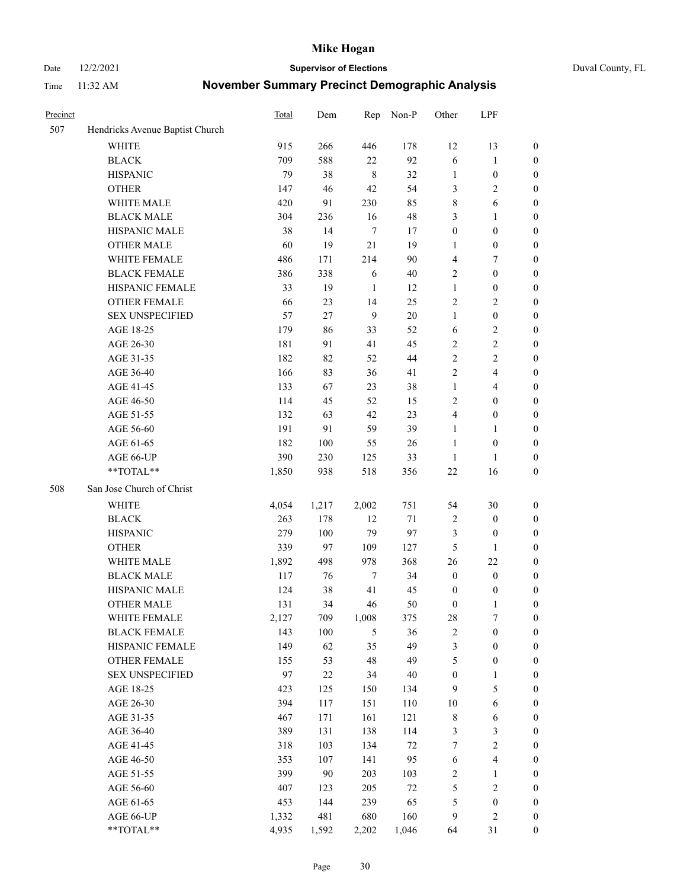Date 12/2/2021 **Supervisor of Elections** Duval County, FL

| Precinct |                                 | Total | Dem    | Rep           | Non-P  | Other            | LPF                     |                  |
|----------|---------------------------------|-------|--------|---------------|--------|------------------|-------------------------|------------------|
| 507      | Hendricks Avenue Baptist Church |       |        |               |        |                  |                         |                  |
|          | <b>WHITE</b>                    | 915   | 266    | 446           | 178    | 12               | 13                      | 0                |
|          | <b>BLACK</b>                    | 709   | 588    | 22            | 92     | 6                | $\mathbf{1}$            | 0                |
|          | <b>HISPANIC</b>                 | 79    | 38     | $\,8\,$       | 32     | $\mathbf{1}$     | $\boldsymbol{0}$        | $\boldsymbol{0}$ |
|          | <b>OTHER</b>                    | 147   | 46     | 42            | 54     | 3                | $\mathbf{2}$            | $\boldsymbol{0}$ |
|          | WHITE MALE                      | 420   | 91     | 230           | 85     | 8                | 6                       | $\boldsymbol{0}$ |
|          | <b>BLACK MALE</b>               | 304   | 236    | 16            | 48     | 3                | $\mathbf{1}$            | $\boldsymbol{0}$ |
|          | HISPANIC MALE                   | 38    | 14     | $\tau$        | 17     | $\boldsymbol{0}$ | $\boldsymbol{0}$        | $\boldsymbol{0}$ |
|          | <b>OTHER MALE</b>               | 60    | 19     | 21            | 19     | $\mathbf{1}$     | $\boldsymbol{0}$        | $\boldsymbol{0}$ |
|          | WHITE FEMALE                    | 486   | 171    | 214           | 90     | 4                | $\tau$                  | $\boldsymbol{0}$ |
|          | <b>BLACK FEMALE</b>             | 386   | 338    | 6             | 40     | $\overline{c}$   | $\boldsymbol{0}$        | $\boldsymbol{0}$ |
|          | HISPANIC FEMALE                 | 33    | 19     | 1             | 12     | $\mathbf{1}$     | $\boldsymbol{0}$        | 0                |
|          | <b>OTHER FEMALE</b>             | 66    | 23     | 14            | 25     | $\mathbf{2}$     | $\sqrt{2}$              | $\boldsymbol{0}$ |
|          | <b>SEX UNSPECIFIED</b>          | 57    | 27     | 9             | 20     | $\mathbf{1}$     | $\boldsymbol{0}$        | $\boldsymbol{0}$ |
|          | AGE 18-25                       | 179   | 86     | 33            | 52     | 6                | $\sqrt{2}$              | $\boldsymbol{0}$ |
|          | AGE 26-30                       | 181   | 91     | 41            | 45     | 2                | $\sqrt{2}$              | $\boldsymbol{0}$ |
|          | AGE 31-35                       | 182   | 82     | 52            | 44     | $\sqrt{2}$       | $\sqrt{2}$              | $\boldsymbol{0}$ |
|          | AGE 36-40                       | 166   | 83     | 36            | 41     | $\mathfrak{2}$   | $\overline{\mathbf{4}}$ | $\boldsymbol{0}$ |
|          | AGE 41-45                       | 133   | 67     | 23            | 38     | $\mathbf{1}$     | $\overline{4}$          | $\boldsymbol{0}$ |
|          | AGE 46-50                       | 114   | 45     | 52            | 15     | $\mathbf{2}$     | $\boldsymbol{0}$        | $\boldsymbol{0}$ |
|          | AGE 51-55                       | 132   | 63     | 42            | 23     | 4                | $\boldsymbol{0}$        | $\boldsymbol{0}$ |
|          | AGE 56-60                       | 191   | 91     | 59            | 39     | $\mathbf{1}$     | $\mathbf{1}$            | 0                |
|          | AGE 61-65                       | 182   | 100    | 55            | 26     | $\mathbf{1}$     | $\boldsymbol{0}$        | 0                |
|          | AGE 66-UP                       | 390   | 230    | 125           | 33     | $\mathbf{1}$     | $\mathbf{1}$            | $\boldsymbol{0}$ |
|          | $**TOTAL**$                     | 1,850 | 938    | 518           | 356    | $22\,$           | 16                      | $\boldsymbol{0}$ |
| 508      | San Jose Church of Christ       |       |        |               |        |                  |                         |                  |
|          | <b>WHITE</b>                    | 4,054 | 1,217  | 2,002         | 751    | 54               | $30\,$                  | $\boldsymbol{0}$ |
|          | <b>BLACK</b>                    | 263   | 178    | 12            | 71     | 2                | $\boldsymbol{0}$        | $\boldsymbol{0}$ |
|          | <b>HISPANIC</b>                 | 279   | 100    | 79            | 97     | 3                | $\boldsymbol{0}$        | $\boldsymbol{0}$ |
|          | <b>OTHER</b>                    | 339   | 97     | 109           | 127    | 5                | $\mathbf{1}$            | $\boldsymbol{0}$ |
|          | WHITE MALE                      | 1,892 | 498    | 978           | 368    | 26               | 22                      | $\boldsymbol{0}$ |
|          | <b>BLACK MALE</b>               | 117   | 76     | $\tau$        | 34     | $\boldsymbol{0}$ | $\boldsymbol{0}$        | $\boldsymbol{0}$ |
|          | HISPANIC MALE                   | 124   | 38     | 41            | 45     | $\boldsymbol{0}$ | $\boldsymbol{0}$        | 0                |
|          | <b>OTHER MALE</b>               | 131   | 34     | 46            | 50     | $\boldsymbol{0}$ | $\mathbf{1}$            | $\boldsymbol{0}$ |
|          | WHITE FEMALE                    | 2,127 | 709    | 1,008         | 375    | 28               | 7                       | 0                |
|          | <b>BLACK FEMALE</b>             | 143   | 100    | $\mathfrak s$ | 36     | $\sqrt{2}$       | $\boldsymbol{0}$        | $\boldsymbol{0}$ |
|          | HISPANIC FEMALE                 | 149   | 62     | 35            | 49     | 3                | $\boldsymbol{0}$        | $\boldsymbol{0}$ |
|          | OTHER FEMALE                    | 155   | 53     | 48            | 49     | 5                | $\boldsymbol{0}$        | $\overline{0}$   |
|          | <b>SEX UNSPECIFIED</b>          | 97    | $22\,$ | 34            | 40     | $\boldsymbol{0}$ | $\mathbf{1}$            | 0                |
|          | AGE 18-25                       | 423   | 125    | 150           | 134    | $\overline{9}$   | $\mathfrak s$           | $\overline{0}$   |
|          | AGE 26-30                       | 394   | 117    | 151           | 110    | $10\,$           | $\sqrt{6}$              | 0                |
|          | AGE 31-35                       | 467   | 171    | 161           | 121    | $\,$ $\,$        | 6                       | 0                |
|          | AGE 36-40                       | 389   | 131    | 138           | 114    | 3                | $\mathfrak{Z}$          | 0                |
|          | AGE 41-45                       | 318   | 103    | 134           | $72\,$ | 7                | $\sqrt{2}$              | 0                |
|          | AGE 46-50                       | 353   | 107    | 141           | 95     | $\sqrt{6}$       | $\overline{\mathbf{4}}$ | 0                |
|          | AGE 51-55                       | 399   | $90\,$ | 203           | 103    | $\overline{c}$   | $\mathbf{1}$            | $\boldsymbol{0}$ |
|          | AGE 56-60                       | 407   | 123    | 205           | $72\,$ | 5                | $\sqrt{2}$              | $\boldsymbol{0}$ |
|          | AGE 61-65                       | 453   | 144    | 239           | 65     | 5                | $\boldsymbol{0}$        | $\boldsymbol{0}$ |
|          | AGE 66-UP                       | 1,332 | 481    | 680           | 160    | $\overline{9}$   | $\mathbf{2}$            | $\boldsymbol{0}$ |
|          | **TOTAL**                       | 4,935 | 1,592  | 2,202         | 1,046  | 64               | 31                      | $\boldsymbol{0}$ |
|          |                                 |       |        |               |        |                  |                         |                  |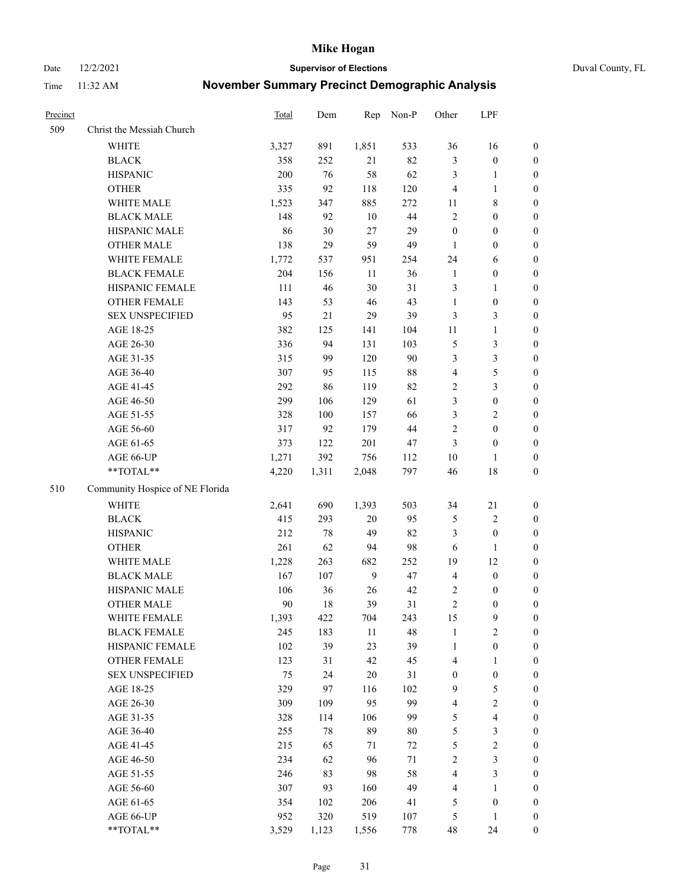Date 12/2/2021 **Supervisor of Elections** Duval County, FL

| Precinct |                                 | Total | Dem   | Rep    | Non-P  | Other                   | LPF                     |                  |
|----------|---------------------------------|-------|-------|--------|--------|-------------------------|-------------------------|------------------|
| 509      | Christ the Messiah Church       |       |       |        |        |                         |                         |                  |
|          | <b>WHITE</b>                    | 3,327 | 891   | 1,851  | 533    | 36                      | 16                      | 0                |
|          | <b>BLACK</b>                    | 358   | 252   | 21     | 82     | 3                       | $\boldsymbol{0}$        | 0                |
|          | <b>HISPANIC</b>                 | 200   | 76    | 58     | 62     | 3                       | $\mathbf{1}$            | $\boldsymbol{0}$ |
|          | <b>OTHER</b>                    | 335   | 92    | 118    | 120    | $\overline{4}$          | $\mathbf{1}$            | $\boldsymbol{0}$ |
|          | WHITE MALE                      | 1,523 | 347   | 885    | 272    | 11                      | $8\,$                   | $\boldsymbol{0}$ |
|          | <b>BLACK MALE</b>               | 148   | 92    | 10     | 44     | $\mathfrak{2}$          | $\boldsymbol{0}$        | $\boldsymbol{0}$ |
|          | HISPANIC MALE                   | 86    | 30    | 27     | 29     | $\boldsymbol{0}$        | $\boldsymbol{0}$        | $\boldsymbol{0}$ |
|          | <b>OTHER MALE</b>               | 138   | 29    | 59     | 49     | $\mathbf{1}$            | $\boldsymbol{0}$        | $\boldsymbol{0}$ |
|          | WHITE FEMALE                    | 1,772 | 537   | 951    | 254    | 24                      | 6                       | $\boldsymbol{0}$ |
|          | <b>BLACK FEMALE</b>             | 204   | 156   | 11     | 36     | $\mathbf{1}$            | $\boldsymbol{0}$        | 0                |
|          | HISPANIC FEMALE                 | 111   | 46    | 30     | 31     | 3                       | $\mathbf{1}$            | 0                |
|          | OTHER FEMALE                    | 143   | 53    | $46\,$ | 43     | $\mathbf{1}$            | $\boldsymbol{0}$        | $\boldsymbol{0}$ |
|          | <b>SEX UNSPECIFIED</b>          | 95    | 21    | 29     | 39     | 3                       | $\mathfrak{Z}$          | $\boldsymbol{0}$ |
|          | AGE 18-25                       | 382   | 125   | 141    | 104    | $11\,$                  | $\mathbf{1}$            | $\boldsymbol{0}$ |
|          | AGE 26-30                       | 336   | 94    | 131    | 103    | 5                       | $\mathfrak{Z}$          | $\boldsymbol{0}$ |
|          | AGE 31-35                       | 315   | 99    | 120    | 90     | 3                       | $\mathfrak{Z}$          | $\boldsymbol{0}$ |
|          | AGE 36-40                       | 307   | 95    | 115    | $88\,$ | 4                       | $\mathfrak s$           | $\boldsymbol{0}$ |
|          | AGE 41-45                       | 292   | 86    | 119    | 82     | $\sqrt{2}$              | $\mathfrak{Z}$          | $\boldsymbol{0}$ |
|          | AGE 46-50                       | 299   | 106   | 129    | 61     | 3                       | $\boldsymbol{0}$        | $\boldsymbol{0}$ |
|          | AGE 51-55                       | 328   | 100   | 157    | 66     | 3                       | $\sqrt{2}$              | $\boldsymbol{0}$ |
|          | AGE 56-60                       | 317   | 92    | 179    | 44     | $\sqrt{2}$              | $\boldsymbol{0}$        | 0                |
|          | AGE 61-65                       | 373   | 122   | 201    | 47     | 3                       | $\boldsymbol{0}$        | 0                |
|          | AGE 66-UP                       | 1,271 | 392   | 756    | 112    | $10\,$                  | $\mathbf{1}$            | $\boldsymbol{0}$ |
|          | $**TOTAL**$                     | 4,220 | 1,311 | 2,048  | 797    | 46                      | $18\,$                  | $\boldsymbol{0}$ |
| 510      | Community Hospice of NE Florida |       |       |        |        |                         |                         |                  |
|          | <b>WHITE</b>                    | 2,641 | 690   | 1,393  | 503    | 34                      | 21                      | $\boldsymbol{0}$ |
|          | <b>BLACK</b>                    | 415   | 293   | $20\,$ | 95     | 5                       | $\sqrt{2}$              | $\boldsymbol{0}$ |
|          | <b>HISPANIC</b>                 | 212   | 78    | 49     | 82     | 3                       | $\boldsymbol{0}$        | $\boldsymbol{0}$ |
|          | <b>OTHER</b>                    | 261   | 62    | 94     | 98     | 6                       | $\mathbf{1}$            | $\boldsymbol{0}$ |
|          | WHITE MALE                      | 1,228 | 263   | 682    | 252    | 19                      | 12                      | $\boldsymbol{0}$ |
|          | <b>BLACK MALE</b>               | 167   | 107   | 9      | 47     | $\overline{4}$          | $\boldsymbol{0}$        | $\boldsymbol{0}$ |
|          | HISPANIC MALE                   | 106   | 36    | 26     | 42     | 2                       | $\boldsymbol{0}$        | 0                |
|          | <b>OTHER MALE</b>               | 90    | 18    | 39     | 31     | $\mathfrak{2}$          | $\boldsymbol{0}$        | $\boldsymbol{0}$ |
|          | WHITE FEMALE                    | 1,393 | 422   | 704    | 243    | 15                      | 9                       | 0                |
|          | <b>BLACK FEMALE</b>             | 245   | 183   | 11     | 48     | $\mathbf{1}$            | $\sqrt{2}$              | $\boldsymbol{0}$ |
|          | HISPANIC FEMALE                 | 102   | 39    | 23     | 39     | $\mathbf{1}$            | $\boldsymbol{0}$        | $\overline{0}$   |
|          | <b>OTHER FEMALE</b>             | 123   | 31    | 42     | 45     | 4                       | $\mathbf{1}$            | $\overline{0}$   |
|          | <b>SEX UNSPECIFIED</b>          | 75    | 24    | $20\,$ | 31     | $\boldsymbol{0}$        | $\boldsymbol{0}$        | 0                |
|          | AGE 18-25                       | 329   | 97    | 116    | 102    | 9                       | $\mathfrak s$           | $\theta$         |
|          | AGE 26-30                       | 309   | 109   | 95     | 99     | $\overline{\mathbf{4}}$ | $\sqrt{2}$              | 0                |
|          | AGE 31-35                       | 328   | 114   | 106    | 99     | 5                       | $\overline{\mathbf{4}}$ | 0                |
|          | AGE 36-40                       | 255   | 78    | 89     | $80\,$ | 5                       | $\mathfrak{Z}$          | 0                |
|          | AGE 41-45                       | 215   | 65    | 71     | 72     | 5                       | $\sqrt{2}$              | 0                |
|          | AGE 46-50                       | 234   | 62    | 96     | 71     | $\overline{c}$          | $\mathfrak{Z}$          | 0                |
|          | AGE 51-55                       | 246   | 83    | 98     | 58     | 4                       | $\mathfrak{Z}$          | $\boldsymbol{0}$ |
|          | AGE 56-60                       | 307   | 93    | 160    | 49     | 4                       | 1                       | $\boldsymbol{0}$ |
|          | AGE 61-65                       | 354   | 102   | 206    | 41     | 5                       | $\boldsymbol{0}$        | $\boldsymbol{0}$ |
|          | AGE 66-UP                       | 952   | 320   | 519    | 107    | 5                       | $\mathbf{1}$            | $\boldsymbol{0}$ |
|          | **TOTAL**                       | 3,529 | 1,123 | 1,556  | 778    | 48                      | 24                      | $\boldsymbol{0}$ |
|          |                                 |       |       |        |        |                         |                         |                  |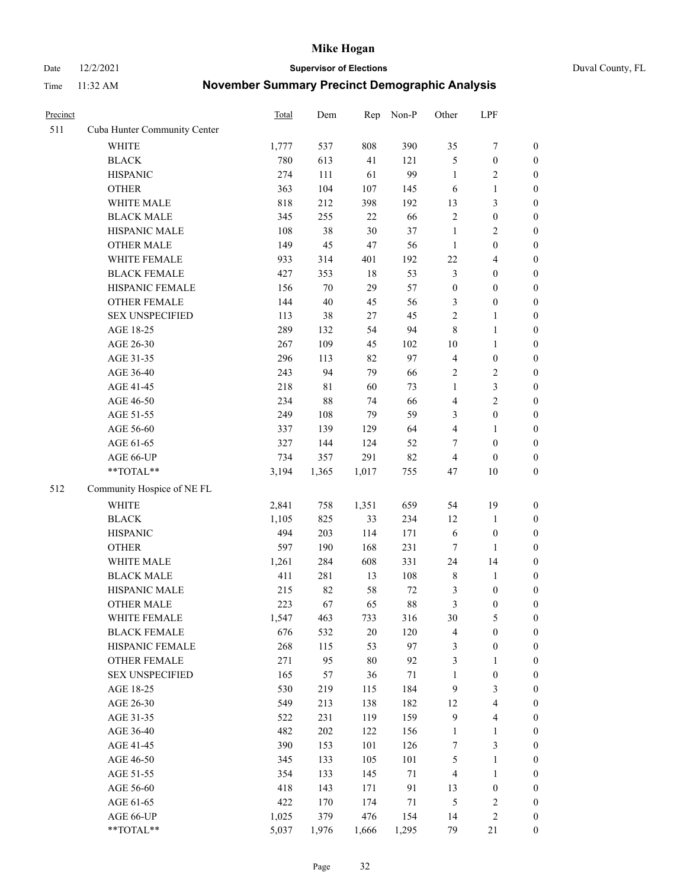Date 12/2/2021 **Supervisor of Elections** Duval County, FL

| Precinct |                              | <b>Total</b> | Dem         | Rep   | Non-P  | Other            | LPF                     |                  |
|----------|------------------------------|--------------|-------------|-------|--------|------------------|-------------------------|------------------|
| 511      | Cuba Hunter Community Center |              |             |       |        |                  |                         |                  |
|          | <b>WHITE</b>                 | 1,777        | 537         | 808   | 390    | 35               | $\boldsymbol{7}$        | 0                |
|          | <b>BLACK</b>                 | 780          | 613         | 41    | 121    | 5                | $\boldsymbol{0}$        | $\boldsymbol{0}$ |
|          | <b>HISPANIC</b>              | 274          | 111         | 61    | 99     | $\mathbf{1}$     | $\overline{c}$          | $\boldsymbol{0}$ |
|          | <b>OTHER</b>                 | 363          | 104         | 107   | 145    | 6                | $\mathbf{1}$            | $\boldsymbol{0}$ |
|          | WHITE MALE                   | 818          | 212         | 398   | 192    | 13               | $\mathfrak{Z}$          | $\boldsymbol{0}$ |
|          | <b>BLACK MALE</b>            | 345          | 255         | 22    | 66     | $\sqrt{2}$       | $\boldsymbol{0}$        | $\boldsymbol{0}$ |
|          | HISPANIC MALE                | 108          | 38          | 30    | 37     | $\mathbf{1}$     | $\sqrt{2}$              | $\boldsymbol{0}$ |
|          | <b>OTHER MALE</b>            | 149          | 45          | 47    | 56     | $\mathbf{1}$     | $\boldsymbol{0}$        | $\boldsymbol{0}$ |
|          | WHITE FEMALE                 | 933          | 314         | 401   | 192    | $22\,$           | $\overline{\mathbf{4}}$ | $\boldsymbol{0}$ |
|          | <b>BLACK FEMALE</b>          | 427          | 353         | 18    | 53     | 3                | $\boldsymbol{0}$        | $\boldsymbol{0}$ |
|          | HISPANIC FEMALE              | 156          | 70          | 29    | 57     | $\boldsymbol{0}$ | $\boldsymbol{0}$        | $\boldsymbol{0}$ |
|          | OTHER FEMALE                 | 144          | 40          | 45    | 56     | 3                | $\boldsymbol{0}$        | $\boldsymbol{0}$ |
|          | <b>SEX UNSPECIFIED</b>       | 113          | 38          | 27    | 45     | $\overline{2}$   | $\mathbf{1}$            | $\boldsymbol{0}$ |
|          | AGE 18-25                    | 289          | 132         | 54    | 94     | 8                | $\mathbf{1}$            | $\boldsymbol{0}$ |
|          | AGE 26-30                    | 267          | 109         | 45    | 102    | $10\,$           | $\mathbf{1}$            | $\boldsymbol{0}$ |
|          | AGE 31-35                    | 296          | 113         | 82    | 97     | 4                | $\boldsymbol{0}$        | $\boldsymbol{0}$ |
|          | AGE 36-40                    | 243          | 94          | 79    | 66     | 2                | $\sqrt{2}$              | $\boldsymbol{0}$ |
|          | AGE 41-45                    | 218          | $8\sqrt{1}$ | 60    | 73     | $\mathbf{1}$     | $\mathfrak{Z}$          | $\boldsymbol{0}$ |
|          | AGE 46-50                    | 234          | $88\,$      | 74    | 66     | $\overline{4}$   | $\overline{2}$          | $\boldsymbol{0}$ |
|          | AGE 51-55                    | 249          | 108         | 79    | 59     | 3                | $\boldsymbol{0}$        | $\boldsymbol{0}$ |
|          | AGE 56-60                    | 337          | 139         | 129   | 64     | $\overline{4}$   | 1                       | 0                |
|          | AGE 61-65                    | 327          | 144         | 124   | 52     | 7                | $\boldsymbol{0}$        | $\boldsymbol{0}$ |
|          | AGE 66-UP                    | 734          | 357         | 291   | 82     | $\overline{4}$   | $\boldsymbol{0}$        | $\boldsymbol{0}$ |
|          | **TOTAL**                    | 3,194        | 1,365       | 1,017 | 755    | 47               | $10\,$                  | $\boldsymbol{0}$ |
| 512      | Community Hospice of NE FL   |              |             |       |        |                  |                         |                  |
|          | <b>WHITE</b>                 | 2,841        | 758         | 1,351 | 659    | 54               | 19                      | $\boldsymbol{0}$ |
|          | <b>BLACK</b>                 | 1,105        | 825         | 33    | 234    | 12               | $\mathbf{1}$            | $\boldsymbol{0}$ |
|          | <b>HISPANIC</b>              | 494          | 203         | 114   | 171    | 6                | $\boldsymbol{0}$        | $\boldsymbol{0}$ |
|          | <b>OTHER</b>                 | 597          | 190         | 168   | 231    | $\tau$           | $\mathbf{1}$            | $\boldsymbol{0}$ |
|          | WHITE MALE                   | 1,261        | 284         | 608   | 331    | 24               | 14                      | $\boldsymbol{0}$ |
|          | <b>BLACK MALE</b>            | 411          | 281         | 13    | 108    | 8                | $\mathbf{1}$            | $\boldsymbol{0}$ |
|          | HISPANIC MALE                | 215          | 82          | 58    | 72     | 3                | $\boldsymbol{0}$        | 0                |
|          | OTHER MALE                   | 223          | 67          | 65    | $88\,$ | 3                | $\boldsymbol{0}$        | $\boldsymbol{0}$ |
|          | WHITE FEMALE                 | 1,547        | 463         | 733   | 316    | 30               | 5                       | 0                |
|          | <b>BLACK FEMALE</b>          | 676          | 532         | 20    | 120    | 4                | $\boldsymbol{0}$        | $\boldsymbol{0}$ |
|          | HISPANIC FEMALE              | 268          | 115         | 53    | 97     | 3                | $\boldsymbol{0}$        | $\overline{0}$   |
|          | <b>OTHER FEMALE</b>          | 271          | 95          | 80    | 92     | 3                | $\mathbf{1}$            | $\overline{0}$   |
|          | <b>SEX UNSPECIFIED</b>       | 165          | 57          | 36    | 71     | $\mathbf{1}$     | $\boldsymbol{0}$        | 0                |
|          | AGE 18-25                    | 530          | 219         | 115   | 184    | 9                | $\mathfrak{Z}$          | 0                |
|          | AGE 26-30                    | 549          | 213         | 138   | 182    | 12               | $\overline{\mathbf{4}}$ | 0                |
|          | AGE 31-35                    | 522          | 231         | 119   | 159    | $\boldsymbol{9}$ | $\overline{\mathbf{4}}$ | 0                |
|          | AGE 36-40                    | 482          | 202         | 122   | 156    | $\mathbf{1}$     | $\mathbf{1}$            | 0                |
|          | AGE 41-45                    | 390          | 153         | 101   | 126    | $\tau$           | $\mathfrak{Z}$          | 0                |
|          | AGE 46-50                    | 345          | 133         | 105   | 101    | 5                | $\mathbf{1}$            | 0                |
|          | AGE 51-55                    | 354          | 133         | 145   | 71     | 4                | $\mathbf{1}$            | 0                |
|          | AGE 56-60                    | 418          | 143         | 171   | 91     | 13               | $\boldsymbol{0}$        | 0                |
|          | AGE 61-65                    | 422          | 170         | 174   | 71     | 5                | $\sqrt{2}$              | 0                |
|          | AGE 66-UP                    | 1,025        | 379         | 476   | 154    | 14               | $\sqrt{2}$              | 0                |
|          | **TOTAL**                    | 5,037        | 1,976       | 1,666 | 1,295  | 79               | 21                      | $\boldsymbol{0}$ |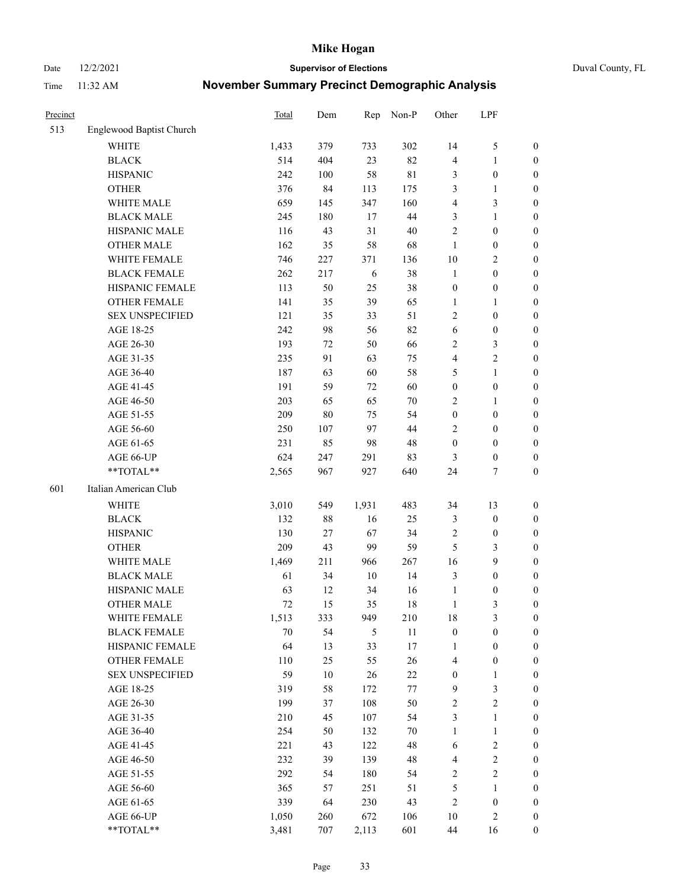Date 12/2/2021 **Supervisor of Elections** Duval County, FL

| Precinct |                          | <b>Total</b> | Dem    | Rep    | Non-P       | Other            | LPF              |                  |
|----------|--------------------------|--------------|--------|--------|-------------|------------------|------------------|------------------|
| 513      | Englewood Baptist Church |              |        |        |             |                  |                  |                  |
|          | <b>WHITE</b>             | 1,433        | 379    | 733    | 302         | 14               | $\mathfrak{S}$   | 0                |
|          | <b>BLACK</b>             | 514          | 404    | 23     | 82          | 4                | $\mathbf{1}$     | 0                |
|          | <b>HISPANIC</b>          | 242          | 100    | 58     | $8\sqrt{1}$ | 3                | $\boldsymbol{0}$ | $\boldsymbol{0}$ |
|          | <b>OTHER</b>             | 376          | 84     | 113    | 175         | 3                | $\mathbf{1}$     | $\boldsymbol{0}$ |
|          | WHITE MALE               | 659          | 145    | 347    | 160         | 4                | $\mathfrak{Z}$   | $\boldsymbol{0}$ |
|          | <b>BLACK MALE</b>        | 245          | 180    | 17     | 44          | 3                | $\mathbf{1}$     | $\boldsymbol{0}$ |
|          | HISPANIC MALE            | 116          | 43     | 31     | 40          | $\mathfrak{2}$   | $\boldsymbol{0}$ | $\boldsymbol{0}$ |
|          | <b>OTHER MALE</b>        | 162          | 35     | 58     | 68          | $\mathbf{1}$     | $\boldsymbol{0}$ | $\boldsymbol{0}$ |
|          | WHITE FEMALE             | 746          | 227    | 371    | 136         | 10               | $\overline{2}$   | $\boldsymbol{0}$ |
|          | <b>BLACK FEMALE</b>      | 262          | 217    | 6      | 38          | $\mathbf{1}$     | $\boldsymbol{0}$ | 0                |
|          | HISPANIC FEMALE          | 113          | 50     | 25     | 38          | $\boldsymbol{0}$ | $\boldsymbol{0}$ | 0                |
|          | <b>OTHER FEMALE</b>      | 141          | 35     | 39     | 65          | $\mathbf{1}$     | $\mathbf{1}$     | $\boldsymbol{0}$ |
|          | <b>SEX UNSPECIFIED</b>   | 121          | 35     | 33     | 51          | $\sqrt{2}$       | $\boldsymbol{0}$ | $\boldsymbol{0}$ |
|          | AGE 18-25                | 242          | 98     | 56     | 82          | 6                | $\boldsymbol{0}$ | $\boldsymbol{0}$ |
|          | AGE 26-30                | 193          | $72\,$ | 50     | 66          | $\overline{c}$   | $\mathfrak{Z}$   | $\boldsymbol{0}$ |
|          | AGE 31-35                | 235          | 91     | 63     | 75          | 4                | $\sqrt{2}$       | $\boldsymbol{0}$ |
|          | AGE 36-40                | 187          | 63     | 60     | 58          | 5                | $\mathbf{1}$     | $\boldsymbol{0}$ |
|          | AGE 41-45                | 191          | 59     | 72     | 60          | $\boldsymbol{0}$ | $\boldsymbol{0}$ | $\boldsymbol{0}$ |
|          | AGE 46-50                | 203          | 65     | 65     | $70\,$      | $\mathbf{2}$     | $\mathbf{1}$     | $\boldsymbol{0}$ |
|          | AGE 51-55                | 209          | $80\,$ | 75     | 54          | $\boldsymbol{0}$ | $\boldsymbol{0}$ | $\boldsymbol{0}$ |
|          | AGE 56-60                | 250          | 107    | 97     | 44          | $\overline{c}$   | $\boldsymbol{0}$ | 0                |
|          | AGE 61-65                | 231          | 85     | 98     | 48          | $\boldsymbol{0}$ | $\boldsymbol{0}$ | 0                |
|          | AGE 66-UP                | 624          | 247    | 291    | 83          | 3                | $\boldsymbol{0}$ | $\boldsymbol{0}$ |
|          | **TOTAL**                | 2,565        | 967    | 927    | 640         | 24               | $\tau$           | $\boldsymbol{0}$ |
| 601      | Italian American Club    |              |        |        |             |                  |                  |                  |
|          | <b>WHITE</b>             | 3,010        | 549    | 1,931  | 483         | 34               | 13               | $\boldsymbol{0}$ |
|          | <b>BLACK</b>             | 132          | 88     | 16     | 25          | 3                | $\boldsymbol{0}$ | $\boldsymbol{0}$ |
|          | <b>HISPANIC</b>          | 130          | 27     | 67     | 34          | $\overline{c}$   | $\boldsymbol{0}$ | $\boldsymbol{0}$ |
|          | <b>OTHER</b>             | 209          | 43     | 99     | 59          | 5                | $\mathfrak{Z}$   | $\boldsymbol{0}$ |
|          | WHITE MALE               | 1,469        | 211    | 966    | 267         | 16               | 9                | $\boldsymbol{0}$ |
|          | <b>BLACK MALE</b>        | 61           | 34     | $10\,$ | 14          | 3                | $\boldsymbol{0}$ | $\boldsymbol{0}$ |
|          | HISPANIC MALE            | 63           | 12     | 34     | 16          | $\mathbf{1}$     | $\boldsymbol{0}$ | 0                |
|          | <b>OTHER MALE</b>        | 72           | 15     | 35     | 18          | $\mathbf{1}$     | 3                | $\boldsymbol{0}$ |
|          | WHITE FEMALE             | 1,513        | 333    | 949    | 210         | 18               | 3                | 0                |
|          | <b>BLACK FEMALE</b>      | 70           | 54     | 5      | 11          | $\boldsymbol{0}$ | $\boldsymbol{0}$ | $\boldsymbol{0}$ |
|          | HISPANIC FEMALE          | 64           | 13     | 33     | 17          | $\mathbf{1}$     | $\boldsymbol{0}$ | $\overline{0}$   |
|          | OTHER FEMALE             | 110          | 25     | 55     | 26          | 4                | $\boldsymbol{0}$ | $\overline{0}$   |
|          | <b>SEX UNSPECIFIED</b>   | 59           | $10\,$ | 26     | $22\,$      | $\boldsymbol{0}$ | $\mathbf{1}$     | 0                |
|          | AGE 18-25                | 319          | 58     | 172    | 77          | 9                | $\mathfrak{Z}$   | 0                |
|          | AGE 26-30                | 199          | 37     | 108    | 50          | $\sqrt{2}$       | $\sqrt{2}$       | 0                |
|          | AGE 31-35                | 210          | 45     | 107    | 54          | 3                | $\mathbf{1}$     | 0                |
|          | AGE 36-40                | 254          | 50     | 132    | 70          | $\mathbf{1}$     | $\mathbf{1}$     | 0                |
|          | AGE 41-45                | 221          | 43     | 122    | 48          | 6                | $\sqrt{2}$       | 0                |
|          | AGE 46-50                | 232          | 39     | 139    | 48          | 4                | $\sqrt{2}$       | 0                |
|          | AGE 51-55                | 292          | 54     | 180    | 54          | $\overline{c}$   | $\sqrt{2}$       | $\boldsymbol{0}$ |
|          | AGE 56-60                | 365          | 57     | 251    | 51          | 5                | 1                | $\boldsymbol{0}$ |
|          | AGE 61-65                | 339          | 64     | 230    | 43          | 2                | $\boldsymbol{0}$ | $\boldsymbol{0}$ |
|          | AGE 66-UP                | 1,050        | 260    | 672    | 106         | 10               | $\sqrt{2}$       | $\boldsymbol{0}$ |
|          | **TOTAL**                | 3,481        | 707    | 2,113  | 601         | 44               | 16               | $\boldsymbol{0}$ |
|          |                          |              |        |        |             |                  |                  |                  |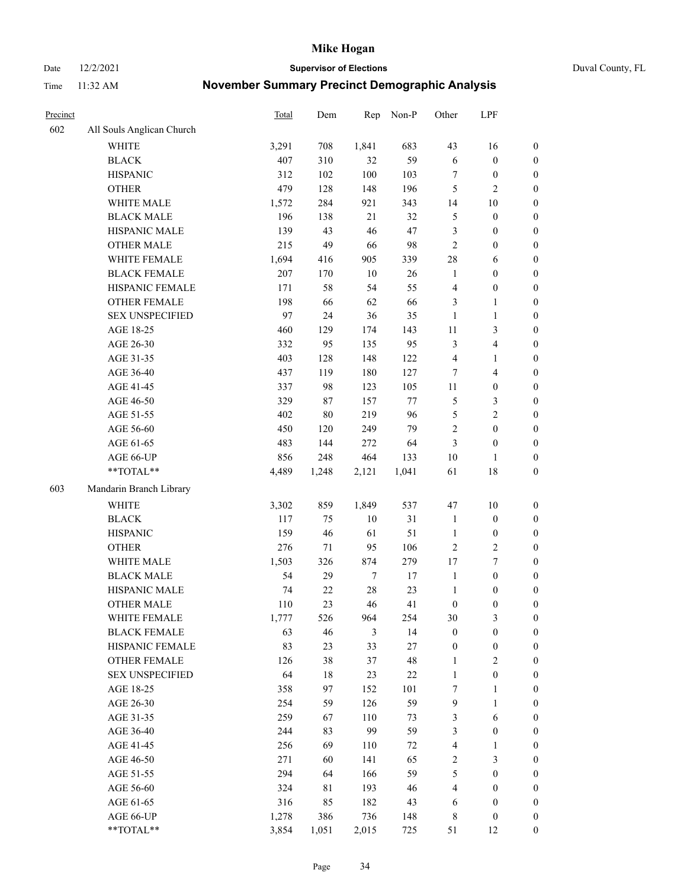Date 12/2/2021 **Supervisor of Elections** Duval County, FL

| Precinct |                           | Total | Dem    | Rep    | Non-P  | Other            | LPF                     |                  |
|----------|---------------------------|-------|--------|--------|--------|------------------|-------------------------|------------------|
| 602      | All Souls Anglican Church |       |        |        |        |                  |                         |                  |
|          | <b>WHITE</b>              | 3,291 | 708    | 1,841  | 683    | 43               | 16                      | 0                |
|          | <b>BLACK</b>              | 407   | 310    | 32     | 59     | $\sqrt{6}$       | $\boldsymbol{0}$        | $\boldsymbol{0}$ |
|          | <b>HISPANIC</b>           | 312   | 102    | 100    | 103    | $\tau$           | $\boldsymbol{0}$        | $\boldsymbol{0}$ |
|          | <b>OTHER</b>              | 479   | 128    | 148    | 196    | 5                | $\mathbf{2}$            | $\boldsymbol{0}$ |
|          | WHITE MALE                | 1,572 | 284    | 921    | 343    | 14               | $10\,$                  | $\boldsymbol{0}$ |
|          | <b>BLACK MALE</b>         | 196   | 138    | 21     | 32     | 5                | $\boldsymbol{0}$        | $\boldsymbol{0}$ |
|          | HISPANIC MALE             | 139   | 43     | 46     | 47     | 3                | $\boldsymbol{0}$        | $\boldsymbol{0}$ |
|          | <b>OTHER MALE</b>         | 215   | 49     | 66     | 98     | $\mathbf{2}$     | $\boldsymbol{0}$        | $\boldsymbol{0}$ |
|          | WHITE FEMALE              | 1,694 | 416    | 905    | 339    | 28               | 6                       | $\boldsymbol{0}$ |
|          | <b>BLACK FEMALE</b>       | 207   | 170    | $10\,$ | 26     | $\mathbf{1}$     | $\boldsymbol{0}$        | 0                |
|          | HISPANIC FEMALE           | 171   | 58     | 54     | 55     | $\overline{4}$   | $\boldsymbol{0}$        | 0                |
|          | <b>OTHER FEMALE</b>       | 198   | 66     | 62     | 66     | 3                | $\mathbf{1}$            | $\boldsymbol{0}$ |
|          | <b>SEX UNSPECIFIED</b>    | 97    | 24     | 36     | 35     | $\mathbf{1}$     | $\mathbf{1}$            | $\boldsymbol{0}$ |
|          | AGE 18-25                 | 460   | 129    | 174    | 143    | $11\,$           | $\mathfrak{Z}$          | $\boldsymbol{0}$ |
|          | AGE 26-30                 | 332   | 95     | 135    | 95     | 3                | $\overline{\mathbf{4}}$ | $\boldsymbol{0}$ |
|          | AGE 31-35                 | 403   | 128    | 148    | 122    | 4                | $\mathbf{1}$            | $\boldsymbol{0}$ |
|          | AGE 36-40                 | 437   | 119    | 180    | 127    | 7                | $\overline{\mathbf{4}}$ | $\boldsymbol{0}$ |
|          | AGE 41-45                 | 337   | 98     | 123    | 105    | $11\,$           | $\boldsymbol{0}$        | $\boldsymbol{0}$ |
|          | AGE 46-50                 | 329   | 87     | 157    | $77\,$ | 5                | $\mathfrak{Z}$          | $\boldsymbol{0}$ |
|          | AGE 51-55                 | 402   | $80\,$ | 219    | 96     | 5                | $\sqrt{2}$              | $\boldsymbol{0}$ |
|          | AGE 56-60                 | 450   | 120    | 249    | 79     | $\sqrt{2}$       | $\boldsymbol{0}$        | 0                |
|          | AGE 61-65                 | 483   | 144    | 272    | 64     | 3                | $\boldsymbol{0}$        | $\boldsymbol{0}$ |
|          | AGE 66-UP                 | 856   | 248    | 464    | 133    | 10               | $\mathbf{1}$            | $\boldsymbol{0}$ |
|          | $**TOTAL**$               | 4,489 | 1,248  | 2,121  | 1,041  | 61               | $18\,$                  | $\boldsymbol{0}$ |
| 603      | Mandarin Branch Library   |       |        |        |        |                  |                         |                  |
|          | WHITE                     |       |        |        |        |                  |                         |                  |
|          |                           | 3,302 | 859    | 1,849  | 537    | 47               | $10\,$                  | $\boldsymbol{0}$ |
|          | <b>BLACK</b>              | 117   | 75     | $10\,$ | 31     | $\mathbf{1}$     | $\boldsymbol{0}$        | $\boldsymbol{0}$ |
|          | <b>HISPANIC</b>           | 159   | 46     | 61     | 51     | $\mathbf{1}$     | $\boldsymbol{0}$        | $\boldsymbol{0}$ |
|          | <b>OTHER</b>              | 276   | 71     | 95     | 106    | $\mathfrak{2}$   | $\sqrt{2}$              | $\boldsymbol{0}$ |
|          | WHITE MALE                | 1,503 | 326    | 874    | 279    | 17               | $\boldsymbol{7}$        | $\boldsymbol{0}$ |
|          | <b>BLACK MALE</b>         | 54    | 29     | $\tau$ | $17\,$ | $\mathbf{1}$     | $\boldsymbol{0}$        | $\boldsymbol{0}$ |
|          | HISPANIC MALE             | 74    | $22\,$ | $28\,$ | 23     | $\mathbf{1}$     | $\boldsymbol{0}$        | $\boldsymbol{0}$ |
|          | <b>OTHER MALE</b>         | 110   | 23     | 46     | 41     | $\boldsymbol{0}$ | $\boldsymbol{0}$        | $\boldsymbol{0}$ |
|          | WHITE FEMALE              | 1,777 | 526    | 964    | 254    | 30               | 3                       | 0                |
|          | <b>BLACK FEMALE</b>       | 63    | 46     | 3      | 14     | $\boldsymbol{0}$ | $\boldsymbol{0}$        | $\boldsymbol{0}$ |
|          | HISPANIC FEMALE           | 83    | 23     | 33     | 27     | $\boldsymbol{0}$ | $\boldsymbol{0}$        | $\overline{0}$   |
|          | OTHER FEMALE              | 126   | 38     | 37     | 48     | $\mathbf{1}$     | $\sqrt{2}$              | 0                |
|          | <b>SEX UNSPECIFIED</b>    | 64    | 18     | 23     | 22     | $\mathbf{1}$     | $\boldsymbol{0}$        | 0                |
|          | AGE 18-25                 | 358   | 97     | 152    | 101    | 7                | $\mathbf{1}$            | 0                |
|          | AGE 26-30                 | 254   | 59     | 126    | 59     | 9                | $\mathbf{1}$            | 0                |
|          | AGE 31-35                 | 259   | 67     | 110    | 73     | 3                | 6                       | 0                |
|          | AGE 36-40                 | 244   | 83     | 99     | 59     | 3                | $\boldsymbol{0}$        | 0                |
|          | AGE 41-45                 | 256   | 69     | 110    | 72     | $\overline{4}$   | $\mathbf{1}$            | 0                |
|          | AGE 46-50                 | 271   | 60     | 141    | 65     | 2                | $\mathfrak{Z}$          | 0                |
|          | AGE 51-55                 | 294   | 64     | 166    | 59     | 5                | $\boldsymbol{0}$        | 0                |
|          | AGE 56-60                 | 324   | 81     | 193    | 46     | 4                | $\boldsymbol{0}$        | $\boldsymbol{0}$ |
|          | AGE 61-65                 | 316   | 85     | 182    | 43     | 6                | $\boldsymbol{0}$        | $\boldsymbol{0}$ |
|          | AGE 66-UP                 | 1,278 | 386    | 736    | 148    | 8                | $\boldsymbol{0}$        | 0                |
|          | **TOTAL**                 | 3,854 | 1,051  | 2,015  | 725    | 51               | 12                      | $\boldsymbol{0}$ |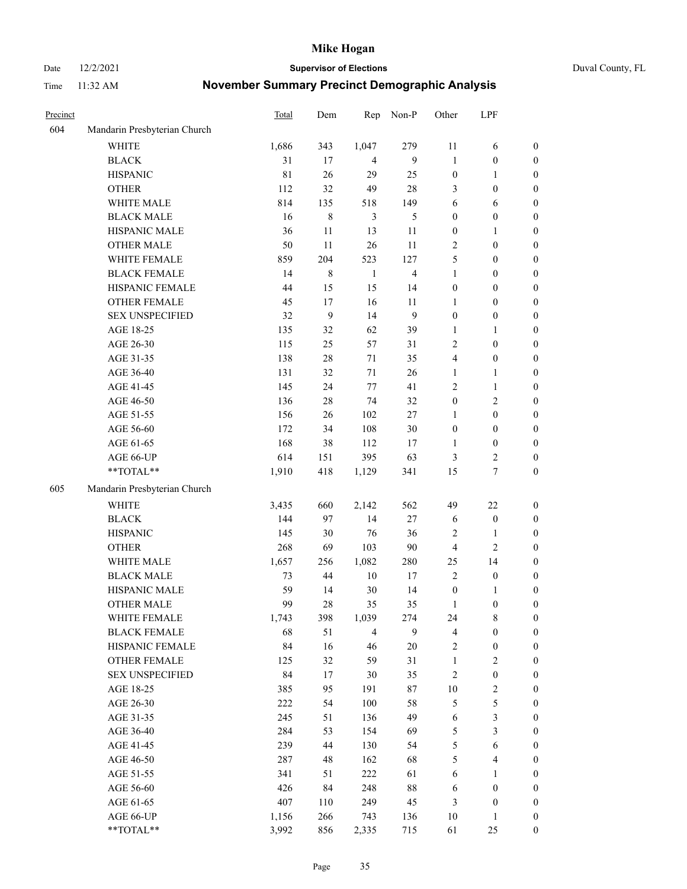Date 12/2/2021 **Supervisor of Elections** Duval County, FL

| Precinct |                              | Total       | Dem    | Rep            | Non-P                   | Other            | LPF                     |                  |
|----------|------------------------------|-------------|--------|----------------|-------------------------|------------------|-------------------------|------------------|
| 604      | Mandarin Presbyterian Church |             |        |                |                         |                  |                         |                  |
|          | <b>WHITE</b>                 | 1,686       | 343    | 1,047          | 279                     | 11               | 6                       | 0                |
|          | <b>BLACK</b>                 | 31          | 17     | $\overline{4}$ | 9                       | $\mathbf{1}$     | $\boldsymbol{0}$        | 0                |
|          | <b>HISPANIC</b>              | $8\sqrt{1}$ | 26     | 29             | 25                      | $\boldsymbol{0}$ | $\mathbf{1}$            | $\boldsymbol{0}$ |
|          | <b>OTHER</b>                 | 112         | 32     | 49             | $28\,$                  | 3                | $\boldsymbol{0}$        | $\boldsymbol{0}$ |
|          | WHITE MALE                   | 814         | 135    | 518            | 149                     | 6                | 6                       | $\boldsymbol{0}$ |
|          | <b>BLACK MALE</b>            | 16          | 8      | 3              | 5                       | $\boldsymbol{0}$ | $\boldsymbol{0}$        | $\boldsymbol{0}$ |
|          | HISPANIC MALE                | 36          | 11     | 13             | 11                      | $\boldsymbol{0}$ | $\mathbf{1}$            | $\boldsymbol{0}$ |
|          | OTHER MALE                   | 50          | 11     | 26             | 11                      | 2                | $\boldsymbol{0}$        | $\boldsymbol{0}$ |
|          | WHITE FEMALE                 | 859         | 204    | 523            | 127                     | 5                | $\boldsymbol{0}$        | $\boldsymbol{0}$ |
|          | <b>BLACK FEMALE</b>          | 14          | 8      | $\mathbf{1}$   | $\overline{\mathbf{4}}$ | $\mathbf{1}$     | $\boldsymbol{0}$        | 0                |
|          | HISPANIC FEMALE              | 44          | 15     | 15             | 14                      | $\boldsymbol{0}$ | $\boldsymbol{0}$        | 0                |
|          | <b>OTHER FEMALE</b>          | 45          | 17     | 16             | 11                      | $\mathbf{1}$     | $\boldsymbol{0}$        | $\boldsymbol{0}$ |
|          | <b>SEX UNSPECIFIED</b>       | 32          | 9      | 14             | 9                       | $\boldsymbol{0}$ | $\boldsymbol{0}$        | $\boldsymbol{0}$ |
|          | AGE 18-25                    | 135         | 32     | 62             | 39                      | 1                | $\mathbf{1}$            | $\boldsymbol{0}$ |
|          | AGE 26-30                    | 115         | 25     | 57             | 31                      | $\overline{c}$   | $\boldsymbol{0}$        | $\boldsymbol{0}$ |
|          | AGE 31-35                    | 138         | $28\,$ | 71             | 35                      | 4                | $\boldsymbol{0}$        | $\boldsymbol{0}$ |
|          | AGE 36-40                    | 131         | 32     | 71             | 26                      | $\mathbf{1}$     | $\mathbf{1}$            | $\boldsymbol{0}$ |
|          | AGE 41-45                    | 145         | 24     | 77             | 41                      | $\mathfrak{2}$   | $\mathbf{1}$            | $\boldsymbol{0}$ |
|          | AGE 46-50                    | 136         | $28\,$ | 74             | 32                      | $\boldsymbol{0}$ | $\mathfrak{2}$          | $\boldsymbol{0}$ |
|          | AGE 51-55                    | 156         | 26     | 102            | $27\,$                  | 1                | $\boldsymbol{0}$        | $\boldsymbol{0}$ |
|          | AGE 56-60                    | 172         | 34     | 108            | 30                      | $\boldsymbol{0}$ | $\boldsymbol{0}$        | 0                |
|          | AGE 61-65                    | 168         | 38     | 112            | 17                      | $\mathbf{1}$     | $\boldsymbol{0}$        | 0                |
|          | AGE 66-UP                    | 614         | 151    | 395            | 63                      | 3                | $\overline{c}$          | $\boldsymbol{0}$ |
|          | $**TOTAL**$                  | 1,910       | 418    | 1,129          | 341                     | 15               | $\boldsymbol{7}$        | $\boldsymbol{0}$ |
| 605      | Mandarin Presbyterian Church |             |        |                |                         |                  |                         |                  |
|          |                              |             |        |                |                         |                  |                         |                  |
|          | <b>WHITE</b>                 | 3,435       | 660    | 2,142          | 562                     | 49               | $22\,$                  | $\boldsymbol{0}$ |
|          | <b>BLACK</b>                 | 144         | 97     | 14             | $27\,$                  | 6                | $\boldsymbol{0}$        | $\boldsymbol{0}$ |
|          | <b>HISPANIC</b>              | 145         | 30     | 76             | 36                      | $\overline{c}$   | $\mathbf{1}$            | $\boldsymbol{0}$ |
|          | <b>OTHER</b>                 | 268         | 69     | 103            | $90\,$                  | 4                | $\overline{c}$          | $\boldsymbol{0}$ |
|          | WHITE MALE                   | 1,657       | 256    | 1,082          | 280                     | 25               | 14                      | $\boldsymbol{0}$ |
|          | <b>BLACK MALE</b>            | 73          | 44     | $10\,$         | $17\,$                  | $\overline{2}$   | $\boldsymbol{0}$        | $\boldsymbol{0}$ |
|          | HISPANIC MALE                | 59<br>99    | 14     | $30\,$         | 14                      | $\boldsymbol{0}$ | 1                       | 0                |
|          | <b>OTHER MALE</b>            |             | 28     | 35             | 35                      | $\mathbf{1}$     | $\boldsymbol{0}$        | $\boldsymbol{0}$ |
|          | WHITE FEMALE                 | 1,743       | 398    | 1,039          | 274                     | 24               | 8                       | 0                |
|          | <b>BLACK FEMALE</b>          | 68          | 51     | $\overline{4}$ | 9                       | 4                | $\boldsymbol{0}$        | $\boldsymbol{0}$ |
|          | HISPANIC FEMALE              | 84          | 16     | 46             | $20\,$                  | $\sqrt{2}$       | $\boldsymbol{0}$        | $\overline{0}$   |
|          | <b>OTHER FEMALE</b>          | 125         | 32     | 59             | 31                      | $\mathbf{1}$     | $\sqrt{2}$              | $\overline{0}$   |
|          | <b>SEX UNSPECIFIED</b>       | 84          | 17     | $30\,$         | 35                      | 2                | $\boldsymbol{0}$        | 0                |
|          | AGE 18-25                    | 385         | 95     | 191            | 87                      | 10               | $\sqrt{2}$              | 0                |
|          | AGE 26-30                    | 222         | 54     | 100            | 58                      | 5                | $\mathfrak s$           | 0                |
|          | AGE 31-35                    | 245         | 51     | 136            | 49                      | 6                | $\mathfrak{Z}$          | 0                |
|          | AGE 36-40                    | 284         | 53     | 154            | 69                      | 5                | $\mathfrak{Z}$          | 0                |
|          | AGE 41-45                    | 239         | 44     | 130            | 54                      | 5                | $\sqrt{6}$              | 0                |
|          | AGE 46-50                    | 287         | 48     | 162            | 68                      | 5                | $\overline{\mathbf{4}}$ | 0                |
|          | AGE 51-55                    | 341         | 51     | 222            | 61                      | 6                | $\mathbf{1}$            | $\boldsymbol{0}$ |
|          | AGE 56-60                    | 426         | 84     | 248            | $88\,$                  | 6                | $\boldsymbol{0}$        | $\boldsymbol{0}$ |
|          | AGE 61-65                    | 407         | 110    | 249            | 45                      | 3                | $\boldsymbol{0}$        | $\boldsymbol{0}$ |
|          | AGE 66-UP                    | 1,156       | 266    | 743            | 136                     | 10               | $\mathbf{1}$            | $\boldsymbol{0}$ |
|          | **TOTAL**                    | 3,992       | 856    | 2,335          | 715                     | 61               | 25                      | $\boldsymbol{0}$ |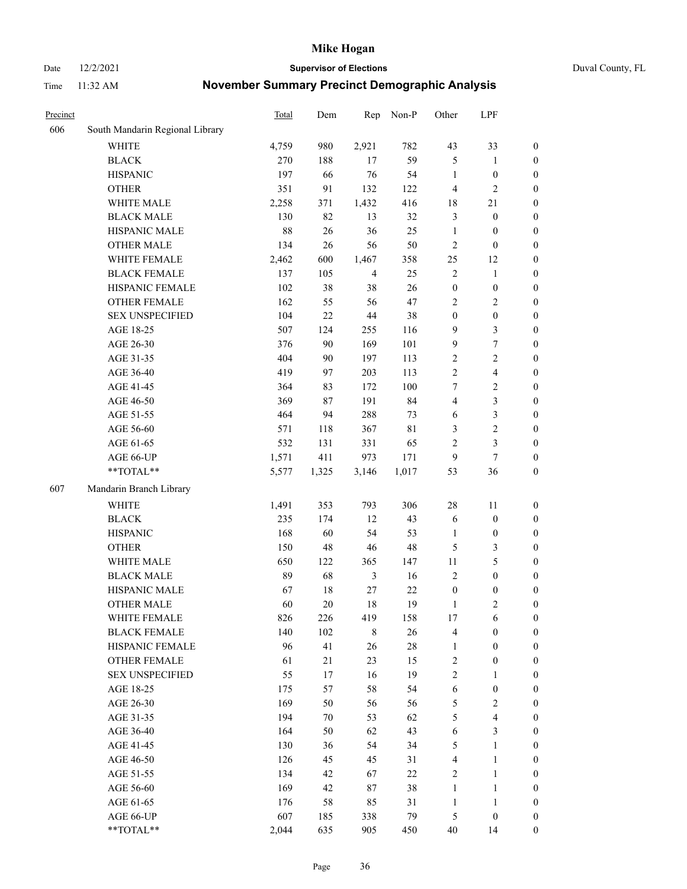#### Date 12/2/2021 **Supervisor of Elections** Duval County, FL

| Precinct |                                 | Total | Dem   | Rep            | Non-P  | Other            | LPF                     |                  |
|----------|---------------------------------|-------|-------|----------------|--------|------------------|-------------------------|------------------|
| 606      | South Mandarin Regional Library |       |       |                |        |                  |                         |                  |
|          | <b>WHITE</b>                    | 4,759 | 980   | 2,921          | 782    | 43               | 33                      | 0                |
|          | <b>BLACK</b>                    | 270   | 188   | 17             | 59     | 5                | $\mathbf{1}$            | $\boldsymbol{0}$ |
|          | <b>HISPANIC</b>                 | 197   | 66    | 76             | 54     | $\mathbf{1}$     | $\boldsymbol{0}$        | $\boldsymbol{0}$ |
|          | <b>OTHER</b>                    | 351   | 91    | 132            | 122    | 4                | $\mathbf{2}$            | $\boldsymbol{0}$ |
|          | WHITE MALE                      | 2,258 | 371   | 1,432          | 416    | 18               | 21                      | $\boldsymbol{0}$ |
|          | <b>BLACK MALE</b>               | 130   | 82    | 13             | 32     | 3                | $\boldsymbol{0}$        | $\boldsymbol{0}$ |
|          | HISPANIC MALE                   | 88    | 26    | 36             | 25     | $\mathbf{1}$     | $\boldsymbol{0}$        | $\boldsymbol{0}$ |
|          | <b>OTHER MALE</b>               | 134   | 26    | 56             | 50     | $\overline{c}$   | $\boldsymbol{0}$        | $\boldsymbol{0}$ |
|          | WHITE FEMALE                    | 2,462 | 600   | 1,467          | 358    | 25               | 12                      | $\boldsymbol{0}$ |
|          | <b>BLACK FEMALE</b>             | 137   | 105   | $\overline{4}$ | 25     | $\sqrt{2}$       | $\mathbf{1}$            | $\boldsymbol{0}$ |
|          | HISPANIC FEMALE                 | 102   | 38    | 38             | 26     | $\boldsymbol{0}$ | $\boldsymbol{0}$        | 0                |
|          | <b>OTHER FEMALE</b>             | 162   | 55    | 56             | 47     | $\mathbf{2}$     | $\sqrt{2}$              | $\boldsymbol{0}$ |
|          | <b>SEX UNSPECIFIED</b>          | 104   | 22    | $44\,$         | 38     | $\boldsymbol{0}$ | $\boldsymbol{0}$        | $\boldsymbol{0}$ |
|          | AGE 18-25                       | 507   | 124   | 255            | 116    | 9                | $\mathfrak{Z}$          | $\boldsymbol{0}$ |
|          | AGE 26-30                       | 376   | 90    | 169            | 101    | 9                | $\boldsymbol{7}$        | $\boldsymbol{0}$ |
|          | AGE 31-35                       | 404   | 90    | 197            | 113    | $\sqrt{2}$       | $\sqrt{2}$              | $\boldsymbol{0}$ |
|          | AGE 36-40                       | 419   | 97    | 203            | 113    | $\mathfrak{2}$   | $\overline{\mathbf{4}}$ | $\boldsymbol{0}$ |
|          | AGE 41-45                       | 364   | 83    | 172            | 100    | 7                | $\overline{2}$          | $\boldsymbol{0}$ |
|          | AGE 46-50                       | 369   | 87    | 191            | 84     | 4                | $\mathfrak{Z}$          | $\boldsymbol{0}$ |
|          | AGE 51-55                       | 464   | 94    | 288            | 73     | 6                | $\mathfrak{Z}$          | $\boldsymbol{0}$ |
|          | AGE 56-60                       | 571   | 118   | 367            | 81     | 3                | $\sqrt{2}$              | 0                |
|          | AGE 61-65                       | 532   | 131   | 331            | 65     | $\mathbf{2}$     | $\mathfrak{Z}$          | $\boldsymbol{0}$ |
|          | AGE 66-UP                       | 1,571 | 411   | 973            | 171    | 9                | $\tau$                  | $\boldsymbol{0}$ |
|          | $**TOTAL**$                     | 5,577 | 1,325 | 3,146          | 1,017  | 53               | 36                      | $\boldsymbol{0}$ |
| 607      | Mandarin Branch Library         |       |       |                |        |                  |                         |                  |
|          | <b>WHITE</b>                    | 1,491 | 353   | 793            | 306    | 28               | 11                      | $\boldsymbol{0}$ |
|          | <b>BLACK</b>                    | 235   | 174   | 12             | 43     | 6                | $\boldsymbol{0}$        | $\boldsymbol{0}$ |
|          | <b>HISPANIC</b>                 | 168   | 60    | 54             | 53     | $\mathbf{1}$     | $\boldsymbol{0}$        | $\boldsymbol{0}$ |
|          | <b>OTHER</b>                    | 150   | 48    | $46\,$         | 48     | 5                | $\mathfrak{Z}$          | $\boldsymbol{0}$ |
|          | WHITE MALE                      | 650   | 122   | 365            | 147    | $11\,$           | $\mathfrak{S}$          | $\boldsymbol{0}$ |
|          | <b>BLACK MALE</b>               | 89    | 68    | $\mathfrak{Z}$ | 16     | $\mathbf{2}$     | $\boldsymbol{0}$        | $\boldsymbol{0}$ |
|          | HISPANIC MALE                   | 67    | 18    | $27\,$         | 22     | $\boldsymbol{0}$ | $\boldsymbol{0}$        | $\boldsymbol{0}$ |
|          | <b>OTHER MALE</b>               | 60    | 20    | 18             | 19     | $\mathbf{1}$     | $\mathfrak{2}$          | $\boldsymbol{0}$ |
|          | WHITE FEMALE                    | 826   | 226   | 419            | 158    | 17               | 6                       | 0                |
|          | <b>BLACK FEMALE</b>             | 140   | 102   | $\,$ 8 $\,$    | 26     | 4                | $\boldsymbol{0}$        | $\boldsymbol{0}$ |
|          | HISPANIC FEMALE                 | 96    | 41    | 26             | $28\,$ | $\mathbf{1}$     | $\boldsymbol{0}$        | $\overline{0}$   |
|          | OTHER FEMALE                    | 61    | 21    | 23             | 15     | $\overline{c}$   | $\boldsymbol{0}$        | $\overline{0}$   |
|          | <b>SEX UNSPECIFIED</b>          | 55    | 17    | 16             | 19     | 2                | $\mathbf{1}$            | 0                |
|          | AGE 18-25                       | 175   | 57    | 58             | 54     | $\sqrt{6}$       | $\boldsymbol{0}$        | 0                |
|          | AGE 26-30                       | 169   | 50    | 56             | 56     | 5                | $\overline{2}$          | 0                |
|          | AGE 31-35                       | 194   | 70    | 53             | 62     | 5                | $\overline{\mathbf{4}}$ | 0                |
|          | AGE 36-40                       | 164   | 50    | 62             | 43     | 6                | $\mathfrak{Z}$          | 0                |
|          | AGE 41-45                       | 130   | 36    | 54             | 34     | 5                | $\mathbf{1}$            | 0                |
|          | AGE 46-50                       | 126   | 45    | 45             | 31     | 4                | $\mathbf{1}$            | 0                |
|          | AGE 51-55                       | 134   | 42    | 67             | 22     | $\overline{c}$   | $\mathbf{1}$            | 0                |
|          | AGE 56-60                       | 169   | 42    | $87\,$         | 38     | $\mathbf{1}$     | $\mathbf{1}$            | 0                |
|          | AGE 61-65                       | 176   | 58    | 85             | 31     | $\mathbf{1}$     | $\mathbf{1}$            | 0                |
|          | AGE 66-UP                       | 607   | 185   | 338            | 79     | 5                | $\boldsymbol{0}$        | $\boldsymbol{0}$ |
|          | **TOTAL**                       | 2,044 | 635   | 905            | 450    | 40               | 14                      | $\boldsymbol{0}$ |
|          |                                 |       |       |                |        |                  |                         |                  |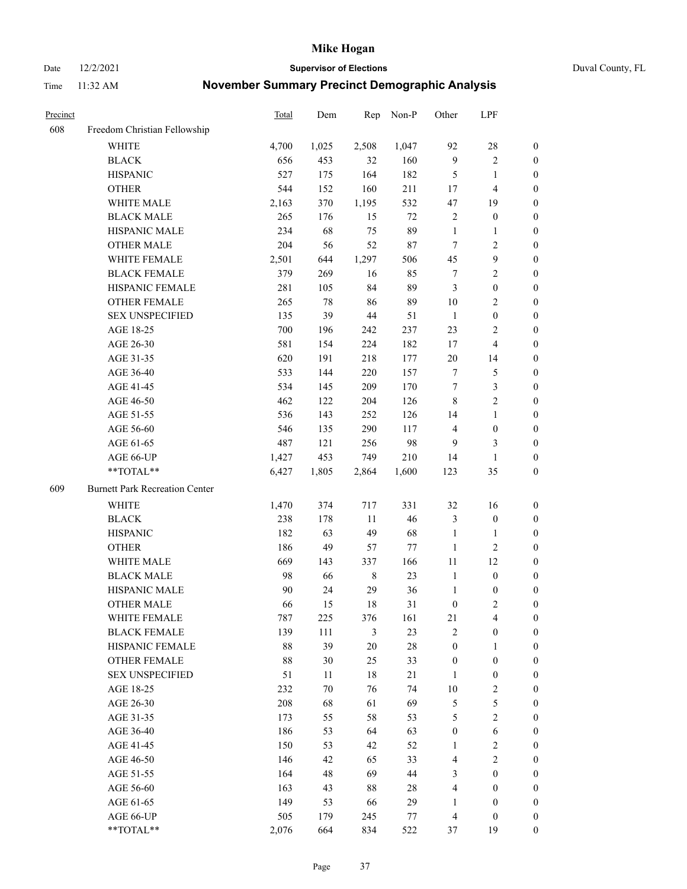Date 12/2/2021 **Supervisor of Elections** Duval County, FL

| Precinct |                                       | Total | Dem   | Rep         | Non-P  | Other            | LPF                     |                  |
|----------|---------------------------------------|-------|-------|-------------|--------|------------------|-------------------------|------------------|
| 608      | Freedom Christian Fellowship          |       |       |             |        |                  |                         |                  |
|          | <b>WHITE</b>                          | 4,700 | 1,025 | 2,508       | 1,047  | 92               | $28\,$                  | 0                |
|          | <b>BLACK</b>                          | 656   | 453   | 32          | 160    | $\overline{9}$   | $\sqrt{2}$              | 0                |
|          | <b>HISPANIC</b>                       | 527   | 175   | 164         | 182    | 5                | $\mathbf{1}$            | $\boldsymbol{0}$ |
|          | <b>OTHER</b>                          | 544   | 152   | 160         | 211    | 17               | $\overline{\mathbf{4}}$ | $\boldsymbol{0}$ |
|          | WHITE MALE                            | 2,163 | 370   | 1,195       | 532    | 47               | 19                      | $\boldsymbol{0}$ |
|          | <b>BLACK MALE</b>                     | 265   | 176   | 15          | 72     | $\overline{c}$   | $\boldsymbol{0}$        | $\boldsymbol{0}$ |
|          | HISPANIC MALE                         | 234   | 68    | 75          | 89     | $\mathbf{1}$     | $\mathbf{1}$            | $\boldsymbol{0}$ |
|          | <b>OTHER MALE</b>                     | 204   | 56    | 52          | $87\,$ | $\tau$           | $\overline{2}$          | $\boldsymbol{0}$ |
|          | WHITE FEMALE                          | 2,501 | 644   | 1,297       | 506    | 45               | $\boldsymbol{9}$        | $\boldsymbol{0}$ |
|          | <b>BLACK FEMALE</b>                   | 379   | 269   | 16          | 85     | 7                | $\sqrt{2}$              | 0                |
|          | HISPANIC FEMALE                       | 281   | 105   | 84          | 89     | 3                | $\boldsymbol{0}$        | 0                |
|          | OTHER FEMALE                          | 265   | 78    | 86          | 89     | 10               | $\sqrt{2}$              | 0                |
|          | <b>SEX UNSPECIFIED</b>                | 135   | 39    | 44          | 51     | $\mathbf{1}$     | $\boldsymbol{0}$        | $\boldsymbol{0}$ |
|          | AGE 18-25                             | 700   | 196   | 242         | 237    | 23               | $\sqrt{2}$              | $\boldsymbol{0}$ |
|          | AGE 26-30                             | 581   | 154   | 224         | 182    | 17               | $\overline{\mathbf{4}}$ | $\boldsymbol{0}$ |
|          | AGE 31-35                             | 620   | 191   | 218         | 177    | $20\,$           | 14                      | $\boldsymbol{0}$ |
|          | AGE 36-40                             | 533   | 144   | 220         | 157    | $\tau$           | $\mathfrak{S}$          | $\boldsymbol{0}$ |
|          | AGE 41-45                             | 534   | 145   | 209         | 170    | $\tau$           | $\mathfrak{Z}$          | $\boldsymbol{0}$ |
|          | AGE 46-50                             | 462   | 122   | 204         | 126    | $\,8\,$          | $\overline{2}$          | $\boldsymbol{0}$ |
|          | AGE 51-55                             | 536   | 143   | 252         | 126    | 14               | $\mathbf{1}$            | $\boldsymbol{0}$ |
|          | AGE 56-60                             | 546   | 135   | 290         | 117    | $\overline{4}$   | $\boldsymbol{0}$        | 0                |
|          | AGE 61-65                             | 487   | 121   | 256         | 98     | 9                | 3                       | 0                |
|          | AGE 66-UP                             | 1,427 | 453   | 749         | 210    | 14               | $\mathbf{1}$            | $\boldsymbol{0}$ |
|          | **TOTAL**                             | 6,427 | 1,805 | 2,864       | 1,600  | 123              | 35                      | $\boldsymbol{0}$ |
| 609      | <b>Burnett Park Recreation Center</b> |       |       |             |        |                  |                         |                  |
|          | <b>WHITE</b>                          | 1,470 | 374   | 717         | 331    | 32               | 16                      | $\boldsymbol{0}$ |
|          | <b>BLACK</b>                          | 238   | 178   | 11          | 46     | 3                | $\boldsymbol{0}$        | $\boldsymbol{0}$ |
|          | <b>HISPANIC</b>                       | 182   | 63    | 49          | 68     | $\mathbf{1}$     | $\mathbf{1}$            | $\boldsymbol{0}$ |
|          | <b>OTHER</b>                          | 186   | 49    | 57          | 77     | $\mathbf{1}$     | $\sqrt{2}$              | $\boldsymbol{0}$ |
|          | WHITE MALE                            | 669   | 143   | 337         | 166    | $11\,$           | 12                      | $\boldsymbol{0}$ |
|          | <b>BLACK MALE</b>                     | 98    | 66    | $\,$ 8 $\,$ | 23     | $\mathbf{1}$     | $\boldsymbol{0}$        | $\boldsymbol{0}$ |
|          | HISPANIC MALE                         | 90    | 24    | 29          | 36     | $\mathbf{1}$     | $\boldsymbol{0}$        | 0                |
|          | <b>OTHER MALE</b>                     | 66    | 15    | 18          | 31     | $\boldsymbol{0}$ | $\mathbf{2}$            | 0                |
|          | WHITE FEMALE                          | 787   | 225   | 376         | 161    | 21               | 4                       | 0                |
|          | <b>BLACK FEMALE</b>                   | 139   | 111   | 3           | 23     | $\overline{2}$   | $\boldsymbol{0}$        | $\boldsymbol{0}$ |
|          | HISPANIC FEMALE                       | 88    | 39    | $20\,$      | $28\,$ | $\boldsymbol{0}$ | $\mathbf{1}$            | $\overline{0}$   |
|          | OTHER FEMALE                          | 88    | 30    | 25          | 33     | $\boldsymbol{0}$ | $\boldsymbol{0}$        | $\overline{0}$   |
|          | <b>SEX UNSPECIFIED</b>                | 51    | 11    | $18\,$      | 21     | $\mathbf{1}$     | $\boldsymbol{0}$        | 0                |
|          | AGE 18-25                             | 232   | 70    | 76          | 74     | 10               | $\sqrt{2}$              | 0                |
|          | AGE 26-30                             | 208   | 68    | 61          | 69     | 5                | $\mathfrak{S}$          | 0                |
|          | AGE 31-35                             | 173   | 55    | 58          | 53     | 5                | $\overline{2}$          | 0                |
|          | AGE 36-40                             | 186   | 53    | 64          | 63     | $\boldsymbol{0}$ | $\sqrt{6}$              | 0                |
|          | AGE 41-45                             | 150   | 53    | 42          | 52     | 1                | $\sqrt{2}$              | 0                |
|          | AGE 46-50                             | 146   | 42    | 65          | 33     | 4                | $\sqrt{2}$              | 0                |
|          | AGE 51-55                             | 164   | 48    | 69          | 44     | 3                | $\boldsymbol{0}$        | 0                |
|          | AGE 56-60                             | 163   | 43    | 88          | 28     | 4                | $\boldsymbol{0}$        | 0                |
|          | AGE 61-65                             | 149   | 53    | 66          | 29     | 1                | $\boldsymbol{0}$        | 0                |
|          | AGE 66-UP                             | 505   | 179   | 245         | 77     | $\overline{4}$   | $\boldsymbol{0}$        | 0                |
|          | **TOTAL**                             | 2,076 | 664   | 834         | 522    | 37               | 19                      | $\boldsymbol{0}$ |
|          |                                       |       |       |             |        |                  |                         |                  |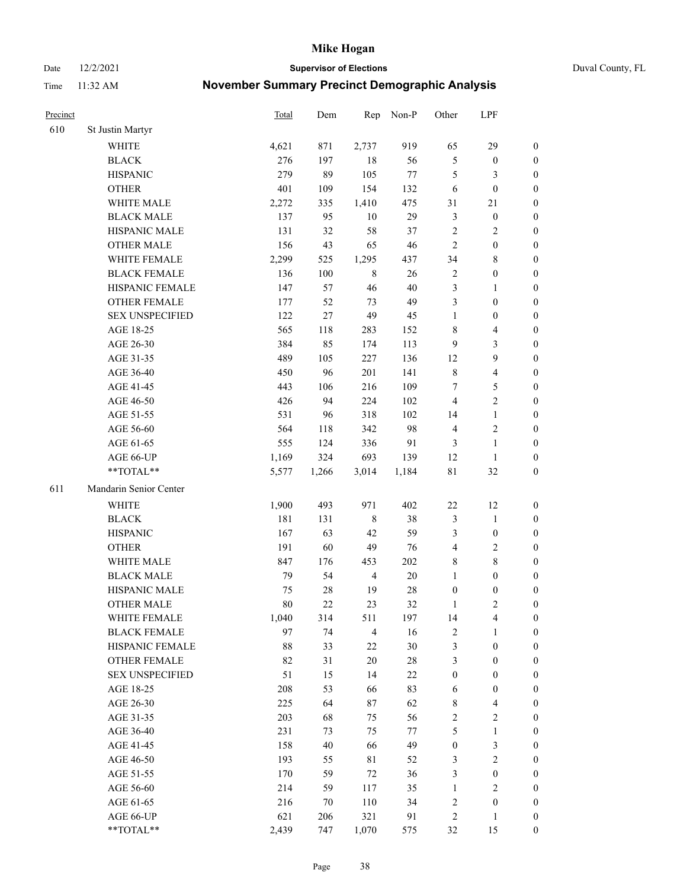Date 12/2/2021 **Supervisor of Elections** Duval County, FL

| Precinct |                        | <b>Total</b> | Dem   | Rep            | Non-P  | Other            | LPF                     |                  |
|----------|------------------------|--------------|-------|----------------|--------|------------------|-------------------------|------------------|
| 610      | St Justin Martyr       |              |       |                |        |                  |                         |                  |
|          | <b>WHITE</b>           | 4,621        | 871   | 2,737          | 919    | 65               | 29                      | $\boldsymbol{0}$ |
|          | <b>BLACK</b>           | 276          | 197   | 18             | 56     | $\mathfrak s$    | $\boldsymbol{0}$        | $\boldsymbol{0}$ |
|          | <b>HISPANIC</b>        | 279          | 89    | 105            | $77\,$ | 5                | 3                       | $\boldsymbol{0}$ |
|          | <b>OTHER</b>           | 401          | 109   | 154            | 132    | 6                | $\boldsymbol{0}$        | $\boldsymbol{0}$ |
|          | WHITE MALE             | 2,272        | 335   | 1,410          | 475    | 31               | 21                      | $\boldsymbol{0}$ |
|          | <b>BLACK MALE</b>      | 137          | 95    | $10\,$         | 29     | 3                | $\boldsymbol{0}$        | $\boldsymbol{0}$ |
|          | HISPANIC MALE          | 131          | 32    | 58             | 37     | $\overline{c}$   | $\sqrt{2}$              | $\boldsymbol{0}$ |
|          | <b>OTHER MALE</b>      | 156          | 43    | 65             | 46     | $\overline{2}$   | $\boldsymbol{0}$        | $\boldsymbol{0}$ |
|          | WHITE FEMALE           | 2,299        | 525   | 1,295          | 437    | 34               | $\,$ 8 $\,$             | $\boldsymbol{0}$ |
|          | <b>BLACK FEMALE</b>    | 136          | 100   | $\,8\,$        | 26     | $\overline{c}$   | $\boldsymbol{0}$        | 0                |
|          | HISPANIC FEMALE        | 147          | 57    | 46             | 40     | 3                | $\mathbf{1}$            | 0                |
|          | <b>OTHER FEMALE</b>    | 177          | 52    | 73             | 49     | 3                | $\boldsymbol{0}$        | $\boldsymbol{0}$ |
|          | <b>SEX UNSPECIFIED</b> | 122          | 27    | 49             | 45     | $\mathbf{1}$     | $\boldsymbol{0}$        | $\boldsymbol{0}$ |
|          | AGE 18-25              | 565          | 118   | 283            | 152    | 8                | $\overline{\mathbf{4}}$ | $\boldsymbol{0}$ |
|          | AGE 26-30              | 384          | 85    | 174            | 113    | 9                | $\mathfrak{Z}$          | $\boldsymbol{0}$ |
|          | AGE 31-35              | 489          | 105   | 227            | 136    | 12               | $\boldsymbol{9}$        | $\boldsymbol{0}$ |
|          | AGE 36-40              | 450          | 96    | 201            | 141    | $\,$ 8 $\,$      | $\overline{\mathbf{4}}$ | $\boldsymbol{0}$ |
|          | AGE 41-45              | 443          | 106   | 216            | 109    | $\tau$           | 5                       | $\boldsymbol{0}$ |
|          | AGE 46-50              | 426          | 94    | 224            | 102    | $\overline{4}$   | $\overline{2}$          | $\boldsymbol{0}$ |
|          | AGE 51-55              | 531          | 96    | 318            | 102    | 14               | $\mathbf{1}$            | 0                |
|          | AGE 56-60              | 564          | 118   | 342            | 98     | $\overline{4}$   | $\sqrt{2}$              | 0                |
|          | AGE 61-65              | 555          | 124   | 336            | 91     | 3                | $\mathbf{1}$            | 0                |
|          | AGE 66-UP              | 1,169        | 324   | 693            | 139    | 12               | $\mathbf{1}$            | $\boldsymbol{0}$ |
|          | **TOTAL**              | 5,577        | 1,266 | 3,014          | 1,184  | $8\sqrt{1}$      | 32                      | $\boldsymbol{0}$ |
| 611      | Mandarin Senior Center |              |       |                |        |                  |                         |                  |
|          | <b>WHITE</b>           | 1,900        | 493   | 971            | 402    | $22\,$           | 12                      | $\boldsymbol{0}$ |
|          | <b>BLACK</b>           | 181          | 131   | $\,$ 8 $\,$    | 38     | 3                | $\mathbf{1}$            | $\boldsymbol{0}$ |
|          | <b>HISPANIC</b>        | 167          | 63    | 42             | 59     | 3                | $\boldsymbol{0}$        | $\boldsymbol{0}$ |
|          | <b>OTHER</b>           | 191          | 60    | 49             | 76     | 4                | $\sqrt{2}$              | $\boldsymbol{0}$ |
|          | WHITE MALE             | 847          | 176   | 453            | 202    | 8                | $8\,$                   | $\boldsymbol{0}$ |
|          | <b>BLACK MALE</b>      | 79           | 54    | $\overline{4}$ | $20\,$ | $\mathbf{1}$     | $\boldsymbol{0}$        | $\boldsymbol{0}$ |
|          | HISPANIC MALE          | 75           | 28    | 19             | $28\,$ | $\boldsymbol{0}$ | $\boldsymbol{0}$        | 0                |
|          | <b>OTHER MALE</b>      | 80           | 22    | 23             | 32     | 1                | $\mathbf{2}$            | $\boldsymbol{0}$ |
|          | WHITE FEMALE           | 1,040        | 314   | 511            | 197    | 14               | 4                       | 0                |
|          | <b>BLACK FEMALE</b>    | 97           | 74    | $\overline{4}$ | 16     | $\sqrt{2}$       | $\mathbf{1}$            | $\boldsymbol{0}$ |
|          | HISPANIC FEMALE        | 88           | 33    | $22\,$         | 30     | 3                | $\boldsymbol{0}$        | $\overline{0}$   |
|          | OTHER FEMALE           | 82           | 31    | $20\,$         | $28\,$ | 3                | $\boldsymbol{0}$        | $\overline{0}$   |
|          | <b>SEX UNSPECIFIED</b> | 51           | 15    | 14             | $22\,$ | $\boldsymbol{0}$ | $\boldsymbol{0}$        | 0                |
|          | AGE 18-25              | 208          | 53    | 66             | 83     | 6                | $\boldsymbol{0}$        | 0                |
|          | AGE 26-30              | 225          | 64    | $87\,$         | 62     | $\,$ 8 $\,$      | $\overline{\mathbf{4}}$ | 0                |
|          | AGE 31-35              | 203          | 68    | 75             | 56     | $\sqrt{2}$       | $\sqrt{2}$              | 0                |
|          | AGE 36-40              | 231          | 73    | 75             | 77     | 5                | $\mathbf{1}$            | 0                |
|          | AGE 41-45              | 158          | 40    | 66             | 49     | $\boldsymbol{0}$ | $\mathfrak{Z}$          | 0                |
|          | AGE 46-50              | 193          | 55    | $8\sqrt{1}$    | 52     | 3                | $\sqrt{2}$              | 0                |
|          | AGE 51-55              | 170          | 59    | $72\,$         | 36     | 3                | $\boldsymbol{0}$        | 0                |
|          | AGE 56-60              | 214          | 59    | 117            | 35     | 1                | $\mathbf{2}$            | $\overline{0}$   |
|          | AGE 61-65              | 216          | 70    | 110            | 34     | $\overline{c}$   | $\boldsymbol{0}$        | $\boldsymbol{0}$ |
|          | AGE 66-UP              | 621          | 206   | 321            | 91     | $\overline{c}$   | $\mathbf{1}$            | $\boldsymbol{0}$ |
|          | **TOTAL**              | 2,439        | 747   | 1,070          | 575    | 32               | 15                      | $\boldsymbol{0}$ |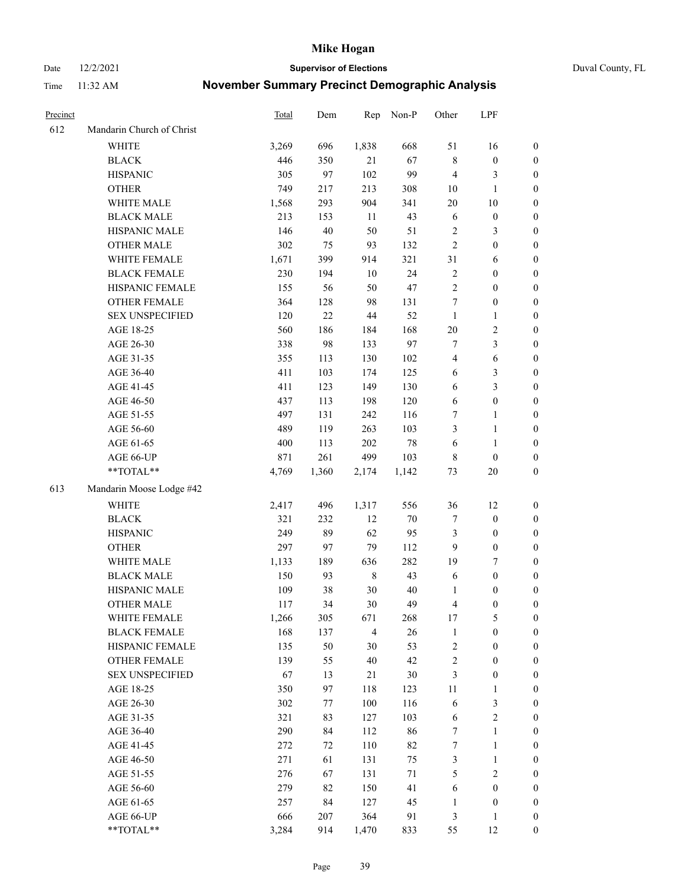Date 12/2/2021 **Supervisor of Elections** Duval County, FL

| Precinct |                                     | Total        | Dem       | Rep                   | Non-P    | Other            | LPF              |                  |
|----------|-------------------------------------|--------------|-----------|-----------------------|----------|------------------|------------------|------------------|
| 612      | Mandarin Church of Christ           |              |           |                       |          |                  |                  |                  |
|          | <b>WHITE</b>                        | 3,269        | 696       | 1,838                 | 668      | 51               | 16               | 0                |
|          | <b>BLACK</b>                        | 446          | 350       | 21                    | 67       | $\,$ 8 $\,$      | $\boldsymbol{0}$ | 0                |
|          | <b>HISPANIC</b>                     | 305          | 97        | 102                   | 99       | $\overline{4}$   | 3                | $\boldsymbol{0}$ |
|          | <b>OTHER</b>                        | 749          | 217       | 213                   | 308      | 10               | $\mathbf{1}$     | $\boldsymbol{0}$ |
|          | WHITE MALE                          | 1,568        | 293       | 904                   | 341      | 20               | $10\,$           | $\boldsymbol{0}$ |
|          | <b>BLACK MALE</b>                   | 213          | 153       | 11                    | 43       | 6                | $\boldsymbol{0}$ | $\boldsymbol{0}$ |
|          | HISPANIC MALE                       | 146          | 40        | 50                    | 51       | $\overline{c}$   | $\mathfrak{Z}$   | $\boldsymbol{0}$ |
|          | <b>OTHER MALE</b>                   | 302          | 75        | 93                    | 132      | $\overline{2}$   | $\boldsymbol{0}$ | $\boldsymbol{0}$ |
|          | WHITE FEMALE                        | 1,671        | 399       | 914                   | 321      | 31               | 6                | $\boldsymbol{0}$ |
|          | <b>BLACK FEMALE</b>                 | 230          | 194       | $10\,$                | 24       | $\sqrt{2}$       | $\boldsymbol{0}$ | 0                |
|          | HISPANIC FEMALE                     | 155          | 56        | 50                    | 47       | $\sqrt{2}$       | $\boldsymbol{0}$ | 0                |
|          | OTHER FEMALE                        | 364          | 128       | 98                    | 131      | $\boldsymbol{7}$ | $\boldsymbol{0}$ | $\boldsymbol{0}$ |
|          | <b>SEX UNSPECIFIED</b>              | 120          | 22        | 44                    | 52       | $\mathbf{1}$     | $\mathbf{1}$     | $\boldsymbol{0}$ |
|          | AGE 18-25                           | 560          | 186       | 184                   | 168      | $20\,$           | $\sqrt{2}$       | $\boldsymbol{0}$ |
|          | AGE 26-30                           | 338          | 98        | 133                   | 97       | 7                | $\mathfrak{Z}$   | $\boldsymbol{0}$ |
|          | AGE 31-35                           | 355          | 113       | 130                   | 102      | 4                | 6                | $\boldsymbol{0}$ |
|          | AGE 36-40                           | 411          | 103       | 174                   | 125      | 6                | $\mathfrak{Z}$   | $\boldsymbol{0}$ |
|          | AGE 41-45                           | 411          | 123       | 149                   | 130      | 6                | $\mathfrak{Z}$   | $\boldsymbol{0}$ |
|          | AGE 46-50                           | 437          | 113       | 198                   | 120      | 6                | $\boldsymbol{0}$ | $\boldsymbol{0}$ |
|          | AGE 51-55                           | 497          | 131       | 242                   | 116      | 7                | $\mathbf{1}$     | 0                |
|          | AGE 56-60                           | 489          | 119       | 263                   | 103      | 3                | $\mathbf{1}$     | 0                |
|          | AGE 61-65                           | 400          | 113       | 202                   | $78\,$   | 6                | $\mathbf{1}$     | 0                |
|          | AGE 66-UP                           | 871          | 261       | 499                   | 103      | 8                | $\boldsymbol{0}$ | $\boldsymbol{0}$ |
|          | $**TOTAL**$                         | 4,769        | 1,360     | 2,174                 | 1,142    | 73               | $20\,$           | $\boldsymbol{0}$ |
| 613      | Mandarin Moose Lodge #42            |              |           |                       |          |                  |                  |                  |
|          | <b>WHITE</b>                        | 2,417        | 496       | 1,317                 | 556      | 36               | 12               | $\boldsymbol{0}$ |
|          | <b>BLACK</b>                        | 321          | 232       | 12                    | $70\,$   | 7                | $\boldsymbol{0}$ | $\boldsymbol{0}$ |
|          | <b>HISPANIC</b>                     | 249          | 89        | 62                    | 95       | 3                | $\boldsymbol{0}$ | $\boldsymbol{0}$ |
|          | <b>OTHER</b>                        | 297          | 97        | 79                    | 112      | 9                | $\boldsymbol{0}$ | $\boldsymbol{0}$ |
|          | WHITE MALE                          | 1,133        | 189       | 636                   | 282      | 19               | $\tau$           | $\boldsymbol{0}$ |
|          | <b>BLACK MALE</b>                   | 150          | 93        | $\,$ 8 $\,$           | 43       | 6                | $\boldsymbol{0}$ | $\boldsymbol{0}$ |
|          | HISPANIC MALE                       | 109          | 38        | $30\,$                | 40       | 1                | $\boldsymbol{0}$ | $\boldsymbol{0}$ |
|          | <b>OTHER MALE</b>                   | 117          | 34        | 30                    | 49       | 4                | $\boldsymbol{0}$ | $\boldsymbol{0}$ |
|          |                                     |              |           |                       |          | 17               | 5                | 0                |
|          | WHITE FEMALE<br><b>BLACK FEMALE</b> | 1,266<br>168 | 305       | 671<br>$\overline{4}$ | 268      | $\mathbf{1}$     | $\boldsymbol{0}$ | $\overline{0}$   |
|          | HISPANIC FEMALE                     | 135          | 137<br>50 | 30                    | 26<br>53 | 2                | $\boldsymbol{0}$ | $\overline{0}$   |
|          | <b>OTHER FEMALE</b>                 | 139          |           | 40                    | 42       |                  | $\boldsymbol{0}$ | $\overline{0}$   |
|          | <b>SEX UNSPECIFIED</b>              | 67           | 55<br>13  | 21                    | 30       | 2<br>3           | $\boldsymbol{0}$ | 0                |
|          | AGE 18-25                           | 350          | 97        | 118                   | 123      | 11               | $\mathbf{1}$     | 0                |
|          | AGE 26-30                           | 302          | 77        | 100                   | 116      | 6                | $\mathfrak{Z}$   | 0                |
|          | AGE 31-35                           | 321          | 83        | 127                   | 103      | 6                | $\sqrt{2}$       | 0                |
|          | AGE 36-40                           | 290          |           | 112                   | 86       | 7                | $\mathbf{1}$     |                  |
|          | AGE 41-45                           | 272          | 84<br>72  | 110                   | 82       | 7                | $\mathbf{1}$     | 0                |
|          |                                     |              |           |                       |          |                  |                  | 0                |
|          | AGE 46-50                           | 271          | 61        | 131                   | 75       | 3                | $\mathbf{1}$     | 0                |
|          | AGE 51-55                           | 276          | 67        | 131                   | 71       | 5                | $\mathbf{2}$     | 0                |
|          | AGE 56-60                           | 279          | 82        | 150                   | 41       | 6                | $\boldsymbol{0}$ | $\overline{0}$   |
|          | AGE 61-65                           | 257          | 84        | 127                   | 45       | 1                | $\boldsymbol{0}$ | $\boldsymbol{0}$ |
|          | AGE 66-UP                           | 666          | 207       | 364                   | 91       | 3                | $\mathbf{1}$     | $\boldsymbol{0}$ |
|          | **TOTAL**                           | 3,284        | 914       | 1,470                 | 833      | 55               | 12               | $\boldsymbol{0}$ |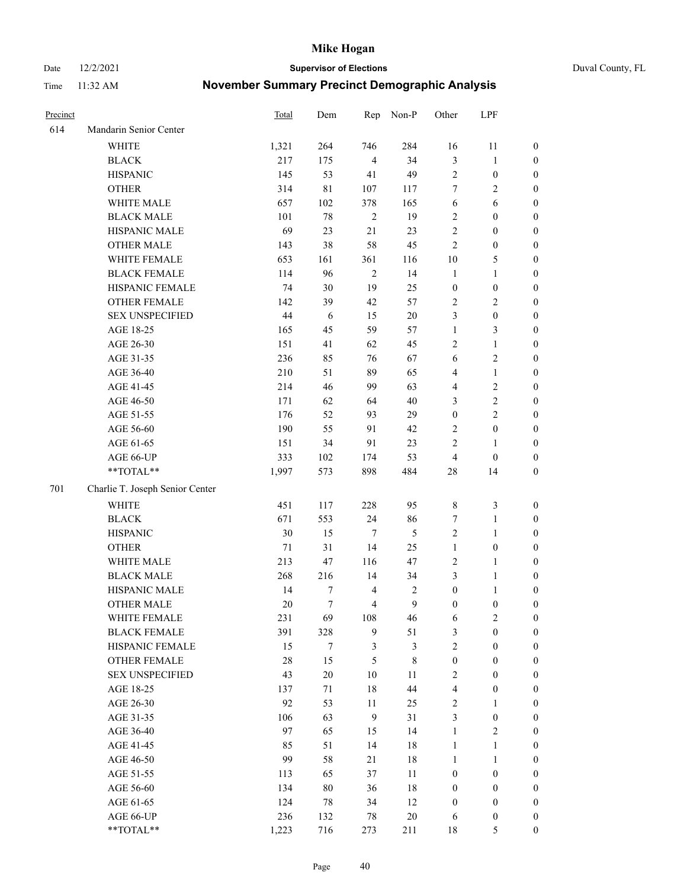Date 12/2/2021 **Supervisor of Elections** Duval County, FL

| Precinct |                                 | Total  | Dem         | Rep            | Non-P          | Other            | LPF              |                  |
|----------|---------------------------------|--------|-------------|----------------|----------------|------------------|------------------|------------------|
| 614      | Mandarin Senior Center          |        |             |                |                |                  |                  |                  |
|          | WHITE                           | 1,321  | 264         | 746            | 284            | 16               | 11               | 0                |
|          | <b>BLACK</b>                    | 217    | 175         | $\overline{4}$ | 34             | 3                | $\mathbf{1}$     | 0                |
|          | <b>HISPANIC</b>                 | 145    | 53          | 41             | 49             | $\sqrt{2}$       | $\boldsymbol{0}$ | $\boldsymbol{0}$ |
|          | <b>OTHER</b>                    | 314    | $8\sqrt{1}$ | 107            | 117            | 7                | $\sqrt{2}$       | $\boldsymbol{0}$ |
|          | WHITE MALE                      | 657    | 102         | 378            | 165            | 6                | 6                | $\boldsymbol{0}$ |
|          | <b>BLACK MALE</b>               | 101    | 78          | $\sqrt{2}$     | 19             | $\sqrt{2}$       | $\boldsymbol{0}$ | $\boldsymbol{0}$ |
|          | HISPANIC MALE                   | 69     | 23          | $21\,$         | 23             | $\overline{c}$   | $\boldsymbol{0}$ | $\boldsymbol{0}$ |
|          | <b>OTHER MALE</b>               | 143    | 38          | 58             | 45             | $\mathbf{2}$     | $\boldsymbol{0}$ | $\boldsymbol{0}$ |
|          | WHITE FEMALE                    | 653    | 161         | 361            | 116            | $10\,$           | $\mathfrak{S}$   | $\boldsymbol{0}$ |
|          | <b>BLACK FEMALE</b>             | 114    | 96          | $\sqrt{2}$     | 14             | $\mathbf{1}$     | $\mathbf{1}$     | 0                |
|          | HISPANIC FEMALE                 | 74     | 30          | 19             | 25             | $\boldsymbol{0}$ | $\boldsymbol{0}$ | 0                |
|          | OTHER FEMALE                    | 142    | 39          | 42             | 57             | $\overline{c}$   | $\sqrt{2}$       | 0                |
|          | <b>SEX UNSPECIFIED</b>          | 44     | $\sqrt{6}$  | 15             | $20\,$         | 3                | $\boldsymbol{0}$ | $\boldsymbol{0}$ |
|          | AGE 18-25                       | 165    | 45          | 59             | 57             | $\mathbf{1}$     | $\mathfrak{Z}$   | $\boldsymbol{0}$ |
|          | AGE 26-30                       | 151    | 41          | 62             | 45             | 2                | $\mathbf{1}$     | $\boldsymbol{0}$ |
|          | AGE 31-35                       | 236    | 85          | 76             | 67             | 6                | $\sqrt{2}$       | $\boldsymbol{0}$ |
|          | AGE 36-40                       | 210    | 51          | 89             | 65             | 4                | $\mathbf{1}$     | $\boldsymbol{0}$ |
|          | AGE 41-45                       | 214    | 46          | 99             | 63             | $\overline{4}$   | $\sqrt{2}$       | $\boldsymbol{0}$ |
|          | AGE 46-50                       | 171    | 62          | 64             | 40             | 3                | $\sqrt{2}$       | $\boldsymbol{0}$ |
|          | AGE 51-55                       | 176    | 52          | 93             | 29             | $\boldsymbol{0}$ | $\sqrt{2}$       | $\boldsymbol{0}$ |
|          | AGE 56-60                       | 190    | 55          | 91             | 42             | $\sqrt{2}$       | $\boldsymbol{0}$ |                  |
|          | AGE 61-65                       | 151    | 34          | 91             | 23             | $\mathbf{2}$     | $\mathbf{1}$     | 0<br>0           |
|          | AGE 66-UP                       | 333    | 102         |                | 53             | $\overline{4}$   | $\boldsymbol{0}$ |                  |
|          | **TOTAL**                       | 1,997  | 573         | 174<br>898     | 484            | $28\,$           |                  | $\boldsymbol{0}$ |
|          |                                 |        |             |                |                |                  | 14               | $\boldsymbol{0}$ |
| 701      | Charlie T. Joseph Senior Center |        |             |                |                |                  |                  |                  |
|          | <b>WHITE</b>                    | 451    | 117         | 228            | 95             | $\,$ 8 $\,$      | $\mathfrak{Z}$   | $\boldsymbol{0}$ |
|          | <b>BLACK</b>                    | 671    | 553         | 24             | 86             | 7                | $\mathbf{1}$     | $\boldsymbol{0}$ |
|          | <b>HISPANIC</b>                 | 30     | 15          | 7              | 5              | $\sqrt{2}$       | $\mathbf{1}$     | $\boldsymbol{0}$ |
|          | <b>OTHER</b>                    | 71     | 31          | 14             | 25             | $\mathbf{1}$     | $\boldsymbol{0}$ | $\boldsymbol{0}$ |
|          | WHITE MALE                      | 213    | 47          | 116            | 47             | $\sqrt{2}$       | $\mathbf{1}$     | $\boldsymbol{0}$ |
|          | <b>BLACK MALE</b>               | 268    | 216         | 14             | 34             | 3                | $\mathbf{1}$     | $\boldsymbol{0}$ |
|          | HISPANIC MALE                   | 14     | 7           | $\overline{4}$ | $\overline{c}$ | $\boldsymbol{0}$ | 1                | 0                |
|          | <b>OTHER MALE</b>               | 20     | $\tau$      | $\overline{4}$ | $\mathbf{9}$   | $\boldsymbol{0}$ | $\boldsymbol{0}$ | $\boldsymbol{0}$ |
|          | WHITE FEMALE                    | 231    | 69          | 108            | 46             | 6                | 2                | 0                |
|          | <b>BLACK FEMALE</b>             | 391    | 328         | 9              | 51             | 3                | $\boldsymbol{0}$ | $\overline{0}$   |
|          | HISPANIC FEMALE                 | 15     | $\tau$      | 3              | 3              | $\overline{c}$   | $\boldsymbol{0}$ | $\overline{0}$   |
|          | OTHER FEMALE                    | $28\,$ | 15          | 5              | $\,$ 8 $\,$    | $\boldsymbol{0}$ | $\boldsymbol{0}$ | $\overline{0}$   |
|          | <b>SEX UNSPECIFIED</b>          | 43     | $20\,$      | 10             | 11             | 2                | $\boldsymbol{0}$ | 0                |
|          | AGE 18-25                       | 137    | 71          | 18             | 44             | 4                | $\boldsymbol{0}$ | $\theta$         |
|          | AGE 26-30                       | 92     | 53          | $11\,$         | 25             | 2                | $\mathbf{1}$     | 0                |
|          | AGE 31-35                       | 106    | 63          | $\overline{9}$ | 31             | 3                | $\boldsymbol{0}$ | 0                |
|          | AGE 36-40                       | 97     | 65          | 15             | 14             | $\mathbf{1}$     | $\sqrt{2}$       | 0                |
|          | AGE 41-45                       | 85     | 51          | 14             | $18\,$         | $\mathbf{1}$     | $\mathbf{1}$     | 0                |
|          | AGE 46-50                       | 99     | 58          | 21             | $18\,$         | $\mathbf{1}$     | $\mathbf{1}$     | 0                |
|          | AGE 51-55                       | 113    | 65          | 37             | 11             | $\boldsymbol{0}$ | $\boldsymbol{0}$ | 0                |
|          | AGE 56-60                       | 134    | $80\,$      | 36             | $18\,$         | $\boldsymbol{0}$ | $\boldsymbol{0}$ | $\overline{0}$   |
|          | AGE 61-65                       | 124    | 78          | 34             | 12             | $\boldsymbol{0}$ | $\boldsymbol{0}$ | $\overline{0}$   |
|          | AGE 66-UP                       | 236    | 132         | 78             | $20\,$         | 6                | $\boldsymbol{0}$ | 0                |
|          | **TOTAL**                       | 1,223  | 716         | 273            | 211            | 18               | 5                | $\boldsymbol{0}$ |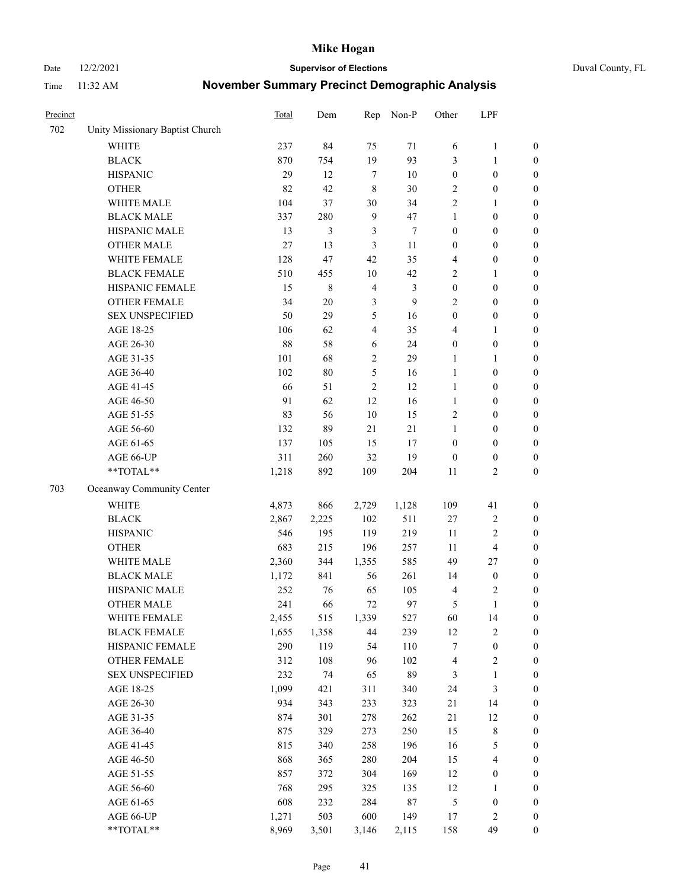Date 12/2/2021 **Supervisor of Elections** Duval County, FL

| Precinct |                                  | <b>Total</b> | Dem            | Rep                     | Non-P  | Other            | LPF              |                  |
|----------|----------------------------------|--------------|----------------|-------------------------|--------|------------------|------------------|------------------|
| 702      | Unity Missionary Baptist Church  |              |                |                         |        |                  |                  |                  |
|          | <b>WHITE</b>                     | 237          | 84             | 75                      | 71     | 6                | $\mathbf{1}$     | 0                |
|          | <b>BLACK</b>                     | 870          | 754            | 19                      | 93     | 3                | $\mathbf{1}$     | 0                |
|          | <b>HISPANIC</b>                  | 29           | 12             | $\tau$                  | $10\,$ | $\boldsymbol{0}$ | $\boldsymbol{0}$ | $\boldsymbol{0}$ |
|          | <b>OTHER</b>                     | 82           | 42             | 8                       | 30     | $\sqrt{2}$       | $\boldsymbol{0}$ | $\boldsymbol{0}$ |
|          | WHITE MALE                       | 104          | 37             | 30                      | 34     | 2                | $\mathbf{1}$     | $\boldsymbol{0}$ |
|          | <b>BLACK MALE</b>                | 337          | 280            | $\boldsymbol{9}$        | 47     | $\mathbf{1}$     | $\boldsymbol{0}$ | $\boldsymbol{0}$ |
|          | HISPANIC MALE                    | 13           | $\mathfrak{Z}$ | $\mathfrak{Z}$          | 7      | $\boldsymbol{0}$ | $\boldsymbol{0}$ | $\boldsymbol{0}$ |
|          | <b>OTHER MALE</b>                | 27           | 13             | $\mathfrak{Z}$          | $11\,$ | $\boldsymbol{0}$ | $\boldsymbol{0}$ | $\boldsymbol{0}$ |
|          | WHITE FEMALE                     | 128          | 47             | 42                      | 35     | 4                | $\boldsymbol{0}$ | $\boldsymbol{0}$ |
|          | <b>BLACK FEMALE</b>              | 510          | 455            | $10\,$                  | 42     | 2                | 1                | 0                |
|          | HISPANIC FEMALE                  | 15           | $\,$ 8 $\,$    | $\overline{4}$          | 3      | $\boldsymbol{0}$ | $\boldsymbol{0}$ | 0                |
|          | OTHER FEMALE                     | 34           | $20\,$         | $\mathfrak{Z}$          | 9      | $\mathbf{2}$     | $\boldsymbol{0}$ | $\boldsymbol{0}$ |
|          | <b>SEX UNSPECIFIED</b>           | 50           | 29             | 5                       | 16     | $\boldsymbol{0}$ | $\boldsymbol{0}$ | $\boldsymbol{0}$ |
|          | AGE 18-25                        | 106          | 62             | 4                       | 35     | 4                | 1                | $\boldsymbol{0}$ |
|          | AGE 26-30                        | 88           | 58             | 6                       | 24     | $\boldsymbol{0}$ | $\boldsymbol{0}$ | $\boldsymbol{0}$ |
|          | AGE 31-35                        | 101          | 68             | $\overline{\mathbf{c}}$ | 29     | $\mathbf{1}$     | 1                | $\boldsymbol{0}$ |
|          | AGE 36-40                        | 102          | $80\,$         | 5                       | 16     | $\mathbf{1}$     | $\boldsymbol{0}$ | $\boldsymbol{0}$ |
|          | AGE 41-45                        | 66           | 51             | $\overline{2}$          | 12     | $\mathbf{1}$     | $\boldsymbol{0}$ | $\boldsymbol{0}$ |
|          | AGE 46-50                        | 91           | 62             | 12                      | 16     | $\mathbf{1}$     | $\boldsymbol{0}$ | $\boldsymbol{0}$ |
|          | AGE 51-55                        | 83           | 56             | $10\,$                  | 15     | $\sqrt{2}$       | $\boldsymbol{0}$ | 0                |
|          | AGE 56-60                        | 132          | 89             | 21                      | 21     | $\mathbf{1}$     | $\boldsymbol{0}$ | 0                |
|          | AGE 61-65                        | 137          | 105            | 15                      | 17     | $\boldsymbol{0}$ | $\boldsymbol{0}$ | 0                |
|          | AGE 66-UP                        | 311          | 260            | 32                      | 19     | $\boldsymbol{0}$ | $\boldsymbol{0}$ | $\boldsymbol{0}$ |
|          | $\mathrm{``TOTAL}^{\mathrm{**}}$ | 1,218        | 892            | 109                     | 204    | $11\,$           | $\overline{c}$   | $\boldsymbol{0}$ |
| 703      | Oceanway Community Center        |              |                |                         |        |                  |                  |                  |
|          | <b>WHITE</b>                     | 4,873        | 866            | 2,729                   | 1,128  | 109              | 41               | $\boldsymbol{0}$ |
|          | <b>BLACK</b>                     | 2,867        | 2,225          | 102                     | 511    | 27               | $\sqrt{2}$       | $\boldsymbol{0}$ |
|          | <b>HISPANIC</b>                  | 546          | 195            | 119                     | 219    | 11               | $\sqrt{2}$       | $\boldsymbol{0}$ |
|          | <b>OTHER</b>                     | 683          | 215            | 196                     | 257    | 11               | $\overline{4}$   | $\boldsymbol{0}$ |
|          | WHITE MALE                       | 2,360        | 344            | 1,355                   | 585    | 49               | $27\,$           | $\boldsymbol{0}$ |
|          | <b>BLACK MALE</b>                | 1,172        | 841            | 56                      | 261    | 14               | $\boldsymbol{0}$ | $\boldsymbol{0}$ |
|          | HISPANIC MALE                    | 252          | 76             | 65                      | 105    | 4                | $\sqrt{2}$       | $\boldsymbol{0}$ |
|          | <b>OTHER MALE</b>                | 241          | 66             | 72                      | 97     | 5                | 1                | $\boldsymbol{0}$ |
|          | WHITE FEMALE                     | 2,455        | 515            | 1,339                   | 527    | 60               | 14               | 0                |
|          | <b>BLACK FEMALE</b>              | 1,655        | 1,358          | 44                      | 239    | 12               | $\sqrt{2}$       | 0                |
|          | HISPANIC FEMALE                  | 290          | 119            | 54                      | 110    | 7                | $\boldsymbol{0}$ | 0                |
|          | OTHER FEMALE                     | 312          | 108            | 96                      | 102    | 4                | $\sqrt{2}$       | 0                |
|          | <b>SEX UNSPECIFIED</b>           | 232          | 74             | 65                      | 89     | 3                | $\mathbf{1}$     | 0                |
|          | AGE 18-25                        | 1,099        | 421            | 311                     | 340    | 24               | $\mathfrak{Z}$   | 0                |
|          | AGE 26-30                        | 934          | 343            | 233                     | 323    | 21               | 14               | 0                |
|          | AGE 31-35                        | 874          | 301            | 278                     | 262    | 21               | 12               | 0                |
|          | AGE 36-40                        | 875          | 329            | 273                     | 250    | 15               | $\,$ $\,$        | 0                |
|          | AGE 41-45                        | 815          | 340            | 258                     | 196    | 16               | $\mathfrak s$    | 0                |
|          | AGE 46-50                        | 868          | 365            | 280                     | 204    | 15               | $\overline{4}$   | 0                |
|          | AGE 51-55                        | 857          | 372            | 304                     | 169    | 12               | $\boldsymbol{0}$ | $\boldsymbol{0}$ |
|          | AGE 56-60                        | 768          | 295            | 325                     | 135    | 12               | 1                | $\boldsymbol{0}$ |
|          | AGE 61-65                        | 608          | 232            | 284                     | 87     | 5                | $\boldsymbol{0}$ | $\boldsymbol{0}$ |
|          | AGE 66-UP                        | 1,271        | 503            | 600                     | 149    | 17               | $\sqrt{2}$       | $\boldsymbol{0}$ |
|          | **TOTAL**                        | 8,969        | 3,501          | 3,146                   | 2,115  | 158              | 49               | $\boldsymbol{0}$ |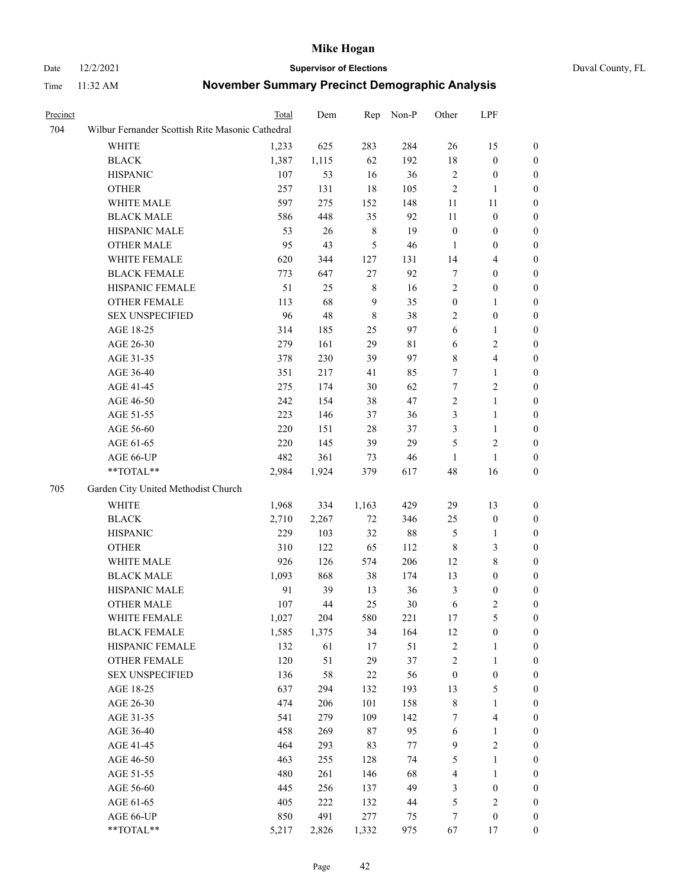# Date 12/2/2021 **Supervisor of Elections** Duval County, FL

| Precinct |                                                           | Total | Dem   | Rep              | Non-P       | Other            | LPF              |                  |
|----------|-----------------------------------------------------------|-------|-------|------------------|-------------|------------------|------------------|------------------|
| 704      | Wilbur Fernander Scottish Rite Masonic Cathedral          |       |       |                  |             |                  |                  |                  |
|          | WHITE                                                     | 1,233 | 625   | 283              | 284         | 26               | 15               | $\boldsymbol{0}$ |
|          | <b>BLACK</b>                                              | 1,387 | 1,115 | 62               | 192         | 18               | $\boldsymbol{0}$ | $\boldsymbol{0}$ |
|          | <b>HISPANIC</b>                                           | 107   | 53    | 16               | 36          | 2                | $\boldsymbol{0}$ | $\boldsymbol{0}$ |
|          | <b>OTHER</b>                                              | 257   | 131   | $18\,$           | 105         | $\sqrt{2}$       | $\mathbf{1}$     | $\boldsymbol{0}$ |
|          | WHITE MALE                                                | 597   | 275   | 152              | 148         | 11               | 11               | $\boldsymbol{0}$ |
|          | <b>BLACK MALE</b>                                         | 586   | 448   | 35               | 92          | $11\,$           | $\boldsymbol{0}$ | 0                |
|          | HISPANIC MALE                                             | 53    | 26    | $8\,$            | 19          | $\boldsymbol{0}$ | $\boldsymbol{0}$ | 0                |
|          | <b>OTHER MALE</b>                                         | 95    | 43    | $\mathfrak{S}$   | 46          | $\mathbf{1}$     | $\boldsymbol{0}$ | 0                |
|          | WHITE FEMALE                                              | 620   | 344   | 127              | 131         | 14               | $\overline{4}$   | $\boldsymbol{0}$ |
|          | <b>BLACK FEMALE</b>                                       | 773   | 647   | 27               | 92          | 7                | $\boldsymbol{0}$ | $\boldsymbol{0}$ |
|          | HISPANIC FEMALE                                           | 51    | 25    | 8                | 16          | 2                | $\boldsymbol{0}$ | $\boldsymbol{0}$ |
|          | <b>OTHER FEMALE</b>                                       | 113   | 68    | $\boldsymbol{9}$ | 35          | $\boldsymbol{0}$ | $\mathbf{1}$     | $\boldsymbol{0}$ |
|          | <b>SEX UNSPECIFIED</b>                                    | 96    | 48    | $\,$ 8 $\,$      | 38          | 2                | $\boldsymbol{0}$ | $\boldsymbol{0}$ |
|          | AGE 18-25                                                 | 314   | 185   | 25               | 97          | 6                | $\mathbf{1}$     | $\boldsymbol{0}$ |
|          | AGE 26-30                                                 | 279   | 161   | 29               | $8\sqrt{1}$ | $\sqrt{6}$       | $\sqrt{2}$       | $\boldsymbol{0}$ |
|          | AGE 31-35                                                 | 378   | 230   | 39               | 97          | 8                | $\overline{4}$   | 0                |
|          | AGE 36-40                                                 | 351   | 217   | 41               | 85          | 7                | $\mathbf{1}$     | 0                |
|          | AGE 41-45                                                 | 275   | 174   | 30               | 62          | $\boldsymbol{7}$ | $\sqrt{2}$       | 0                |
|          | AGE 46-50                                                 | 242   | 154   | 38               | 47          | $\overline{c}$   | $\mathbf{1}$     | 0                |
|          | AGE 51-55                                                 | 223   | 146   | 37               | 36          | 3                | $\mathbf{1}$     | $\boldsymbol{0}$ |
|          | AGE 56-60                                                 | 220   | 151   | 28               | 37          | 3                | $\mathbf{1}$     | $\boldsymbol{0}$ |
|          | AGE 61-65                                                 | 220   | 145   | 39               | 29          | 5                | $\mathfrak{2}$   | 0                |
|          | AGE 66-UP                                                 | 482   | 361   | 73               | 46          | $\mathbf{1}$     | $\mathbf{1}$     | 0                |
|          | $\mathrm{*}\mathrm{*}\mathrm{TOTAL} \mathrm{*}\mathrm{*}$ | 2,984 | 1,924 | 379              | 617         | 48               | 16               | $\boldsymbol{0}$ |
| 705      | Garden City United Methodist Church                       |       |       |                  |             |                  |                  |                  |
|          | WHITE                                                     | 1,968 | 334   | 1,163            | 429         | 29               | 13               | $\boldsymbol{0}$ |
|          | <b>BLACK</b>                                              | 2,710 | 2,267 | $72\,$           | 346         | 25               | $\boldsymbol{0}$ | $\boldsymbol{0}$ |
|          | <b>HISPANIC</b>                                           | 229   | 103   | 32               | $88\,$      | $\mathfrak{S}$   | $\mathbf{1}$     | 0                |
|          | <b>OTHER</b>                                              | 310   | 122   | 65               | 112         | 8                | $\mathfrak{Z}$   | 0                |
|          | WHITE MALE                                                | 926   | 126   | 574              | 206         | 12               | 8                | 0                |
|          | <b>BLACK MALE</b>                                         | 1,093 | 868   | 38               | 174         | 13               | $\boldsymbol{0}$ | 0                |
|          | HISPANIC MALE                                             | 91    | 39    | 13               | 36          | 3                | $\boldsymbol{0}$ | $\boldsymbol{0}$ |
|          | <b>OTHER MALE</b>                                         | 107   | 44    | 25               | $30\,$      | 6                | $\mathfrak{2}$   | $\boldsymbol{0}$ |
|          | WHITE FEMALE                                              | 1,027 | 204   | 580              | 221         | 17               | $\mathfrak s$    | $\boldsymbol{0}$ |
|          | <b>BLACK FEMALE</b>                                       | 1,585 | 1,375 | 34               | 164         | 12               | $\boldsymbol{0}$ | $\overline{0}$   |
|          | HISPANIC FEMALE                                           | 132   | 61    | 17               | 51          | $\overline{c}$   | $\mathbf{1}$     | $\overline{0}$   |
|          | <b>OTHER FEMALE</b>                                       | 120   | 51    | 29               | 37          | $\overline{c}$   | $\mathbf{1}$     | 0                |
|          | <b>SEX UNSPECIFIED</b>                                    | 136   | 58    | $22\,$           | 56          | $\boldsymbol{0}$ | $\boldsymbol{0}$ | 0                |
|          | AGE 18-25                                                 | 637   | 294   | 132              | 193         | 13               | $\mathfrak s$    | 0                |
|          | AGE 26-30                                                 | 474   | 206   | 101              | 158         | $\,$ 8 $\,$      | $\mathbf{1}$     | 0                |
|          | AGE 31-35                                                 | 541   | 279   | 109              | 142         | 7                | $\overline{4}$   | 0                |
|          | AGE 36-40                                                 | 458   | 269   | 87               | 95          | 6                | $\mathbf{1}$     | $\boldsymbol{0}$ |
|          | AGE 41-45                                                 | 464   | 293   | 83               | 77          | 9                | $\sqrt{2}$       | $\boldsymbol{0}$ |
|          | AGE 46-50                                                 | 463   | 255   | 128              | 74          | 5                | $\mathbf{1}$     | $\boldsymbol{0}$ |
|          | AGE 51-55                                                 | 480   | 261   | 146              | 68          | 4                | $\mathbf{1}$     | $\overline{0}$   |
|          | AGE 56-60                                                 | 445   | 256   | 137              | 49          | 3                | $\boldsymbol{0}$ | $\overline{0}$   |
|          | AGE 61-65                                                 | 405   | 222   | 132              | 44          | 5                | $\sqrt{2}$       | 0                |
|          | AGE 66-UP                                                 | 850   | 491   | 277              | 75          | 7                | $\boldsymbol{0}$ | 0                |
|          | **TOTAL**                                                 | 5,217 | 2,826 | 1,332            | 975         | 67               | 17               | $\boldsymbol{0}$ |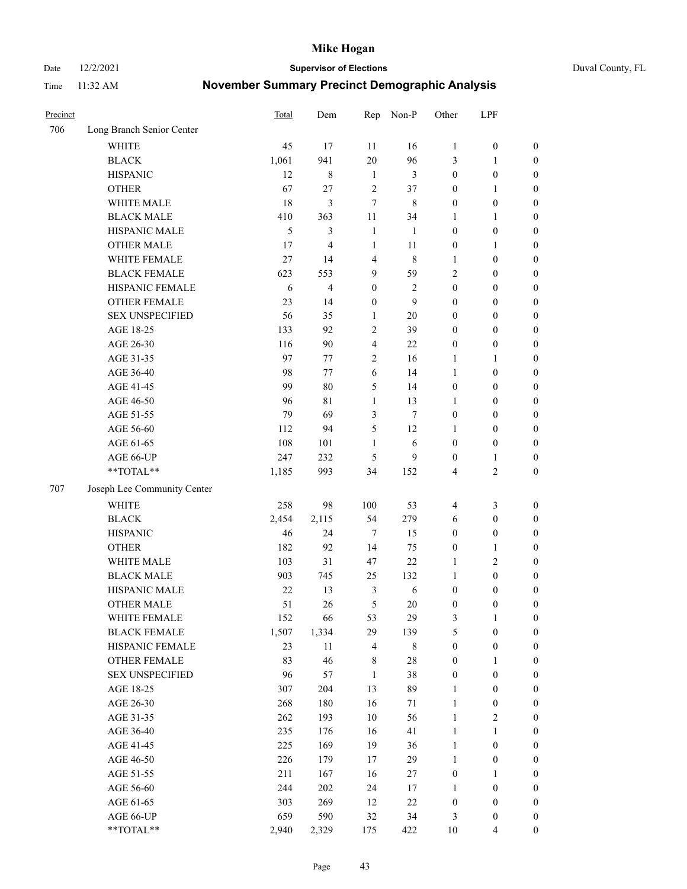Date 12/2/2021 **Supervisor of Elections** Duval County, FL

| Precinct |                             | <b>Total</b> | Dem            | Rep                     | Non-P          | Other            | LPF              |                  |
|----------|-----------------------------|--------------|----------------|-------------------------|----------------|------------------|------------------|------------------|
| 706      | Long Branch Senior Center   |              |                |                         |                |                  |                  |                  |
|          | <b>WHITE</b>                | 45           | 17             | 11                      | 16             | $\mathbf{1}$     | $\boldsymbol{0}$ | $\boldsymbol{0}$ |
|          | <b>BLACK</b>                | 1,061        | 941            | 20                      | 96             | 3                | $\mathbf{1}$     | $\boldsymbol{0}$ |
|          | <b>HISPANIC</b>             | 12           | 8              | $\mathbf{1}$            | 3              | $\boldsymbol{0}$ | $\boldsymbol{0}$ | $\boldsymbol{0}$ |
|          | <b>OTHER</b>                | 67           | 27             | $\overline{2}$          | 37             | $\boldsymbol{0}$ | $\mathbf{1}$     | $\boldsymbol{0}$ |
|          | WHITE MALE                  | 18           | 3              | $\overline{7}$          | $\,$ 8 $\,$    | $\boldsymbol{0}$ | $\boldsymbol{0}$ | $\boldsymbol{0}$ |
|          | <b>BLACK MALE</b>           | 410          | 363            | 11                      | 34             | 1                | $\mathbf{1}$     | $\boldsymbol{0}$ |
|          | HISPANIC MALE               | 5            | 3              | $\mathbf{1}$            | 1              | $\boldsymbol{0}$ | $\boldsymbol{0}$ | $\boldsymbol{0}$ |
|          | <b>OTHER MALE</b>           | 17           | $\overline{4}$ | $\mathbf{1}$            | 11             | $\boldsymbol{0}$ | $\mathbf{1}$     | $\boldsymbol{0}$ |
|          | WHITE FEMALE                | 27           | 14             | $\overline{4}$          | $\,$ 8 $\,$    | 1                | $\boldsymbol{0}$ | $\boldsymbol{0}$ |
|          | <b>BLACK FEMALE</b>         | 623          | 553            | 9                       | 59             | $\overline{c}$   | $\boldsymbol{0}$ | $\boldsymbol{0}$ |
|          | HISPANIC FEMALE             | 6            | 4              | $\boldsymbol{0}$        | $\mathfrak{2}$ | $\boldsymbol{0}$ | $\boldsymbol{0}$ | 0                |
|          | <b>OTHER FEMALE</b>         | 23           | 14             | $\boldsymbol{0}$        | 9              | $\boldsymbol{0}$ | $\boldsymbol{0}$ | $\boldsymbol{0}$ |
|          | <b>SEX UNSPECIFIED</b>      | 56           | 35             | $\mathbf{1}$            | $20\,$         | $\boldsymbol{0}$ | $\boldsymbol{0}$ | $\boldsymbol{0}$ |
|          | AGE 18-25                   | 133          | 92             | $\sqrt{2}$              | 39             | $\boldsymbol{0}$ | $\boldsymbol{0}$ | $\boldsymbol{0}$ |
|          | AGE 26-30                   | 116          | 90             | $\overline{\mathbf{4}}$ | 22             | $\boldsymbol{0}$ | $\boldsymbol{0}$ | $\boldsymbol{0}$ |
|          | AGE 31-35                   | 97           | 77             | $\sqrt{2}$              | 16             | $\mathbf{1}$     | $\mathbf{1}$     | $\boldsymbol{0}$ |
|          | AGE 36-40                   | 98           | 77             | 6                       | 14             | $\mathbf{1}$     | $\boldsymbol{0}$ | $\boldsymbol{0}$ |
|          | AGE 41-45                   | 99           | 80             | 5                       | 14             | $\boldsymbol{0}$ | $\boldsymbol{0}$ | $\boldsymbol{0}$ |
|          | AGE 46-50                   | 96           | 81             | $\mathbf{1}$            | 13             | 1                | $\boldsymbol{0}$ | $\boldsymbol{0}$ |
|          | AGE 51-55                   | 79           | 69             | $\mathfrak{Z}$          | $\tau$         | $\boldsymbol{0}$ | $\boldsymbol{0}$ | $\boldsymbol{0}$ |
|          | AGE 56-60                   | 112          | 94             | 5                       | 12             | 1                | $\boldsymbol{0}$ | 0                |
|          | AGE 61-65                   | 108          | 101            | 1                       | 6              | $\boldsymbol{0}$ | $\boldsymbol{0}$ | 0                |
|          | AGE 66-UP                   | 247          | 232            | 5                       | 9              | $\boldsymbol{0}$ | $\mathbf{1}$     | $\boldsymbol{0}$ |
|          | $**TOTAL**$                 | 1,185        | 993            | 34                      | 152            | 4                | $\sqrt{2}$       | $\boldsymbol{0}$ |
| 707      | Joseph Lee Community Center |              |                |                         |                |                  |                  |                  |
|          | <b>WHITE</b>                | 258          | 98             | 100                     | 53             | $\overline{4}$   | $\mathfrak{Z}$   | $\boldsymbol{0}$ |
|          | <b>BLACK</b>                | 2,454        | 2,115          | 54                      | 279            | 6                | $\boldsymbol{0}$ | $\boldsymbol{0}$ |
|          | <b>HISPANIC</b>             | 46           | 24             | $\tau$                  | 15             | $\boldsymbol{0}$ | $\boldsymbol{0}$ | $\boldsymbol{0}$ |
|          | <b>OTHER</b>                | 182          | 92             | 14                      | 75             | $\boldsymbol{0}$ | $\mathbf{1}$     | $\boldsymbol{0}$ |
|          | WHITE MALE                  | 103          | 31             | 47                      | 22             | $\mathbf{1}$     | $\mathbf{2}$     | $\boldsymbol{0}$ |
|          | <b>BLACK MALE</b>           | 903          | 745            | 25                      | 132            | $\mathbf{1}$     | $\boldsymbol{0}$ | $\boldsymbol{0}$ |
|          | HISPANIC MALE               | $22\,$       | 13             | 3                       | $\sqrt{6}$     | $\boldsymbol{0}$ | $\boldsymbol{0}$ | $\boldsymbol{0}$ |
|          | <b>OTHER MALE</b>           | 51           | 26             | 5                       | 20             | $\boldsymbol{0}$ | $\boldsymbol{0}$ | $\boldsymbol{0}$ |
|          | WHITE FEMALE                | 152          | 66             | 53                      | 29             | 3                | 1                | 0                |
|          | <b>BLACK FEMALE</b>         | 1,507        | 1,334          | 29                      | 139            | 5                | $\boldsymbol{0}$ | $\boldsymbol{0}$ |
|          | HISPANIC FEMALE             | 23           | $11\,$         | $\overline{4}$          | $\,$ 8 $\,$    | $\boldsymbol{0}$ | $\boldsymbol{0}$ | $\overline{0}$   |
|          | OTHER FEMALE                | 83           | 46             | $8\,$                   | $28\,$         | $\boldsymbol{0}$ | $\mathbf{1}$     | $\overline{0}$   |
|          | <b>SEX UNSPECIFIED</b>      | 96           | 57             | $\mathbf{1}$            | 38             | $\boldsymbol{0}$ | $\boldsymbol{0}$ | $\overline{0}$   |
|          | AGE 18-25                   | 307          | 204            | 13                      | 89             | $\mathbf{1}$     | $\boldsymbol{0}$ | $\overline{0}$   |
|          | AGE 26-30                   | 268          | 180            | 16                      | 71             | $\mathbf{1}$     | $\boldsymbol{0}$ | 0                |
|          | AGE 31-35                   | 262          | 193            | $10\,$                  | 56             | $\mathbf{1}$     | $\sqrt{2}$       | 0                |
|          | AGE 36-40                   | 235          | 176            | 16                      | 41             | $\mathbf{1}$     | $\mathbf{1}$     | 0                |
|          | AGE 41-45                   | 225          | 169            | 19                      | 36             | $\mathbf{1}$     | $\boldsymbol{0}$ | 0                |
|          | AGE 46-50                   | 226          | 179            | 17                      | 29             | $\mathbf{1}$     | $\boldsymbol{0}$ | 0                |
|          | AGE 51-55                   | 211          | 167            | 16                      | 27             | $\boldsymbol{0}$ | $\mathbf{1}$     | $\boldsymbol{0}$ |
|          | AGE 56-60                   | 244          | 202            | 24                      | 17             | 1                | $\boldsymbol{0}$ | $\boldsymbol{0}$ |
|          | AGE 61-65                   | 303          | 269            | 12                      | 22             | $\boldsymbol{0}$ | $\boldsymbol{0}$ | $\boldsymbol{0}$ |
|          | AGE 66-UP                   | 659          | 590            | 32                      | 34             | 3                | $\boldsymbol{0}$ | $\boldsymbol{0}$ |
|          | **TOTAL**                   | 2,940        | 2,329          | 175                     | 422            | 10               | $\overline{4}$   | $\boldsymbol{0}$ |
|          |                             |              |                |                         |                |                  |                  |                  |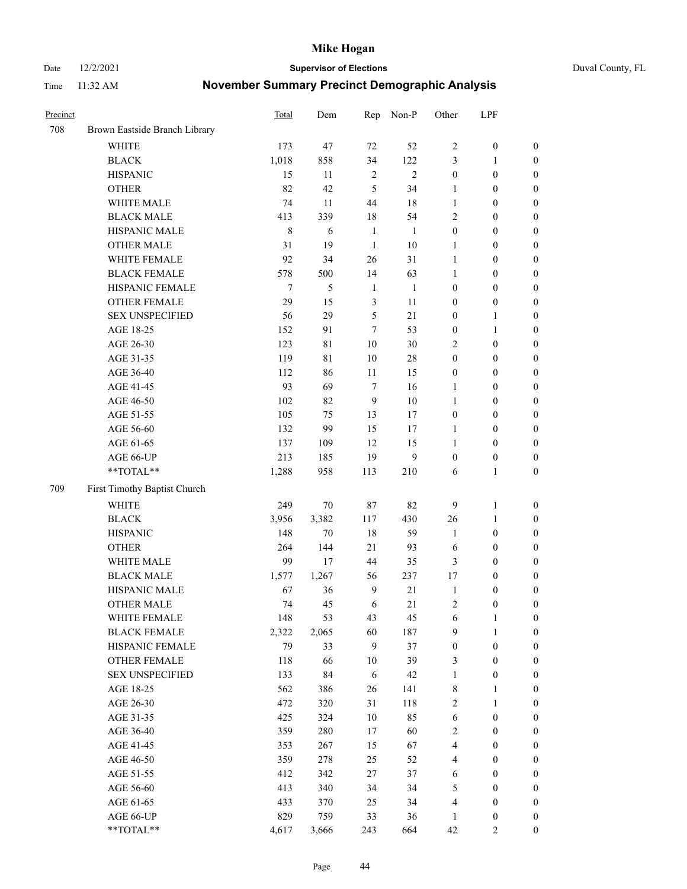Date 12/2/2021 **Supervisor of Elections** Duval County, FL

| Precinct |                               | Total   | Dem            | Rep            | Non-P        | Other            | LPF              |                  |
|----------|-------------------------------|---------|----------------|----------------|--------------|------------------|------------------|------------------|
| 708      | Brown Eastside Branch Library |         |                |                |              |                  |                  |                  |
|          | <b>WHITE</b>                  | 173     | 47             | 72             | 52           | $\mathbf{2}$     | $\boldsymbol{0}$ | 0                |
|          | <b>BLACK</b>                  | 1,018   | 858            | 34             | 122          | 3                | $\mathbf{1}$     | $\boldsymbol{0}$ |
|          | <b>HISPANIC</b>               | 15      | 11             | $\sqrt{2}$     | $\mathbf{2}$ | $\boldsymbol{0}$ | $\boldsymbol{0}$ | $\boldsymbol{0}$ |
|          | <b>OTHER</b>                  | 82      | 42             | 5              | 34           | 1                | $\boldsymbol{0}$ | $\boldsymbol{0}$ |
|          | WHITE MALE                    | 74      | 11             | 44             | 18           | $\mathbf{1}$     | $\boldsymbol{0}$ | $\boldsymbol{0}$ |
|          | <b>BLACK MALE</b>             | 413     | 339            | 18             | 54           | $\mathfrak{2}$   | $\boldsymbol{0}$ | $\boldsymbol{0}$ |
|          | HISPANIC MALE                 | $\,8\,$ | 6              | $\mathbf{1}$   | $\mathbf{1}$ | $\boldsymbol{0}$ | $\boldsymbol{0}$ | $\boldsymbol{0}$ |
|          | <b>OTHER MALE</b>             | 31      | 19             | $\mathbf{1}$   | $10\,$       | 1                | $\boldsymbol{0}$ | $\boldsymbol{0}$ |
|          | WHITE FEMALE                  | 92      | 34             | 26             | 31           | $\mathbf{1}$     | $\boldsymbol{0}$ | $\boldsymbol{0}$ |
|          | <b>BLACK FEMALE</b>           | 578     | 500            | 14             | 63           | $\mathbf{1}$     | $\boldsymbol{0}$ | $\boldsymbol{0}$ |
|          | HISPANIC FEMALE               | $\tau$  | $\mathfrak{S}$ | $\mathbf{1}$   | $\mathbf{1}$ | $\boldsymbol{0}$ | $\boldsymbol{0}$ | 0                |
|          | OTHER FEMALE                  | 29      | 15             | $\mathfrak{Z}$ | 11           | $\boldsymbol{0}$ | $\boldsymbol{0}$ | $\boldsymbol{0}$ |
|          | <b>SEX UNSPECIFIED</b>        | 56      | 29             | $\mathfrak s$  | 21           | $\boldsymbol{0}$ | $\mathbf{1}$     | $\boldsymbol{0}$ |
|          | AGE 18-25                     | 152     | 91             | 7              | 53           | $\boldsymbol{0}$ | $\mathbf{1}$     | $\boldsymbol{0}$ |
|          | AGE 26-30                     | 123     | 81             | 10             | 30           | $\overline{c}$   | $\boldsymbol{0}$ | $\boldsymbol{0}$ |
|          | AGE 31-35                     | 119     | 81             | 10             | 28           | $\boldsymbol{0}$ | $\boldsymbol{0}$ | $\boldsymbol{0}$ |
|          | AGE 36-40                     | 112     | 86             | 11             | 15           | $\boldsymbol{0}$ | $\boldsymbol{0}$ | $\boldsymbol{0}$ |
|          | AGE 41-45                     | 93      | 69             | $\tau$         | 16           | $\mathbf{1}$     | $\boldsymbol{0}$ | $\boldsymbol{0}$ |
|          | AGE 46-50                     | $102\,$ | 82             | $\mathbf{9}$   | $10\,$       | $\mathbf{1}$     | $\boldsymbol{0}$ | $\boldsymbol{0}$ |
|          | AGE 51-55                     | 105     | 75             | 13             | 17           | $\boldsymbol{0}$ | $\boldsymbol{0}$ | $\boldsymbol{0}$ |
|          | AGE 56-60                     | 132     | 99             | 15             | 17           | 1                | $\boldsymbol{0}$ | 0                |
|          | AGE 61-65                     | 137     | 109            | 12             | 15           | 1                | $\boldsymbol{0}$ | 0                |
|          | AGE 66-UP                     | 213     | 185            | 19             | 9            | $\boldsymbol{0}$ | $\boldsymbol{0}$ | $\boldsymbol{0}$ |
|          | **TOTAL**                     | 1,288   | 958            | 113            | 210          | 6                | $\mathbf{1}$     | $\boldsymbol{0}$ |
| 709      | First Timothy Baptist Church  |         |                |                |              |                  |                  |                  |
|          | WHITE                         | 249     | 70             | 87             | 82           | 9                | $\mathbf{1}$     | $\boldsymbol{0}$ |
|          | <b>BLACK</b>                  | 3,956   | 3,382          | 117            | 430          | 26               | $\mathbf{1}$     | $\boldsymbol{0}$ |
|          | <b>HISPANIC</b>               | 148     | 70             | 18             | 59           | $\mathbf{1}$     | $\boldsymbol{0}$ | $\boldsymbol{0}$ |
|          | <b>OTHER</b>                  | 264     | 144            | 21             | 93           | 6                | $\boldsymbol{0}$ | $\boldsymbol{0}$ |
|          | WHITE MALE                    | 99      | 17             | 44             | 35           | 3                | $\boldsymbol{0}$ | $\boldsymbol{0}$ |
|          | <b>BLACK MALE</b>             | 1,577   | 1,267          | 56             | 237          | 17               | $\boldsymbol{0}$ | $\boldsymbol{0}$ |
|          | HISPANIC MALE                 | 67      | 36             | $\overline{9}$ | $21\,$       | $\mathbf{1}$     | $\boldsymbol{0}$ | $\boldsymbol{0}$ |
|          | <b>OTHER MALE</b>             | 74      | 45             | 6              | 21           | $\overline{c}$   | $\boldsymbol{0}$ | $\boldsymbol{0}$ |
|          | WHITE FEMALE                  | 148     | 53             | 43             | 45           | 6                | 1                | 0                |
|          | <b>BLACK FEMALE</b>           | 2,322   | 2,065          | 60             | 187          | 9                | $\mathbf{1}$     | $\boldsymbol{0}$ |
|          | HISPANIC FEMALE               | 79      | 33             | 9              | 37           | $\boldsymbol{0}$ | $\boldsymbol{0}$ | $\overline{0}$   |
|          | OTHER FEMALE                  | 118     | 66             | 10             | 39           | 3                | $\boldsymbol{0}$ | $\overline{0}$   |
|          | <b>SEX UNSPECIFIED</b>        | 133     | 84             | 6              | 42           | $\mathbf{1}$     | $\boldsymbol{0}$ | 0                |
|          | AGE 18-25                     | 562     | 386            | 26             | 141          | $\,$ 8 $\,$      | $\mathbf{1}$     | $\overline{0}$   |
|          | AGE 26-30                     | 472     | 320            | 31             | 118          | 2                | $\mathbf{1}$     | 0                |
|          | AGE 31-35                     | 425     | 324            | 10             | 85           | 6                | $\boldsymbol{0}$ | 0                |
|          | AGE 36-40                     | 359     | 280            | 17             | 60           | 2                | $\boldsymbol{0}$ | 0                |
|          | AGE 41-45                     | 353     | 267            | 15             | 67           | $\overline{4}$   | $\boldsymbol{0}$ | 0                |
|          | AGE 46-50                     | 359     | 278            | 25             | 52           | 4                | $\boldsymbol{0}$ | 0                |
|          | AGE 51-55                     | 412     | 342            | 27             | 37           | 6                | $\boldsymbol{0}$ | $\boldsymbol{0}$ |
|          | AGE 56-60                     | 413     | 340            | 34             | 34           | 5                | $\boldsymbol{0}$ | $\boldsymbol{0}$ |
|          | AGE 61-65                     | 433     | 370            | 25             | 34           | 4                | $\boldsymbol{0}$ | $\overline{0}$   |
|          | AGE 66-UP                     | 829     | 759            | 33             | 36           | $\mathbf{1}$     | $\boldsymbol{0}$ | 0                |
|          | **TOTAL**                     | 4,617   | 3,666          | 243            | 664          | 42               | $\overline{2}$   | $\boldsymbol{0}$ |
|          |                               |         |                |                |              |                  |                  |                  |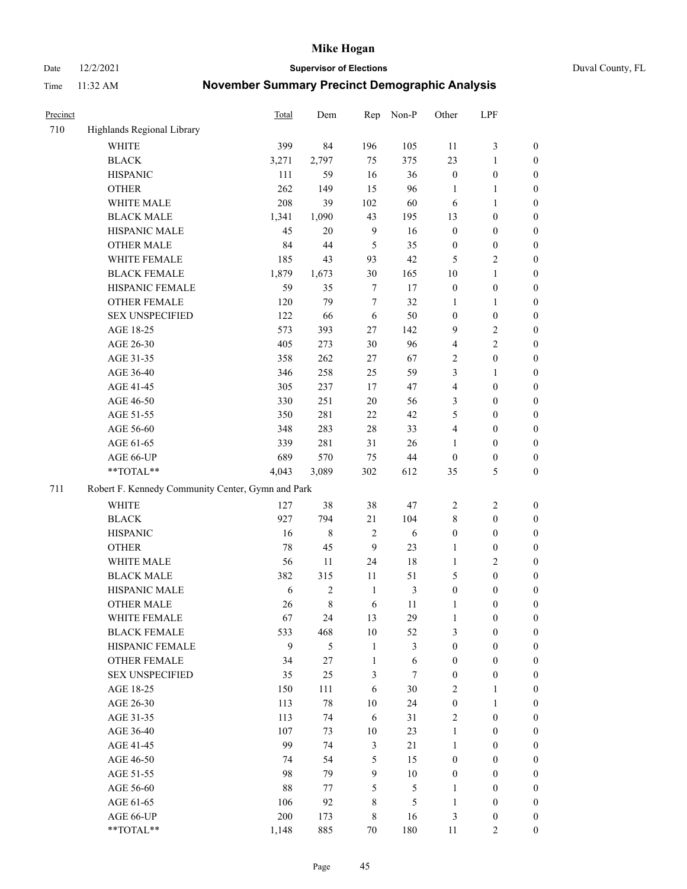Date 12/2/2021 **Supervisor of Elections** Duval County, FL

| Precinct |                                                   | Total  | Dem          | Rep            | Non-P          | Other                   | LPF              |                  |
|----------|---------------------------------------------------|--------|--------------|----------------|----------------|-------------------------|------------------|------------------|
| 710      | Highlands Regional Library                        |        |              |                |                |                         |                  |                  |
|          | <b>WHITE</b>                                      | 399    | 84           | 196            | 105            | 11                      | $\mathfrak{Z}$   | 0                |
|          | <b>BLACK</b>                                      | 3,271  | 2,797        | 75             | 375            | 23                      | $\mathbf{1}$     | 0                |
|          | <b>HISPANIC</b>                                   | 111    | 59           | 16             | 36             | $\boldsymbol{0}$        | $\boldsymbol{0}$ | $\boldsymbol{0}$ |
|          | <b>OTHER</b>                                      | 262    | 149          | 15             | 96             | 1                       | $\mathbf{1}$     | $\boldsymbol{0}$ |
|          | WHITE MALE                                        | 208    | 39           | 102            | 60             | 6                       | $\mathbf{1}$     | $\boldsymbol{0}$ |
|          | <b>BLACK MALE</b>                                 | 1,341  | 1,090        | 43             | 195            | 13                      | $\boldsymbol{0}$ | $\boldsymbol{0}$ |
|          | HISPANIC MALE                                     | 45     | 20           | $\mathbf{9}$   | 16             | $\boldsymbol{0}$        | $\boldsymbol{0}$ | $\boldsymbol{0}$ |
|          | <b>OTHER MALE</b>                                 | 84     | 44           | 5              | 35             | $\boldsymbol{0}$        | $\boldsymbol{0}$ | $\boldsymbol{0}$ |
|          | WHITE FEMALE                                      | 185    | 43           | 93             | 42             | 5                       | $\mathfrak{2}$   | $\boldsymbol{0}$ |
|          | <b>BLACK FEMALE</b>                               | 1,879  | 1,673        | 30             | 165            | $10\,$                  | $\mathbf{1}$     | 0                |
|          | HISPANIC FEMALE                                   | 59     | 35           | $\tau$         | 17             | $\boldsymbol{0}$        | $\boldsymbol{0}$ | 0                |
|          | OTHER FEMALE                                      | 120    | 79           | $\tau$         | 32             | $\mathbf{1}$            | $\mathbf{1}$     | 0                |
|          | <b>SEX UNSPECIFIED</b>                            | 122    | 66           | 6              | 50             | $\boldsymbol{0}$        | $\boldsymbol{0}$ | $\boldsymbol{0}$ |
|          | AGE 18-25                                         | 573    | 393          | $27\,$         | 142            | 9                       | $\sqrt{2}$       | $\boldsymbol{0}$ |
|          | AGE 26-30                                         | 405    | 273          | 30             | 96             | 4                       | $\sqrt{2}$       | $\boldsymbol{0}$ |
|          | AGE 31-35                                         | 358    | 262          | 27             | 67             | 2                       | $\boldsymbol{0}$ | $\boldsymbol{0}$ |
|          | AGE 36-40                                         | 346    | 258          | 25             | 59             | 3                       | $\mathbf{1}$     | $\boldsymbol{0}$ |
|          | AGE 41-45                                         | 305    | 237          | 17             | 47             | $\overline{\mathbf{4}}$ | $\boldsymbol{0}$ | $\boldsymbol{0}$ |
|          | AGE 46-50                                         | 330    | 251          | 20             | 56             | 3                       | $\boldsymbol{0}$ | $\boldsymbol{0}$ |
|          | AGE 51-55                                         | 350    | 281          | $22\,$         | 42             | 5                       | $\boldsymbol{0}$ | $\boldsymbol{0}$ |
|          | AGE 56-60                                         | 348    | 283          | 28             | 33             | 4                       | $\boldsymbol{0}$ | 0                |
|          | AGE 61-65                                         | 339    | 281          | 31             | 26             | 1                       | $\boldsymbol{0}$ | 0                |
|          | AGE 66-UP                                         | 689    | 570          | 75             | $44\,$         | $\boldsymbol{0}$        | $\boldsymbol{0}$ | $\boldsymbol{0}$ |
|          | **TOTAL**                                         | 4,043  | 3,089        | 302            | 612            | 35                      | $\mathfrak{S}$   | $\boldsymbol{0}$ |
| 711      | Robert F. Kennedy Community Center, Gymn and Park |        |              |                |                |                         |                  |                  |
|          | WHITE                                             | 127    | 38           | 38             | 47             | $\overline{c}$          | $\sqrt{2}$       | $\boldsymbol{0}$ |
|          | <b>BLACK</b>                                      | 927    | 794          | 21             | 104            | 8                       | $\boldsymbol{0}$ | $\boldsymbol{0}$ |
|          | <b>HISPANIC</b>                                   | 16     | 8            | $\sqrt{2}$     | 6              | $\boldsymbol{0}$        | $\boldsymbol{0}$ | $\boldsymbol{0}$ |
|          | <b>OTHER</b>                                      | 78     | 45           | 9              | 23             | 1                       | $\boldsymbol{0}$ | $\boldsymbol{0}$ |
|          | WHITE MALE                                        | 56     | 11           | 24             | $18\,$         | $\mathbf{1}$            | $\overline{2}$   | $\boldsymbol{0}$ |
|          | <b>BLACK MALE</b>                                 | 382    | 315          | $11\,$         | 51             | 5                       | $\boldsymbol{0}$ | $\boldsymbol{0}$ |
|          | HISPANIC MALE                                     | 6      | $\mathbf{2}$ | $\mathbf{1}$   | $\mathfrak{Z}$ | $\boldsymbol{0}$        | $\boldsymbol{0}$ | $\boldsymbol{0}$ |
|          | <b>OTHER MALE</b>                                 | 26     | 8            | 6              | 11             | $\mathbf{1}$            | $\boldsymbol{0}$ | $\boldsymbol{0}$ |
|          | WHITE FEMALE                                      | 67     | 24           | 13             | 29             | 1                       | $\boldsymbol{0}$ | 0                |
|          | <b>BLACK FEMALE</b>                               | 533    | 468          | 10             | 52             | 3                       | $\boldsymbol{0}$ | $\overline{0}$   |
|          | HISPANIC FEMALE                                   | 9      | 5            | $\mathbf{1}$   | 3              | $\boldsymbol{0}$        | $\boldsymbol{0}$ | $\overline{0}$   |
|          | OTHER FEMALE                                      | 34     | 27           | $\mathbf{1}$   | $\sqrt{6}$     | $\boldsymbol{0}$        | $\boldsymbol{0}$ | $\overline{0}$   |
|          | <b>SEX UNSPECIFIED</b>                            | 35     | 25           | 3              | $\tau$         | $\boldsymbol{0}$        | $\boldsymbol{0}$ | $\overline{0}$   |
|          | AGE 18-25                                         | 150    | 111          | 6              | 30             | 2                       | $\mathbf{1}$     | $\overline{0}$   |
|          | AGE 26-30                                         | 113    | 78           | 10             | 24             | $\boldsymbol{0}$        | $\mathbf{1}$     | $\overline{0}$   |
|          | AGE 31-35                                         | 113    | 74           | 6              | 31             | 2                       | $\boldsymbol{0}$ | 0                |
|          | AGE 36-40                                         | 107    | 73           | 10             | 23             | $\mathbf{1}$            | $\boldsymbol{0}$ | 0                |
|          | AGE 41-45                                         | 99     | 74           | $\mathfrak{Z}$ | 21             | $\mathbf{1}$            | $\boldsymbol{0}$ | 0                |
|          | AGE 46-50                                         | 74     | 54           | $\mathfrak s$  | 15             | $\boldsymbol{0}$        | $\boldsymbol{0}$ | 0                |
|          | AGE 51-55                                         | 98     | 79           | 9              | $10\,$         | $\boldsymbol{0}$        | $\boldsymbol{0}$ | $\boldsymbol{0}$ |
|          | AGE 56-60                                         | $88\,$ | 77           | 5              | 5              | 1                       | $\boldsymbol{0}$ | $\boldsymbol{0}$ |
|          | AGE 61-65                                         | 106    | 92           | 8              | 5              | $\mathbf{1}$            | $\boldsymbol{0}$ | $\boldsymbol{0}$ |
|          | AGE 66-UP                                         | 200    | 173          | $\,$ 8 $\,$    | 16             | 3                       | $\boldsymbol{0}$ | $\boldsymbol{0}$ |
|          | **TOTAL**                                         | 1,148  | 885          | 70             | 180            | 11                      | $\overline{2}$   | $\boldsymbol{0}$ |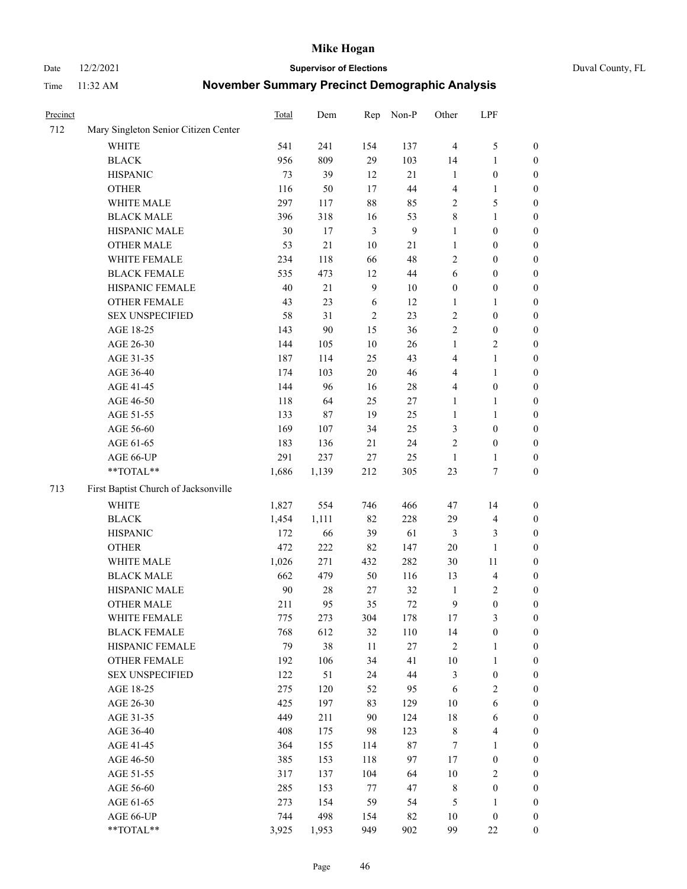Date 12/2/2021 **Supervisor of Elections** Duval County, FL

| Precinct |                                      | Total | Dem    | Rep            | Non-P          | Other                   | LPF                     |                  |
|----------|--------------------------------------|-------|--------|----------------|----------------|-------------------------|-------------------------|------------------|
| 712      | Mary Singleton Senior Citizen Center |       |        |                |                |                         |                         |                  |
|          | <b>WHITE</b>                         | 541   | 241    | 154            | 137            | $\overline{4}$          | $\mathfrak{S}$          | 0                |
|          | <b>BLACK</b>                         | 956   | 809    | 29             | 103            | 14                      | $\mathbf{1}$            | 0                |
|          | <b>HISPANIC</b>                      | 73    | 39     | 12             | 21             | $\mathbf{1}$            | $\boldsymbol{0}$        | $\boldsymbol{0}$ |
|          | <b>OTHER</b>                         | 116   | 50     | 17             | 44             | 4                       | 1                       | $\boldsymbol{0}$ |
|          | WHITE MALE                           | 297   | 117    | 88             | 85             | 2                       | 5                       | $\boldsymbol{0}$ |
|          | <b>BLACK MALE</b>                    | 396   | 318    | 16             | 53             | 8                       | $\mathbf{1}$            | $\boldsymbol{0}$ |
|          | HISPANIC MALE                        | 30    | 17     | $\mathfrak{Z}$ | $\overline{9}$ | 1                       | $\boldsymbol{0}$        | $\boldsymbol{0}$ |
|          | <b>OTHER MALE</b>                    | 53    | 21     | $10\,$         | 21             | $\mathbf{1}$            | $\boldsymbol{0}$        | $\boldsymbol{0}$ |
|          | WHITE FEMALE                         | 234   | 118    | 66             | 48             | $\overline{2}$          | $\boldsymbol{0}$        | $\boldsymbol{0}$ |
|          | <b>BLACK FEMALE</b>                  | 535   | 473    | 12             | $44\,$         | 6                       | $\boldsymbol{0}$        | 0                |
|          | HISPANIC FEMALE                      | 40    | $21\,$ | $\overline{9}$ | 10             | $\boldsymbol{0}$        | $\boldsymbol{0}$        | 0                |
|          | OTHER FEMALE                         | 43    | 23     | 6              | 12             | $\mathbf{1}$            | $\mathbf{1}$            | 0                |
|          | <b>SEX UNSPECIFIED</b>               | 58    | 31     | $\sqrt{2}$     | 23             | $\overline{c}$          | $\boldsymbol{0}$        | $\boldsymbol{0}$ |
|          | AGE 18-25                            | 143   | 90     | 15             | 36             | 2                       | $\boldsymbol{0}$        | $\boldsymbol{0}$ |
|          | AGE 26-30                            | 144   | 105    | 10             | 26             | $\mathbf{1}$            | $\sqrt{2}$              | $\boldsymbol{0}$ |
|          | AGE 31-35                            | 187   | 114    | 25             | 43             | 4                       | $\mathbf{1}$            | $\boldsymbol{0}$ |
|          | AGE 36-40                            | 174   | 103    | $20\,$         | 46             | 4                       | $\mathbf{1}$            | $\boldsymbol{0}$ |
|          | AGE 41-45                            | 144   | 96     | 16             | $28\,$         | $\overline{\mathbf{4}}$ | $\boldsymbol{0}$        | $\boldsymbol{0}$ |
|          | AGE 46-50                            | 118   | 64     | 25             | 27             | 1                       | 1                       | $\boldsymbol{0}$ |
|          | AGE 51-55                            | 133   | 87     | 19             | 25             | 1                       | $\mathbf{1}$            | 0                |
|          | AGE 56-60                            | 169   | 107    | 34             | 25             | 3                       | $\boldsymbol{0}$        | 0                |
|          | AGE 61-65                            | 183   | 136    | 21             | 24             | $\mathfrak{2}$          | $\boldsymbol{0}$        | 0                |
|          | AGE 66-UP                            | 291   | 237    | $27\,$         | 25             | $\mathbf{1}$            | 1                       | $\boldsymbol{0}$ |
|          | **TOTAL**                            | 1,686 | 1,139  | 212            | 305            | 23                      | $\boldsymbol{7}$        | $\boldsymbol{0}$ |
| 713      | First Baptist Church of Jacksonville |       |        |                |                |                         |                         |                  |
|          | <b>WHITE</b>                         | 1,827 | 554    | 746            | 466            | 47                      | 14                      | $\boldsymbol{0}$ |
|          | <b>BLACK</b>                         | 1,454 | 1,111  | 82             | 228            | 29                      | $\overline{\mathbf{4}}$ | $\boldsymbol{0}$ |
|          | <b>HISPANIC</b>                      | 172   | 66     | 39             | 61             | 3                       | $\mathfrak{Z}$          | $\boldsymbol{0}$ |
|          | <b>OTHER</b>                         | 472   | 222    | 82             | 147            | 20                      | $\mathbf{1}$            | $\boldsymbol{0}$ |
|          | WHITE MALE                           | 1,026 | 271    | 432            | 282            | 30                      | 11                      | $\boldsymbol{0}$ |
|          | <b>BLACK MALE</b>                    | 662   | 479    | 50             | 116            | 13                      | $\overline{\mathbf{4}}$ | $\boldsymbol{0}$ |
|          | HISPANIC MALE                        | 90    | $28\,$ | 27             | 32             | 1                       | $\overline{c}$          | $\boldsymbol{0}$ |
|          | <b>OTHER MALE</b>                    | 211   | 95     | 35             | $72\,$         | 9                       | $\boldsymbol{0}$        | 0                |
|          | WHITE FEMALE                         | 775   | 273    | 304            | 178            | 17                      | 3                       | 0                |
|          | <b>BLACK FEMALE</b>                  | 768   | 612    | 32             | 110            | 14                      | $\boldsymbol{0}$        | $\overline{0}$   |
|          | HISPANIC FEMALE                      | 79    | 38     | 11             | $27\,$         | 2                       | $\mathbf{1}$            | $\overline{0}$   |
|          | OTHER FEMALE                         | 192   | 106    | 34             | 41             | $10\,$                  | $\mathbf{1}$            | $\overline{0}$   |
|          | <b>SEX UNSPECIFIED</b>               | 122   | 51     | 24             | $44\,$         | 3                       | $\boldsymbol{0}$        | 0                |
|          | AGE 18-25                            | 275   | 120    | 52             | 95             | 6                       | $\sqrt{2}$              | 0                |
|          | AGE 26-30                            | 425   | 197    | 83             | 129            | $10\,$                  | $\sqrt{6}$              | 0                |
|          | AGE 31-35                            | 449   | 211    | 90             | 124            | 18                      | 6                       | 0                |
|          | AGE 36-40                            | 408   | 175    | 98             | 123            | 8                       | $\overline{\mathbf{4}}$ | 0                |
|          | AGE 41-45                            | 364   | 155    | 114            | $87\,$         | 7                       | $\mathbf{1}$            | 0                |
|          | AGE 46-50                            | 385   | 153    | 118            | 97             | $17\,$                  | $\boldsymbol{0}$        | 0                |
|          | AGE 51-55                            | 317   | 137    | 104            | 64             | 10                      | $\sqrt{2}$              | 0                |
|          | AGE 56-60                            | 285   | 153    | $77\,$         | 47             | 8                       | $\boldsymbol{0}$        | $\overline{0}$   |
|          | AGE 61-65                            | 273   | 154    | 59             | 54             | 5                       | 1                       | $\overline{0}$   |
|          | AGE 66-UP                            | 744   | 498    | 154            | 82             | 10                      | $\boldsymbol{0}$        | 0                |
|          | **TOTAL**                            | 3,925 | 1,953  | 949            | 902            | 99                      | $22\,$                  | $\boldsymbol{0}$ |
|          |                                      |       |        |                |                |                         |                         |                  |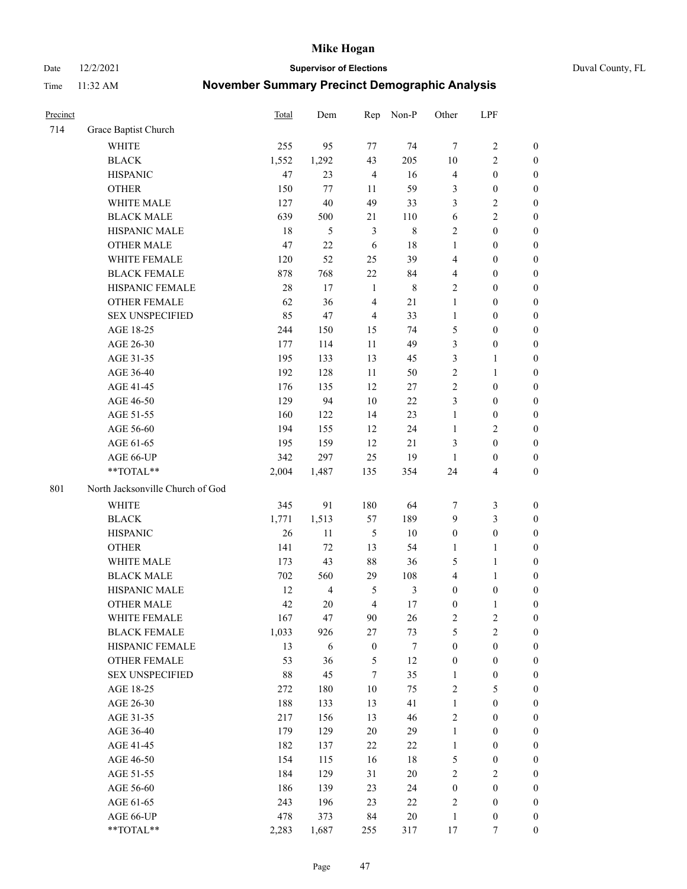Date 12/2/2021 **Supervisor of Elections** Duval County, FL

| Precinct |                                  | Total  | Dem            | Rep              | Non-P          | Other            | LPF                     |                  |
|----------|----------------------------------|--------|----------------|------------------|----------------|------------------|-------------------------|------------------|
| 714      | Grace Baptist Church             |        |                |                  |                |                  |                         |                  |
|          | <b>WHITE</b>                     | 255    | 95             | 77               | 74             | $\tau$           | $\sqrt{2}$              | $\boldsymbol{0}$ |
|          | <b>BLACK</b>                     | 1,552  | 1,292          | 43               | 205            | 10               | $\mathbf{2}$            | $\boldsymbol{0}$ |
|          | <b>HISPANIC</b>                  | 47     | 23             | $\overline{4}$   | 16             | 4                | $\boldsymbol{0}$        | $\boldsymbol{0}$ |
|          | <b>OTHER</b>                     | 150    | 77             | 11               | 59             | 3                | $\boldsymbol{0}$        | $\boldsymbol{0}$ |
|          | WHITE MALE                       | 127    | 40             | 49               | 33             | 3                | $\sqrt{2}$              | $\boldsymbol{0}$ |
|          | <b>BLACK MALE</b>                | 639    | 500            | 21               | 110            | 6                | $\sqrt{2}$              | $\boldsymbol{0}$ |
|          | HISPANIC MALE                    | 18     | 5              | $\mathfrak{Z}$   | $\,$ 8 $\,$    | $\overline{c}$   | $\boldsymbol{0}$        | $\boldsymbol{0}$ |
|          | <b>OTHER MALE</b>                | 47     | 22             | 6                | $18\,$         | $\mathbf{1}$     | $\boldsymbol{0}$        | $\boldsymbol{0}$ |
|          | WHITE FEMALE                     | 120    | 52             | 25               | 39             | 4                | $\boldsymbol{0}$        | $\boldsymbol{0}$ |
|          | <b>BLACK FEMALE</b>              | 878    | 768            | $22\,$           | 84             | 4                | $\boldsymbol{0}$        | $\boldsymbol{0}$ |
|          | HISPANIC FEMALE                  | 28     | 17             | $\mathbf{1}$     | $\,$ 8 $\,$    | $\mathbf{2}$     | $\boldsymbol{0}$        | 0                |
|          | OTHER FEMALE                     | 62     | 36             | $\overline{4}$   | 21             | 1                | $\boldsymbol{0}$        | $\boldsymbol{0}$ |
|          | <b>SEX UNSPECIFIED</b>           | 85     | 47             | $\overline{4}$   | 33             | $\mathbf{1}$     | $\boldsymbol{0}$        | $\boldsymbol{0}$ |
|          | AGE 18-25                        | 244    | 150            | 15               | 74             | 5                | $\boldsymbol{0}$        | $\boldsymbol{0}$ |
|          | AGE 26-30                        | 177    | 114            | 11               | 49             | 3                | $\boldsymbol{0}$        | $\boldsymbol{0}$ |
|          | AGE 31-35                        | 195    | 133            | 13               | 45             | 3                | $\mathbf{1}$            | $\boldsymbol{0}$ |
|          | AGE 36-40                        | 192    | 128            | 11               | 50             | $\overline{c}$   | $\mathbf{1}$            | $\boldsymbol{0}$ |
|          | AGE 41-45                        | 176    | 135            | 12               | 27             | $\mathbf{2}$     | $\boldsymbol{0}$        | $\boldsymbol{0}$ |
|          | AGE 46-50                        | 129    | 94             | 10               | $22\,$         | 3                | $\boldsymbol{0}$        | $\boldsymbol{0}$ |
|          | AGE 51-55                        | 160    | 122            | 14               | 23             | $\mathbf{1}$     | $\boldsymbol{0}$        | $\boldsymbol{0}$ |
|          | AGE 56-60                        | 194    | 155            | 12               | 24             | $\mathbf{1}$     | $\sqrt{2}$              | 0                |
|          | AGE 61-65                        | 195    | 159            | 12               | 21             | 3                | $\boldsymbol{0}$        | 0                |
|          | AGE 66-UP                        | 342    | 297            | 25               | 19             | $\mathbf{1}$     | $\boldsymbol{0}$        | $\boldsymbol{0}$ |
|          | **TOTAL**                        | 2,004  | 1,487          | 135              | 354            | 24               | $\overline{\mathbf{4}}$ | $\boldsymbol{0}$ |
| 801      | North Jacksonville Church of God |        |                |                  |                |                  |                         |                  |
|          | <b>WHITE</b>                     | 345    | 91             | 180              | 64             | 7                | $\mathfrak{Z}$          | $\boldsymbol{0}$ |
|          | <b>BLACK</b>                     | 1,771  | 1,513          | 57               | 189            | 9                | $\mathfrak{Z}$          | $\boldsymbol{0}$ |
|          | <b>HISPANIC</b>                  | 26     | 11             | $\mathfrak s$    | $10\,$         | $\boldsymbol{0}$ | $\boldsymbol{0}$        | $\boldsymbol{0}$ |
|          | <b>OTHER</b>                     | 141    | 72             | 13               | 54             | $\mathbf{1}$     | $\mathbf{1}$            | $\boldsymbol{0}$ |
|          | WHITE MALE                       | 173    | 43             | 88               | 36             | 5                | $\mathbf{1}$            | $\boldsymbol{0}$ |
|          | <b>BLACK MALE</b>                | 702    | 560            | 29               | 108            | 4                | $\mathbf{1}$            | $\boldsymbol{0}$ |
|          | HISPANIC MALE                    | 12     | $\overline{4}$ | 5                | $\mathfrak{Z}$ | $\boldsymbol{0}$ | $\boldsymbol{0}$        | 0                |
|          | <b>OTHER MALE</b>                | 42     | 20             | $\overline{4}$   | $17\,$         | $\boldsymbol{0}$ | $\mathbf{1}$            | 0                |
|          | WHITE FEMALE                     | 167    | 47             | 90               | 26             | 2                | 2                       | 0                |
|          | <b>BLACK FEMALE</b>              | 1,033  | 926            | 27               | 73             | 5                | $\sqrt{2}$              | $\boldsymbol{0}$ |
|          | HISPANIC FEMALE                  | 13     | 6              | $\boldsymbol{0}$ | $\tau$         | $\boldsymbol{0}$ | $\boldsymbol{0}$        | $\overline{0}$   |
|          | OTHER FEMALE                     | 53     | 36             | 5                | 12             | $\boldsymbol{0}$ | $\boldsymbol{0}$        | $\overline{0}$   |
|          | <b>SEX UNSPECIFIED</b>           | $88\,$ | 45             | $\tau$           | 35             | $\mathbf{1}$     | $\boldsymbol{0}$        | 0                |
|          | AGE 18-25                        | 272    | 180            | 10               | 75             | 2                | $\mathfrak{S}$          | $\theta$         |
|          | AGE 26-30                        | 188    | 133            | 13               | 41             | $\mathbf{1}$     | $\boldsymbol{0}$        | 0                |
|          | AGE 31-35                        | 217    | 156            | 13               | 46             | $\overline{c}$   | $\boldsymbol{0}$        | 0                |
|          | AGE 36-40                        | 179    | 129            | 20               | 29             | $\mathbf{1}$     | $\boldsymbol{0}$        | 0                |
|          | AGE 41-45                        | 182    | 137            | 22               | $22\,$         | $\mathbf{1}$     | $\boldsymbol{0}$        | 0                |
|          | AGE 46-50                        | 154    | 115            | 16               | $18\,$         | 5                | $\boldsymbol{0}$        | 0                |
|          | AGE 51-55                        | 184    | 129            | 31               | $20\,$         | 2                | $\overline{2}$          | 0                |
|          | AGE 56-60                        | 186    | 139            | 23               | 24             | $\boldsymbol{0}$ | $\boldsymbol{0}$        | $\overline{0}$   |
|          | AGE 61-65                        | 243    | 196            | 23               | 22             | 2                | $\boldsymbol{0}$        | $\overline{0}$   |
|          | AGE 66-UP                        | 478    | 373            | 84               | $20\,$         | $\mathbf{1}$     | $\boldsymbol{0}$        | 0                |
|          | **TOTAL**                        | 2,283  | 1,687          | 255              | 317            | 17               | $\tau$                  | $\boldsymbol{0}$ |
|          |                                  |        |                |                  |                |                  |                         |                  |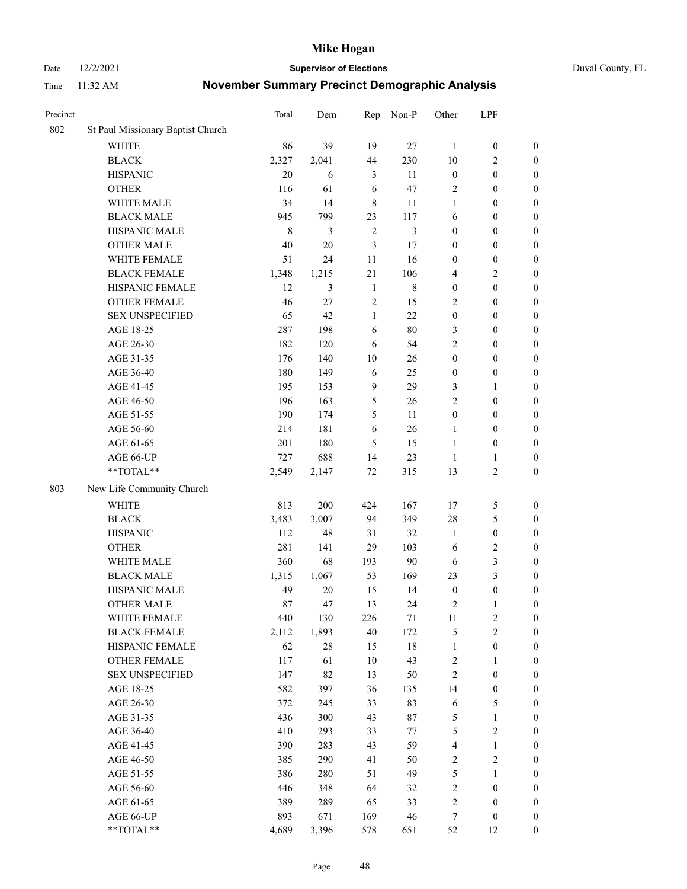Date 12/2/2021 **Supervisor of Elections** Duval County, FL

| Precinct |                                   | Total   | Dem    | Rep            | Non-P   | Other                   | LPF              |                  |
|----------|-----------------------------------|---------|--------|----------------|---------|-------------------------|------------------|------------------|
| 802      | St Paul Missionary Baptist Church |         |        |                |         |                         |                  |                  |
|          | <b>WHITE</b>                      | 86      | 39     | 19             | 27      | $\mathbf{1}$            | $\boldsymbol{0}$ | 0                |
|          | $\operatorname{BLACK}$            | 2,327   | 2,041  | 44             | 230     | 10                      | $\overline{c}$   | $\boldsymbol{0}$ |
|          | <b>HISPANIC</b>                   | 20      | 6      | 3              | 11      | $\boldsymbol{0}$        | $\boldsymbol{0}$ | $\boldsymbol{0}$ |
|          | <b>OTHER</b>                      | 116     | 61     | 6              | 47      | 2                       | $\boldsymbol{0}$ | $\boldsymbol{0}$ |
|          | WHITE MALE                        | 34      | 14     | 8              | 11      | 1                       | $\boldsymbol{0}$ | $\boldsymbol{0}$ |
|          | <b>BLACK MALE</b>                 | 945     | 799    | 23             | 117     | 6                       | $\boldsymbol{0}$ | $\boldsymbol{0}$ |
|          | HISPANIC MALE                     | $\,8\,$ | 3      | $\overline{2}$ | 3       | $\boldsymbol{0}$        | $\boldsymbol{0}$ | $\boldsymbol{0}$ |
|          | <b>OTHER MALE</b>                 | 40      | $20\,$ | 3              | $17\,$  | $\boldsymbol{0}$        | $\boldsymbol{0}$ | $\boldsymbol{0}$ |
|          | WHITE FEMALE                      | 51      | 24     | 11             | 16      | $\boldsymbol{0}$        | $\boldsymbol{0}$ | $\boldsymbol{0}$ |
|          | <b>BLACK FEMALE</b>               | 1,348   | 1,215  | $21\,$         | 106     | 4                       | $\sqrt{2}$       | $\boldsymbol{0}$ |
|          | HISPANIC FEMALE                   | 12      | 3      | $\mathbf{1}$   | $\,8\,$ | $\boldsymbol{0}$        | $\boldsymbol{0}$ | $\boldsymbol{0}$ |
|          | <b>OTHER FEMALE</b>               | 46      | 27     | $\mathfrak{2}$ | 15      | $\overline{2}$          | $\boldsymbol{0}$ | $\boldsymbol{0}$ |
|          | <b>SEX UNSPECIFIED</b>            | 65      | 42     | $\mathbf{1}$   | 22      | $\boldsymbol{0}$        | $\boldsymbol{0}$ | $\boldsymbol{0}$ |
|          | AGE 18-25                         | 287     | 198    | 6              | 80      | 3                       | $\boldsymbol{0}$ | $\boldsymbol{0}$ |
|          | AGE 26-30                         | 182     | 120    | 6              | 54      | 2                       | $\boldsymbol{0}$ | $\boldsymbol{0}$ |
|          | AGE 31-35                         | 176     | 140    | 10             | 26      | $\boldsymbol{0}$        | $\boldsymbol{0}$ | $\boldsymbol{0}$ |
|          | AGE 36-40                         | 180     | 149    | 6              | 25      | $\boldsymbol{0}$        | $\boldsymbol{0}$ | $\boldsymbol{0}$ |
|          | AGE 41-45                         | 195     | 153    | $\mathbf{9}$   | 29      | 3                       | $\mathbf{1}$     | $\boldsymbol{0}$ |
|          | AGE 46-50                         | 196     | 163    | 5              | 26      | $\overline{c}$          | $\boldsymbol{0}$ | $\boldsymbol{0}$ |
|          | AGE 51-55                         | 190     | 174    | 5              | 11      | $\boldsymbol{0}$        | $\boldsymbol{0}$ | $\boldsymbol{0}$ |
|          | AGE 56-60                         | 214     | 181    | 6              | 26      | 1                       | $\boldsymbol{0}$ | 0                |
|          | AGE 61-65                         | 201     | 180    | 5              | 15      | 1                       | $\boldsymbol{0}$ | 0                |
|          | AGE 66-UP                         | 727     | 688    | 14             | 23      | $\mathbf{1}$            | $\mathbf{1}$     | $\boldsymbol{0}$ |
|          | **TOTAL**                         | 2,549   | 2,147  | $72\,$         | 315     | 13                      | $\sqrt{2}$       | $\boldsymbol{0}$ |
| 803      | New Life Community Church         |         |        |                |         |                         |                  |                  |
|          | <b>WHITE</b>                      | 813     | 200    | 424            | 167     | 17                      | $\mathfrak{S}$   | $\boldsymbol{0}$ |
|          | <b>BLACK</b>                      | 3,483   | 3,007  | 94             | 349     | 28                      | $\mathfrak{S}$   | $\boldsymbol{0}$ |
|          | <b>HISPANIC</b>                   | 112     | 48     | 31             | 32      | $\mathbf{1}$            | $\boldsymbol{0}$ | $\boldsymbol{0}$ |
|          | <b>OTHER</b>                      | 281     | 141    | 29             | 103     | 6                       | $\sqrt{2}$       | $\boldsymbol{0}$ |
|          | WHITE MALE                        | 360     | 68     | 193            | $90\,$  | 6                       | $\mathfrak{Z}$   | $\boldsymbol{0}$ |
|          | <b>BLACK MALE</b>                 | 1,315   | 1,067  | 53             | 169     | 23                      | $\mathfrak{Z}$   | $\overline{0}$   |
|          | HISPANIC MALE                     | 49      | $20\,$ | 15             | 14      | $\boldsymbol{0}$        | $\boldsymbol{0}$ | $\boldsymbol{0}$ |
|          | <b>OTHER MALE</b>                 | 87      | 47     | 13             | 24      | $\overline{c}$          | $\mathbf{1}$     | $\boldsymbol{0}$ |
|          | WHITE FEMALE                      | 440     | 130    | 226            | 71      | 11                      | 2                | 0                |
|          | <b>BLACK FEMALE</b>               | 2,112   | 1,893  | 40             | 172     | 5                       | $\sqrt{2}$       | $\boldsymbol{0}$ |
|          | HISPANIC FEMALE                   | 62      | $28\,$ | 15             | $18\,$  | $\mathbf{1}$            | $\boldsymbol{0}$ | $\overline{0}$   |
|          | OTHER FEMALE                      | 117     | 61     | 10             | 43      | $\overline{c}$          | $\mathbf{1}$     | $\overline{0}$   |
|          | <b>SEX UNSPECIFIED</b>            | 147     | 82     | 13             | 50      | 2                       | $\boldsymbol{0}$ | 0                |
|          | AGE 18-25                         | 582     | 397    | 36             | 135     | 14                      | $\boldsymbol{0}$ | 0                |
|          | AGE 26-30                         | 372     | 245    | 33             | 83      | 6                       | $\mathfrak{S}$   | 0                |
|          | AGE 31-35                         | 436     | 300    | 43             | 87      | 5                       | $\mathbf{1}$     | 0                |
|          | AGE 36-40                         | 410     | 293    | 33             | 77      | 5                       | $\sqrt{2}$       | 0                |
|          | AGE 41-45                         | 390     | 283    | 43             | 59      | $\overline{\mathbf{4}}$ | $\mathbf{1}$     | 0                |
|          | AGE 46-50                         | 385     | 290    | 41             | 50      | 2                       | $\sqrt{2}$       | 0                |
|          | AGE 51-55                         | 386     | 280    | 51             | 49      | 5                       | $\mathbf{1}$     | 0                |
|          | AGE 56-60                         | 446     | 348    | 64             | 32      | $\sqrt{2}$              | $\boldsymbol{0}$ | $\overline{0}$   |
|          | AGE 61-65                         | 389     | 289    | 65             | 33      | $\overline{c}$          | $\boldsymbol{0}$ | $\overline{0}$   |
|          | AGE 66-UP                         | 893     | 671    | 169            | 46      | 7                       | $\boldsymbol{0}$ | 0                |
|          | **TOTAL**                         | 4,689   | 3,396  | 578            | 651     | 52                      | 12               | $\boldsymbol{0}$ |
|          |                                   |         |        |                |         |                         |                  |                  |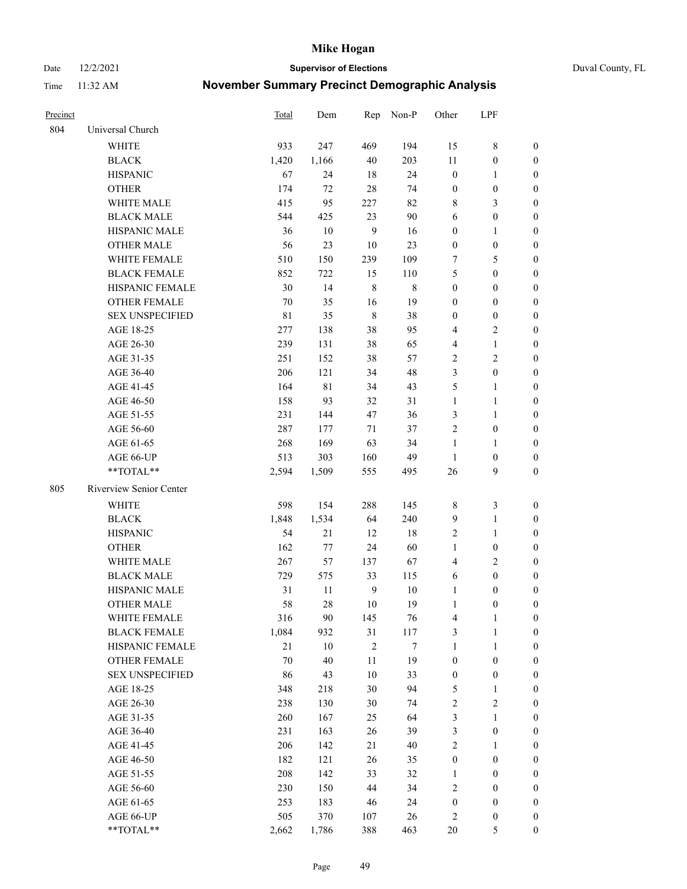Date 12/2/2021 **Supervisor of Elections** Duval County, FL

| Precinct |                         | Total       | Dem    |                | Rep Non-P | Other                   | LPF              |                  |
|----------|-------------------------|-------------|--------|----------------|-----------|-------------------------|------------------|------------------|
| 804      | Universal Church        |             |        |                |           |                         |                  |                  |
|          | <b>WHITE</b>            | 933         | 247    | 469            | 194       | 15                      | $\,$ 8 $\,$      | 0                |
|          | <b>BLACK</b>            | 1,420       | 1,166  | 40             | 203       | 11                      | $\boldsymbol{0}$ | 0                |
|          | <b>HISPANIC</b>         | 67          | 24     | 18             | 24        | $\boldsymbol{0}$        | $\mathbf{1}$     | 0                |
|          | <b>OTHER</b>            | 174         | 72     | 28             | 74        | $\boldsymbol{0}$        | $\boldsymbol{0}$ | $\boldsymbol{0}$ |
|          | WHITE MALE              | 415         | 95     | 227            | 82        | 8                       | $\mathfrak{Z}$   | $\boldsymbol{0}$ |
|          | <b>BLACK MALE</b>       | 544         | 425    | 23             | 90        | 6                       | $\boldsymbol{0}$ | $\boldsymbol{0}$ |
|          | HISPANIC MALE           | 36          | 10     | $\overline{9}$ | 16        | $\boldsymbol{0}$        | $\mathbf{1}$     | $\boldsymbol{0}$ |
|          | <b>OTHER MALE</b>       | 56          | 23     | 10             | 23        | $\boldsymbol{0}$        | $\boldsymbol{0}$ | $\boldsymbol{0}$ |
|          | WHITE FEMALE            | 510         | 150    | 239            | 109       | 7                       | 5                | $\boldsymbol{0}$ |
|          | <b>BLACK FEMALE</b>     | 852         | 722    | 15             | 110       | 5                       | $\boldsymbol{0}$ | 0                |
|          | HISPANIC FEMALE         | 30          | 14     | $\,$ 8 $\,$    | $\,8\,$   | $\boldsymbol{0}$        | $\boldsymbol{0}$ | 0                |
|          | <b>OTHER FEMALE</b>     | 70          | 35     | 16             | 19        | $\boldsymbol{0}$        | $\boldsymbol{0}$ | 0                |
|          | <b>SEX UNSPECIFIED</b>  | $8\sqrt{1}$ | 35     | $\,$ 8 $\,$    | 38        | $\boldsymbol{0}$        | $\boldsymbol{0}$ | $\boldsymbol{0}$ |
|          | AGE 18-25               | 277         | 138    | 38             | 95        | 4                       | $\sqrt{2}$       | $\boldsymbol{0}$ |
|          | AGE 26-30               | 239         | 131    | 38             | 65        | 4                       | $\mathbf{1}$     | $\boldsymbol{0}$ |
|          | AGE 31-35               | 251         | 152    | 38             | 57        | $\sqrt{2}$              | $\sqrt{2}$       | $\boldsymbol{0}$ |
|          | AGE 36-40               | 206         | 121    | 34             | 48        | 3                       | $\boldsymbol{0}$ | $\boldsymbol{0}$ |
|          | AGE 41-45               | 164         | 81     | 34             | 43        | 5                       | $\mathbf{1}$     | $\boldsymbol{0}$ |
|          | AGE 46-50               | 158         | 93     | 32             | 31        | $\mathbf{1}$            | $\mathbf{1}$     | $\boldsymbol{0}$ |
|          | AGE 51-55               | 231         | 144    | 47             | 36        | 3                       | $\mathbf{1}$     | 0                |
|          | AGE 56-60               | 287         | 177    | 71             | 37        | $\overline{c}$          | $\boldsymbol{0}$ | 0                |
|          | AGE 61-65               | 268         | 169    | 63             | 34        | $\mathbf{1}$            | $\mathbf{1}$     | 0                |
|          | AGE 66-UP               | 513         | 303    | 160            | 49        | $\mathbf{1}$            | $\boldsymbol{0}$ | 0                |
|          | **TOTAL**               | 2,594       | 1,509  | 555            | 495       | 26                      | 9                | $\boldsymbol{0}$ |
| 805      | Riverview Senior Center |             |        |                |           |                         |                  |                  |
|          | <b>WHITE</b>            | 598         | 154    | 288            | 145       | 8                       | $\mathfrak{Z}$   | $\boldsymbol{0}$ |
|          | <b>BLACK</b>            | 1,848       | 1,534  | 64             | 240       | 9                       | $\mathbf{1}$     | $\boldsymbol{0}$ |
|          | <b>HISPANIC</b>         | 54          | 21     | 12             | 18        | 2                       | $\mathbf{1}$     | $\boldsymbol{0}$ |
|          | <b>OTHER</b>            | 162         | 77     | 24             | 60        | $\mathbf{1}$            | $\boldsymbol{0}$ | $\boldsymbol{0}$ |
|          | WHITE MALE              | 267         | 57     | 137            | 67        | $\overline{\mathbf{4}}$ | $\overline{2}$   | $\boldsymbol{0}$ |
|          | <b>BLACK MALE</b>       | 729         | 575    | 33             | 115       | 6                       | $\boldsymbol{0}$ | $\boldsymbol{0}$ |
|          | HISPANIC MALE           | 31          | 11     | $\overline{9}$ | $10\,$    | $\mathbf{1}$            | $\boldsymbol{0}$ | 0                |
|          | <b>OTHER MALE</b>       | 58          | 28     | 10             | 19        | $\mathbf{1}$            | $\boldsymbol{0}$ | 0                |
|          | WHITE FEMALE            | 316         | 90     | 145            | 76        | 4                       | 1                | 0                |
|          | <b>BLACK FEMALE</b>     | 1,084       | 932    | 31             | 117       | 3                       | $\mathbf{1}$     | $\boldsymbol{0}$ |
|          | HISPANIC FEMALE         | 21          | $10\,$ | $\sqrt{2}$     | 7         | $\mathbf{1}$            | $\mathbf{1}$     | $\overline{0}$   |
|          | <b>OTHER FEMALE</b>     | 70          | 40     | $11\,$         | 19        | $\boldsymbol{0}$        | $\boldsymbol{0}$ | 0                |
|          | <b>SEX UNSPECIFIED</b>  | 86          | 43     | 10             | 33        | $\boldsymbol{0}$        | $\boldsymbol{0}$ | 0                |
|          | AGE 18-25               | 348         | 218    | 30             | 94        | 5                       | $\mathbf{1}$     | 0                |
|          | AGE 26-30               | 238         | 130    | 30             | 74        | 2                       | $\mathfrak{2}$   | 0                |
|          | AGE 31-35               | 260         | 167    | 25             | 64        | 3                       | $\mathbf{1}$     | 0                |
|          | AGE 36-40               | 231         | 163    | 26             | 39        | 3                       | $\boldsymbol{0}$ | 0                |
|          | AGE 41-45               | 206         | 142    | 21             | $40\,$    | 2                       | 1                | 0                |
|          | AGE 46-50               | 182         | 121    | 26             | 35        | $\boldsymbol{0}$        | $\boldsymbol{0}$ | 0                |
|          | AGE 51-55               | 208         | 142    | 33             | 32        | $\mathbf{1}$            | $\boldsymbol{0}$ | 0                |
|          | AGE 56-60               | 230         | 150    | 44             | 34        | 2                       | $\boldsymbol{0}$ | 0                |
|          | AGE 61-65               | 253         | 183    | 46             | 24        | $\boldsymbol{0}$        | $\boldsymbol{0}$ | 0                |
|          | AGE 66-UP               | 505         | 370    | 107            | 26        | 2                       | $\boldsymbol{0}$ | 0                |
|          | **TOTAL**               | 2,662       | 1,786  | 388            | 463       | 20                      | 5                | $\boldsymbol{0}$ |
|          |                         |             |        |                |           |                         |                  |                  |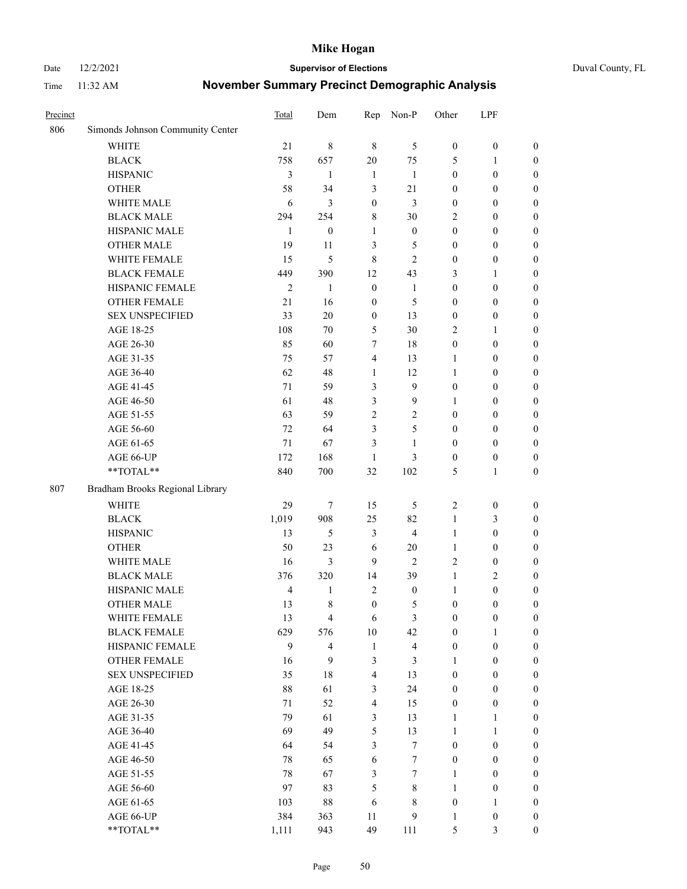Date 12/2/2021 **Supervisor of Elections** Duval County, FL

| Precinct |                                  | Total          | Dem              | Rep                     | Non-P                   | Other            | LPF              |                  |
|----------|----------------------------------|----------------|------------------|-------------------------|-------------------------|------------------|------------------|------------------|
| 806      | Simonds Johnson Community Center |                |                  |                         |                         |                  |                  |                  |
|          | <b>WHITE</b>                     | 21             | 8                | $\,8\,$                 | 5                       | $\boldsymbol{0}$ | $\boldsymbol{0}$ | $\boldsymbol{0}$ |
|          | <b>BLACK</b>                     | 758            | 657              | 20                      | 75                      | 5                | $\mathbf{1}$     | $\boldsymbol{0}$ |
|          | <b>HISPANIC</b>                  | 3              | 1                | $\mathbf{1}$            | -1                      | $\boldsymbol{0}$ | $\boldsymbol{0}$ | $\boldsymbol{0}$ |
|          | <b>OTHER</b>                     | 58             | 34               | 3                       | 21                      | $\boldsymbol{0}$ | $\boldsymbol{0}$ | $\boldsymbol{0}$ |
|          | WHITE MALE                       | 6              | 3                | $\boldsymbol{0}$        | 3                       | $\boldsymbol{0}$ | $\boldsymbol{0}$ | $\boldsymbol{0}$ |
|          | <b>BLACK MALE</b>                | 294            | 254              | $\,8\,$                 | 30                      | $\overline{c}$   | $\boldsymbol{0}$ | $\boldsymbol{0}$ |
|          | HISPANIC MALE                    | 1              | $\boldsymbol{0}$ | $\mathbf{1}$            | $\boldsymbol{0}$        | $\boldsymbol{0}$ | $\boldsymbol{0}$ | $\boldsymbol{0}$ |
|          | <b>OTHER MALE</b>                | 19             | 11               | 3                       | 5                       | $\boldsymbol{0}$ | $\boldsymbol{0}$ | $\boldsymbol{0}$ |
|          | WHITE FEMALE                     | 15             | 5                | $\,8\,$                 | $\overline{2}$          | $\boldsymbol{0}$ | $\boldsymbol{0}$ | $\boldsymbol{0}$ |
|          | <b>BLACK FEMALE</b>              | 449            | 390              | 12                      | 43                      | 3                | $\mathbf{1}$     | $\boldsymbol{0}$ |
|          | HISPANIC FEMALE                  | $\mathfrak{2}$ | 1                | $\boldsymbol{0}$        | 1                       | $\boldsymbol{0}$ | $\boldsymbol{0}$ | 0                |
|          | <b>OTHER FEMALE</b>              | 21             | 16               | $\boldsymbol{0}$        | 5                       | $\boldsymbol{0}$ | $\boldsymbol{0}$ | 0                |
|          | <b>SEX UNSPECIFIED</b>           | 33             | 20               | $\boldsymbol{0}$        | 13                      | $\boldsymbol{0}$ | $\boldsymbol{0}$ | $\boldsymbol{0}$ |
|          | AGE 18-25                        | 108            | 70               | 5                       | 30                      | $\overline{c}$   | $\mathbf{1}$     | $\boldsymbol{0}$ |
|          | AGE 26-30                        | 85             | 60               | 7                       | 18                      | $\boldsymbol{0}$ | $\boldsymbol{0}$ | $\boldsymbol{0}$ |
|          | AGE 31-35                        | 75             | 57               | $\overline{4}$          | 13                      | $\mathbf{1}$     | $\boldsymbol{0}$ | $\boldsymbol{0}$ |
|          | AGE 36-40                        | 62             | 48               | $\mathbf{1}$            | 12                      | $\mathbf{1}$     | $\boldsymbol{0}$ | $\boldsymbol{0}$ |
|          | AGE 41-45                        | 71             | 59               | 3                       | $\mathbf{9}$            | $\boldsymbol{0}$ | $\boldsymbol{0}$ | $\boldsymbol{0}$ |
|          | AGE 46-50                        | 61             | 48               | $\mathfrak{Z}$          | 9                       | 1                | $\boldsymbol{0}$ | $\boldsymbol{0}$ |
|          | AGE 51-55                        | 63             | 59               | $\sqrt{2}$              | $\mathbf{2}$            | $\boldsymbol{0}$ | $\boldsymbol{0}$ | $\boldsymbol{0}$ |
|          | AGE 56-60                        | 72             | 64               | 3                       | 5                       | $\boldsymbol{0}$ | $\boldsymbol{0}$ | 0                |
|          | AGE 61-65                        | $71\,$         | 67               | 3                       | $\mathbf{1}$            | $\boldsymbol{0}$ | $\boldsymbol{0}$ | 0                |
|          | AGE 66-UP                        | 172            | 168              | 1                       | 3                       | $\boldsymbol{0}$ | $\boldsymbol{0}$ | $\boldsymbol{0}$ |
|          | $**TOTAL**$                      | 840            | 700              | 32                      | 102                     | 5                | $\mathbf{1}$     | $\boldsymbol{0}$ |
| 807      | Bradham Brooks Regional Library  |                |                  |                         |                         |                  |                  |                  |
|          |                                  |                |                  |                         |                         |                  |                  |                  |
|          | WHITE                            | 29             | $\tau$           | 15                      | 5                       | $\overline{2}$   | $\boldsymbol{0}$ | $\boldsymbol{0}$ |
|          | <b>BLACK</b>                     | 1,019          | 908              | 25                      | 82                      | $\mathbf{1}$     | $\mathfrak{Z}$   | $\boldsymbol{0}$ |
|          | <b>HISPANIC</b>                  | 13             | 5                | 3                       | $\overline{4}$          | $\mathbf{1}$     | $\boldsymbol{0}$ | $\boldsymbol{0}$ |
|          | <b>OTHER</b>                     | 50             | 23               | 6                       | 20                      | $\mathbf{1}$     | $\boldsymbol{0}$ | $\boldsymbol{0}$ |
|          | WHITE MALE                       | 16             | 3                | 9                       | $\mathbf{2}$            | $\overline{c}$   | $\boldsymbol{0}$ | $\boldsymbol{0}$ |
|          | <b>BLACK MALE</b>                | 376            | 320              | 14                      | 39                      | $\mathbf{1}$     | $\mathbf{2}$     | $\boldsymbol{0}$ |
|          | HISPANIC MALE                    | $\overline{4}$ | $\mathbf{1}$     | $\overline{2}$          | $\boldsymbol{0}$        | $\mathbf{1}$     | $\boldsymbol{0}$ | $\boldsymbol{0}$ |
|          | <b>OTHER MALE</b>                | 13             | 8                | $\boldsymbol{0}$        | 5                       | $\boldsymbol{0}$ | $\boldsymbol{0}$ | $\boldsymbol{0}$ |
|          | WHITE FEMALE                     | 13             | 4                | 6                       | 3                       | $\boldsymbol{0}$ | $\boldsymbol{0}$ | 0                |
|          | <b>BLACK FEMALE</b>              | 629            | 576              | $10\,$                  | 42                      | $\boldsymbol{0}$ | $\mathbf{1}$     | $\boldsymbol{0}$ |
|          | HISPANIC FEMALE                  | 9              | 4                | $\mathbf{1}$            | $\overline{\mathbf{4}}$ | $\boldsymbol{0}$ | $\boldsymbol{0}$ | $\overline{0}$   |
|          | <b>OTHER FEMALE</b>              | 16             | 9                | $\mathfrak{Z}$          | 3                       | 1                | $\boldsymbol{0}$ | $\overline{0}$   |
|          | <b>SEX UNSPECIFIED</b>           | 35             | 18               | $\overline{\mathbf{4}}$ | 13                      | $\boldsymbol{0}$ | $\boldsymbol{0}$ | $\overline{0}$   |
|          | AGE 18-25                        | 88             | 61               | $\mathfrak{Z}$          | 24                      | $\boldsymbol{0}$ | $\boldsymbol{0}$ | $\overline{0}$   |
|          | AGE 26-30                        | $71\,$         | 52               | $\overline{4}$          | 15                      | $\boldsymbol{0}$ | $\boldsymbol{0}$ | $\overline{0}$   |
|          | AGE 31-35                        | 79             | 61               | $\mathfrak{Z}$          | 13                      | $\mathbf{1}$     | $\mathbf{1}$     | 0                |
|          | AGE 36-40                        | 69             | 49               | $\mathfrak{S}$          | 13                      | $\mathbf{1}$     | $\mathbf{1}$     | 0                |
|          | AGE 41-45                        | 64             | 54               | 3                       | $\tau$                  | $\boldsymbol{0}$ | $\boldsymbol{0}$ | 0                |
|          | AGE 46-50                        | 78             | 65               | 6                       | $\boldsymbol{7}$        | $\boldsymbol{0}$ | $\boldsymbol{0}$ | $\boldsymbol{0}$ |
|          | AGE 51-55                        | 78             | 67               | $\mathfrak{Z}$          | $\tau$                  | $\mathbf{1}$     | $\boldsymbol{0}$ | $\boldsymbol{0}$ |
|          | AGE 56-60                        | 97             | 83               | 5                       | $\,$ 8 $\,$             | 1                | $\boldsymbol{0}$ | $\boldsymbol{0}$ |
|          | AGE 61-65                        | 103            | 88               | 6                       | 8                       | $\boldsymbol{0}$ | $\mathbf{1}$     | $\boldsymbol{0}$ |
|          | AGE 66-UP                        | 384            | 363              | 11                      | 9                       | $\mathbf{1}$     | $\boldsymbol{0}$ | $\boldsymbol{0}$ |
|          | **TOTAL**                        | 1,111          | 943              | 49                      | 111                     | 5                | 3                | $\boldsymbol{0}$ |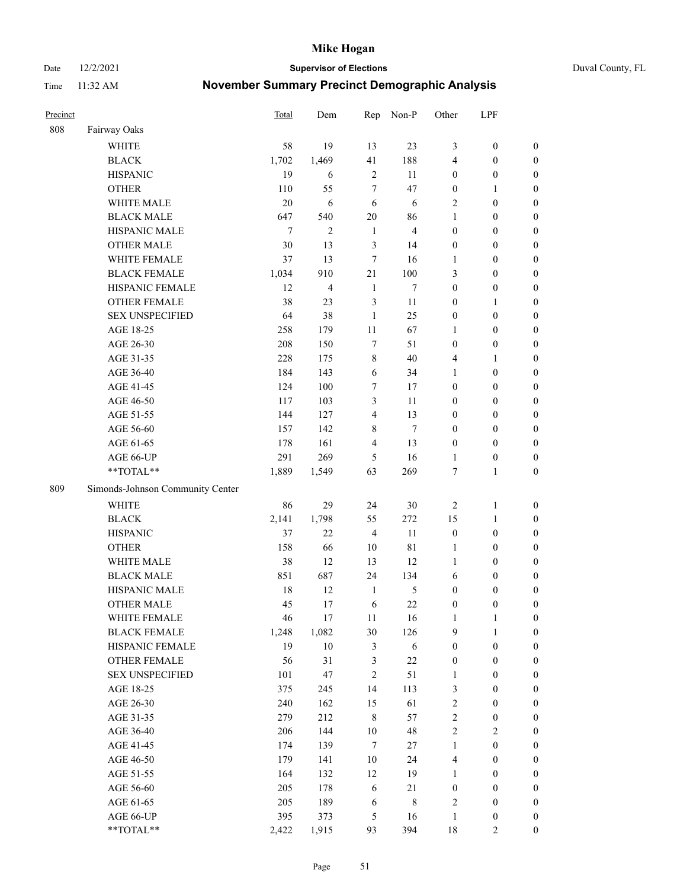Date 12/2/2021 **Supervisor of Elections** Duval County, FL

| Precinct |                                  | <b>Total</b> | Dem            | Rep                     | Non-P          | Other            | LPF              |                  |
|----------|----------------------------------|--------------|----------------|-------------------------|----------------|------------------|------------------|------------------|
| 808      | Fairway Oaks                     |              |                |                         |                |                  |                  |                  |
|          | <b>WHITE</b>                     | 58           | 19             | 13                      | 23             | 3                | $\boldsymbol{0}$ | 0                |
|          | <b>BLACK</b>                     | 1,702        | 1,469          | 41                      | 188            | 4                | $\boldsymbol{0}$ | $\boldsymbol{0}$ |
|          | <b>HISPANIC</b>                  | 19           | 6              | $\sqrt{2}$              | 11             | $\boldsymbol{0}$ | $\boldsymbol{0}$ | $\boldsymbol{0}$ |
|          | <b>OTHER</b>                     | 110          | 55             | 7                       | 47             | $\boldsymbol{0}$ | 1                | $\boldsymbol{0}$ |
|          | WHITE MALE                       | 20           | 6              | 6                       | 6              | 2                | $\boldsymbol{0}$ | $\boldsymbol{0}$ |
|          | <b>BLACK MALE</b>                | 647          | 540            | 20                      | 86             | 1                | $\boldsymbol{0}$ | $\boldsymbol{0}$ |
|          | HISPANIC MALE                    | $\tau$       | $\overline{c}$ | $\mathbf{1}$            | $\overline{4}$ | $\boldsymbol{0}$ | $\boldsymbol{0}$ | $\boldsymbol{0}$ |
|          | <b>OTHER MALE</b>                | 30           | 13             | 3                       | 14             | $\boldsymbol{0}$ | $\boldsymbol{0}$ | $\boldsymbol{0}$ |
|          | WHITE FEMALE                     | 37           | 13             | $\tau$                  | 16             | 1                | $\boldsymbol{0}$ | $\boldsymbol{0}$ |
|          | <b>BLACK FEMALE</b>              | 1,034        | 910            | 21                      | 100            | 3                | $\boldsymbol{0}$ | $\boldsymbol{0}$ |
|          | HISPANIC FEMALE                  | 12           | $\overline{4}$ | $\mathbf{1}$            | $\tau$         | $\boldsymbol{0}$ | $\boldsymbol{0}$ | $\boldsymbol{0}$ |
|          | <b>OTHER FEMALE</b>              | 38           | 23             | $\mathfrak{Z}$          | 11             | $\boldsymbol{0}$ | $\mathbf{1}$     | $\boldsymbol{0}$ |
|          | <b>SEX UNSPECIFIED</b>           | 64           | 38             | $\mathbf{1}$            | 25             | $\boldsymbol{0}$ | $\boldsymbol{0}$ | $\boldsymbol{0}$ |
|          | AGE 18-25                        | 258          | 179            | $11\,$                  | 67             | 1                | $\boldsymbol{0}$ | $\boldsymbol{0}$ |
|          | AGE 26-30                        | 208          | 150            | 7                       | 51             | $\boldsymbol{0}$ | $\boldsymbol{0}$ | $\boldsymbol{0}$ |
|          | AGE 31-35                        | 228          | 175            | $\,$ $\,$               | 40             | 4                | $\mathbf{1}$     | $\boldsymbol{0}$ |
|          | AGE 36-40                        | 184          | 143            | 6                       | 34             | 1                | $\boldsymbol{0}$ | $\boldsymbol{0}$ |
|          | AGE 41-45                        | 124          | 100            | $\tau$                  | 17             | $\boldsymbol{0}$ | $\boldsymbol{0}$ | $\boldsymbol{0}$ |
|          | AGE 46-50                        | 117          | 103            | $\mathfrak{Z}$          | 11             | $\boldsymbol{0}$ | $\boldsymbol{0}$ | $\boldsymbol{0}$ |
|          | AGE 51-55                        | 144          | 127            | $\overline{\mathbf{4}}$ | 13             | $\boldsymbol{0}$ | $\boldsymbol{0}$ | $\boldsymbol{0}$ |
|          | AGE 56-60                        | 157          | 142            | 8                       | $\tau$         | $\boldsymbol{0}$ | $\boldsymbol{0}$ | 0                |
|          | AGE 61-65                        | 178          | 161            | $\overline{4}$          | 13             | $\boldsymbol{0}$ | $\boldsymbol{0}$ | $\boldsymbol{0}$ |
|          | AGE 66-UP                        | 291          | 269            | 5                       | 16             | $\mathbf{1}$     | $\boldsymbol{0}$ | $\boldsymbol{0}$ |
|          | **TOTAL**                        | 1,889        | 1,549          | 63                      | 269            | 7                | $\mathbf{1}$     | $\boldsymbol{0}$ |
| 809      | Simonds-Johnson Community Center |              |                |                         |                |                  |                  |                  |
|          | <b>WHITE</b>                     | 86           | 29             | 24                      | $30\,$         | $\overline{c}$   | $\mathbf{1}$     | $\boldsymbol{0}$ |
|          | <b>BLACK</b>                     | 2,141        | 1,798          | 55                      | 272            | 15               | $\mathbf{1}$     | $\boldsymbol{0}$ |
|          | <b>HISPANIC</b>                  | 37           | 22             | $\overline{4}$          | 11             | $\boldsymbol{0}$ | $\boldsymbol{0}$ | $\boldsymbol{0}$ |
|          | <b>OTHER</b>                     | 158          | 66             | 10                      | 81             | $\mathbf{1}$     | $\boldsymbol{0}$ | $\boldsymbol{0}$ |
|          | WHITE MALE                       | 38           | 12             | 13                      | 12             | $\mathbf{1}$     | $\boldsymbol{0}$ | $\boldsymbol{0}$ |
|          | <b>BLACK MALE</b>                | 851          | 687            | 24                      | 134            | 6                | $\boldsymbol{0}$ | $\boldsymbol{0}$ |
|          | HISPANIC MALE                    | 18           | 12             | $\mathbf{1}$            | $\mathfrak{S}$ | $\boldsymbol{0}$ | $\boldsymbol{0}$ | $\boldsymbol{0}$ |
|          | OTHER MALE                       | 45           | 17             | 6                       | 22             | $\boldsymbol{0}$ | $\boldsymbol{0}$ | $\boldsymbol{0}$ |
|          | WHITE FEMALE                     | 46           | 17             | 11                      | 16             | $\mathbf{1}$     | 1                | 0                |
|          | <b>BLACK FEMALE</b>              | 1,248        | 1,082          | 30                      | 126            | 9                | $\mathbf{1}$     | $\boldsymbol{0}$ |
|          | HISPANIC FEMALE                  | 19           | $10\,$         | $\mathfrak{Z}$          | 6              | $\boldsymbol{0}$ | $\boldsymbol{0}$ | $\overline{0}$   |
|          | OTHER FEMALE                     | 56           | 31             | 3                       | $22\,$         | $\boldsymbol{0}$ | $\boldsymbol{0}$ | $\overline{0}$   |
|          | <b>SEX UNSPECIFIED</b>           | 101          | 47             | $\mathfrak{2}$          | 51             | $\mathbf{1}$     | $\boldsymbol{0}$ | $\overline{0}$   |
|          | AGE 18-25                        | 375          | 245            | 14                      | 113            | 3                | $\boldsymbol{0}$ | $\overline{0}$   |
|          | AGE 26-30                        | 240          | 162            | 15                      | 61             | 2                | $\boldsymbol{0}$ | 0                |
|          | AGE 31-35                        | 279          | 212            | $\,8\,$                 | 57             | $\overline{2}$   | $\boldsymbol{0}$ | 0                |
|          | AGE 36-40                        | 206          | 144            | $10\,$                  | 48             | 2                | $\sqrt{2}$       | 0                |
|          | AGE 41-45                        | 174          | 139            | $\tau$                  | 27             | $\mathbf{1}$     | $\boldsymbol{0}$ | 0                |
|          | AGE 46-50                        | 179          | 141            | 10                      | 24             | 4                | $\boldsymbol{0}$ | 0                |
|          | AGE 51-55                        | 164          | 132            | 12                      | 19             | $\mathbf{1}$     | $\boldsymbol{0}$ | $\boldsymbol{0}$ |
|          | AGE 56-60                        | 205          | 178            | 6                       | 21             | $\boldsymbol{0}$ | $\boldsymbol{0}$ | $\boldsymbol{0}$ |
|          | AGE 61-65                        | 205          | 189            | 6                       | $\,$ 8 $\,$    | 2                | $\boldsymbol{0}$ | $\boldsymbol{0}$ |
|          | AGE 66-UP                        | 395          | 373            | 5                       | 16             | $\mathbf{1}$     | $\boldsymbol{0}$ | $\boldsymbol{0}$ |
|          | **TOTAL**                        | 2,422        | 1,915          | 93                      | 394            | $18\,$           | $\overline{2}$   | $\boldsymbol{0}$ |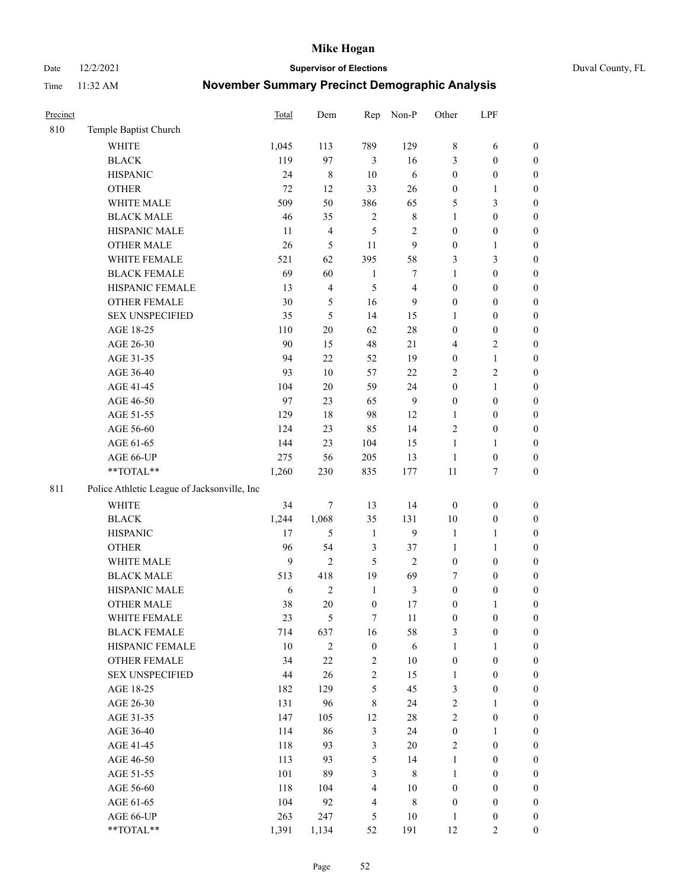Date 12/2/2021 **Supervisor of Elections** Duval County, FL

| Precinct |                                             | Total  | Dem            | Rep              | Non-P            | Other            | LPF              |                  |
|----------|---------------------------------------------|--------|----------------|------------------|------------------|------------------|------------------|------------------|
| 810      | Temple Baptist Church                       |        |                |                  |                  |                  |                  |                  |
|          | <b>WHITE</b>                                | 1,045  | 113            | 789              | 129              | 8                | 6                | 0                |
|          | <b>BLACK</b>                                | 119    | 97             | 3                | 16               | 3                | $\boldsymbol{0}$ | 0                |
|          | <b>HISPANIC</b>                             | 24     | $\,$ 8 $\,$    | $10\,$           | $\sqrt{6}$       | $\boldsymbol{0}$ | $\boldsymbol{0}$ | $\boldsymbol{0}$ |
|          | <b>OTHER</b>                                | 72     | 12             | 33               | $26\,$           | $\boldsymbol{0}$ | 1                | $\boldsymbol{0}$ |
|          | WHITE MALE                                  | 509    | 50             | 386              | 65               | 5                | 3                | $\boldsymbol{0}$ |
|          | <b>BLACK MALE</b>                           | 46     | 35             | $\mathbf{2}$     | $\,$ 8 $\,$      | $\mathbf{1}$     | $\boldsymbol{0}$ | $\boldsymbol{0}$ |
|          | HISPANIC MALE                               | 11     | $\overline{4}$ | 5                | $\sqrt{2}$       | $\boldsymbol{0}$ | $\boldsymbol{0}$ | $\boldsymbol{0}$ |
|          | <b>OTHER MALE</b>                           | 26     | $\sqrt{5}$     | 11               | $\overline{9}$   | $\boldsymbol{0}$ | $\mathbf{1}$     | $\boldsymbol{0}$ |
|          | WHITE FEMALE                                | 521    | 62             | 395              | 58               | 3                | 3                | $\boldsymbol{0}$ |
|          | <b>BLACK FEMALE</b>                         | 69     | 60             | $\mathbf{1}$     | 7                | $\mathbf{1}$     | $\boldsymbol{0}$ | $\boldsymbol{0}$ |
|          | HISPANIC FEMALE                             | 13     | $\overline{4}$ | 5                | $\overline{4}$   | $\boldsymbol{0}$ | $\boldsymbol{0}$ | 0                |
|          | OTHER FEMALE                                | 30     | $\mathfrak{S}$ | 16               | 9                | $\boldsymbol{0}$ | $\boldsymbol{0}$ | $\boldsymbol{0}$ |
|          | <b>SEX UNSPECIFIED</b>                      | 35     | 5              | 14               | 15               | 1                | $\boldsymbol{0}$ | $\boldsymbol{0}$ |
|          | AGE 18-25                                   | 110    | $20\,$         | 62               | $28\,$           | $\boldsymbol{0}$ | $\boldsymbol{0}$ | $\boldsymbol{0}$ |
|          | AGE 26-30                                   | 90     | 15             | 48               | 21               | 4                | $\sqrt{2}$       | $\boldsymbol{0}$ |
|          | AGE 31-35                                   | 94     | 22             | 52               | 19               | $\boldsymbol{0}$ | $\mathbf{1}$     | $\boldsymbol{0}$ |
|          | AGE 36-40                                   | 93     | $10\,$         | 57               | 22               | $\mathfrak{2}$   | 2                | $\boldsymbol{0}$ |
|          | AGE 41-45                                   | 104    | $20\,$         | 59               | 24               | $\boldsymbol{0}$ | $\mathbf{1}$     | $\boldsymbol{0}$ |
|          | AGE 46-50                                   | 97     | 23             | 65               | $\boldsymbol{9}$ | $\boldsymbol{0}$ | $\boldsymbol{0}$ | $\boldsymbol{0}$ |
|          | AGE 51-55                                   | 129    | $18\,$         | 98               | 12               | $\mathbf{1}$     | $\boldsymbol{0}$ | 0                |
|          | AGE 56-60                                   | 124    | 23             | 85               | 14               | $\sqrt{2}$       | $\boldsymbol{0}$ | 0                |
|          | AGE 61-65                                   | 144    | 23             | 104              | 15               | $\mathbf{1}$     | 1                | $\boldsymbol{0}$ |
|          | AGE 66-UP                                   | 275    | 56             | 205              | 13               | $\mathbf{1}$     | $\boldsymbol{0}$ | $\boldsymbol{0}$ |
|          | $\mathrm{``TOTAL}^{\mathrm{**}}$            | 1,260  | 230            | 835              | 177              | 11               | $\tau$           | $\boldsymbol{0}$ |
| 811      | Police Athletic League of Jacksonville, Inc |        |                |                  |                  |                  |                  |                  |
|          | <b>WHITE</b>                                | 34     | $\tau$         | 13               | 14               | $\boldsymbol{0}$ | $\boldsymbol{0}$ | $\boldsymbol{0}$ |
|          | <b>BLACK</b>                                | 1,244  | 1,068          | 35               | 131              | $10\,$           | $\boldsymbol{0}$ | $\boldsymbol{0}$ |
|          | <b>HISPANIC</b>                             | 17     | 5              | $\mathbf{1}$     | $\boldsymbol{9}$ | $\mathbf{1}$     | $\mathbf{1}$     | $\boldsymbol{0}$ |
|          | <b>OTHER</b>                                | 96     | 54             | 3                | 37               | $\mathbf{1}$     | $\mathbf{1}$     | $\boldsymbol{0}$ |
|          | WHITE MALE                                  | 9      | $\overline{c}$ | 5                | $\overline{2}$   | $\boldsymbol{0}$ | $\boldsymbol{0}$ | $\boldsymbol{0}$ |
|          | <b>BLACK MALE</b>                           | 513    | 418            | 19               | 69               | 7                | $\boldsymbol{0}$ | $\boldsymbol{0}$ |
|          | HISPANIC MALE                               | 6      | $\sqrt{2}$     | $\mathbf{1}$     | $\mathfrak{Z}$   | $\boldsymbol{0}$ | $\boldsymbol{0}$ | $\boldsymbol{0}$ |
|          | <b>OTHER MALE</b>                           | 38     | 20             | $\boldsymbol{0}$ | 17               | $\boldsymbol{0}$ | 1                | $\boldsymbol{0}$ |
|          | WHITE FEMALE                                | 23     | $\mathfrak{S}$ | $\tau$           | 11               | $\boldsymbol{0}$ | $\boldsymbol{0}$ | $\boldsymbol{0}$ |
|          | <b>BLACK FEMALE</b>                         | 714    | 637            | 16               | 58               | 3                | $\boldsymbol{0}$ | $\boldsymbol{0}$ |
|          | HISPANIC FEMALE                             | $10\,$ | $\sqrt{2}$     | $\boldsymbol{0}$ | $\sqrt{6}$       | $\mathbf{1}$     | 1                | $\overline{0}$   |
|          | <b>OTHER FEMALE</b>                         | 34     | $22\,$         | $\sqrt{2}$       | 10               | $\boldsymbol{0}$ | $\boldsymbol{0}$ | $\overline{0}$   |
|          | <b>SEX UNSPECIFIED</b>                      | $44\,$ | 26             | $\overline{c}$   | 15               | $\mathbf{1}$     | $\boldsymbol{0}$ | $\overline{0}$   |
|          | AGE 18-25                                   | 182    | 129            | 5                | 45               | 3                | $\boldsymbol{0}$ | $\theta$         |
|          | AGE 26-30                                   | 131    | 96             | $\,$ 8 $\,$      | 24               | $\mathfrak{2}$   | $\mathbf{1}$     | $\overline{0}$   |
|          | AGE 31-35                                   | 147    | 105            | 12               | $28\,$           | $\overline{c}$   | $\boldsymbol{0}$ | $\overline{0}$   |
|          | AGE 36-40                                   | 114    | 86             | $\mathfrak{Z}$   | 24               | $\boldsymbol{0}$ | $\mathbf{1}$     | 0                |
|          | AGE 41-45                                   | 118    | 93             | $\mathfrak{Z}$   | $20\,$           | $\mathfrak{2}$   | $\boldsymbol{0}$ | 0                |
|          | AGE 46-50                                   | 113    | 93             | 5                | 14               | $\mathbf{1}$     | $\boldsymbol{0}$ | $\boldsymbol{0}$ |
|          | AGE 51-55                                   | 101    | 89             | 3                | $\,$ 8 $\,$      | $\mathbf{1}$     | $\boldsymbol{0}$ | $\overline{0}$   |
|          | AGE 56-60                                   | 118    | 104            | $\overline{4}$   | $10\,$           | $\boldsymbol{0}$ | $\boldsymbol{0}$ | $\overline{0}$   |
|          | AGE 61-65                                   | 104    | 92             | $\overline{4}$   | $\,$ 8 $\,$      | $\boldsymbol{0}$ | $\boldsymbol{0}$ | $\overline{0}$   |
|          | AGE 66-UP                                   | 263    | 247            | 5                | $10\,$           | $\mathbf{1}$     | $\boldsymbol{0}$ | $\boldsymbol{0}$ |
|          | **TOTAL**                                   | 1,391  | 1,134          | 52               | 191              | 12               | $\mathfrak{2}$   | $\overline{0}$   |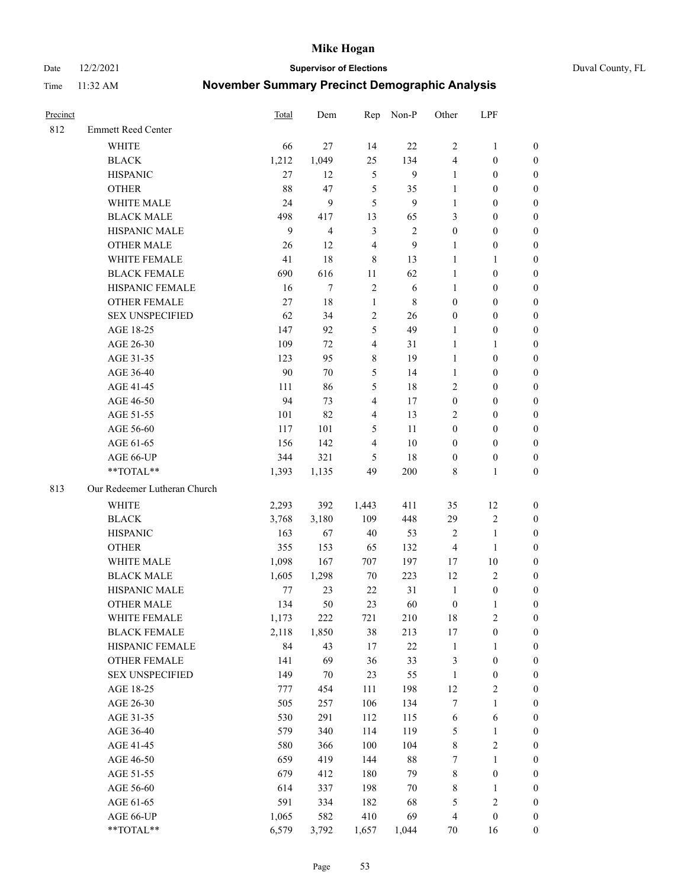Date 12/2/2021 **Supervisor of Elections** Duval County, FL

| Precinct |                              | <b>Total</b> | Dem                     | Rep                     | Non-P      | Other            | LPF              |                  |
|----------|------------------------------|--------------|-------------------------|-------------------------|------------|------------------|------------------|------------------|
| 812      | <b>Emmett Reed Center</b>    |              |                         |                         |            |                  |                  |                  |
|          | <b>WHITE</b>                 | 66           | 27                      | 14                      | 22         | $\overline{2}$   | $\mathbf{1}$     | 0                |
|          | <b>BLACK</b>                 | 1,212        | 1,049                   | 25                      | 134        | 4                | $\boldsymbol{0}$ | 0                |
|          | <b>HISPANIC</b>              | 27           | 12                      | $\mathfrak{S}$          | 9          | $\mathbf{1}$     | $\boldsymbol{0}$ | $\boldsymbol{0}$ |
|          | <b>OTHER</b>                 | 88           | 47                      | 5                       | 35         | 1                | $\boldsymbol{0}$ | $\boldsymbol{0}$ |
|          | WHITE MALE                   | 24           | 9                       | 5                       | 9          | $\mathbf{1}$     | $\boldsymbol{0}$ | $\boldsymbol{0}$ |
|          | <b>BLACK MALE</b>            | 498          | 417                     | 13                      | 65         | 3                | $\boldsymbol{0}$ | $\boldsymbol{0}$ |
|          | HISPANIC MALE                | 9            | $\overline{\mathbf{4}}$ | $\mathfrak{Z}$          | $\sqrt{2}$ | $\boldsymbol{0}$ | $\boldsymbol{0}$ | $\boldsymbol{0}$ |
|          | <b>OTHER MALE</b>            | 26           | 12                      | $\overline{4}$          | 9          | $\mathbf{1}$     | $\boldsymbol{0}$ | $\boldsymbol{0}$ |
|          | WHITE FEMALE                 | 41           | 18                      | 8                       | 13         | $\mathbf{1}$     | $\mathbf{1}$     | $\boldsymbol{0}$ |
|          | <b>BLACK FEMALE</b>          | 690          | 616                     | 11                      | 62         | $\mathbf{1}$     | $\boldsymbol{0}$ | 0                |
|          | HISPANIC FEMALE              | 16           | $\tau$                  | $\sqrt{2}$              | 6          | $\mathbf{1}$     | $\boldsymbol{0}$ | 0                |
|          | <b>OTHER FEMALE</b>          | 27           | $18\,$                  | $\mathbf{1}$            | 8          | $\boldsymbol{0}$ | $\boldsymbol{0}$ | $\boldsymbol{0}$ |
|          | <b>SEX UNSPECIFIED</b>       | 62           | 34                      | $\sqrt{2}$              | 26         | $\boldsymbol{0}$ | $\boldsymbol{0}$ | $\boldsymbol{0}$ |
|          | AGE 18-25                    | 147          | 92                      | 5                       | 49         | 1                | $\boldsymbol{0}$ | $\boldsymbol{0}$ |
|          | AGE 26-30                    | 109          | 72                      | $\overline{4}$          | 31         | $\mathbf{1}$     | $\mathbf{1}$     | $\boldsymbol{0}$ |
|          | AGE 31-35                    | 123          | 95                      | $\,$ $\,$               | 19         | $\mathbf{1}$     | $\boldsymbol{0}$ | $\boldsymbol{0}$ |
|          | AGE 36-40                    | 90           | 70                      | $\mathfrak s$           | 14         | $\mathbf{1}$     | $\boldsymbol{0}$ | $\boldsymbol{0}$ |
|          | AGE 41-45                    | 111          | 86                      | $\mathfrak s$           | $18\,$     | $\mathfrak{2}$   | $\boldsymbol{0}$ | $\boldsymbol{0}$ |
|          | AGE 46-50                    | 94           | 73                      | $\overline{\mathbf{4}}$ | $17\,$     | $\boldsymbol{0}$ | $\boldsymbol{0}$ | $\boldsymbol{0}$ |
|          | AGE 51-55                    | 101          | 82                      | $\overline{4}$          | 13         | $\mathfrak{2}$   | $\boldsymbol{0}$ | $\boldsymbol{0}$ |
|          | AGE 56-60                    | 117          | 101                     | 5                       | 11         | $\boldsymbol{0}$ | $\boldsymbol{0}$ | 0                |
|          | AGE 61-65                    | 156          | 142                     | $\overline{4}$          | $10\,$     | $\boldsymbol{0}$ | $\boldsymbol{0}$ | 0                |
|          | AGE 66-UP                    | 344          | 321                     | 5                       | 18         | $\boldsymbol{0}$ | $\boldsymbol{0}$ | $\boldsymbol{0}$ |
|          | **TOTAL**                    | 1,393        | 1,135                   | 49                      | 200        | 8                | $\mathbf{1}$     | $\boldsymbol{0}$ |
| 813      | Our Redeemer Lutheran Church |              |                         |                         |            |                  |                  |                  |
|          | <b>WHITE</b>                 | 2,293        | 392                     | 1,443                   | 411        | 35               | 12               | $\boldsymbol{0}$ |
|          | <b>BLACK</b>                 | 3,768        | 3,180                   | 109                     | 448        | 29               | $\sqrt{2}$       | $\boldsymbol{0}$ |
|          | <b>HISPANIC</b>              | 163          | 67                      | 40                      | 53         | $\overline{c}$   | $\mathbf{1}$     | $\boldsymbol{0}$ |
|          | <b>OTHER</b>                 | 355          | 153                     | 65                      | 132        | 4                | $\mathbf{1}$     | $\boldsymbol{0}$ |
|          | WHITE MALE                   | 1,098        | 167                     | 707                     | 197        | 17               | $10\,$           | $\boldsymbol{0}$ |
|          | <b>BLACK MALE</b>            | 1,605        | 1,298                   | 70                      | 223        | 12               | $\mathbf{2}$     | $\boldsymbol{0}$ |
|          | HISPANIC MALE                | $77 \,$      | 23                      | 22                      | 31         | $\mathbf{1}$     | $\boldsymbol{0}$ | 0                |
|          | <b>OTHER MALE</b>            | 134          | 50                      | 23                      | 60         | $\boldsymbol{0}$ | $\mathbf{1}$     | 0                |
|          | WHITE FEMALE                 | 1,173        | 222                     | 721                     | 210        | 18               | 2                | 0                |
|          | <b>BLACK FEMALE</b>          | 2,118        | 1,850                   | 38                      | 213        | 17               | $\boldsymbol{0}$ | $\boldsymbol{0}$ |
|          | HISPANIC FEMALE              | 84           | 43                      | 17                      | $22\,$     | $\mathbf{1}$     | $\mathbf{1}$     | $\boldsymbol{0}$ |
|          | OTHER FEMALE                 | 141          | 69                      | 36                      | 33         | 3                | $\boldsymbol{0}$ | $\overline{0}$   |
|          | <b>SEX UNSPECIFIED</b>       | 149          | $70\,$                  | 23                      | 55         | $\mathbf{1}$     | $\boldsymbol{0}$ | 0                |
|          | AGE 18-25                    | 777          | 454                     | 111                     | 198        | 12               | $\sqrt{2}$       | 0                |
|          | AGE 26-30                    | 505          | 257                     | 106                     | 134        | 7                | $\mathbf{1}$     | 0                |
|          | AGE 31-35                    | 530          | 291                     | 112                     | 115        | 6                | 6                | 0                |
|          | AGE 36-40                    | 579          | 340                     | 114                     | 119        | 5                | $\mathbf{1}$     | 0                |
|          | AGE 41-45                    | 580          | 366                     | 100                     | 104        | 8                | $\sqrt{2}$       | 0                |
|          | AGE 46-50                    | 659          | 419                     | 144                     | $88\,$     | 7                | $\mathbf{1}$     | 0                |
|          | AGE 51-55                    | 679          | 412                     | 180                     | 79         | 8                | $\boldsymbol{0}$ | 0                |
|          | AGE 56-60                    | 614          | 337                     | 198                     | $70\,$     | 8                | $\mathbf{1}$     | $\boldsymbol{0}$ |
|          | AGE 61-65                    | 591          | 334                     | 182                     | 68         | 5                | $\sqrt{2}$       | $\boldsymbol{0}$ |
|          | AGE 66-UP                    | 1,065        | 582                     | 410                     | 69         | $\overline{4}$   | $\boldsymbol{0}$ | $\boldsymbol{0}$ |
|          | **TOTAL**                    | 6,579        | 3,792                   | 1,657                   | 1,044      | 70               | 16               | $\boldsymbol{0}$ |
|          |                              |              |                         |                         |            |                  |                  |                  |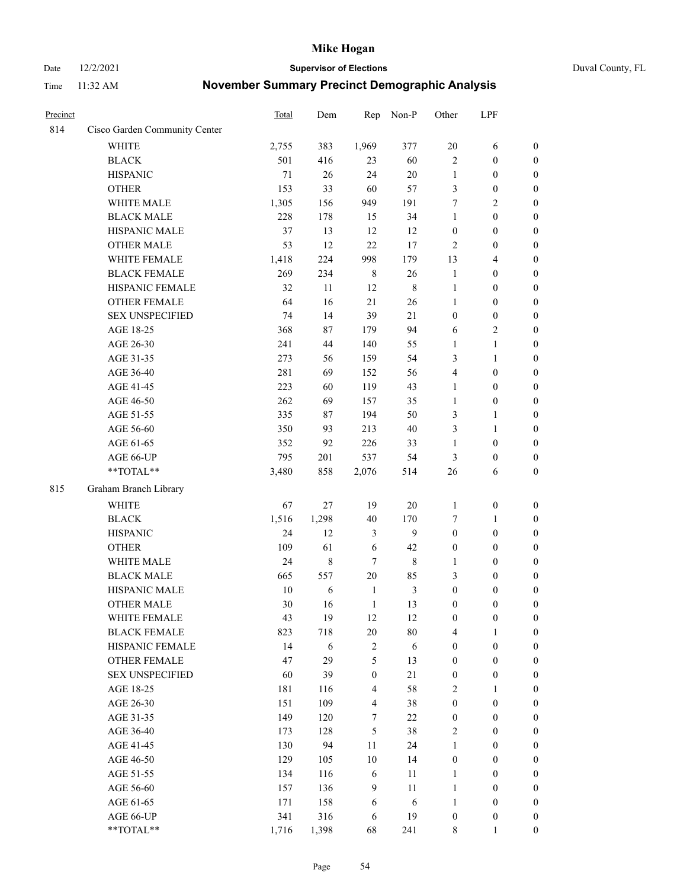Date 12/2/2021 **Supervisor of Elections** Duval County, FL

| Precinct |                               | Total  | Dem        | Rep              | Non-P          | Other            | LPF              |                  |
|----------|-------------------------------|--------|------------|------------------|----------------|------------------|------------------|------------------|
| 814      | Cisco Garden Community Center |        |            |                  |                |                  |                  |                  |
|          | <b>WHITE</b>                  | 2,755  | 383        | 1,969            | 377            | 20               | 6                | 0                |
|          | <b>BLACK</b>                  | 501    | 416        | 23               | 60             | $\mathbf{2}$     | $\boldsymbol{0}$ | $\boldsymbol{0}$ |
|          | <b>HISPANIC</b>               | 71     | $26\,$     | 24               | $20\,$         | $\mathbf{1}$     | $\boldsymbol{0}$ | $\boldsymbol{0}$ |
|          | <b>OTHER</b>                  | 153    | 33         | 60               | 57             | 3                | $\boldsymbol{0}$ | $\boldsymbol{0}$ |
|          | WHITE MALE                    | 1,305  | 156        | 949              | 191            | 7                | $\sqrt{2}$       | $\boldsymbol{0}$ |
|          | <b>BLACK MALE</b>             | 228    | 178        | 15               | 34             | $\mathbf{1}$     | $\boldsymbol{0}$ | $\boldsymbol{0}$ |
|          | HISPANIC MALE                 | 37     | 13         | 12               | 12             | $\boldsymbol{0}$ | $\boldsymbol{0}$ | $\boldsymbol{0}$ |
|          | <b>OTHER MALE</b>             | 53     | 12         | 22               | 17             | $\mathbf{2}$     | $\boldsymbol{0}$ | $\boldsymbol{0}$ |
|          | WHITE FEMALE                  | 1,418  | 224        | 998              | 179            | 13               | $\overline{4}$   | $\boldsymbol{0}$ |
|          | <b>BLACK FEMALE</b>           | 269    | 234        | $\,$ 8 $\,$      | 26             | $\mathbf{1}$     | $\boldsymbol{0}$ | $\boldsymbol{0}$ |
|          | HISPANIC FEMALE               | 32     | 11         | 12               | $\,$ 8 $\,$    | $\mathbf{1}$     | $\boldsymbol{0}$ | 0                |
|          | <b>OTHER FEMALE</b>           | 64     | 16         | 21               | 26             | $\mathbf{1}$     | $\boldsymbol{0}$ | $\boldsymbol{0}$ |
|          | <b>SEX UNSPECIFIED</b>        | 74     | 14         | 39               | 21             | $\boldsymbol{0}$ | $\boldsymbol{0}$ | $\boldsymbol{0}$ |
|          | AGE 18-25                     | 368    | 87         | 179              | 94             | 6                | $\sqrt{2}$       | $\boldsymbol{0}$ |
|          | AGE 26-30                     | 241    | 44         | 140              | 55             | $\mathbf{1}$     | $\mathbf{1}$     | $\boldsymbol{0}$ |
|          | AGE 31-35                     | 273    | 56         | 159              | 54             | 3                | $\mathbf{1}$     | $\boldsymbol{0}$ |
|          | AGE 36-40                     | 281    | 69         | 152              | 56             | 4                | $\boldsymbol{0}$ | $\boldsymbol{0}$ |
|          | AGE 41-45                     | 223    | 60         | 119              | 43             | $\mathbf{1}$     | $\boldsymbol{0}$ | $\boldsymbol{0}$ |
|          | AGE 46-50                     | 262    | 69         | 157              | 35             | $\mathbf{1}$     | $\boldsymbol{0}$ | $\boldsymbol{0}$ |
|          | AGE 51-55                     | 335    | 87         | 194              | 50             | 3                | $\mathbf{1}$     | $\boldsymbol{0}$ |
|          | AGE 56-60                     | 350    | 93         | 213              | 40             | 3                | $\mathbf{1}$     | 0                |
|          | AGE 61-65                     | 352    | 92         | 226              | 33             | $\mathbf{1}$     | $\boldsymbol{0}$ | 0                |
|          | AGE 66-UP                     | 795    | 201        | 537              | 54             | 3                | $\boldsymbol{0}$ | $\boldsymbol{0}$ |
|          | **TOTAL**                     | 3,480  | 858        | 2,076            | 514            | 26               | 6                | $\boldsymbol{0}$ |
| 815      | Graham Branch Library         |        |            |                  |                |                  |                  |                  |
|          | WHITE                         | 67     | $27\,$     | 19               | $20\,$         | $\mathbf{1}$     | $\boldsymbol{0}$ | $\boldsymbol{0}$ |
|          | <b>BLACK</b>                  | 1,516  | 1,298      | 40               | 170            | 7                | $\mathbf{1}$     | $\boldsymbol{0}$ |
|          | <b>HISPANIC</b>               | 24     | 12         | 3                | 9              | $\boldsymbol{0}$ | $\boldsymbol{0}$ | $\boldsymbol{0}$ |
|          | <b>OTHER</b>                  | 109    | 61         | 6                | 42             | $\boldsymbol{0}$ | $\boldsymbol{0}$ | $\boldsymbol{0}$ |
|          | WHITE MALE                    | 24     | $\,8\,$    | 7                | $\,$ 8 $\,$    | $\mathbf{1}$     | $\boldsymbol{0}$ | $\boldsymbol{0}$ |
|          | <b>BLACK MALE</b>             | 665    | 557        | 20               | 85             | 3                | $\boldsymbol{0}$ | $\boldsymbol{0}$ |
|          | HISPANIC MALE                 | $10\,$ | 6          | $\mathbf{1}$     | $\mathfrak{Z}$ | $\boldsymbol{0}$ | $\boldsymbol{0}$ | $\boldsymbol{0}$ |
|          | <b>OTHER MALE</b>             | 30     | 16         | $\mathbf{1}$     | 13             | $\boldsymbol{0}$ | $\boldsymbol{0}$ | $\boldsymbol{0}$ |
|          | WHITE FEMALE                  | 43     | 19         | 12               | 12             | 0                | $\boldsymbol{0}$ | 0                |
|          | <b>BLACK FEMALE</b>           | 823    | 718        | 20               | $80\,$         | 4                | $\mathbf{1}$     | $\boldsymbol{0}$ |
|          | HISPANIC FEMALE               | 14     | $\sqrt{6}$ | $\sqrt{2}$       | $\sqrt{6}$     | $\boldsymbol{0}$ | $\boldsymbol{0}$ | $\overline{0}$   |
|          | OTHER FEMALE                  | 47     | 29         | 5                | 13             | $\boldsymbol{0}$ | $\boldsymbol{0}$ | $\overline{0}$   |
|          | <b>SEX UNSPECIFIED</b>        | 60     | 39         | $\boldsymbol{0}$ | 21             | $\boldsymbol{0}$ | $\boldsymbol{0}$ | $\overline{0}$   |
|          | AGE 18-25                     | 181    | 116        | $\overline{4}$   | 58             | 2                | $\mathbf{1}$     | $\overline{0}$   |
|          | AGE 26-30                     | 151    | 109        | $\overline{4}$   | 38             | $\boldsymbol{0}$ | $\boldsymbol{0}$ | $\overline{0}$   |
|          | AGE 31-35                     | 149    | 120        | 7                | 22             | $\boldsymbol{0}$ | $\boldsymbol{0}$ | 0                |
|          | AGE 36-40                     | 173    | 128        | 5                | 38             | 2                | $\boldsymbol{0}$ | 0                |
|          | AGE 41-45                     | 130    | 94         | 11               | 24             | $\mathbf{1}$     | $\boldsymbol{0}$ | 0                |
|          | AGE 46-50                     | 129    | 105        | 10               | 14             | $\boldsymbol{0}$ | $\boldsymbol{0}$ | 0                |
|          | AGE 51-55                     | 134    | 116        | 6                | 11             | $\mathbf{1}$     | $\boldsymbol{0}$ | $\boldsymbol{0}$ |
|          | AGE 56-60                     | 157    | 136        | 9                | 11             | $\mathbf{1}$     | $\boldsymbol{0}$ | $\overline{0}$   |
|          | AGE 61-65                     | 171    | 158        | 6                | 6              | $\mathbf{1}$     | $\boldsymbol{0}$ | $\overline{0}$   |
|          | AGE 66-UP                     | 341    | 316        | 6                | 19             | $\boldsymbol{0}$ | $\boldsymbol{0}$ | $\boldsymbol{0}$ |
|          | **TOTAL**                     | 1,716  | 1,398      | 68               | 241            | $8\,$            | $\mathbf{1}$     | $\boldsymbol{0}$ |
|          |                               |        |            |                  |                |                  |                  |                  |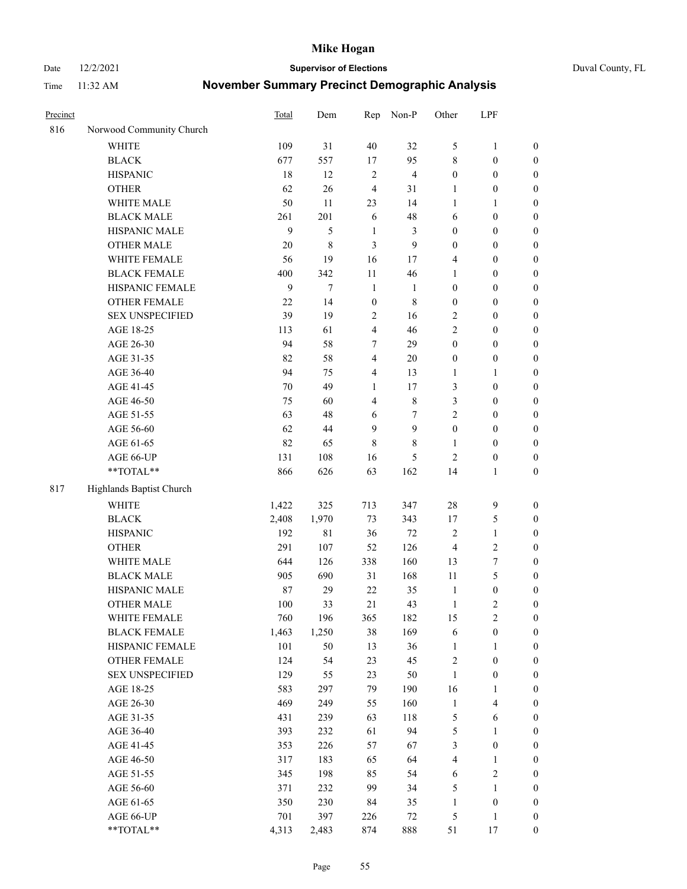Date 12/2/2021 **Supervisor of Elections** Duval County, FL

| Precinct |                          | <b>Total</b> | Dem         | Rep                     | Non-P          | Other            | LPF                     |                  |
|----------|--------------------------|--------------|-------------|-------------------------|----------------|------------------|-------------------------|------------------|
| 816      | Norwood Community Church |              |             |                         |                |                  |                         |                  |
|          | <b>WHITE</b>             | 109          | 31          | 40                      | 32             | 5                | $\mathbf{1}$            | 0                |
|          | <b>BLACK</b>             | 677          | 557         | 17                      | 95             | 8                | $\boldsymbol{0}$        | $\boldsymbol{0}$ |
|          | <b>HISPANIC</b>          | 18           | 12          | $\sqrt{2}$              | $\overline{4}$ | $\boldsymbol{0}$ | $\boldsymbol{0}$        | $\boldsymbol{0}$ |
|          | <b>OTHER</b>             | 62           | 26          | $\overline{4}$          | 31             | 1                | $\boldsymbol{0}$        | $\boldsymbol{0}$ |
|          | WHITE MALE               | 50           | 11          | 23                      | 14             | $\mathbf{1}$     | 1                       | $\boldsymbol{0}$ |
|          | <b>BLACK MALE</b>        | 261          | 201         | 6                       | 48             | 6                | $\boldsymbol{0}$        | $\boldsymbol{0}$ |
|          | HISPANIC MALE            | 9            | 5           | $\mathbf{1}$            | 3              | $\boldsymbol{0}$ | $\boldsymbol{0}$        | $\boldsymbol{0}$ |
|          | <b>OTHER MALE</b>        | 20           | 8           | 3                       | $\mathbf{9}$   | $\boldsymbol{0}$ | $\boldsymbol{0}$        | $\boldsymbol{0}$ |
|          | WHITE FEMALE             | 56           | 19          | 16                      | 17             | 4                | $\boldsymbol{0}$        | $\boldsymbol{0}$ |
|          | <b>BLACK FEMALE</b>      | 400          | 342         | $11\,$                  | 46             | $\mathbf{1}$     | $\boldsymbol{0}$        | $\boldsymbol{0}$ |
|          | HISPANIC FEMALE          | 9            | $\tau$      | $\mathbf{1}$            | $\mathbf{1}$   | $\boldsymbol{0}$ | $\boldsymbol{0}$        | $\boldsymbol{0}$ |
|          | <b>OTHER FEMALE</b>      | 22           | 14          | $\mathbf{0}$            | $\,$ 8 $\,$    | $\boldsymbol{0}$ | $\boldsymbol{0}$        | $\boldsymbol{0}$ |
|          | <b>SEX UNSPECIFIED</b>   | 39           | 19          | $\sqrt{2}$              | 16             | $\overline{2}$   | $\boldsymbol{0}$        | $\boldsymbol{0}$ |
|          | AGE 18-25                | 113          | 61          | $\overline{\mathbf{4}}$ | 46             | $\overline{2}$   | $\boldsymbol{0}$        | $\boldsymbol{0}$ |
|          | AGE 26-30                | 94           | 58          | 7                       | 29             | $\boldsymbol{0}$ | $\boldsymbol{0}$        | $\boldsymbol{0}$ |
|          | AGE 31-35                | 82           | 58          | $\overline{4}$          | 20             | $\boldsymbol{0}$ | $\boldsymbol{0}$        | $\boldsymbol{0}$ |
|          | AGE 36-40                | 94           | 75          | 4                       | 13             | $\mathbf{1}$     | $\mathbf{1}$            | $\boldsymbol{0}$ |
|          | AGE 41-45                | 70           | 49          | $\mathbf{1}$            | 17             | 3                | $\boldsymbol{0}$        | $\boldsymbol{0}$ |
|          | AGE 46-50                | 75           | 60          | $\overline{4}$          | $8\,$          | 3                | $\boldsymbol{0}$        | $\boldsymbol{0}$ |
|          | AGE 51-55                | 63           | 48          | 6                       | 7              | 2                | $\boldsymbol{0}$        | $\boldsymbol{0}$ |
|          | AGE 56-60                | 62           | 44          | 9                       | 9              | $\boldsymbol{0}$ | $\boldsymbol{0}$        | 0                |
|          | AGE 61-65                | 82           | 65          | 8                       | $8\,$          | $\mathbf{1}$     | $\boldsymbol{0}$        | $\boldsymbol{0}$ |
|          | AGE 66-UP                | 131          | 108         | 16                      | 5              | $\mathbf{2}$     | $\boldsymbol{0}$        | $\boldsymbol{0}$ |
|          | **TOTAL**                | 866          | 626         | 63                      | 162            | 14               | $\mathbf{1}$            | $\boldsymbol{0}$ |
| 817      | Highlands Baptist Church |              |             |                         |                |                  |                         |                  |
|          | <b>WHITE</b>             | 1,422        | 325         | 713                     | 347            | 28               | 9                       | $\boldsymbol{0}$ |
|          | <b>BLACK</b>             | 2,408        | 1,970       | 73                      | 343            | 17               | 5                       | $\boldsymbol{0}$ |
|          | <b>HISPANIC</b>          | 192          | $8\sqrt{1}$ | 36                      | 72             | 2                | $\mathbf{1}$            | $\boldsymbol{0}$ |
|          | <b>OTHER</b>             | 291          | 107         | 52                      | 126            | 4                | $\sqrt{2}$              | $\boldsymbol{0}$ |
|          | WHITE MALE               | 644          | 126         | 338                     | 160            | 13               | $\boldsymbol{7}$        | $\boldsymbol{0}$ |
|          | <b>BLACK MALE</b>        | 905          | 690         | 31                      | 168            | $11\,$           | 5                       | $\boldsymbol{0}$ |
|          | HISPANIC MALE            | 87           | 29          | 22                      | 35             | $\mathbf{1}$     | $\boldsymbol{0}$        | 0                |
|          | OTHER MALE               | 100          | 33          | 21                      | 43             | $\mathbf{1}$     | $\mathbf{2}$            | $\boldsymbol{0}$ |
|          | WHITE FEMALE             | 760          | 196         | 365                     | 182            | 15               | 2                       | 0                |
|          | <b>BLACK FEMALE</b>      | 1,463        | 1,250       | 38                      | 169            | 6                | $\boldsymbol{0}$        | $\boldsymbol{0}$ |
|          | HISPANIC FEMALE          | 101          | 50          | 13                      | 36             | $\mathbf{1}$     | $\mathbf{1}$            | $\boldsymbol{0}$ |
|          | OTHER FEMALE             | 124          | 54          | 23                      | 45             | 2                | $\boldsymbol{0}$        | $\overline{0}$   |
|          | <b>SEX UNSPECIFIED</b>   | 129          | 55          | 23                      | 50             | $\mathbf{1}$     | $\boldsymbol{0}$        | 0                |
|          | AGE 18-25                | 583          | 297         | 79                      | 190            | 16               | $\mathbf{1}$            | $\theta$         |
|          | AGE 26-30                | 469          | 249         | 55                      | 160            | $\mathbf{1}$     | $\overline{\mathbf{4}}$ | 0                |
|          | AGE 31-35                | 431          | 239         | 63                      | 118            | 5                | 6                       | 0                |
|          | AGE 36-40                | 393          | 232         | 61                      | 94             | 5                | $\mathbf{1}$            | 0                |
|          | AGE 41-45                | 353          | 226         | 57                      | 67             | 3                | $\boldsymbol{0}$        | 0                |
|          | AGE 46-50                | 317          | 183         | 65                      | 64             | 4                | $\mathbf{1}$            | 0                |
|          | AGE 51-55                | 345          | 198         | 85                      | 54             | 6                | $\sqrt{2}$              | 0                |
|          | AGE 56-60                | 371          | 232         | 99                      | 34             | 5                | 1                       | $\overline{0}$   |
|          | AGE 61-65                | 350          | 230         | 84                      | 35             | $\mathbf{1}$     | $\boldsymbol{0}$        | $\boldsymbol{0}$ |
|          | AGE 66-UP                | 701          | 397         | 226                     | $72\,$         | 5                | $\mathbf{1}$            | $\boldsymbol{0}$ |
|          | **TOTAL**                | 4,313        | 2,483       | 874                     | 888            | 51               | 17                      | $\boldsymbol{0}$ |
|          |                          |              |             |                         |                |                  |                         |                  |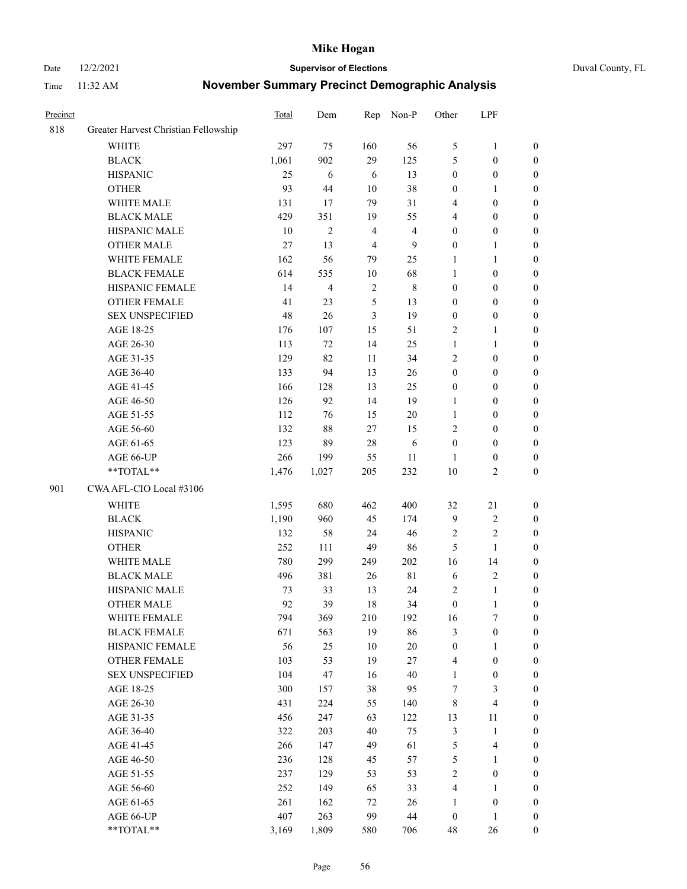#### Date 12/2/2021 **Supervisor of Elections** Duval County, FL

| Precinct |                                      | Total | Dem            | Rep            | Non-P          | Other            | LPF                     |                  |
|----------|--------------------------------------|-------|----------------|----------------|----------------|------------------|-------------------------|------------------|
| 818      | Greater Harvest Christian Fellowship |       |                |                |                |                  |                         |                  |
|          | <b>WHITE</b>                         | 297   | 75             | 160            | 56             | 5                | $\mathbf{1}$            | 0                |
|          | <b>BLACK</b>                         | 1,061 | 902            | 29             | 125            | 5                | $\boldsymbol{0}$        | 0                |
|          | <b>HISPANIC</b>                      | 25    | $\sqrt{6}$     | 6              | 13             | $\boldsymbol{0}$ | $\boldsymbol{0}$        | $\boldsymbol{0}$ |
|          | <b>OTHER</b>                         | 93    | 44             | $10\,$         | 38             | $\boldsymbol{0}$ | $\mathbf{1}$            | $\boldsymbol{0}$ |
|          | WHITE MALE                           | 131   | 17             | 79             | 31             | 4                | $\boldsymbol{0}$        | $\boldsymbol{0}$ |
|          | <b>BLACK MALE</b>                    | 429   | 351            | 19             | 55             | 4                | $\boldsymbol{0}$        | $\boldsymbol{0}$ |
|          | HISPANIC MALE                        | 10    | $\overline{c}$ | $\overline{4}$ | $\overline{4}$ | $\boldsymbol{0}$ | $\boldsymbol{0}$        | $\boldsymbol{0}$ |
|          | <b>OTHER MALE</b>                    | 27    | 13             | $\overline{4}$ | $\mathbf{9}$   | $\boldsymbol{0}$ | $\mathbf{1}$            | $\boldsymbol{0}$ |
|          | WHITE FEMALE                         | 162   | 56             | 79             | 25             | $\mathbf{1}$     | $\mathbf{1}$            | $\boldsymbol{0}$ |
|          | <b>BLACK FEMALE</b>                  | 614   | 535            | 10             | 68             | $\mathbf{1}$     | $\boldsymbol{0}$        | 0                |
|          | HISPANIC FEMALE                      | 14    | 4              | $\sqrt{2}$     | $\,$ 8 $\,$    | $\boldsymbol{0}$ | $\boldsymbol{0}$        | 0                |
|          | OTHER FEMALE                         | 41    | 23             | $\sqrt{5}$     | 13             | $\boldsymbol{0}$ | $\boldsymbol{0}$        | $\boldsymbol{0}$ |
|          | <b>SEX UNSPECIFIED</b>               | 48    | 26             | 3              | 19             | $\boldsymbol{0}$ | $\boldsymbol{0}$        | $\boldsymbol{0}$ |
|          | AGE 18-25                            | 176   | 107            | 15             | 51             | 2                | $\mathbf{1}$            | $\boldsymbol{0}$ |
|          | AGE 26-30                            | 113   | 72             | 14             | 25             | $\mathbf{1}$     | $\mathbf{1}$            | $\boldsymbol{0}$ |
|          | AGE 31-35                            | 129   | 82             | 11             | 34             | $\sqrt{2}$       | $\boldsymbol{0}$        | $\boldsymbol{0}$ |
|          | AGE 36-40                            | 133   | 94             | 13             | 26             | $\boldsymbol{0}$ | $\boldsymbol{0}$        | $\boldsymbol{0}$ |
|          | AGE 41-45                            | 166   | 128            | 13             | 25             | $\boldsymbol{0}$ | $\boldsymbol{0}$        | $\boldsymbol{0}$ |
|          | AGE 46-50                            | 126   | 92             | 14             | 19             | $\mathbf{1}$     | $\boldsymbol{0}$        | $\boldsymbol{0}$ |
|          | AGE 51-55                            | 112   | 76             | 15             | $20\,$         | $\mathbf{1}$     | $\boldsymbol{0}$        | $\boldsymbol{0}$ |
|          | AGE 56-60                            | 132   | 88             | 27             | 15             | $\overline{c}$   | $\boldsymbol{0}$        | 0                |
|          | AGE 61-65                            | 123   | 89             | $28\,$         | $\sqrt{6}$     | $\boldsymbol{0}$ | $\boldsymbol{0}$        | 0                |
|          | AGE 66-UP                            | 266   | 199            | 55             | 11             | 1                | $\boldsymbol{0}$        | $\boldsymbol{0}$ |
|          | $**TOTAL**$                          | 1,476 | 1,027          | 205            | 232            | 10               | $\sqrt{2}$              | $\boldsymbol{0}$ |
| 901      | CWA AFL-CIO Local #3106              |       |                |                |                |                  |                         |                  |
|          | <b>WHITE</b>                         | 1,595 | 680            | 462            | 400            | 32               | 21                      | $\boldsymbol{0}$ |
|          | <b>BLACK</b>                         | 1,190 | 960            | 45             | 174            | $\mathbf{9}$     | $\sqrt{2}$              | $\boldsymbol{0}$ |
|          | <b>HISPANIC</b>                      | 132   | 58             | 24             | 46             | 2                | $\mathfrak{2}$          | $\boldsymbol{0}$ |
|          | <b>OTHER</b>                         | 252   | 111            | 49             | 86             | 5                | $\mathbf{1}$            | $\boldsymbol{0}$ |
|          | WHITE MALE                           | 780   | 299            | 249            | 202            | 16               | 14                      | $\boldsymbol{0}$ |
|          | <b>BLACK MALE</b>                    | 496   | 381            | 26             | $8\sqrt{1}$    | 6                | $\sqrt{2}$              | $\boldsymbol{0}$ |
|          | HISPANIC MALE                        | 73    | 33             | 13             | 24             | 2                | $\mathbf{1}$            | 0                |
|          | <b>OTHER MALE</b>                    | 92    | 39             | 18             | 34             | $\boldsymbol{0}$ | $\mathbf{1}$            | $\boldsymbol{0}$ |
|          | WHITE FEMALE                         | 794   | 369            | 210            | 192            | 16               | 7                       | 0                |
|          | <b>BLACK FEMALE</b>                  | 671   | 563            | 19             | 86             | 3                | $\boldsymbol{0}$        | $\boldsymbol{0}$ |
|          | HISPANIC FEMALE                      | 56    | 25             | $10\,$         | $20\,$         | $\boldsymbol{0}$ | $\mathbf{1}$            | $\overline{0}$   |
|          | OTHER FEMALE                         | 103   | 53             | 19             | 27             | 4                | $\boldsymbol{0}$        | $\overline{0}$   |
|          | <b>SEX UNSPECIFIED</b>               | 104   | 47             | 16             | 40             | $\mathbf{1}$     | $\boldsymbol{0}$        | 0                |
|          | AGE 18-25                            | 300   | 157            | 38             | 95             | 7                | $\mathfrak{Z}$          | $\theta$         |
|          | AGE 26-30                            | 431   | 224            | 55             | 140            | 8                | $\overline{\mathbf{4}}$ | 0                |
|          | AGE 31-35                            | 456   | 247            | 63             | 122            | 13               | 11                      | 0                |
|          | AGE 36-40                            | 322   | 203            | 40             | 75             | $\mathfrak{Z}$   | $\mathbf{1}$            | 0                |
|          | AGE 41-45                            | 266   | 147            | 49             | 61             | $\mathfrak{S}$   | $\overline{\mathbf{4}}$ | 0                |
|          | AGE 46-50                            | 236   | 128            | 45             | 57             | $\mathfrak s$    | $\mathbf{1}$            | 0                |
|          | AGE 51-55                            | 237   | 129            | 53             | 53             | $\sqrt{2}$       | $\boldsymbol{0}$        | 0                |
|          | AGE 56-60                            | 252   | 149            | 65             | 33             | 4                | $\mathbf{1}$            | $\boldsymbol{0}$ |
|          | AGE 61-65                            | 261   | 162            | 72             | 26             | $\mathbf{1}$     | $\boldsymbol{0}$        | $\boldsymbol{0}$ |
|          | AGE 66-UP                            | 407   | 263            | 99             | $44\,$         | $\boldsymbol{0}$ | $\mathbf{1}$            | $\boldsymbol{0}$ |
|          | **TOTAL**                            | 3,169 | 1,809          | 580            | 706            | 48               | 26                      | $\boldsymbol{0}$ |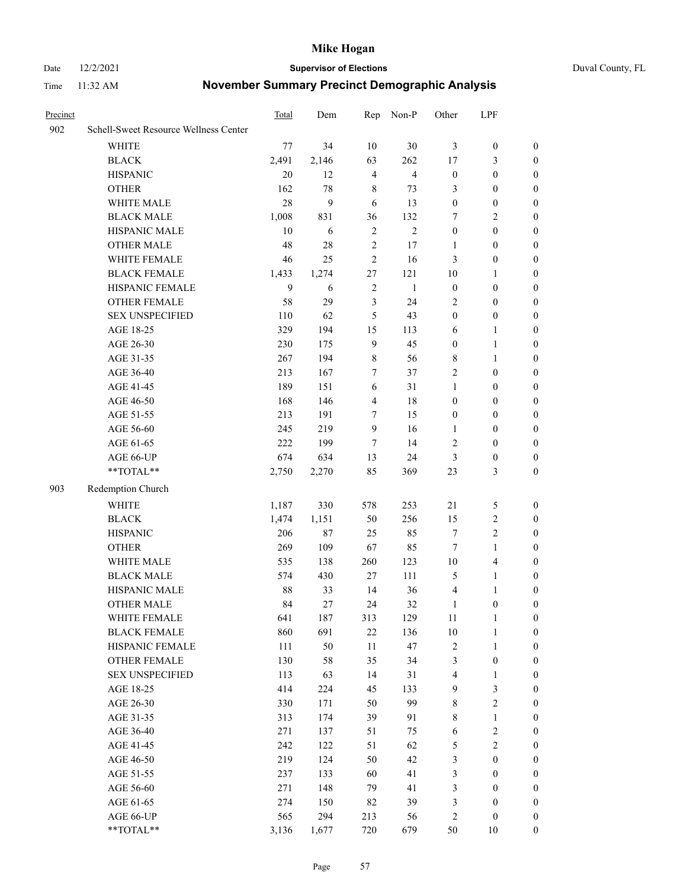Date 12/2/2021 **Supervisor of Elections** Duval County, FL

| Precinct |                                       | Total | Dem    | Rep            | Non-P          | Other                   | LPF              |                  |
|----------|---------------------------------------|-------|--------|----------------|----------------|-------------------------|------------------|------------------|
| 902      | Schell-Sweet Resource Wellness Center |       |        |                |                |                         |                  |                  |
|          | <b>WHITE</b>                          | 77    | 34     | 10             | $30\,$         | 3                       | $\boldsymbol{0}$ | $\boldsymbol{0}$ |
|          | <b>BLACK</b>                          | 2,491 | 2,146  | 63             | 262            | 17                      | 3                | $\boldsymbol{0}$ |
|          | <b>HISPANIC</b>                       | 20    | 12     | $\overline{4}$ | $\overline{4}$ | $\boldsymbol{0}$        | $\boldsymbol{0}$ | $\boldsymbol{0}$ |
|          | <b>OTHER</b>                          | 162   | 78     | 8              | 73             | 3                       | $\boldsymbol{0}$ | $\boldsymbol{0}$ |
|          | WHITE MALE                            | 28    | 9      | 6              | 13             | $\boldsymbol{0}$        | $\boldsymbol{0}$ | $\boldsymbol{0}$ |
|          | <b>BLACK MALE</b>                     | 1,008 | 831    | 36             | 132            | 7                       | $\sqrt{2}$       | $\boldsymbol{0}$ |
|          | HISPANIC MALE                         | 10    | 6      | $\overline{2}$ | $\overline{2}$ | $\boldsymbol{0}$        | $\boldsymbol{0}$ | $\boldsymbol{0}$ |
|          | OTHER MALE                            | 48    | 28     | $\sqrt{2}$     | 17             | 1                       | $\boldsymbol{0}$ | $\boldsymbol{0}$ |
|          | WHITE FEMALE                          | 46    | 25     | $\sqrt{2}$     | 16             | 3                       | $\boldsymbol{0}$ | 0                |
|          | <b>BLACK FEMALE</b>                   | 1,433 | 1,274  | 27             | 121            | $10\,$                  | $\mathbf{1}$     | 0                |
|          | HISPANIC FEMALE                       | 9     | 6      | $\sqrt{2}$     | $\mathbf{1}$   | $\boldsymbol{0}$        | $\boldsymbol{0}$ | $\boldsymbol{0}$ |
|          | OTHER FEMALE                          | 58    | 29     | $\mathfrak{Z}$ | 24             | $\overline{2}$          | $\boldsymbol{0}$ | $\boldsymbol{0}$ |
|          | <b>SEX UNSPECIFIED</b>                | 110   | 62     | 5              | 43             | $\boldsymbol{0}$        | $\boldsymbol{0}$ | $\boldsymbol{0}$ |
|          | AGE 18-25                             | 329   | 194    | 15             | 113            | 6                       | $\mathbf{1}$     | $\boldsymbol{0}$ |
|          | AGE 26-30                             | 230   | 175    | $\overline{9}$ | 45             | $\boldsymbol{0}$        | $\mathbf{1}$     | $\boldsymbol{0}$ |
|          | AGE 31-35                             | 267   | 194    | $8\,$          | 56             | 8                       | $\mathbf{1}$     | $\boldsymbol{0}$ |
|          | AGE 36-40                             | 213   | 167    | 7              | 37             | 2                       | $\boldsymbol{0}$ | $\boldsymbol{0}$ |
|          | AGE 41-45                             | 189   | 151    | 6              | 31             | $\mathbf{1}$            | $\boldsymbol{0}$ | $\boldsymbol{0}$ |
|          | AGE 46-50                             | 168   | 146    | $\overline{4}$ | 18             | $\boldsymbol{0}$        | $\boldsymbol{0}$ | $\boldsymbol{0}$ |
|          | AGE 51-55                             | 213   | 191    | 7              | 15             | $\boldsymbol{0}$        | $\boldsymbol{0}$ | 0                |
|          | AGE 56-60                             | 245   | 219    | 9              | 16             | 1                       | $\boldsymbol{0}$ | $\boldsymbol{0}$ |
|          | AGE 61-65                             | 222   | 199    | 7              | 14             | $\mathbf{2}$            | $\boldsymbol{0}$ | $\boldsymbol{0}$ |
|          | AGE 66-UP                             | 674   | 634    | 13             | 24             | 3                       | $\boldsymbol{0}$ | $\boldsymbol{0}$ |
|          | $**TOTAL**$                           | 2,750 | 2,270  | 85             | 369            | 23                      | $\mathfrak{Z}$   | $\boldsymbol{0}$ |
| 903      | Redemption Church                     |       |        |                |                |                         |                  |                  |
|          | <b>WHITE</b>                          | 1,187 | 330    | 578            | 253            | 21                      | 5                | $\boldsymbol{0}$ |
|          | <b>BLACK</b>                          | 1,474 | 1,151  | 50             | 256            | 15                      | $\sqrt{2}$       | $\boldsymbol{0}$ |
|          | <b>HISPANIC</b>                       | 206   | $87\,$ | 25             | 85             | 7                       | $\sqrt{2}$       | $\boldsymbol{0}$ |
|          | <b>OTHER</b>                          | 269   | 109    | 67             | 85             | $\tau$                  | $\mathbf{1}$     | $\boldsymbol{0}$ |
|          | WHITE MALE                            | 535   | 138    | 260            | 123            | $10\,$                  | $\overline{4}$   | 0                |
|          | <b>BLACK MALE</b>                     | 574   | 430    | 27             | 111            | 5                       | $\mathbf{1}$     | $\boldsymbol{0}$ |
|          | HISPANIC MALE                         | 88    | 33     | 14             | 36             | $\overline{4}$          | 1                | 0                |
|          | OTHER MALE                            | 84    | 27     | 24             | 32             | $\mathbf{1}$            | $\boldsymbol{0}$ | $\boldsymbol{0}$ |
|          | WHITE FEMALE                          | 641   | 187    | 313            | 129            | 11                      | $\mathbf{1}$     | 0                |
|          | <b>BLACK FEMALE</b>                   | 860   | 691    | 22             | 136            | $10\,$                  | $\mathbf{1}$     | $\boldsymbol{0}$ |
|          | HISPANIC FEMALE                       | 111   | 50     | 11             | 47             | $\overline{\mathbf{c}}$ | $\mathbf{1}$     | $\overline{0}$   |
|          | <b>OTHER FEMALE</b>                   | 130   | 58     | 35             | 34             | 3                       | $\boldsymbol{0}$ | 0                |
|          | <b>SEX UNSPECIFIED</b>                | 113   | 63     | 14             | 31             | 4                       | $\mathbf{1}$     | 0                |
|          | AGE 18-25                             | 414   | 224    | 45             | 133            | 9                       | $\mathfrak{Z}$   | 0                |
|          | AGE 26-30                             | 330   | 171    | 50             | 99             | 8                       | $\sqrt{2}$       | 0                |
|          | AGE 31-35                             | 313   | 174    | 39             | 91             | 8                       | $\mathbf{1}$     | 0                |
|          | AGE 36-40                             | 271   | 137    | 51             | 75             | 6                       | $\mathbf{2}$     | 0                |
|          | AGE 41-45                             | 242   | 122    | 51             | 62             | 5                       | $\sqrt{2}$       | 0                |
|          | AGE 46-50                             | 219   | 124    | 50             | 42             | 3                       | $\boldsymbol{0}$ | $\overline{0}$   |
|          | AGE 51-55                             | 237   | 133    | 60             | 41             | 3                       | $\boldsymbol{0}$ | $\boldsymbol{0}$ |
|          | AGE 56-60                             | 271   | 148    | 79             | 41             | 3                       | $\boldsymbol{0}$ | $\overline{0}$   |
|          | AGE 61-65                             | 274   | 150    | 82             | 39             | 3                       | $\boldsymbol{0}$ | $\boldsymbol{0}$ |
|          | AGE 66-UP                             | 565   | 294    | 213            | 56             | $\overline{c}$          | $\boldsymbol{0}$ | 0                |
|          | **TOTAL**                             | 3,136 | 1,677  | 720            | 679            | 50                      | 10               | $\boldsymbol{0}$ |
|          |                                       |       |        |                |                |                         |                  |                  |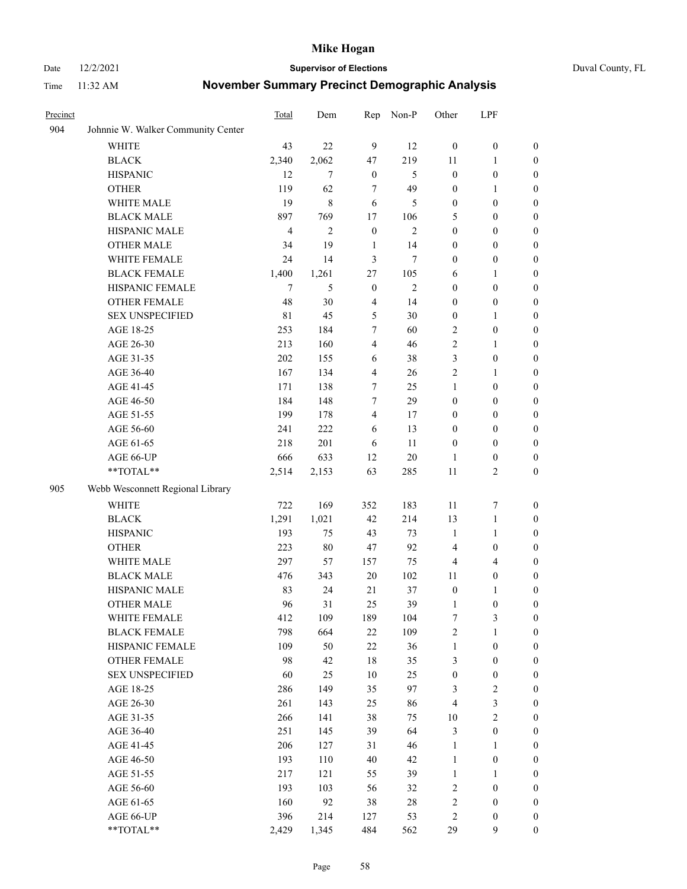#### Date 12/2/2021 **Supervisor of Elections** Duval County, FL

| Precinct |                                    | Total          | Dem            | Rep              | Non-P        | Other            | LPF              |                  |
|----------|------------------------------------|----------------|----------------|------------------|--------------|------------------|------------------|------------------|
| 904      | Johnnie W. Walker Community Center |                |                |                  |              |                  |                  |                  |
|          | <b>WHITE</b>                       | 43             | 22             | 9                | 12           | $\mathbf{0}$     | $\boldsymbol{0}$ | $\boldsymbol{0}$ |
|          | <b>BLACK</b>                       | 2,340          | 2,062          | 47               | 219          | 11               | $\mathbf{1}$     | $\boldsymbol{0}$ |
|          | <b>HISPANIC</b>                    | 12             | $\overline{7}$ | $\boldsymbol{0}$ | 5            | $\boldsymbol{0}$ | $\boldsymbol{0}$ | $\boldsymbol{0}$ |
|          | <b>OTHER</b>                       | 119            | 62             | $\tau$           | 49           | $\boldsymbol{0}$ | 1                | $\boldsymbol{0}$ |
|          | WHITE MALE                         | 19             | $\,8\,$        | 6                | 5            | $\boldsymbol{0}$ | $\boldsymbol{0}$ | $\boldsymbol{0}$ |
|          | <b>BLACK MALE</b>                  | 897            | 769            | 17               | 106          | 5                | $\boldsymbol{0}$ | $\boldsymbol{0}$ |
|          | HISPANIC MALE                      | $\overline{4}$ | $\mathbf{2}$   | $\boldsymbol{0}$ | $\mathbf{2}$ | $\boldsymbol{0}$ | $\boldsymbol{0}$ | $\boldsymbol{0}$ |
|          | OTHER MALE                         | 34             | 19             | $\mathbf{1}$     | 14           | $\boldsymbol{0}$ | $\boldsymbol{0}$ | $\boldsymbol{0}$ |
|          | WHITE FEMALE                       | 24             | 14             | 3                | 7            | $\boldsymbol{0}$ | $\boldsymbol{0}$ | 0                |
|          | <b>BLACK FEMALE</b>                | 1,400          | 1,261          | 27               | 105          | 6                | $\mathbf{1}$     | 0                |
|          | HISPANIC FEMALE                    | 7              | 5              | $\boldsymbol{0}$ | $\mathbf{2}$ | $\boldsymbol{0}$ | $\boldsymbol{0}$ | $\boldsymbol{0}$ |
|          | OTHER FEMALE                       | 48             | 30             | $\overline{4}$   | 14           | $\boldsymbol{0}$ | $\boldsymbol{0}$ | $\boldsymbol{0}$ |
|          | <b>SEX UNSPECIFIED</b>             | $8\sqrt{1}$    | 45             | 5                | 30           | $\boldsymbol{0}$ | 1                | $\boldsymbol{0}$ |
|          | AGE 18-25                          | 253            | 184            | $\tau$           | 60           | 2                | $\boldsymbol{0}$ | $\boldsymbol{0}$ |
|          | AGE 26-30                          | 213            | 160            | $\overline{4}$   | 46           | 2                | $\mathbf{1}$     | $\boldsymbol{0}$ |
|          | AGE 31-35                          | 202            | 155            | 6                | 38           | 3                | $\boldsymbol{0}$ | $\boldsymbol{0}$ |
|          | AGE 36-40                          | 167            | 134            | $\overline{4}$   | 26           | 2                | $\mathbf{1}$     | $\boldsymbol{0}$ |
|          | AGE 41-45                          | 171            | 138            | 7                | 25           | $\mathbf{1}$     | $\boldsymbol{0}$ | $\boldsymbol{0}$ |
|          | AGE 46-50                          | 184            | 148            | $\tau$           | 29           | $\boldsymbol{0}$ | $\boldsymbol{0}$ | $\boldsymbol{0}$ |
|          | AGE 51-55                          | 199            | 178            | $\overline{4}$   | 17           | $\boldsymbol{0}$ | $\boldsymbol{0}$ | 0                |
|          | AGE 56-60                          | 241            | 222            | 6                | 13           | $\boldsymbol{0}$ | $\boldsymbol{0}$ | 0                |
|          | AGE 61-65                          | 218            | 201            | 6                | 11           | $\boldsymbol{0}$ | $\boldsymbol{0}$ | $\boldsymbol{0}$ |
|          | AGE 66-UP                          | 666            | 633            | 12               | $20\,$       | 1                | $\boldsymbol{0}$ | $\boldsymbol{0}$ |
|          | **TOTAL**                          | 2,514          | 2,153          | 63               | 285          | 11               | $\sqrt{2}$       | $\boldsymbol{0}$ |
| 905      | Webb Wesconnett Regional Library   |                |                |                  |              |                  |                  |                  |
|          | <b>WHITE</b>                       | 722            | 169            | 352              | 183          | 11               | 7                | $\boldsymbol{0}$ |
|          | <b>BLACK</b>                       | 1,291          | 1,021          | 42               | 214          | 13               | $\mathbf{1}$     | $\boldsymbol{0}$ |
|          | <b>HISPANIC</b>                    | 193            | 75             | 43               | 73           | $\mathbf{1}$     | $\mathbf{1}$     | $\boldsymbol{0}$ |
|          | <b>OTHER</b>                       | 223            | $80\,$         | 47               | 92           | 4                | $\boldsymbol{0}$ | $\boldsymbol{0}$ |
|          | WHITE MALE                         | 297            | 57             | 157              | 75           | 4                | $\overline{4}$   | $\boldsymbol{0}$ |
|          | <b>BLACK MALE</b>                  | 476            | 343            | $20\,$           | 102          | 11               | $\boldsymbol{0}$ | $\boldsymbol{0}$ |
|          | HISPANIC MALE                      | 83             | 24             | 21               | 37           | $\boldsymbol{0}$ | 1                | 0                |
|          | <b>OTHER MALE</b>                  | 96             | 31             | 25               | 39           | $\mathbf{1}$     | $\boldsymbol{0}$ | $\boldsymbol{0}$ |
|          | WHITE FEMALE                       | 412            | 109            | 189              | 104          | 7                | 3                | $\overline{0}$   |
|          | <b>BLACK FEMALE</b>                | 798            | 664            | 22               | 109          | 2                | $\mathbf{1}$     | $\boldsymbol{0}$ |
|          | HISPANIC FEMALE                    | 109            | 50             | 22               | 36           | $\mathbf{1}$     | $\boldsymbol{0}$ | $\overline{0}$   |
|          | OTHER FEMALE                       | 98             | 42             | 18               | 35           | 3                | $\boldsymbol{0}$ | 0                |
|          | <b>SEX UNSPECIFIED</b>             | 60             | 25             | 10               | 25           | $\boldsymbol{0}$ | $\boldsymbol{0}$ | 0                |
|          | AGE 18-25                          | 286            | 149            | 35               | 97           | 3                | $\sqrt{2}$       | 0                |
|          | AGE 26-30                          | 261            | 143            | 25               | 86           | 4                | $\mathfrak{Z}$   | 0                |
|          | AGE 31-35                          | 266            | 141            | 38               | 75           | $10\,$           | $\sqrt{2}$       | 0                |
|          | AGE 36-40                          | 251            | 145            | 39               | 64           | 3                | $\boldsymbol{0}$ | 0                |
|          | AGE 41-45                          | 206            | 127            | 31               | 46           | $\mathbf{1}$     | $\mathbf{1}$     | 0                |
|          | AGE 46-50                          | 193            | 110            | 40               | 42           | $\mathbf{1}$     | $\boldsymbol{0}$ | 0                |
|          | AGE 51-55                          | 217            | 121            | 55               | 39           | $\mathbf{1}$     | 1                | 0                |
|          | AGE 56-60                          | 193            | 103            | 56               | 32           | 2                | $\boldsymbol{0}$ | $\boldsymbol{0}$ |
|          | AGE 61-65                          | 160            | 92             | 38               | $28\,$       | 2                | $\boldsymbol{0}$ | 0                |
|          | AGE 66-UP                          | 396            | 214            | 127              | 53           | 2                | $\boldsymbol{0}$ | 0                |
|          | **TOTAL**                          | 2,429          | 1,345          | 484              | 562          | 29               | 9                | $\boldsymbol{0}$ |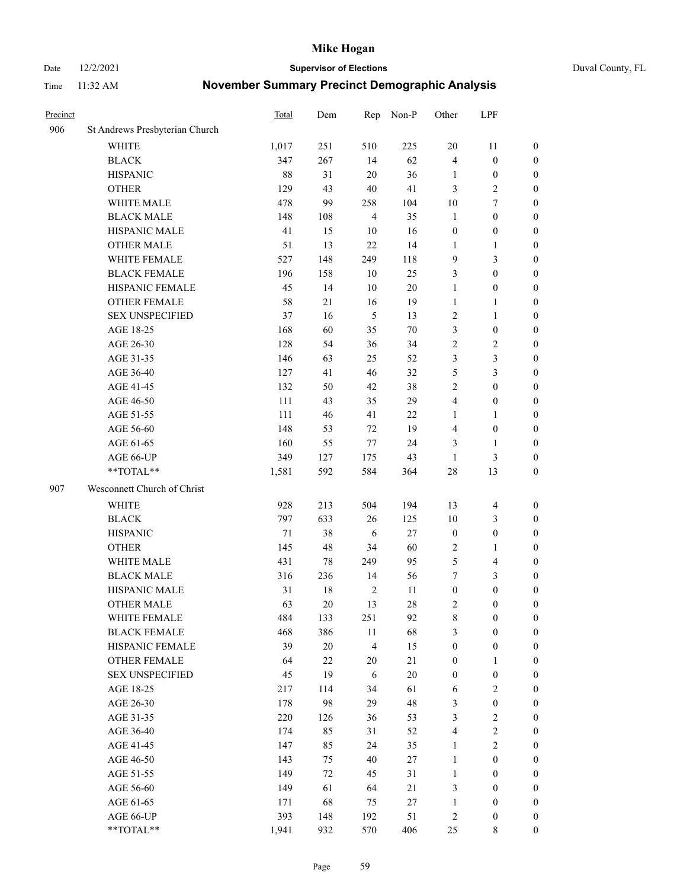Date 12/2/2021 **Supervisor of Elections** Duval County, FL

| Precinct |                                | Total | Dem    | Rep            | Non-P  | Other            | LPF                     |                  |
|----------|--------------------------------|-------|--------|----------------|--------|------------------|-------------------------|------------------|
| 906      | St Andrews Presbyterian Church |       |        |                |        |                  |                         |                  |
|          | <b>WHITE</b>                   | 1,017 | 251    | 510            | 225    | 20               | 11                      | 0                |
|          | <b>BLACK</b>                   | 347   | 267    | 14             | 62     | 4                | $\boldsymbol{0}$        | 0                |
|          | <b>HISPANIC</b>                | 88    | 31     | 20             | 36     | 1                | $\boldsymbol{0}$        | $\boldsymbol{0}$ |
|          | <b>OTHER</b>                   | 129   | 43     | 40             | 41     | 3                | $\sqrt{2}$              | $\boldsymbol{0}$ |
|          | WHITE MALE                     | 478   | 99     | 258            | 104    | 10               | $\tau$                  | $\boldsymbol{0}$ |
|          | <b>BLACK MALE</b>              | 148   | 108    | $\overline{4}$ | 35     | $\mathbf{1}$     | $\boldsymbol{0}$        | $\boldsymbol{0}$ |
|          | HISPANIC MALE                  | 41    | 15     | 10             | 16     | $\boldsymbol{0}$ | $\boldsymbol{0}$        | $\boldsymbol{0}$ |
|          | <b>OTHER MALE</b>              | 51    | 13     | 22             | 14     | $\mathbf{1}$     | $\mathbf{1}$            | $\boldsymbol{0}$ |
|          | WHITE FEMALE                   | 527   | 148    | 249            | 118    | 9                | $\mathfrak{Z}$          | $\boldsymbol{0}$ |
|          | <b>BLACK FEMALE</b>            | 196   | 158    | 10             | 25     | 3                | $\boldsymbol{0}$        | 0                |
|          | HISPANIC FEMALE                | 45    | 14     | 10             | 20     | $\mathbf{1}$     | $\boldsymbol{0}$        | 0                |
|          | OTHER FEMALE                   | 58    | 21     | 16             | 19     | $\mathbf{1}$     | $\mathbf{1}$            | 0                |
|          | <b>SEX UNSPECIFIED</b>         | 37    | 16     | 5              | 13     | $\sqrt{2}$       | $\mathbf{1}$            | $\boldsymbol{0}$ |
|          | AGE 18-25                      | 168   | 60     | 35             | $70\,$ | 3                | $\boldsymbol{0}$        | $\boldsymbol{0}$ |
|          | AGE 26-30                      | 128   | 54     | 36             | 34     | 2                | $\sqrt{2}$              | $\boldsymbol{0}$ |
|          | AGE 31-35                      | 146   | 63     | 25             | 52     | 3                | $\mathfrak{Z}$          | $\boldsymbol{0}$ |
|          | AGE 36-40                      | 127   | 41     | 46             | 32     | 5                | $\mathfrak{Z}$          | $\boldsymbol{0}$ |
|          | AGE 41-45                      | 132   | 50     | 42             | 38     | $\mathfrak{2}$   | $\boldsymbol{0}$        | $\boldsymbol{0}$ |
|          | AGE 46-50                      | 111   | 43     | 35             | 29     | 4                | $\boldsymbol{0}$        | $\boldsymbol{0}$ |
|          | AGE 51-55                      | 111   | 46     | 41             | $22\,$ | 1                | $\mathbf{1}$            | $\boldsymbol{0}$ |
|          | AGE 56-60                      | 148   | 53     | 72             | 19     | 4                | $\boldsymbol{0}$        | 0                |
|          | AGE 61-65                      | 160   | 55     | $77\,$         | 24     | 3                | $\mathbf{1}$            | 0                |
|          | AGE 66-UP                      | 349   | 127    | 175            | 43     | $\mathbf{1}$     | $\mathfrak{Z}$          | $\boldsymbol{0}$ |
|          | **TOTAL**                      | 1,581 | 592    | 584            | 364    | 28               | 13                      | $\boldsymbol{0}$ |
| 907      | Wesconnett Church of Christ    |       |        |                |        |                  |                         |                  |
|          | <b>WHITE</b>                   | 928   | 213    | 504            | 194    | 13               | $\overline{\mathbf{4}}$ | $\boldsymbol{0}$ |
|          | <b>BLACK</b>                   | 797   | 633    | 26             | 125    | 10               | $\mathfrak{Z}$          | $\boldsymbol{0}$ |
|          | <b>HISPANIC</b>                | 71    | 38     | 6              | 27     | $\boldsymbol{0}$ | $\boldsymbol{0}$        | $\boldsymbol{0}$ |
|          | <b>OTHER</b>                   | 145   | 48     | 34             | 60     | $\sqrt{2}$       | $\mathbf{1}$            | $\boldsymbol{0}$ |
|          | WHITE MALE                     | 431   | 78     | 249            | 95     | 5                | $\overline{\mathbf{4}}$ | $\boldsymbol{0}$ |
|          | <b>BLACK MALE</b>              | 316   | 236    | 14             | 56     | 7                | $\mathfrak{Z}$          | $\boldsymbol{0}$ |
|          | HISPANIC MALE                  | 31    | $18\,$ | $\overline{2}$ | 11     | $\boldsymbol{0}$ | $\boldsymbol{0}$        | $\boldsymbol{0}$ |
|          | <b>OTHER MALE</b>              | 63    | 20     | 13             | 28     | 2                | $\boldsymbol{0}$        | $\boldsymbol{0}$ |
|          | WHITE FEMALE                   | 484   | 133    | 251            | 92     | 8                | $\boldsymbol{0}$        | 0                |
|          | <b>BLACK FEMALE</b>            | 468   | 386    | 11             | 68     | 3                | $\boldsymbol{0}$        | $\boldsymbol{0}$ |
|          | HISPANIC FEMALE                | 39    | $20\,$ | $\overline{4}$ | 15     | $\boldsymbol{0}$ | $\boldsymbol{0}$        | $\overline{0}$   |
|          | OTHER FEMALE                   | 64    | 22     | 20             | 21     | $\boldsymbol{0}$ | $\mathbf{1}$            | $\overline{0}$   |
|          | <b>SEX UNSPECIFIED</b>         | 45    | 19     | 6              | $20\,$ | $\boldsymbol{0}$ | $\boldsymbol{0}$        | 0                |
|          | AGE 18-25                      | 217   | 114    | 34             | 61     | 6                | $\sqrt{2}$              | 0                |
|          | AGE 26-30                      | 178   | 98     | 29             | 48     | 3                | $\boldsymbol{0}$        | 0                |
|          | AGE 31-35                      | 220   | 126    | 36             | 53     | 3                | $\sqrt{2}$              | 0                |
|          | AGE 36-40                      | 174   | 85     | 31             | 52     | $\overline{4}$   | $\sqrt{2}$              | 0                |
|          | AGE 41-45                      | 147   | 85     | 24             | 35     | $\mathbf{1}$     | $\overline{2}$          | 0                |
|          | AGE 46-50                      | 143   | 75     | 40             | 27     | $\mathbf{1}$     | $\boldsymbol{0}$        | 0                |
|          | AGE 51-55                      | 149   | 72     | 45             | 31     | $\mathbf{1}$     | $\boldsymbol{0}$        | $\overline{0}$   |
|          | AGE 56-60                      | 149   | 61     | 64             | 21     | 3                | $\boldsymbol{0}$        | $\overline{0}$   |
|          | AGE 61-65                      | 171   | 68     | 75             | 27     | $\mathbf{1}$     | $\boldsymbol{0}$        | $\overline{0}$   |
|          | AGE 66-UP                      | 393   | 148    | 192            | 51     | $\overline{c}$   | $\boldsymbol{0}$        | $\boldsymbol{0}$ |
|          | **TOTAL**                      | 1,941 | 932    | 570            | 406    | 25               | 8                       | $\boldsymbol{0}$ |
|          |                                |       |        |                |        |                  |                         |                  |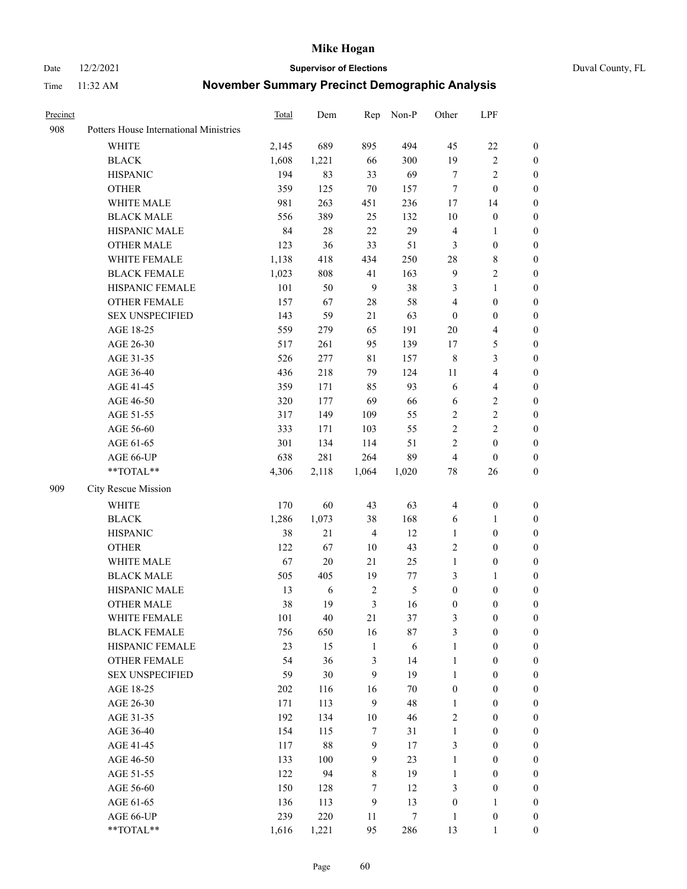#### Date 12/2/2021 **Supervisor of Elections** Duval County, FL

| Precinct |                                        | Total | Dem        | Rep            | Non-P            | Other                   | LPF                     |                     |
|----------|----------------------------------------|-------|------------|----------------|------------------|-------------------------|-------------------------|---------------------|
| 908      | Potters House International Ministries |       |            |                |                  |                         |                         |                     |
|          | <b>WHITE</b>                           | 2,145 | 689        | 895            | 494              | 45                      | $22\,$                  | 0                   |
|          | <b>BLACK</b>                           | 1,608 | 1,221      | 66             | 300              | 19                      | $\sqrt{2}$              | 0                   |
|          | <b>HISPANIC</b>                        | 194   | 83         | 33             | 69               | $\tau$                  | $\sqrt{2}$              | 0                   |
|          | <b>OTHER</b>                           | 359   | 125        | 70             | 157              | 7                       | $\boldsymbol{0}$        | $\boldsymbol{0}$    |
|          | WHITE MALE                             | 981   | 263        | 451            | 236              | 17                      | 14                      | $\boldsymbol{0}$    |
|          | <b>BLACK MALE</b>                      | 556   | 389        | 25             | 132              | 10                      | $\boldsymbol{0}$        | $\boldsymbol{0}$    |
|          | HISPANIC MALE                          | 84    | 28         | 22             | 29               | 4                       | $\mathbf{1}$            | $\boldsymbol{0}$    |
|          | <b>OTHER MALE</b>                      | 123   | 36         | 33             | 51               | 3                       | $\boldsymbol{0}$        | $\boldsymbol{0}$    |
|          | WHITE FEMALE                           | 1,138 | 418        | 434            | 250              | 28                      | $8\,$                   | 0                   |
|          | <b>BLACK FEMALE</b>                    | 1,023 | 808        | 41             | 163              | $\overline{9}$          | $\sqrt{2}$              | 0                   |
|          | HISPANIC FEMALE                        | 101   | 50         | $\overline{9}$ | 38               | 3                       | $\mathbf{1}$            | 0                   |
|          | OTHER FEMALE                           | 157   | 67         | 28             | 58               | 4                       | $\boldsymbol{0}$        | 0                   |
|          | <b>SEX UNSPECIFIED</b>                 | 143   | 59         | 21             | 63               | $\boldsymbol{0}$        | $\boldsymbol{0}$        | $\boldsymbol{0}$    |
|          | AGE 18-25                              | 559   | 279        | 65             | 191              | $20\,$                  | $\overline{\mathbf{4}}$ | $\boldsymbol{0}$    |
|          | AGE 26-30                              | 517   | 261        | 95             | 139              | 17                      | $\mathfrak{S}$          | $\boldsymbol{0}$    |
|          | AGE 31-35                              | 526   | 277        | $8\sqrt{1}$    | 157              | $\,$ 8 $\,$             | $\mathfrak{Z}$          | $\boldsymbol{0}$    |
|          | AGE 36-40                              | 436   | 218        | 79             | 124              | $11\,$                  | $\overline{\mathbf{4}}$ | $\boldsymbol{0}$    |
|          | AGE 41-45                              | 359   | 171        | 85             | 93               | 6                       | $\overline{4}$          | $\boldsymbol{0}$    |
|          | AGE 46-50                              | 320   | 177        | 69             | 66               | 6                       | $\sqrt{2}$              | $\boldsymbol{0}$    |
|          | AGE 51-55                              | 317   | 149        | 109            | 55               | $\sqrt{2}$              | $\sqrt{2}$              | 0                   |
|          | AGE 56-60                              | 333   | 171        | 103            | 55               | $\sqrt{2}$              | $\sqrt{2}$              | 0                   |
|          | AGE 61-65                              | 301   | 134        | 114            | 51               | $\mathfrak{2}$          | $\boldsymbol{0}$        | 0                   |
|          | AGE 66-UP                              | 638   | 281        | 264            | 89               | 4                       | $\boldsymbol{0}$        | $\boldsymbol{0}$    |
|          | **TOTAL**                              | 4,306 | 2,118      | 1,064          | 1,020            | $78\,$                  | 26                      | $\boldsymbol{0}$    |
| 909      | City Rescue Mission                    |       |            |                |                  |                         |                         |                     |
|          | <b>WHITE</b>                           | 170   | 60         | 43             | 63               | $\overline{\mathbf{4}}$ | $\boldsymbol{0}$        | $\boldsymbol{0}$    |
|          | <b>BLACK</b>                           | 1,286 | 1,073      | 38             | 168              | 6                       | $\mathbf{1}$            | $\boldsymbol{0}$    |
|          | <b>HISPANIC</b>                        | 38    | 21         | $\overline{4}$ | 12               | $\mathbf{1}$            | $\boldsymbol{0}$        | $\boldsymbol{0}$    |
|          | <b>OTHER</b>                           | 122   | 67         | 10             | 43               | 2                       | $\boldsymbol{0}$        | $\boldsymbol{0}$    |
|          | WHITE MALE                             | 67    | $20\,$     | 21             | 25               | $\mathbf{1}$            | $\boldsymbol{0}$        | $\boldsymbol{0}$    |
|          | <b>BLACK MALE</b>                      | 505   | 405        | 19             | $77 \,$          | 3                       | $\mathbf{1}$            | 0                   |
|          | HISPANIC MALE                          | 13    | $\sqrt{6}$ | $\sqrt{2}$     | $\mathfrak{S}$   | $\boldsymbol{0}$        | $\boldsymbol{0}$        | 0                   |
|          | <b>OTHER MALE</b>                      | 38    | 19         | 3              | 16               | $\boldsymbol{0}$        | $\boldsymbol{0}$        | 0                   |
|          | WHITE FEMALE                           | 101   | 40         | 21             | 37               | 3                       | $\boldsymbol{0}$        | 0                   |
|          | <b>BLACK FEMALE</b>                    | 756   | 650        | 16             | 87               | 3                       | $\boldsymbol{0}$        | $\overline{0}$      |
|          | HISPANIC FEMALE                        | 23    | 15         | $\mathbf{1}$   | $\sqrt{6}$       | $\mathbf{1}$            | $\boldsymbol{0}$        | $\overline{0}$      |
|          | OTHER FEMALE                           | 54    | 36         | 3              | 14               | $\mathbf{1}$            | $\boldsymbol{0}$        | $\overline{0}$      |
|          | <b>SEX UNSPECIFIED</b>                 | 59    | 30         | 9              | 19               | $\mathbf{1}$            | $\boldsymbol{0}$        | $\overline{0}$      |
|          | AGE 18-25                              | 202   | 116        | 16             | $70\,$           | $\boldsymbol{0}$        | $\boldsymbol{0}$        | $\overline{0}$      |
|          | AGE 26-30                              | 171   | 113        | 9              | 48               | $\mathbf{1}$            | $\boldsymbol{0}$        | 0                   |
|          | AGE 31-35                              | 192   | 134        | 10             | 46               | 2                       | $\boldsymbol{0}$        | 0                   |
|          | AGE 36-40                              | 154   | 115        | 7              | 31               | $\mathbf{1}$            | $\boldsymbol{0}$        | 0                   |
|          | AGE 41-45                              | 117   | 88         | 9              | 17               | 3                       | $\boldsymbol{0}$        | 0                   |
|          |                                        | 133   |            | 9              | 23               | $\mathbf{1}$            | $\boldsymbol{0}$        |                     |
|          | AGE 46-50<br>AGE 51-55                 | 122   | 100<br>94  |                | 19               | $\mathbf{1}$            | $\boldsymbol{0}$        | 0<br>$\overline{0}$ |
|          | AGE 56-60                              | 150   | 128        | 8<br>$\tau$    | 12               | 3                       | $\boldsymbol{0}$        | $\overline{0}$      |
|          | AGE 61-65                              | 136   | 113        | $\mathbf{9}$   | 13               | $\boldsymbol{0}$        | $\mathbf{1}$            | $\overline{0}$      |
|          | AGE 66-UP                              | 239   | 220        | 11             | $\boldsymbol{7}$ | $\mathbf{1}$            | $\boldsymbol{0}$        | $\boldsymbol{0}$    |
|          | **TOTAL**                              | 1,616 | 1,221      | 95             | 286              | 13                      | $\mathbf{1}$            | $\boldsymbol{0}$    |
|          |                                        |       |            |                |                  |                         |                         |                     |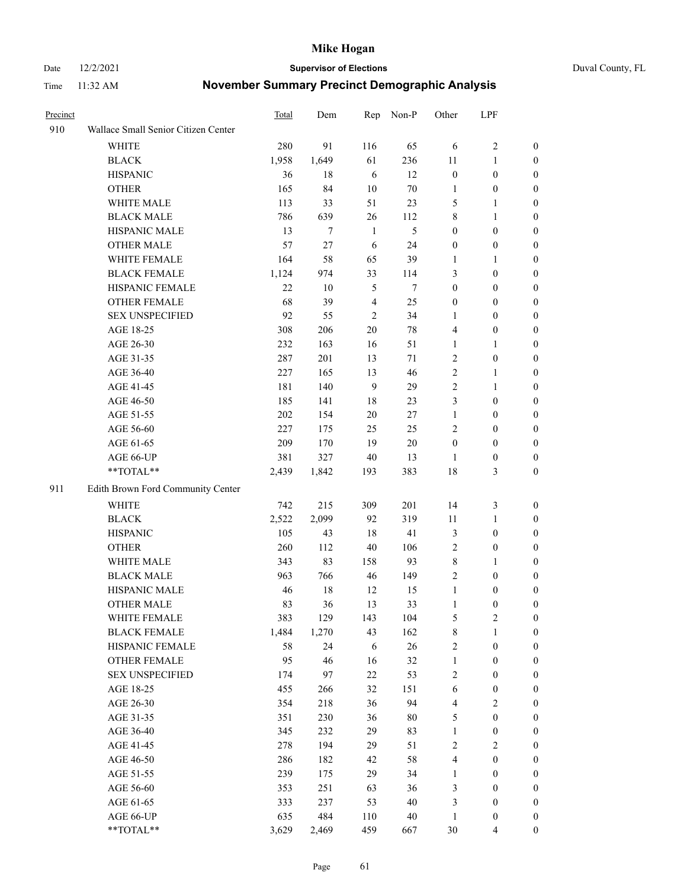Date 12/2/2021 **Supervisor of Elections** Duval County, FL

| Precinct |                                     | <b>Total</b> | Dem    | Rep            | Non-P  | Other                   | LPF              |                  |
|----------|-------------------------------------|--------------|--------|----------------|--------|-------------------------|------------------|------------------|
| 910      | Wallace Small Senior Citizen Center |              |        |                |        |                         |                  |                  |
|          | <b>WHITE</b>                        | 280          | 91     | 116            | 65     | 6                       | $\sqrt{2}$       | 0                |
|          | <b>BLACK</b>                        | 1,958        | 1,649  | 61             | 236    | 11                      | $\mathbf{1}$     | 0                |
|          | <b>HISPANIC</b>                     | 36           | 18     | 6              | 12     | $\boldsymbol{0}$        | $\boldsymbol{0}$ | 0                |
|          | <b>OTHER</b>                        | 165          | 84     | 10             | $70\,$ | 1                       | $\boldsymbol{0}$ | $\boldsymbol{0}$ |
|          | WHITE MALE                          | 113          | 33     | 51             | 23     | 5                       | $\mathbf{1}$     | $\boldsymbol{0}$ |
|          | <b>BLACK MALE</b>                   | 786          | 639    | 26             | 112    | 8                       | $\mathbf{1}$     | $\boldsymbol{0}$ |
|          | HISPANIC MALE                       | 13           | $\tau$ | $\mathbf{1}$   | 5      | $\boldsymbol{0}$        | $\boldsymbol{0}$ | $\boldsymbol{0}$ |
|          | <b>OTHER MALE</b>                   | 57           | 27     | 6              | 24     | $\boldsymbol{0}$        | $\boldsymbol{0}$ | $\boldsymbol{0}$ |
|          | WHITE FEMALE                        | 164          | 58     | 65             | 39     | 1                       | $\mathbf{1}$     | $\boldsymbol{0}$ |
|          | <b>BLACK FEMALE</b>                 | 1,124        | 974    | 33             | 114    | 3                       | $\boldsymbol{0}$ | 0                |
|          | HISPANIC FEMALE                     | 22           | 10     | 5              | 7      | $\boldsymbol{0}$        | $\boldsymbol{0}$ | 0                |
|          | <b>OTHER FEMALE</b>                 | 68           | 39     | $\overline{4}$ | 25     | $\boldsymbol{0}$        | $\boldsymbol{0}$ | 0                |
|          | <b>SEX UNSPECIFIED</b>              | 92           | 55     | $\mathfrak{2}$ | 34     | $\mathbf{1}$            | $\boldsymbol{0}$ | $\boldsymbol{0}$ |
|          | AGE 18-25                           | 308          | 206    | 20             | $78\,$ | 4                       | $\boldsymbol{0}$ | $\boldsymbol{0}$ |
|          | AGE 26-30                           | 232          | 163    | 16             | 51     | $\mathbf{1}$            | $\mathbf{1}$     | $\boldsymbol{0}$ |
|          | AGE 31-35                           | 287          | 201    | 13             | 71     | $\sqrt{2}$              | $\boldsymbol{0}$ | $\boldsymbol{0}$ |
|          | AGE 36-40                           | 227          | 165    | 13             | 46     | $\overline{c}$          | $\mathbf{1}$     | $\boldsymbol{0}$ |
|          | AGE 41-45                           | 181          | 140    | 9              | 29     | $\mathbf{2}$            | $\mathbf{1}$     | $\boldsymbol{0}$ |
|          | AGE 46-50                           | 185          | 141    | 18             | 23     | 3                       | $\boldsymbol{0}$ | $\boldsymbol{0}$ |
|          | AGE 51-55                           | 202          | 154    | 20             | 27     | $\mathbf{1}$            | $\boldsymbol{0}$ | 0                |
|          | AGE 56-60                           | 227          | 175    | 25             | 25     | $\mathbf{2}$            | $\boldsymbol{0}$ | 0                |
|          | AGE 61-65                           | 209          | 170    | 19             | $20\,$ | $\boldsymbol{0}$        | $\boldsymbol{0}$ | 0                |
|          | AGE 66-UP                           | 381          | 327    | 40             | 13     | $\mathbf{1}$            | $\boldsymbol{0}$ | $\boldsymbol{0}$ |
|          | **TOTAL**                           | 2,439        | 1,842  | 193            | 383    | 18                      | $\mathfrak{Z}$   | $\boldsymbol{0}$ |
| 911      | Edith Brown Ford Community Center   |              |        |                |        |                         |                  |                  |
|          | <b>WHITE</b>                        | 742          | 215    | 309            | 201    | 14                      | $\mathfrak{Z}$   | $\boldsymbol{0}$ |
|          | <b>BLACK</b>                        | 2,522        | 2,099  | 92             | 319    | $11\,$                  | $\mathbf{1}$     | $\boldsymbol{0}$ |
|          | <b>HISPANIC</b>                     | 105          | 43     | 18             | 41     | 3                       | $\boldsymbol{0}$ | $\boldsymbol{0}$ |
|          | <b>OTHER</b>                        | 260          | 112    | 40             | 106    | $\overline{c}$          | $\boldsymbol{0}$ | $\boldsymbol{0}$ |
|          | WHITE MALE                          | 343          | 83     | 158            | 93     | 8                       | $\mathbf{1}$     | $\boldsymbol{0}$ |
|          | <b>BLACK MALE</b>                   | 963          | 766    | 46             | 149    | $\overline{c}$          | $\boldsymbol{0}$ | $\boldsymbol{0}$ |
|          | HISPANIC MALE                       | 46           | $18\,$ | 12             | 15     | $\mathbf{1}$            | $\boldsymbol{0}$ | 0                |
|          | <b>OTHER MALE</b>                   | 83           | 36     | 13             | 33     | $\mathbf{1}$            | $\boldsymbol{0}$ | 0                |
|          | WHITE FEMALE                        | 383          | 129    | 143            | 104    | 5                       | 2                | 0                |
|          | <b>BLACK FEMALE</b>                 | 1,484        | 1,270  | 43             | 162    | 8                       | $\mathbf{1}$     | $\boldsymbol{0}$ |
|          | HISPANIC FEMALE                     | 58           | 24     | 6              | 26     | $\overline{c}$          | $\boldsymbol{0}$ | $\overline{0}$   |
|          | OTHER FEMALE                        | 95           | 46     | 16             | 32     | $\mathbf{1}$            | $\boldsymbol{0}$ | $\overline{0}$   |
|          | <b>SEX UNSPECIFIED</b>              | 174          | 97     | 22             | 53     | 2                       | $\boldsymbol{0}$ | 0                |
|          | AGE 18-25                           | 455          | 266    | 32             | 151    | 6                       | $\boldsymbol{0}$ | $\theta$         |
|          | AGE 26-30                           | 354          | 218    | 36             | 94     | $\overline{\mathbf{4}}$ | $\overline{2}$   | 0                |
|          | AGE 31-35                           | 351          | 230    | 36             | $80\,$ | 5                       | $\boldsymbol{0}$ | 0                |
|          | AGE 36-40                           | 345          | 232    | 29             | 83     | $\mathbf{1}$            | $\boldsymbol{0}$ | 0                |
|          | AGE 41-45                           | 278          | 194    | 29             | 51     | 2                       | $\overline{2}$   | 0                |
|          | AGE 46-50                           | 286          | 182    | 42             | 58     | 4                       | $\boldsymbol{0}$ | 0                |
|          | AGE 51-55                           | 239          | 175    | 29             | 34     | $\mathbf{1}$            | $\boldsymbol{0}$ | $\boldsymbol{0}$ |
|          | AGE 56-60                           | 353          | 251    | 63             | 36     | 3                       | $\boldsymbol{0}$ | $\overline{0}$   |
|          | AGE 61-65                           | 333          | 237    | 53             | 40     | 3                       | $\boldsymbol{0}$ | $\overline{0}$   |
|          | AGE 66-UP                           | 635          | 484    | 110            | $40\,$ | $\mathbf{1}$            | $\boldsymbol{0}$ | $\boldsymbol{0}$ |
|          | **TOTAL**                           | 3,629        | 2,469  | 459            | 667    | 30                      | $\overline{4}$   | $\boldsymbol{0}$ |
|          |                                     |              |        |                |        |                         |                  |                  |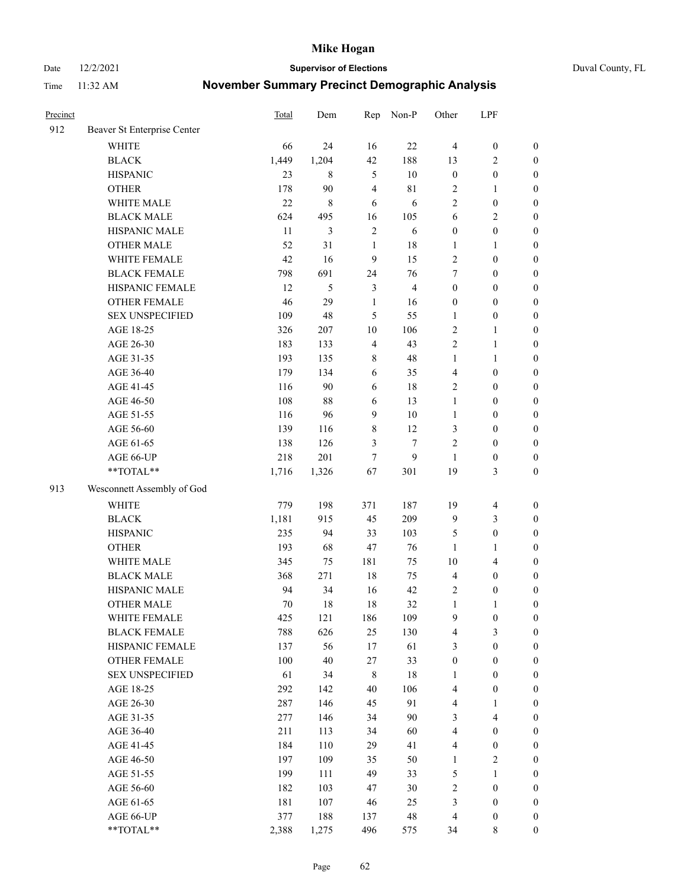Date 12/2/2021 **Supervisor of Elections** Duval County, FL

| Precinct |                             | <b>Total</b> | Dem            | Rep                     | Non-P          | Other            | LPF              |                  |
|----------|-----------------------------|--------------|----------------|-------------------------|----------------|------------------|------------------|------------------|
| 912      | Beaver St Enterprise Center |              |                |                         |                |                  |                  |                  |
|          | <b>WHITE</b>                | 66           | 24             | 16                      | 22             | $\overline{4}$   | $\boldsymbol{0}$ | $\boldsymbol{0}$ |
|          | <b>BLACK</b>                | 1,449        | 1,204          | 42                      | 188            | 13               | $\overline{c}$   | $\boldsymbol{0}$ |
|          | <b>HISPANIC</b>             | 23           | 8              | $\sqrt{5}$              | 10             | $\boldsymbol{0}$ | $\boldsymbol{0}$ | $\boldsymbol{0}$ |
|          | <b>OTHER</b>                | 178          | 90             | $\overline{\mathbf{4}}$ | $8\sqrt{1}$    | 2                | 1                | $\boldsymbol{0}$ |
|          | WHITE MALE                  | 22           | $\,8\,$        | 6                       | 6              | 2                | $\boldsymbol{0}$ | $\boldsymbol{0}$ |
|          | <b>BLACK MALE</b>           | 624          | 495            | 16                      | 105            | 6                | $\sqrt{2}$       | $\boldsymbol{0}$ |
|          | HISPANIC MALE               | 11           | $\mathfrak{Z}$ | $\sqrt{2}$              | 6              | $\boldsymbol{0}$ | $\boldsymbol{0}$ | $\boldsymbol{0}$ |
|          | <b>OTHER MALE</b>           | 52           | 31             | $\mathbf{1}$            | 18             | $\mathbf{1}$     | $\mathbf{1}$     | $\boldsymbol{0}$ |
|          | WHITE FEMALE                | 42           | 16             | $\boldsymbol{9}$        | 15             | $\overline{c}$   | $\boldsymbol{0}$ | $\boldsymbol{0}$ |
|          | <b>BLACK FEMALE</b>         | 798          | 691            | 24                      | 76             | 7                | $\boldsymbol{0}$ | $\boldsymbol{0}$ |
|          | HISPANIC FEMALE             | 12           | 5              | $\mathfrak{Z}$          | $\overline{4}$ | $\boldsymbol{0}$ | $\boldsymbol{0}$ | $\boldsymbol{0}$ |
|          | <b>OTHER FEMALE</b>         | 46           | 29             | $\mathbf{1}$            | 16             | $\boldsymbol{0}$ | $\boldsymbol{0}$ | $\boldsymbol{0}$ |
|          | <b>SEX UNSPECIFIED</b>      | 109          | 48             | 5                       | 55             | $\mathbf{1}$     | $\boldsymbol{0}$ | $\boldsymbol{0}$ |
|          | AGE 18-25                   | 326          | 207            | $10\,$                  | 106            | 2                | $\mathbf{1}$     | $\boldsymbol{0}$ |
|          | AGE 26-30                   | 183          | 133            | $\overline{4}$          | 43             | 2                | $\mathbf{1}$     | $\boldsymbol{0}$ |
|          | AGE 31-35                   | 193          | 135            | $\,$ $\,$               | 48             | $\mathbf{1}$     | $\mathbf{1}$     | $\boldsymbol{0}$ |
|          | AGE 36-40                   | 179          | 134            | 6                       | 35             | 4                | $\boldsymbol{0}$ | $\boldsymbol{0}$ |
|          | AGE 41-45                   | 116          | 90             | $\sqrt{6}$              | 18             | 2                | $\boldsymbol{0}$ | $\boldsymbol{0}$ |
|          | AGE 46-50                   | 108          | $88\,$         | 6                       | 13             | $\mathbf{1}$     | $\boldsymbol{0}$ | $\boldsymbol{0}$ |
|          | AGE 51-55                   | 116          | 96             | 9                       | $10\,$         | $\mathbf{1}$     | $\boldsymbol{0}$ | $\boldsymbol{0}$ |
|          | AGE 56-60                   | 139          | 116            | $8\,$                   | 12             | 3                | $\boldsymbol{0}$ | $\boldsymbol{0}$ |
|          | AGE 61-65                   | 138          | 126            | 3                       | $\tau$         | 2                | $\boldsymbol{0}$ | $\boldsymbol{0}$ |
|          | AGE 66-UP                   | 218          | 201            | 7                       | 9              | 1                | $\boldsymbol{0}$ | $\boldsymbol{0}$ |
|          | **TOTAL**                   | 1,716        | 1,326          | 67                      | 301            | 19               | $\mathfrak{Z}$   | $\boldsymbol{0}$ |
| 913      | Wesconnett Assembly of God  |              |                |                         |                |                  |                  |                  |
|          | <b>WHITE</b>                | 779          | 198            | 371                     | 187            | 19               | $\overline{4}$   | $\boldsymbol{0}$ |
|          | <b>BLACK</b>                | 1,181        | 915            | 45                      | 209            | 9                | $\mathfrak{Z}$   | $\boldsymbol{0}$ |
|          | <b>HISPANIC</b>             | 235          | 94             | 33                      | 103            | 5                | $\boldsymbol{0}$ | $\boldsymbol{0}$ |
|          | <b>OTHER</b>                | 193          | 68             | 47                      | 76             | $\mathbf{1}$     | $\mathbf{1}$     | $\boldsymbol{0}$ |
|          | WHITE MALE                  | 345          | 75             | 181                     | 75             | $10\,$           | $\overline{4}$   | $\boldsymbol{0}$ |
|          | <b>BLACK MALE</b>           | 368          | 271            | $18\,$                  | 75             | 4                | $\boldsymbol{0}$ | $\boldsymbol{0}$ |
|          | HISPANIC MALE               | 94           | 34             | 16                      | 42             | 2                | $\boldsymbol{0}$ | $\boldsymbol{0}$ |
|          | <b>OTHER MALE</b>           | 70           | 18             | 18                      | 32             | $\mathbf{1}$     | $\mathbf{1}$     | $\boldsymbol{0}$ |
|          | WHITE FEMALE                | 425          | 121            | 186                     | 109            | 9                | $\boldsymbol{0}$ | 0                |
|          | <b>BLACK FEMALE</b>         | 788          | 626            | 25                      | 130            | 4                | 3                | $\boldsymbol{0}$ |
|          | HISPANIC FEMALE             | 137          | 56             | 17                      | 61             | 3                | $\boldsymbol{0}$ | $\overline{0}$   |
|          | OTHER FEMALE                | 100          | $40\,$         | 27                      | 33             | $\boldsymbol{0}$ | $\boldsymbol{0}$ | $\overline{0}$   |
|          | <b>SEX UNSPECIFIED</b>      | 61           | 34             | 8                       | 18             | $\mathbf{1}$     | $\boldsymbol{0}$ | 0                |
|          | AGE 18-25                   | 292          | 142            | 40                      | 106            | 4                | $\boldsymbol{0}$ | $\theta$         |
|          | AGE 26-30                   | 287          | 146            | 45                      | 91             | 4                | $\mathbf{1}$     | 0                |
|          | AGE 31-35                   | 277          | 146            | 34                      | $90\,$         | 3                | $\overline{4}$   | 0                |
|          | AGE 36-40                   | 211          | 113            | 34                      | 60             | 4                | $\boldsymbol{0}$ | 0                |
|          | AGE 41-45                   | 184          | 110            | 29                      | 41             | 4                | $\boldsymbol{0}$ | 0                |
|          | AGE 46-50                   | 197          | 109            | 35                      | 50             | $\mathbf{1}$     | $\sqrt{2}$       | 0                |
|          | AGE 51-55                   | 199          | 111            | 49                      | 33             | 5                | $\mathbf{1}$     | 0                |
|          | AGE 56-60                   | 182          | 103            | 47                      | $30\,$         | 2                | $\boldsymbol{0}$ | $\overline{0}$   |
|          | AGE 61-65                   | 181          | 107            | 46                      | 25             | 3                | $\boldsymbol{0}$ | $\overline{0}$   |
|          | AGE 66-UP                   | 377          | 188            | 137                     | $\sqrt{48}$    | 4                | $\boldsymbol{0}$ | 0                |
|          | **TOTAL**                   | 2,388        | 1,275          | 496                     | 575            | 34               | 8                | $\boldsymbol{0}$ |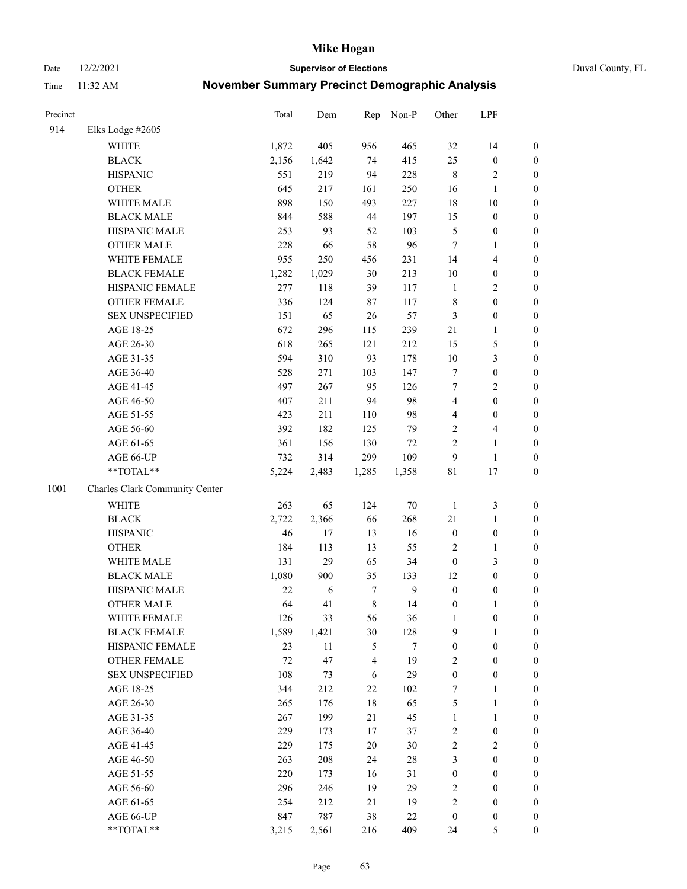Date 12/2/2021 **Supervisor of Elections** Duval County, FL

| Precinct |                                | <b>Total</b> | Dem    | Rep         | Non-P          | Other            | LPF                     |                  |
|----------|--------------------------------|--------------|--------|-------------|----------------|------------------|-------------------------|------------------|
| 914      | Elks Lodge #2605               |              |        |             |                |                  |                         |                  |
|          | <b>WHITE</b>                   | 1,872        | 405    | 956         | 465            | 32               | 14                      | 0                |
|          | <b>BLACK</b>                   | 2,156        | 1,642  | 74          | 415            | 25               | $\boldsymbol{0}$        | 0                |
|          | <b>HISPANIC</b>                | 551          | 219    | 94          | 228            | $\,$ 8 $\,$      | $\sqrt{2}$              | $\boldsymbol{0}$ |
|          | <b>OTHER</b>                   | 645          | 217    | 161         | 250            | 16               | 1                       | $\boldsymbol{0}$ |
|          | WHITE MALE                     | 898          | 150    | 493         | 227            | 18               | $10\,$                  | $\boldsymbol{0}$ |
|          | <b>BLACK MALE</b>              | 844          | 588    | 44          | 197            | 15               | $\boldsymbol{0}$        | $\boldsymbol{0}$ |
|          | HISPANIC MALE                  | 253          | 93     | 52          | 103            | 5                | $\boldsymbol{0}$        | $\boldsymbol{0}$ |
|          | <b>OTHER MALE</b>              | 228          | 66     | 58          | 96             | $\tau$           | $\mathbf{1}$            | $\boldsymbol{0}$ |
|          | WHITE FEMALE                   | 955          | 250    | 456         | 231            | 14               | $\overline{\mathbf{4}}$ | $\boldsymbol{0}$ |
|          | <b>BLACK FEMALE</b>            | 1,282        | 1,029  | 30          | 213            | 10               | $\boldsymbol{0}$        | 0                |
|          | HISPANIC FEMALE                | 277          | 118    | 39          | 117            | $\mathbf{1}$     | $\sqrt{2}$              | 0                |
|          | OTHER FEMALE                   | 336          | 124    | $87\,$      | 117            | $\,$ 8 $\,$      | $\boldsymbol{0}$        | $\boldsymbol{0}$ |
|          | <b>SEX UNSPECIFIED</b>         | 151          | 65     | 26          | 57             | 3                | $\boldsymbol{0}$        | $\boldsymbol{0}$ |
|          | AGE 18-25                      | 672          | 296    | 115         | 239            | 21               | $\mathbf{1}$            | $\boldsymbol{0}$ |
|          | AGE 26-30                      | 618          | 265    | 121         | 212            | 15               | $\mathfrak{S}$          | $\boldsymbol{0}$ |
|          | AGE 31-35                      | 594          | 310    | 93          | 178            | $10\,$           | $\mathfrak{Z}$          | $\boldsymbol{0}$ |
|          | AGE 36-40                      | 528          | 271    | 103         | 147            | 7                | $\boldsymbol{0}$        | $\boldsymbol{0}$ |
|          | AGE 41-45                      | 497          | 267    | 95          | 126            | $\tau$           | $\overline{2}$          | $\boldsymbol{0}$ |
|          | AGE 46-50                      | 407          | 211    | 94          | 98             | $\overline{4}$   | $\boldsymbol{0}$        | $\boldsymbol{0}$ |
|          | AGE 51-55                      | 423          | 211    | 110         | 98             | 4                | $\boldsymbol{0}$        | $\boldsymbol{0}$ |
|          | AGE 56-60                      | 392          | 182    | 125         | 79             | $\overline{c}$   | $\overline{4}$          | 0                |
|          | AGE 61-65                      | 361          | 156    | 130         | 72             | $\overline{c}$   | $\mathbf{1}$            | $\boldsymbol{0}$ |
|          | AGE 66-UP                      | 732          | 314    | 299         | 109            | 9                | $\mathbf{1}$            | $\boldsymbol{0}$ |
|          | **TOTAL**                      | 5,224        | 2,483  | 1,285       | 1,358          | 81               | 17                      | $\boldsymbol{0}$ |
| 1001     | Charles Clark Community Center |              |        |             |                |                  |                         |                  |
|          | WHITE                          | 263          | 65     | 124         | $70\,$         | $\mathbf{1}$     | $\mathfrak{Z}$          | $\boldsymbol{0}$ |
|          | <b>BLACK</b>                   | 2,722        | 2,366  | 66          | 268            | 21               | $\mathbf{1}$            | $\boldsymbol{0}$ |
|          | <b>HISPANIC</b>                | 46           | 17     | 13          | 16             | $\boldsymbol{0}$ | $\boldsymbol{0}$        | $\boldsymbol{0}$ |
|          | <b>OTHER</b>                   | 184          | 113    | 13          | 55             | $\mathbf{2}$     | $\mathbf{1}$            | $\boldsymbol{0}$ |
|          | WHITE MALE                     | 131          | 29     | 65          | 34             | $\boldsymbol{0}$ | 3                       | $\boldsymbol{0}$ |
|          | <b>BLACK MALE</b>              | 1,080        | 900    | 35          | 133            | 12               | $\boldsymbol{0}$        | $\boldsymbol{0}$ |
|          | HISPANIC MALE                  | 22           | 6      | $\tau$      | $\overline{9}$ | $\boldsymbol{0}$ | $\boldsymbol{0}$        | $\boldsymbol{0}$ |
|          | OTHER MALE                     | 64           | 41     | $\,$ 8 $\,$ | 14             | $\boldsymbol{0}$ | $\mathbf{1}$            | $\boldsymbol{0}$ |
|          | WHITE FEMALE                   | 126          | 33     | 56          | 36             | 1                | $\boldsymbol{0}$        | 0                |
|          | <b>BLACK FEMALE</b>            | 1,589        | 1,421  | 30          | 128            | 9                | $\mathbf{1}$            | $\boldsymbol{0}$ |
|          | HISPANIC FEMALE                | 23           | $11\,$ | 5           | 7              | $\boldsymbol{0}$ | $\boldsymbol{0}$        | $\overline{0}$   |
|          | <b>OTHER FEMALE</b>            | 72           | 47     | 4           | 19             | 2                | $\boldsymbol{0}$        | $\overline{0}$   |
|          | <b>SEX UNSPECIFIED</b>         | 108          | 73     | 6           | 29             | $\boldsymbol{0}$ | $\boldsymbol{0}$        | 0                |
|          | AGE 18-25                      | 344          | 212    | 22          | 102            | 7                | $\mathbf{1}$            | 0                |
|          | AGE 26-30                      | 265          | 176    | 18          | 65             | 5                | $\mathbf{1}$            | 0                |
|          | AGE 31-35                      | 267          | 199    | 21          | 45             | $\mathbf{1}$     | $\mathbf{1}$            | 0                |
|          | AGE 36-40                      | 229          | 173    | 17          | 37             | 2                | $\boldsymbol{0}$        | 0                |
|          | AGE 41-45                      | 229          | 175    | 20          | $30\,$         | $\overline{c}$   | $\mathfrak{2}$          | 0                |
|          | AGE 46-50                      | 263          | 208    | 24          | 28             | 3                | $\boldsymbol{0}$        | 0                |
|          | AGE 51-55                      | 220          | 173    | 16          | 31             | $\boldsymbol{0}$ | $\boldsymbol{0}$        | 0                |
|          | AGE 56-60                      | 296          | 246    | 19          | 29             | 2                | $\boldsymbol{0}$        | $\overline{0}$   |
|          | AGE 61-65                      | 254          | 212    | 21          | 19             | 2                | $\boldsymbol{0}$        | $\overline{0}$   |
|          | AGE 66-UP                      | 847          | 787    | 38          | 22             | $\boldsymbol{0}$ | $\boldsymbol{0}$        | 0                |
|          | $**TOTAL**$                    | 3,215        | 2,561  | 216         | 409            | 24               | 5                       | $\boldsymbol{0}$ |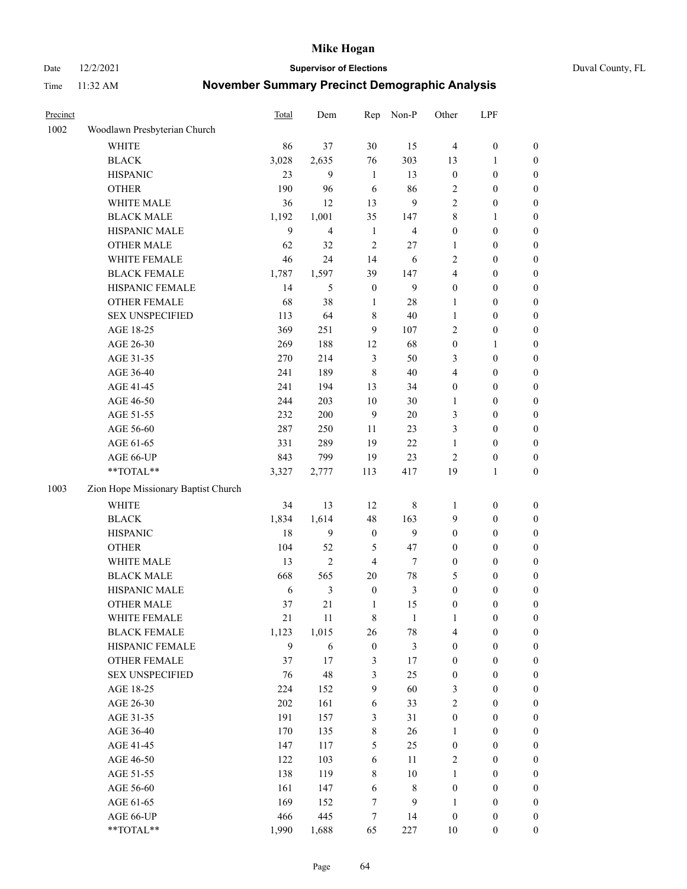Date 12/2/2021 **Supervisor of Elections** Duval County, FL

| Precinct |                                     | <b>Total</b> | Dem            | Rep              | Non-P                   | Other            | LPF              |                  |
|----------|-------------------------------------|--------------|----------------|------------------|-------------------------|------------------|------------------|------------------|
| 1002     | Woodlawn Presbyterian Church        |              |                |                  |                         |                  |                  |                  |
|          | <b>WHITE</b>                        | 86           | 37             | 30               | 15                      | $\overline{4}$   | $\boldsymbol{0}$ | 0                |
|          | <b>BLACK</b>                        | 3,028        | 2,635          | 76               | 303                     | 13               | $\mathbf{1}$     | 0                |
|          | <b>HISPANIC</b>                     | 23           | 9              | $\mathbf{1}$     | 13                      | $\boldsymbol{0}$ | $\boldsymbol{0}$ | $\boldsymbol{0}$ |
|          | <b>OTHER</b>                        | 190          | 96             | 6                | 86                      | 2                | $\boldsymbol{0}$ | $\boldsymbol{0}$ |
|          | WHITE MALE                          | 36           | 12             | 13               | 9                       | 2                | $\boldsymbol{0}$ | $\boldsymbol{0}$ |
|          | <b>BLACK MALE</b>                   | 1,192        | 1,001          | 35               | 147                     | 8                | 1                | $\boldsymbol{0}$ |
|          | HISPANIC MALE                       | $\mathbf{9}$ | $\overline{4}$ | $\mathbf{1}$     | $\overline{\mathbf{4}}$ | $\boldsymbol{0}$ | $\boldsymbol{0}$ | $\boldsymbol{0}$ |
|          | <b>OTHER MALE</b>                   | 62           | 32             | $\overline{c}$   | $27\,$                  | $\mathbf{1}$     | $\boldsymbol{0}$ | $\boldsymbol{0}$ |
|          | WHITE FEMALE                        | 46           | 24             | 14               | 6                       | 2                | $\boldsymbol{0}$ | $\boldsymbol{0}$ |
|          | <b>BLACK FEMALE</b>                 | 1,787        | 1,597          | 39               | 147                     | 4                | $\boldsymbol{0}$ | $\boldsymbol{0}$ |
|          | HISPANIC FEMALE                     | 14           | 5              | $\boldsymbol{0}$ | $\mathbf{9}$            | $\boldsymbol{0}$ | $\boldsymbol{0}$ | 0                |
|          | <b>OTHER FEMALE</b>                 | 68           | 38             | $\mathbf{1}$     | $28\,$                  | 1                | $\boldsymbol{0}$ | $\boldsymbol{0}$ |
|          | <b>SEX UNSPECIFIED</b>              | 113          | 64             | $\,$ 8 $\,$      | 40                      | $\mathbf{1}$     | $\boldsymbol{0}$ | $\boldsymbol{0}$ |
|          | AGE 18-25                           | 369          | 251            | 9                | 107                     | 2                | $\boldsymbol{0}$ | $\boldsymbol{0}$ |
|          | AGE 26-30                           | 269          | 188            | 12               | 68                      | $\boldsymbol{0}$ | $\mathbf{1}$     | $\boldsymbol{0}$ |
|          | AGE 31-35                           | 270          | 214            | $\mathfrak{Z}$   | 50                      | 3                | $\boldsymbol{0}$ | $\boldsymbol{0}$ |
|          | AGE 36-40                           | 241          | 189            | $\,8\,$          | 40                      | 4                | $\boldsymbol{0}$ | $\boldsymbol{0}$ |
|          | AGE 41-45                           | 241          | 194            | 13               | 34                      | $\boldsymbol{0}$ | $\boldsymbol{0}$ | $\boldsymbol{0}$ |
|          | AGE 46-50                           | 244          | 203            | $10\,$           | $30\,$                  | 1                | $\boldsymbol{0}$ | $\boldsymbol{0}$ |
|          | AGE 51-55                           | 232          | 200            | 9                | $20\,$                  | 3                | $\boldsymbol{0}$ | $\boldsymbol{0}$ |
|          | AGE 56-60                           | 287          | 250            | 11               | 23                      | 3                | $\boldsymbol{0}$ | 0                |
|          | AGE 61-65                           | 331          | 289            | 19               | 22                      | 1                | $\boldsymbol{0}$ | 0                |
|          | AGE 66-UP                           | 843          | 799            | 19               | 23                      | $\overline{2}$   | $\boldsymbol{0}$ | $\boldsymbol{0}$ |
|          | **TOTAL**                           | 3,327        | 2,777          | 113              | 417                     | 19               | $\mathbf{1}$     | $\boldsymbol{0}$ |
| 1003     | Zion Hope Missionary Baptist Church |              |                |                  |                         |                  |                  |                  |
|          | <b>WHITE</b>                        | 34           | 13             | 12               | $\,$ 8 $\,$             | 1                | $\boldsymbol{0}$ | $\boldsymbol{0}$ |
|          | <b>BLACK</b>                        | 1,834        | 1,614          | 48               | 163                     | 9                | $\boldsymbol{0}$ | $\boldsymbol{0}$ |
|          | <b>HISPANIC</b>                     | 18           | 9              | $\boldsymbol{0}$ | 9                       | $\boldsymbol{0}$ | $\boldsymbol{0}$ | $\boldsymbol{0}$ |
|          | <b>OTHER</b>                        | 104          | 52             | 5                | 47                      | $\boldsymbol{0}$ | $\boldsymbol{0}$ | $\boldsymbol{0}$ |
|          | WHITE MALE                          | 13           | $\overline{2}$ | $\overline{4}$   | $\tau$                  | $\boldsymbol{0}$ | $\boldsymbol{0}$ | $\boldsymbol{0}$ |
|          | <b>BLACK MALE</b>                   | 668          | 565            | $20\,$           | $78\,$                  | 5                | $\boldsymbol{0}$ | $\boldsymbol{0}$ |
|          | HISPANIC MALE                       | 6            | $\mathfrak{Z}$ | $\boldsymbol{0}$ | $\mathfrak{Z}$          | $\boldsymbol{0}$ | $\boldsymbol{0}$ | $\boldsymbol{0}$ |
|          | <b>OTHER MALE</b>                   | 37           | 21             | $\mathbf{1}$     | 15                      | $\boldsymbol{0}$ | $\boldsymbol{0}$ | $\boldsymbol{0}$ |
|          | WHITE FEMALE                        | 21           | 11             | 8                | 1                       | 1                | 0                | 0                |
|          | <b>BLACK FEMALE</b>                 | 1,123        | 1,015          | 26               | $78\,$                  | 4                | $\boldsymbol{0}$ | $\boldsymbol{0}$ |
|          | HISPANIC FEMALE                     | 9            | 6              | $\boldsymbol{0}$ | $\mathfrak{Z}$          | $\boldsymbol{0}$ | $\boldsymbol{0}$ | $\overline{0}$   |
|          | <b>OTHER FEMALE</b>                 | 37           | 17             | 3                | 17                      | $\boldsymbol{0}$ | $\boldsymbol{0}$ | $\overline{0}$   |
|          | <b>SEX UNSPECIFIED</b>              | $76\,$       | 48             | 3                | 25                      | $\boldsymbol{0}$ | $\boldsymbol{0}$ | $\overline{0}$   |
|          | AGE 18-25                           | 224          | 152            | 9                | 60                      | 3                | $\boldsymbol{0}$ | $\overline{0}$   |
|          | AGE 26-30                           | 202          | 161            | $\sqrt{6}$       | 33                      | 2                | $\boldsymbol{0}$ | $\overline{0}$   |
|          | AGE 31-35                           | 191          | 157            | 3                | 31                      | $\boldsymbol{0}$ | $\boldsymbol{0}$ | 0                |
|          | AGE 36-40                           | 170          | 135            | 8                | 26                      | $\mathbf{1}$     | $\boldsymbol{0}$ | 0                |
|          | AGE 41-45                           | 147          | 117            | 5                | 25                      | $\boldsymbol{0}$ | $\boldsymbol{0}$ | 0                |
|          | AGE 46-50                           | 122          | 103            | $\sqrt{6}$       | 11                      | 2                | $\boldsymbol{0}$ | $\boldsymbol{0}$ |
|          | AGE 51-55                           | 138          | 119            | 8                | $10\,$                  | $\mathbf{1}$     | $\boldsymbol{0}$ | $\boldsymbol{0}$ |
|          | AGE 56-60                           | 161          | 147            | 6                | $8\,$                   | $\boldsymbol{0}$ | $\boldsymbol{0}$ | $\boldsymbol{0}$ |
|          | AGE 61-65                           | 169          | 152            | 7                | 9                       | $\mathbf{1}$     | $\boldsymbol{0}$ | $\boldsymbol{0}$ |
|          | AGE 66-UP                           | 466          | 445            | 7                | 14                      | $\boldsymbol{0}$ | $\boldsymbol{0}$ | $\boldsymbol{0}$ |
|          | **TOTAL**                           | 1,990        | 1,688          | 65               | 227                     | 10               | $\boldsymbol{0}$ | $\boldsymbol{0}$ |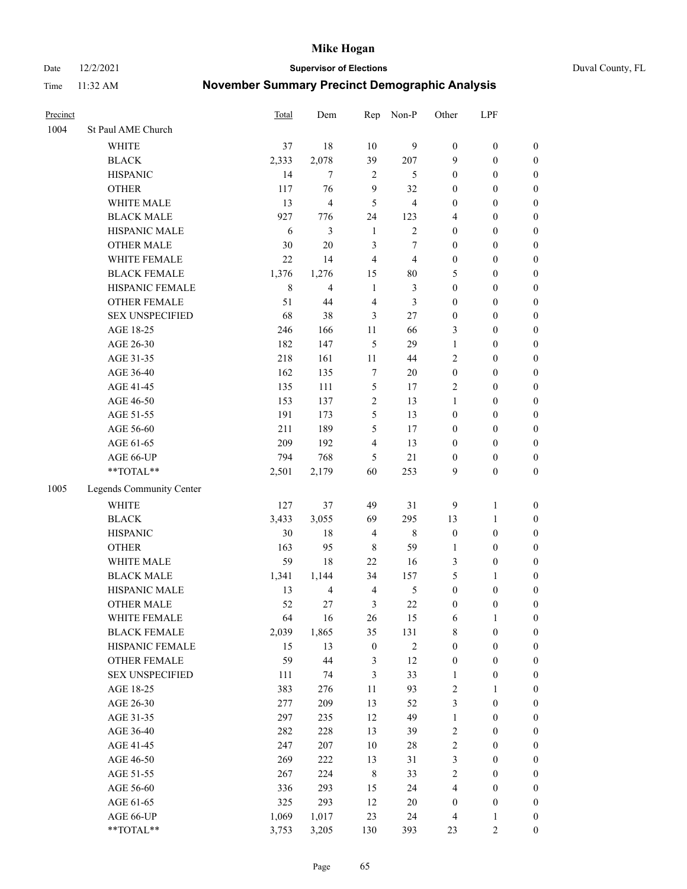Date 12/2/2021 **Supervisor of Elections** Duval County, FL

| Precinct |                          | Total          | Dem            | Rep              | Non-P          | Other            | LPF              |                  |
|----------|--------------------------|----------------|----------------|------------------|----------------|------------------|------------------|------------------|
| 1004     | St Paul AME Church       |                |                |                  |                |                  |                  |                  |
|          | <b>WHITE</b>             | 37             | 18             | 10               | 9              | $\boldsymbol{0}$ | $\boldsymbol{0}$ | $\boldsymbol{0}$ |
|          | <b>BLACK</b>             | 2,333          | 2,078          | 39               | 207            | 9                | $\boldsymbol{0}$ | $\boldsymbol{0}$ |
|          | <b>HISPANIC</b>          | 14             | $\tau$         | 2                | 5              | 0                | $\boldsymbol{0}$ | $\boldsymbol{0}$ |
|          | <b>OTHER</b>             | 117            | 76             | 9                | 32             | 0                | $\boldsymbol{0}$ | $\boldsymbol{0}$ |
|          | WHITE MALE               | 13             | $\overline{4}$ | 5                | $\overline{4}$ | 0                | $\boldsymbol{0}$ | $\boldsymbol{0}$ |
|          | <b>BLACK MALE</b>        | 927            | 776            | 24               | 123            | 4                | $\boldsymbol{0}$ | $\boldsymbol{0}$ |
|          | HISPANIC MALE            | 6              | 3              | $\mathbf{1}$     | $\overline{2}$ | 0                | $\boldsymbol{0}$ | $\boldsymbol{0}$ |
|          | <b>OTHER MALE</b>        | 30             | 20             | 3                | 7              | $\boldsymbol{0}$ | $\boldsymbol{0}$ | $\boldsymbol{0}$ |
|          | WHITE FEMALE             | 22             | 14             | $\overline{4}$   | $\overline{4}$ | 0                | $\boldsymbol{0}$ | $\boldsymbol{0}$ |
|          | <b>BLACK FEMALE</b>      | 1,376          | 1,276          | 15               | 80             | 5                | $\boldsymbol{0}$ | $\boldsymbol{0}$ |
|          | HISPANIC FEMALE          | 8              | 4              | $\mathbf{1}$     | 3              | $\boldsymbol{0}$ | $\boldsymbol{0}$ | $\boldsymbol{0}$ |
|          | <b>OTHER FEMALE</b>      | 51             | 44             | $\overline{4}$   | 3              | 0                | $\boldsymbol{0}$ | $\boldsymbol{0}$ |
|          | <b>SEX UNSPECIFIED</b>   | 68             | 38             | 3                | 27             | $\boldsymbol{0}$ | $\boldsymbol{0}$ | $\boldsymbol{0}$ |
|          | AGE 18-25                | 246            | 166            | $11\,$           | 66             | 3                | $\boldsymbol{0}$ | $\boldsymbol{0}$ |
|          | AGE 26-30                | 182            | 147            | 5                | 29             | 1                | $\boldsymbol{0}$ | $\boldsymbol{0}$ |
|          | AGE 31-35                | 218            | 161            | 11               | 44             | $\overline{c}$   | $\boldsymbol{0}$ | $\boldsymbol{0}$ |
|          | AGE 36-40                | 162            | 135            | 7                | 20             | $\boldsymbol{0}$ | $\boldsymbol{0}$ | $\boldsymbol{0}$ |
|          | AGE 41-45                | 135            | 111            | 5                | 17             | 2                | $\boldsymbol{0}$ | $\boldsymbol{0}$ |
|          | AGE 46-50                | 153            | 137            | $\overline{c}$   | 13             | 1                | $\boldsymbol{0}$ | $\boldsymbol{0}$ |
|          | AGE 51-55                | 191            | 173            | 5                | 13             | $\boldsymbol{0}$ | $\boldsymbol{0}$ | $\boldsymbol{0}$ |
|          | AGE 56-60                | 211            | 189            | 5                | 17             | 0                | $\boldsymbol{0}$ | 0                |
|          | AGE 61-65                | 209            | 192            | 4                | 13             | $\boldsymbol{0}$ | $\boldsymbol{0}$ | $\boldsymbol{0}$ |
|          | AGE 66-UP                | 794            | 768            | 5                | 21             | $\boldsymbol{0}$ | $\boldsymbol{0}$ | $\boldsymbol{0}$ |
|          | $**TOTAL**$              | 2,501          | 2,179          | 60               | 253            | 9                | $\boldsymbol{0}$ | $\boldsymbol{0}$ |
| 1005     | Legends Community Center |                |                |                  |                |                  |                  |                  |
|          | <b>WHITE</b>             | 127            | 37             | 49               | 31             | 9                | $\mathbf{1}$     | $\boldsymbol{0}$ |
|          | <b>BLACK</b>             | 3,433          | 3,055          | 69               | 295            | 13               | $\mathbf{1}$     | $\boldsymbol{0}$ |
|          | <b>HISPANIC</b>          | 30             | 18             | $\overline{4}$   | $\,$ 8 $\,$    | $\boldsymbol{0}$ | $\boldsymbol{0}$ | $\boldsymbol{0}$ |
|          | <b>OTHER</b>             | 163            | 95             | $\,$ 8 $\,$      | 59             | 1                | $\boldsymbol{0}$ | $\boldsymbol{0}$ |
|          | WHITE MALE               | 59             | 18             | 22               | 16             | 3                | $\boldsymbol{0}$ | $\boldsymbol{0}$ |
|          | <b>BLACK MALE</b>        | 1,341          | 1,144          | 34               | 157            | 5                | 1                | $\boldsymbol{0}$ |
|          | HISPANIC MALE            | 13             | $\overline{4}$ | $\overline{4}$   | $\mathfrak s$  | $\boldsymbol{0}$ | $\boldsymbol{0}$ | $\boldsymbol{0}$ |
|          | <b>OTHER MALE</b>        | 52             | 27             | 3                | 22             | $\boldsymbol{0}$ | $\boldsymbol{0}$ | $\boldsymbol{0}$ |
|          | WHITE FEMALE             | 64             | 16             | 26               | 15             | 6                | 1                | 0                |
|          | <b>BLACK FEMALE</b>      | 2,039          | 1,865          | 35               | 131            | 8                | $\boldsymbol{0}$ | $\boldsymbol{0}$ |
|          | HISPANIC FEMALE          | 15             | 13             | $\boldsymbol{0}$ | $\sqrt{2}$     | $\boldsymbol{0}$ | $\boldsymbol{0}$ | $\overline{0}$   |
|          | OTHER FEMALE             | 59             | 44             | 3                | 12             | $\boldsymbol{0}$ | $\boldsymbol{0}$ | $\overline{0}$   |
|          | <b>SEX UNSPECIFIED</b>   | 111            | 74             | 3                | 33             | 1                | $\boldsymbol{0}$ | 0                |
|          | AGE 18-25                | 383            | 276            | 11               | 93             | $\overline{c}$   | $\mathbf{1}$     | $\overline{0}$   |
|          | AGE 26-30                | 277            | 209            | 13               | 52             | 3                | $\boldsymbol{0}$ | 0                |
|          | AGE 31-35                | 297            | 235            | 12               | 49             | $\mathbf{1}$     | $\boldsymbol{0}$ | 0                |
|          | AGE 36-40                | 282            | 228            | 13               | 39             | 2                | $\boldsymbol{0}$ | 0                |
|          | AGE 41-45                | 247            | 207            | 10               | 28             | $\overline{c}$   | $\boldsymbol{0}$ | 0                |
|          | AGE 46-50                | 269            | 222            | 13               | 31             | 3                | $\boldsymbol{0}$ | 0                |
|          | AGE 51-55                | 267            | 224            | $\,8\,$          | 33             | 2                | $\boldsymbol{0}$ | $\boldsymbol{0}$ |
|          | AGE 56-60                | 336            | 293            | 15               | 24             | 4                | $\boldsymbol{0}$ | $\boldsymbol{0}$ |
|          | AGE 61-65                | 325            | 293            | 12               | 20             | $\boldsymbol{0}$ | $\boldsymbol{0}$ | $\boldsymbol{0}$ |
|          |                          |                |                |                  |                | 4                | $\mathbf{1}$     | 0                |
|          | **TOTAL**                |                |                | 130              |                | 23               | $\mathfrak{2}$   | $\boldsymbol{0}$ |
|          | AGE 66-UP                | 1,069<br>3,753 | 1,017<br>3,205 | 23               | 24<br>393      |                  |                  |                  |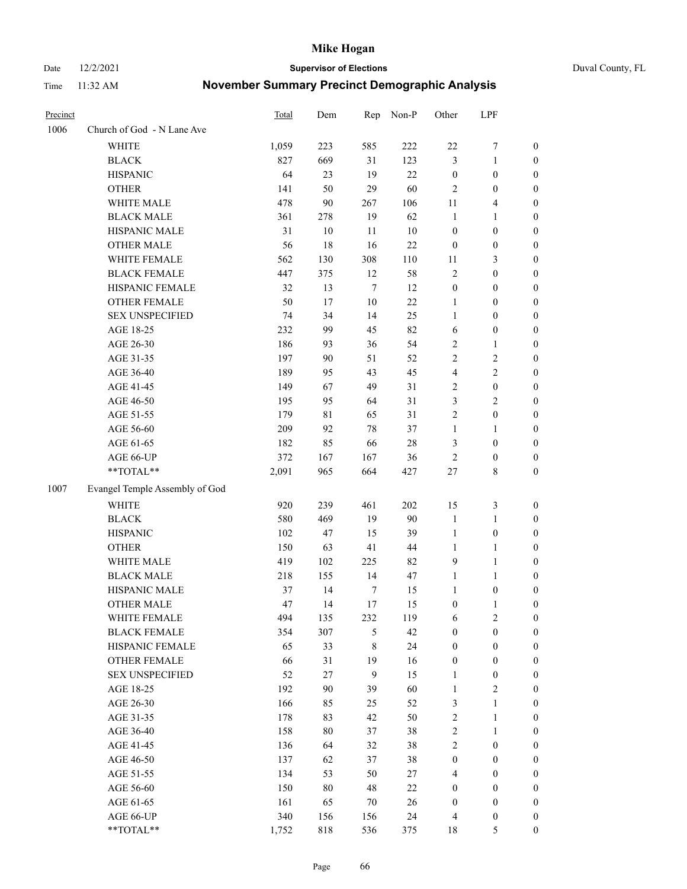Date 12/2/2021 **Supervisor of Elections** Duval County, FL

| Precinct |                                | <b>Total</b> | Dem         | Rep            | Non-P  | Other            | LPF              |                  |
|----------|--------------------------------|--------------|-------------|----------------|--------|------------------|------------------|------------------|
| 1006     | Church of God - N Lane Ave     |              |             |                |        |                  |                  |                  |
|          | <b>WHITE</b>                   | 1,059        | 223         | 585            | 222    | $22\,$           | $\boldsymbol{7}$ | 0                |
|          | <b>BLACK</b>                   | 827          | 669         | 31             | 123    | 3                | $\mathbf{1}$     | $\boldsymbol{0}$ |
|          | <b>HISPANIC</b>                | 64           | 23          | 19             | 22     | $\boldsymbol{0}$ | $\boldsymbol{0}$ | $\boldsymbol{0}$ |
|          | <b>OTHER</b>                   | 141          | 50          | 29             | 60     | $\mathfrak{2}$   | $\boldsymbol{0}$ | $\boldsymbol{0}$ |
|          | WHITE MALE                     | 478          | 90          | 267            | 106    | 11               | $\overline{4}$   | $\boldsymbol{0}$ |
|          | <b>BLACK MALE</b>              | 361          | 278         | 19             | 62     | $\mathbf{1}$     | 1                | $\boldsymbol{0}$ |
|          | HISPANIC MALE                  | 31           | 10          | 11             | $10\,$ | $\boldsymbol{0}$ | $\boldsymbol{0}$ | $\boldsymbol{0}$ |
|          | <b>OTHER MALE</b>              | 56           | 18          | 16             | 22     | $\boldsymbol{0}$ | $\boldsymbol{0}$ | $\boldsymbol{0}$ |
|          | WHITE FEMALE                   | 562          | 130         | 308            | 110    | 11               | $\mathfrak{Z}$   | $\boldsymbol{0}$ |
|          | <b>BLACK FEMALE</b>            | 447          | 375         | 12             | 58     | 2                | $\boldsymbol{0}$ | 0                |
|          | HISPANIC FEMALE                | 32           | 13          | $\tau$         | 12     | $\boldsymbol{0}$ | 0                | 0                |
|          | <b>OTHER FEMALE</b>            | 50           | 17          | $10\,$         | 22     | $\mathbf{1}$     | $\boldsymbol{0}$ | 0                |
|          | <b>SEX UNSPECIFIED</b>         | 74           | 34          | 14             | 25     | $\mathbf{1}$     | $\boldsymbol{0}$ | $\boldsymbol{0}$ |
|          | AGE 18-25                      | 232          | 99          | 45             | 82     | 6                | $\boldsymbol{0}$ | $\boldsymbol{0}$ |
|          | AGE 26-30                      | 186          | 93          | 36             | 54     | 2                | $\mathbf{1}$     | $\boldsymbol{0}$ |
|          | AGE 31-35                      | 197          | 90          | 51             | 52     | $\overline{c}$   | $\sqrt{2}$       | $\boldsymbol{0}$ |
|          | AGE 36-40                      | 189          | 95          | 43             | 45     | 4                | $\sqrt{2}$       | $\boldsymbol{0}$ |
|          | AGE 41-45                      | 149          | 67          | 49             | 31     | 2                | $\boldsymbol{0}$ | $\boldsymbol{0}$ |
|          | AGE 46-50                      | 195          | 95          | 64             | 31     | 3                | $\mathfrak{2}$   | $\boldsymbol{0}$ |
|          | AGE 51-55                      | 179          | $8\sqrt{1}$ | 65             | 31     | 2                | $\boldsymbol{0}$ | $\boldsymbol{0}$ |
|          | AGE 56-60                      | 209          | 92          | 78             | 37     | $\mathbf{1}$     | 1                | 0                |
|          | AGE 61-65                      | 182          | 85          | 66             | $28\,$ | 3                | $\boldsymbol{0}$ | 0                |
|          | AGE 66-UP                      | 372          | 167         | 167            | 36     | $\sqrt{2}$       | $\boldsymbol{0}$ | 0                |
|          | **TOTAL**                      | 2,091        | 965         | 664            | 427    | $27\,$           | $\,$ 8 $\,$      | $\boldsymbol{0}$ |
| 1007     | Evangel Temple Assembly of God |              |             |                |        |                  |                  |                  |
|          | <b>WHITE</b>                   | 920          | 239         | 461            | 202    | 15               | $\mathfrak z$    | $\boldsymbol{0}$ |
|          | <b>BLACK</b>                   | 580          | 469         | 19             | 90     | $\mathbf{1}$     | $\mathbf{1}$     | $\boldsymbol{0}$ |
|          | <b>HISPANIC</b>                | 102          | 47          | 15             | 39     | $\mathbf{1}$     | $\boldsymbol{0}$ | $\boldsymbol{0}$ |
|          | <b>OTHER</b>                   | 150          | 63          | 41             | $44\,$ | $\mathbf{1}$     | $\mathbf{1}$     | $\boldsymbol{0}$ |
|          | WHITE MALE                     | 419          | 102         | 225            | 82     | 9                | $\mathbf{1}$     | $\boldsymbol{0}$ |
|          | <b>BLACK MALE</b>              | 218          | 155         | 14             | 47     | $\mathbf{1}$     | $\mathbf{1}$     | $\boldsymbol{0}$ |
|          | HISPANIC MALE                  | 37           | 14          | $\tau$         | 15     | 1                | $\boldsymbol{0}$ | 0                |
|          | <b>OTHER MALE</b>              | 47           | 14          | 17             | 15     | $\boldsymbol{0}$ | $\mathbf{1}$     | 0                |
|          | WHITE FEMALE                   | 494          | 135         | 232            | 119    | 6                | $\overline{c}$   | 0                |
|          | <b>BLACK FEMALE</b>            | 354          | 307         | 5              | 42     | $\boldsymbol{0}$ | $\boldsymbol{0}$ | $\boldsymbol{0}$ |
|          | HISPANIC FEMALE                | 65           | 33          | $\,$ 8 $\,$    | 24     | $\boldsymbol{0}$ | $\boldsymbol{0}$ | $\overline{0}$   |
|          | <b>OTHER FEMALE</b>            | 66           | 31          | 19             | 16     | $\boldsymbol{0}$ | $\boldsymbol{0}$ | $\overline{0}$   |
|          | <b>SEX UNSPECIFIED</b>         | 52           | $27\,$      | $\overline{9}$ | 15     | $\mathbf{1}$     | $\boldsymbol{0}$ | 0                |
|          | AGE 18-25                      | 192          | 90          | 39             | 60     | $\mathbf{1}$     | $\sqrt{2}$       | 0                |
|          | AGE 26-30                      | 166          | 85          | 25             | 52     | 3                | $\mathbf{1}$     | 0                |
|          | AGE 31-35                      | 178          | 83          | 42             | 50     | $\overline{c}$   | $\mathbf{1}$     | 0                |
|          | AGE 36-40                      | 158          | $80\,$      | 37             | 38     | 2                | $\mathbf{1}$     | 0                |
|          | AGE 41-45                      | 136          | 64          | 32             | 38     | $\overline{2}$   | $\boldsymbol{0}$ | 0                |
|          | AGE 46-50                      | 137          | 62          | 37             | 38     | $\boldsymbol{0}$ | $\boldsymbol{0}$ | 0                |
|          | AGE 51-55                      | 134          | 53          | 50             | 27     | 4                | $\boldsymbol{0}$ | $\overline{0}$   |
|          | AGE 56-60                      | 150          | $80\,$      | 48             | 22     | $\boldsymbol{0}$ | $\boldsymbol{0}$ | $\overline{0}$   |
|          | AGE 61-65                      | 161          | 65          | 70             | 26     | $\boldsymbol{0}$ | $\boldsymbol{0}$ | $\overline{0}$   |
|          | AGE 66-UP                      | 340          | 156         | 156            | 24     | 4                | $\boldsymbol{0}$ | 0                |
|          | **TOTAL**                      | 1,752        | 818         | 536            | 375    | 18               | $\mathfrak s$    | $\boldsymbol{0}$ |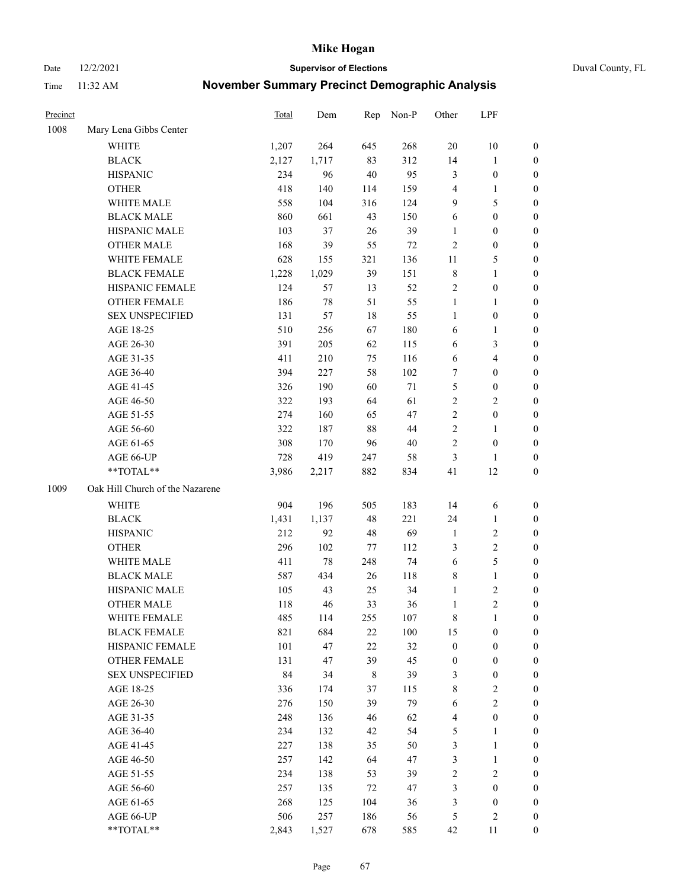Date 12/2/2021 **Supervisor of Elections** Duval County, FL

| Precinct |                                 | Total | Dem   | Rep         | Non-P  | Other            | LPF                     |                  |
|----------|---------------------------------|-------|-------|-------------|--------|------------------|-------------------------|------------------|
| 1008     | Mary Lena Gibbs Center          |       |       |             |        |                  |                         |                  |
|          | <b>WHITE</b>                    | 1,207 | 264   | 645         | 268    | $20\,$           | $10\,$                  | 0                |
|          | <b>BLACK</b>                    | 2,127 | 1,717 | 83          | 312    | 14               | $\mathbf{1}$            | 0                |
|          | <b>HISPANIC</b>                 | 234   | 96    | 40          | 95     | 3                | $\boldsymbol{0}$        | $\boldsymbol{0}$ |
|          | <b>OTHER</b>                    | 418   | 140   | 114         | 159    | 4                | 1                       | $\boldsymbol{0}$ |
|          | WHITE MALE                      | 558   | 104   | 316         | 124    | 9                | 5                       | $\boldsymbol{0}$ |
|          | <b>BLACK MALE</b>               | 860   | 661   | 43          | 150    | 6                | $\boldsymbol{0}$        | $\boldsymbol{0}$ |
|          | HISPANIC MALE                   | 103   | 37    | 26          | 39     | $\mathbf{1}$     | $\boldsymbol{0}$        | $\boldsymbol{0}$ |
|          | <b>OTHER MALE</b>               | 168   | 39    | 55          | 72     | $\mathbf{2}$     | $\boldsymbol{0}$        | $\boldsymbol{0}$ |
|          | WHITE FEMALE                    | 628   | 155   | 321         | 136    | 11               | $\mathfrak{S}$          | $\boldsymbol{0}$ |
|          | <b>BLACK FEMALE</b>             | 1,228 | 1,029 | 39          | 151    | 8                | $\mathbf{1}$            | 0                |
|          | HISPANIC FEMALE                 | 124   | 57    | 13          | 52     | $\sqrt{2}$       | $\boldsymbol{0}$        | 0                |
|          | <b>OTHER FEMALE</b>             | 186   | 78    | 51          | 55     | $\mathbf{1}$     | $\mathbf{1}$            | 0                |
|          | <b>SEX UNSPECIFIED</b>          | 131   | 57    | 18          | 55     | $\mathbf{1}$     | $\boldsymbol{0}$        | $\boldsymbol{0}$ |
|          | AGE 18-25                       | 510   | 256   | 67          | 180    | 6                | 1                       | $\boldsymbol{0}$ |
|          | AGE 26-30                       | 391   | 205   | 62          | 115    | 6                | $\mathfrak{Z}$          | $\boldsymbol{0}$ |
|          | AGE 31-35                       | 411   | 210   | 75          | 116    | 6                | $\overline{\mathbf{4}}$ | $\boldsymbol{0}$ |
|          | AGE 36-40                       | 394   | 227   | 58          | 102    | 7                | $\boldsymbol{0}$        | $\boldsymbol{0}$ |
|          | AGE 41-45                       | 326   | 190   | 60          | $71\,$ | 5                | $\boldsymbol{0}$        | $\boldsymbol{0}$ |
|          | AGE 46-50                       | 322   | 193   | 64          | 61     | $\overline{2}$   | $\overline{2}$          | $\boldsymbol{0}$ |
|          | AGE 51-55                       | 274   | 160   | 65          | 47     | $\overline{c}$   | $\boldsymbol{0}$        | 0                |
|          | AGE 56-60                       | 322   | 187   | 88          | 44     | $\overline{c}$   | 1                       | 0                |
|          | AGE 61-65                       | 308   | 170   | 96          | 40     | $\overline{c}$   | $\boldsymbol{0}$        | 0                |
|          | AGE 66-UP                       | 728   | 419   | 247         | 58     | 3                | 1                       | $\boldsymbol{0}$ |
|          | **TOTAL**                       | 3,986 | 2,217 | 882         | 834    | 41               | 12                      | $\boldsymbol{0}$ |
| 1009     | Oak Hill Church of the Nazarene |       |       |             |        |                  |                         |                  |
|          | <b>WHITE</b>                    | 904   | 196   | 505         | 183    | 14               | 6                       | $\boldsymbol{0}$ |
|          | <b>BLACK</b>                    | 1,431 | 1,137 | 48          | 221    | 24               | $\mathbf{1}$            | $\boldsymbol{0}$ |
|          | <b>HISPANIC</b>                 | 212   | 92    | 48          | 69     | $\mathbf{1}$     | $\sqrt{2}$              | $\boldsymbol{0}$ |
|          | <b>OTHER</b>                    | 296   | 102   | 77          | 112    | 3                | $\sqrt{2}$              | $\boldsymbol{0}$ |
|          | WHITE MALE                      | 411   | 78    | 248         | 74     | 6                | $\mathfrak{S}$          | $\boldsymbol{0}$ |
|          | <b>BLACK MALE</b>               | 587   | 434   | 26          | 118    | 8                | $\mathbf{1}$            | $\boldsymbol{0}$ |
|          | HISPANIC MALE                   | 105   | 43    | 25          | 34     | $\mathbf{1}$     | $\sqrt{2}$              | 0                |
|          | <b>OTHER MALE</b>               | 118   | 46    | 33          | 36     | $\mathbf{1}$     | $\overline{c}$          | 0                |
|          | WHITE FEMALE                    | 485   | 114   | 255         | 107    | 8                | 1                       | 0                |
|          | <b>BLACK FEMALE</b>             | 821   | 684   | 22          | 100    | 15               | $\boldsymbol{0}$        | $\overline{0}$   |
|          | HISPANIC FEMALE                 | 101   | 47    | 22          | 32     | $\boldsymbol{0}$ | $\boldsymbol{0}$        | $\overline{0}$   |
|          | <b>OTHER FEMALE</b>             | 131   | 47    | 39          | 45     | $\boldsymbol{0}$ | $\boldsymbol{0}$        | $\overline{0}$   |
|          | <b>SEX UNSPECIFIED</b>          | 84    | 34    | $\,$ 8 $\,$ | 39     | 3                | $\boldsymbol{0}$        | 0                |
|          | AGE 18-25                       | 336   | 174   | 37          | 115    | 8                | $\sqrt{2}$              | 0                |
|          | AGE 26-30                       | 276   | 150   | 39          | 79     | 6                | $\overline{2}$          | 0                |
|          | AGE 31-35                       | 248   | 136   | 46          | 62     | 4                | $\boldsymbol{0}$        | 0                |
|          | AGE 36-40                       | 234   | 132   | 42          | 54     | 5                | 1                       | 0                |
|          | AGE 41-45                       | 227   | 138   | 35          | 50     | 3                | $\mathbf{1}$            | 0                |
|          | AGE 46-50                       | 257   | 142   | 64          | 47     | 3                | $\mathbf{1}$            | 0                |
|          | AGE 51-55                       | 234   | 138   | 53          | 39     | 2                | $\sqrt{2}$              | 0                |
|          | AGE 56-60                       | 257   | 135   | 72          | 47     | 3                | $\boldsymbol{0}$        | 0                |
|          | AGE 61-65                       | 268   | 125   | 104         | 36     | 3                | $\boldsymbol{0}$        | $\overline{0}$   |
|          | AGE 66-UP                       | 506   | 257   | 186         | 56     | 5                | $\sqrt{2}$              | 0                |
|          | **TOTAL**                       | 2,843 | 1,527 | 678         | 585    | 42               | 11                      | $\boldsymbol{0}$ |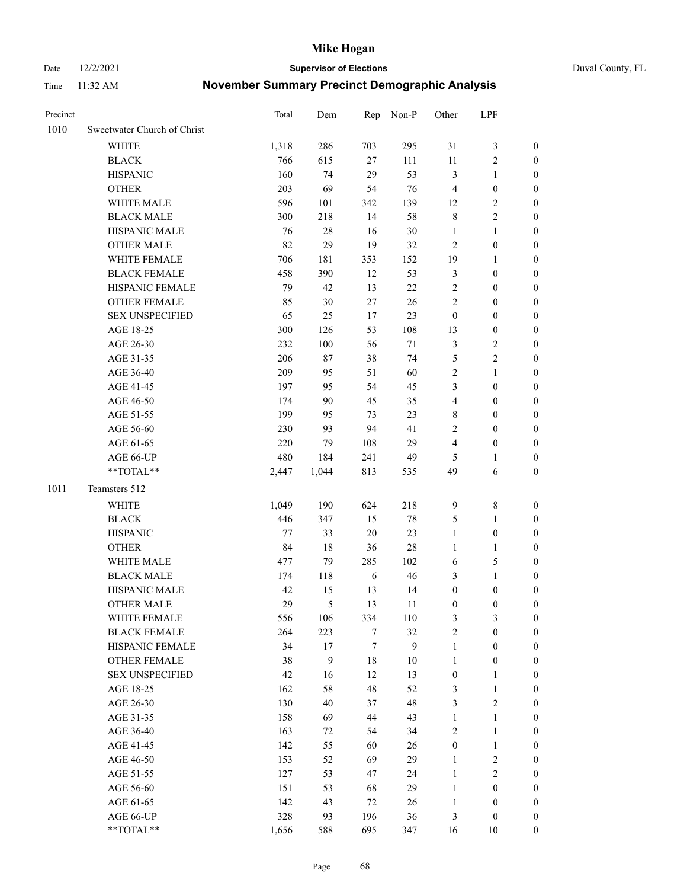Date 12/2/2021 **Supervisor of Elections** Duval County, FL

| Precinct |                             | <b>Total</b> | Dem    | Rep    | Non-P  | Other            | LPF              |                  |
|----------|-----------------------------|--------------|--------|--------|--------|------------------|------------------|------------------|
| 1010     | Sweetwater Church of Christ |              |        |        |        |                  |                  |                  |
|          | <b>WHITE</b>                | 1,318        | 286    | 703    | 295    | 31               | $\mathfrak{Z}$   | 0                |
|          | <b>BLACK</b>                | 766          | 615    | 27     | 111    | 11               | $\sqrt{2}$       | 0                |
|          | <b>HISPANIC</b>             | 160          | 74     | 29     | 53     | 3                | $\mathbf{1}$     | 0                |
|          | <b>OTHER</b>                | 203          | 69     | 54     | 76     | 4                | $\boldsymbol{0}$ | $\boldsymbol{0}$ |
|          | WHITE MALE                  | 596          | 101    | 342    | 139    | 12               | $\sqrt{2}$       | $\boldsymbol{0}$ |
|          | <b>BLACK MALE</b>           | 300          | 218    | 14     | 58     | $\,$ $\,$        | $\sqrt{2}$       | $\boldsymbol{0}$ |
|          | HISPANIC MALE               | 76           | 28     | 16     | 30     | $\mathbf{1}$     | $\mathbf{1}$     | $\boldsymbol{0}$ |
|          | <b>OTHER MALE</b>           | 82           | 29     | 19     | 32     | $\mathbf{2}$     | $\boldsymbol{0}$ | $\boldsymbol{0}$ |
|          | WHITE FEMALE                | 706          | 181    | 353    | 152    | 19               | $\mathbf{1}$     | $\boldsymbol{0}$ |
|          | <b>BLACK FEMALE</b>         | 458          | 390    | 12     | 53     | 3                | $\boldsymbol{0}$ | 0                |
|          | HISPANIC FEMALE             | 79           | 42     | 13     | $22\,$ | $\sqrt{2}$       | $\boldsymbol{0}$ | 0                |
|          | OTHER FEMALE                | 85           | 30     | 27     | 26     | $\mathbf{2}$     | $\boldsymbol{0}$ | $\boldsymbol{0}$ |
|          | <b>SEX UNSPECIFIED</b>      | 65           | 25     | 17     | 23     | $\boldsymbol{0}$ | $\boldsymbol{0}$ | $\boldsymbol{0}$ |
|          | AGE 18-25                   | 300          | 126    | 53     | 108    | 13               | $\boldsymbol{0}$ | $\boldsymbol{0}$ |
|          | AGE 26-30                   | 232          | 100    | 56     | $71\,$ | 3                | $\sqrt{2}$       | $\boldsymbol{0}$ |
|          | AGE 31-35                   | 206          | 87     | 38     | 74     | 5                | $\sqrt{2}$       | $\boldsymbol{0}$ |
|          | AGE 36-40                   | 209          | 95     | 51     | 60     | 2                | $\mathbf{1}$     | $\boldsymbol{0}$ |
|          | AGE 41-45                   | 197          | 95     | 54     | 45     | 3                | $\boldsymbol{0}$ | $\boldsymbol{0}$ |
|          | AGE 46-50                   | 174          | 90     | 45     | 35     | $\overline{4}$   | $\boldsymbol{0}$ | $\boldsymbol{0}$ |
|          | AGE 51-55                   | 199          | 95     | 73     | 23     | 8                | $\boldsymbol{0}$ | $\boldsymbol{0}$ |
|          | AGE 56-60                   | 230          | 93     | 94     | 41     | 2                | $\boldsymbol{0}$ | 0                |
|          | AGE 61-65                   | 220          | 79     | 108    | 29     | 4                | $\boldsymbol{0}$ | 0                |
|          | AGE 66-UP                   | 480          | 184    | 241    | 49     | 5                | $\mathbf{1}$     | $\boldsymbol{0}$ |
|          | **TOTAL**                   | 2,447        | 1,044  | 813    | 535    | 49               | 6                | $\boldsymbol{0}$ |
| 1011     | Teamsters 512               |              |        |        |        |                  |                  |                  |
|          | <b>WHITE</b>                | 1,049        | 190    | 624    | 218    | $\mathbf{9}$     | $\,$ 8 $\,$      | $\boldsymbol{0}$ |
|          | <b>BLACK</b>                | 446          | 347    | 15     | $78\,$ | 5                | $\mathbf{1}$     | $\boldsymbol{0}$ |
|          | <b>HISPANIC</b>             | 77           | 33     | 20     | 23     | $\mathbf{1}$     | $\boldsymbol{0}$ | $\boldsymbol{0}$ |
|          | <b>OTHER</b>                | 84           | 18     | 36     | $28\,$ | $\mathbf{1}$     | $\mathbf{1}$     | $\boldsymbol{0}$ |
|          | WHITE MALE                  | 477          | 79     | 285    | 102    | 6                | $\mathfrak{S}$   | $\boldsymbol{0}$ |
|          | <b>BLACK MALE</b>           | 174          | 118    | 6      | 46     | 3                | $\mathbf{1}$     | $\boldsymbol{0}$ |
|          | HISPANIC MALE               | 42           | 15     | 13     | 14     | $\boldsymbol{0}$ | $\boldsymbol{0}$ | 0                |
|          | <b>OTHER MALE</b>           | 29           | 5      | 13     | 11     | $\boldsymbol{0}$ | $\boldsymbol{0}$ | 0                |
|          | WHITE FEMALE                | 556          | 106    | 334    | 110    | 3                | 3                | 0                |
|          | <b>BLACK FEMALE</b>         | 264          | 223    | 7      | 32     | 2                | $\boldsymbol{0}$ | $\overline{0}$   |
|          | HISPANIC FEMALE             | 34           | $17\,$ | $\tau$ | 9      | $\mathbf{1}$     | $\boldsymbol{0}$ | $\overline{0}$   |
|          | OTHER FEMALE                | 38           | 9      | 18     | $10\,$ | $\mathbf{1}$     | $\boldsymbol{0}$ | 0                |
|          | <b>SEX UNSPECIFIED</b>      | 42           | 16     | 12     | 13     | $\boldsymbol{0}$ | $\mathbf{1}$     | 0                |
|          | AGE 18-25                   | 162          | 58     | 48     | 52     | 3                | $\mathbf{1}$     | 0                |
|          | AGE 26-30                   | 130          | 40     | 37     | 48     | 3                | $\overline{2}$   | 0                |
|          | AGE 31-35                   | 158          | 69     | $44\,$ | 43     | $\mathbf{1}$     | $\mathbf{1}$     | 0                |
|          | AGE 36-40                   | 163          | 72     | 54     | 34     | 2                | $\mathbf{1}$     | 0                |
|          | AGE 41-45                   | 142          | 55     | 60     | 26     | $\boldsymbol{0}$ | $\mathbf{1}$     | 0                |
|          | AGE 46-50                   | 153          | 52     | 69     | 29     | $\mathbf{1}$     | $\sqrt{2}$       | 0                |
|          | AGE 51-55                   | 127          | 53     | 47     | 24     | $\mathbf{1}$     | $\sqrt{2}$       | 0                |
|          | AGE 56-60                   | 151          | 53     | 68     | 29     | $\mathbf{1}$     | $\boldsymbol{0}$ | 0                |
|          | AGE 61-65                   | 142          | 43     | 72     | 26     | $\mathbf{1}$     | $\boldsymbol{0}$ | $\boldsymbol{0}$ |
|          | AGE 66-UP                   | 328          | 93     | 196    | 36     | 3                | $\boldsymbol{0}$ | 0                |
|          | **TOTAL**                   | 1,656        | 588    | 695    | 347    | 16               | 10               | $\boldsymbol{0}$ |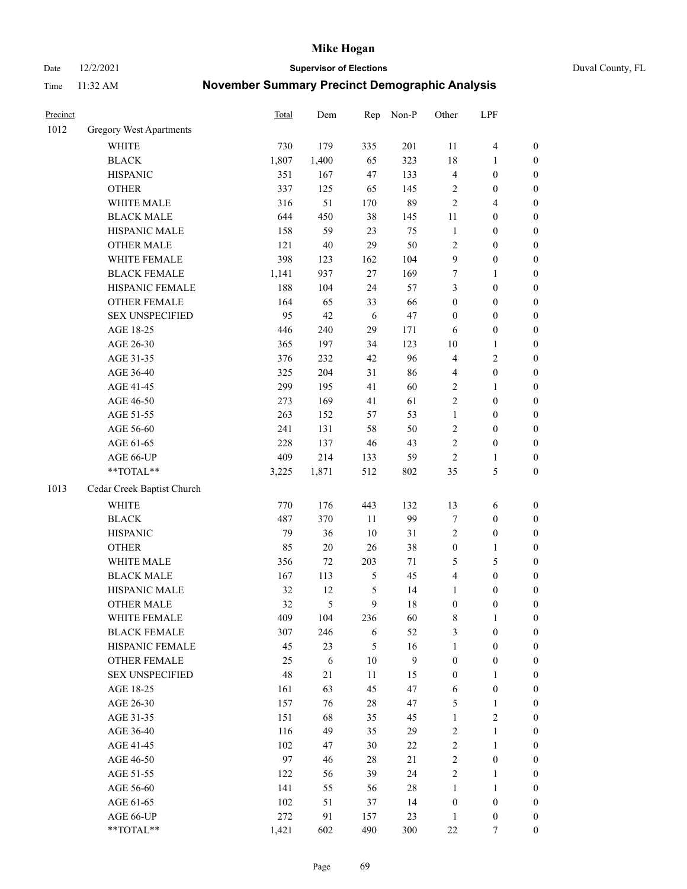Date 12/2/2021 **Supervisor of Elections** Duval County, FL

| Precinct |                                | <b>Total</b> | Dem        | Rep            | Non-P            | Other            | LPF              |                  |
|----------|--------------------------------|--------------|------------|----------------|------------------|------------------|------------------|------------------|
| 1012     | <b>Gregory West Apartments</b> |              |            |                |                  |                  |                  |                  |
|          | <b>WHITE</b>                   | 730          | 179        | 335            | 201              | 11               | $\overline{4}$   | 0                |
|          | <b>BLACK</b>                   | 1,807        | 1,400      | 65             | 323              | 18               | 1                | $\boldsymbol{0}$ |
|          | <b>HISPANIC</b>                | 351          | 167        | 47             | 133              | 4                | $\boldsymbol{0}$ | $\boldsymbol{0}$ |
|          | <b>OTHER</b>                   | 337          | 125        | 65             | 145              | 2                | $\boldsymbol{0}$ | $\boldsymbol{0}$ |
|          | WHITE MALE                     | 316          | 51         | 170            | 89               | 2                | $\overline{4}$   | $\boldsymbol{0}$ |
|          | <b>BLACK MALE</b>              | 644          | 450        | 38             | 145              | 11               | $\boldsymbol{0}$ | $\boldsymbol{0}$ |
|          | HISPANIC MALE                  | 158          | 59         | 23             | 75               | $\mathbf{1}$     | $\boldsymbol{0}$ | $\boldsymbol{0}$ |
|          | <b>OTHER MALE</b>              | 121          | $40\,$     | 29             | 50               | 2                | $\boldsymbol{0}$ | $\boldsymbol{0}$ |
|          | WHITE FEMALE                   | 398          | 123        | 162            | 104              | 9                | $\boldsymbol{0}$ | $\boldsymbol{0}$ |
|          | <b>BLACK FEMALE</b>            | 1,141        | 937        | 27             | 169              | 7                | 1                | $\boldsymbol{0}$ |
|          | HISPANIC FEMALE                | 188          | 104        | 24             | 57               | 3                | $\boldsymbol{0}$ | $\boldsymbol{0}$ |
|          | <b>OTHER FEMALE</b>            | 164          | 65         | 33             | 66               | $\boldsymbol{0}$ | $\boldsymbol{0}$ | $\boldsymbol{0}$ |
|          | <b>SEX UNSPECIFIED</b>         | 95           | 42         | 6              | 47               | $\boldsymbol{0}$ | $\boldsymbol{0}$ | $\boldsymbol{0}$ |
|          | AGE 18-25                      | 446          | 240        | 29             | 171              | 6                | $\boldsymbol{0}$ | $\boldsymbol{0}$ |
|          | AGE 26-30                      | 365          | 197        | 34             | 123              | 10               | $\mathbf{1}$     | $\boldsymbol{0}$ |
|          | AGE 31-35                      | 376          | 232        | 42             | 96               | 4                | $\sqrt{2}$       | $\boldsymbol{0}$ |
|          | AGE 36-40                      | 325          | 204        | 31             | 86               | 4                | $\boldsymbol{0}$ | $\boldsymbol{0}$ |
|          | AGE 41-45                      | 299          | 195        | 41             | 60               | $\overline{2}$   | $\mathbf{1}$     | $\boldsymbol{0}$ |
|          | AGE 46-50                      | 273          | 169        | 41             | 61               | $\overline{2}$   | $\boldsymbol{0}$ | $\boldsymbol{0}$ |
|          | AGE 51-55                      | 263          | 152        | 57             | 53               | $\mathbf{1}$     | $\boldsymbol{0}$ | $\boldsymbol{0}$ |
|          | AGE 56-60                      | 241          | 131        | 58             | 50               | $\overline{c}$   | $\boldsymbol{0}$ | $\boldsymbol{0}$ |
|          | AGE 61-65                      | 228          | 137        | 46             | 43               | $\overline{c}$   | $\boldsymbol{0}$ | $\boldsymbol{0}$ |
|          | AGE 66-UP                      | 409          | 214        | 133            | 59               | $\mathbf{2}$     | 1                | $\boldsymbol{0}$ |
|          | **TOTAL**                      | 3,225        | 1,871      | 512            | 802              | 35               | $\mathfrak s$    | $\boldsymbol{0}$ |
| 1013     | Cedar Creek Baptist Church     |              |            |                |                  |                  |                  |                  |
|          | <b>WHITE</b>                   | 770          | 176        | 443            | 132              | 13               | 6                | $\boldsymbol{0}$ |
|          | <b>BLACK</b>                   | 487          | 370        | $11\,$         | 99               | 7                | $\boldsymbol{0}$ | $\boldsymbol{0}$ |
|          | <b>HISPANIC</b>                | 79           | 36         | 10             | 31               | 2                | $\boldsymbol{0}$ | $\boldsymbol{0}$ |
|          | <b>OTHER</b>                   | 85           | $20\,$     | 26             | 38               | $\boldsymbol{0}$ | $\mathbf{1}$     | $\boldsymbol{0}$ |
|          | WHITE MALE                     | 356          | 72         | 203            | 71               | 5                | $\mathfrak s$    | $\boldsymbol{0}$ |
|          | <b>BLACK MALE</b>              | 167          | 113        | $\mathfrak{S}$ | 45               | 4                | $\boldsymbol{0}$ | $\boldsymbol{0}$ |
|          | HISPANIC MALE                  | 32           | 12         | 5              | 14               | $\mathbf{1}$     | $\boldsymbol{0}$ | $\boldsymbol{0}$ |
|          | <b>OTHER MALE</b>              | 32           | 5          | 9              | 18               | $\boldsymbol{0}$ | $\boldsymbol{0}$ | $\boldsymbol{0}$ |
|          | WHITE FEMALE                   | 409          | 104        | 236            | 60               | 8                | 1                | 0                |
|          | <b>BLACK FEMALE</b>            | 307          | 246        | 6              | 52               | 3                | $\boldsymbol{0}$ | $\overline{0}$   |
|          | HISPANIC FEMALE                | 45           | 23         | 5              | 16               | $\mathbf{1}$     | $\boldsymbol{0}$ | $\overline{0}$   |
|          | OTHER FEMALE                   | 25           | $\sqrt{6}$ | $10\,$         | $\boldsymbol{9}$ | $\boldsymbol{0}$ | $\boldsymbol{0}$ | 0                |
|          | <b>SEX UNSPECIFIED</b>         | 48           | 21         | 11             | 15               | $\boldsymbol{0}$ | $\mathbf{1}$     | 0                |
|          | AGE 18-25                      | 161          | 63         | 45             | 47               | 6                | $\boldsymbol{0}$ | 0                |
|          | AGE 26-30                      | 157          | 76         | $28\,$         | 47               | 5                | $\mathbf{1}$     | 0                |
|          | AGE 31-35                      | 151          | 68         | 35             | 45               | $\mathbf{1}$     | $\sqrt{2}$       | 0                |
|          | AGE 36-40                      | 116          | 49         | 35             | 29               | 2                | $\mathbf{1}$     | 0                |
|          | AGE 41-45                      | 102          | 47         | 30             | $22\,$           | $\overline{c}$   | $\mathbf{1}$     | 0                |
|          | AGE 46-50                      | 97           | 46         | 28             | 21               | $\overline{c}$   | $\boldsymbol{0}$ | 0                |
|          | AGE 51-55                      | 122          | 56         | 39             | 24               | $\overline{c}$   | $\mathbf{1}$     | 0                |
|          | AGE 56-60                      | 141          | 55         | 56             | 28               | $\mathbf{1}$     | $\mathbf{1}$     | 0                |
|          | AGE 61-65                      | 102          | 51         | 37             | 14               | $\boldsymbol{0}$ | $\boldsymbol{0}$ | 0                |
|          | AGE 66-UP                      | 272          | 91         | 157            | 23               | $\mathbf{1}$     | $\boldsymbol{0}$ | 0                |
|          | **TOTAL**                      | 1,421        | 602        | 490            | 300              | $22\,$           | 7                | $\boldsymbol{0}$ |
|          |                                |              |            |                |                  |                  |                  |                  |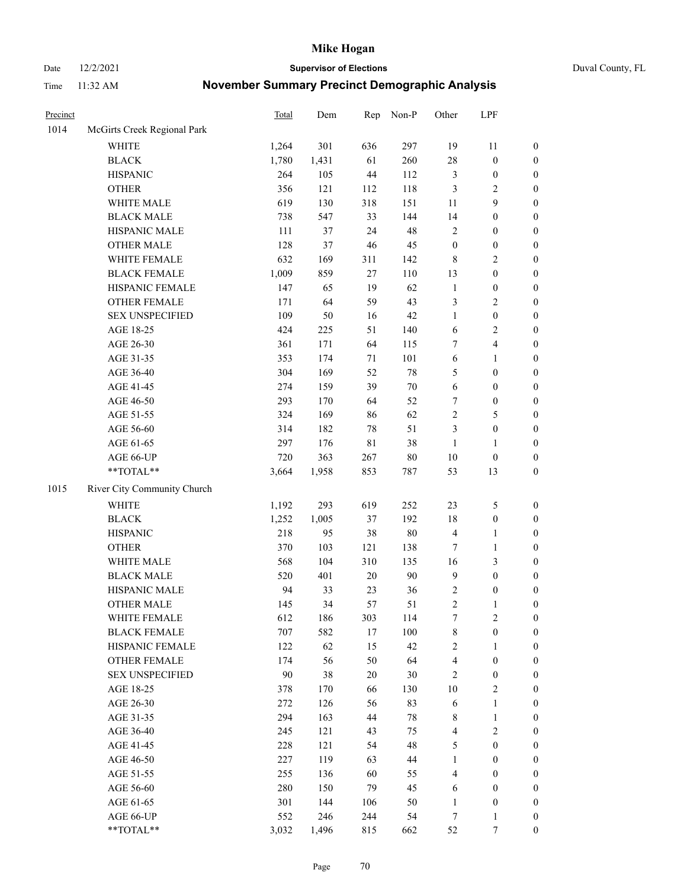Date 12/2/2021 **Supervisor of Elections** Duval County, FL

| Precinct |                             | <b>Total</b> | Dem   | Rep         | Non-P  | Other            | LPF              |                  |
|----------|-----------------------------|--------------|-------|-------------|--------|------------------|------------------|------------------|
| 1014     | McGirts Creek Regional Park |              |       |             |        |                  |                  |                  |
|          | <b>WHITE</b>                | 1,264        | 301   | 636         | 297    | 19               | 11               | 0                |
|          | <b>BLACK</b>                | 1,780        | 1,431 | 61          | 260    | 28               | $\boldsymbol{0}$ | $\boldsymbol{0}$ |
|          | <b>HISPANIC</b>             | 264          | 105   | 44          | 112    | 3                | $\boldsymbol{0}$ | $\boldsymbol{0}$ |
|          | <b>OTHER</b>                | 356          | 121   | 112         | 118    | 3                | $\sqrt{2}$       | $\boldsymbol{0}$ |
|          | WHITE MALE                  | 619          | 130   | 318         | 151    | 11               | 9                | $\boldsymbol{0}$ |
|          | <b>BLACK MALE</b>           | 738          | 547   | 33          | 144    | 14               | $\boldsymbol{0}$ | $\boldsymbol{0}$ |
|          | HISPANIC MALE               | 111          | 37    | 24          | 48     | 2                | $\boldsymbol{0}$ | $\boldsymbol{0}$ |
|          | <b>OTHER MALE</b>           | 128          | 37    | 46          | 45     | $\boldsymbol{0}$ | $\boldsymbol{0}$ | $\boldsymbol{0}$ |
|          | WHITE FEMALE                | 632          | 169   | 311         | 142    | 8                | $\sqrt{2}$       | $\boldsymbol{0}$ |
|          | <b>BLACK FEMALE</b>         | 1,009        | 859   | 27          | 110    | 13               | $\boldsymbol{0}$ | $\boldsymbol{0}$ |
|          | HISPANIC FEMALE             | 147          | 65    | 19          | 62     | $\mathbf{1}$     | $\boldsymbol{0}$ | $\boldsymbol{0}$ |
|          | <b>OTHER FEMALE</b>         | 171          | 64    | 59          | 43     | 3                | $\sqrt{2}$       | $\boldsymbol{0}$ |
|          | <b>SEX UNSPECIFIED</b>      | 109          | 50    | 16          | 42     | $\mathbf{1}$     | $\boldsymbol{0}$ | $\boldsymbol{0}$ |
|          | AGE 18-25                   | 424          | 225   | 51          | 140    | 6                | $\sqrt{2}$       | $\boldsymbol{0}$ |
|          | AGE 26-30                   | 361          | 171   | 64          | 115    | 7                | $\overline{4}$   | $\boldsymbol{0}$ |
|          | AGE 31-35                   | 353          | 174   | $71\,$      | 101    | 6                | $\mathbf{1}$     | $\boldsymbol{0}$ |
|          | AGE 36-40                   | 304          | 169   | 52          | $78\,$ | 5                | $\boldsymbol{0}$ | $\boldsymbol{0}$ |
|          | AGE 41-45                   | 274          | 159   | 39          | $70\,$ | 6                | $\boldsymbol{0}$ | $\boldsymbol{0}$ |
|          | AGE 46-50                   | 293          | 170   | 64          | 52     | 7                | $\boldsymbol{0}$ | $\boldsymbol{0}$ |
|          | AGE 51-55                   | 324          | 169   | 86          | 62     | $\overline{c}$   | $\mathfrak{S}$   | $\boldsymbol{0}$ |
|          | AGE 56-60                   | 314          | 182   | 78          | 51     | 3                | $\boldsymbol{0}$ | $\boldsymbol{0}$ |
|          | AGE 61-65                   | 297          | 176   | $8\sqrt{1}$ | 38     | $\mathbf{1}$     | $\mathbf{1}$     | $\boldsymbol{0}$ |
|          | AGE 66-UP                   | 720          | 363   | 267         | $80\,$ | $10\,$           | $\boldsymbol{0}$ | $\boldsymbol{0}$ |
|          | $**TOTAL**$                 | 3,664        | 1,958 | 853         | 787    | 53               | 13               | $\boldsymbol{0}$ |
| 1015     | River City Community Church |              |       |             |        |                  |                  |                  |
|          | <b>WHITE</b>                | 1,192        | 293   | 619         | 252    | 23               | $\mathfrak s$    | $\boldsymbol{0}$ |
|          | <b>BLACK</b>                | 1,252        | 1,005 | 37          | 192    | 18               | $\boldsymbol{0}$ | $\boldsymbol{0}$ |
|          | <b>HISPANIC</b>             | 218          | 95    | 38          | $80\,$ | 4                | $\mathbf{1}$     | $\boldsymbol{0}$ |
|          | <b>OTHER</b>                | 370          | 103   | 121         | 138    | 7                | $\mathbf{1}$     | $\boldsymbol{0}$ |
|          | WHITE MALE                  | 568          | 104   | 310         | 135    | 16               | 3                | $\boldsymbol{0}$ |
|          | <b>BLACK MALE</b>           | 520          | 401   | 20          | 90     | $\mathbf{9}$     | $\boldsymbol{0}$ | $\boldsymbol{0}$ |
|          | HISPANIC MALE               | 94           | 33    | 23          | 36     | 2                | $\boldsymbol{0}$ | $\boldsymbol{0}$ |
|          | <b>OTHER MALE</b>           | 145          | 34    | 57          | 51     | $\overline{c}$   | $\mathbf{1}$     | $\boldsymbol{0}$ |
|          | WHITE FEMALE                | 612          | 186   | 303         | 114    | 7                | 2                | 0                |
|          | <b>BLACK FEMALE</b>         | 707          | 582   | 17          | 100    | 8                | $\boldsymbol{0}$ | $\boldsymbol{0}$ |
|          | HISPANIC FEMALE             | 122          | 62    | 15          | 42     | $\overline{c}$   | 1                | $\overline{0}$   |
|          | <b>OTHER FEMALE</b>         | 174          | 56    | 50          | 64     | 4                | $\boldsymbol{0}$ | $\overline{0}$   |
|          | <b>SEX UNSPECIFIED</b>      | 90           | 38    | 20          | $30\,$ | 2                | $\boldsymbol{0}$ | 0                |
|          | AGE 18-25                   | 378          | 170   | 66          | 130    | $10\,$           | $\sqrt{2}$       | 0                |
|          | AGE 26-30                   | 272          | 126   | 56          | 83     | 6                | $\mathbf{1}$     | 0                |
|          | AGE 31-35                   | 294          | 163   | 44          | $78\,$ | 8                | $\mathbf{1}$     | 0                |
|          | AGE 36-40                   | 245          | 121   | 43          | 75     | 4                | $\sqrt{2}$       | 0                |
|          | AGE 41-45                   | 228          | 121   | 54          | 48     | 5                | $\boldsymbol{0}$ | 0                |
|          | AGE 46-50                   | 227          | 119   | 63          | 44     | $\mathbf{1}$     | $\boldsymbol{0}$ | 0                |
|          | AGE 51-55                   | 255          | 136   | 60          | 55     | 4                | $\boldsymbol{0}$ | 0                |
|          | AGE 56-60                   | 280          | 150   | 79          | 45     | 6                | $\boldsymbol{0}$ | $\overline{0}$   |
|          | AGE 61-65                   | 301          | 144   | 106         | 50     | $\mathbf{1}$     | $\boldsymbol{0}$ | $\overline{0}$   |
|          | AGE 66-UP                   | 552          | 246   | 244         | 54     | 7                | $\mathbf{1}$     | 0                |
|          | **TOTAL**                   | 3,032        | 1,496 | 815         | 662    | 52               | 7                | $\boldsymbol{0}$ |
|          |                             |              |       |             |        |                  |                  |                  |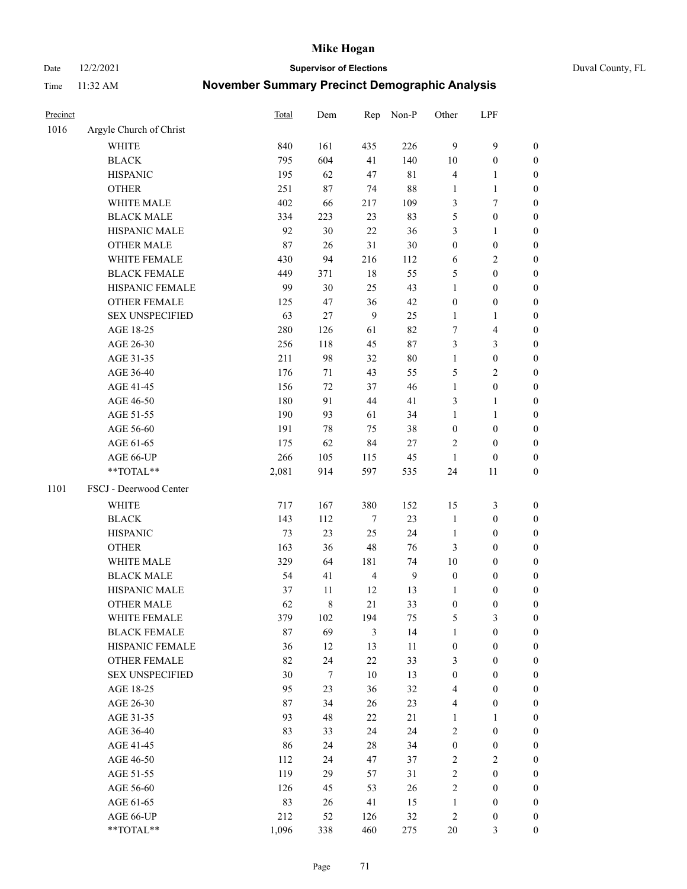Date 12/2/2021 **Supervisor of Elections** Duval County, FL

| Precinct |                         | <b>Total</b> | Dem              | Rep            | Non-P          | Other            | LPF                     |                  |
|----------|-------------------------|--------------|------------------|----------------|----------------|------------------|-------------------------|------------------|
| 1016     | Argyle Church of Christ |              |                  |                |                |                  |                         |                  |
|          | <b>WHITE</b>            | 840          | 161              | 435            | 226            | 9                | $\mathbf{9}$            | 0                |
|          | <b>BLACK</b>            | 795          | 604              | 41             | 140            | $10\,$           | $\boldsymbol{0}$        | 0                |
|          | <b>HISPANIC</b>         | 195          | 62               | 47             | 81             | 4                | $\mathbf{1}$            | $\boldsymbol{0}$ |
|          | <b>OTHER</b>            | 251          | 87               | 74             | $88\,$         | 1                | $\mathbf{1}$            | $\boldsymbol{0}$ |
|          | WHITE MALE              | 402          | 66               | 217            | 109            | 3                | 7                       | $\boldsymbol{0}$ |
|          | <b>BLACK MALE</b>       | 334          | 223              | 23             | 83             | 5                | $\boldsymbol{0}$        | $\boldsymbol{0}$ |
|          | HISPANIC MALE           | 92           | 30               | 22             | 36             | 3                | $\mathbf{1}$            | $\boldsymbol{0}$ |
|          | <b>OTHER MALE</b>       | 87           | 26               | 31             | $30\,$         | $\boldsymbol{0}$ | $\boldsymbol{0}$        | $\boldsymbol{0}$ |
|          | WHITE FEMALE            | 430          | 94               | 216            | 112            | 6                | $\sqrt{2}$              | $\boldsymbol{0}$ |
|          | <b>BLACK FEMALE</b>     | 449          | 371              | 18             | 55             | 5                | $\boldsymbol{0}$        | $\boldsymbol{0}$ |
|          | HISPANIC FEMALE         | 99           | 30               | 25             | 43             | $\mathbf{1}$     | $\boldsymbol{0}$        | 0                |
|          | <b>OTHER FEMALE</b>     | 125          | 47               | 36             | 42             | $\boldsymbol{0}$ | $\boldsymbol{0}$        | $\boldsymbol{0}$ |
|          | <b>SEX UNSPECIFIED</b>  | 63           | 27               | 9              | 25             | $\mathbf{1}$     | $\mathbf{1}$            | $\boldsymbol{0}$ |
|          | AGE 18-25               | 280          | 126              | 61             | 82             | 7                | $\overline{\mathbf{4}}$ | $\boldsymbol{0}$ |
|          | AGE 26-30               | 256          | 118              | 45             | 87             | 3                | $\mathfrak{Z}$          | $\boldsymbol{0}$ |
|          | AGE 31-35               | 211          | 98               | 32             | $80\,$         | $\mathbf{1}$     | $\boldsymbol{0}$        | $\boldsymbol{0}$ |
|          | AGE 36-40               | 176          | 71               | 43             | 55             | 5                | $\mathbf{2}$            | $\boldsymbol{0}$ |
|          | AGE 41-45               | 156          | 72               | 37             | 46             | $\mathbf{1}$     | $\boldsymbol{0}$        | $\boldsymbol{0}$ |
|          | AGE 46-50               | 180          | 91               | 44             | 41             | 3                | $\mathbf{1}$            | $\boldsymbol{0}$ |
|          | AGE 51-55               | 190          | 93               | 61             | 34             | $\mathbf{1}$     | $\mathbf{1}$            | $\boldsymbol{0}$ |
|          | AGE 56-60               | 191          | $78\,$           | 75             | 38             | $\boldsymbol{0}$ | $\boldsymbol{0}$        | 0                |
|          | AGE 61-65               | 175          | 62               | 84             | $27\,$         | 2                | $\boldsymbol{0}$        | 0                |
|          | AGE 66-UP               | 266          | 105              | 115            | 45             | $\mathbf{1}$     | $\boldsymbol{0}$        | $\boldsymbol{0}$ |
|          | **TOTAL**               | 2,081        | 914              | 597            | 535            | 24               | 11                      | $\boldsymbol{0}$ |
| 1101     | FSCJ - Deerwood Center  |              |                  |                |                |                  |                         |                  |
|          | <b>WHITE</b>            | 717          | 167              | 380            | 152            | 15               | $\mathfrak{Z}$          | $\boldsymbol{0}$ |
|          | <b>BLACK</b>            | 143          | 112              | $\tau$         | 23             | $\mathbf{1}$     | $\boldsymbol{0}$        | $\boldsymbol{0}$ |
|          | <b>HISPANIC</b>         | 73           | 23               | 25             | 24             | $\mathbf{1}$     | $\boldsymbol{0}$        | $\boldsymbol{0}$ |
|          | <b>OTHER</b>            | 163          | 36               | 48             | 76             | 3                | $\boldsymbol{0}$        | $\boldsymbol{0}$ |
|          | WHITE MALE              | 329          | 64               | 181            | 74             | $10\,$           | $\boldsymbol{0}$        | $\boldsymbol{0}$ |
|          | <b>BLACK MALE</b>       | 54           | 41               | $\overline{4}$ | $\overline{9}$ | $\boldsymbol{0}$ | $\boldsymbol{0}$        | $\boldsymbol{0}$ |
|          | HISPANIC MALE           | 37           | 11               | 12             | 13             | 1                | $\boldsymbol{0}$        | 0                |
|          | <b>OTHER MALE</b>       | 62           | 8                | 21             | 33             | $\boldsymbol{0}$ | $\boldsymbol{0}$        | $\boldsymbol{0}$ |
|          | WHITE FEMALE            | 379          | 102              | 194            | 75             | 5                | 3                       | 0                |
|          | <b>BLACK FEMALE</b>     | 87           | 69               | 3              | 14             | $\mathbf{1}$     | $\boldsymbol{0}$        | $\boldsymbol{0}$ |
|          | HISPANIC FEMALE         | 36           | 12               | 13             | $11\,$         | $\boldsymbol{0}$ | $\boldsymbol{0}$        | $\overline{0}$   |
|          | OTHER FEMALE            | 82           | 24               | 22             | 33             | 3                | $\boldsymbol{0}$        | $\overline{0}$   |
|          | <b>SEX UNSPECIFIED</b>  | 30           | $\boldsymbol{7}$ | 10             | 13             | $\boldsymbol{0}$ | $\boldsymbol{0}$        | 0                |
|          | AGE 18-25               | 95           | 23               | 36             | 32             | 4                | $\boldsymbol{0}$        | 0                |
|          | AGE 26-30               | 87           | 34               | 26             | 23             | 4                | $\boldsymbol{0}$        | 0                |
|          | AGE 31-35               | 93           | 48               | 22             | 21             | $\mathbf{1}$     | 1                       | 0                |
|          | AGE 36-40               | 83           | 33               | 24             | 24             | 2                | $\boldsymbol{0}$        | 0                |
|          | AGE 41-45               | 86           | 24               | $28\,$         | 34             | $\boldsymbol{0}$ | $\boldsymbol{0}$        | 0                |
|          | AGE 46-50               | 112          | 24               | 47             | 37             | 2                | $\overline{c}$          | 0                |
|          | AGE 51-55               | 119          | 29               | 57             | 31             | $\overline{c}$   | $\boldsymbol{0}$        | 0                |
|          | AGE 56-60               | 126          | 45               | 53             | 26             | 2                | $\boldsymbol{0}$        | $\overline{0}$   |
|          | AGE 61-65               | 83           | 26               | 41             | 15             | $\mathbf{1}$     | $\boldsymbol{0}$        | $\overline{0}$   |
|          | AGE 66-UP               | 212          | 52               | 126            | $32\,$         | 2                | $\boldsymbol{0}$        | 0                |
|          | **TOTAL**               | 1,096        | 338              | 460            | 275            | $20\,$           | $\mathfrak{Z}$          | $\boldsymbol{0}$ |
|          |                         |              |                  |                |                |                  |                         |                  |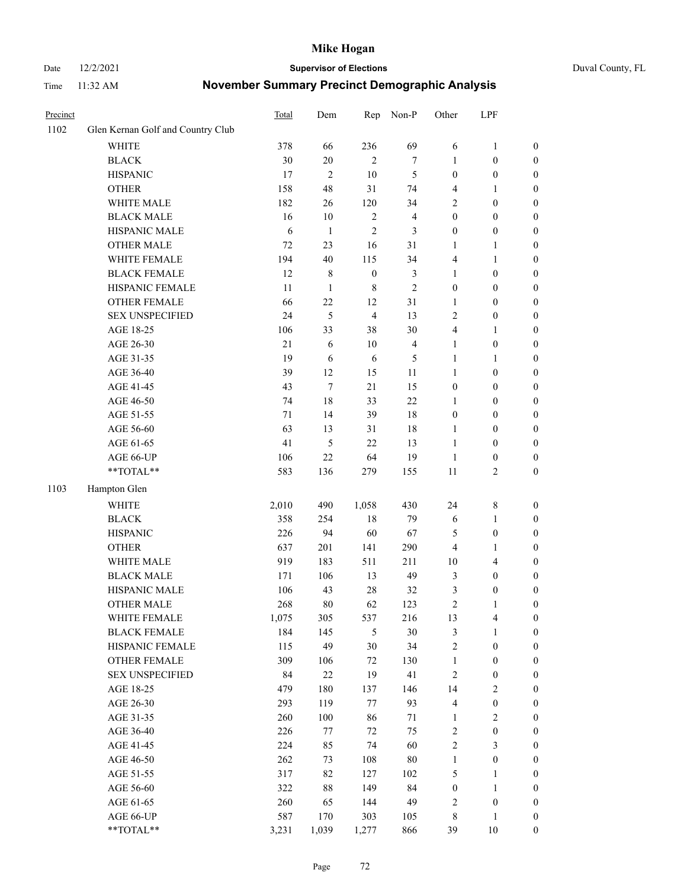#### Date 12/2/2021 **Supervisor of Elections** Duval County, FL

| Precinct |                                   | Total  | Dem            | Rep              | Non-P                   | Other            | LPF              |                  |
|----------|-----------------------------------|--------|----------------|------------------|-------------------------|------------------|------------------|------------------|
| 1102     | Glen Kernan Golf and Country Club |        |                |                  |                         |                  |                  |                  |
|          | <b>WHITE</b>                      | 378    | 66             | 236              | 69                      | 6                | $\mathbf{1}$     | 0                |
|          | <b>BLACK</b>                      | 30     | $20\,$         | $\mathfrak{2}$   | $\tau$                  | 1                | $\boldsymbol{0}$ | 0                |
|          | <b>HISPANIC</b>                   | 17     | $\mathfrak{2}$ | 10               | 5                       | $\boldsymbol{0}$ | $\boldsymbol{0}$ | $\boldsymbol{0}$ |
|          | <b>OTHER</b>                      | 158    | 48             | 31               | 74                      | 4                | 1                | $\boldsymbol{0}$ |
|          | WHITE MALE                        | 182    | 26             | 120              | 34                      | 2                | $\boldsymbol{0}$ | $\boldsymbol{0}$ |
|          | <b>BLACK MALE</b>                 | 16     | 10             | $\sqrt{2}$       | $\overline{\mathbf{4}}$ | $\boldsymbol{0}$ | $\boldsymbol{0}$ | $\boldsymbol{0}$ |
|          | HISPANIC MALE                     | 6      | $\mathbf{1}$   | $\mathfrak{2}$   | 3                       | $\boldsymbol{0}$ | $\boldsymbol{0}$ | $\boldsymbol{0}$ |
|          | <b>OTHER MALE</b>                 | 72     | 23             | 16               | 31                      | $\mathbf{1}$     | $\mathbf{1}$     | $\boldsymbol{0}$ |
|          | WHITE FEMALE                      | 194    | 40             | 115              | 34                      | 4                | 1                | $\boldsymbol{0}$ |
|          | <b>BLACK FEMALE</b>               | 12     | $\,$ 8 $\,$    | $\boldsymbol{0}$ | $\mathfrak{Z}$          | $\mathbf{1}$     | $\boldsymbol{0}$ | 0                |
|          | HISPANIC FEMALE                   | 11     | $\mathbf{1}$   | $\,8\,$          | $\overline{2}$          | $\boldsymbol{0}$ | $\boldsymbol{0}$ | 0                |
|          | OTHER FEMALE                      | 66     | 22             | 12               | 31                      | $\mathbf{1}$     | $\boldsymbol{0}$ | $\boldsymbol{0}$ |
|          | <b>SEX UNSPECIFIED</b>            | 24     | 5              | $\overline{4}$   | 13                      | $\overline{2}$   | $\boldsymbol{0}$ | $\boldsymbol{0}$ |
|          | AGE 18-25                         | 106    | 33             | 38               | 30                      | 4                | 1                | $\boldsymbol{0}$ |
|          | AGE 26-30                         | $21\,$ | 6              | $10\,$           | $\overline{\mathbf{4}}$ | $\mathbf{1}$     | $\boldsymbol{0}$ | $\boldsymbol{0}$ |
|          | AGE 31-35                         | 19     | 6              | 6                | 5                       | $\mathbf{1}$     | $\mathbf{1}$     | $\boldsymbol{0}$ |
|          | AGE 36-40                         | 39     | 12             | 15               | 11                      | $\mathbf{1}$     | $\boldsymbol{0}$ | $\boldsymbol{0}$ |
|          | AGE 41-45                         | 43     | $\tau$         | 21               | 15                      | $\boldsymbol{0}$ | $\boldsymbol{0}$ | $\boldsymbol{0}$ |
|          | AGE 46-50                         | 74     | 18             | 33               | 22                      | 1                | $\boldsymbol{0}$ | $\boldsymbol{0}$ |
|          | AGE 51-55                         | 71     | 14             | 39               | 18                      | $\boldsymbol{0}$ | $\boldsymbol{0}$ | $\boldsymbol{0}$ |
|          | AGE 56-60                         | 63     | 13             | 31               | 18                      | 1                | $\boldsymbol{0}$ | 0                |
|          | AGE 61-65                         | 41     | 5              | 22               | 13                      | $\mathbf{1}$     | $\boldsymbol{0}$ | 0                |
|          | AGE 66-UP                         | 106    | 22             | 64               | 19                      | $\mathbf{1}$     | $\boldsymbol{0}$ | $\boldsymbol{0}$ |
|          | **TOTAL**                         | 583    | 136            | 279              | 155                     | $11\,$           | $\sqrt{2}$       | $\boldsymbol{0}$ |
| 1103     | Hampton Glen                      |        |                |                  |                         |                  |                  |                  |
|          | <b>WHITE</b>                      | 2,010  | 490            | 1,058            | 430                     | 24               | $\,$ 8 $\,$      | $\boldsymbol{0}$ |
|          | <b>BLACK</b>                      | 358    | 254            | 18               | 79                      | 6                | $\mathbf{1}$     | $\boldsymbol{0}$ |
|          | <b>HISPANIC</b>                   | 226    | 94             | 60               | 67                      | 5                | $\boldsymbol{0}$ | $\boldsymbol{0}$ |
|          | <b>OTHER</b>                      | 637    | 201            | 141              | 290                     | 4                | $\mathbf{1}$     | $\boldsymbol{0}$ |
|          | WHITE MALE                        | 919    | 183            | 511              | 211                     | $10\,$           | $\overline{4}$   | $\boldsymbol{0}$ |
|          | <b>BLACK MALE</b>                 | 171    | 106            | 13               | 49                      | 3                | $\boldsymbol{0}$ | $\boldsymbol{0}$ |
|          | HISPANIC MALE                     | 106    | 43             | 28               | 32                      | 3                | $\boldsymbol{0}$ | 0                |
|          | OTHER MALE                        | 268    | 80             | 62               | 123                     | $\overline{c}$   | $\mathbf{1}$     | $\boldsymbol{0}$ |
|          | WHITE FEMALE                      | 1,075  | 305            | 537              | 216                     | 13               | 4                | 0                |
|          | <b>BLACK FEMALE</b>               | 184    | 145            | 5                | $30\,$                  | 3                | $\mathbf{1}$     | $\boldsymbol{0}$ |
|          | HISPANIC FEMALE                   | 115    | 49             | 30               | 34                      | $\sqrt{2}$       | $\boldsymbol{0}$ | $\overline{0}$   |
|          | OTHER FEMALE                      | 309    | 106            | 72               | 130                     | $\mathbf{1}$     | $\boldsymbol{0}$ | $\overline{0}$   |
|          | <b>SEX UNSPECIFIED</b>            | 84     | $22\,$         | 19               | 41                      | 2                | $\boldsymbol{0}$ | 0                |
|          | AGE 18-25                         | 479    | 180            | 137              | 146                     | 14               | $\sqrt{2}$       | 0                |
|          | AGE 26-30                         | 293    | 119            | 77               | 93                      | 4                | $\boldsymbol{0}$ | 0                |
|          | AGE 31-35                         | 260    | 100            | 86               | $71\,$                  | $\mathbf{1}$     | $\sqrt{2}$       | 0                |
|          | AGE 36-40                         | 226    | 77             | 72               | 75                      | 2                | $\boldsymbol{0}$ | 0                |
|          | AGE 41-45                         | 224    | 85             | 74               | 60                      | $\overline{c}$   | $\mathfrak{Z}$   | 0                |
|          | AGE 46-50                         | 262    | 73             | 108              | $80\,$                  | $\mathbf{1}$     | $\boldsymbol{0}$ | 0                |
|          | AGE 51-55                         | 317    | 82             | 127              | 102                     | 5                | $\mathbf{1}$     | 0                |
|          | AGE 56-60                         | 322    | $88\,$         | 149              | 84                      | $\boldsymbol{0}$ | $\mathbf{1}$     | $\overline{0}$   |
|          | AGE 61-65                         | 260    | 65             | 144              | 49                      | 2                | $\boldsymbol{0}$ | $\overline{0}$   |
|          | AGE 66-UP                         | 587    | 170            | 303              | 105                     | 8                | $\mathbf{1}$     | 0                |
|          | **TOTAL**                         | 3,231  | 1,039          | 1,277            | 866                     | 39               | 10               | $\boldsymbol{0}$ |
|          |                                   |        |                |                  |                         |                  |                  |                  |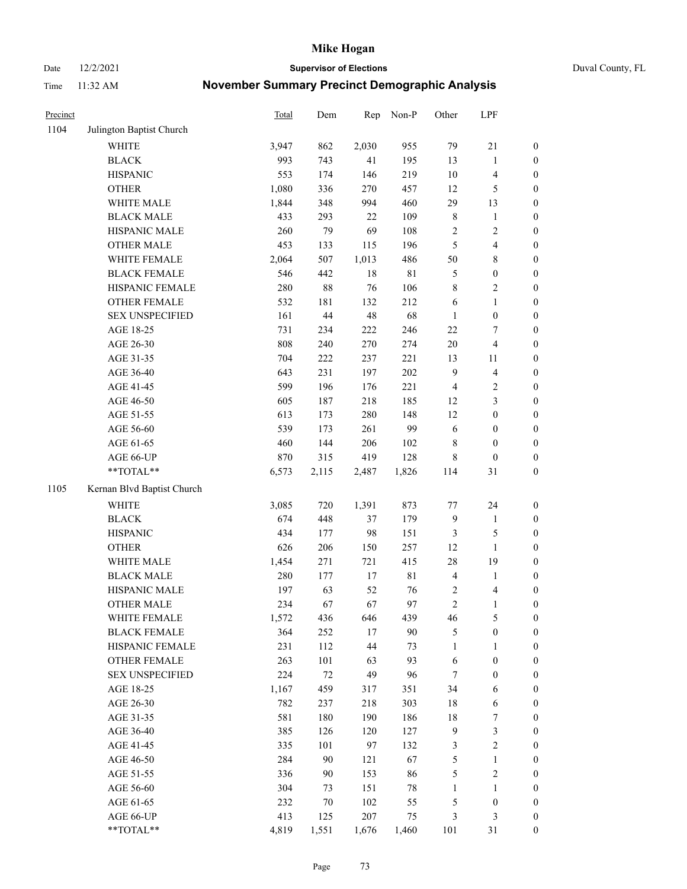Date 12/2/2021 **Supervisor of Elections** Duval County, FL

| Precinct |                            | Total | Dem    | Rep    | Non-P       | Other          | LPF                     |                  |
|----------|----------------------------|-------|--------|--------|-------------|----------------|-------------------------|------------------|
| 1104     | Julington Baptist Church   |       |        |        |             |                |                         |                  |
|          | <b>WHITE</b>               | 3,947 | 862    | 2,030  | 955         | 79             | 21                      | 0                |
|          | <b>BLACK</b>               | 993   | 743    | 41     | 195         | 13             | $\mathbf{1}$            | $\boldsymbol{0}$ |
|          | <b>HISPANIC</b>            | 553   | 174    | 146    | 219         | $10\,$         | $\overline{\mathbf{4}}$ | $\boldsymbol{0}$ |
|          | <b>OTHER</b>               | 1,080 | 336    | 270    | 457         | 12             | 5                       | $\boldsymbol{0}$ |
|          | WHITE MALE                 | 1,844 | 348    | 994    | 460         | 29             | 13                      | $\boldsymbol{0}$ |
|          | <b>BLACK MALE</b>          | 433   | 293    | 22     | 109         | 8              | 1                       | $\boldsymbol{0}$ |
|          | HISPANIC MALE              | 260   | 79     | 69     | 108         | 2              | $\sqrt{2}$              | $\boldsymbol{0}$ |
|          | <b>OTHER MALE</b>          | 453   | 133    | 115    | 196         | 5              | $\overline{\mathbf{4}}$ | $\boldsymbol{0}$ |
|          | WHITE FEMALE               | 2,064 | 507    | 1,013  | 486         | 50             | $8\,$                   | $\boldsymbol{0}$ |
|          | <b>BLACK FEMALE</b>        | 546   | 442    | 18     | $8\sqrt{1}$ | 5              | $\boldsymbol{0}$        | $\boldsymbol{0}$ |
|          | HISPANIC FEMALE            | 280   | $88\,$ | 76     | 106         | 8              | $\sqrt{2}$              | $\boldsymbol{0}$ |
|          | OTHER FEMALE               | 532   | 181    | 132    | 212         | 6              | $\mathbf{1}$            | $\boldsymbol{0}$ |
|          | <b>SEX UNSPECIFIED</b>     | 161   | 44     | 48     | 68          | $\mathbf{1}$   | $\boldsymbol{0}$        | $\boldsymbol{0}$ |
|          | AGE 18-25                  | 731   | 234    | 222    | 246         | $22\,$         | $\tau$                  | $\boldsymbol{0}$ |
|          | AGE 26-30                  | 808   | 240    | 270    | 274         | $20\,$         | $\overline{\mathbf{4}}$ | $\boldsymbol{0}$ |
|          | AGE 31-35                  | 704   | 222    | 237    | 221         | 13             | 11                      | $\boldsymbol{0}$ |
|          | AGE 36-40                  | 643   | 231    | 197    | 202         | 9              | $\overline{\mathbf{4}}$ | $\boldsymbol{0}$ |
|          | AGE 41-45                  | 599   | 196    | 176    | 221         | $\overline{4}$ | $\sqrt{2}$              | $\boldsymbol{0}$ |
|          | AGE 46-50                  | 605   | 187    | 218    | 185         | 12             | $\mathfrak{Z}$          | $\boldsymbol{0}$ |
|          | AGE 51-55                  | 613   | 173    | 280    | 148         | 12             | $\boldsymbol{0}$        | $\boldsymbol{0}$ |
|          | AGE 56-60                  | 539   | 173    | 261    | 99          | 6              | $\boldsymbol{0}$        | 0                |
|          | AGE 61-65                  | 460   | 144    | 206    | 102         | 8              | $\boldsymbol{0}$        | $\boldsymbol{0}$ |
|          | AGE 66-UP                  | 870   | 315    | 419    | 128         | 8              | $\boldsymbol{0}$        | $\boldsymbol{0}$ |
|          | **TOTAL**                  | 6,573 | 2,115  | 2,487  | 1,826       | 114            | 31                      | $\boldsymbol{0}$ |
| 1105     | Kernan Blvd Baptist Church |       |        |        |             |                |                         |                  |
|          | <b>WHITE</b>               | 3,085 | 720    | 1,391  | 873         | $77 \,$        | 24                      | $\boldsymbol{0}$ |
|          | <b>BLACK</b>               | 674   | 448    | 37     | 179         | 9              | $\mathbf{1}$            | $\boldsymbol{0}$ |
|          | <b>HISPANIC</b>            | 434   | 177    | 98     | 151         | 3              | $\mathfrak{S}$          | $\boldsymbol{0}$ |
|          | <b>OTHER</b>               | 626   | 206    | 150    | 257         | 12             | $\mathbf{1}$            | $\boldsymbol{0}$ |
|          | WHITE MALE                 | 1,454 | 271    | 721    | 415         | 28             | 19                      | $\boldsymbol{0}$ |
|          | <b>BLACK MALE</b>          | 280   | 177    | $17\,$ | 81          | $\overline{4}$ | $\mathbf{1}$            | $\boldsymbol{0}$ |
|          | HISPANIC MALE              | 197   | 63     | 52     | 76          | $\overline{c}$ | 4                       | 0                |
|          | <b>OTHER MALE</b>          | 234   | 67     | 67     | 97          | $\overline{c}$ | $\mathbf{1}$            | $\boldsymbol{0}$ |
|          | WHITE FEMALE               | 1,572 | 436    | 646    | 439         | 46             | 5                       | 0                |
|          | <b>BLACK FEMALE</b>        | 364   | 252    | 17     | 90          | 5              | $\boldsymbol{0}$        | $\boldsymbol{0}$ |
|          | HISPANIC FEMALE            | 231   | 112    | 44     | 73          | $\mathbf{1}$   | 1                       | $\overline{0}$   |
|          | <b>OTHER FEMALE</b>        | 263   | 101    | 63     | 93          | 6              | $\boldsymbol{0}$        | $\overline{0}$   |
|          | <b>SEX UNSPECIFIED</b>     | 224   | $72\,$ | 49     | 96          | 7              | $\boldsymbol{0}$        | 0                |
|          | AGE 18-25                  | 1,167 | 459    | 317    | 351         | 34             | 6                       | 0                |
|          | AGE 26-30                  | 782   | 237    | 218    | 303         | 18             | 6                       | 0                |
|          | AGE 31-35                  | 581   | 180    | 190    | 186         | 18             | $\boldsymbol{7}$        | 0                |
|          | AGE 36-40                  | 385   | 126    | 120    | 127         | $\overline{9}$ | $\mathfrak{Z}$          | 0                |
|          | AGE 41-45                  | 335   | 101    | 97     | 132         | 3              | $\sqrt{2}$              | 0                |
|          | AGE 46-50                  | 284   | 90     | 121    | 67          | 5              | $\mathbf{1}$            | 0                |
|          | AGE 51-55                  | 336   | 90     | 153    | 86          | 5              | $\sqrt{2}$              | 0                |
|          | AGE 56-60                  | 304   | 73     | 151    | 78          | 1              | 1                       | 0                |
|          | AGE 61-65                  | 232   | 70     | 102    | 55          | 5              | $\boldsymbol{0}$        | 0                |
|          | AGE 66-UP                  | 413   | 125    | 207    | 75          | 3              | $\mathfrak{Z}$          | 0                |
|          | $**TOTAL**$                | 4,819 | 1,551  | 1,676  | 1,460       | 101            | 31                      | $\boldsymbol{0}$ |
|          |                            |       |        |        |             |                |                         |                  |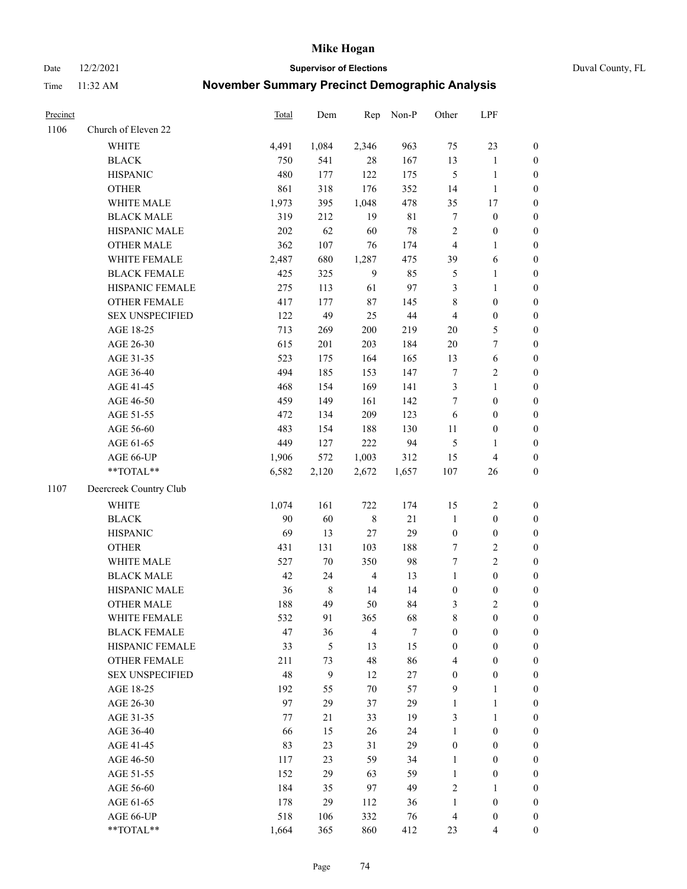Date 12/2/2021 **Supervisor of Elections** Duval County, FL

| Precinct |                        | <b>Total</b> | Dem         | Rep            | Non-P  | Other            | LPF              |                  |
|----------|------------------------|--------------|-------------|----------------|--------|------------------|------------------|------------------|
| 1106     | Church of Eleven 22    |              |             |                |        |                  |                  |                  |
|          | <b>WHITE</b>           | 4,491        | 1,084       | 2,346          | 963    | 75               | 23               | 0                |
|          | <b>BLACK</b>           | 750          | 541         | 28             | 167    | 13               | $\mathbf{1}$     | $\boldsymbol{0}$ |
|          | <b>HISPANIC</b>        | 480          | 177         | 122            | 175    | 5                | $\mathbf{1}$     | $\boldsymbol{0}$ |
|          | <b>OTHER</b>           | 861          | 318         | 176            | 352    | 14               | $\mathbf{1}$     | $\boldsymbol{0}$ |
|          | WHITE MALE             | 1,973        | 395         | 1,048          | 478    | 35               | 17               | $\boldsymbol{0}$ |
|          | <b>BLACK MALE</b>      | 319          | 212         | 19             | 81     | 7                | $\boldsymbol{0}$ | $\boldsymbol{0}$ |
|          | HISPANIC MALE          | 202          | 62          | 60             | $78\,$ | $\sqrt{2}$       | $\boldsymbol{0}$ | $\boldsymbol{0}$ |
|          | <b>OTHER MALE</b>      | 362          | 107         | 76             | 174    | $\overline{4}$   | $\mathbf{1}$     | $\boldsymbol{0}$ |
|          | WHITE FEMALE           | 2,487        | 680         | 1,287          | 475    | 39               | 6                | $\boldsymbol{0}$ |
|          | <b>BLACK FEMALE</b>    | 425          | 325         | $\overline{9}$ | 85     | $\mathfrak{S}$   | $\mathbf{1}$     | $\boldsymbol{0}$ |
|          | HISPANIC FEMALE        | 275          | 113         | 61             | 97     | 3                | $\mathbf{1}$     | 0                |
|          | OTHER FEMALE           | 417          | 177         | $87\,$         | 145    | 8                | $\boldsymbol{0}$ | $\boldsymbol{0}$ |
|          | <b>SEX UNSPECIFIED</b> | 122          | 49          | 25             | $44\,$ | $\overline{4}$   | $\boldsymbol{0}$ | $\boldsymbol{0}$ |
|          | AGE 18-25              | 713          | 269         | 200            | 219    | $20\,$           | $\mathfrak{S}$   | $\boldsymbol{0}$ |
|          | AGE 26-30              | 615          | 201         | 203            | 184    | $20\,$           | $\boldsymbol{7}$ | $\boldsymbol{0}$ |
|          | AGE 31-35              | 523          | 175         | 164            | 165    | 13               | $\sqrt{6}$       | $\boldsymbol{0}$ |
|          | AGE 36-40              | 494          | 185         | 153            | 147    | 7                | $\sqrt{2}$       | $\boldsymbol{0}$ |
|          | AGE 41-45              | 468          | 154         | 169            | 141    | 3                | $\mathbf{1}$     | $\boldsymbol{0}$ |
|          | AGE 46-50              | 459          | 149         | 161            | 142    | 7                | $\boldsymbol{0}$ | $\boldsymbol{0}$ |
|          | AGE 51-55              | 472          | 134         | 209            | 123    | 6                | $\boldsymbol{0}$ | $\boldsymbol{0}$ |
|          | AGE 56-60              | 483          | 154         | 188            | 130    | 11               | $\boldsymbol{0}$ | 0                |
|          | AGE 61-65              | 449          | 127         | 222            | 94     | 5                | $\mathbf{1}$     | 0                |
|          | AGE 66-UP              | 1,906        | 572         | 1,003          | 312    | 15               | $\overline{4}$   | $\boldsymbol{0}$ |
|          | **TOTAL**              | 6,582        | 2,120       | 2,672          | 1,657  | 107              | 26               | $\boldsymbol{0}$ |
| 1107     | Deercreek Country Club |              |             |                |        |                  |                  |                  |
|          | <b>WHITE</b>           | 1,074        | 161         | 722            | 174    | 15               | $\sqrt{2}$       | $\boldsymbol{0}$ |
|          | <b>BLACK</b>           | 90           | 60          | $\,$ 8 $\,$    | $21\,$ | $\mathbf{1}$     | $\boldsymbol{0}$ | $\boldsymbol{0}$ |
|          | <b>HISPANIC</b>        | 69           | 13          | 27             | 29     | $\boldsymbol{0}$ | $\boldsymbol{0}$ | $\boldsymbol{0}$ |
|          | <b>OTHER</b>           | 431          | 131         | 103            | 188    | $\boldsymbol{7}$ | $\sqrt{2}$       | $\boldsymbol{0}$ |
|          | WHITE MALE             | 527          | $70\,$      | 350            | 98     | $\boldsymbol{7}$ | $\overline{2}$   | $\boldsymbol{0}$ |
|          | <b>BLACK MALE</b>      | 42           | 24          | $\overline{4}$ | 13     | $\mathbf{1}$     | $\boldsymbol{0}$ | $\boldsymbol{0}$ |
|          | HISPANIC MALE          | 36           | $\,$ 8 $\,$ | 14             | 14     | $\boldsymbol{0}$ | $\boldsymbol{0}$ | $\boldsymbol{0}$ |
|          | OTHER MALE             | 188          | 49          | 50             | 84     | 3                | $\mathbf{2}$     | $\boldsymbol{0}$ |
|          | WHITE FEMALE           | 532          | 91          | 365            | 68     | 8                | $\boldsymbol{0}$ | 0                |
|          | <b>BLACK FEMALE</b>    | 47           | 36          | $\overline{4}$ | $\tau$ | $\boldsymbol{0}$ | $\boldsymbol{0}$ | $\overline{0}$   |
|          | HISPANIC FEMALE        | 33           | 5           | 13             | 15     | $\boldsymbol{0}$ | $\boldsymbol{0}$ | $\overline{0}$   |
|          | <b>OTHER FEMALE</b>    | 211          | 73          | 48             | 86     | 4                | $\boldsymbol{0}$ | $\theta$         |
|          | <b>SEX UNSPECIFIED</b> | 48           | 9           | 12             | $27\,$ | $\boldsymbol{0}$ | $\boldsymbol{0}$ | 0                |
|          | AGE 18-25              | 192          | 55          | 70             | 57     | 9                | 1                | 0                |
|          | AGE 26-30              | 97           | 29          | 37             | 29     | $\mathbf{1}$     | $\mathbf{1}$     | 0                |
|          | AGE 31-35              | 77           | 21          | 33             | 19     | 3                | $\mathbf{1}$     | 0                |
|          | AGE 36-40              | 66           | 15          | 26             | 24     | $\mathbf{1}$     | $\boldsymbol{0}$ | 0                |
|          | AGE 41-45              | 83           | 23          | 31             | 29     | $\boldsymbol{0}$ | $\boldsymbol{0}$ | 0                |
|          | AGE 46-50              | 117          | 23          | 59             | 34     | 1                | $\boldsymbol{0}$ | 0                |
|          | AGE 51-55              | 152          | 29          | 63             | 59     | $\mathbf{1}$     | $\boldsymbol{0}$ | 0                |
|          | AGE 56-60              | 184          | 35          | 97             | 49     | 2                | 1                | 0                |
|          | AGE 61-65              | 178          | 29          | 112            | 36     | $\mathbf{1}$     | $\boldsymbol{0}$ | 0                |
|          | AGE 66-UP              | 518          | 106         | 332            | 76     | 4                | $\boldsymbol{0}$ | 0                |
|          | **TOTAL**              | 1,664        | 365         | 860            | 412    | 23               | $\overline{4}$   | $\boldsymbol{0}$ |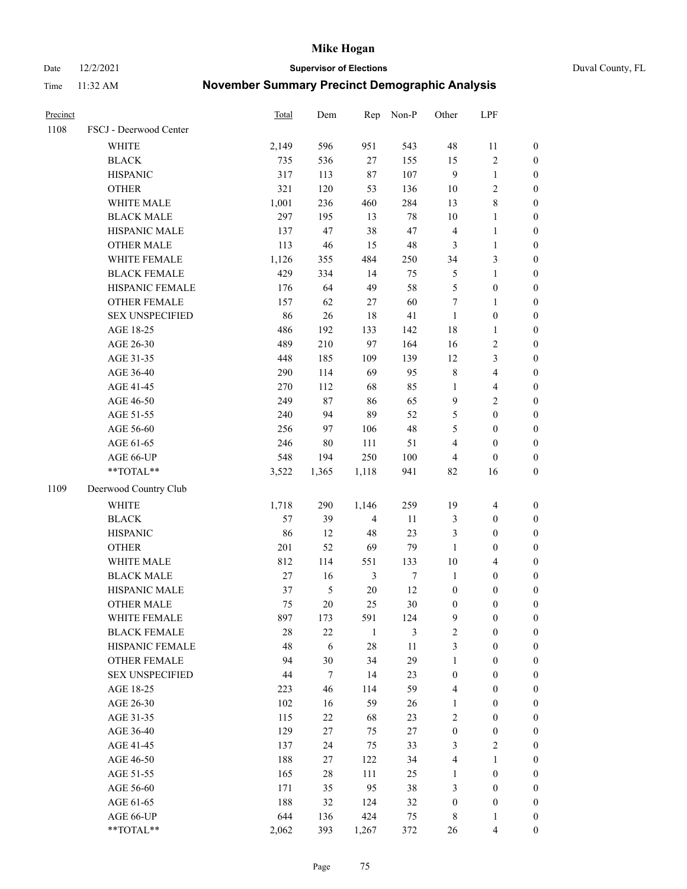Date 12/2/2021 **Supervisor of Elections** Duval County, FL

| Precinct |                        | Total  | Dem           |                | Rep Non-P        | Other            | LPF                     |                  |
|----------|------------------------|--------|---------------|----------------|------------------|------------------|-------------------------|------------------|
| 1108     | FSCJ - Deerwood Center |        |               |                |                  |                  |                         |                  |
|          | <b>WHITE</b>           | 2,149  | 596           | 951            | 543              | 48               | 11                      | 0                |
|          | <b>BLACK</b>           | 735    | 536           | 27             | 155              | 15               | $\sqrt{2}$              | $\boldsymbol{0}$ |
|          | <b>HISPANIC</b>        | 317    | 113           | $87\,$         | 107              | 9                | $\mathbf{1}$            | $\boldsymbol{0}$ |
|          | <b>OTHER</b>           | 321    | 120           | 53             | 136              | $10\,$           | $\sqrt{2}$              | $\boldsymbol{0}$ |
|          | WHITE MALE             | 1,001  | 236           | 460            | 284              | 13               | $\,$ 8 $\,$             | $\boldsymbol{0}$ |
|          | <b>BLACK MALE</b>      | 297    | 195           | 13             | $78\,$           | $10\,$           | $\mathbf{1}$            | $\boldsymbol{0}$ |
|          | HISPANIC MALE          | 137    | 47            | 38             | 47               | 4                | $\mathbf{1}$            | $\boldsymbol{0}$ |
|          | <b>OTHER MALE</b>      | 113    | 46            | 15             | $\sqrt{48}$      | 3                | $\mathbf{1}$            | $\boldsymbol{0}$ |
|          | WHITE FEMALE           | 1,126  | 355           | 484            | 250              | 34               | $\mathfrak{Z}$          | $\boldsymbol{0}$ |
|          | <b>BLACK FEMALE</b>    | 429    | 334           | 14             | 75               | 5                | $\mathbf{1}$            | $\boldsymbol{0}$ |
|          | HISPANIC FEMALE        | 176    | 64            | 49             | 58               | 5                | $\boldsymbol{0}$        | 0                |
|          | <b>OTHER FEMALE</b>    | 157    | 62            | $27\,$         | 60               | $\tau$           | $\mathbf{1}$            | $\boldsymbol{0}$ |
|          | <b>SEX UNSPECIFIED</b> | 86     | 26            | 18             | 41               | $\mathbf{1}$     | $\boldsymbol{0}$        | $\boldsymbol{0}$ |
|          | AGE 18-25              | 486    | 192           | 133            | 142              | 18               | $\mathbf{1}$            | $\boldsymbol{0}$ |
|          | AGE 26-30              | 489    | 210           | 97             | 164              | 16               | $\sqrt{2}$              | $\boldsymbol{0}$ |
|          | AGE 31-35              | 448    | 185           | 109            | 139              | 12               | $\mathfrak{Z}$          | $\boldsymbol{0}$ |
|          | AGE 36-40              | 290    | 114           | 69             | 95               | $\,$ $\,$        | $\overline{4}$          | $\boldsymbol{0}$ |
|          | AGE 41-45              | 270    | 112           | 68             | 85               | $\mathbf{1}$     | $\overline{4}$          | $\boldsymbol{0}$ |
|          | AGE 46-50              | 249    | $87\,$        | 86             | 65               | $\mathbf{9}$     | $\overline{c}$          | $\boldsymbol{0}$ |
|          | AGE 51-55              | 240    | 94            | 89             | 52               | 5                | $\boldsymbol{0}$        | $\boldsymbol{0}$ |
|          | AGE 56-60              | 256    | 97            | 106            | 48               | 5                | $\boldsymbol{0}$        | 0                |
|          | AGE 61-65              | 246    | 80            | 111            | 51               | 4                | $\boldsymbol{0}$        | $\boldsymbol{0}$ |
|          | AGE 66-UP              | 548    | 194           | 250            | 100              | 4                | $\boldsymbol{0}$        | $\boldsymbol{0}$ |
|          | $**TOTAL**$            | 3,522  | 1,365         | 1,118          | 941              | 82               | 16                      | $\boldsymbol{0}$ |
| 1109     | Deerwood Country Club  |        |               |                |                  |                  |                         |                  |
|          | <b>WHITE</b>           | 1,718  | 290           | 1,146          | 259              | 19               | $\overline{4}$          | $\boldsymbol{0}$ |
|          | <b>BLACK</b>           | 57     | 39            | $\overline{4}$ | 11               | 3                | $\boldsymbol{0}$        | $\boldsymbol{0}$ |
|          | <b>HISPANIC</b>        | 86     | 12            | 48             | 23               | 3                | $\boldsymbol{0}$        | $\boldsymbol{0}$ |
|          | <b>OTHER</b>           | 201    | 52            | 69             | 79               | $\mathbf{1}$     | $\boldsymbol{0}$        | $\boldsymbol{0}$ |
|          | WHITE MALE             | 812    | 114           | 551            | 133              | $10\,$           | $\overline{4}$          | $\boldsymbol{0}$ |
|          | <b>BLACK MALE</b>      | 27     | 16            | $\mathfrak{Z}$ | $\boldsymbol{7}$ | $\mathbf{1}$     | $\boldsymbol{0}$        | $\boldsymbol{0}$ |
|          | HISPANIC MALE          | 37     | $\mathfrak s$ | $20\,$         | 12               | $\boldsymbol{0}$ | $\boldsymbol{0}$        | $\boldsymbol{0}$ |
|          | <b>OTHER MALE</b>      | 75     | 20            | 25             | $30\,$           | $\boldsymbol{0}$ | $\boldsymbol{0}$        | $\boldsymbol{0}$ |
|          | WHITE FEMALE           | 897    | 173           | 591            | 124              | 9                | 0                       | 0                |
|          | <b>BLACK FEMALE</b>    | 28     | $22\,$        | $\mathbf{1}$   | 3                | $\overline{c}$   | $\boldsymbol{0}$        | $\overline{0}$   |
|          | HISPANIC FEMALE        | 48     | $\sqrt{6}$    | 28             | $11\,$           | 3                | $\boldsymbol{0}$        | $\overline{0}$   |
|          | <b>OTHER FEMALE</b>    | 94     | 30            | 34             | 29               | $\mathbf{1}$     | $\boldsymbol{0}$        | $\overline{0}$   |
|          | <b>SEX UNSPECIFIED</b> | $44\,$ | $\tau$        | 14             | 23               | $\boldsymbol{0}$ | $\boldsymbol{0}$        | 0                |
|          | AGE 18-25              | 223    | 46            | 114            | 59               | 4                | $\boldsymbol{0}$        | $\overline{0}$   |
|          | AGE 26-30              | 102    | 16            | 59             | 26               | $\mathbf{1}$     | $\boldsymbol{0}$        | 0                |
|          | AGE 31-35              | 115    | 22            | 68             | 23               | 2                | $\boldsymbol{0}$        | 0                |
|          | AGE 36-40              | 129    | 27            | 75             | $27\,$           | $\boldsymbol{0}$ | $\boldsymbol{0}$        | 0                |
|          | AGE 41-45              | 137    | 24            | 75             | 33               | 3                | $\mathfrak{2}$          | 0                |
|          | AGE 46-50              | 188    | 27            | 122            | 34               | 4                | $\mathbf{1}$            | 0                |
|          | AGE 51-55              | 165    | $28\,$        | 111            | 25               | $\mathbf{1}$     | $\boldsymbol{0}$        | 0                |
|          | AGE 56-60              | 171    | 35            | 95             | 38               | 3                | $\boldsymbol{0}$        | $\overline{0}$   |
|          | AGE 61-65              | 188    | 32            | 124            | 32               | $\boldsymbol{0}$ | $\boldsymbol{0}$        | $\overline{0}$   |
|          | AGE 66-UP              | 644    | 136           | 424            | 75               | 8                | 1                       | 0                |
|          | **TOTAL**              | 2,062  | 393           | 1,267          | 372              | 26               | $\overline{\mathbf{4}}$ | $\boldsymbol{0}$ |
|          |                        |        |               |                |                  |                  |                         |                  |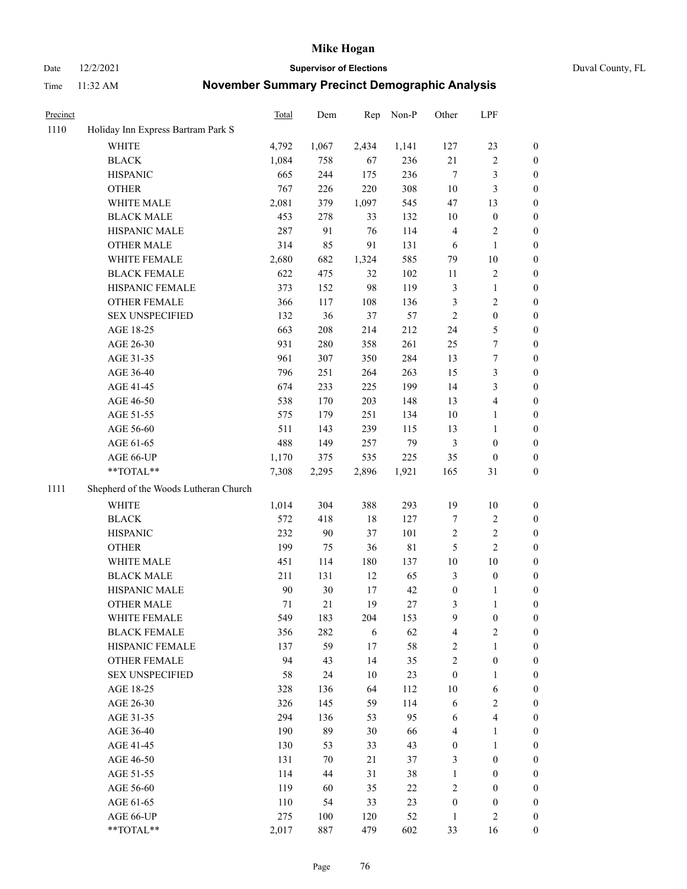Date 12/2/2021 **Supervisor of Elections** Duval County, FL

| Precinct |                                       | Total  | Dem   | Rep   | Non-P       | Other                   | LPF                     |                  |
|----------|---------------------------------------|--------|-------|-------|-------------|-------------------------|-------------------------|------------------|
| 1110     | Holiday Inn Express Bartram Park S    |        |       |       |             |                         |                         |                  |
|          | <b>WHITE</b>                          | 4,792  | 1,067 | 2,434 | 1,141       | 127                     | 23                      | 0                |
|          | <b>BLACK</b>                          | 1,084  | 758   | 67    | 236         | $21\,$                  | $\sqrt{2}$              | 0                |
|          | <b>HISPANIC</b>                       | 665    | 244   | 175   | 236         | $\tau$                  | $\mathfrak{Z}$          | $\boldsymbol{0}$ |
|          | <b>OTHER</b>                          | 767    | 226   | 220   | 308         | $10\,$                  | $\mathfrak{Z}$          | $\boldsymbol{0}$ |
|          | WHITE MALE                            | 2,081  | 379   | 1,097 | 545         | 47                      | 13                      | $\boldsymbol{0}$ |
|          | <b>BLACK MALE</b>                     | 453    | 278   | 33    | 132         | 10                      | $\boldsymbol{0}$        | $\boldsymbol{0}$ |
|          | HISPANIC MALE                         | 287    | 91    | 76    | 114         | 4                       | $\sqrt{2}$              | $\boldsymbol{0}$ |
|          | <b>OTHER MALE</b>                     | 314    | 85    | 91    | 131         | 6                       | $\mathbf{1}$            | $\boldsymbol{0}$ |
|          | WHITE FEMALE                          | 2,680  | 682   | 1,324 | 585         | 79                      | $10\,$                  | 0                |
|          | <b>BLACK FEMALE</b>                   | 622    | 475   | 32    | 102         | 11                      | $\sqrt{2}$              | 0                |
|          | HISPANIC FEMALE                       | 373    | 152   | 98    | 119         | 3                       | $\mathbf{1}$            | 0                |
|          | OTHER FEMALE                          | 366    | 117   | 108   | 136         | 3                       | $\sqrt{2}$              | 0                |
|          | <b>SEX UNSPECIFIED</b>                | 132    | 36    | 37    | 57          | $\sqrt{2}$              | $\boldsymbol{0}$        | $\boldsymbol{0}$ |
|          | AGE 18-25                             | 663    | 208   | 214   | 212         | 24                      | $\mathfrak{S}$          | $\boldsymbol{0}$ |
|          | AGE 26-30                             | 931    | 280   | 358   | 261         | 25                      | $\boldsymbol{7}$        | $\boldsymbol{0}$ |
|          | AGE 31-35                             | 961    | 307   | 350   | 284         | 13                      | $\boldsymbol{7}$        | $\boldsymbol{0}$ |
|          | AGE 36-40                             | 796    | 251   | 264   | 263         | 15                      | $\mathfrak{Z}$          | $\boldsymbol{0}$ |
|          | AGE 41-45                             | 674    | 233   | 225   | 199         | 14                      | $\mathfrak{Z}$          | $\boldsymbol{0}$ |
|          | AGE 46-50                             | 538    | 170   | 203   | 148         | 13                      | $\overline{\mathbf{4}}$ | 0                |
|          | AGE 51-55                             | 575    | 179   | 251   | 134         | 10                      | $\mathbf{1}$            | 0                |
|          | AGE 56-60                             | 511    | 143   | 239   | 115         | 13                      | $\mathbf{1}$            | 0                |
|          | AGE 61-65                             | 488    | 149   | 257   | 79          | $\mathfrak{Z}$          | $\boldsymbol{0}$        | 0                |
|          | AGE 66-UP                             | 1,170  | 375   | 535   | 225         | 35                      | $\boldsymbol{0}$        | $\boldsymbol{0}$ |
|          | **TOTAL**                             | 7,308  | 2,295 | 2,896 | 1,921       | 165                     | 31                      | $\boldsymbol{0}$ |
| 1111     | Shepherd of the Woods Lutheran Church |        |       |       |             |                         |                         |                  |
|          | <b>WHITE</b>                          | 1,014  | 304   | 388   | 293         | 19                      | $10\,$                  | $\boldsymbol{0}$ |
|          | <b>BLACK</b>                          | 572    | 418   | 18    | 127         | 7                       | $\sqrt{2}$              | $\boldsymbol{0}$ |
|          | <b>HISPANIC</b>                       | 232    | 90    | 37    | 101         | $\sqrt{2}$              | $\sqrt{2}$              | $\boldsymbol{0}$ |
|          | <b>OTHER</b>                          | 199    | 75    | 36    | $8\sqrt{1}$ | 5                       | $\overline{c}$          | $\boldsymbol{0}$ |
|          | WHITE MALE                            | 451    | 114   | 180   | 137         | $10\,$                  | $10\,$                  | $\boldsymbol{0}$ |
|          | <b>BLACK MALE</b>                     | 211    | 131   | 12    | 65          | 3                       | $\boldsymbol{0}$        | 0                |
|          | HISPANIC MALE                         | $90\,$ | 30    | 17    | 42          | $\boldsymbol{0}$        | 1                       | 0                |
|          | <b>OTHER MALE</b>                     | 71     | 21    | 19    | 27          | 3                       | $\mathbf{1}$            | 0                |
|          | WHITE FEMALE                          | 549    | 183   | 204   | 153         | 9                       | $\boldsymbol{0}$        | 0                |
|          | <b>BLACK FEMALE</b>                   | 356    | 282   | 6     | 62          | $\overline{\mathbf{4}}$ | $\sqrt{2}$              | $\boldsymbol{0}$ |
|          | HISPANIC FEMALE                       | 137    | 59    | 17    | 58          | $\sqrt{2}$              | $\mathbf{1}$            | $\overline{0}$   |
|          | OTHER FEMALE                          | 94     | 43    | 14    | 35          | $\overline{c}$          | $\boldsymbol{0}$        | $\overline{0}$   |
|          | <b>SEX UNSPECIFIED</b>                | 58     | 24    | 10    | 23          | $\boldsymbol{0}$        | $\mathbf{1}$            | 0                |
|          | AGE 18-25                             | 328    | 136   | 64    | 112         | 10                      | 6                       | 0                |
|          | AGE 26-30                             | 326    | 145   | 59    | 114         | 6                       | $\sqrt{2}$              | 0                |
|          | AGE 31-35                             | 294    | 136   | 53    | 95          | 6                       | $\overline{\mathbf{4}}$ | 0                |
|          | AGE 36-40                             | 190    | 89    | 30    | 66          | 4                       | $\mathbf{1}$            | 0                |
|          | AGE 41-45                             | 130    | 53    | 33    | 43          | $\boldsymbol{0}$        | $\mathbf{1}$            | 0                |
|          | AGE 46-50                             | 131    | 70    | 21    | 37          | 3                       | $\boldsymbol{0}$        | 0                |
|          | AGE 51-55                             | 114    | 44    | 31    | 38          | $\mathbf{1}$            | $\boldsymbol{0}$        | 0                |
|          | AGE 56-60                             | 119    | 60    | 35    | 22          | $\mathfrak{2}$          | $\boldsymbol{0}$        | $\overline{0}$   |
|          | AGE 61-65                             | 110    | 54    | 33    | 23          | $\boldsymbol{0}$        | $\boldsymbol{0}$        | $\overline{0}$   |
|          | AGE 66-UP                             | 275    | 100   | 120   | 52          | $\mathbf{1}$            | $\mathfrak{2}$          | 0                |
|          | **TOTAL**                             | 2,017  | 887   | 479   | 602         | 33                      | 16                      | $\boldsymbol{0}$ |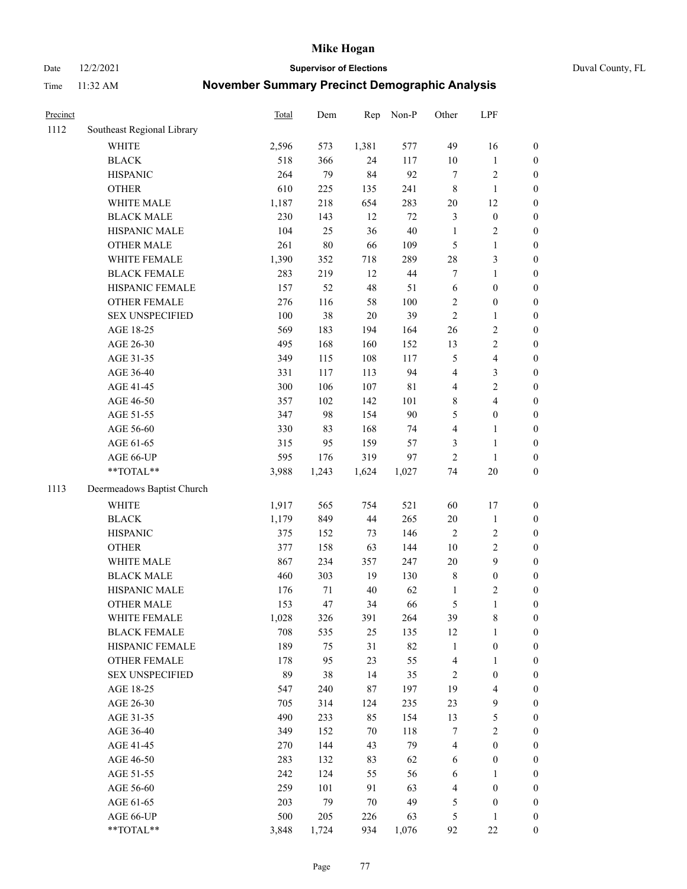Date 12/2/2021 **Supervisor of Elections** Duval County, FL

| Precinct |                            | <b>Total</b> | Dem    | Rep    | Non-P       | Other                   | LPF              |                  |
|----------|----------------------------|--------------|--------|--------|-------------|-------------------------|------------------|------------------|
| 1112     | Southeast Regional Library |              |        |        |             |                         |                  |                  |
|          | <b>WHITE</b>               | 2,596        | 573    | 1,381  | 577         | 49                      | 16               | 0                |
|          | <b>BLACK</b>               | 518          | 366    | 24     | 117         | $10\,$                  | $\mathbf{1}$     | 0                |
|          | <b>HISPANIC</b>            | 264          | 79     | 84     | 92          | $\tau$                  | $\sqrt{2}$       | $\boldsymbol{0}$ |
|          | <b>OTHER</b>               | 610          | 225    | 135    | 241         | 8                       | $\mathbf{1}$     | $\boldsymbol{0}$ |
|          | WHITE MALE                 | 1,187        | 218    | 654    | 283         | $20\,$                  | 12               | $\boldsymbol{0}$ |
|          | <b>BLACK MALE</b>          | 230          | 143    | 12     | $72\,$      | 3                       | $\boldsymbol{0}$ | $\boldsymbol{0}$ |
|          | HISPANIC MALE              | 104          | 25     | 36     | $40\,$      | $\mathbf{1}$            | $\sqrt{2}$       | $\boldsymbol{0}$ |
|          | <b>OTHER MALE</b>          | 261          | $80\,$ | 66     | 109         | 5                       | $\mathbf{1}$     | $\boldsymbol{0}$ |
|          | WHITE FEMALE               | 1,390        | 352    | 718    | 289         | $28\,$                  | $\mathfrak{Z}$   | $\boldsymbol{0}$ |
|          | <b>BLACK FEMALE</b>        | 283          | 219    | 12     | $44\,$      | 7                       | $\mathbf{1}$     | $\boldsymbol{0}$ |
|          | HISPANIC FEMALE            | 157          | 52     | 48     | 51          | $\sqrt{6}$              | $\boldsymbol{0}$ | $\boldsymbol{0}$ |
|          | <b>OTHER FEMALE</b>        | 276          | 116    | 58     | 100         | $\overline{2}$          | $\boldsymbol{0}$ | $\boldsymbol{0}$ |
|          | <b>SEX UNSPECIFIED</b>     | 100          | 38     | $20\,$ | 39          | $\overline{2}$          | $\mathbf{1}$     | $\boldsymbol{0}$ |
|          | AGE 18-25                  | 569          | 183    | 194    | 164         | $26\,$                  | $\sqrt{2}$       | $\boldsymbol{0}$ |
|          | AGE 26-30                  | 495          | 168    | 160    | 152         | 13                      | $\sqrt{2}$       | $\boldsymbol{0}$ |
|          | AGE 31-35                  | 349          | 115    | 108    | 117         | 5                       | $\overline{4}$   | $\boldsymbol{0}$ |
|          | AGE 36-40                  | 331          | 117    | 113    | 94          | 4                       | $\mathfrak{Z}$   | $\boldsymbol{0}$ |
|          | AGE 41-45                  | 300          | 106    | 107    | $8\sqrt{1}$ | $\overline{\mathbf{4}}$ | $\sqrt{2}$       | $\boldsymbol{0}$ |
|          | AGE 46-50                  | 357          | 102    | 142    | 101         | 8                       | $\overline{4}$   | $\boldsymbol{0}$ |
|          | AGE 51-55                  | 347          | 98     | 154    | 90          | 5                       | $\boldsymbol{0}$ | $\boldsymbol{0}$ |
|          | AGE 56-60                  | 330          | 83     | 168    | 74          | 4                       | 1                | 0                |
|          | AGE 61-65                  | 315          | 95     | 159    | 57          | 3                       | $\mathbf{1}$     | $\boldsymbol{0}$ |
|          | AGE 66-UP                  | 595          | 176    | 319    | 97          | $\mathfrak{2}$          | $\mathbf{1}$     | $\boldsymbol{0}$ |
|          | $**TOTAL**$                | 3,988        | 1,243  | 1,624  | 1,027       | 74                      | $20\,$           | $\boldsymbol{0}$ |
| 1113     | Deermeadows Baptist Church |              |        |        |             |                         |                  |                  |
|          | <b>WHITE</b>               | 1,917        | 565    | 754    | 521         | 60                      | 17               | $\boldsymbol{0}$ |
|          | <b>BLACK</b>               | 1,179        | 849    | 44     | 265         | $20\,$                  | $\mathbf{1}$     | $\boldsymbol{0}$ |
|          | <b>HISPANIC</b>            | 375          | 152    | 73     | 146         | 2                       | $\sqrt{2}$       | $\boldsymbol{0}$ |
|          | <b>OTHER</b>               | 377          | 158    | 63     | 144         | $10\,$                  | $\sqrt{2}$       | $\boldsymbol{0}$ |
|          | WHITE MALE                 | 867          | 234    | 357    | 247         | $20\,$                  | $\boldsymbol{9}$ | $\boldsymbol{0}$ |
|          | <b>BLACK MALE</b>          | 460          | 303    | 19     | 130         | 8                       | $\boldsymbol{0}$ | $\boldsymbol{0}$ |
|          | HISPANIC MALE              | 176          | 71     | $40\,$ | 62          | 1                       | $\sqrt{2}$       | $\boldsymbol{0}$ |
|          | <b>OTHER MALE</b>          | 153          | 47     | 34     | 66          | 5                       | $\mathbf{1}$     | $\boldsymbol{0}$ |
|          | WHITE FEMALE               | 1,028        | 326    | 391    | 264         | 39                      | 8                | 0                |
|          | <b>BLACK FEMALE</b>        | 708          | 535    | 25     | 135         | 12                      | $\mathbf{1}$     | $\boldsymbol{0}$ |
|          | HISPANIC FEMALE            | 189          | 75     | 31     | 82          | $\mathbf{1}$            | $\boldsymbol{0}$ | $\overline{0}$   |
|          | <b>OTHER FEMALE</b>        | 178          | 95     | 23     | 55          | 4                       | $\mathbf{1}$     | $\overline{0}$   |
|          | <b>SEX UNSPECIFIED</b>     | 89           | 38     | 14     | 35          | 2                       | $\boldsymbol{0}$ | 0                |
|          | AGE 18-25                  | 547          | 240    | 87     | 197         | 19                      | $\overline{4}$   | 0                |
|          | AGE 26-30                  | 705          | 314    | 124    | 235         | 23                      | $\boldsymbol{9}$ | 0                |
|          | AGE 31-35                  | 490          | 233    | 85     | 154         | 13                      | 5                | 0                |
|          | AGE 36-40                  | 349          | 152    | 70     | 118         | 7                       | $\sqrt{2}$       | 0                |
|          | AGE 41-45                  | 270          | 144    | 43     | 79          | 4                       | $\boldsymbol{0}$ | 0                |
|          | AGE 46-50                  | 283          | 132    | 83     | 62          | 6                       | $\boldsymbol{0}$ | 0                |
|          | AGE 51-55                  | 242          | 124    | 55     | 56          | 6                       | 1                | $\overline{0}$   |
|          | AGE 56-60                  | 259          | 101    | 91     | 63          | 4                       | $\boldsymbol{0}$ | $\overline{0}$   |
|          | AGE 61-65                  | 203          | 79     | $70\,$ | 49          | 5                       | $\boldsymbol{0}$ | $\overline{0}$   |
|          | AGE 66-UP                  | 500          | 205    | 226    | 63          | 5                       | $\mathbf{1}$     | 0                |
|          | **TOTAL**                  | 3,848        | 1,724  | 934    | 1,076       | 92                      | $22\,$           | $\boldsymbol{0}$ |
|          |                            |              |        |        |             |                         |                  |                  |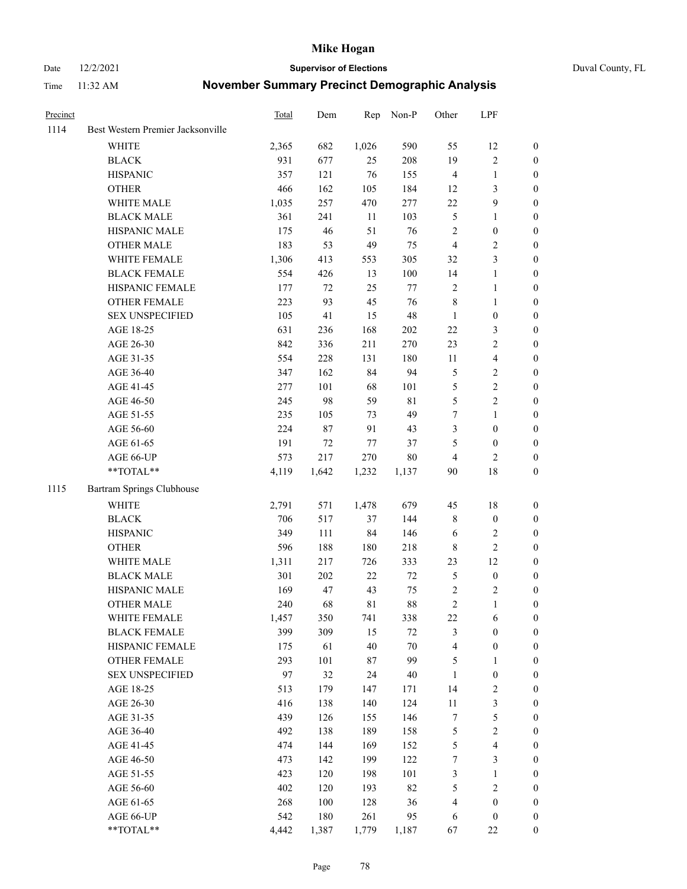Date 12/2/2021 **Supervisor of Elections** Duval County, FL

| Precinct |                                   | Total | Dem     | Rep    | Non-P       | Other          | LPF              |                  |
|----------|-----------------------------------|-------|---------|--------|-------------|----------------|------------------|------------------|
| 1114     | Best Western Premier Jacksonville |       |         |        |             |                |                  |                  |
|          | <b>WHITE</b>                      | 2,365 | 682     | 1,026  | 590         | 55             | 12               | 0                |
|          | <b>BLACK</b>                      | 931   | 677     | 25     | 208         | 19             | $\sqrt{2}$       | 0                |
|          | <b>HISPANIC</b>                   | 357   | 121     | 76     | 155         | 4              | $\mathbf{1}$     | $\boldsymbol{0}$ |
|          | <b>OTHER</b>                      | 466   | 162     | 105    | 184         | 12             | $\mathfrak{Z}$   | $\boldsymbol{0}$ |
|          | WHITE MALE                        | 1,035 | 257     | 470    | 277         | $22\,$         | $\boldsymbol{9}$ | $\boldsymbol{0}$ |
|          | <b>BLACK MALE</b>                 | 361   | 241     | 11     | 103         | 5              | $\mathbf{1}$     | $\boldsymbol{0}$ |
|          | HISPANIC MALE                     | 175   | 46      | 51     | 76          | 2              | $\boldsymbol{0}$ | $\boldsymbol{0}$ |
|          | <b>OTHER MALE</b>                 | 183   | 53      | 49     | 75          | $\overline{4}$ | $\mathfrak{2}$   | $\boldsymbol{0}$ |
|          | WHITE FEMALE                      | 1,306 | 413     | 553    | 305         | 32             | 3                | $\boldsymbol{0}$ |
|          | <b>BLACK FEMALE</b>               | 554   | 426     | 13     | 100         | 14             | $\mathbf{1}$     | 0                |
|          | HISPANIC FEMALE                   | 177   | 72      | 25     | $77 \,$     | $\mathbf{2}$   | $\mathbf{1}$     | 0                |
|          | OTHER FEMALE                      | 223   | 93      | 45     | 76          | 8              | $\mathbf{1}$     | 0                |
|          | <b>SEX UNSPECIFIED</b>            | 105   | 41      | 15     | 48          | $\mathbf{1}$   | $\boldsymbol{0}$ | $\boldsymbol{0}$ |
|          | AGE 18-25                         | 631   | 236     | 168    | $202\,$     | $22\,$         | $\mathfrak{Z}$   | $\boldsymbol{0}$ |
|          | AGE 26-30                         | 842   | 336     | 211    | 270         | 23             | $\sqrt{2}$       | $\boldsymbol{0}$ |
|          | AGE 31-35                         | 554   | 228     | 131    | 180         | 11             | $\overline{4}$   | $\boldsymbol{0}$ |
|          | AGE 36-40                         | 347   | 162     | 84     | 94          | 5              | $\sqrt{2}$       | $\boldsymbol{0}$ |
|          | AGE 41-45                         | 277   | 101     | 68     | 101         | 5              | $\sqrt{2}$       | $\boldsymbol{0}$ |
|          | AGE 46-50                         | 245   | 98      | 59     | $8\sqrt{1}$ | 5              | $\overline{c}$   | $\boldsymbol{0}$ |
|          | AGE 51-55                         | 235   | 105     | 73     | 49          | 7              | $\mathbf{1}$     | 0                |
|          | AGE 56-60                         | 224   | 87      | 91     | 43          | 3              | $\boldsymbol{0}$ | 0                |
|          | AGE 61-65                         | 191   | 72      | $77\,$ | 37          | 5              | $\boldsymbol{0}$ | 0                |
|          | AGE 66-UP                         | 573   | 217     | 270    | $80\,$      | $\overline{4}$ | $\mathfrak{2}$   | $\boldsymbol{0}$ |
|          | $**TOTAL**$                       | 4,119 | 1,642   | 1,232  | 1,137       | 90             | 18               | $\boldsymbol{0}$ |
| 1115     | Bartram Springs Clubhouse         |       |         |        |             |                |                  |                  |
|          | <b>WHITE</b>                      | 2,791 | 571     | 1,478  | 679         | 45             | 18               | $\boldsymbol{0}$ |
|          | <b>BLACK</b>                      | 706   | 517     | 37     | 144         | 8              | $\boldsymbol{0}$ | $\boldsymbol{0}$ |
|          | <b>HISPANIC</b>                   | 349   | 111     | 84     | 146         | 6              | $\mathfrak{2}$   | $\boldsymbol{0}$ |
|          | <b>OTHER</b>                      | 596   | 188     | 180    | 218         | 8              | $\sqrt{2}$       | $\boldsymbol{0}$ |
|          | WHITE MALE                        | 1,311 | 217     | 726    | 333         | 23             | 12               | $\boldsymbol{0}$ |
|          | <b>BLACK MALE</b>                 | 301   | $202\,$ | 22     | $72\,$      | 5              | $\boldsymbol{0}$ | $\boldsymbol{0}$ |
|          | HISPANIC MALE                     | 169   | 47      | 43     | 75          | 2              | $\overline{c}$   | 0                |
|          | <b>OTHER MALE</b>                 | 240   | 68      | 81     | 88          | $\overline{c}$ | $\mathbf{1}$     | 0                |
|          | WHITE FEMALE                      | 1,457 | 350     | 741    | 338         | 22             | 6                | 0                |
|          | <b>BLACK FEMALE</b>               | 399   | 309     | 15     | 72          | 3              | $\boldsymbol{0}$ | $\boldsymbol{0}$ |
|          | HISPANIC FEMALE                   | 175   | 61      | 40     | 70          | 4              | $\boldsymbol{0}$ | $\overline{0}$   |
|          | OTHER FEMALE                      | 293   | 101     | 87     | 99          | 5              | $\mathbf{1}$     | $\overline{0}$   |
|          | <b>SEX UNSPECIFIED</b>            | 97    | 32      | 24     | 40          | $\mathbf{1}$   | $\boldsymbol{0}$ | 0                |
|          | AGE 18-25                         | 513   | 179     | 147    | 171         | 14             | $\sqrt{2}$       | 0                |
|          | AGE 26-30                         | 416   | 138     | 140    | 124         | 11             | 3                | 0                |
|          | AGE 31-35                         | 439   | 126     | 155    | 146         | 7              | 5                | 0                |
|          | AGE 36-40                         | 492   | 138     | 189    | 158         | 5              | $\sqrt{2}$       | 0                |
|          | AGE 41-45                         | 474   | 144     | 169    | 152         | 5              | $\overline{4}$   | 0                |
|          | AGE 46-50                         | 473   | 142     | 199    | 122         | 7              | $\mathfrak{Z}$   | 0                |
|          | AGE 51-55                         | 423   | 120     | 198    | 101         | 3              | $\mathbf{1}$     | $\boldsymbol{0}$ |
|          | AGE 56-60                         | 402   | 120     | 193    | 82          | 5              | $\sqrt{2}$       | $\boldsymbol{0}$ |
|          | AGE 61-65                         | 268   | 100     | 128    | 36          | 4              | $\boldsymbol{0}$ | $\boldsymbol{0}$ |
|          | AGE 66-UP                         | 542   | 180     | 261    | 95          | 6              | $\boldsymbol{0}$ | $\boldsymbol{0}$ |
|          | **TOTAL**                         | 4,442 | 1,387   | 1,779  | 1,187       | 67             | 22               | $\boldsymbol{0}$ |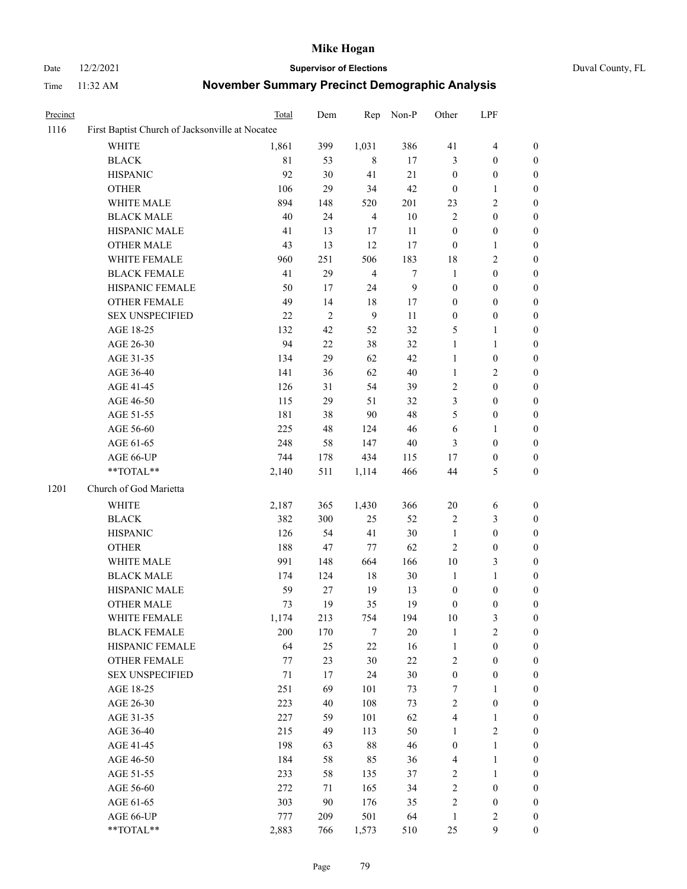# Date 12/2/2021 **Supervisor of Elections** Duval County, FL

| Precinct |                                                 | Total        | Dem        | Rep            | Non-P            | Other                                | LPF                                  |                                      |
|----------|-------------------------------------------------|--------------|------------|----------------|------------------|--------------------------------------|--------------------------------------|--------------------------------------|
| 1116     | First Baptist Church of Jacksonville at Nocatee |              |            |                |                  |                                      |                                      |                                      |
|          | <b>WHITE</b>                                    | 1,861        | 399        | 1,031          | 386              | 41                                   | $\overline{4}$                       | 0                                    |
|          | <b>BLACK</b>                                    | 81           | 53         | 8              | 17               | 3                                    | $\boldsymbol{0}$                     | $\boldsymbol{0}$                     |
|          | <b>HISPANIC</b>                                 | 92           | 30         | 41             | 21               | $\boldsymbol{0}$                     | $\boldsymbol{0}$                     | $\boldsymbol{0}$                     |
|          | <b>OTHER</b>                                    | 106          | 29         | 34             | 42               | $\boldsymbol{0}$                     | $\mathbf{1}$                         | $\boldsymbol{0}$                     |
|          | WHITE MALE                                      | 894          | 148        | 520            | 201              | 23                                   | $\sqrt{2}$                           | $\boldsymbol{0}$                     |
|          | <b>BLACK MALE</b>                               | 40           | 24         | $\overline{4}$ | 10               | 2                                    | $\boldsymbol{0}$                     | $\boldsymbol{0}$                     |
|          | HISPANIC MALE                                   | 41           | 13         | 17             | 11               | $\boldsymbol{0}$                     | $\boldsymbol{0}$                     | $\boldsymbol{0}$                     |
|          | <b>OTHER MALE</b>                               | 43           | 13         | 12             | 17               | $\boldsymbol{0}$                     | $\mathbf{1}$                         | $\boldsymbol{0}$                     |
|          | WHITE FEMALE                                    | 960          | 251        | 506            | 183              | 18                                   | $\sqrt{2}$                           | $\boldsymbol{0}$                     |
|          | <b>BLACK FEMALE</b>                             | 41           | 29         | $\overline{4}$ | $\boldsymbol{7}$ | $\mathbf{1}$                         | $\boldsymbol{0}$                     | 0                                    |
|          | HISPANIC FEMALE                                 | 50           | 17         | 24             | $\boldsymbol{9}$ | $\boldsymbol{0}$                     | $\boldsymbol{0}$                     | $\boldsymbol{0}$                     |
|          | OTHER FEMALE                                    | 49           | 14         | 18             | 17               | $\boldsymbol{0}$                     | $\boldsymbol{0}$                     | $\boldsymbol{0}$                     |
|          | <b>SEX UNSPECIFIED</b>                          | 22           | $\sqrt{2}$ | 9              | $11\,$           | $\boldsymbol{0}$                     | $\boldsymbol{0}$                     | $\boldsymbol{0}$                     |
|          | AGE 18-25                                       | 132          | 42         | 52             | 32               | 5                                    | $\mathbf{1}$                         | $\boldsymbol{0}$                     |
|          | AGE 26-30                                       | 94           | 22         | 38             | 32               | $\mathbf{1}$                         | $\mathbf{1}$                         | $\boldsymbol{0}$                     |
|          | AGE 31-35                                       | 134          | 29         | 62             | 42               | $\mathbf{1}$                         | $\boldsymbol{0}$                     | $\boldsymbol{0}$                     |
|          | AGE 36-40                                       | 141          | 36         | 62             | 40               | $\mathbf{1}$                         | $\sqrt{2}$                           | $\boldsymbol{0}$                     |
|          | AGE 41-45                                       | 126          | 31         | 54             | 39               | $\overline{c}$                       | $\boldsymbol{0}$                     | $\boldsymbol{0}$                     |
|          | AGE 46-50                                       | 115          | 29         | 51             | 32               | 3                                    | $\boldsymbol{0}$                     | $\boldsymbol{0}$                     |
|          | AGE 51-55                                       | 181          | 38         | 90             | 48               | 5                                    | $\boldsymbol{0}$                     | 0                                    |
|          | AGE 56-60                                       | 225          | 48         | 124            | 46               | 6                                    | 1                                    | $\boldsymbol{0}$                     |
|          | AGE 61-65                                       | 248          | 58         | 147            | 40               | 3                                    | $\boldsymbol{0}$                     | $\boldsymbol{0}$                     |
|          | AGE 66-UP                                       | 744          | 178        | 434            | 115              | 17                                   | $\boldsymbol{0}$                     | $\boldsymbol{0}$                     |
|          | $**TOTAL**$                                     | 2,140        | 511        | 1,114          | 466              | 44                                   | $\mathfrak s$                        | $\boldsymbol{0}$                     |
| 1201     | Church of God Marietta                          |              |            |                |                  |                                      |                                      |                                      |
|          |                                                 |              |            |                | 366              | $20\,$                               |                                      |                                      |
|          | WHITE<br><b>BLACK</b>                           | 2,187<br>382 | 365<br>300 | 1,430<br>25    | 52               |                                      | 6<br>$\mathfrak{Z}$                  | $\boldsymbol{0}$                     |
|          |                                                 | 126          | 54         | 41             | 30               | 2<br>$\mathbf{1}$                    | $\boldsymbol{0}$                     | $\boldsymbol{0}$<br>$\boldsymbol{0}$ |
|          | <b>HISPANIC</b>                                 | 188          | 47         |                | 62               |                                      | $\boldsymbol{0}$                     | $\overline{0}$                       |
|          | <b>OTHER</b>                                    |              |            | 77             |                  | 2                                    |                                      |                                      |
|          | WHITE MALE                                      | 991          | 148        | 664<br>$18\,$  | 166<br>$30\,$    | $10\,$<br>$\mathbf{1}$               | $\mathfrak{Z}$<br>$\mathbf{1}$       | $\boldsymbol{0}$<br>$\boldsymbol{0}$ |
|          | <b>BLACK MALE</b><br>HISPANIC MALE              | 174<br>59    | 124<br>27  | 19             |                  |                                      |                                      |                                      |
|          | <b>OTHER MALE</b>                               | 73           | 19         | 35             | 13<br>19         | $\boldsymbol{0}$<br>$\boldsymbol{0}$ | $\boldsymbol{0}$<br>$\boldsymbol{0}$ | 0<br>$\boldsymbol{0}$                |
|          | WHITE FEMALE                                    |              | 213        | 754            | 194              | 10                                   | 3                                    | $\overline{0}$                       |
|          | <b>BLACK FEMALE</b>                             | 1,174<br>200 | 170        | 7              | 20               | 1                                    | $\sqrt{2}$                           | $\overline{0}$                       |
|          | HISPANIC FEMALE                                 | 64           | 25         | 22             | 16               | $\mathbf{1}$                         | $\boldsymbol{0}$                     | $\overline{0}$                       |
|          | OTHER FEMALE                                    | 77           | 23         | 30             | $22\,$           | 2                                    | $\boldsymbol{0}$                     | 0                                    |
|          | <b>SEX UNSPECIFIED</b>                          | 71           | 17         | 24             | 30               | $\boldsymbol{0}$                     | $\boldsymbol{0}$                     | 0                                    |
|          | AGE 18-25                                       | 251          | 69         | 101            | 73               | 7                                    | $\mathbf{1}$                         | 0                                    |
|          | AGE 26-30                                       | 223          | 40         | 108            | 73               | $\overline{c}$                       | $\boldsymbol{0}$                     | 0                                    |
|          | AGE 31-35                                       | 227          | 59         | 101            | 62               | 4                                    | $\mathbf{1}$                         | 0                                    |
|          | AGE 36-40                                       | 215          | 49         | 113            | 50               | 1                                    | $\sqrt{2}$                           | 0                                    |
|          | AGE 41-45                                       | 198          | 63         | 88             | 46               | $\boldsymbol{0}$                     | $\mathbf{1}$                         | 0                                    |
|          | AGE 46-50                                       | 184          | 58         | 85             | 36               | 4                                    | $\mathbf{1}$                         | 0                                    |
|          | AGE 51-55                                       | 233          | 58         | 135            | 37               | 2                                    | $\mathbf{1}$                         | 0                                    |
|          | AGE 56-60                                       | 272          | 71         | 165            | 34               | 2                                    | $\boldsymbol{0}$                     | 0                                    |
|          | AGE 61-65                                       | 303          | 90         | 176            | 35               | $\overline{\mathbf{c}}$              | $\boldsymbol{0}$                     | 0                                    |
|          | AGE 66-UP                                       | 777          | 209        | 501            | 64               | $\mathbf{1}$                         | $\sqrt{2}$                           | 0                                    |
|          | **TOTAL**                                       | 2,883        | 766        | 1,573          | 510              | 25                                   | $\mathbf{9}$                         | $\boldsymbol{0}$                     |
|          |                                                 |              |            |                |                  |                                      |                                      |                                      |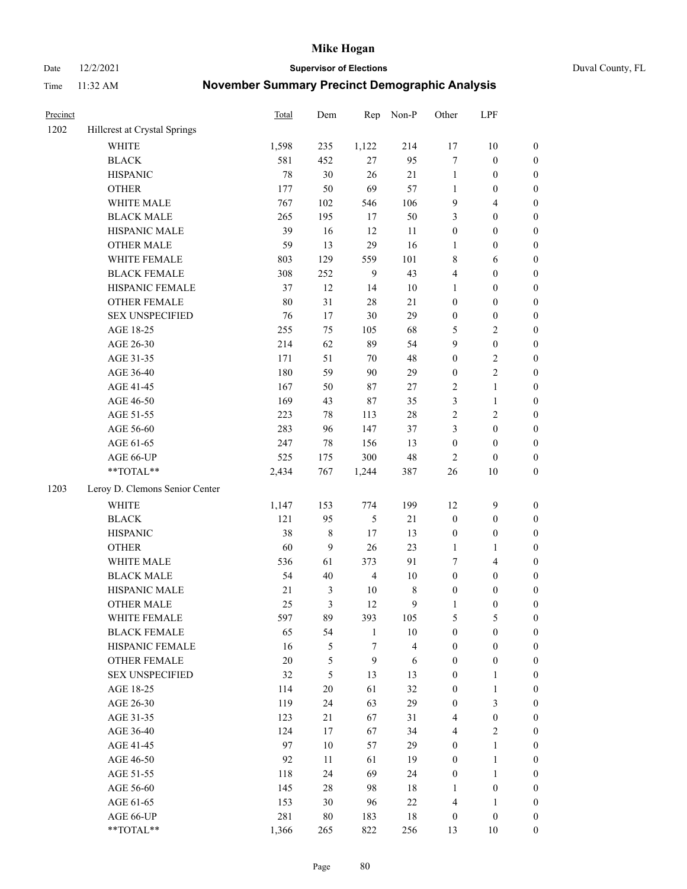Date 12/2/2021 **Supervisor of Elections** Duval County, FL

| Precinct |                                | Total  | Dem              | Rep            | Non-P                   | Other            | LPF              |                  |
|----------|--------------------------------|--------|------------------|----------------|-------------------------|------------------|------------------|------------------|
| 1202     | Hillcrest at Crystal Springs   |        |                  |                |                         |                  |                  |                  |
|          | <b>WHITE</b>                   | 1,598  | 235              | 1,122          | 214                     | 17               | 10               | 0                |
|          | <b>BLACK</b>                   | 581    | 452              | 27             | 95                      | 7                | $\boldsymbol{0}$ | $\boldsymbol{0}$ |
|          | <b>HISPANIC</b>                | 78     | 30               | 26             | 21                      | $\mathbf{1}$     | $\boldsymbol{0}$ | $\boldsymbol{0}$ |
|          | <b>OTHER</b>                   | 177    | 50               | 69             | 57                      | $\mathbf{1}$     | $\boldsymbol{0}$ | $\boldsymbol{0}$ |
|          | WHITE MALE                     | 767    | 102              | 546            | 106                     | 9                | $\overline{4}$   | $\boldsymbol{0}$ |
|          | <b>BLACK MALE</b>              | 265    | 195              | 17             | 50                      | 3                | $\boldsymbol{0}$ | $\boldsymbol{0}$ |
|          | HISPANIC MALE                  | 39     | 16               | 12             | 11                      | $\boldsymbol{0}$ | $\boldsymbol{0}$ | $\boldsymbol{0}$ |
|          | <b>OTHER MALE</b>              | 59     | 13               | 29             | 16                      | $\mathbf{1}$     | $\boldsymbol{0}$ | $\boldsymbol{0}$ |
|          | WHITE FEMALE                   | 803    | 129              | 559            | 101                     | 8                | 6                | $\boldsymbol{0}$ |
|          | <b>BLACK FEMALE</b>            | 308    | 252              | $\overline{9}$ | 43                      | 4                | $\boldsymbol{0}$ | $\boldsymbol{0}$ |
|          | HISPANIC FEMALE                | 37     | 12               | 14             | $10\,$                  | $\mathbf{1}$     | $\boldsymbol{0}$ | 0                |
|          | <b>OTHER FEMALE</b>            | $80\,$ | 31               | 28             | 21                      | $\boldsymbol{0}$ | $\boldsymbol{0}$ | $\boldsymbol{0}$ |
|          | <b>SEX UNSPECIFIED</b>         | 76     | 17               | $30\,$         | 29                      | $\boldsymbol{0}$ | $\boldsymbol{0}$ | $\boldsymbol{0}$ |
|          | AGE 18-25                      | 255    | 75               | 105            | 68                      | 5                | $\sqrt{2}$       | $\boldsymbol{0}$ |
|          | AGE 26-30                      | 214    | 62               | 89             | 54                      | 9                | $\boldsymbol{0}$ | $\boldsymbol{0}$ |
|          | AGE 31-35                      | 171    | 51               | 70             | 48                      | $\boldsymbol{0}$ | $\sqrt{2}$       | $\boldsymbol{0}$ |
|          | AGE 36-40                      | 180    | 59               | 90             | 29                      | $\boldsymbol{0}$ | $\sqrt{2}$       | $\boldsymbol{0}$ |
|          | AGE 41-45                      | 167    | 50               | $87\,$         | $27\,$                  | 2                | $\mathbf{1}$     | $\boldsymbol{0}$ |
|          | AGE 46-50                      | 169    | 43               | 87             | 35                      | 3                | $\mathbf{1}$     | $\boldsymbol{0}$ |
|          | AGE 51-55                      | 223    | 78               | 113            | $28\,$                  | 2                | $\sqrt{2}$       | $\boldsymbol{0}$ |
|          | AGE 56-60                      | 283    | 96               | 147            | 37                      | 3                | $\boldsymbol{0}$ | 0                |
|          | AGE 61-65                      | 247    | 78               | 156            | 13                      | $\boldsymbol{0}$ | $\boldsymbol{0}$ | $\boldsymbol{0}$ |
|          | AGE 66-UP                      | 525    | 175              | 300            | 48                      | $\overline{2}$   | $\boldsymbol{0}$ | $\boldsymbol{0}$ |
|          | **TOTAL**                      | 2,434  | 767              | 1,244          | 387                     | $26\,$           | 10               | $\boldsymbol{0}$ |
|          |                                |        |                  |                |                         |                  |                  |                  |
| 1203     | Leroy D. Clemons Senior Center |        |                  |                |                         |                  |                  |                  |
|          | <b>WHITE</b>                   | 1,147  | 153              | 774            | 199                     | 12               | $\mathbf{9}$     | $\boldsymbol{0}$ |
|          | <b>BLACK</b>                   | 121    | 95               | 5              | $21\,$                  | $\boldsymbol{0}$ | $\boldsymbol{0}$ | $\boldsymbol{0}$ |
|          | <b>HISPANIC</b>                | 38     | $8\,$            | 17             | 13                      | $\boldsymbol{0}$ | $\boldsymbol{0}$ | $\boldsymbol{0}$ |
|          | <b>OTHER</b>                   | 60     | $\boldsymbol{9}$ | 26             | 23                      | $\mathbf{1}$     | $\mathbf{1}$     | $\boldsymbol{0}$ |
|          | WHITE MALE                     | 536    | 61               | 373            | 91                      | 7                | $\overline{4}$   | $\boldsymbol{0}$ |
|          | <b>BLACK MALE</b>              | 54     | $40\,$           | $\overline{4}$ | $10\,$                  | $\boldsymbol{0}$ | $\boldsymbol{0}$ | $\boldsymbol{0}$ |
|          | HISPANIC MALE                  | 21     | $\mathfrak{Z}$   | $10\,$         | 8                       | $\boldsymbol{0}$ | $\boldsymbol{0}$ | $\boldsymbol{0}$ |
|          | <b>OTHER MALE</b>              | 25     | 3                | 12             | 9                       | $\mathbf{1}$     | $\boldsymbol{0}$ | $\boldsymbol{0}$ |
|          | WHITE FEMALE                   | 597    | 89               | 393            | 105                     | 5                | 5                | 0                |
|          | <b>BLACK FEMALE</b>            | 65     | 54               | $\mathbf{1}$   | $10\,$                  | $\boldsymbol{0}$ | $\boldsymbol{0}$ | $\overline{0}$   |
|          | HISPANIC FEMALE                | 16     | $\mathfrak{S}$   | 7              | $\overline{\mathbf{4}}$ | $\boldsymbol{0}$ | $\boldsymbol{0}$ | $\overline{0}$   |
|          | <b>OTHER FEMALE</b>            | $20\,$ | $\mathfrak{S}$   | $\mathbf{9}$   | 6                       | $\boldsymbol{0}$ | $\boldsymbol{0}$ | 0                |
|          | <b>SEX UNSPECIFIED</b>         | 32     | 5                | 13             | 13                      | $\boldsymbol{0}$ | $\mathbf{1}$     | 0                |
|          | AGE 18-25                      | 114    | $20\,$           | 61             | 32                      | 0                | $\mathbf{1}$     | 0                |
|          | AGE 26-30                      | 119    | 24               | 63             | 29                      | $\boldsymbol{0}$ | $\mathfrak{Z}$   | 0                |
|          | AGE 31-35                      | 123    | 21               | 67             | 31                      | 4                | $\boldsymbol{0}$ | 0                |
|          | AGE 36-40                      | 124    | 17               | 67             | 34                      | 4                | $\sqrt{2}$       | 0                |
|          | AGE 41-45                      | 97     | 10               | 57             | 29                      | $\boldsymbol{0}$ | $\mathbf{1}$     | 0                |
|          | AGE 46-50                      | 92     | 11               | 61             | 19                      | $\boldsymbol{0}$ | $\mathbf{1}$     | 0                |
|          | AGE 51-55                      | 118    | 24               | 69             | 24                      | $\boldsymbol{0}$ | $\mathbf{1}$     | 0                |
|          | AGE 56-60                      | 145    | 28               | 98             | 18                      | 1                | $\boldsymbol{0}$ | 0                |
|          | AGE 61-65                      | 153    | 30               | 96             | $22\,$                  | 4                | 1                | 0                |
|          | AGE 66-UP                      | 281    | 80               | 183            | $18\,$                  | $\boldsymbol{0}$ | $\boldsymbol{0}$ | 0                |
|          | **TOTAL**                      | 1,366  | 265              | 822            | 256                     | 13               | 10               | $\boldsymbol{0}$ |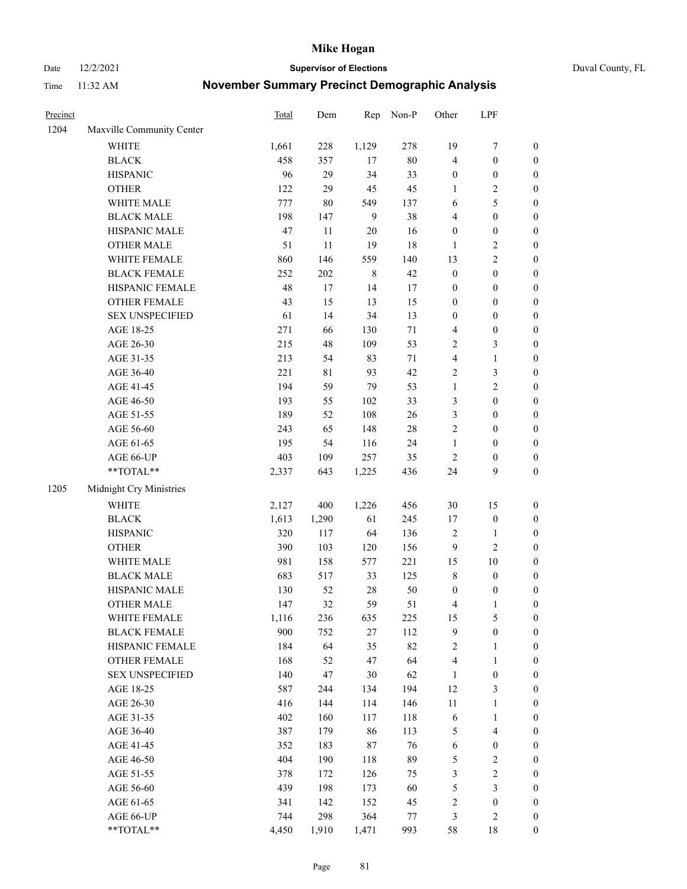Date 12/2/2021 **Supervisor of Elections** Duval County, FL

| Precinct |                                                           | Total | Dem   | Rep            | Non-P  | Other            | LPF                     |                  |
|----------|-----------------------------------------------------------|-------|-------|----------------|--------|------------------|-------------------------|------------------|
| 1204     | Maxville Community Center                                 |       |       |                |        |                  |                         |                  |
|          | <b>WHITE</b>                                              | 1,661 | 228   | 1,129          | 278    | 19               | $\boldsymbol{7}$        | 0                |
|          | <b>BLACK</b>                                              | 458   | 357   | 17             | $80\,$ | 4                | $\boldsymbol{0}$        | $\boldsymbol{0}$ |
|          | <b>HISPANIC</b>                                           | 96    | 29    | 34             | 33     | $\boldsymbol{0}$ | $\boldsymbol{0}$        | $\boldsymbol{0}$ |
|          | <b>OTHER</b>                                              | 122   | 29    | 45             | 45     | 1                | $\sqrt{2}$              | $\boldsymbol{0}$ |
|          | WHITE MALE                                                | 777   | 80    | 549            | 137    | 6                | $\mathfrak{S}$          | $\boldsymbol{0}$ |
|          | <b>BLACK MALE</b>                                         | 198   | 147   | $\overline{9}$ | 38     | 4                | $\boldsymbol{0}$        | $\boldsymbol{0}$ |
|          | HISPANIC MALE                                             | 47    | 11    | 20             | 16     | $\boldsymbol{0}$ | $\boldsymbol{0}$        | $\boldsymbol{0}$ |
|          | <b>OTHER MALE</b>                                         | 51    | 11    | 19             | 18     | $\mathbf{1}$     | $\overline{2}$          | $\boldsymbol{0}$ |
|          | WHITE FEMALE                                              | 860   | 146   | 559            | 140    | 13               | $\overline{2}$          | $\boldsymbol{0}$ |
|          | <b>BLACK FEMALE</b>                                       | 252   | 202   | $\,$ 8 $\,$    | 42     | $\boldsymbol{0}$ | $\boldsymbol{0}$        | $\boldsymbol{0}$ |
|          | HISPANIC FEMALE                                           | 48    | 17    | 14             | 17     | $\boldsymbol{0}$ | $\boldsymbol{0}$        | $\boldsymbol{0}$ |
|          | OTHER FEMALE                                              | 43    | 15    | 13             | 15     | $\boldsymbol{0}$ | $\boldsymbol{0}$        | $\boldsymbol{0}$ |
|          | <b>SEX UNSPECIFIED</b>                                    | 61    | 14    | 34             | 13     | $\boldsymbol{0}$ | $\boldsymbol{0}$        | $\boldsymbol{0}$ |
|          | AGE 18-25                                                 | 271   | 66    | 130            | $71\,$ | 4                | $\boldsymbol{0}$        | $\boldsymbol{0}$ |
|          | AGE 26-30                                                 | 215   | 48    | 109            | 53     | 2                | $\mathfrak{Z}$          | $\boldsymbol{0}$ |
|          | AGE 31-35                                                 | 213   | 54    | 83             | $71\,$ | 4                | $\mathbf{1}$            | $\boldsymbol{0}$ |
|          | AGE 36-40                                                 | 221   | 81    | 93             | 42     | 2                | 3                       | $\boldsymbol{0}$ |
|          | AGE 41-45                                                 | 194   | 59    | 79             | 53     | $\mathbf{1}$     | $\overline{2}$          | $\boldsymbol{0}$ |
|          | AGE 46-50                                                 | 193   | 55    | 102            | 33     | 3                | $\boldsymbol{0}$        | $\boldsymbol{0}$ |
|          | AGE 51-55                                                 | 189   | 52    | 108            | 26     | 3                | $\boldsymbol{0}$        | $\boldsymbol{0}$ |
|          | AGE 56-60                                                 | 243   | 65    | 148            | $28\,$ | $\sqrt{2}$       | $\boldsymbol{0}$        | 0                |
|          | AGE 61-65                                                 | 195   | 54    | 116            | 24     | $\mathbf{1}$     | $\boldsymbol{0}$        | 0                |
|          | AGE 66-UP                                                 | 403   | 109   | 257            | 35     | $\sqrt{2}$       | $\boldsymbol{0}$        | $\boldsymbol{0}$ |
|          | $\mathrm{*}\mathrm{*}\mathrm{TOTAL} \mathrm{*}\mathrm{*}$ | 2,337 | 643   | 1,225          | 436    | 24               | 9                       | $\boldsymbol{0}$ |
| 1205     | Midnight Cry Ministries                                   |       |       |                |        |                  |                         |                  |
|          | <b>WHITE</b>                                              | 2,127 | 400   | 1,226          | 456    | $30\,$           | 15                      | $\boldsymbol{0}$ |
|          | <b>BLACK</b>                                              | 1,613 | 1,290 | 61             | 245    | 17               | $\boldsymbol{0}$        | $\boldsymbol{0}$ |
|          | <b>HISPANIC</b>                                           | 320   | 117   | 64             | 136    | 2                | $\mathbf{1}$            | $\boldsymbol{0}$ |
|          | <b>OTHER</b>                                              | 390   | 103   | 120            | 156    | 9                | $\overline{c}$          | $\boldsymbol{0}$ |
|          | WHITE MALE                                                | 981   | 158   | 577            | 221    | 15               | $10\,$                  | $\boldsymbol{0}$ |
|          | <b>BLACK MALE</b>                                         | 683   | 517   | 33             | 125    | $\,$ $\,$        | $\boldsymbol{0}$        | $\boldsymbol{0}$ |
|          | HISPANIC MALE                                             | 130   | 52    | 28             | $50\,$ | $\boldsymbol{0}$ | $\boldsymbol{0}$        | 0                |
|          | OTHER MALE                                                | 147   | 32    | 59             | 51     | 4                | $\mathbf{1}$            | $\boldsymbol{0}$ |
|          | WHITE FEMALE                                              | 1,116 | 236   | 635            | 225    | 15               | 5                       | 0                |
|          | <b>BLACK FEMALE</b>                                       | 900   | 752   | 27             | 112    | 9                | $\boldsymbol{0}$        | $\boldsymbol{0}$ |
|          | HISPANIC FEMALE                                           | 184   | 64    | 35             | 82     | 2                | $\mathbf{1}$            | $\overline{0}$   |
|          | <b>OTHER FEMALE</b>                                       | 168   | 52    | 47             | 64     | 4                | $\mathbf{1}$            | $\overline{0}$   |
|          | <b>SEX UNSPECIFIED</b>                                    | 140   | 47    | 30             | 62     | $\mathbf{1}$     | $\boldsymbol{0}$        | 0                |
|          | AGE 18-25                                                 | 587   | 244   | 134            | 194    | 12               | $\mathfrak{Z}$          | 0                |
|          | AGE 26-30                                                 | 416   | 144   | 114            | 146    | $11\,$           | $\mathbf{1}$            | 0                |
|          | AGE 31-35                                                 | 402   | 160   | 117            | 118    | 6                | $\mathbf{1}$            | 0                |
|          | AGE 36-40                                                 | 387   | 179   | 86             | 113    | 5                | $\overline{\mathbf{4}}$ | 0                |
|          | AGE 41-45                                                 | 352   | 183   | 87             | 76     | 6                | $\boldsymbol{0}$        | 0                |
|          | AGE 46-50                                                 | 404   | 190   | 118            | 89     | 5                | $\sqrt{2}$              | 0                |
|          | AGE 51-55                                                 | 378   | 172   | 126            | 75     | 3                | $\sqrt{2}$              | $\boldsymbol{0}$ |
|          | AGE 56-60                                                 | 439   | 198   | 173            | 60     | 5                | $\mathfrak{Z}$          | $\boldsymbol{0}$ |
|          | AGE 61-65                                                 | 341   | 142   | 152            | 45     | 2                | $\boldsymbol{0}$        | $\boldsymbol{0}$ |
|          | AGE 66-UP                                                 | 744   | 298   | 364            | 77     | 3                | $\sqrt{2}$              | 0                |
|          | **TOTAL**                                                 | 4,450 | 1,910 | 1,471          | 993    | 58               | 18                      | $\boldsymbol{0}$ |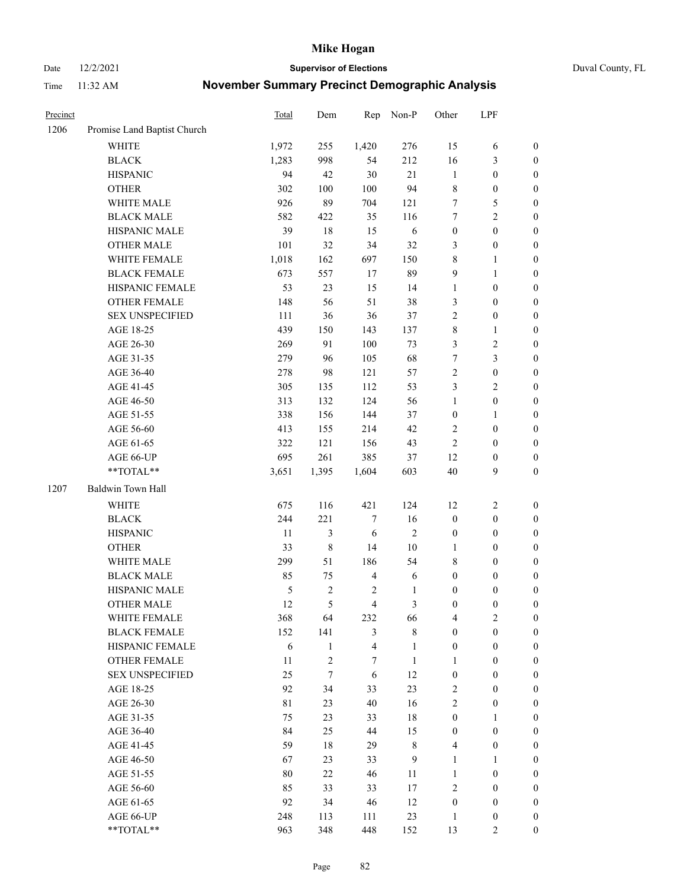Date 12/2/2021 **Supervisor of Elections** Duval County, FL

| Precinct |                             | Total       | Dem            | Rep                     | Non-P          | Other            | LPF              |                  |
|----------|-----------------------------|-------------|----------------|-------------------------|----------------|------------------|------------------|------------------|
| 1206     | Promise Land Baptist Church |             |                |                         |                |                  |                  |                  |
|          | <b>WHITE</b>                | 1,972       | 255            | 1,420                   | 276            | 15               | 6                | 0                |
|          | <b>BLACK</b>                | 1,283       | 998            | 54                      | 212            | 16               | $\mathfrak{Z}$   | $\boldsymbol{0}$ |
|          | <b>HISPANIC</b>             | 94          | 42             | 30                      | 21             | $\mathbf{1}$     | $\boldsymbol{0}$ | $\boldsymbol{0}$ |
|          | <b>OTHER</b>                | 302         | 100            | 100                     | 94             | 8                | $\boldsymbol{0}$ | $\boldsymbol{0}$ |
|          | WHITE MALE                  | 926         | 89             | 704                     | 121            | 7                | 5                | $\boldsymbol{0}$ |
|          | <b>BLACK MALE</b>           | 582         | 422            | 35                      | 116            | 7                | $\sqrt{2}$       | $\boldsymbol{0}$ |
|          | HISPANIC MALE               | 39          | $18\,$         | 15                      | 6              | $\boldsymbol{0}$ | $\boldsymbol{0}$ | $\boldsymbol{0}$ |
|          | <b>OTHER MALE</b>           | 101         | 32             | 34                      | 32             | 3                | $\boldsymbol{0}$ | $\boldsymbol{0}$ |
|          | WHITE FEMALE                | 1,018       | 162            | 697                     | 150            | $\,$ $\,$        | $\mathbf{1}$     | $\boldsymbol{0}$ |
|          | <b>BLACK FEMALE</b>         | 673         | 557            | 17                      | 89             | 9                | $\mathbf{1}$     | $\boldsymbol{0}$ |
|          | HISPANIC FEMALE             | 53          | 23             | 15                      | 14             | $\mathbf{1}$     | $\boldsymbol{0}$ | $\boldsymbol{0}$ |
|          | <b>OTHER FEMALE</b>         | 148         | 56             | 51                      | 38             | 3                | $\boldsymbol{0}$ | $\boldsymbol{0}$ |
|          | <b>SEX UNSPECIFIED</b>      | 111         | 36             | 36                      | 37             | $\overline{2}$   | $\boldsymbol{0}$ | $\boldsymbol{0}$ |
|          | AGE 18-25                   | 439         | 150            | 143                     | 137            | 8                | $\mathbf{1}$     | $\boldsymbol{0}$ |
|          | AGE 26-30                   | 269         | 91             | 100                     | 73             | 3                | $\sqrt{2}$       | $\boldsymbol{0}$ |
|          | AGE 31-35                   | 279         | 96             | 105                     | 68             | $\boldsymbol{7}$ | $\mathfrak{Z}$   | $\boldsymbol{0}$ |
|          | AGE 36-40                   | 278         | 98             | 121                     | 57             | $\overline{c}$   | $\boldsymbol{0}$ | $\boldsymbol{0}$ |
|          | AGE 41-45                   | 305         | 135            | 112                     | 53             | 3                | $\overline{2}$   | $\boldsymbol{0}$ |
|          | AGE 46-50                   | 313         | 132            | 124                     | 56             | $\mathbf{1}$     | $\boldsymbol{0}$ | $\boldsymbol{0}$ |
|          | AGE 51-55                   | 338         | 156            | 144                     | 37             | $\boldsymbol{0}$ | $\mathbf{1}$     | $\boldsymbol{0}$ |
|          | AGE 56-60                   | 413         | 155            | 214                     | 42             | 2                | $\boldsymbol{0}$ | 0                |
|          | AGE 61-65                   | 322         | 121            | 156                     | 43             | $\mathfrak{2}$   | $\boldsymbol{0}$ | 0                |
|          | AGE 66-UP                   | 695         | 261            | 385                     | 37             | 12               | $\boldsymbol{0}$ | $\boldsymbol{0}$ |
|          | **TOTAL**                   | 3,651       | 1,395          | 1,604                   | 603            | $40\,$           | $\boldsymbol{9}$ | $\boldsymbol{0}$ |
| 1207     | Baldwin Town Hall           |             |                |                         |                |                  |                  |                  |
|          | <b>WHITE</b>                | 675         | 116            | 421                     | 124            | 12               | $\sqrt{2}$       | $\boldsymbol{0}$ |
|          | <b>BLACK</b>                | 244         | 221            | 7                       | 16             | $\boldsymbol{0}$ | $\boldsymbol{0}$ | $\boldsymbol{0}$ |
|          | <b>HISPANIC</b>             | 11          | 3              | 6                       | $\sqrt{2}$     | $\boldsymbol{0}$ | $\boldsymbol{0}$ | $\boldsymbol{0}$ |
|          | <b>OTHER</b>                | 33          | $\,$ $\,$      | 14                      | $10\,$         | 1                | $\boldsymbol{0}$ | $\boldsymbol{0}$ |
|          | WHITE MALE                  | 299         | 51             | 186                     | 54             | 8                | $\boldsymbol{0}$ | $\boldsymbol{0}$ |
|          | <b>BLACK MALE</b>           | 85          | 75             | $\overline{4}$          | 6              | $\boldsymbol{0}$ | $\boldsymbol{0}$ | $\boldsymbol{0}$ |
|          | HISPANIC MALE               | 5           | $\overline{c}$ | $\overline{c}$          | $\mathbf{1}$   | $\boldsymbol{0}$ | $\boldsymbol{0}$ | $\boldsymbol{0}$ |
|          | OTHER MALE                  | 12          | 5              | $\overline{\mathbf{4}}$ | $\mathfrak{Z}$ | $\boldsymbol{0}$ | $\boldsymbol{0}$ | $\boldsymbol{0}$ |
|          | WHITE FEMALE                | 368         | 64             | 232                     | 66             | 4                | 2                | 0                |
|          | <b>BLACK FEMALE</b>         | 152         | 141            | 3                       | $\,$ 8 $\,$    | $\boldsymbol{0}$ | $\boldsymbol{0}$ | $\overline{0}$   |
|          | HISPANIC FEMALE             | 6           | $\mathbf{1}$   | $\overline{\mathbf{4}}$ | $\mathbf{1}$   | $\boldsymbol{0}$ | $\boldsymbol{0}$ | $\overline{0}$   |
|          | <b>OTHER FEMALE</b>         | 11          | 2              | 7                       | $\mathbf{1}$   | 1                | $\boldsymbol{0}$ | $\overline{0}$   |
|          | <b>SEX UNSPECIFIED</b>      | 25          | $\tau$         | 6                       | 12             | $\boldsymbol{0}$ | $\boldsymbol{0}$ | $\overline{0}$   |
|          | AGE 18-25                   | 92          | 34             | 33                      | 23             | 2                | $\boldsymbol{0}$ | $\theta$         |
|          | AGE 26-30                   | $8\sqrt{1}$ | 23             | 40                      | 16             | $\overline{c}$   | $\boldsymbol{0}$ | 0                |
|          | AGE 31-35                   | 75          | 23             | 33                      | 18             | $\boldsymbol{0}$ | 1                | 0                |
|          | AGE 36-40                   | 84          | 25             | 44                      | 15             | $\boldsymbol{0}$ | $\boldsymbol{0}$ | 0                |
|          | AGE 41-45                   | 59          | 18             | 29                      | $8\,$          | $\overline{4}$   | $\boldsymbol{0}$ | 0                |
|          | AGE 46-50                   | 67          | 23             | 33                      | 9              | 1                | $\mathbf{1}$     | 0                |
|          | AGE 51-55                   | 80          | 22             | 46                      | 11             | $\mathbf{1}$     | $\boldsymbol{0}$ | $\overline{0}$   |
|          | AGE 56-60                   | 85          | 33             | 33                      | 17             | 2                | $\boldsymbol{0}$ | $\overline{0}$   |
|          | AGE 61-65                   | 92          | 34             | 46                      | 12             | $\boldsymbol{0}$ | $\boldsymbol{0}$ | $\overline{0}$   |
|          | AGE 66-UP                   | 248         | 113            | 111                     | 23             | $\mathbf{1}$     | $\boldsymbol{0}$ | 0                |
|          | **TOTAL**                   | 963         | 348            | 448                     | 152            | 13               | $\overline{2}$   | $\boldsymbol{0}$ |
|          |                             |             |                |                         |                |                  |                  |                  |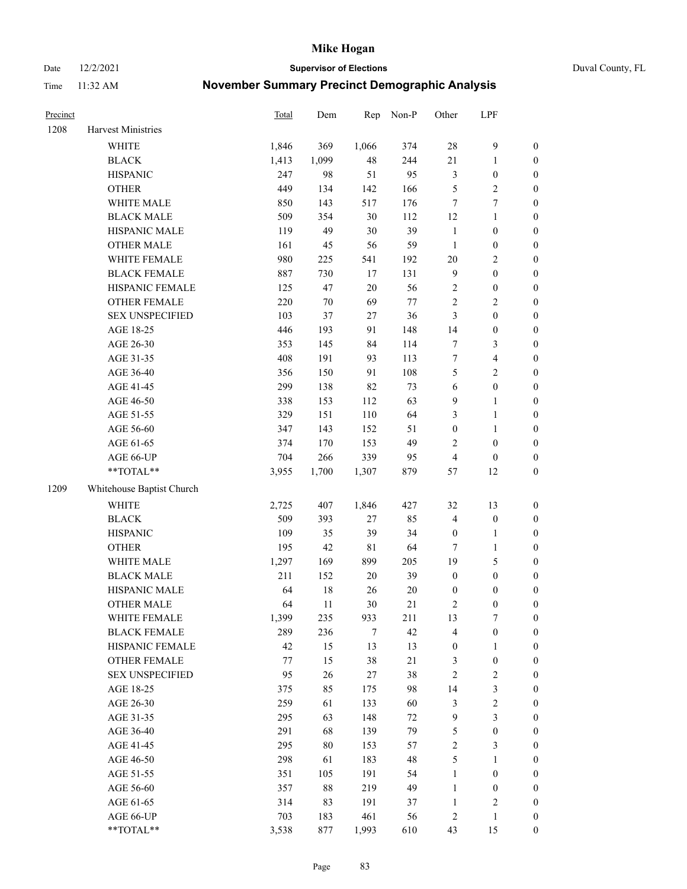Date 12/2/2021 **Supervisor of Elections** Duval County, FL

| Precinct |                           | Total | Dem    | Rep         | Non-P   | Other                   | LPF              |                  |
|----------|---------------------------|-------|--------|-------------|---------|-------------------------|------------------|------------------|
| 1208     | Harvest Ministries        |       |        |             |         |                         |                  |                  |
|          | <b>WHITE</b>              | 1,846 | 369    | 1,066       | 374     | 28                      | $\boldsymbol{9}$ | 0                |
|          | <b>BLACK</b>              | 1,413 | 1,099  | 48          | 244     | 21                      | $\mathbf{1}$     | $\boldsymbol{0}$ |
|          | <b>HISPANIC</b>           | 247   | 98     | 51          | 95      | 3                       | $\boldsymbol{0}$ | $\boldsymbol{0}$ |
|          | <b>OTHER</b>              | 449   | 134    | 142         | 166     | 5                       | $\sqrt{2}$       | $\boldsymbol{0}$ |
|          | WHITE MALE                | 850   | 143    | 517         | 176     | 7                       | 7                | $\boldsymbol{0}$ |
|          | <b>BLACK MALE</b>         | 509   | 354    | 30          | 112     | 12                      | $\mathbf{1}$     | $\boldsymbol{0}$ |
|          | HISPANIC MALE             | 119   | 49     | 30          | 39      | $\mathbf{1}$            | $\boldsymbol{0}$ | $\boldsymbol{0}$ |
|          | <b>OTHER MALE</b>         | 161   | 45     | 56          | 59      | $\mathbf{1}$            | $\boldsymbol{0}$ | $\boldsymbol{0}$ |
|          | WHITE FEMALE              | 980   | 225    | 541         | 192     | $20\,$                  | $\sqrt{2}$       | $\boldsymbol{0}$ |
|          | <b>BLACK FEMALE</b>       | 887   | 730    | 17          | 131     | $\boldsymbol{9}$        | $\boldsymbol{0}$ | $\boldsymbol{0}$ |
|          | HISPANIC FEMALE           | 125   | 47     | $20\,$      | 56      | $\mathbf{2}$            | $\boldsymbol{0}$ | $\boldsymbol{0}$ |
|          | OTHER FEMALE              | 220   | $70\,$ | 69          | $77 \,$ | $\overline{c}$          | $\sqrt{2}$       | $\boldsymbol{0}$ |
|          | <b>SEX UNSPECIFIED</b>    | 103   | 37     | 27          | 36      | 3                       | $\boldsymbol{0}$ | $\boldsymbol{0}$ |
|          | AGE 18-25                 | 446   | 193    | 91          | 148     | 14                      | $\boldsymbol{0}$ | $\boldsymbol{0}$ |
|          | AGE 26-30                 | 353   | 145    | 84          | 114     | 7                       | $\mathfrak{Z}$   | $\boldsymbol{0}$ |
|          | AGE 31-35                 | 408   | 191    | 93          | 113     | $\boldsymbol{7}$        | $\overline{4}$   | $\boldsymbol{0}$ |
|          | AGE 36-40                 | 356   | 150    | 91          | 108     | 5                       | $\sqrt{2}$       | $\boldsymbol{0}$ |
|          | AGE 41-45                 | 299   | 138    | 82          | 73      | 6                       | $\boldsymbol{0}$ | $\boldsymbol{0}$ |
|          | AGE 46-50                 | 338   | 153    | 112         | 63      | 9                       | $\mathbf{1}$     | $\boldsymbol{0}$ |
|          | AGE 51-55                 | 329   | 151    | 110         | 64      | 3                       | $\mathbf{1}$     | $\boldsymbol{0}$ |
|          | AGE 56-60                 | 347   | 143    | 152         | 51      | $\boldsymbol{0}$        | $\mathbf{1}$     | 0                |
|          | AGE 61-65                 | 374   | 170    | 153         | 49      | 2                       | $\boldsymbol{0}$ | $\boldsymbol{0}$ |
|          | AGE 66-UP                 | 704   | 266    | 339         | 95      | $\overline{4}$          | $\boldsymbol{0}$ | $\boldsymbol{0}$ |
|          | $**TOTAL**$               | 3,955 | 1,700  | 1,307       | 879     | 57                      | 12               | $\boldsymbol{0}$ |
| 1209     | Whitehouse Baptist Church |       |        |             |         |                         |                  |                  |
|          | <b>WHITE</b>              | 2,725 | 407    | 1,846       | 427     | 32                      | 13               | $\boldsymbol{0}$ |
|          | <b>BLACK</b>              | 509   | 393    | 27          | 85      | 4                       | $\boldsymbol{0}$ | $\boldsymbol{0}$ |
|          | <b>HISPANIC</b>           | 109   | 35     | 39          | 34      | $\boldsymbol{0}$        | $\mathbf{1}$     | $\boldsymbol{0}$ |
|          | <b>OTHER</b>              | 195   | 42     | $8\sqrt{1}$ | 64      | $\tau$                  | $\mathbf{1}$     | $\boldsymbol{0}$ |
|          | WHITE MALE                | 1,297 | 169    | 899         | 205     | 19                      | $\mathfrak s$    | $\boldsymbol{0}$ |
|          | <b>BLACK MALE</b>         | 211   | 152    | $20\,$      | 39      | $\boldsymbol{0}$        | $\boldsymbol{0}$ | $\boldsymbol{0}$ |
|          | HISPANIC MALE             | 64    | 18     | 26          | $20\,$  | $\boldsymbol{0}$        | $\boldsymbol{0}$ | $\boldsymbol{0}$ |
|          | <b>OTHER MALE</b>         | 64    | 11     | 30          | 21      | 2                       | $\boldsymbol{0}$ | $\boldsymbol{0}$ |
|          | WHITE FEMALE              | 1,399 | 235    | 933         | 211     | 13                      | 7                | 0                |
|          | <b>BLACK FEMALE</b>       | 289   | 236    | 7           | 42      | 4                       | $\boldsymbol{0}$ | $\overline{0}$   |
|          | HISPANIC FEMALE           | 42    | 15     | 13          | 13      | $\boldsymbol{0}$        | $\mathbf{1}$     | 0                |
|          | OTHER FEMALE              | 77    | 15     | 38          | 21      | 3                       | $\boldsymbol{0}$ | 0                |
|          | <b>SEX UNSPECIFIED</b>    | 95    | 26     | 27          | 38      | $\overline{\mathbf{c}}$ | $\sqrt{2}$       | 0                |
|          | AGE 18-25                 | 375   | 85     | 175         | 98      | 14                      | 3                | 0                |
|          | AGE 26-30                 | 259   | 61     | 133         | 60      | 3                       | $\sqrt{2}$       | 0                |
|          | AGE 31-35                 | 295   | 63     | 148         | 72      | 9                       | 3                | 0                |
|          | AGE 36-40                 | 291   | 68     | 139         | 79      | 5                       | $\boldsymbol{0}$ | 0                |
|          | AGE 41-45                 | 295   | 80     | 153         | 57      | $\mathbf{2}$            | 3                | 0                |
|          | AGE 46-50                 | 298   | 61     | 183         | 48      | 5                       | $\mathbf{1}$     | 0                |
|          | AGE 51-55                 | 351   | 105    | 191         | 54      | $\mathbf{1}$            | $\boldsymbol{0}$ | 0                |
|          | AGE 56-60                 | 357   | 88     | 219         | 49      | $\mathbf{1}$            | $\boldsymbol{0}$ | 0                |
|          | AGE 61-65                 | 314   | 83     | 191         | 37      | $\mathbf{1}$            | $\sqrt{2}$       | 0                |
|          | AGE 66-UP                 | 703   | 183    | 461         | 56      | $\overline{\mathbf{c}}$ | $\mathbf{1}$     | 0                |
|          | **TOTAL**                 | 3,538 | 877    | 1,993       | 610     | 43                      | 15               | $\boldsymbol{0}$ |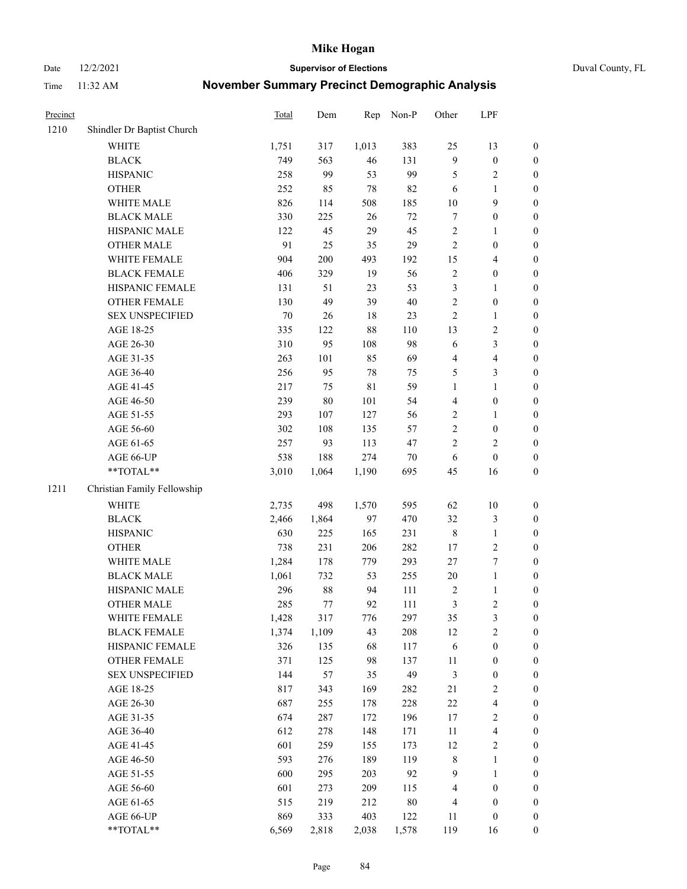Date 12/2/2021 **Supervisor of Elections** Duval County, FL

| Precinct |                             | <b>Total</b> | Dem     | Rep   | Non-P  | Other                   | LPF                     |                  |
|----------|-----------------------------|--------------|---------|-------|--------|-------------------------|-------------------------|------------------|
| 1210     | Shindler Dr Baptist Church  |              |         |       |        |                         |                         |                  |
|          | <b>WHITE</b>                | 1,751        | 317     | 1,013 | 383    | 25                      | 13                      | 0                |
|          | <b>BLACK</b>                | 749          | 563     | 46    | 131    | $\mathbf{9}$            | $\boldsymbol{0}$        | $\boldsymbol{0}$ |
|          | <b>HISPANIC</b>             | 258          | 99      | 53    | 99     | 5                       | $\sqrt{2}$              | $\boldsymbol{0}$ |
|          | <b>OTHER</b>                | 252          | 85      | 78    | 82     | 6                       | 1                       | $\boldsymbol{0}$ |
|          | WHITE MALE                  | 826          | 114     | 508   | 185    | $10\,$                  | 9                       | $\boldsymbol{0}$ |
|          | <b>BLACK MALE</b>           | 330          | 225     | 26    | $72\,$ | 7                       | $\boldsymbol{0}$        | $\boldsymbol{0}$ |
|          | HISPANIC MALE               | 122          | 45      | 29    | 45     | $\sqrt{2}$              | $\mathbf{1}$            | $\boldsymbol{0}$ |
|          | <b>OTHER MALE</b>           | 91           | 25      | 35    | 29     | $\mathbf{2}$            | $\boldsymbol{0}$        | $\boldsymbol{0}$ |
|          | WHITE FEMALE                | 904          | $200\,$ | 493   | 192    | 15                      | $\overline{\mathbf{4}}$ | $\boldsymbol{0}$ |
|          | <b>BLACK FEMALE</b>         | 406          | 329     | 19    | 56     | $\sqrt{2}$              | $\boldsymbol{0}$        | $\boldsymbol{0}$ |
|          | HISPANIC FEMALE             | 131          | 51      | 23    | 53     | 3                       | $\mathbf{1}$            | $\boldsymbol{0}$ |
|          | OTHER FEMALE                | 130          | 49      | 39    | $40\,$ | $\mathbf{2}$            | $\boldsymbol{0}$        | $\boldsymbol{0}$ |
|          | <b>SEX UNSPECIFIED</b>      | 70           | 26      | 18    | 23     | $\overline{2}$          | $\mathbf{1}$            | $\boldsymbol{0}$ |
|          | AGE 18-25                   | 335          | 122     | 88    | 110    | 13                      | $\sqrt{2}$              | $\boldsymbol{0}$ |
|          | AGE 26-30                   | 310          | 95      | 108   | 98     | 6                       | $\mathfrak{Z}$          | $\boldsymbol{0}$ |
|          | AGE 31-35                   | 263          | 101     | 85    | 69     | 4                       | $\overline{\mathbf{4}}$ | $\boldsymbol{0}$ |
|          | AGE 36-40                   | 256          | 95      | 78    | 75     | 5                       | $\mathfrak{Z}$          | $\boldsymbol{0}$ |
|          | AGE 41-45                   | 217          | 75      | 81    | 59     | $\mathbf{1}$            | $\mathbf{1}$            | $\boldsymbol{0}$ |
|          | AGE 46-50                   | 239          | $80\,$  | 101   | 54     | $\overline{\mathbf{4}}$ | $\boldsymbol{0}$        | $\boldsymbol{0}$ |
|          | AGE 51-55                   | 293          | 107     | 127   | 56     | $\overline{c}$          | $\mathbf{1}$            | $\boldsymbol{0}$ |
|          | AGE 56-60                   | 302          | 108     | 135   | 57     | $\sqrt{2}$              | $\boldsymbol{0}$        | 0                |
|          | AGE 61-65                   | 257          | 93      | 113   | 47     | $\mathbf{2}$            | $\overline{2}$          | $\boldsymbol{0}$ |
|          | AGE 66-UP                   | 538          | 188     | 274   | $70\,$ | 6                       | $\boldsymbol{0}$        | $\boldsymbol{0}$ |
|          | **TOTAL**                   | 3,010        | 1,064   | 1,190 | 695    | 45                      | 16                      | $\boldsymbol{0}$ |
| 1211     | Christian Family Fellowship |              |         |       |        |                         |                         |                  |
|          | WHITE                       | 2,735        | 498     | 1,570 | 595    | 62                      | $10\,$                  | $\boldsymbol{0}$ |
|          | <b>BLACK</b>                | 2,466        | 1,864   | 97    | 470    | 32                      | $\mathfrak{Z}$          | $\boldsymbol{0}$ |
|          | <b>HISPANIC</b>             | 630          | 225     | 165   | 231    | $\,$ $\,$               | $\mathbf{1}$            | $\boldsymbol{0}$ |
|          | <b>OTHER</b>                | 738          | 231     | 206   | 282    | 17                      | $\sqrt{2}$              | $\boldsymbol{0}$ |
|          | WHITE MALE                  | 1,284        | 178     | 779   | 293    | 27                      | $\boldsymbol{7}$        | $\boldsymbol{0}$ |
|          | <b>BLACK MALE</b>           | 1,061        | 732     | 53    | 255    | 20                      | $\mathbf{1}$            | $\boldsymbol{0}$ |
|          | HISPANIC MALE               | 296          | $88\,$  | 94    | 111    | 2                       | $\mathbf{1}$            | $\boldsymbol{0}$ |
|          | OTHER MALE                  | 285          | 77      | 92    | 111    | 3                       | $\overline{c}$          | $\boldsymbol{0}$ |
|          | WHITE FEMALE                | 1,428        | 317     | 776   | 297    | 35                      | 3                       | 0                |
|          | <b>BLACK FEMALE</b>         | 1,374        | 1,109   | 43    | 208    | 12                      | $\sqrt{2}$              | $\overline{0}$   |
|          | HISPANIC FEMALE             | 326          | 135     | 68    | 117    | 6                       | $\boldsymbol{0}$        | $\overline{0}$   |
|          | <b>OTHER FEMALE</b>         | 371          | 125     | 98    | 137    | $11\,$                  | $\boldsymbol{0}$        | $\overline{0}$   |
|          | <b>SEX UNSPECIFIED</b>      | 144          | 57      | 35    | 49     | 3                       | $\boldsymbol{0}$        | 0                |
|          | AGE 18-25                   | 817          | 343     | 169   | 282    | $21\,$                  | $\sqrt{2}$              | 0                |
|          | AGE 26-30                   | 687          | 255     | 178   | 228    | $22\,$                  | $\overline{\mathbf{4}}$ | 0                |
|          | AGE 31-35                   | 674          | 287     | 172   | 196    | 17                      | $\sqrt{2}$              | 0                |
|          | AGE 36-40                   | 612          | 278     | 148   | 171    | 11                      | $\overline{\mathbf{4}}$ | 0                |
|          | AGE 41-45                   | 601          | 259     | 155   | 173    | 12                      | $\sqrt{2}$              | 0                |
|          | AGE 46-50                   | 593          | 276     | 189   | 119    | 8                       | $\mathbf{1}$            | 0                |
|          | AGE 51-55                   | 600          | 295     | 203   | 92     | 9                       | $\mathbf{1}$            | 0                |
|          | AGE 56-60                   | 601          | 273     | 209   | 115    | 4                       | $\boldsymbol{0}$        | 0                |
|          | AGE 61-65                   | 515          | 219     | 212   | $80\,$ | 4                       | $\boldsymbol{0}$        | $\boldsymbol{0}$ |
|          | AGE 66-UP                   | 869          | 333     | 403   | 122    | 11                      | $\boldsymbol{0}$        | 0                |
|          | **TOTAL**                   | 6,569        | 2,818   | 2,038 | 1,578  | 119                     | 16                      | $\boldsymbol{0}$ |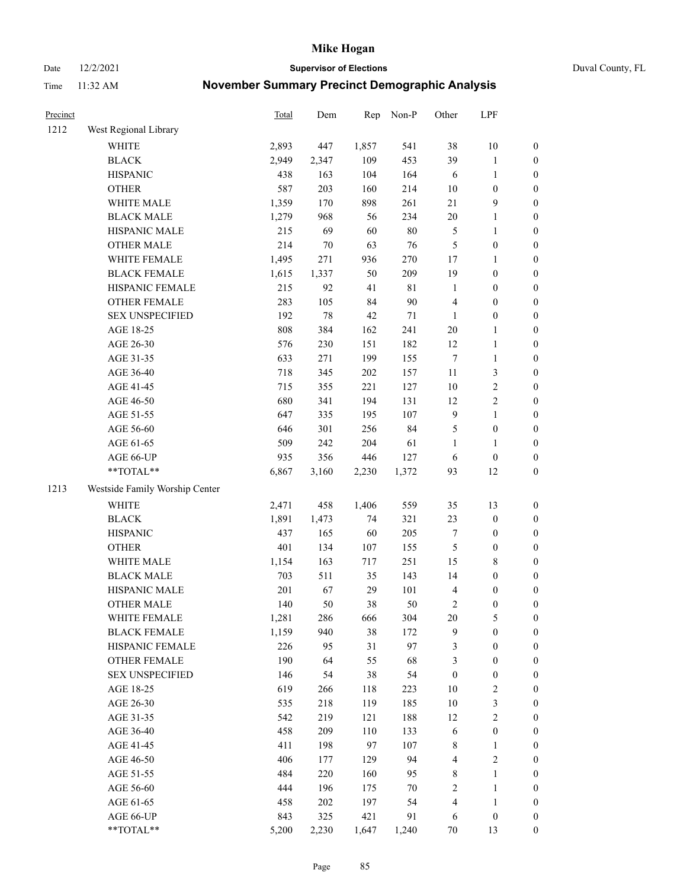Date 12/2/2021 **Supervisor of Elections** Duval County, FL

| Precinct |                                | Total | Dem    | Rep   | Non-P       | Other            | LPF              |                  |
|----------|--------------------------------|-------|--------|-------|-------------|------------------|------------------|------------------|
| 1212     | West Regional Library          |       |        |       |             |                  |                  |                  |
|          | <b>WHITE</b>                   | 2,893 | 447    | 1,857 | 541         | 38               | 10               | 0                |
|          | <b>BLACK</b>                   | 2,949 | 2,347  | 109   | 453         | 39               | $\mathbf{1}$     | $\boldsymbol{0}$ |
|          | <b>HISPANIC</b>                | 438   | 163    | 104   | 164         | 6                | $\mathbf{1}$     | $\boldsymbol{0}$ |
|          | <b>OTHER</b>                   | 587   | 203    | 160   | 214         | $10\,$           | $\boldsymbol{0}$ | $\boldsymbol{0}$ |
|          | WHITE MALE                     | 1,359 | 170    | 898   | 261         | $21\,$           | $\boldsymbol{9}$ | $\boldsymbol{0}$ |
|          | <b>BLACK MALE</b>              | 1,279 | 968    | 56    | 234         | 20               | $\mathbf{1}$     | $\boldsymbol{0}$ |
|          | HISPANIC MALE                  | 215   | 69     | 60    | 80          | 5                | $\mathbf{1}$     | $\boldsymbol{0}$ |
|          | <b>OTHER MALE</b>              | 214   | $70\,$ | 63    | 76          | 5                | $\boldsymbol{0}$ | $\boldsymbol{0}$ |
|          | WHITE FEMALE                   | 1,495 | 271    | 936   | 270         | 17               | 1                | $\boldsymbol{0}$ |
|          | <b>BLACK FEMALE</b>            | 1,615 | 1,337  | 50    | 209         | 19               | $\boldsymbol{0}$ | $\boldsymbol{0}$ |
|          | HISPANIC FEMALE                | 215   | 92     | 41    | $8\sqrt{1}$ | $\mathbf{1}$     | $\boldsymbol{0}$ | $\boldsymbol{0}$ |
|          | OTHER FEMALE                   | 283   | 105    | 84    | 90          | 4                | $\boldsymbol{0}$ | $\boldsymbol{0}$ |
|          | <b>SEX UNSPECIFIED</b>         | 192   | 78     | 42    | $71\,$      | $\mathbf{1}$     | $\boldsymbol{0}$ | $\boldsymbol{0}$ |
|          | AGE 18-25                      | 808   | 384    | 162   | 241         | $20\,$           | $\mathbf{1}$     | $\boldsymbol{0}$ |
|          | AGE 26-30                      | 576   | 230    | 151   | 182         | 12               | $\mathbf{1}$     | $\boldsymbol{0}$ |
|          | AGE 31-35                      | 633   | 271    | 199   | 155         | $\boldsymbol{7}$ | $\mathbf{1}$     | $\boldsymbol{0}$ |
|          | AGE 36-40                      | 718   | 345    | 202   | 157         | 11               | 3                | $\boldsymbol{0}$ |
|          | AGE 41-45                      | 715   | 355    | 221   | 127         | 10               | $\sqrt{2}$       | $\boldsymbol{0}$ |
|          | AGE 46-50                      | 680   | 341    | 194   | 131         | 12               | $\sqrt{2}$       | $\boldsymbol{0}$ |
|          | AGE 51-55                      | 647   | 335    | 195   | 107         | $\boldsymbol{9}$ | $\mathbf{1}$     | $\boldsymbol{0}$ |
|          | AGE 56-60                      | 646   | 301    | 256   | 84          | 5                | $\boldsymbol{0}$ | $\boldsymbol{0}$ |
|          | AGE 61-65                      | 509   | 242    | 204   | 61          | $\mathbf{1}$     | 1                | $\boldsymbol{0}$ |
|          | AGE 66-UP                      | 935   | 356    | 446   | 127         | 6                | $\boldsymbol{0}$ | $\boldsymbol{0}$ |
|          | $**TOTAL**$                    | 6,867 | 3,160  | 2,230 | 1,372       | 93               | 12               | $\boldsymbol{0}$ |
| 1213     | Westside Family Worship Center |       |        |       |             |                  |                  |                  |
|          | <b>WHITE</b>                   | 2,471 | 458    | 1,406 | 559         | 35               | 13               | $\boldsymbol{0}$ |
|          | <b>BLACK</b>                   | 1,891 | 1,473  | 74    | 321         | 23               | $\boldsymbol{0}$ | $\boldsymbol{0}$ |
|          | <b>HISPANIC</b>                | 437   | 165    | 60    | 205         | $\boldsymbol{7}$ | $\boldsymbol{0}$ | $\boldsymbol{0}$ |
|          | <b>OTHER</b>                   | 401   | 134    | 107   | 155         | 5                | $\boldsymbol{0}$ | $\boldsymbol{0}$ |
|          | WHITE MALE                     | 1,154 | 163    | 717   | 251         | 15               | $\,$ 8 $\,$      | $\boldsymbol{0}$ |
|          | <b>BLACK MALE</b>              | 703   | 511    | 35    | 143         | 14               | $\boldsymbol{0}$ | $\boldsymbol{0}$ |
|          | HISPANIC MALE                  | 201   | 67     | 29    | 101         | 4                | $\boldsymbol{0}$ | $\boldsymbol{0}$ |
|          | <b>OTHER MALE</b>              | 140   | 50     | 38    | 50          | 2                | $\boldsymbol{0}$ | $\boldsymbol{0}$ |
|          | WHITE FEMALE                   | 1,281 | 286    | 666   | 304         | 20               | 5                | 0                |
|          | <b>BLACK FEMALE</b>            | 1,159 | 940    | 38    | 172         | 9                | $\boldsymbol{0}$ | $\boldsymbol{0}$ |
|          | HISPANIC FEMALE                | 226   | 95     | 31    | 97          | 3                | $\boldsymbol{0}$ | $\overline{0}$   |
|          | OTHER FEMALE                   | 190   | 64     | 55    | 68          | 3                | $\boldsymbol{0}$ | $\overline{0}$   |
|          | <b>SEX UNSPECIFIED</b>         | 146   | 54     | 38    | 54          | $\boldsymbol{0}$ | $\boldsymbol{0}$ | 0                |
|          | AGE 18-25                      | 619   | 266    | 118   | 223         | 10               | $\sqrt{2}$       | 0                |
|          | AGE 26-30                      | 535   | 218    | 119   | 185         | 10               | 3                | 0                |
|          | AGE 31-35                      | 542   | 219    | 121   | 188         | 12               | $\sqrt{2}$       | 0                |
|          | AGE 36-40                      | 458   | 209    | 110   | 133         | 6                | $\boldsymbol{0}$ | 0                |
|          | AGE 41-45                      | 411   | 198    | 97    | 107         | 8                | $\mathbf{1}$     | 0                |
|          | AGE 46-50                      | 406   | 177    | 129   | 94          | 4                | $\sqrt{2}$       | 0                |
|          | AGE 51-55                      | 484   | 220    | 160   | 95          | 8                | $\mathbf{1}$     | $\boldsymbol{0}$ |
|          | AGE 56-60                      | 444   | 196    | 175   | 70          | 2                | $\mathbf{1}$     | $\boldsymbol{0}$ |
|          | AGE 61-65                      | 458   | 202    | 197   | 54          | 4                | $\mathbf{1}$     | $\boldsymbol{0}$ |
|          | AGE 66-UP                      | 843   | 325    | 421   | 91          | 6                | $\boldsymbol{0}$ | $\boldsymbol{0}$ |
|          | **TOTAL**                      | 5,200 | 2,230  | 1,647 | 1,240       | $70\,$           | 13               | $\boldsymbol{0}$ |
|          |                                |       |        |       |             |                  |                  |                  |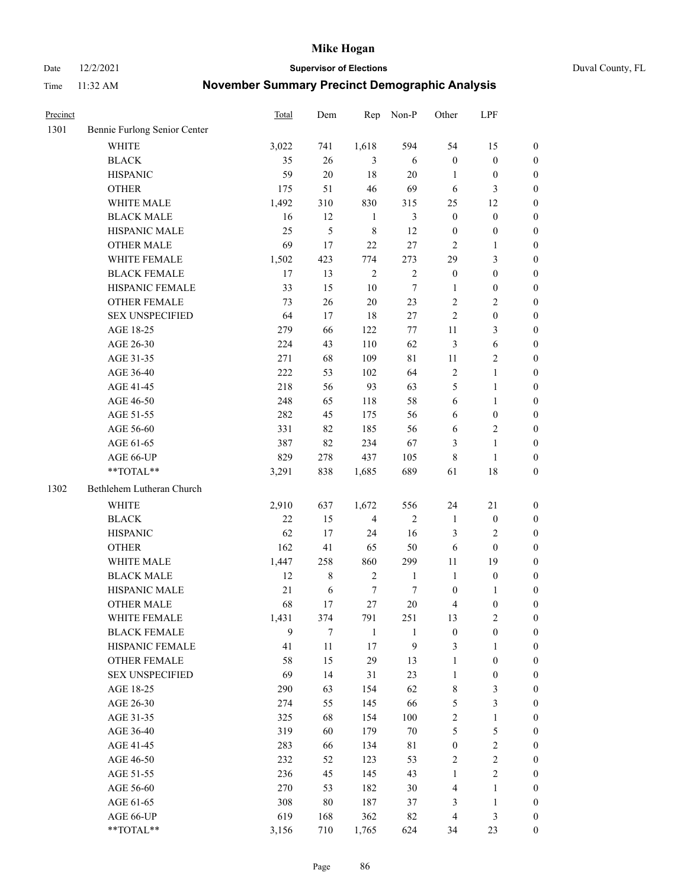Date 12/2/2021 **Supervisor of Elections** Duval County, FL

| Precinct |                              | <b>Total</b> | Dem    | Rep            | Non-P        | Other            | LPF              |                  |
|----------|------------------------------|--------------|--------|----------------|--------------|------------------|------------------|------------------|
| 1301     | Bennie Furlong Senior Center |              |        |                |              |                  |                  |                  |
|          | <b>WHITE</b>                 | 3,022        | 741    | 1,618          | 594          | 54               | 15               | 0                |
|          | <b>BLACK</b>                 | 35           | 26     | 3              | 6            | $\boldsymbol{0}$ | $\boldsymbol{0}$ | 0                |
|          | <b>HISPANIC</b>              | 59           | 20     | 18             | $20\,$       | 1                | $\boldsymbol{0}$ | $\boldsymbol{0}$ |
|          | <b>OTHER</b>                 | 175          | 51     | 46             | 69           | 6                | 3                | $\boldsymbol{0}$ |
|          | WHITE MALE                   | 1,492        | 310    | 830            | 315          | 25               | 12               | $\boldsymbol{0}$ |
|          | <b>BLACK MALE</b>            | 16           | 12     | $\mathbf{1}$   | 3            | $\boldsymbol{0}$ | $\boldsymbol{0}$ | $\boldsymbol{0}$ |
|          | HISPANIC MALE                | 25           | 5      | $\,$ 8 $\,$    | 12           | $\boldsymbol{0}$ | $\boldsymbol{0}$ | $\boldsymbol{0}$ |
|          | <b>OTHER MALE</b>            | 69           | 17     | 22             | 27           | $\mathbf{2}$     | $\mathbf{1}$     | $\boldsymbol{0}$ |
|          | WHITE FEMALE                 | 1,502        | 423    | 774            | 273          | 29               | $\mathfrak{Z}$   | $\boldsymbol{0}$ |
|          | <b>BLACK FEMALE</b>          | 17           | 13     | $\sqrt{2}$     | $\sqrt{2}$   | $\boldsymbol{0}$ | $\boldsymbol{0}$ | 0                |
|          | HISPANIC FEMALE              | 33           | 15     | 10             | $\tau$       | 1                | $\boldsymbol{0}$ | 0                |
|          | <b>OTHER FEMALE</b>          | 73           | 26     | $20\,$         | 23           | 2                | $\sqrt{2}$       | $\boldsymbol{0}$ |
|          | <b>SEX UNSPECIFIED</b>       | 64           | 17     | 18             | $27\,$       | $\overline{c}$   | $\boldsymbol{0}$ | $\boldsymbol{0}$ |
|          | AGE 18-25                    | 279          | 66     | 122            | $77\,$       | $11\,$           | $\mathfrak{Z}$   | $\boldsymbol{0}$ |
|          | AGE 26-30                    | 224          | 43     | 110            | 62           | 3                | 6                | $\boldsymbol{0}$ |
|          | AGE 31-35                    | 271          | 68     | 109            | 81           | 11               | $\sqrt{2}$       | $\boldsymbol{0}$ |
|          | AGE 36-40                    | 222          | 53     | 102            | 64           | 2                | $\mathbf{1}$     | $\boldsymbol{0}$ |
|          | AGE 41-45                    | 218          | 56     | 93             | 63           | 5                | $\mathbf{1}$     | $\boldsymbol{0}$ |
|          | AGE 46-50                    | 248          | 65     | 118            | 58           | 6                | 1                | $\boldsymbol{0}$ |
|          | AGE 51-55                    | 282          | 45     | 175            | 56           | 6                | $\boldsymbol{0}$ | 0                |
|          | AGE 56-60                    | 331          | 82     | 185            | 56           | 6                | $\sqrt{2}$       | 0                |
|          | AGE 61-65                    | 387          | 82     | 234            | 67           | 3                | $\mathbf{1}$     | 0                |
|          | AGE 66-UP                    | 829          | 278    | 437            | 105          | 8                | $\mathbf{1}$     | $\boldsymbol{0}$ |
|          | **TOTAL**                    | 3,291        | 838    | 1,685          | 689          | 61               | 18               | $\boldsymbol{0}$ |
| 1302     | Bethlehem Lutheran Church    |              |        |                |              |                  |                  |                  |
|          | <b>WHITE</b>                 | 2,910        | 637    | 1,672          | 556          | 24               | 21               | $\boldsymbol{0}$ |
|          | <b>BLACK</b>                 | 22           | 15     | $\overline{4}$ | $\sqrt{2}$   | $\mathbf{1}$     | $\boldsymbol{0}$ | $\boldsymbol{0}$ |
|          | <b>HISPANIC</b>              | 62           | 17     | 24             | 16           | 3                | $\mathfrak{2}$   | $\boldsymbol{0}$ |
|          | <b>OTHER</b>                 | 162          | 41     | 65             | 50           | 6                | $\boldsymbol{0}$ | $\boldsymbol{0}$ |
|          | WHITE MALE                   | 1,447        | 258    | 860            | 299          | $11\,$           | 19               | $\boldsymbol{0}$ |
|          | <b>BLACK MALE</b>            | 12           | $8\,$  | $\sqrt{2}$     | $\mathbf{1}$ | $\mathbf{1}$     | $\boldsymbol{0}$ | $\boldsymbol{0}$ |
|          | HISPANIC MALE                | 21           | 6      | 7              | 7            | $\boldsymbol{0}$ | 1                | $\boldsymbol{0}$ |
|          | <b>OTHER MALE</b>            | 68           | 17     | 27             | $20\,$       | 4                | $\boldsymbol{0}$ | $\boldsymbol{0}$ |
|          | WHITE FEMALE                 | 1,431        | 374    | 791            | 251          | 13               | $\overline{c}$   | 0                |
|          | <b>BLACK FEMALE</b>          | 9            | 7      | $\mathbf{1}$   | 1            | $\boldsymbol{0}$ | $\boldsymbol{0}$ | $\overline{0}$   |
|          | HISPANIC FEMALE              | 41           | $11\,$ | 17             | 9            | 3                | 1                | $\overline{0}$   |
|          | OTHER FEMALE                 | 58           | 15     | 29             | 13           | 1                | $\boldsymbol{0}$ | 0                |
|          | <b>SEX UNSPECIFIED</b>       | 69           | 14     | 31             | 23           | $\mathbf{1}$     | $\boldsymbol{0}$ | 0                |
|          | AGE 18-25                    | 290          | 63     | 154            | 62           | 8                | $\mathfrak{Z}$   | 0                |
|          | AGE 26-30                    | 274          | 55     | 145            | 66           | 5                | 3                | 0                |
|          | AGE 31-35                    | 325          | 68     | 154            | 100          | $\overline{c}$   | $\mathbf{1}$     | 0                |
|          | AGE 36-40                    | 319          | 60     | 179            | $70\,$       | 5                | $\mathfrak s$    | 0                |
|          | AGE 41-45                    | 283          | 66     | 134            | $8\sqrt{1}$  | $\boldsymbol{0}$ | $\sqrt{2}$       | 0                |
|          | AGE 46-50                    | 232          | 52     | 123            | 53           | 2                | $\sqrt{2}$       | 0                |
|          | AGE 51-55                    | 236          | 45     | 145            | 43           | $\mathbf{1}$     | $\mathbf{2}$     | 0                |
|          | AGE 56-60                    | 270          | 53     | 182            | $30\,$       | 4                | 1                | $\boldsymbol{0}$ |
|          | AGE 61-65                    | 308          | $80\,$ | 187            | 37           | 3                | $\mathbf{1}$     | $\boldsymbol{0}$ |
|          | AGE 66-UP                    | 619          | 168    | 362            | 82           | 4                | $\mathfrak{Z}$   | 0                |
|          | **TOTAL**                    | 3,156        | 710    | 1,765          | 624          | 34               | 23               | $\boldsymbol{0}$ |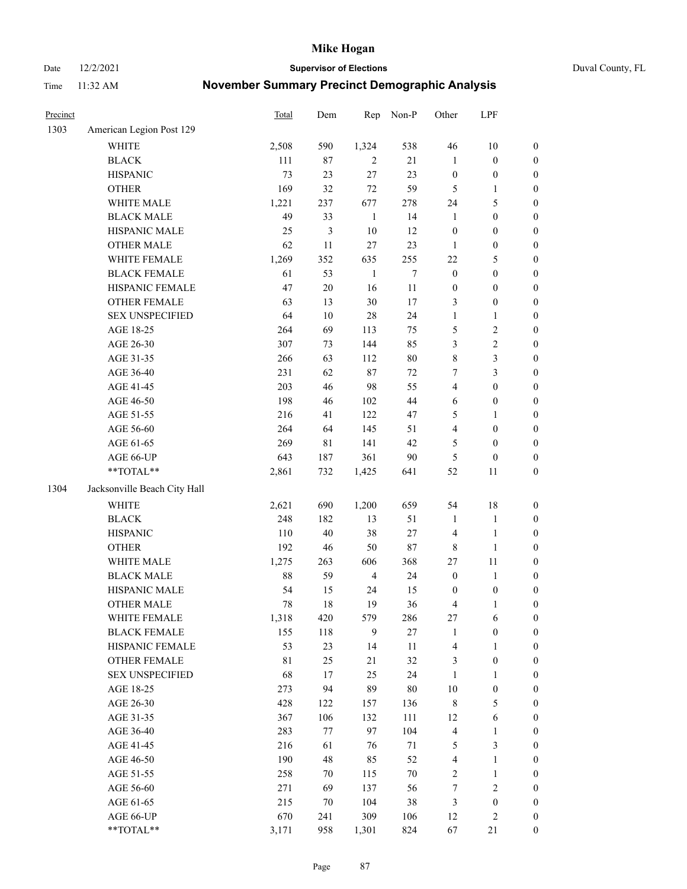Date 12/2/2021 **Supervisor of Elections** Duval County, FL

| Precinct |                              | Total       | Dem    | Rep            | Non-P  | Other                   | LPF              |                  |
|----------|------------------------------|-------------|--------|----------------|--------|-------------------------|------------------|------------------|
| 1303     | American Legion Post 129     |             |        |                |        |                         |                  |                  |
|          | <b>WHITE</b>                 | 2,508       | 590    | 1,324          | 538    | 46                      | $10\,$           | 0                |
|          | <b>BLACK</b>                 | 111         | $87\,$ | 2              | 21     | $\mathbf{1}$            | $\boldsymbol{0}$ | $\boldsymbol{0}$ |
|          | <b>HISPANIC</b>              | 73          | 23     | 27             | 23     | $\boldsymbol{0}$        | $\boldsymbol{0}$ | $\boldsymbol{0}$ |
|          | <b>OTHER</b>                 | 169         | 32     | $72\,$         | 59     | 5                       | 1                | $\boldsymbol{0}$ |
|          | WHITE MALE                   | 1,221       | 237    | 677            | 278    | 24                      | $\mathfrak{S}$   | $\boldsymbol{0}$ |
|          | <b>BLACK MALE</b>            | 49          | 33     | $\mathbf{1}$   | 14     | $\mathbf{1}$            | $\boldsymbol{0}$ | $\boldsymbol{0}$ |
|          | HISPANIC MALE                | 25          | 3      | 10             | 12     | $\boldsymbol{0}$        | $\boldsymbol{0}$ | $\boldsymbol{0}$ |
|          | <b>OTHER MALE</b>            | 62          | 11     | 27             | 23     | $\mathbf{1}$            | $\boldsymbol{0}$ | $\boldsymbol{0}$ |
|          | WHITE FEMALE                 | 1,269       | 352    | 635            | 255    | $22\,$                  | $\mathfrak{S}$   | $\boldsymbol{0}$ |
|          | <b>BLACK FEMALE</b>          | 61          | 53     | $\mathbf{1}$   | $\tau$ | $\boldsymbol{0}$        | $\boldsymbol{0}$ | $\boldsymbol{0}$ |
|          | HISPANIC FEMALE              | 47          | $20\,$ | 16             | $11\,$ | $\boldsymbol{0}$        | $\boldsymbol{0}$ | $\boldsymbol{0}$ |
|          | OTHER FEMALE                 | 63          | 13     | 30             | 17     | 3                       | $\boldsymbol{0}$ | $\boldsymbol{0}$ |
|          | <b>SEX UNSPECIFIED</b>       | 64          | 10     | 28             | 24     | $\mathbf{1}$            | $\mathbf{1}$     | $\boldsymbol{0}$ |
|          | AGE 18-25                    | 264         | 69     | 113            | 75     | 5                       | $\sqrt{2}$       | $\boldsymbol{0}$ |
|          | AGE 26-30                    | 307         | 73     | 144            | 85     | 3                       | $\sqrt{2}$       | $\boldsymbol{0}$ |
|          | AGE 31-35                    | 266         | 63     | 112            | $80\,$ | $\,$ $\,$               | $\mathfrak{Z}$   | $\boldsymbol{0}$ |
|          | AGE 36-40                    | 231         | 62     | 87             | 72     | $\boldsymbol{7}$        | $\mathfrak{Z}$   | $\boldsymbol{0}$ |
|          | AGE 41-45                    | 203         | 46     | 98             | 55     | $\overline{4}$          | $\boldsymbol{0}$ | $\boldsymbol{0}$ |
|          | AGE 46-50                    | 198         | 46     | 102            | $44\,$ | $\sqrt{6}$              | $\boldsymbol{0}$ | $\boldsymbol{0}$ |
|          | AGE 51-55                    | 216         | 41     | 122            | 47     | 5                       | 1                | $\boldsymbol{0}$ |
|          | AGE 56-60                    | 264         | 64     | 145            | 51     | $\overline{\mathbf{4}}$ | $\boldsymbol{0}$ | 0                |
|          | AGE 61-65                    | 269         | 81     | 141            | 42     | 5                       | $\boldsymbol{0}$ | 0                |
|          | AGE 66-UP                    | 643         | 187    | 361            | 90     | 5                       | $\boldsymbol{0}$ | $\boldsymbol{0}$ |
|          | **TOTAL**                    | 2,861       | 732    | 1,425          | 641    | 52                      | 11               | $\boldsymbol{0}$ |
| 1304     | Jacksonville Beach City Hall |             |        |                |        |                         |                  |                  |
|          | WHITE                        | 2,621       | 690    | 1,200          | 659    | 54                      | $18\,$           | $\boldsymbol{0}$ |
|          | <b>BLACK</b>                 | 248         | 182    | 13             | 51     | $\mathbf{1}$            | $\mathbf{1}$     | $\boldsymbol{0}$ |
|          | <b>HISPANIC</b>              | 110         | 40     | 38             | $27\,$ | 4                       | $\mathbf{1}$     | $\boldsymbol{0}$ |
|          | <b>OTHER</b>                 | 192         | 46     | 50             | $87\,$ | $\,$ 8 $\,$             | $\mathbf{1}$     | $\boldsymbol{0}$ |
|          | WHITE MALE                   | 1,275       | 263    | 606            | 368    | 27                      | 11               | $\boldsymbol{0}$ |
|          | <b>BLACK MALE</b>            | 88          | 59     | $\overline{4}$ | 24     | $\boldsymbol{0}$        | $\mathbf{1}$     | $\boldsymbol{0}$ |
|          | HISPANIC MALE                | 54          | 15     | 24             | 15     | $\boldsymbol{0}$        | $\boldsymbol{0}$ | 0                |
|          | OTHER MALE                   | 78          | 18     | 19             | 36     | 4                       | $\mathbf{1}$     | $\boldsymbol{0}$ |
|          | WHITE FEMALE                 | 1,318       | 420    | 579            | 286    | 27                      | 6                | 0                |
|          | <b>BLACK FEMALE</b>          | 155         | 118    | 9              | $27\,$ | $\mathbf{1}$            | $\boldsymbol{0}$ | $\overline{0}$   |
|          | HISPANIC FEMALE              | 53          | 23     | 14             | $11\,$ | 4                       | $\mathbf{1}$     | $\overline{0}$   |
|          | <b>OTHER FEMALE</b>          | $8\sqrt{1}$ | 25     | 21             | 32     | 3                       | $\boldsymbol{0}$ | $\overline{0}$   |
|          | <b>SEX UNSPECIFIED</b>       | 68          | 17     | 25             | 24     | $\mathbf{1}$            | $\mathbf{1}$     | 0                |
|          | AGE 18-25                    | 273         | 94     | 89             | $80\,$ | $10\,$                  | $\boldsymbol{0}$ | 0                |
|          | AGE 26-30                    | 428         | 122    | 157            | 136    | 8                       | $\mathfrak{S}$   | 0                |
|          | AGE 31-35                    | 367         | 106    | 132            | 111    | 12                      | 6                | 0                |
|          | AGE 36-40                    | 283         | 77     | 97             | 104    | $\overline{\mathbf{4}}$ | $\mathbf{1}$     | 0                |
|          | AGE 41-45                    | 216         | 61     | 76             | $71\,$ | 5                       | $\mathfrak{Z}$   | 0                |
|          | AGE 46-50                    | 190         | 48     | 85             | 52     | 4                       | $\mathbf{1}$     | 0                |
|          | AGE 51-55                    | 258         | 70     | 115            | $70\,$ | 2                       | $\mathbf{1}$     | 0                |
|          | AGE 56-60                    | 271         | 69     | 137            | 56     | 7                       | $\sqrt{2}$       | 0                |
|          | AGE 61-65                    | 215         | 70     | 104            | 38     | 3                       | $\boldsymbol{0}$ | 0                |
|          | AGE 66-UP                    | 670         | 241    | 309            | 106    | 12                      | $\mathfrak{2}$   | 0                |
|          | $**TOTAL**$                  | 3,171       | 958    | 1,301          | 824    | 67                      | 21               | $\boldsymbol{0}$ |
|          |                              |             |        |                |        |                         |                  |                  |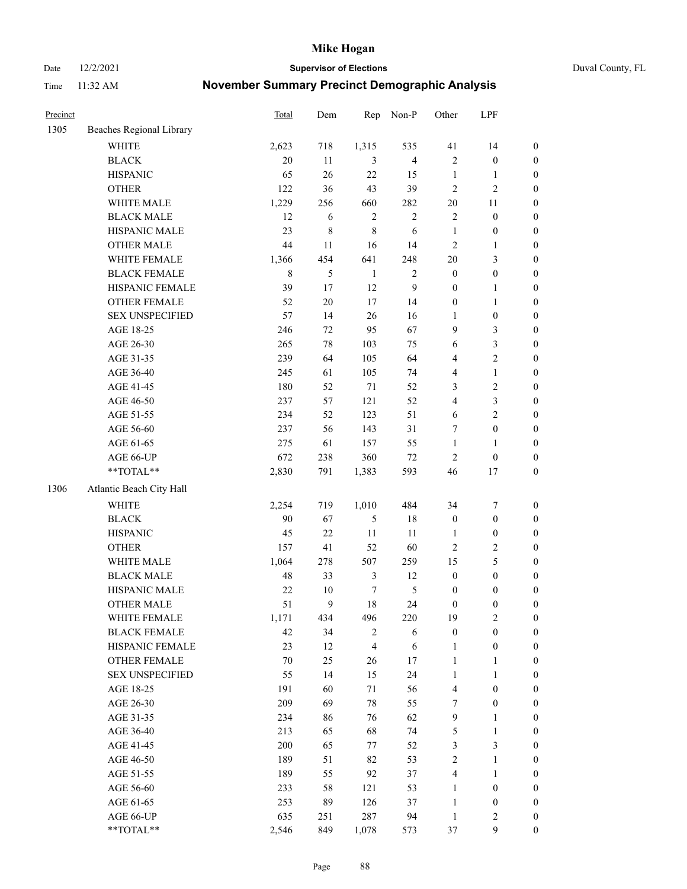Date 12/2/2021 **Supervisor of Elections** Duval County, FL

| Precinct |                          | Total       | Dem    | Rep            | Non-P          | Other            | LPF              |                  |
|----------|--------------------------|-------------|--------|----------------|----------------|------------------|------------------|------------------|
| 1305     | Beaches Regional Library |             |        |                |                |                  |                  |                  |
|          | <b>WHITE</b>             | 2,623       | 718    | 1,315          | 535            | 41               | 14               | 0                |
|          | <b>BLACK</b>             | 20          | 11     | 3              | $\overline{4}$ | $\mathfrak{2}$   | $\boldsymbol{0}$ | $\boldsymbol{0}$ |
|          | <b>HISPANIC</b>          | 65          | 26     | 22             | 15             | $\mathbf{1}$     | $\mathbf{1}$     | $\boldsymbol{0}$ |
|          | <b>OTHER</b>             | 122         | 36     | 43             | 39             | $\mathfrak{2}$   | $\sqrt{2}$       | $\boldsymbol{0}$ |
|          | WHITE MALE               | 1,229       | 256    | 660            | 282            | $20\,$           | 11               | $\boldsymbol{0}$ |
|          | <b>BLACK MALE</b>        | 12          | 6      | $\sqrt{2}$     | $\sqrt{2}$     | $\mathfrak{2}$   | $\boldsymbol{0}$ | $\boldsymbol{0}$ |
|          | HISPANIC MALE            | 23          | 8      | $\,$ 8 $\,$    | 6              | $\mathbf{1}$     | $\boldsymbol{0}$ | $\boldsymbol{0}$ |
|          | OTHER MALE               | 44          | 11     | 16             | 14             | $\mathbf{2}$     | $\mathbf{1}$     | $\boldsymbol{0}$ |
|          | WHITE FEMALE             | 1,366       | 454    | 641            | 248            | $20\,$           | $\mathfrak{Z}$   | $\boldsymbol{0}$ |
|          | <b>BLACK FEMALE</b>      | $\,$ 8 $\,$ | 5      | $\mathbf{1}$   | $\sqrt{2}$     | $\boldsymbol{0}$ | $\boldsymbol{0}$ | 0                |
|          | HISPANIC FEMALE          | 39          | 17     | 12             | $\mathbf{9}$   | $\boldsymbol{0}$ | $\mathbf{1}$     | 0                |
|          | <b>OTHER FEMALE</b>      | 52          | $20\,$ | 17             | 14             | $\boldsymbol{0}$ | $\mathbf{1}$     | $\boldsymbol{0}$ |
|          | <b>SEX UNSPECIFIED</b>   | 57          | 14     | 26             | 16             | $\mathbf{1}$     | $\boldsymbol{0}$ | $\boldsymbol{0}$ |
|          | AGE 18-25                | 246         | 72     | 95             | 67             | 9                | $\mathfrak{Z}$   | $\boldsymbol{0}$ |
|          | AGE 26-30                | 265         | 78     | 103            | 75             | 6                | $\mathfrak{Z}$   | $\boldsymbol{0}$ |
|          | AGE 31-35                | 239         | 64     | 105            | 64             | 4                | $\sqrt{2}$       | $\boldsymbol{0}$ |
|          | AGE 36-40                | 245         | 61     | 105            | 74             | 4                | $\mathbf{1}$     | $\boldsymbol{0}$ |
|          | AGE 41-45                | 180         | 52     | $71\,$         | 52             | 3                | $\sqrt{2}$       | $\boldsymbol{0}$ |
|          | AGE 46-50                | 237         | 57     | 121            | 52             | 4                | $\mathfrak{Z}$   | $\boldsymbol{0}$ |
|          | AGE 51-55                | 234         | 52     | 123            | 51             | 6                | $\sqrt{2}$       | $\boldsymbol{0}$ |
|          | AGE 56-60                | 237         | 56     | 143            | 31             | 7                | $\boldsymbol{0}$ | 0                |
|          | AGE 61-65                | 275         | 61     | 157            | 55             | $\mathbf{1}$     | $\mathbf{1}$     | 0                |
|          | AGE 66-UP                | 672         | 238    | 360            | 72             | $\mathbf{2}$     | $\boldsymbol{0}$ | $\boldsymbol{0}$ |
|          | **TOTAL**                | 2,830       | 791    | 1,383          | 593            | 46               | $17\,$           | $\boldsymbol{0}$ |
| 1306     | Atlantic Beach City Hall |             |        |                |                |                  |                  |                  |
|          | WHITE                    | 2,254       | 719    | 1,010          | 484            | 34               | $\boldsymbol{7}$ | $\boldsymbol{0}$ |
|          | <b>BLACK</b>             | 90          | 67     | $\mathfrak{S}$ | 18             | $\boldsymbol{0}$ | $\boldsymbol{0}$ | $\boldsymbol{0}$ |
|          | <b>HISPANIC</b>          | 45          | 22     | $11\,$         | 11             | $\mathbf{1}$     | $\boldsymbol{0}$ | $\boldsymbol{0}$ |
|          | <b>OTHER</b>             | 157         | 41     | 52             | 60             | $\mathbf{2}$     | $\sqrt{2}$       | $\boldsymbol{0}$ |
|          | WHITE MALE               | 1,064       | 278    | 507            | 259            | 15               | $\mathfrak{S}$   | $\boldsymbol{0}$ |
|          | <b>BLACK MALE</b>        | 48          | 33     | $\mathfrak{Z}$ | 12             | $\boldsymbol{0}$ | $\boldsymbol{0}$ | $\boldsymbol{0}$ |
|          | HISPANIC MALE            | $22\,$      | $10\,$ | $\tau$         | $\mathfrak{S}$ | $\boldsymbol{0}$ | $\boldsymbol{0}$ | $\boldsymbol{0}$ |
|          | OTHER MALE               | 51          | 9      | 18             | 24             | $\boldsymbol{0}$ | $\boldsymbol{0}$ | $\boldsymbol{0}$ |
|          | WHITE FEMALE             | 1,171       | 434    | 496            | 220            | 19               | 2                | 0                |
|          | <b>BLACK FEMALE</b>      | 42          | 34     | $\overline{c}$ | 6              | $\boldsymbol{0}$ | $\boldsymbol{0}$ | $\boldsymbol{0}$ |
|          | HISPANIC FEMALE          | 23          | 12     | $\overline{4}$ | 6              | $\mathbf{1}$     | $\boldsymbol{0}$ | $\overline{0}$   |
|          | OTHER FEMALE             | $70\,$      | 25     | 26             | 17             | $\mathbf{1}$     | $\mathbf{1}$     | $\overline{0}$   |
|          | <b>SEX UNSPECIFIED</b>   | 55          | 14     | 15             | 24             | $\mathbf{1}$     | $\mathbf{1}$     | 0                |
|          | AGE 18-25                | 191         | 60     | 71             | 56             | 4                | $\boldsymbol{0}$ | 0                |
|          | AGE 26-30                | 209         | 69     | 78             | 55             | 7                | $\boldsymbol{0}$ | 0                |
|          | AGE 31-35                | 234         | 86     | 76             | 62             | $\mathbf{9}$     | $\mathbf{1}$     | 0                |
|          | AGE 36-40                | 213         | 65     | 68             | 74             | 5                | $\mathbf{1}$     | 0                |
|          | AGE 41-45                | 200         | 65     | 77             | 52             | 3                | $\mathfrak{Z}$   | 0                |
|          | AGE 46-50                | 189         | 51     | 82             | 53             | 2                | $\mathbf{1}$     | 0                |
|          | AGE 51-55                | 189         | 55     | 92             | 37             | $\overline{4}$   | $\mathbf{1}$     | 0                |
|          | AGE 56-60                | 233         | 58     | 121            | 53             | 1                | $\boldsymbol{0}$ | 0                |
|          | AGE 61-65                | 253         | 89     | 126            | 37             | $\mathbf{1}$     | $\boldsymbol{0}$ | 0                |
|          | AGE 66-UP                | 635         | 251    | 287            | 94             | $\mathbf{1}$     | $\mathbf{2}$     | 0                |
|          | **TOTAL**                | 2,546       | 849    | 1,078          | 573            | 37               | $\mathbf{9}$     | $\boldsymbol{0}$ |
|          |                          |             |        |                |                |                  |                  |                  |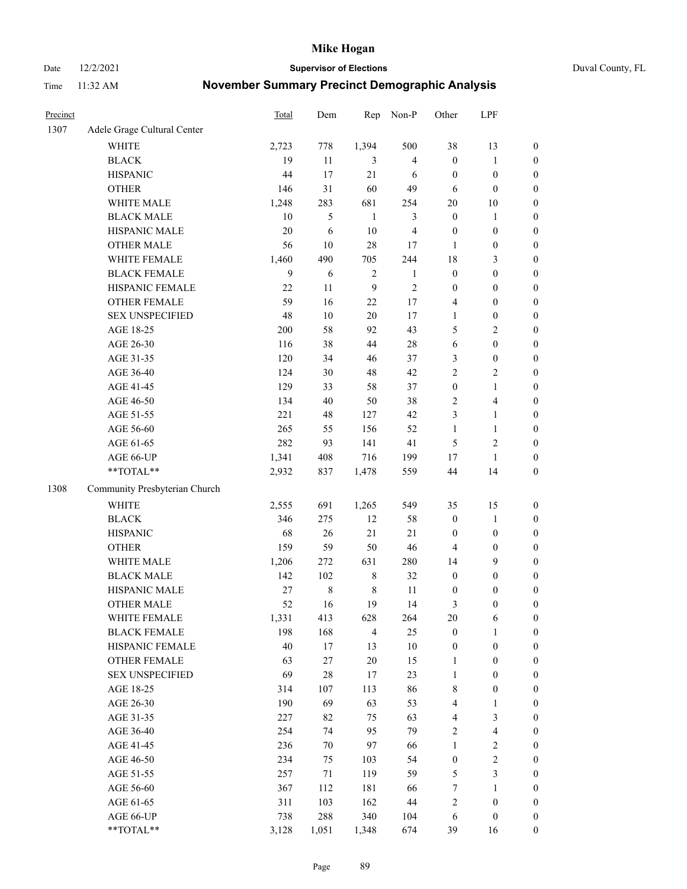Date 12/2/2021 **Supervisor of Elections** Duval County, FL

| Precinct |                               | <b>Total</b> | Dem     | Rep            | Non-P          | Other            | LPF              |                  |
|----------|-------------------------------|--------------|---------|----------------|----------------|------------------|------------------|------------------|
| 1307     | Adele Grage Cultural Center   |              |         |                |                |                  |                  |                  |
|          | <b>WHITE</b>                  | 2,723        | 778     | 1,394          | 500            | 38               | 13               | 0                |
|          | <b>BLACK</b>                  | 19           | 11      | 3              | $\overline{4}$ | $\boldsymbol{0}$ | $\mathbf{1}$     | $\boldsymbol{0}$ |
|          | <b>HISPANIC</b>               | 44           | 17      | 21             | 6              | $\boldsymbol{0}$ | $\boldsymbol{0}$ | $\boldsymbol{0}$ |
|          | <b>OTHER</b>                  | 146          | 31      | 60             | 49             | 6                | $\boldsymbol{0}$ | $\boldsymbol{0}$ |
|          | WHITE MALE                    | 1,248        | 283     | 681            | 254            | $20\,$           | 10               | $\boldsymbol{0}$ |
|          | <b>BLACK MALE</b>             | 10           | 5       | $\mathbf{1}$   | 3              | $\boldsymbol{0}$ | 1                | $\boldsymbol{0}$ |
|          | HISPANIC MALE                 | 20           | 6       | 10             | $\overline{4}$ | $\boldsymbol{0}$ | $\boldsymbol{0}$ | $\boldsymbol{0}$ |
|          | <b>OTHER MALE</b>             | 56           | 10      | 28             | 17             | $\mathbf{1}$     | $\boldsymbol{0}$ | $\boldsymbol{0}$ |
|          | WHITE FEMALE                  | 1,460        | 490     | 705            | 244            | 18               | $\mathfrak{Z}$   | $\boldsymbol{0}$ |
|          | <b>BLACK FEMALE</b>           | 9            | 6       | $\sqrt{2}$     | $\mathbf{1}$   | $\boldsymbol{0}$ | $\boldsymbol{0}$ | $\boldsymbol{0}$ |
|          | HISPANIC FEMALE               | 22           | 11      | 9              | $\sqrt{2}$     | $\boldsymbol{0}$ | $\boldsymbol{0}$ | $\boldsymbol{0}$ |
|          | <b>OTHER FEMALE</b>           | 59           | 16      | 22             | 17             | 4                | $\boldsymbol{0}$ | $\boldsymbol{0}$ |
|          | <b>SEX UNSPECIFIED</b>        | 48           | 10      | 20             | 17             | $\mathbf{1}$     | $\boldsymbol{0}$ | $\boldsymbol{0}$ |
|          | AGE 18-25                     | 200          | 58      | 92             | 43             | 5                | $\sqrt{2}$       | $\boldsymbol{0}$ |
|          | AGE 26-30                     | 116          | 38      | 44             | $28\,$         | 6                | $\boldsymbol{0}$ | $\boldsymbol{0}$ |
|          | AGE 31-35                     | 120          | 34      | 46             | 37             | 3                | $\boldsymbol{0}$ | $\boldsymbol{0}$ |
|          | AGE 36-40                     | 124          | 30      | 48             | 42             | $\overline{c}$   | $\sqrt{2}$       | $\boldsymbol{0}$ |
|          | AGE 41-45                     | 129          | 33      | 58             | 37             | $\boldsymbol{0}$ | $\mathbf{1}$     | $\boldsymbol{0}$ |
|          | AGE 46-50                     | 134          | $40\,$  | 50             | 38             | 2                | $\overline{4}$   | $\boldsymbol{0}$ |
|          | AGE 51-55                     | 221          | 48      | 127            | 42             | 3                | $\mathbf{1}$     | $\boldsymbol{0}$ |
|          | AGE 56-60                     | 265          | 55      | 156            | 52             | $\mathbf{1}$     | $\mathbf{1}$     | 0                |
|          | AGE 61-65                     | 282          | 93      | 141            | 41             | 5                | $\sqrt{2}$       | $\boldsymbol{0}$ |
|          | AGE 66-UP                     | 1,341        | 408     | 716            | 199            | 17               | $\mathbf{1}$     | $\boldsymbol{0}$ |
|          | **TOTAL**                     | 2,932        | 837     | 1,478          | 559            | 44               | 14               | $\boldsymbol{0}$ |
| 1308     | Community Presbyterian Church |              |         |                |                |                  |                  |                  |
|          | <b>WHITE</b>                  | 2,555        | 691     | 1,265          | 549            | 35               | 15               | $\boldsymbol{0}$ |
|          | <b>BLACK</b>                  | 346          | 275     | 12             | 58             | $\boldsymbol{0}$ | $\mathbf{1}$     | $\boldsymbol{0}$ |
|          | <b>HISPANIC</b>               | 68           | 26      | 21             | 21             | $\boldsymbol{0}$ | $\boldsymbol{0}$ | $\boldsymbol{0}$ |
|          | <b>OTHER</b>                  | 159          | 59      | 50             | 46             | 4                | $\boldsymbol{0}$ | $\boldsymbol{0}$ |
|          | WHITE MALE                    | 1,206        | 272     | 631            | 280            | 14               | 9                | $\boldsymbol{0}$ |
|          | <b>BLACK MALE</b>             | 142          | 102     | $\,$ 8 $\,$    | 32             | $\boldsymbol{0}$ | $\boldsymbol{0}$ | $\boldsymbol{0}$ |
|          | HISPANIC MALE                 | 27           | $\,8\,$ | $\,$ 8 $\,$    | 11             | 0                | $\boldsymbol{0}$ | $\boldsymbol{0}$ |
|          | <b>OTHER MALE</b>             | 52           | 16      | 19             | 14             | 3                | $\boldsymbol{0}$ | $\boldsymbol{0}$ |
|          | WHITE FEMALE                  | 1,331        | 413     | 628            | 264            | 20               | 6                | 0                |
|          | <b>BLACK FEMALE</b>           | 198          | 168     | $\overline{4}$ | 25             | $\boldsymbol{0}$ | $\mathbf{1}$     | $\boldsymbol{0}$ |
|          | HISPANIC FEMALE               | 40           | 17      | 13             | $10\,$         | $\boldsymbol{0}$ | $\boldsymbol{0}$ | $\overline{0}$   |
|          | <b>OTHER FEMALE</b>           | 63           | $27\,$  | 20             | 15             | $\mathbf{1}$     | $\boldsymbol{0}$ | $\overline{0}$   |
|          | <b>SEX UNSPECIFIED</b>        | 69           | $28\,$  | 17             | 23             | $\mathbf{1}$     | $\boldsymbol{0}$ | 0                |
|          | AGE 18-25                     | 314          | 107     | 113            | 86             | 8                | $\boldsymbol{0}$ | 0                |
|          | AGE 26-30                     | 190          | 69      | 63             | 53             | 4                | $\mathbf{1}$     | 0                |
|          | AGE 31-35                     | 227          | 82      | 75             | 63             | 4                | $\mathfrak{Z}$   | 0                |
|          | AGE 36-40                     | 254          | 74      | 95             | 79             | 2                | $\overline{4}$   | 0                |
|          | AGE 41-45                     | 236          | 70      | 97             | 66             | $\mathbf{1}$     | $\sqrt{2}$       | 0                |
|          | AGE 46-50                     | 234          | 75      | 103            | 54             | $\boldsymbol{0}$ | $\sqrt{2}$       | 0                |
|          | AGE 51-55                     | 257          | 71      | 119            | 59             | 5                | 3                | $\overline{0}$   |
|          | AGE 56-60                     | 367          | 112     | 181            | 66             | 7                | 1                | $\overline{0}$   |
|          | AGE 61-65                     | 311          | 103     | 162            | $44\,$         | 2                | $\boldsymbol{0}$ | $\overline{0}$   |
|          | AGE 66-UP                     | 738          | 288     | 340            | 104            | 6                | $\boldsymbol{0}$ | 0                |
|          | **TOTAL**                     | 3,128        | 1,051   | 1,348          | 674            | 39               | 16               | $\boldsymbol{0}$ |
|          |                               |              |         |                |                |                  |                  |                  |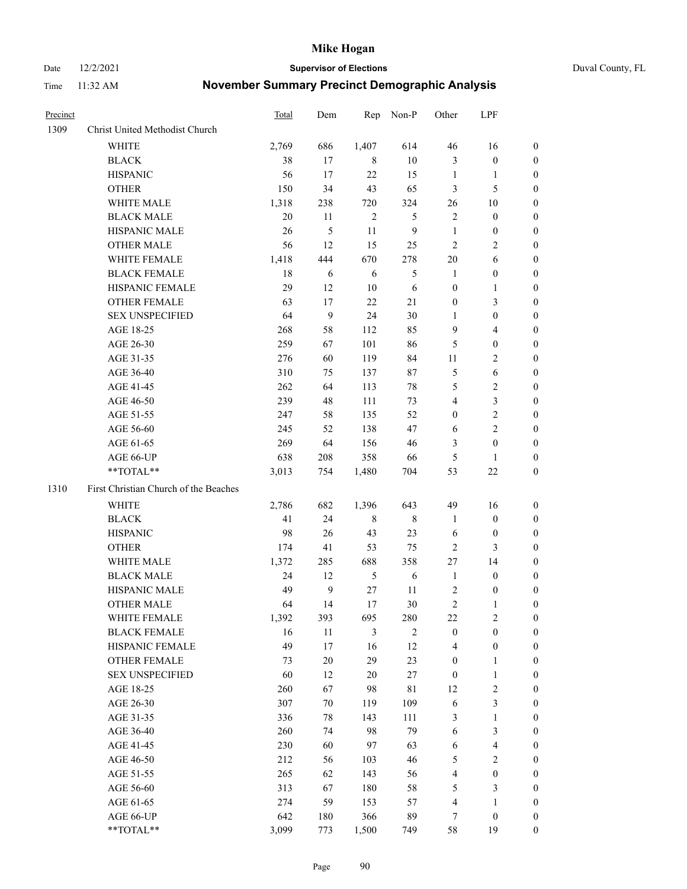Date 12/2/2021 **Supervisor of Elections** Duval County, FL

| Precinct |                                       | Total | Dem          | Rep           | Non-P          | Other            | LPF                     |                  |
|----------|---------------------------------------|-------|--------------|---------------|----------------|------------------|-------------------------|------------------|
| 1309     | Christ United Methodist Church        |       |              |               |                |                  |                         |                  |
|          | <b>WHITE</b>                          | 2,769 | 686          | 1,407         | 614            | 46               | 16                      | 0                |
|          | <b>BLACK</b>                          | 38    | 17           | 8             | $10\,$         | 3                | $\boldsymbol{0}$        | 0                |
|          | <b>HISPANIC</b>                       | 56    | 17           | 22            | 15             | $\mathbf{1}$     | $\mathbf{1}$            | 0                |
|          | <b>OTHER</b>                          | 150   | 34           | 43            | 65             | 3                | 5                       | $\boldsymbol{0}$ |
|          | WHITE MALE                            | 1,318 | 238          | 720           | 324            | 26               | 10                      | $\boldsymbol{0}$ |
|          | <b>BLACK MALE</b>                     | 20    | 11           | $\sqrt{2}$    | 5              | $\mathbf{2}$     | $\boldsymbol{0}$        | 0                |
|          | HISPANIC MALE                         | 26    | 5            | 11            | $\overline{9}$ | $\mathbf{1}$     | $\boldsymbol{0}$        | $\boldsymbol{0}$ |
|          | <b>OTHER MALE</b>                     | 56    | 12           | 15            | 25             | $\mathbf{2}$     | $\overline{2}$          | $\boldsymbol{0}$ |
|          | WHITE FEMALE                          | 1,418 | 444          | 670           | 278            | $20\,$           | 6                       | 0                |
|          | <b>BLACK FEMALE</b>                   | 18    | 6            | 6             | 5              | 1                | $\boldsymbol{0}$        | 0                |
|          | HISPANIC FEMALE                       | 29    | 12           | 10            | $\sqrt{6}$     | $\boldsymbol{0}$ | $\mathbf{1}$            | 0                |
|          | OTHER FEMALE                          | 63    | 17           | 22            | 21             | $\boldsymbol{0}$ | $\mathfrak{Z}$          | 0                |
|          | <b>SEX UNSPECIFIED</b>                | 64    | 9            | 24            | $30\,$         | $\mathbf{1}$     | $\boldsymbol{0}$        | $\boldsymbol{0}$ |
|          | AGE 18-25                             | 268   | 58           | 112           | 85             | 9                | $\overline{\mathbf{4}}$ | $\boldsymbol{0}$ |
|          | AGE 26-30                             | 259   | 67           | 101           | 86             | 5                | $\boldsymbol{0}$        | $\boldsymbol{0}$ |
|          | AGE 31-35                             | 276   | 60           | 119           | 84             | 11               | $\sqrt{2}$              | $\boldsymbol{0}$ |
|          | AGE 36-40                             | 310   | 75           | 137           | 87             | 5                | $\sqrt{6}$              | $\boldsymbol{0}$ |
|          | AGE 41-45                             | 262   | 64           | 113           | 78             | 5                | $\overline{2}$          | $\overline{0}$   |
|          | AGE 46-50                             | 239   | 48           | 111           | 73             | $\overline{4}$   | $\mathfrak{Z}$          | $\boldsymbol{0}$ |
|          | AGE 51-55                             | 247   | 58           | 135           | 52             | $\boldsymbol{0}$ | $\sqrt{2}$              | 0                |
|          | AGE 56-60                             | 245   | 52           | 138           | 47             | 6                | $\overline{2}$          | 0                |
|          | AGE 61-65                             | 269   | 64           | 156           | 46             | 3                | $\boldsymbol{0}$        | 0                |
|          | AGE 66-UP                             | 638   | 208          | 358           | 66             | 5                | $\mathbf{1}$            | 0                |
|          | **TOTAL**                             | 3,013 | 754          | 1,480         | 704            | 53               | $22\,$                  | $\boldsymbol{0}$ |
| 1310     | First Christian Church of the Beaches |       |              |               |                |                  |                         |                  |
|          | <b>WHITE</b>                          | 2,786 | 682          | 1,396         | 643            | 49               | 16                      | $\boldsymbol{0}$ |
|          | <b>BLACK</b>                          | 41    | 24           | $\,$ 8 $\,$   | $8\,$          | $\mathbf{1}$     | $\boldsymbol{0}$        | $\boldsymbol{0}$ |
|          | <b>HISPANIC</b>                       | 98    | 26           | 43            | 23             | 6                | $\boldsymbol{0}$        | 0                |
|          | <b>OTHER</b>                          | 174   | 41           | 53            | 75             | $\mathbf{2}$     | $\mathfrak{Z}$          | $\overline{0}$   |
|          | WHITE MALE                            | 1,372 | 285          | 688           | 358            | 27               | 14                      | $\overline{0}$   |
|          | <b>BLACK MALE</b>                     | 24    | 12           | $\mathfrak s$ | $\sqrt{6}$     | $\mathbf{1}$     | $\boldsymbol{0}$        | 0                |
|          | HISPANIC MALE                         | 49    | $\mathbf{9}$ | 27            | 11             | $\overline{c}$   | $\boldsymbol{0}$        | 0                |
|          | <b>OTHER MALE</b>                     | 64    | 14           | 17            | $30\,$         | 2                | 1                       | 0                |
|          | WHITE FEMALE                          | 1,392 | 393          | 695           | 280            | 22               | 2                       | 0                |
|          | <b>BLACK FEMALE</b>                   | 16    | 11           | 3             | $\overline{2}$ | $\boldsymbol{0}$ | $\boldsymbol{0}$        | $\boldsymbol{0}$ |
|          | HISPANIC FEMALE                       | 49    | 17           | 16            | 12             | 4                | $\boldsymbol{0}$        | $\overline{0}$   |
|          | OTHER FEMALE                          | 73    | $20\,$       | 29            | 23             | $\boldsymbol{0}$ | $\mathbf{1}$            | $\overline{0}$   |
|          | <b>SEX UNSPECIFIED</b>                | 60    | 12           | 20            | $27\,$         | $\boldsymbol{0}$ | $\mathbf{1}$            | 0                |
|          | AGE 18-25                             | 260   | 67           | 98            | $8\sqrt{1}$    | 12               | $\sqrt{2}$              | 0                |
|          | AGE 26-30                             | 307   | 70           | 119           | 109            | 6                | $\mathfrak{Z}$          | 0                |
|          | AGE 31-35                             | 336   | 78           | 143           | 111            | 3                | $\mathbf{1}$            | 0                |
|          | AGE 36-40                             | 260   | 74           | 98            | 79             | 6                | $\mathfrak{Z}$          | 0                |
|          | AGE 41-45                             | 230   | 60           | 97            | 63             | 6                | $\overline{\mathbf{4}}$ | 0                |
|          | AGE 46-50                             | 212   | 56           | 103           | 46             | 5                | $\sqrt{2}$              | 0                |
|          | AGE 51-55                             | 265   | 62           | 143           | 56             | 4                | $\boldsymbol{0}$        | $\overline{0}$   |
|          | AGE 56-60                             | 313   | 67           | 180           | 58             | 5                | $\mathfrak{Z}$          | $\overline{0}$   |
|          | AGE 61-65                             | 274   | 59           | 153           | 57             | 4                | $\mathbf{1}$            | $\overline{0}$   |
|          | AGE 66-UP                             | 642   | 180          | 366           | 89             | 7                | $\boldsymbol{0}$        | 0                |
|          | **TOTAL**                             | 3,099 | 773          | 1,500         | 749            | 58               | 19                      | $\boldsymbol{0}$ |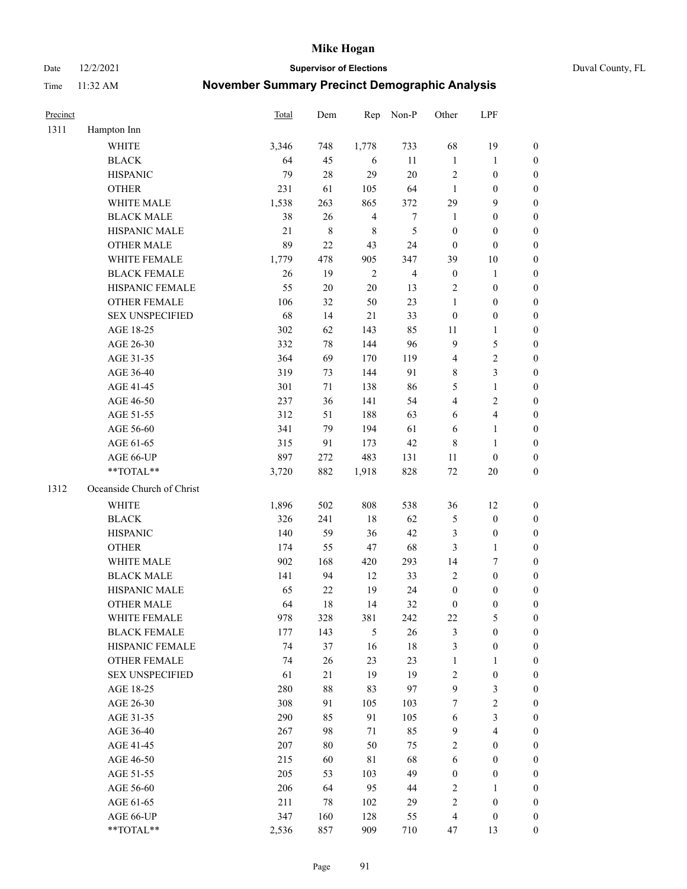Date 12/2/2021 **Supervisor of Elections** Duval County, FL

| Precinct |                            | Total | Dem       | Rep            | Non-P            | Other            | LPF              |                  |
|----------|----------------------------|-------|-----------|----------------|------------------|------------------|------------------|------------------|
| 1311     | Hampton Inn                |       |           |                |                  |                  |                  |                  |
|          | WHITE                      | 3,346 | 748       | 1,778          | 733              | 68               | 19               | 0                |
|          | <b>BLACK</b>               | 64    | 45        | 6              | 11               | $\mathbf{1}$     | $\mathbf{1}$     | 0                |
|          | <b>HISPANIC</b>            | 79    | 28        | 29             | 20               | $\sqrt{2}$       | $\boldsymbol{0}$ | $\boldsymbol{0}$ |
|          | <b>OTHER</b>               | 231   | 61        | 105            | 64               | $\mathbf{1}$     | $\boldsymbol{0}$ | $\boldsymbol{0}$ |
|          | WHITE MALE                 | 1,538 | 263       | 865            | 372              | 29               | 9                | $\boldsymbol{0}$ |
|          | <b>BLACK MALE</b>          | 38    | 26        | $\overline{4}$ | $\boldsymbol{7}$ | $\mathbf{1}$     | $\boldsymbol{0}$ | $\boldsymbol{0}$ |
|          | HISPANIC MALE              | 21    | $\,$ $\,$ | $\,$ 8 $\,$    | 5                | $\boldsymbol{0}$ | $\boldsymbol{0}$ | $\boldsymbol{0}$ |
|          | <b>OTHER MALE</b>          | 89    | 22        | 43             | 24               | $\boldsymbol{0}$ | $\boldsymbol{0}$ | $\boldsymbol{0}$ |
|          | WHITE FEMALE               | 1,779 | 478       | 905            | 347              | 39               | $10\,$           | $\boldsymbol{0}$ |
|          | <b>BLACK FEMALE</b>        | 26    | 19        | $\sqrt{2}$     | $\overline{4}$   | $\boldsymbol{0}$ | $\mathbf{1}$     | 0                |
|          | HISPANIC FEMALE            | 55    | $20\,$    | 20             | 13               | $\overline{c}$   | $\boldsymbol{0}$ | 0                |
|          | <b>OTHER FEMALE</b>        | 106   | 32        | 50             | 23               | $\mathbf{1}$     | $\boldsymbol{0}$ | $\boldsymbol{0}$ |
|          | <b>SEX UNSPECIFIED</b>     | 68    | 14        | 21             | 33               | $\boldsymbol{0}$ | $\boldsymbol{0}$ | $\boldsymbol{0}$ |
|          | AGE 18-25                  | 302   | 62        | 143            | 85               | 11               | $\mathbf{1}$     | $\boldsymbol{0}$ |
|          | AGE 26-30                  | 332   | 78        | 144            | 96               | 9                | $\mathfrak{S}$   | $\boldsymbol{0}$ |
|          | AGE 31-35                  | 364   | 69        | 170            | 119              | 4                | $\sqrt{2}$       | $\boldsymbol{0}$ |
|          | AGE 36-40                  | 319   | 73        | 144            | 91               | 8                | $\mathfrak{Z}$   | $\boldsymbol{0}$ |
|          | AGE 41-45                  | 301   | 71        | 138            | 86               | 5                | $\mathbf{1}$     | $\boldsymbol{0}$ |
|          | AGE 46-50                  | 237   | 36        | 141            | 54               | $\overline{4}$   | $\sqrt{2}$       | $\boldsymbol{0}$ |
|          | AGE 51-55                  | 312   | 51        | 188            | 63               | 6                | $\overline{4}$   | 0                |
|          | AGE 56-60                  | 341   | 79        | 194            | 61               | 6                | $\mathbf{1}$     | 0                |
|          | AGE 61-65                  | 315   | 91        | 173            | 42               | 8                | $\mathbf{1}$     | 0                |
|          | AGE 66-UP                  | 897   | 272       | 483            | 131              | 11               | $\boldsymbol{0}$ | $\boldsymbol{0}$ |
|          | **TOTAL**                  | 3,720 | 882       | 1,918          | 828              | $72\,$           | $20\,$           | $\boldsymbol{0}$ |
| 1312     | Oceanside Church of Christ |       |           |                |                  |                  |                  |                  |
|          | <b>WHITE</b>               | 1,896 | 502       | 808            | 538              | 36               | 12               | $\boldsymbol{0}$ |
|          | <b>BLACK</b>               | 326   | 241       | 18             | 62               | 5                | $\boldsymbol{0}$ | $\boldsymbol{0}$ |
|          | <b>HISPANIC</b>            | 140   | 59        | 36             | 42               | 3                | $\boldsymbol{0}$ | $\boldsymbol{0}$ |
|          | <b>OTHER</b>               | 174   | 55        | 47             | 68               | 3                | $\mathbf{1}$     | $\boldsymbol{0}$ |
|          | WHITE MALE                 | 902   | 168       | 420            | 293              | 14               | $\tau$           | $\boldsymbol{0}$ |
|          | <b>BLACK MALE</b>          | 141   | 94        | 12             | 33               | $\mathbf{2}$     | $\boldsymbol{0}$ | $\boldsymbol{0}$ |
|          | HISPANIC MALE              | 65    | $22\,$    | 19             | 24               | $\boldsymbol{0}$ | $\boldsymbol{0}$ | 0                |
|          | <b>OTHER MALE</b>          | 64    | 18        | 14             | 32               | $\boldsymbol{0}$ | $\boldsymbol{0}$ | $\boldsymbol{0}$ |
|          | WHITE FEMALE               | 978   | 328       | 381            | 242              | 22               | 5                | 0                |
|          | <b>BLACK FEMALE</b>        | 177   | 143       | 5              | 26               | 3                | $\boldsymbol{0}$ | $\overline{0}$   |
|          | HISPANIC FEMALE            | 74    | 37        | 16             | $18\,$           | 3                | $\boldsymbol{0}$ | $\overline{0}$   |
|          | OTHER FEMALE               | 74    | 26        | 23             | 23               | $\mathbf{1}$     | $\mathbf{1}$     | $\overline{0}$   |
|          | <b>SEX UNSPECIFIED</b>     | 61    | 21        | 19             | 19               | 2                | $\boldsymbol{0}$ | 0                |
|          | AGE 18-25                  | 280   | $88\,$    | 83             | 97               | 9                | $\mathfrak{Z}$   | 0                |
|          | AGE 26-30                  | 308   | 91        | 105            | 103              | 7                | $\overline{2}$   | 0                |
|          | AGE 31-35                  | 290   | 85        | 91             | 105              | 6                | $\mathfrak{Z}$   | 0                |
|          | AGE 36-40                  | 267   | 98        | 71             | 85               | 9                | $\overline{4}$   | 0                |
|          | AGE 41-45                  | 207   | 80        | 50             | 75               | 2                | $\boldsymbol{0}$ | 0                |
|          | AGE 46-50                  | 215   | 60        | $8\sqrt{1}$    | 68               | 6                | $\boldsymbol{0}$ | 0                |
|          | AGE 51-55                  | 205   | 53        | 103            | 49               | $\boldsymbol{0}$ | $\boldsymbol{0}$ | 0                |
|          | AGE 56-60                  | 206   | 64        | 95             | 44               | $\overline{2}$   | 1                | 0                |
|          | AGE 61-65                  | 211   | 78        | 102            | 29               | 2                | $\boldsymbol{0}$ | 0                |
|          | AGE 66-UP                  | 347   | 160       | 128            | 55               | $\overline{4}$   | $\boldsymbol{0}$ | 0                |
|          | **TOTAL**                  | 2,536 | 857       | 909            | 710              | 47               | 13               | $\boldsymbol{0}$ |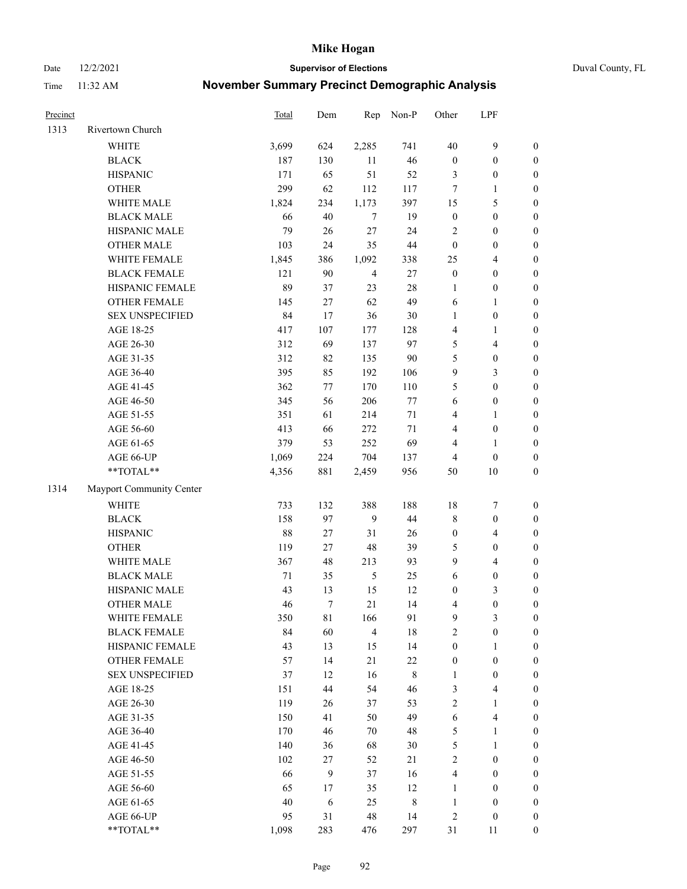Date 12/2/2021 **Supervisor of Elections** Duval County, FL

| Precinct |                          | Total  | Dem    | Rep            | Non-P       | Other                   | LPF              |                  |
|----------|--------------------------|--------|--------|----------------|-------------|-------------------------|------------------|------------------|
| 1313     | Rivertown Church         |        |        |                |             |                         |                  |                  |
|          | <b>WHITE</b>             | 3,699  | 624    | 2,285          | 741         | 40                      | $\boldsymbol{9}$ | $\boldsymbol{0}$ |
|          | <b>BLACK</b>             | 187    | 130    | 11             | 46          | $\boldsymbol{0}$        | $\boldsymbol{0}$ | $\boldsymbol{0}$ |
|          | <b>HISPANIC</b>          | 171    | 65     | 51             | 52          | 3                       | $\boldsymbol{0}$ | $\boldsymbol{0}$ |
|          | <b>OTHER</b>             | 299    | 62     | 112            | 117         | 7                       | 1                | $\boldsymbol{0}$ |
|          | WHITE MALE               | 1,824  | 234    | 1,173          | 397         | 15                      | 5                | $\boldsymbol{0}$ |
|          | <b>BLACK MALE</b>        | 66     | 40     | 7              | 19          | $\boldsymbol{0}$        | $\boldsymbol{0}$ | $\boldsymbol{0}$ |
|          | HISPANIC MALE            | 79     | 26     | 27             | 24          | 2                       | $\boldsymbol{0}$ | $\boldsymbol{0}$ |
|          | <b>OTHER MALE</b>        | 103    | 24     | 35             | 44          | $\boldsymbol{0}$        | $\boldsymbol{0}$ | $\boldsymbol{0}$ |
|          | WHITE FEMALE             | 1,845  | 386    | 1,092          | 338         | 25                      | $\overline{4}$   | $\boldsymbol{0}$ |
|          | <b>BLACK FEMALE</b>      | 121    | 90     | $\overline{4}$ | $27\,$      | $\boldsymbol{0}$        | $\boldsymbol{0}$ | $\boldsymbol{0}$ |
|          | HISPANIC FEMALE          | 89     | 37     | 23             | 28          | 1                       | $\boldsymbol{0}$ | 0                |
|          | OTHER FEMALE             | 145    | $27\,$ | 62             | 49          | 6                       | 1                | $\boldsymbol{0}$ |
|          | <b>SEX UNSPECIFIED</b>   | 84     | 17     | 36             | 30          | $\mathbf{1}$            | $\boldsymbol{0}$ | $\boldsymbol{0}$ |
|          | AGE 18-25                | 417    | 107    | 177            | 128         | 4                       | 1                | $\boldsymbol{0}$ |
|          | AGE 26-30                | 312    | 69     | 137            | 97          | 5                       | $\overline{4}$   | $\boldsymbol{0}$ |
|          | AGE 31-35                | 312    | 82     | 135            | 90          | 5                       | $\boldsymbol{0}$ | $\boldsymbol{0}$ |
|          | AGE 36-40                | 395    | 85     | 192            | 106         | 9                       | 3                | $\boldsymbol{0}$ |
|          | AGE 41-45                | 362    | 77     | 170            | 110         | 5                       | $\boldsymbol{0}$ | $\boldsymbol{0}$ |
|          | AGE 46-50                | 345    | 56     | 206            | $77 \,$     | 6                       | $\boldsymbol{0}$ | $\boldsymbol{0}$ |
|          | AGE 51-55                | 351    | 61     | 214            | $71\,$      | 4                       | 1                | $\boldsymbol{0}$ |
|          | AGE 56-60                | 413    | 66     | 272            | 71          | 4                       | $\boldsymbol{0}$ | 0                |
|          | AGE 61-65                | 379    | 53     | 252            | 69          | 4                       | 1                | 0                |
|          | AGE 66-UP                | 1,069  | 224    | 704            | 137         | 4                       | $\boldsymbol{0}$ | $\boldsymbol{0}$ |
|          | $**TOTAL**$              | 4,356  | 881    | 2,459          | 956         | 50                      | 10               | $\boldsymbol{0}$ |
| 1314     | Mayport Community Center |        |        |                |             |                         |                  |                  |
|          | <b>WHITE</b>             | 733    | 132    | 388            | 188         | 18                      | $\boldsymbol{7}$ | $\boldsymbol{0}$ |
|          | <b>BLACK</b>             | 158    | 97     | 9              | 44          | 8                       | $\boldsymbol{0}$ | $\boldsymbol{0}$ |
|          | <b>HISPANIC</b>          | 88     | $27\,$ | 31             | 26          | $\boldsymbol{0}$        | $\overline{4}$   | $\boldsymbol{0}$ |
|          | <b>OTHER</b>             | 119    | $27\,$ | 48             | 39          | 5                       | $\boldsymbol{0}$ | $\boldsymbol{0}$ |
|          | WHITE MALE               | 367    | 48     | 213            | 93          | 9                       | $\overline{4}$   | $\boldsymbol{0}$ |
|          | <b>BLACK MALE</b>        | $71\,$ | 35     | $\mathfrak{S}$ | 25          | 6                       | $\boldsymbol{0}$ | $\boldsymbol{0}$ |
|          | HISPANIC MALE            | 43     | 13     | 15             | 12          | $\boldsymbol{0}$        | $\mathfrak{Z}$   | $\boldsymbol{0}$ |
|          | <b>OTHER MALE</b>        | 46     | $\tau$ | 21             | 14          | 4                       | $\boldsymbol{0}$ | $\boldsymbol{0}$ |
|          | WHITE FEMALE             | 350    | 81     | 166            | 91          | 9                       | 3                | 0                |
|          | <b>BLACK FEMALE</b>      | 84     | 60     | $\overline{4}$ | 18          | $\overline{c}$          | $\boldsymbol{0}$ | $\overline{0}$   |
|          | HISPANIC FEMALE          | 43     | 13     | 15             | 14          | $\boldsymbol{0}$        | $\mathbf{1}$     | $\overline{0}$   |
|          | OTHER FEMALE             | 57     | 14     | 21             | $22\,$      | $\boldsymbol{0}$        | $\boldsymbol{0}$ | 0                |
|          | <b>SEX UNSPECIFIED</b>   | 37     | 12     | 16             | $\,$ 8 $\,$ | 1                       | $\boldsymbol{0}$ | 0                |
|          | AGE 18-25                | 151    | 44     | 54             | 46          | 3                       | $\overline{4}$   | 0                |
|          | AGE 26-30                | 119    | 26     | 37             | 53          | 2                       | $\mathbf{1}$     | 0                |
|          | AGE 31-35                | 150    | 41     | 50             | 49          | 6                       | $\overline{4}$   | 0                |
|          | AGE 36-40                | 170    | 46     | 70             | 48          | 5                       | $\mathbf{1}$     | 0                |
|          | AGE 41-45                | 140    | 36     | 68             | 30          | 5                       | $\mathbf{1}$     | 0                |
|          | AGE 46-50                | 102    | 27     | 52             | 21          | 2                       | $\boldsymbol{0}$ | 0                |
|          | AGE 51-55                | 66     | 9      | 37             | 16          | 4                       | $\boldsymbol{0}$ | 0                |
|          | AGE 56-60                | 65     | 17     | 35             | 12          | 1                       | $\boldsymbol{0}$ | 0                |
|          | AGE 61-65                | 40     | 6      | 25             | $\,$ 8 $\,$ | $\mathbf{1}$            | $\boldsymbol{0}$ | 0                |
|          | AGE 66-UP                | 95     | 31     | 48             | 14          | $\overline{\mathbf{c}}$ | $\boldsymbol{0}$ | 0                |
|          | **TOTAL**                | 1,098  | 283    | 476            | 297         | 31                      | 11               | $\boldsymbol{0}$ |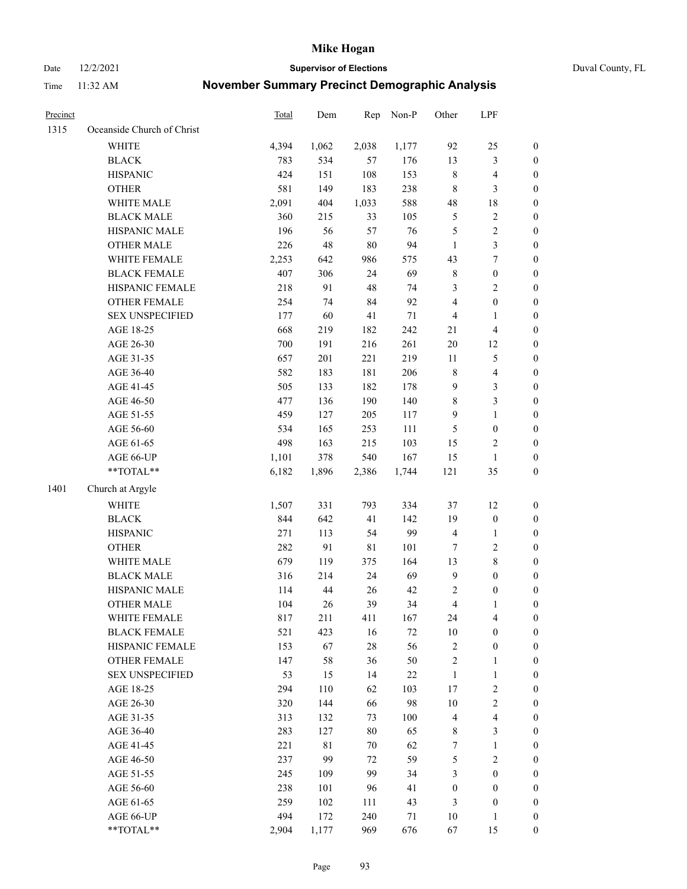Date 12/2/2021 **Supervisor of Elections** Duval County, FL

| Precinct |                            | Total | Dem         | Rep         | Non-P  | Other            | LPF              |                  |
|----------|----------------------------|-------|-------------|-------------|--------|------------------|------------------|------------------|
| 1315     | Oceanside Church of Christ |       |             |             |        |                  |                  |                  |
|          | <b>WHITE</b>               | 4,394 | 1,062       | 2,038       | 1,177  | 92               | 25               | 0                |
|          | <b>BLACK</b>               | 783   | 534         | 57          | 176    | 13               | $\mathfrak{Z}$   | $\boldsymbol{0}$ |
|          | <b>HISPANIC</b>            | 424   | 151         | 108         | 153    | 8                | $\overline{4}$   | $\boldsymbol{0}$ |
|          | <b>OTHER</b>               | 581   | 149         | 183         | 238    | 8                | $\mathfrak{Z}$   | $\boldsymbol{0}$ |
|          | WHITE MALE                 | 2,091 | 404         | 1,033       | 588    | 48               | 18               | $\boldsymbol{0}$ |
|          | <b>BLACK MALE</b>          | 360   | 215         | 33          | 105    | 5                | $\sqrt{2}$       | $\boldsymbol{0}$ |
|          | HISPANIC MALE              | 196   | 56          | 57          | 76     | 5                | $\sqrt{2}$       | $\boldsymbol{0}$ |
|          | <b>OTHER MALE</b>          | 226   | 48          | $80\,$      | 94     | $\mathbf{1}$     | $\mathfrak{Z}$   | $\boldsymbol{0}$ |
|          | WHITE FEMALE               | 2,253 | 642         | 986         | 575    | 43               | $\boldsymbol{7}$ | $\boldsymbol{0}$ |
|          | <b>BLACK FEMALE</b>        | 407   | 306         | 24          | 69     | 8                | $\boldsymbol{0}$ | 0                |
|          | HISPANIC FEMALE            | 218   | 91          | 48          | 74     | 3                | $\sqrt{2}$       | 0                |
|          | OTHER FEMALE               | 254   | 74          | 84          | 92     | 4                | $\boldsymbol{0}$ | $\boldsymbol{0}$ |
|          | <b>SEX UNSPECIFIED</b>     | 177   | 60          | 41          | $71\,$ | 4                | $\mathbf{1}$     | $\boldsymbol{0}$ |
|          | AGE 18-25                  | 668   | 219         | 182         | 242    | 21               | $\overline{4}$   | $\boldsymbol{0}$ |
|          | AGE 26-30                  | 700   | 191         | 216         | 261    | $20\,$           | 12               | $\boldsymbol{0}$ |
|          | AGE 31-35                  | 657   | 201         | 221         | 219    | $11\,$           | 5                | $\boldsymbol{0}$ |
|          | AGE 36-40                  | 582   | 183         | 181         | 206    | $\,$ $\,$        | $\overline{4}$   | $\boldsymbol{0}$ |
|          | AGE 41-45                  | 505   | 133         | 182         | 178    | 9                | 3                | $\boldsymbol{0}$ |
|          | AGE 46-50                  | 477   | 136         | 190         | 140    | $\,8\,$          | $\mathfrak{Z}$   | $\boldsymbol{0}$ |
|          | AGE 51-55                  | 459   | 127         | 205         | 117    | $\mathbf{9}$     | $\mathbf{1}$     | $\boldsymbol{0}$ |
|          | AGE 56-60                  | 534   | 165         | 253         | 111    | 5                | $\boldsymbol{0}$ | 0                |
|          | AGE 61-65                  | 498   | 163         | 215         | 103    | 15               | $\overline{c}$   | 0                |
|          | AGE 66-UP                  | 1,101 | 378         | 540         | 167    | 15               | $\mathbf{1}$     | $\boldsymbol{0}$ |
|          | $**TOTAL**$                | 6,182 | 1,896       | 2,386       | 1,744  | 121              | 35               | $\boldsymbol{0}$ |
| 1401     | Church at Argyle           |       |             |             |        |                  |                  |                  |
|          | <b>WHITE</b>               | 1,507 | 331         | 793         | 334    | 37               | 12               | $\boldsymbol{0}$ |
|          | <b>BLACK</b>               | 844   | 642         | 41          | 142    | 19               | $\boldsymbol{0}$ | $\boldsymbol{0}$ |
|          | <b>HISPANIC</b>            | 271   | 113         | 54          | 99     | 4                | $\mathbf{1}$     | $\boldsymbol{0}$ |
|          | <b>OTHER</b>               | 282   | 91          | $8\sqrt{1}$ | 101    | 7                | $\sqrt{2}$       | $\boldsymbol{0}$ |
|          | WHITE MALE                 | 679   | 119         | 375         | 164    | 13               | $\,$ 8 $\,$      | $\boldsymbol{0}$ |
|          | <b>BLACK MALE</b>          | 316   | 214         | 24          | 69     | $\mathbf{9}$     | $\boldsymbol{0}$ | $\boldsymbol{0}$ |
|          | HISPANIC MALE              | 114   | $44\,$      | 26          | 42     | 2                | $\boldsymbol{0}$ | 0                |
|          | <b>OTHER MALE</b>          | 104   | 26          | 39          | 34     | $\overline{4}$   | $\mathbf{1}$     | $\boldsymbol{0}$ |
|          | WHITE FEMALE               | 817   | 211         | 411         | 167    | 24               | 4                | 0                |
|          | <b>BLACK FEMALE</b>        | 521   | 423         | 16          | 72     | 10               | $\boldsymbol{0}$ | $\overline{0}$   |
|          | HISPANIC FEMALE            | 153   | 67          | 28          | 56     | $\overline{c}$   | $\boldsymbol{0}$ | $\overline{0}$   |
|          | <b>OTHER FEMALE</b>        | 147   | 58          | 36          | $50\,$ | 2                | $\mathbf{1}$     | 0                |
|          | <b>SEX UNSPECIFIED</b>     | 53    | 15          | 14          | $22\,$ | $\mathbf{1}$     | $\mathbf{1}$     | 0                |
|          | AGE 18-25                  | 294   | 110         | 62          | 103    | 17               | $\sqrt{2}$       | 0                |
|          | AGE 26-30                  | 320   | 144         | 66          | 98     | $10\,$           | $\sqrt{2}$       | 0                |
|          | AGE 31-35                  | 313   | 132         | 73          | 100    | 4                | $\overline{4}$   | 0                |
|          | AGE 36-40                  | 283   | 127         | $80\,$      | 65     | 8                | $\mathfrak{Z}$   | 0                |
|          | AGE 41-45                  | 221   | $8\sqrt{1}$ | 70          | 62     | 7                | $\mathbf{1}$     | 0                |
|          | AGE 46-50                  | 237   | 99          | 72          | 59     | 5                | $\sqrt{2}$       | 0                |
|          | AGE 51-55                  | 245   | 109         | 99          | 34     | 3                | $\boldsymbol{0}$ | 0                |
|          | AGE 56-60                  | 238   | 101         | 96          | 41     | $\boldsymbol{0}$ | $\boldsymbol{0}$ | 0                |
|          | AGE 61-65                  | 259   | 102         | 111         | 43     | 3                | $\boldsymbol{0}$ | $\boldsymbol{0}$ |
|          | AGE 66-UP                  | 494   | 172         | 240         | 71     | 10               | $\mathbf{1}$     | 0                |
|          | **TOTAL**                  | 2,904 | 1,177       | 969         | 676    | 67               | 15               | $\boldsymbol{0}$ |
|          |                            |       |             |             |        |                  |                  |                  |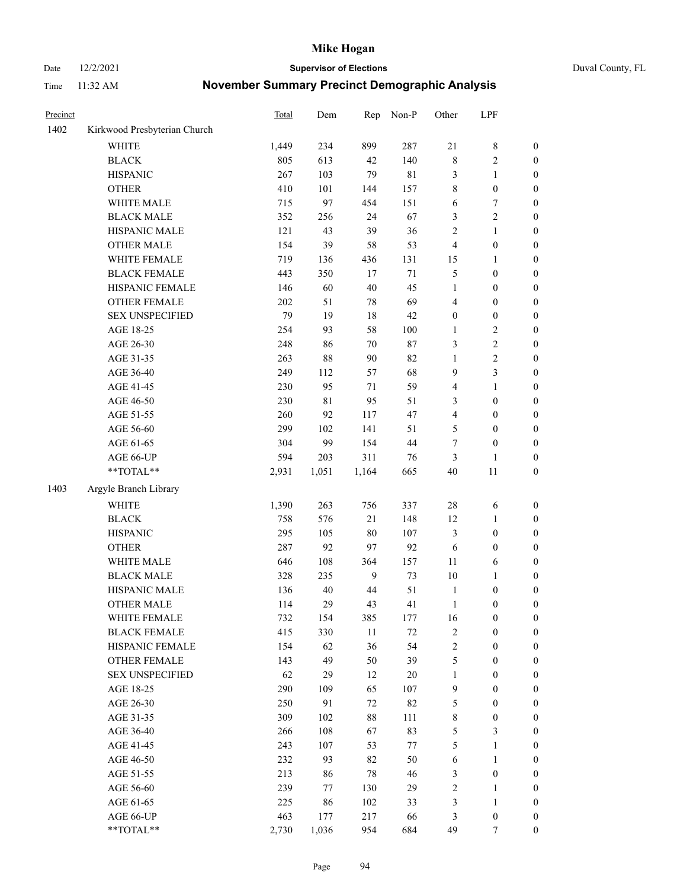Date 12/2/2021 **Supervisor of Elections** Duval County, FL

| Precinct |                              | Total | Dem         | Rep            | Non-P       | Other            | LPF              |                  |
|----------|------------------------------|-------|-------------|----------------|-------------|------------------|------------------|------------------|
| 1402     | Kirkwood Presbyterian Church |       |             |                |             |                  |                  |                  |
|          | <b>WHITE</b>                 | 1,449 | 234         | 899            | 287         | 21               | $\,$ 8 $\,$      | 0                |
|          | <b>BLACK</b>                 | 805   | 613         | 42             | 140         | $\,$ 8 $\,$      | $\sqrt{2}$       | $\boldsymbol{0}$ |
|          | <b>HISPANIC</b>              | 267   | 103         | 79             | $8\sqrt{1}$ | 3                | $\mathbf{1}$     | $\boldsymbol{0}$ |
|          | <b>OTHER</b>                 | 410   | 101         | 144            | 157         | 8                | $\boldsymbol{0}$ | $\boldsymbol{0}$ |
|          | WHITE MALE                   | 715   | 97          | 454            | 151         | 6                | 7                | $\boldsymbol{0}$ |
|          | <b>BLACK MALE</b>            | 352   | 256         | 24             | 67          | 3                | $\sqrt{2}$       | $\boldsymbol{0}$ |
|          | HISPANIC MALE                | 121   | 43          | 39             | 36          | 2                | $\mathbf{1}$     | $\boldsymbol{0}$ |
|          | <b>OTHER MALE</b>            | 154   | 39          | 58             | 53          | $\overline{4}$   | $\boldsymbol{0}$ | $\boldsymbol{0}$ |
|          | WHITE FEMALE                 | 719   | 136         | 436            | 131         | 15               | 1                | $\boldsymbol{0}$ |
|          | <b>BLACK FEMALE</b>          | 443   | 350         | 17             | $71\,$      | 5                | $\boldsymbol{0}$ | $\boldsymbol{0}$ |
|          | HISPANIC FEMALE              | 146   | 60          | 40             | 45          | $\mathbf{1}$     | $\boldsymbol{0}$ | $\boldsymbol{0}$ |
|          | <b>OTHER FEMALE</b>          | 202   | 51          | 78             | 69          | 4                | $\boldsymbol{0}$ | $\boldsymbol{0}$ |
|          | <b>SEX UNSPECIFIED</b>       | 79    | 19          | $18\,$         | 42          | $\boldsymbol{0}$ | $\boldsymbol{0}$ | $\boldsymbol{0}$ |
|          | AGE 18-25                    | 254   | 93          | 58             | $100\,$     | 1                | $\sqrt{2}$       | $\boldsymbol{0}$ |
|          | AGE 26-30                    | 248   | 86          | 70             | $87\,$      | 3                | $\sqrt{2}$       | $\boldsymbol{0}$ |
|          | AGE 31-35                    | 263   | 88          | 90             | 82          | $\mathbf{1}$     | $\sqrt{2}$       | $\boldsymbol{0}$ |
|          | AGE 36-40                    | 249   | 112         | 57             | 68          | 9                | 3                | $\boldsymbol{0}$ |
|          | AGE 41-45                    | 230   | 95          | $71\,$         | 59          | 4                | $\mathbf{1}$     | $\boldsymbol{0}$ |
|          | AGE 46-50                    | 230   | $8\sqrt{1}$ | 95             | 51          | 3                | $\boldsymbol{0}$ | $\boldsymbol{0}$ |
|          | AGE 51-55                    | 260   | 92          | 117            | 47          | 4                | $\boldsymbol{0}$ | $\boldsymbol{0}$ |
|          | AGE 56-60                    | 299   | 102         | 141            | 51          | 5                | $\boldsymbol{0}$ | 0                |
|          | AGE 61-65                    | 304   | 99          | 154            | 44          | 7                | $\boldsymbol{0}$ | $\boldsymbol{0}$ |
|          | AGE 66-UP                    | 594   | 203         | 311            | 76          | 3                | $\mathbf{1}$     | $\boldsymbol{0}$ |
|          | $**TOTAL**$                  | 2,931 | 1,051       | 1,164          | 665         | 40               | $11\,$           | $\boldsymbol{0}$ |
| 1403     | Argyle Branch Library        |       |             |                |             |                  |                  |                  |
|          |                              |       |             |                |             |                  |                  |                  |
|          | <b>WHITE</b>                 | 1,390 | 263         | 756            | 337         | $28\,$           | 6                | $\boldsymbol{0}$ |
|          | <b>BLACK</b>                 | 758   | 576         | 21             | 148         | 12               | $\mathbf{1}$     | $\boldsymbol{0}$ |
|          | <b>HISPANIC</b>              | 295   | 105         | 80             | 107         | 3                | $\boldsymbol{0}$ | $\boldsymbol{0}$ |
|          | <b>OTHER</b>                 | 287   | 92          | 97             | 92          | 6                | $\boldsymbol{0}$ | $\boldsymbol{0}$ |
|          | WHITE MALE                   | 646   | 108         | 364            | 157         | $11\,$           | 6                | $\boldsymbol{0}$ |
|          | <b>BLACK MALE</b>            | 328   | 235         | $\overline{9}$ | 73          | $10\,$           | $\mathbf{1}$     | $\boldsymbol{0}$ |
|          | HISPANIC MALE                | 136   | $40\,$      | $44\,$         | 51          | $\mathbf{1}$     | $\boldsymbol{0}$ | 0                |
|          | <b>OTHER MALE</b>            | 114   | 29          | 43             | 41          | $\mathbf{1}$     | $\boldsymbol{0}$ | $\boldsymbol{0}$ |
|          | WHITE FEMALE                 | 732   | 154         | 385            | 177         | 16               | 0                | 0                |
|          | <b>BLACK FEMALE</b>          | 415   | 330         | $11\,$         | 72          | 2                | $\boldsymbol{0}$ | $\overline{0}$   |
|          | HISPANIC FEMALE              | 154   | 62          | 36             | 54          | $\overline{c}$   | $\boldsymbol{0}$ | $\overline{0}$   |
|          | <b>OTHER FEMALE</b>          | 143   | 49          | 50             | 39          | 5                | $\boldsymbol{0}$ | $\overline{0}$   |
|          | <b>SEX UNSPECIFIED</b>       | 62    | 29          | 12             | $20\,$      | $\mathbf{1}$     | $\boldsymbol{0}$ | 0                |
|          | AGE 18-25                    | 290   | 109         | 65             | 107         | 9                | $\boldsymbol{0}$ | 0                |
|          | AGE 26-30                    | 250   | 91          | 72             | 82          | 5                | $\boldsymbol{0}$ | 0                |
|          | AGE 31-35                    | 309   | 102         | 88             | 111         | 8                | $\boldsymbol{0}$ | 0                |
|          | AGE 36-40                    | 266   | 108         | 67             | 83          | 5                | $\mathfrak{Z}$   | 0                |
|          | AGE 41-45                    | 243   | 107         | 53             | 77          | 5                | $\mathbf{1}$     | 0                |
|          | AGE 46-50                    | 232   | 93          | 82             | 50          | 6                | $\mathbf{1}$     | 0                |
|          | AGE 51-55                    | 213   | 86          | 78             | 46          | 3                | $\boldsymbol{0}$ | 0                |
|          | AGE 56-60                    | 239   | 77          | 130            | 29          | 2                | 1                | 0                |
|          | AGE 61-65                    | 225   | 86          | 102            | 33          | 3                | $\mathbf{1}$     | 0                |
|          | AGE 66-UP                    | 463   | 177         | 217            | 66          | 3                | $\boldsymbol{0}$ | 0                |
|          | $**TOTAL**$                  | 2,730 | 1,036       | 954            | 684         | 49               | 7                | $\boldsymbol{0}$ |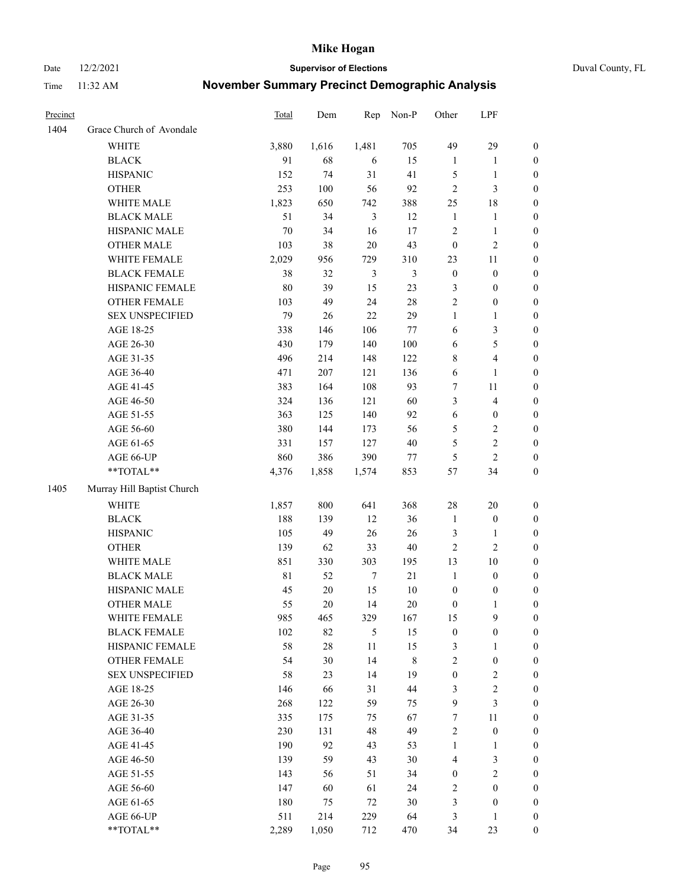Date 12/2/2021 **Supervisor of Elections** Duval County, FL

| Precinct |                                 | <b>Total</b> | Dem       | Rep                     | Non-P          | Other              | LPF                            |                  |
|----------|---------------------------------|--------------|-----------|-------------------------|----------------|--------------------|--------------------------------|------------------|
| 1404     | Grace Church of Avondale        |              |           |                         |                |                    |                                |                  |
|          | <b>WHITE</b>                    | 3,880        | 1,616     | 1,481                   | 705            | 49                 | 29                             | 0                |
|          | <b>BLACK</b>                    | 91           | 68        | 6                       | 15             | $\mathbf{1}$       | $\mathbf{1}$                   | 0                |
|          | <b>HISPANIC</b>                 | 152          | 74        | 31                      | 41             | 5                  | $\mathbf{1}$                   | $\boldsymbol{0}$ |
|          | <b>OTHER</b>                    | 253          | 100       | 56                      | 92             | $\overline{c}$     | $\mathfrak{Z}$                 | $\boldsymbol{0}$ |
|          | WHITE MALE                      | 1,823        | 650       | 742                     | 388            | 25                 | 18                             | $\boldsymbol{0}$ |
|          | <b>BLACK MALE</b>               | 51           | 34        | 3                       | 12             | $\mathbf{1}$       | 1                              | $\boldsymbol{0}$ |
|          | HISPANIC MALE                   | 70           | 34        | 16                      | 17             | 2                  | $\mathbf{1}$                   | $\boldsymbol{0}$ |
|          | <b>OTHER MALE</b>               | 103          | 38        | $20\,$                  | 43             | $\boldsymbol{0}$   | $\mathfrak{2}$                 | $\boldsymbol{0}$ |
|          | WHITE FEMALE                    | 2,029        | 956       | 729                     | 310            | 23                 | 11                             | $\boldsymbol{0}$ |
|          | <b>BLACK FEMALE</b>             | 38           | 32        | 3                       | $\mathfrak{Z}$ | $\boldsymbol{0}$   | $\boldsymbol{0}$               | $\boldsymbol{0}$ |
|          | HISPANIC FEMALE                 | 80           | 39        | 15                      | 23             | 3                  | $\boldsymbol{0}$               | 0                |
|          | OTHER FEMALE                    | 103          | 49        | 24                      | $28\,$         | $\overline{2}$     | $\boldsymbol{0}$               | $\boldsymbol{0}$ |
|          | <b>SEX UNSPECIFIED</b>          | 79           | 26        | 22                      | 29             | $\mathbf{1}$       | $\mathbf{1}$                   | $\boldsymbol{0}$ |
|          | AGE 18-25                       | 338          | 146       | 106                     | $77\,$         | 6                  | $\mathfrak{Z}$                 | $\boldsymbol{0}$ |
|          | AGE 26-30                       | 430          | 179       | 140                     | 100            | 6                  | $\mathfrak s$                  | $\boldsymbol{0}$ |
|          | AGE 31-35                       | 496          | 214       | 148                     | 122            | 8                  | $\overline{4}$                 | $\boldsymbol{0}$ |
|          | AGE 36-40                       | 471          | 207       | 121                     | 136            | 6                  | $\mathbf{1}$                   | $\boldsymbol{0}$ |
|          | AGE 41-45                       | 383          | 164       | 108                     | 93             | 7                  | $11\,$                         | $\boldsymbol{0}$ |
|          | AGE 46-50                       | 324          | 136       | 121                     | 60             | 3                  | $\overline{4}$                 | $\boldsymbol{0}$ |
|          | AGE 51-55                       | 363          | 125       | 140                     | 92             | $\sqrt{6}$         | $\boldsymbol{0}$               | $\boldsymbol{0}$ |
|          | AGE 56-60                       | 380          | 144       | 173                     | 56             | 5                  | $\sqrt{2}$                     | 0                |
|          | AGE 61-65                       | 331          | 157       | 127                     | $40\,$         | 5                  | $\sqrt{2}$                     | $\boldsymbol{0}$ |
|          | AGE 66-UP                       | 860          | 386       | 390                     | 77             | 5                  | $\mathfrak{2}$                 | $\boldsymbol{0}$ |
|          | $**TOTAL**$                     | 4,376        | 1,858     | 1,574                   | 853            | 57                 | 34                             | $\boldsymbol{0}$ |
| 1405     | Murray Hill Baptist Church      |              |           |                         |                |                    |                                |                  |
|          | <b>WHITE</b>                    |              | 800       | 641                     | 368            | $28\,$             | 20                             |                  |
|          |                                 | 1,857        |           |                         |                |                    |                                | $\boldsymbol{0}$ |
|          | <b>BLACK</b><br><b>HISPANIC</b> | 188<br>105   | 139<br>49 | 12<br>26                | 36<br>26       | $\mathbf{1}$       | $\boldsymbol{0}$               | $\boldsymbol{0}$ |
|          |                                 |              |           |                         |                | 3                  | $\mathbf{1}$<br>$\overline{2}$ | $\boldsymbol{0}$ |
|          | <b>OTHER</b><br>WHITE MALE      | 139          | 62        | 33                      | $40\,$         | $\overline{c}$     |                                | $\boldsymbol{0}$ |
|          |                                 | 851<br>81    | 330<br>52 | 303<br>$\boldsymbol{7}$ | 195<br>21      | 13<br>$\mathbf{1}$ | 10                             | $\boldsymbol{0}$ |
|          | <b>BLACK MALE</b>               |              |           |                         |                |                    | $\boldsymbol{0}$               | $\boldsymbol{0}$ |
|          | HISPANIC MALE                   | 45           | $20\,$    | 15                      | $10\,$         | $\boldsymbol{0}$   | $\boldsymbol{0}$               | 0                |
|          | <b>OTHER MALE</b>               | 55           | 20        | 14                      | $20\,$         | $\boldsymbol{0}$   | $\mathbf{1}$                   | $\boldsymbol{0}$ |
|          | WHITE FEMALE                    | 985          | 465       | 329                     | 167            | 15                 | 9                              | 0                |
|          | <b>BLACK FEMALE</b>             | 102          | 82        | 5                       | 15             | $\boldsymbol{0}$   | $\boldsymbol{0}$               | $\boldsymbol{0}$ |
|          | HISPANIC FEMALE                 | 58           | $28\,$    | $11\,$                  | 15             | 3                  | 1                              | $\overline{0}$   |
|          | <b>OTHER FEMALE</b>             | 54           | 30        | 14                      | 8              | 2                  | $\boldsymbol{0}$               | 0                |
|          | <b>SEX UNSPECIFIED</b>          | 58           | 23        | 14                      | 19             | $\boldsymbol{0}$   | $\mathfrak{2}$                 | 0                |
|          | AGE 18-25                       | 146          | 66        | 31                      | 44             | 3                  | $\sqrt{2}$                     | 0                |
|          | AGE 26-30                       | 268          | 122       | 59                      | 75             | 9                  | $\mathfrak{Z}$                 | 0                |
|          | AGE 31-35                       | 335          | 175       | 75                      | 67             | 7                  | $11\,$                         | 0                |
|          | AGE 36-40                       | 230          | 131       | 48                      | 49             | 2                  | $\boldsymbol{0}$               | 0                |
|          | AGE 41-45                       | 190          | 92        | 43                      | 53             | $\mathbf{1}$       | $\mathbf{1}$                   | 0                |
|          | AGE 46-50                       | 139          | 59        | 43                      | $30\,$         | 4                  | $\mathfrak{Z}$                 | 0                |
|          | AGE 51-55                       | 143          | 56        | 51                      | 34             | $\boldsymbol{0}$   | $\sqrt{2}$                     | 0                |
|          | AGE 56-60                       | 147          | 60        | 61                      | 24             | 2                  | $\boldsymbol{0}$               | $\overline{0}$   |
|          | AGE 61-65                       | 180          | 75        | 72                      | $30\,$         | 3                  | $\boldsymbol{0}$               | $\overline{0}$   |
|          | AGE 66-UP                       | 511          | 214       | 229                     | 64             | 3                  | $\mathbf{1}$                   | 0                |
|          | **TOTAL**                       | 2,289        | 1,050     | 712                     | 470            | 34                 | 23                             | $\boldsymbol{0}$ |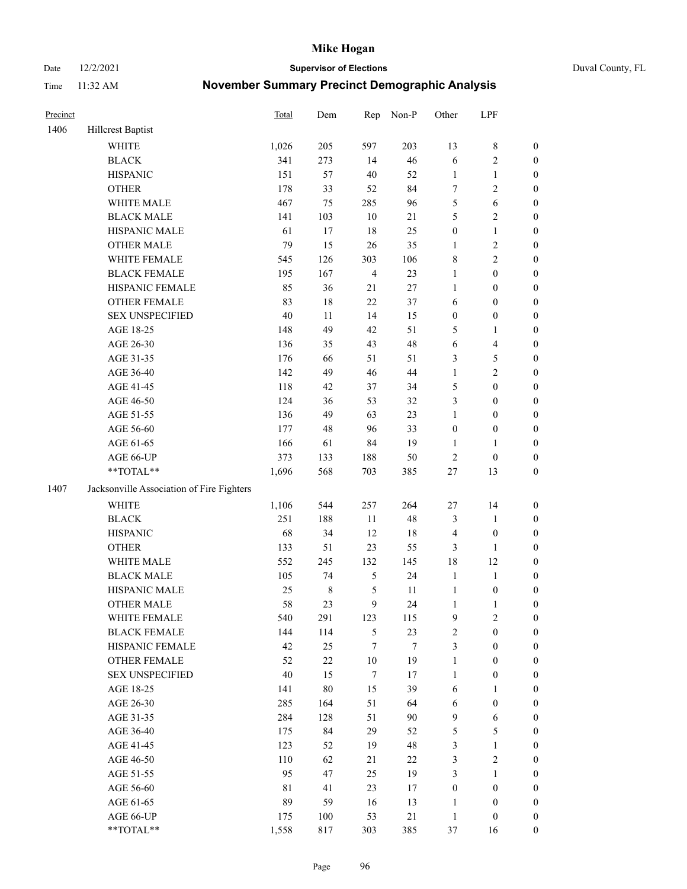Date 12/2/2021 **Supervisor of Elections** Duval County, FL

| Precinct |                                                           | Total  | Dem         | Rep                     | Non-P  | Other            | LPF              |                  |
|----------|-----------------------------------------------------------|--------|-------------|-------------------------|--------|------------------|------------------|------------------|
| 1406     | <b>Hillcrest Baptist</b>                                  |        |             |                         |        |                  |                  |                  |
|          | <b>WHITE</b>                                              | 1,026  | 205         | 597                     | 203    | 13               | $\,$ 8 $\,$      | 0                |
|          | <b>BLACK</b>                                              | 341    | 273         | 14                      | 46     | 6                | $\sqrt{2}$       | $\boldsymbol{0}$ |
|          | <b>HISPANIC</b>                                           | 151    | 57          | 40                      | 52     | $\mathbf{1}$     | $\mathbf{1}$     | $\boldsymbol{0}$ |
|          | <b>OTHER</b>                                              | 178    | 33          | 52                      | 84     | 7                | $\sqrt{2}$       | $\boldsymbol{0}$ |
|          | WHITE MALE                                                | 467    | 75          | 285                     | 96     | 5                | 6                | $\boldsymbol{0}$ |
|          | <b>BLACK MALE</b>                                         | 141    | 103         | 10                      | 21     | 5                | $\sqrt{2}$       | $\boldsymbol{0}$ |
|          | HISPANIC MALE                                             | 61     | 17          | 18                      | 25     | $\boldsymbol{0}$ | $\mathbf{1}$     | $\boldsymbol{0}$ |
|          | <b>OTHER MALE</b>                                         | 79     | 15          | 26                      | 35     | $\mathbf{1}$     | $\sqrt{2}$       | $\boldsymbol{0}$ |
|          | WHITE FEMALE                                              | 545    | 126         | 303                     | 106    | 8                | $\sqrt{2}$       | $\boldsymbol{0}$ |
|          | <b>BLACK FEMALE</b>                                       | 195    | 167         | $\overline{\mathbf{4}}$ | 23     | 1                | $\boldsymbol{0}$ | $\boldsymbol{0}$ |
|          | HISPANIC FEMALE                                           | 85     | 36          | 21                      | $27\,$ | $\mathbf{1}$     | $\boldsymbol{0}$ | $\boldsymbol{0}$ |
|          | OTHER FEMALE                                              | 83     | 18          | 22                      | 37     | 6                | $\boldsymbol{0}$ | $\boldsymbol{0}$ |
|          | <b>SEX UNSPECIFIED</b>                                    | 40     | 11          | 14                      | 15     | $\boldsymbol{0}$ | $\boldsymbol{0}$ | $\boldsymbol{0}$ |
|          | AGE 18-25                                                 | 148    | 49          | 42                      | 51     | 5                | $\mathbf{1}$     | $\boldsymbol{0}$ |
|          | AGE 26-30                                                 | 136    | 35          | 43                      | 48     | 6                | $\overline{4}$   | $\boldsymbol{0}$ |
|          | AGE 31-35                                                 | 176    | 66          | 51                      | 51     | 3                | $\mathfrak s$    | $\boldsymbol{0}$ |
|          | AGE 36-40                                                 | 142    | 49          | 46                      | 44     | $\mathbf{1}$     | $\sqrt{2}$       | $\boldsymbol{0}$ |
|          | AGE 41-45                                                 | 118    | 42          | 37                      | 34     | 5                | $\boldsymbol{0}$ | $\boldsymbol{0}$ |
|          | AGE 46-50                                                 | 124    | 36          | 53                      | 32     | 3                | $\boldsymbol{0}$ | $\boldsymbol{0}$ |
|          | AGE 51-55                                                 | 136    | 49          | 63                      | 23     | 1                | $\boldsymbol{0}$ | $\boldsymbol{0}$ |
|          | AGE 56-60                                                 | 177    | 48          | 96                      | 33     | $\boldsymbol{0}$ | $\boldsymbol{0}$ | $\boldsymbol{0}$ |
|          | AGE 61-65                                                 | 166    | 61          | 84                      | 19     | $\mathbf{1}$     | 1                | $\boldsymbol{0}$ |
|          | AGE 66-UP                                                 | 373    | 133         | 188                     | 50     | 2                | $\boldsymbol{0}$ | $\boldsymbol{0}$ |
|          | $\mathrm{*}\mathrm{*}\mathrm{TOTAL} \mathrm{*}\mathrm{*}$ | 1,696  | 568         | 703                     | 385    | $27\,$           | 13               | $\boldsymbol{0}$ |
| 1407     | Jacksonville Association of Fire Fighters                 |        |             |                         |        |                  |                  |                  |
|          | WHITE                                                     | 1,106  | 544         | 257                     | 264    | $27\,$           | 14               | $\boldsymbol{0}$ |
|          | <b>BLACK</b>                                              | 251    | 188         | $11\,$                  | 48     | 3                | $\mathbf{1}$     | $\boldsymbol{0}$ |
|          | <b>HISPANIC</b>                                           | 68     | 34          | 12                      | 18     | 4                | $\boldsymbol{0}$ | $\boldsymbol{0}$ |
|          | <b>OTHER</b>                                              | 133    | 51          | 23                      | 55     | 3                | $\mathbf{1}$     | $\boldsymbol{0}$ |
|          | WHITE MALE                                                | 552    | 245         | 132                     | 145    | 18               | 12               | $\boldsymbol{0}$ |
|          | <b>BLACK MALE</b>                                         | 105    | 74          | $\mathfrak{S}$          | 24     | $\mathbf{1}$     | $\mathbf{1}$     | $\boldsymbol{0}$ |
|          | HISPANIC MALE                                             | 25     | $\,$ 8 $\,$ | 5                       | 11     | $\mathbf{1}$     | $\boldsymbol{0}$ | 0                |
|          | <b>OTHER MALE</b>                                         | 58     | 23          | 9                       | 24     | $\mathbf{1}$     | $\mathbf{1}$     | $\boldsymbol{0}$ |
|          | WHITE FEMALE                                              | 540    | 291         | 123                     | 115    | 9                | $\overline{c}$   | 0                |
|          | <b>BLACK FEMALE</b>                                       | 144    | 114         | 5                       | 23     | $\mathbf{2}$     | $\boldsymbol{0}$ | $\overline{0}$   |
|          | HISPANIC FEMALE                                           | 42     | 25          | 7                       | 7      | 3                | $\boldsymbol{0}$ | $\overline{0}$   |
|          | OTHER FEMALE                                              | 52     | $22\,$      | $10\,$                  | 19     | 1                | $\boldsymbol{0}$ | 0                |
|          | <b>SEX UNSPECIFIED</b>                                    | $40\,$ | 15          | 7                       | 17     | $\mathbf{1}$     | $\boldsymbol{0}$ | 0                |
|          | AGE 18-25                                                 | 141    | 80          | 15                      | 39     | 6                | $\mathbf{1}$     | 0                |
|          | AGE 26-30                                                 | 285    | 164         | 51                      | 64     | 6                | $\boldsymbol{0}$ | 0                |
|          | AGE 31-35                                                 | 284    | 128         | 51                      | 90     | 9                | 6                | 0                |
|          | AGE 36-40                                                 | 175    | 84          | 29                      | 52     | 5                | $\mathfrak s$    | 0                |
|          | AGE 41-45                                                 | 123    | 52          | 19                      | 48     | 3                | $\mathbf{1}$     | 0                |
|          | AGE 46-50                                                 | 110    | 62          | 21                      | 22     | 3                | $\sqrt{2}$       | 0                |
|          | AGE 51-55                                                 | 95     | 47          | 25                      | 19     | 3                | $\mathbf{1}$     | 0                |
|          | AGE 56-60                                                 | 81     | 41          | 23                      | 17     | $\boldsymbol{0}$ | $\boldsymbol{0}$ | 0                |
|          | AGE 61-65                                                 | 89     | 59          | 16                      | 13     | 1                | $\boldsymbol{0}$ | 0                |
|          | AGE 66-UP                                                 | 175    | 100         | 53                      | 21     | $\mathbf{1}$     | $\boldsymbol{0}$ | 0                |
|          | **TOTAL**                                                 | 1,558  | 817         | 303                     | 385    | 37               | 16               | $\boldsymbol{0}$ |
|          |                                                           |        |             |                         |        |                  |                  |                  |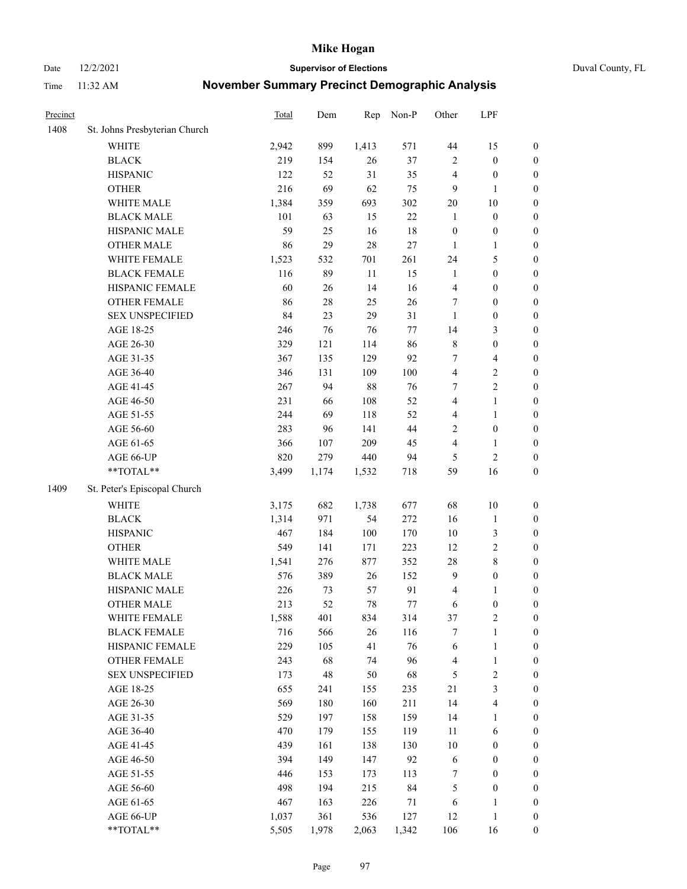Date 12/2/2021 **Supervisor of Elections** Duval County, FL

| Precinct |                               | <b>Total</b> | Dem    | Rep    | Non-P  | Other                   | LPF                     |                  |
|----------|-------------------------------|--------------|--------|--------|--------|-------------------------|-------------------------|------------------|
| 1408     | St. Johns Presbyterian Church |              |        |        |        |                         |                         |                  |
|          | <b>WHITE</b>                  | 2,942        | 899    | 1,413  | 571    | $44\,$                  | 15                      | 0                |
|          | <b>BLACK</b>                  | 219          | 154    | 26     | 37     | $\overline{2}$          | $\boldsymbol{0}$        | 0                |
|          | <b>HISPANIC</b>               | 122          | 52     | 31     | 35     | 4                       | $\boldsymbol{0}$        | $\boldsymbol{0}$ |
|          | <b>OTHER</b>                  | 216          | 69     | 62     | 75     | 9                       | 1                       | $\boldsymbol{0}$ |
|          | WHITE MALE                    | 1,384        | 359    | 693    | 302    | $20\,$                  | $10\,$                  | $\boldsymbol{0}$ |
|          | <b>BLACK MALE</b>             | 101          | 63     | 15     | $22\,$ | $\mathbf{1}$            | $\boldsymbol{0}$        | $\boldsymbol{0}$ |
|          | HISPANIC MALE                 | 59           | 25     | 16     | 18     | $\boldsymbol{0}$        | $\boldsymbol{0}$        | $\boldsymbol{0}$ |
|          | <b>OTHER MALE</b>             | 86           | 29     | 28     | $27\,$ | $\mathbf{1}$            | $\mathbf{1}$            | $\boldsymbol{0}$ |
|          | WHITE FEMALE                  | 1,523        | 532    | 701    | 261    | 24                      | $\mathfrak{S}$          | $\boldsymbol{0}$ |
|          | <b>BLACK FEMALE</b>           | 116          | 89     | $11\,$ | 15     | $\mathbf{1}$            | $\boldsymbol{0}$        | $\boldsymbol{0}$ |
|          | HISPANIC FEMALE               | 60           | 26     | 14     | 16     | $\overline{\mathbf{4}}$ | $\boldsymbol{0}$        | 0                |
|          | OTHER FEMALE                  | 86           | $28\,$ | 25     | 26     | 7                       | $\boldsymbol{0}$        | $\boldsymbol{0}$ |
|          | <b>SEX UNSPECIFIED</b>        | 84           | 23     | 29     | 31     | $\mathbf{1}$            | $\boldsymbol{0}$        | $\boldsymbol{0}$ |
|          | AGE 18-25                     | 246          | 76     | 76     | $77\,$ | 14                      | $\mathfrak{Z}$          | $\boldsymbol{0}$ |
|          | AGE 26-30                     | 329          | 121    | 114    | 86     | 8                       | $\boldsymbol{0}$        | $\boldsymbol{0}$ |
|          | AGE 31-35                     | 367          | 135    | 129    | 92     | 7                       | $\overline{\mathbf{4}}$ | $\boldsymbol{0}$ |
|          | AGE 36-40                     | 346          | 131    | 109    | 100    | $\overline{\mathbf{4}}$ | $\sqrt{2}$              | $\boldsymbol{0}$ |
|          | AGE 41-45                     | 267          | 94     | 88     | 76     | $\tau$                  | $\overline{2}$          | $\boldsymbol{0}$ |
|          | AGE 46-50                     | 231          | 66     | 108    | 52     | $\overline{4}$          | $\mathbf{1}$            | $\boldsymbol{0}$ |
|          | AGE 51-55                     | 244          | 69     | 118    | 52     | 4                       | $\mathbf{1}$            | $\boldsymbol{0}$ |
|          | AGE 56-60                     | 283          | 96     | 141    | 44     | $\overline{c}$          | $\boldsymbol{0}$        | 0                |
|          | AGE 61-65                     | 366          | 107    | 209    | 45     | 4                       | $\mathbf{1}$            | 0                |
|          | AGE 66-UP                     | 820          | 279    | 440    | 94     | 5                       | $\sqrt{2}$              | $\boldsymbol{0}$ |
|          | **TOTAL**                     | 3,499        | 1,174  | 1,532  | 718    | 59                      | 16                      | $\boldsymbol{0}$ |
| 1409     | St. Peter's Episcopal Church  |              |        |        |        |                         |                         |                  |
|          | <b>WHITE</b>                  | 3,175        | 682    | 1,738  | 677    | 68                      | $10\,$                  | $\boldsymbol{0}$ |
|          | <b>BLACK</b>                  | 1,314        | 971    | 54     | 272    | 16                      | $\mathbf{1}$            | $\boldsymbol{0}$ |
|          | <b>HISPANIC</b>               | 467          | 184    | 100    | 170    | $10\,$                  | $\mathfrak{Z}$          | $\boldsymbol{0}$ |
|          | <b>OTHER</b>                  | 549          | 141    | 171    | 223    | 12                      | $\sqrt{2}$              | $\boldsymbol{0}$ |
|          | WHITE MALE                    | 1,541        | 276    | 877    | 352    | 28                      | $\,$ 8 $\,$             | $\boldsymbol{0}$ |
|          | <b>BLACK MALE</b>             | 576          | 389    | 26     | 152    | $\overline{9}$          | $\boldsymbol{0}$        | $\boldsymbol{0}$ |
|          | HISPANIC MALE                 | 226          | 73     | 57     | 91     | 4                       | 1                       | $\boldsymbol{0}$ |
|          | <b>OTHER MALE</b>             | 213          | 52     | 78     | 77     | 6                       | $\boldsymbol{0}$        | $\boldsymbol{0}$ |
|          | WHITE FEMALE                  | 1,588        | 401    | 834    | 314    | 37                      | 2                       | 0                |
|          | <b>BLACK FEMALE</b>           | 716          | 566    | 26     | 116    | 7                       | $\mathbf{1}$            | $\boldsymbol{0}$ |
|          | HISPANIC FEMALE               | 229          | 105    | 41     | 76     | 6                       | $\mathbf{1}$            | $\boldsymbol{0}$ |
|          | <b>OTHER FEMALE</b>           | 243          | 68     | 74     | 96     | 4                       | $\mathbf{1}$            | $\overline{0}$   |
|          | <b>SEX UNSPECIFIED</b>        | 173          | 48     | 50     | 68     | 5                       | $\sqrt{2}$              | 0                |
|          | AGE 18-25                     | 655          | 241    | 155    | 235    | $21\,$                  | $\mathfrak{Z}$          | 0                |
|          | AGE 26-30                     | 569          | 180    | 160    | 211    | 14                      | $\overline{\mathbf{4}}$ | 0                |
|          | AGE 31-35                     | 529          | 197    | 158    | 159    | 14                      | 1                       | 0                |
|          | AGE 36-40                     | 470          | 179    | 155    | 119    | $11\,$                  | 6                       | 0                |
|          | AGE 41-45                     | 439          | 161    | 138    | 130    | 10                      | $\boldsymbol{0}$        | 0                |
|          | AGE 46-50                     | 394          | 149    | 147    | 92     | 6                       | $\boldsymbol{0}$        | 0                |
|          | AGE 51-55                     | 446          | 153    | 173    | 113    | 7                       | $\boldsymbol{0}$        | 0                |
|          | AGE 56-60                     | 498          | 194    | 215    | 84     | 5                       | $\boldsymbol{0}$        | $\overline{0}$   |
|          | AGE 61-65                     | 467          | 163    | 226    | 71     | 6                       | 1                       | $\overline{0}$   |
|          | AGE 66-UP                     | 1,037        | 361    | 536    | 127    | 12                      | $\mathbf{1}$            | 0                |
|          | **TOTAL**                     | 5,505        | 1,978  | 2,063  | 1,342  | 106                     | 16                      | $\boldsymbol{0}$ |
|          |                               |              |        |        |        |                         |                         |                  |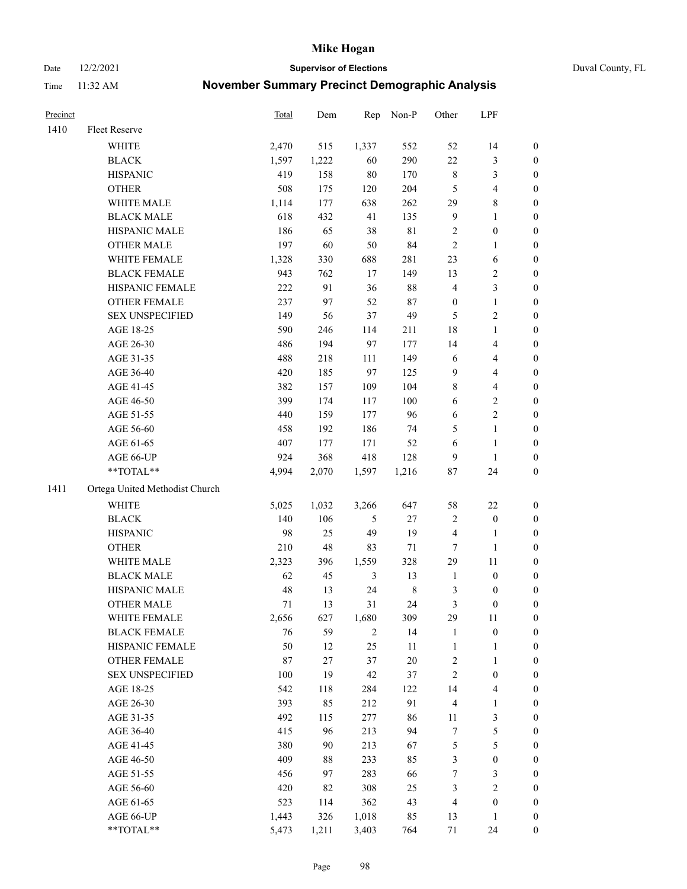Date 12/2/2021 **Supervisor of Elections** Duval County, FL

| Precinct |                                | Total | Dem   | Rep            | Non-P       | Other                   | LPF              |                  |
|----------|--------------------------------|-------|-------|----------------|-------------|-------------------------|------------------|------------------|
| 1410     | Fleet Reserve                  |       |       |                |             |                         |                  |                  |
|          | WHITE                          | 2,470 | 515   | 1,337          | 552         | 52                      | 14               | 0                |
|          | <b>BLACK</b>                   | 1,597 | 1,222 | 60             | 290         | 22                      | $\mathfrak{Z}$   | 0                |
|          | <b>HISPANIC</b>                | 419   | 158   | $80\,$         | 170         | $\,$ 8 $\,$             | $\mathfrak{Z}$   | $\boldsymbol{0}$ |
|          | <b>OTHER</b>                   | 508   | 175   | 120            | 204         | 5                       | $\overline{4}$   | $\boldsymbol{0}$ |
|          | WHITE MALE                     | 1,114 | 177   | 638            | 262         | 29                      | $\,$ 8 $\,$      | $\boldsymbol{0}$ |
|          | <b>BLACK MALE</b>              | 618   | 432   | 41             | 135         | 9                       | $\mathbf{1}$     | $\boldsymbol{0}$ |
|          | HISPANIC MALE                  | 186   | 65    | 38             | $8\sqrt{1}$ | 2                       | $\boldsymbol{0}$ | $\boldsymbol{0}$ |
|          | <b>OTHER MALE</b>              | 197   | 60    | 50             | 84          | $\mathfrak{2}$          | $\mathbf{1}$     | $\boldsymbol{0}$ |
|          | WHITE FEMALE                   | 1,328 | 330   | 688            | 281         | 23                      | 6                | $\boldsymbol{0}$ |
|          | <b>BLACK FEMALE</b>            | 943   | 762   | 17             | 149         | 13                      | $\sqrt{2}$       | 0                |
|          | HISPANIC FEMALE                | 222   | 91    | 36             | 88          | 4                       | $\mathfrak{Z}$   | 0                |
|          | OTHER FEMALE                   | 237   | 97    | 52             | $87\,$      | $\boldsymbol{0}$        | $\mathbf{1}$     | 0                |
|          | <b>SEX UNSPECIFIED</b>         | 149   | 56    | 37             | 49          | 5                       | $\sqrt{2}$       | $\boldsymbol{0}$ |
|          | AGE 18-25                      | 590   | 246   | 114            | 211         | 18                      | $\mathbf{1}$     | $\boldsymbol{0}$ |
|          | AGE 26-30                      | 486   | 194   | 97             | 177         | 14                      | $\overline{4}$   | $\boldsymbol{0}$ |
|          | AGE 31-35                      | 488   | 218   | 111            | 149         | 6                       | $\overline{4}$   | $\boldsymbol{0}$ |
|          | AGE 36-40                      | 420   | 185   | 97             | 125         | 9                       | $\overline{4}$   | $\boldsymbol{0}$ |
|          | AGE 41-45                      | 382   | 157   | 109            | 104         | 8                       | $\overline{4}$   | $\boldsymbol{0}$ |
|          | AGE 46-50                      | 399   | 174   | 117            | $100\,$     | 6                       | $\sqrt{2}$       | $\boldsymbol{0}$ |
|          | AGE 51-55                      | 440   | 159   | 177            | 96          | 6                       | $\sqrt{2}$       | 0                |
|          | AGE 56-60                      | 458   | 192   | 186            | 74          | 5                       | $\mathbf{1}$     | 0                |
|          | AGE 61-65                      | 407   | 177   | 171            | 52          | 6                       | $\mathbf{1}$     | 0                |
|          | AGE 66-UP                      | 924   | 368   | 418            | 128         | 9                       | $\mathbf{1}$     | $\boldsymbol{0}$ |
|          | $**TOTAL**$                    | 4,994 | 2,070 | 1,597          | 1,216       | 87                      | 24               | $\boldsymbol{0}$ |
| 1411     | Ortega United Methodist Church |       |       |                |             |                         |                  |                  |
|          | <b>WHITE</b>                   | 5,025 | 1,032 | 3,266          | 647         | 58                      | $22\,$           | $\boldsymbol{0}$ |
|          | <b>BLACK</b>                   | 140   | 106   | 5              | $27\,$      | 2                       | $\boldsymbol{0}$ | $\boldsymbol{0}$ |
|          | <b>HISPANIC</b>                | 98    | 25    | 49             | 19          | 4                       | $\mathbf{1}$     | $\boldsymbol{0}$ |
|          | <b>OTHER</b>                   | 210   | 48    | 83             | 71          | $\boldsymbol{7}$        | $\mathbf{1}$     | $\boldsymbol{0}$ |
|          | WHITE MALE                     | 2,323 | 396   | 1,559          | 328         | 29                      | 11               | $\boldsymbol{0}$ |
|          | <b>BLACK MALE</b>              | 62    | 45    | 3              | 13          | $\mathbf{1}$            | $\boldsymbol{0}$ | $\boldsymbol{0}$ |
|          | HISPANIC MALE                  | 48    | 13    | 24             | $\,$ 8 $\,$ | 3                       | $\boldsymbol{0}$ | 0                |
|          | <b>OTHER MALE</b>              | 71    | 13    | 31             | 24          | 3                       | $\boldsymbol{0}$ | $\boldsymbol{0}$ |
|          | WHITE FEMALE                   | 2,656 | 627   | 1,680          | 309         | 29                      | 11               | 0                |
|          | <b>BLACK FEMALE</b>            | 76    | 59    | $\overline{c}$ | 14          | $\mathbf{1}$            | $\boldsymbol{0}$ | $\boldsymbol{0}$ |
|          | HISPANIC FEMALE                | 50    | 12    | 25             | $11\,$      | $\mathbf{1}$            | $\mathbf{1}$     | $\boldsymbol{0}$ |
|          | OTHER FEMALE                   | 87    | 27    | 37             | 20          | $\overline{\mathbf{c}}$ | $\mathbf{1}$     | $\overline{0}$   |
|          | <b>SEX UNSPECIFIED</b>         | 100   | 19    | 42             | 37          | $\overline{c}$          | $\boldsymbol{0}$ | 0                |
|          | AGE 18-25                      | 542   | 118   | 284            | 122         | 14                      | $\overline{4}$   | 0                |
|          | AGE 26-30                      | 393   | 85    | 212            | 91          | 4                       | $\mathbf{1}$     | 0                |
|          | AGE 31-35                      | 492   | 115   | 277            | 86          | 11                      | $\mathfrak z$    | 0                |
|          | AGE 36-40                      | 415   | 96    | 213            | 94          | 7                       | $\mathfrak s$    | 0                |
|          | AGE 41-45                      | 380   | 90    | 213            | 67          | 5                       | $\mathfrak s$    | 0                |
|          | AGE 46-50                      | 409   | 88    | 233            | 85          | 3                       | $\boldsymbol{0}$ | 0                |
|          | AGE 51-55                      | 456   | 97    | 283            | 66          | 7                       | 3                | 0                |
|          | AGE 56-60                      | 420   | 82    | 308            | 25          | 3                       | $\sqrt{2}$       | 0                |
|          | AGE 61-65                      | 523   | 114   | 362            | 43          | 4                       | $\boldsymbol{0}$ | 0                |
|          | AGE 66-UP                      | 1,443 | 326   | 1,018          | 85          | 13                      | $\mathbf{1}$     | 0                |
|          | **TOTAL**                      | 5,473 | 1,211 | 3,403          | 764         | 71                      | 24               | $\boldsymbol{0}$ |
|          |                                |       |       |                |             |                         |                  |                  |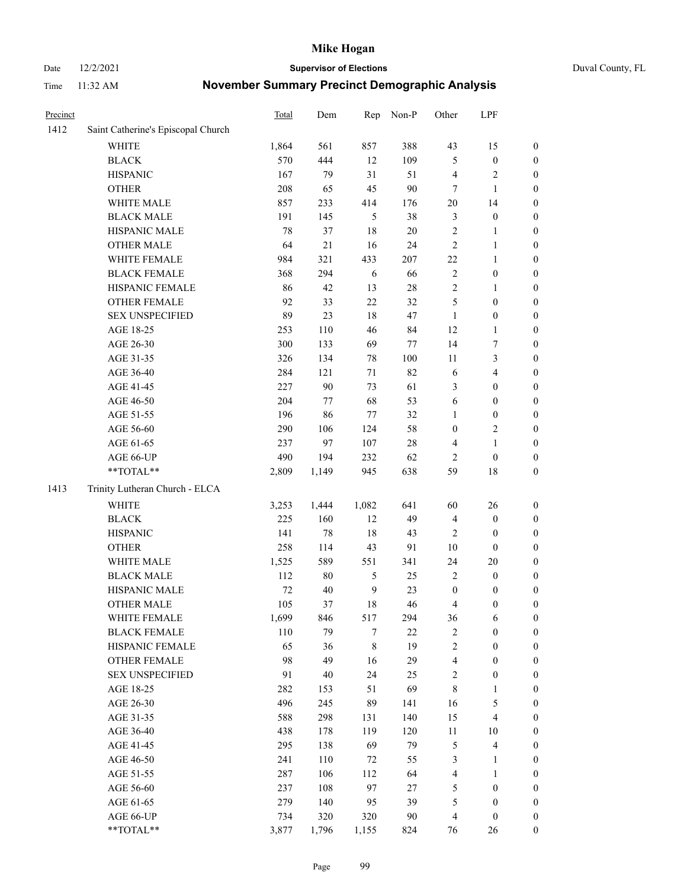Date 12/2/2021 **Supervisor of Elections** Duval County, FL

| Precinct |                                    | Total  | Dem    | Rep            | Non-P  | Other            | LPF                     |                  |
|----------|------------------------------------|--------|--------|----------------|--------|------------------|-------------------------|------------------|
| 1412     | Saint Catherine's Episcopal Church |        |        |                |        |                  |                         |                  |
|          | <b>WHITE</b>                       | 1,864  | 561    | 857            | 388    | 43               | 15                      | 0                |
|          | <b>BLACK</b>                       | 570    | 444    | 12             | 109    | $\mathfrak{S}$   | $\boldsymbol{0}$        | 0                |
|          | <b>HISPANIC</b>                    | 167    | 79     | 31             | 51     | 4                | $\sqrt{2}$              | $\boldsymbol{0}$ |
|          | <b>OTHER</b>                       | 208    | 65     | 45             | 90     | 7                | $\mathbf{1}$            | $\boldsymbol{0}$ |
|          | WHITE MALE                         | 857    | 233    | 414            | 176    | 20               | 14                      | $\boldsymbol{0}$ |
|          | <b>BLACK MALE</b>                  | 191    | 145    | 5              | 38     | 3                | $\boldsymbol{0}$        | $\boldsymbol{0}$ |
|          | HISPANIC MALE                      | 78     | 37     | 18             | $20\,$ | $\overline{c}$   | $\mathbf{1}$            | $\boldsymbol{0}$ |
|          | <b>OTHER MALE</b>                  | 64     | $21\,$ | 16             | 24     | $\mathbf{2}$     | $\mathbf{1}$            | $\boldsymbol{0}$ |
|          | WHITE FEMALE                       | 984    | 321    | 433            | 207    | $22\,$           | 1                       | $\boldsymbol{0}$ |
|          | <b>BLACK FEMALE</b>                | 368    | 294    | 6              | 66     | $\sqrt{2}$       | $\boldsymbol{0}$        | 0                |
|          | HISPANIC FEMALE                    | 86     | 42     | 13             | 28     | $\sqrt{2}$       | $\mathbf{1}$            | 0                |
|          | OTHER FEMALE                       | 92     | 33     | 22             | 32     | 5                | $\boldsymbol{0}$        | $\boldsymbol{0}$ |
|          | <b>SEX UNSPECIFIED</b>             | 89     | 23     | 18             | 47     | $\mathbf{1}$     | $\boldsymbol{0}$        | $\boldsymbol{0}$ |
|          | AGE 18-25                          | 253    | 110    | 46             | 84     | 12               | $\mathbf{1}$            | $\boldsymbol{0}$ |
|          | AGE 26-30                          | 300    | 133    | 69             | 77     | 14               | $\boldsymbol{7}$        | $\boldsymbol{0}$ |
|          | AGE 31-35                          | 326    | 134    | 78             | 100    | 11               | $\mathfrak{Z}$          | $\boldsymbol{0}$ |
|          | AGE 36-40                          | 284    | 121    | 71             | 82     | 6                | $\overline{\mathbf{4}}$ | $\boldsymbol{0}$ |
|          | AGE 41-45                          | 227    | $90\,$ | 73             | 61     | 3                | $\boldsymbol{0}$        | $\boldsymbol{0}$ |
|          | AGE 46-50                          | 204    | 77     | 68             | 53     | 6                | $\boldsymbol{0}$        | $\boldsymbol{0}$ |
|          | AGE 51-55                          | 196    | 86     | 77             | 32     | 1                | $\boldsymbol{0}$        | 0                |
|          | AGE 56-60                          | 290    | 106    | 124            | 58     | $\boldsymbol{0}$ | $\sqrt{2}$              | 0                |
|          | AGE 61-65                          | 237    | 97     | 107            | $28\,$ | 4                | $\mathbf{1}$            | 0                |
|          | AGE 66-UP                          | 490    | 194    | 232            | 62     | $\overline{2}$   | $\boldsymbol{0}$        | $\boldsymbol{0}$ |
|          | **TOTAL**                          | 2,809  | 1,149  | 945            | 638    | 59               | $18\,$                  | $\boldsymbol{0}$ |
| 1413     | Trinity Lutheran Church - ELCA     |        |        |                |        |                  |                         |                  |
|          | <b>WHITE</b>                       | 3,253  | 1,444  | 1,082          | 641    | 60               | 26                      | $\boldsymbol{0}$ |
|          | <b>BLACK</b>                       | 225    | 160    | 12             | 49     | 4                | $\boldsymbol{0}$        | $\boldsymbol{0}$ |
|          | <b>HISPANIC</b>                    | 141    | 78     | 18             | 43     | $\overline{c}$   | $\boldsymbol{0}$        | $\boldsymbol{0}$ |
|          | <b>OTHER</b>                       | 258    | 114    | 43             | 91     | 10               | $\boldsymbol{0}$        | $\boldsymbol{0}$ |
|          | WHITE MALE                         | 1,525  | 589    | 551            | 341    | 24               | $20\,$                  | $\boldsymbol{0}$ |
|          | <b>BLACK MALE</b>                  | 112    | $80\,$ | 5              | 25     | $\mathbf{2}$     | $\boldsymbol{0}$        | $\boldsymbol{0}$ |
|          | HISPANIC MALE                      | $72\,$ | 40     | $\overline{9}$ | 23     | $\boldsymbol{0}$ | $\boldsymbol{0}$        | 0                |
|          | <b>OTHER MALE</b>                  | 105    | 37     | 18             | 46     | 4                | $\boldsymbol{0}$        | $\boldsymbol{0}$ |
|          | WHITE FEMALE                       | 1,699  | 846    | 517            | 294    | 36               | 6                       | 0                |
|          | <b>BLACK FEMALE</b>                | 110    | 79     | 7              | 22     | 2                | $\boldsymbol{0}$        | $\boldsymbol{0}$ |
|          | HISPANIC FEMALE                    | 65     | 36     | $\,8\,$        | 19     | $\overline{c}$   | $\boldsymbol{0}$        | $\overline{0}$   |
|          | OTHER FEMALE                       | 98     | 49     | 16             | 29     | 4                | $\boldsymbol{0}$        | $\overline{0}$   |
|          | <b>SEX UNSPECIFIED</b>             | 91     | $40\,$ | 24             | 25     | 2                | $\boldsymbol{0}$        | $\overline{0}$   |
|          | AGE 18-25                          | 282    | 153    | 51             | 69     | 8                | $\mathbf{1}$            | $\overline{0}$   |
|          | AGE 26-30                          | 496    | 245    | 89             | 141    | 16               | $\mathfrak{S}$          | 0                |
|          | AGE 31-35                          | 588    | 298    | 131            | 140    | 15               | $\overline{\mathbf{4}}$ | 0                |
|          | AGE 36-40                          | 438    | 178    | 119            | 120    | $11\,$           | 10                      | 0                |
|          | AGE 41-45                          | 295    | 138    | 69             | 79     | $\mathfrak{S}$   | $\overline{\mathbf{4}}$ | 0                |
|          | AGE 46-50                          | 241    | 110    | 72             | 55     | 3                | $\mathbf{1}$            | 0                |
|          | AGE 51-55                          | 287    | 106    | 112            | 64     | 4                | $\mathbf{1}$            | $\boldsymbol{0}$ |
|          | AGE 56-60                          | 237    | 108    | 97             | 27     | 5                | $\boldsymbol{0}$        | $\boldsymbol{0}$ |
|          | AGE 61-65                          | 279    | 140    | 95             | 39     | 5                | $\boldsymbol{0}$        | $\boldsymbol{0}$ |
|          | AGE 66-UP                          | 734    | 320    | 320            | $90\,$ | $\overline{4}$   | $\boldsymbol{0}$        | $\boldsymbol{0}$ |
|          | **TOTAL**                          | 3,877  | 1,796  | 1,155          | 824    | 76               | 26                      | $\boldsymbol{0}$ |
|          |                                    |        |        |                |        |                  |                         |                  |